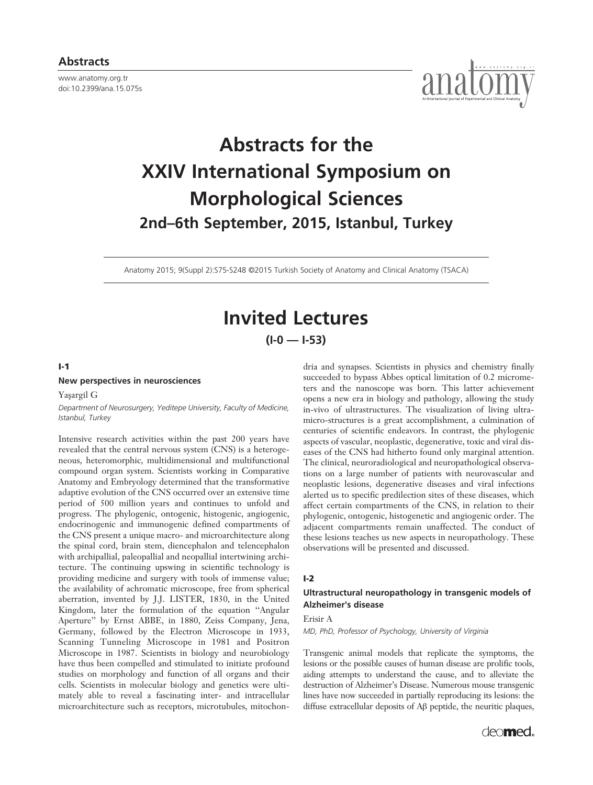www.anatomy.org.tr doi:10.2399/ana.15.075s



# **Abstracts for the XXIV International Symposium on Morphological Sciences 2nd–6th September, 2015, Istanbul, Turkey**

Anatomy 2015; 9(Suppl 2):S75-S248 ©2015 Turkish Society of Anatomy and Clinical Anatomy (TSACA)

# **Invited Lectures**

**(I-0 — I-53)**

#### **I-1**

#### **New perspectives in neurosciences**

Yasargil G

*Department of Neurosurgery, Yeditepe University, Faculty of Medicine, Istanbul, Turkey*

Intensive research activities within the past 200 years have revealed that the central nervous system (CNS) is a heterogeneous, heteromorphic, multidimensional and multifunctional compound organ system. Scientists working in Comparative Anatomy and Embryology determined that the transformative adaptive evolution of the CNS occurred over an extensive time period of 500 million years and continues to unfold and progress. The phylogenic, ontogenic, histogenic, angiogenic, endocrinogenic and immunogenic defined compartments of the CNS present a unique macro- and microarchitecture along the spinal cord, brain stem, diencephalon and telencephalon with archipallial, paleopallial and neopallial intertwining architecture. The continuing upswing in scientific technology is providing medicine and surgery with tools of immense value; the availability of achromatic microscope, free from spherical aberration, invented by J.J. LISTER, 1830, in the United Kingdom, later the formulation of the equation ''Angular Aperture'' by Ernst ABBE, in 1880, Zeiss Company, Jena, Germany, followed by the Electron Microscope in 1933, Scanning Tunneling Microscope in 1981 and Positron Microscope in 1987. Scientists in biology and neurobiology have thus been compelled and stimulated to initiate profound studies on morphology and function of all organs and their cells. Scientists in molecular biology and genetics were ultimately able to reveal a fascinating inter- and intracellular microarchitecture such as receptors, microtubules, mitochondria and synapses. Scientists in physics and chemistry finally succeeded to bypass Abbes optical limitation of 0.2 micrometers and the nanoscope was born. This latter achievement opens a new era in biology and pathology, allowing the study in-vivo of ultrastructures. The visualization of living ultramicro-structures is a great accomplishment, a culmination of centuries of scientific endeavors. In contrast, the phylogenic aspects of vascular, neoplastic, degenerative, toxic and viral diseases of the CNS had hitherto found only marginal attention. The clinical, neuroradiological and neuropathological observations on a large number of patients with neurovascular and neoplastic lesions, degenerative diseases and viral infections alerted us to specific predilection sites of these diseases, which affect certain compartments of the CNS, in relation to their phylogenic, ontogenic, histogenetic and angiogenic order. The adjacent compartments remain unaffected. The conduct of these lesions teaches us new aspects in neuropathology. These observations will be presented and discussed.

# **I-2**

# **Ultrastructural neuropathology in transgenic models of Alzheimer's disease**

# Erisir A

*MD, PhD, Professor of Psychology, University of Virginia*

Transgenic animal models that replicate the symptoms, the lesions or the possible causes of human disease are prolific tools, aiding attempts to understand the cause, and to alleviate the destruction of Alzheimer's Disease. Numerous mouse transgenic lines have now succeeded in partially reproducing its lesions: the diffuse extracellular deposits of Aβ peptide, the neuritic plaques,

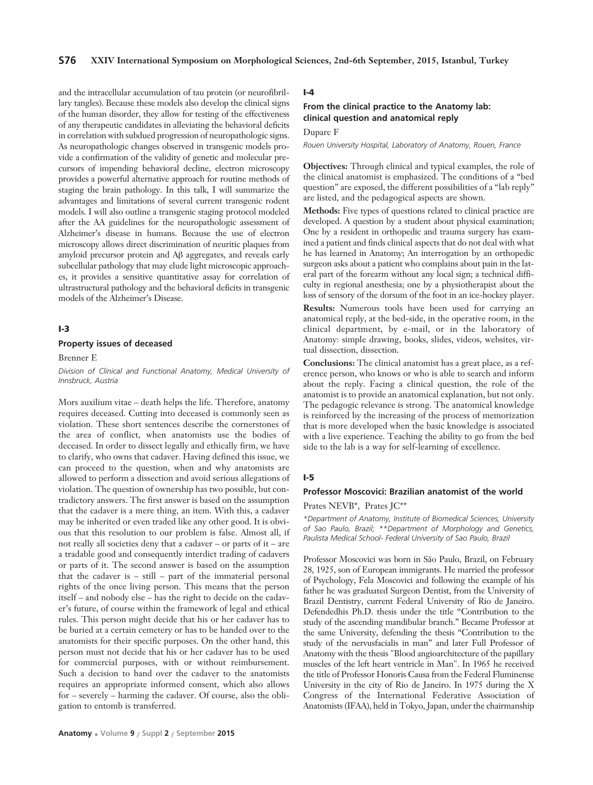and the intracellular accumulation of tau protein (or neurofibrillary tangles). Because these models also develop the clinical signs of the human disorder, they allow for testing of the effectiveness of any therapeutic candidates in alleviating the behavioral deficits in correlation with subdued progression of neuropathologic signs. As neuropathologic changes observed in transgenic models provide a confirmation of the validity of genetic and molecular precursors of impending behavioral decline, electron microscopy provides a powerful alternative approach for routine methods of staging the brain pathology. In this talk, I will summarize the advantages and limitations of several current transgenic rodent models. I will also outline a transgenic staging protocol modeled after the AA guidelines for the neuropathologic assessment of Alzheimer's disease in humans. Because the use of electron microscopy allows direct discrimination of neuritic plaques from amyloid precursor protein and Aβ aggregates, and reveals early subcellular pathology that may elude light microscopic approaches, it provides a sensitive quantitative assay for correlation of ultrastructural pathology and the behavioral deficits in transgenic models of the Alzheimer's Disease.

# **I-3**

#### **Property issues of deceased**

Brenner E

*Division of Clinical and Functional Anatomy, Medical University of Innsbruck, Austria*

Mors auxilium vitae – death helps the life. Therefore, anatomy requires deceased. Cutting into deceased is commonly seen as violation. These short sentences describe the cornerstones of the area of conflict, when anatomists use the bodies of deceased. In order to dissect legally and ethically firm, we have to clarify, who owns that cadaver. Having defined this issue, we can proceed to the question, when and why anatomists are allowed to perform a dissection and avoid serious allegations of violation. The question of ownership has two possible, but contradictory answers. The first answer is based on the assumption that the cadaver is a mere thing, an item. With this, a cadaver may be inherited or even traded like any other good. It is obvious that this resolution to our problem is false. Almost all, if not really all societies deny that a cadaver – or parts of it – are a tradable good and consequently interdict trading of cadavers or parts of it. The second answer is based on the assumption that the cadaver is – still – part of the immaterial personal rights of the once living person. This means that the person itself – and nobody else – has the right to decide on the cadaver's future, of course within the framework of legal and ethical rules. This person might decide that his or her cadaver has to be buried at a certain cemetery or has to be handed over to the anatomists for their specific purposes. On the other hand, this person must not decide that his or her cadaver has to be used for commercial purposes, with or without reimbursement. Such a decision to hand over the cadaver to the anatomists requires an appropriate informed consent, which also allows for – severely – harming the cadaver. Of course, also the obligation to entomb is transferred.

# **I-4**

# **From the clinical practice to the Anatomy lab: clinical question and anatomical reply**

Duparc F

*Rouen University Hospital, Laboratory of Anatomy, Rouen, France*

**Objectives:** Through clinical and typical examples, the role of the clinical anatomist is emphasized. The conditions of a "bed question" are exposed, the different possibilities of a "lab reply" are listed, and the pedagogical aspects are shown.

**Methods:** Five types of questions related to clinical practice are developed. A question by a student about physical examination; One by a resident in orthopedic and trauma surgery has examined a patient and finds clinical aspects that do not deal with what he has learned in Anatomy; An interrogation by an orthopedic surgeon asks about a patient who complains about pain in the lateral part of the forearm without any local sign; a technical difficulty in regional anesthesia; one by a physiotherapist about the loss of sensory of the dorsum of the foot in an ice-hockey player.

**Results:** Numerous tools have been used for carrying an anatomical reply, at the bed-side, in the operative room, in the clinical department, by e-mail, or in the laboratory of Anatomy: simple drawing, books, slides, videos, websites, virtual dissection, dissection.

**Conclusions:** The clinical anatomist has a great place, as a reference person, who knows or who is able to search and inform about the reply. Facing a clinical question, the role of the anatomist is to provide an anatomical explanation, but not only. The pedagogic relevance is strong. The anatomical knowledge is reinforced by the increasing of the process of memorization that is more developed when the basic knowledge is associated with a live experience. Teaching the ability to go from the bed side to the lab is a way for self-learning of excellence.

#### **I-5**

#### **Professor Moscovici: Brazilian anatomist of the world**

Prates NEVB\*, Prates JC\*\*

*\*Department of Anatomy, Institute of Biomedical Sciences, University of Sao Paulo, Brazil; \*\*Department of Morphology and Genetics, Paulista Medical School- Federal University of Sao Paulo, Brazil*

Professor Moscovici was born in São Paulo, Brazil, on February 28, 1925, son of European immigrants. He married the professor of Psychology, Fela Moscovici and following the example of his father he was graduated Surgeon Dentist, from the University of Brazil Dentistry, current Federal University of Rio de Janeiro. Defendedhis Ph.D. thesis under the title "Contribution to the study of the ascending mandibular branch." Became Professor at the same University, defending the thesis "Contribution to the study of the nervusfacialis in man" and later Full Professor of Anatomy with the thesis "Blood angioarchitecture of the papillary muscles of the left heart ventricle in Man". In 1965 he received the title of Professor Honoris Causa from the Federal Fluminense University in the city of Rio de Janeiro. In 1975 during the X Congress of the International Federative Association of Anatomists (IFAA), held in Tokyo, Japan, under the chairmanship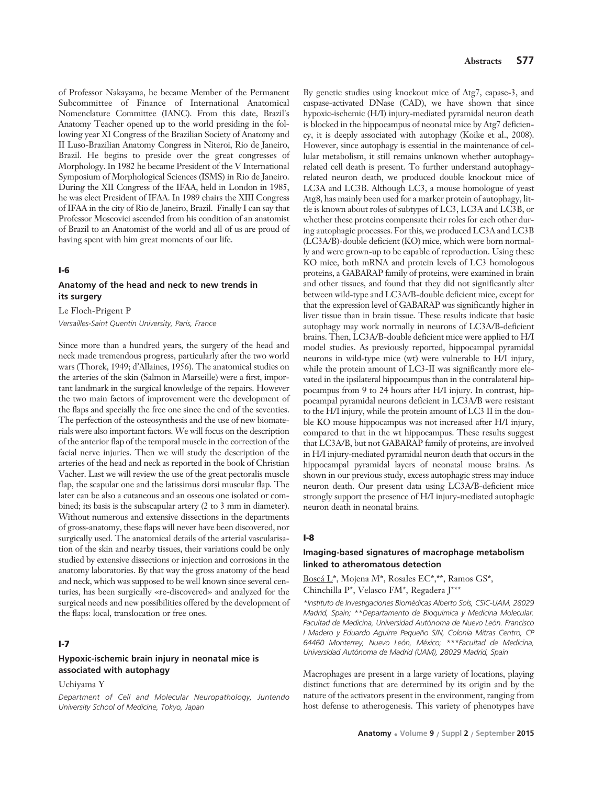of Professor Nakayama, he became Member of the Permanent Subcommittee of Finance of International Anatomical Nomenclature Committee (IANC). From this date, Brazil's Anatomy Teacher opened up to the world presiding in the following year XI Congress of the Brazilian Society of Anatomy and II Luso-Brazilian Anatomy Congress in Niteroi, Rio de Janeiro, Brazil. He begins to preside over the great congresses of Morphology. In 1982 he became President of the V International Symposium of Morphological Sciences (ISMS) in Rio de Janeiro. During the XII Congress of the IFAA, held in London in 1985, he was elect President of IFAA. In 1989 chairs the XIII Congress of IFAA in the city of Rio de Janeiro, Brazil. Finally I can say that Professor Moscovici ascended from his condition of an anatomist of Brazil to an Anatomist of the world and all of us are proud of having spent with him great moments of our life.

#### **I-6**

# **Anatomy of the head and neck to new trends in its surgery**

Le Floch-Prigent P *Versailles-Saint Quentin University, Paris, France*

Since more than a hundred years, the surgery of the head and neck made tremendous progress, particularly after the two world wars (Thorek, 1949; d'Allaines, 1956). The anatomical studies on the arteries of the skin (Salmon in Marseille) were a first, important landmark in the surgical knowledge of the repairs. However the two main factors of improvement were the development of the flaps and specially the free one since the end of the seventies. The perfection of the osteosynthesis and the use of new biomaterials were also important factors. We will focus on the description of the anterior flap of the temporal muscle in the correction of the facial nerve injuries. Then we will study the description of the arteries of the head and neck as reported in the book of Christian Vacher. Last we will review the use of the great pectoralis muscle flap, the scapular one and the latissimus dorsi muscular flap. The later can be also a cutaneous and an osseous one isolated or combined; its basis is the subscapular artery (2 to 3 mm in diameter). Without numerous and extensive dissections in the departments of gross-anatomy, these flaps will never have been discovered, nor surgically used. The anatomical details of the arterial vascularisation of the skin and nearby tissues, their variations could be only studied by extensive dissections or injection and corrosions in the anatomy laboratories. By that way the gross anatomy of the head and neck, which was supposed to be well known since several centuries, has been surgically «re-discovered» and analyzed for the surgical needs and new possibilities offered by the development of the flaps: local, translocation or free ones.

#### **I-7**

# **Hypoxic-ischemic brain injury in neonatal mice is associated with autophagy**

#### Uchiyama Y

*Department of Cell and Molecular Neuropathology, Juntendo University School of Medicine, Tokyo, Japan*

By genetic studies using knockout mice of Atg7, capase-3, and caspase-activated DNase (CAD), we have shown that since hypoxic-ischemic (H/I) injury-mediated pyramidal neuron death is blocked in the hippocampus of neonatal mice by Atg7 deficiency, it is deeply associated with autophagy (Koike et al., 2008). However, since autophagy is essential in the maintenance of cellular metabolism, it still remains unknown whether autophagyrelated cell death is present. To further understand autophagyrelated neuron death, we produced double knockout mice of LC3A and LC3B. Although LC3, a mouse homologue of yeast Atg8, has mainly been used for a marker protein of autophagy, little is known about roles of subtypes of LC3, LC3A and LC3B, or whether these proteins compensate their roles for each other during autophagic processes. For this, we produced LC3A and LC3B (LC3A/B)-double deficient (KO) mice, which were born normally and were grown-up to be capable of reproduction. Using these KO mice, both mRNA and protein levels of LC3 homologous proteins, a GABARAP family of proteins, were examined in brain and other tissues, and found that they did not significantly alter between wild-type and LC3A/B-double deficient mice, except for that the expression level of GABARAP was significantly higher in liver tissue than in brain tissue. These results indicate that basic autophagy may work normally in neurons of LC3A/B-deficient brains. Then, LC3A/B-double deficient mice were applied to H/I model studies. As previously reported, hippocampal pyramidal neurons in wild-type mice (wt) were vulnerable to H/I injury, while the protein amount of LC3-II was significantly more elevated in the ipsilateral hippocampus than in the contralateral hippocampus from 9 to 24 hours after H/I injury. In contrast, hippocampal pyramidal neurons deficient in LC3A/B were resistant to the H/I injury, while the protein amount of LC3 II in the double KO mouse hippocampus was not increased after H/I injury, compared to that in the wt hippocampus. These results suggest that LC3A/B, but not GABARAP family of proteins, are involved in H/I injury-mediated pyramidal neuron death that occurs in the hippocampal pyramidal layers of neonatal mouse brains. As shown in our previous study, excess autophagic stress may induce neuron death. Our present data using LC3A/B-deficient mice strongly support the presence of H/I injury-mediated autophagic neuron death in neonatal brains.

#### **I-8**

# **Imaging-based signatures of macrophage metabolism linked to atheromatous detection**

Boscá L\*, Mojena M\*, Rosales EC\*,\*\*, Ramos GS\*, Chinchilla P\*, Velasco FM\*, Regadera J\*\*\*

*\*Instituto de Investigaciones Biomédicas Alberto Sols, CSIC-UAM, 28029 Madrid, Spain; \*\*Departamento de Bioquímica y Medicina Molecular. Facultad de Medicina, Universidad Autónoma de Nuevo León. Francisco I Madero y Eduardo Aguirre Pequeño S/N, Colonia Mitras Centro, CP 64460 Monterrey, Nuevo León, México; \*\*\*Facultad de Medicina, Universidad Autónoma de Madrid (UAM), 28029 Madrid, Spain*

Macrophages are present in a large variety of locations, playing distinct functions that are determined by its origin and by the nature of the activators present in the environment, ranging from host defense to atherogenesis. This variety of phenotypes have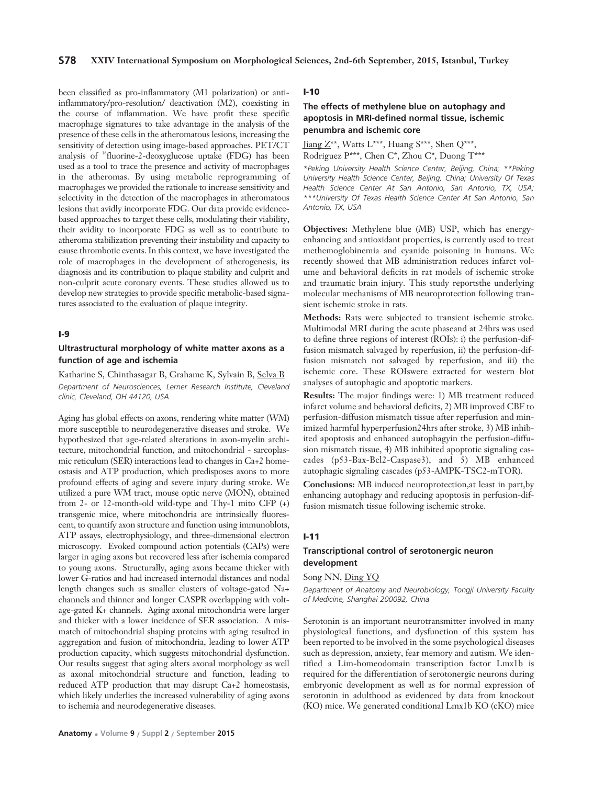been classified as pro-inflammatory (M1 polarization) or antiinflammatory/pro-resolution/ deactivation (M2), coexisting in the course of inflammation. We have profit these specific macrophage signatures to take advantage in the analysis of the presence of these cells in the atheromatous lesions, increasing the sensitivity of detection using image-based approaches. PET/CT analysis of 18fluorine-2-deoxyglucose uptake (FDG) has been used as a tool to trace the presence and activity of macrophages in the atheromas. By using metabolic reprogramming of macrophages we provided the rationale to increase sensitivity and selectivity in the detection of the macrophages in atheromatous lesions that avidly incorporate FDG. Our data provide evidencebased approaches to target these cells, modulating their viability, their avidity to incorporate FDG as well as to contribute to atheroma stabilization preventing their instability and capacity to cause thrombotic events. In this context, we have investigated the role of macrophages in the development of atherogenesis, its diagnosis and its contribution to plaque stability and culprit and non-culprit acute coronary events. These studies allowed us to develop new strategies to provide specific metabolic-based signatures associated to the evaluation of plaque integrity.

#### **I-9**

# **Ultrastructural morphology of white matter axons as a function of age and ischemia**

Katharine S, Chinthasagar B, Grahame K, Sylvain B, Selva B *Department of Neurosciences, Lerner Research Institute, Cleveland clinic, Cleveland, OH 44120, USA*

Aging has global effects on axons, rendering white matter (WM) more susceptible to neurodegenerative diseases and stroke. We hypothesized that age-related alterations in axon-myelin architecture, mitochondrial function, and mitochondrial - sarcoplasmic reticulum (SER) interactions lead to changes in Ca+2 homeostasis and ATP production, which predisposes axons to more profound effects of aging and severe injury during stroke. We utilized a pure WM tract, mouse optic nerve (MON), obtained from 2- or 12-month-old wild-type and Thy-1 mito CFP (+) transgenic mice, where mitochondria are intrinsically fluorescent, to quantify axon structure and function using immunoblots, ATP assays, electrophysiology, and three-dimensional electron microscopy. Evoked compound action potentials (CAPs) were larger in aging axons but recovered less after ischemia compared to young axons. Structurally, aging axons became thicker with lower G-ratios and had increased internodal distances and nodal length changes such as smaller clusters of voltage-gated Na+ channels and thinner and longer CASPR overlapping with voltage-gated K+ channels. Aging axonal mitochondria were larger and thicker with a lower incidence of SER association. A mismatch of mitochondrial shaping proteins with aging resulted in aggregation and fusion of mitochondria, leading to lower ATP production capacity, which suggests mitochondrial dysfunction. Our results suggest that aging alters axonal morphology as well as axonal mitochondrial structure and function, leading to reduced ATP production that may disrupt Ca+2 homeostasis, which likely underlies the increased vulnerability of aging axons to ischemia and neurodegenerative diseases.

# **I-10**

# **The effects of methylene blue on autophagy and apoptosis in MRI-defined normal tissue, ischemic penumbra and ischemic core**

Jiang Z\*\*, Watts L\*\*\*, Huang S\*\*\*, Shen Q\*\*\*, Rodriguez P\*\*\*, Chen C\*, Zhou C\*, Duong T\*\*\*

*\*Peking University Health Science Center, Beijing, China; \*\*Peking University Health Science Center, Beijing, China; University Of Texas Health Science Center At San Antonio, San Antonio, TX, USA; \*\*\*University Of Texas Health Science Center At San Antonio, San Antonio, TX, USA* 

**Objectives:** Methylene blue (MB) USP, which has energyenhancing and antioxidant properties, is currently used to treat methemoglobinemia and cyanide poisoning in humans. We recently showed that MB administration reduces infarct volume and behavioral deficits in rat models of ischemic stroke and traumatic brain injury. This study reportsthe underlying molecular mechanisms of MB neuroprotection following transient ischemic stroke in rats.

**Methods:** Rats were subjected to transient ischemic stroke. Multimodal MRI during the acute phaseand at 24hrs was used to define three regions of interest (ROIs): i) the perfusion-diffusion mismatch salvaged by reperfusion, ii) the perfusion-diffusion mismatch not salvaged by reperfusion, and iii) the ischemic core. These ROIswere extracted for western blot analyses of autophagic and apoptotic markers.

**Results:** The major findings were: 1) MB treatment reduced infarct volume and behavioral deficits, 2) MB improved CBF to perfusion-diffusion mismatch tissue after reperfusion and minimized harmful hyperperfusion24hrs after stroke, 3) MB inhibited apoptosis and enhanced autophagyin the perfusion-diffusion mismatch tissue, 4) MB inhibited apoptotic signaling cascades (p53-Bax-Bcl2-Caspase3), and 5) MB enhanced autophagic signaling cascades (p53-AMPK-TSC2-mTOR).

**Conclusions:** MB induced neuroprotection,at least in part,by enhancing autophagy and reducing apoptosis in perfusion-diffusion mismatch tissue following ischemic stroke.

#### **I-11**

# **Transcriptional control of serotonergic neuron development**

Song NN, Ding YQ

*Department of Anatomy and Neurobiology, Tongji University Faculty of Medicine, Shanghai 200092, China*

Serotonin is an important neurotransmitter involved in many physiological functions, and dysfunction of this system has been reported to be involved in the some psychological diseases such as depression, anxiety, fear memory and autism. We identified a Lim-homeodomain transcription factor Lmx1b is required for the differentiation of serotonergic neurons during embryonic development as well as for normal expression of serotonin in adulthood as evidenced by data from knockout (KO) mice. We generated conditional Lmx1b KO (cKO) mice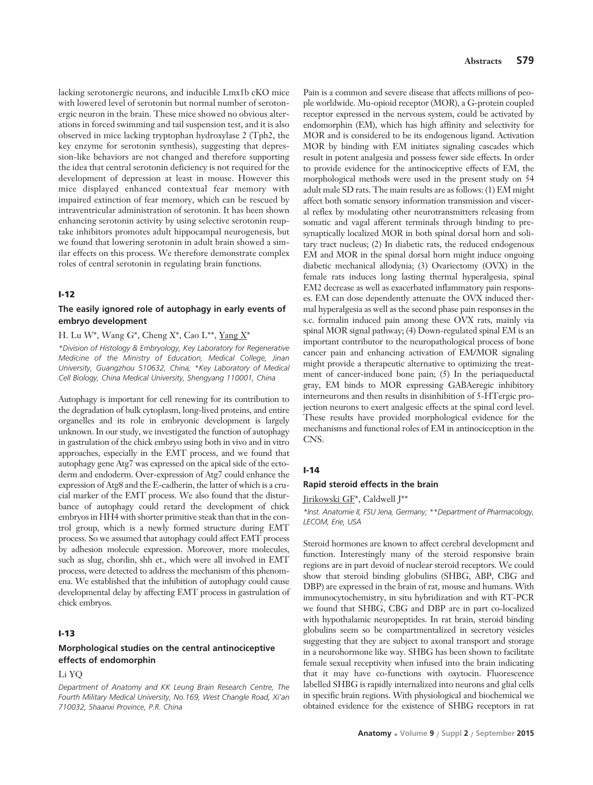lacking serotonergic neurons, and inducible Lmx1b cKO mice with lowered level of serotonin but normal number of serotonergic neuron in the brain. These mice showed no obvious alterations in forced swimming and tail suspension test, and it is also observed in mice lacking tryptophan hydroxylase 2 (Tph2, the key enzyme for serotonin synthesis), suggesting that depression-like behaviors are not changed and therefore supporting the idea that central serotonin deficiency is not required for the development of depression at least in mouse. However this mice displayed enhanced contextual fear memory with impaired extinction of fear memory, which can be rescued by intraventricular administration of serotonin. It has been shown enhancing serotonin activity by using selective serotonin reuptake inhibitors promotes adult hippocampal neurogenesis, but we found that lowering serotonin in adult brain showed a similar effects on this process. We therefore demonstrate complex roles of central serotonin in regulating brain functions.

# **I-12**

# **The easily ignored role of autophagy in early events of embryo development**

#### H. Lu W\*, Wang G\*, Cheng X\*, Cao L\*\*, Yang X\*

*\*Division of Histology & Embryology, Key Laboratory for Regenerative Medicine of the Ministry of Education, Medical College, Jinan University, Guangzhou 510632, China; \*Key Laboratory of Medical Cell Biology, China Medical University, Shengyang 110001, China*

Autophagy is important for cell renewing for its contribution to the degradation of bulk cytoplasm, long-lived proteins, and entire organelles and its role in embryonic development is largely unknown. In our study, we investigated the function of autophagy in gastrulation of the chick embryo using both in vivo and in vitro approaches, especially in the EMT process, and we found that autophagy gene Atg7 was expressed on the apical side of the ectoderm and endoderm. Over-expression of Atg7 could enhance the expression of Atg8 and the E-cadherin, the latter of which is a crucial marker of the EMT process. We also found that the disturbance of autophagy could retard the development of chick embryos in HH4 with shorter primitive steak than that in the control group, which is a newly formed structure during EMT process. So we assumed that autophagy could affect EMT process by adhesion molecule expression. Moreover, more molecules, such as slug, chordin, shh et., which were all involved in EMT process, were detected to address the mechanism of this phenomena. We established that the inhibition of autophagy could cause developmental delay by affecting EMT process in gastrulation of chick embryos.

#### **I-13**

# **Morphological studies on the central antinociceptive effects of endomorphin**

#### Li YQ

*Department of Anatomy and KK Leung Brain Research Centre, The Fourth Military Medical University, No.169, West Changle Road, Xi'an 710032, Shaanxi Province, P.R. China* 

Pain is a common and severe disease that affects millions of people worldwide. Mu-opioid receptor (MOR), a G-protein coupled receptor expressed in the nervous system, could be activated by endomorphin (EM), which has high affinity and selectivity for MOR and is considered to be its endogenous ligand. Activation MOR by binding with EM initiates signaling cascades which result in potent analgesia and possess fewer side effects. In order to provide evidence for the antinociceptive effects of EM, the morphological methods were used in the present study on 54 adult male SD rats. The main results are as follows: (1) EM might affect both somatic sensory information transmission and visceral reflex by modulating other neurotransmitters releasing from somatic and vagal afferent terminals through binding to presynaptically localized MOR in both spinal dorsal horn and solitary tract nucleus; (2) In diabetic rats, the reduced endogenous EM and MOR in the spinal dorsal horn might induce ongoing diabetic mechanical allodynia; (3) Ovariectomy (OVX) in the female rats induces long lasting thermal hyperalgesia, spinal EM2 decrease as well as exacerbated inflammatory pain responses. EM can dose dependently attenuate the OVX induced thermal hyperalgesia as well as the second phase pain responses in the s.c. formalin induced pain among these OVX rats, mainly via spinal MOR signal pathway; (4) Down-regulated spinal EM is an important contributor to the neuropathological process of bone cancer pain and enhancing activation of EM/MOR signaling might provide a therapeutic alternative to optimizing the treatment of cancer-induced bone pain; (5) In the periaqueductal gray, EM binds to MOR expressing GABAeregic inhibitory interneurons and then results in disinhibition of 5-HTergic projection neurons to exert analgesic effects at the spinal cord level. These results have provided morphological evidence for the mechanisms and functional roles of EM in antinociception in the CNS.

#### **I-14**

#### **Rapid steroid effects in the brain**

Jirikowski GF\*, Caldwell J\*\*

*\*Inst. Anatomie II, FSU Jena, Germany; \*\*Department of Pharmacology, LECOM, Erie, USA*

Steroid hormones are known to affect cerebral development and function. Interestingly many of the steroid responsive brain regions are in part devoid of nuclear steroid receptors. We could show that steroid binding globulins (SHBG, ABP, CBG and DBP) are expressed in the brain of rat, mouse and humans. With immunocytochemistry, in situ hybridization and with RT-PCR we found that SHBG, CBG and DBP are in part co-localized with hypothalamic neuropeptides. In rat brain, steroid binding globulins seem so be compartmentalized in secretory vesicles suggesting that they are subject to axonal transport and storage in a neurohormone like way. SHBG has been shown to facilitate female sexual receptivity when infused into the brain indicating that it may have co-functions with oxytocin. Fluorescence labelled SHBG is rapidly internalized into neurons and glial cells in specific brain regions. With physiological and biochemical we obtained evidence for the existence of SHBG receptors in rat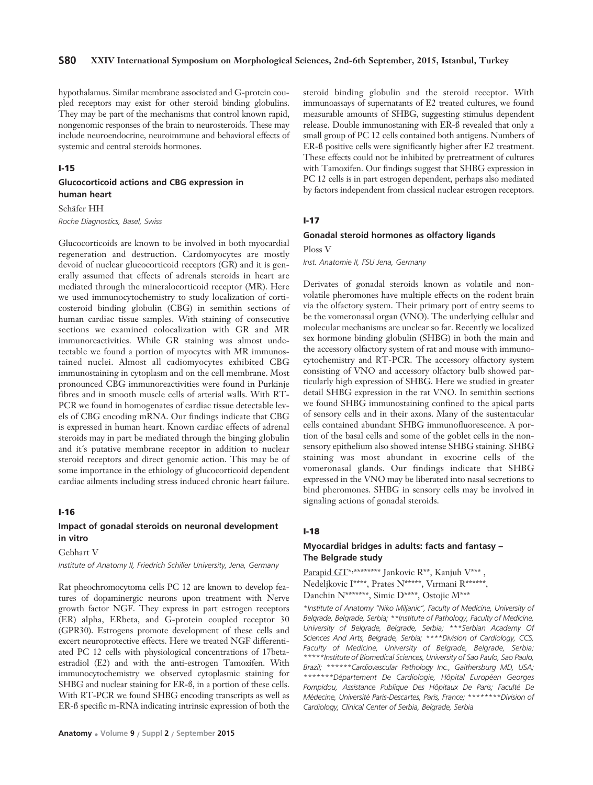# **S80 XXIV International Symposium on Morphological Sciences, 2nd-6th September, 2015, Istanbul, Turkey**

hypothalamus. Similar membrane associated and G-protein coupled receptors may exist for other steroid binding globulins. They may be part of the mechanisms that control known rapid, nongenomic responses of the brain to neurosteroids. These may include neuroendocrine, neuroimmune and behavioral effects of systemic and central steroids hormones.

#### **I-15**

# **Glucocorticoid actions and CBG expression in human heart**

#### Schäfer HH

*Roche Diagnostics, Basel, Swiss*

Glucocorticoids are known to be involved in both myocardial regeneration and destruction. Cardomyocytes are mostly devoid of nuclear glucocorticoid receptors (GR) and it is generally assumed that effects of adrenals steroids in heart are mediated through the mineralocorticoid receptor (MR). Here we used immunocytochemistry to study localization of corticosteroid binding globulin (CBG) in semithin sections of human cardiac tissue samples. With staining of consecutive sections we examined colocalization with GR and MR immunoreactivities. While GR staining was almost undetectable we found a portion of myocytes with MR immunostained nuclei. Almost all cadiomyocytes exhibited CBG immunostaining in cytoplasm and on the cell membrane. Most pronounced CBG immunoreactivities were found in Purkinje fibres and in smooth muscle cells of arterial walls. With RT-PCR we found in homogenates of cardiac tissue detectable levels of CBG encoding mRNA. Our findings indicate that CBG is expressed in human heart. Known cardiac effects of adrenal steroids may in part be mediated through the binging globulin and it´s putative membrane receptor in addition to nuclear steroid receptors and direct genomic action. This may be of some importance in the ethiology of glucocorticoid dependent cardiac ailments including stress induced chronic heart failure.

#### **I-16**

# **Impact of gonadal steroids on neuronal development in vitro**

# Gebhart V

*Institute of Anatomy II, Friedrich Schiller University, Jena, Germany*

Rat pheochromocytoma cells PC 12 are known to develop features of dopaminergic neurons upon treatment with Nerve growth factor NGF. They express in part estrogen receptors (ER) alpha, ERbeta, and G-protein coupled receptor 30 (GPR30). Estrogens promote development of these cells and excert neuroprotective effects. Here we treated NGF differentiated PC 12 cells with physiological concentrations of 17betaestradiol (E2) and with the anti-estrogen Tamoxifen. With immunocytochemistry we observed cytoplasmic staining for SHBG and nuclear staining for ER-ß, in a portion of these cells. With RT-PCR we found SHBG encoding transcripts as well as ER-ß specific m-RNA indicating intrinsic expression of both the

steroid binding globulin and the steroid receptor. With immunoassays of supernatants of E2 treated cultures, we found measurable amounts of SHBG, suggesting stimulus dependent release. Double immunostaning with ER-ß revealed that only a small group of PC 12 cells contained both antigens. Numbers of ER-ß positive cells were significantly higher after E2 treatment. These effects could not be inhibited by pretreatment of cultures with Tamoxifen. Our findings suggest that SHBG expression in PC 12 cells is in part estrogen dependent, perhaps also mediated by factors independent from classical nuclear estrogen receptors.

#### **I-17**

#### **Gonadal steroid hormones as olfactory ligands**

Ploss V

*Inst. Anatomie II, FSU Jena, Germany*

Derivates of gonadal steroids known as volatile and nonvolatile pheromones have multiple effects on the rodent brain via the olfactory system. Their primary port of entry seems to be the vomeronasal organ (VNO). The underlying cellular and molecular mechanisms are unclear so far. Recently we localized sex hormone binding globulin (SHBG) in both the main and the accessory olfactory system of rat and mouse with immunocytochemistry and RT-PCR. The accessory olfactory system consisting of VNO and accessory olfactory bulb showed particularly high expression of SHBG. Here we studied in greater detail SHBG expression in the rat VNO. In semithin sections we found SHBG immunostaining confined to the apical parts of sensory cells and in their axons. Many of the sustentacular cells contained abundant SHBG immunofluorescence. A portion of the basal cells and some of the goblet cells in the nonsensory epithelium also showed intense SHBG staining. SHBG staining was most abundant in exocrine cells of the vomeronasal glands. Our findings indicate that SHBG expressed in the VNO may be liberated into nasal secretions to bind pheromones. SHBG in sensory cells may be involved in signaling actions of gonadal steroids.

#### **I-18**

# **Myocardial bridges in adults: facts and fantasy – The Belgrade study**

Parapid GT\*,\*\*\*\*\*\*\*\*\* Jankovic R\*\*, Kanjuh V\*\*\*, Nedeljkovic I\*\*\*\*, Prates N\*\*\*\*\*, Vırmani R\*\*\*\*\*\* Danchin N\*\*\*\*\*\*\*, Simic D\*\*\*\*, Ostojic M\*\*\*

*\*Institute of Anatomy "Niko Miljanic", Faculty of Medicine, University of Belgrade, Belgrade, Serbia; \*\*Institute of Pathology, Faculty of Medicine, University of Belgrade, Belgrade, Serbia; \*\*\*Serbian Academy Of Sciences And Arts, Belgrade, Serbia; \*\*\*\*Division of Cardiology, CCS, Faculty of Medicine, University of Belgrade, Belgrade, Serbia; \*\*\*\*\*Institute of Biomedical Sciences, University of Sao Paulo, Sao Paulo, Brazil; \*\*\*\*\*\*Cardiovascular Pathology Inc., Gaithersburg MD, USA; \*\*\*\*\*\*\*Département De Cardiologie, Hôpital Européen Georges Pompidou, Assistance Publique Des Hôpitaux De Paris; Faculté De Médecine, Université Paris-Descartes, Paris, France; \*\*\*\*\*\*\*\*Division of Cardiology, Clinical Center of Serbia, Belgrade, Serbia*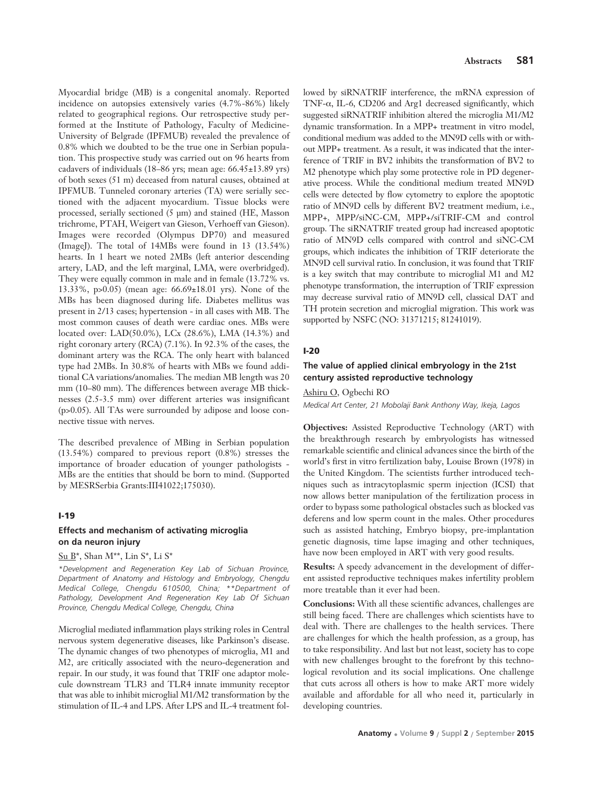Myocardial bridge (MB) is a congenital anomaly. Reported incidence on autopsies extensively varies (4.7%-86%) likely related to geographical regions. Our retrospective study performed at the Institute of Pathology, Faculty of Medicine-University of Belgrade (IPFMUB) revealed the prevalence of 0.8% which we doubted to be the true one in Serbian population. This prospective study was carried out on 96 hearts from cadavers of individuals (18–86 yrs; mean age: 66.45±13.89 yrs) of both sexes (51 m) deceased from natural causes, obtained at IPFMUB. Tunneled coronary arteries (TA) were serially sectioned with the adjacent myocardium. Tissue blocks were processed, serially sectioned (5 μm) and stained (HE, Masson trichrome, PTAH, Weigert van Gieson, Verhoeff van Gieson). Images were recorded (Olympus DP70) and measured (ImageJ). The total of 14MBs were found in 13 (13.54%) hearts. In 1 heart we noted 2MBs (left anterior descending artery, LAD, and the left marginal, LMA, were overbridged). They were equally common in male and in female (13.72% vs. 13.33%, p>0.05) (mean age: 66.69±18.01 yrs). None of the MBs has been diagnosed during life. Diabetes mellitus was present in 2/13 cases; hypertension - in all cases with MB. The most common causes of death were cardiac ones. MBs were located over: LAD(50.0%), LCx (28.6%), LMA (14.3%) and right coronary artery (RCA) (7.1%). In 92.3% of the cases, the dominant artery was the RCA. The only heart with balanced type had 2MBs. In 30.8% of hearts with MBs we found additional CA variations/anomalies. The median MB length was 20 mm (10–80 mm). The differences between average MB thicknesses (2.5-3.5 mm) over different arteries was insignificant (p>0.05). All TAs were surrounded by adipose and loose connective tissue with nerves.

The described prevalence of MBing in Serbian population (13.54%) compared to previous report (0.8%) stresses the importance of broader education of younger pathologists - MBs are the entities that should be born to mind. (Supported by MESRSerbia Grants:III41022;175030).

#### **I-19**

# **Effects and mechanism of activating microglia on da neuron injury**

# Su B\*, Shan M\*\*, Lin S\*, Li S\*

*\*Development and Regeneration Key Lab of Sichuan Province, Department of Anatomy and Histology and Embryology, Chengdu Medical College, Chengdu 610500, China; \*\*Department of Pathology, Development And Regeneration Key Lab Of Sichuan Province, Chengdu Medical College, Chengdu, China*

Microglial mediated inflammation plays striking roles in Central nervous system degenerative diseases, like Parkinson's disease. The dynamic changes of two phenotypes of microglia, M1 and M2, are critically associated with the neuro-degeneration and repair. In our study, it was found that TRIF one adaptor molecule downstream TLR3 and TLR4 innate immunity receptor that was able to inhibit microglial M1/M2 transformation by the stimulation of IL-4 and LPS. After LPS and IL-4 treatment fol-

lowed by siRNATRIF interference, the mRNA expression of TNF-α, IL-6, CD206 and Arg1 decreased significantly, which suggested siRNATRIF inhibition altered the microglia M1/M2 dynamic transformation. In a MPP+ treatment in vitro model, conditional medium was added to the MN9D cells with or without MPP+ treatment. As a result, it was indicated that the interference of TRIF in BV2 inhibits the transformation of BV2 to M2 phenotype which play some protective role in PD degenerative process. While the conditional medium treated MN9D cells were detected by flow cytometry to explore the apoptotic ratio of MN9D cells by different BV2 treatment medium, i.e., MPP+, MPP/siNC-CM, MPP+/siTRIF-CM and control group. The siRNATRIF treated group had increased apoptotic ratio of MN9D cells compared with control and siNC-CM groups, which indicates the inhibition of TRIF deteriorate the MN9D cell survival ratio. In conclusion, it was found that TRIF is a key switch that may contribute to microglial M1 and M2 phenotype transformation, the interruption of TRIF expression may decrease survival ratio of MN9D cell, classical DAT and TH protein secretion and microglial migration. This work was supported by NSFC (NO: 31371215; 81241019).

#### **I-20**

# **The value of applied clinical embryology in the 21st century assisted reproductive technology**

#### Ashiru O, Ogbechi RO

*Medical Art Center, 21 Mobolaji Bank Anthony Way, Ikeja, Lagos*

**Objectives:** Assisted Reproductive Technology (ART) with the breakthrough research by embryologists has witnessed remarkable scientific and clinical advances since the birth of the world's first in vitro fertilization baby, Louise Brown (1978) in the United Kingdom. The scientists further introduced techniques such as intracytoplasmic sperm injection (ICSI) that now allows better manipulation of the fertilization process in order to bypass some pathological obstacles such as blocked vas deferens and low sperm count in the males. Other procedures such as assisted hatching, Embryo biopsy, pre-implantation genetic diagnosis, time lapse imaging and other techniques, have now been employed in ART with very good results.

**Results:** A speedy advancement in the development of different assisted reproductive techniques makes infertility problem more treatable than it ever had been.

**Conclusions:** With all these scientific advances, challenges are still being faced. There are challenges which scientists have to deal with. There are challenges to the health services. There are challenges for which the health profession, as a group, has to take responsibility. And last but not least, society has to cope with new challenges brought to the forefront by this technological revolution and its social implications. One challenge that cuts across all others is how to make ART more widely available and affordable for all who need it, particularly in developing countries.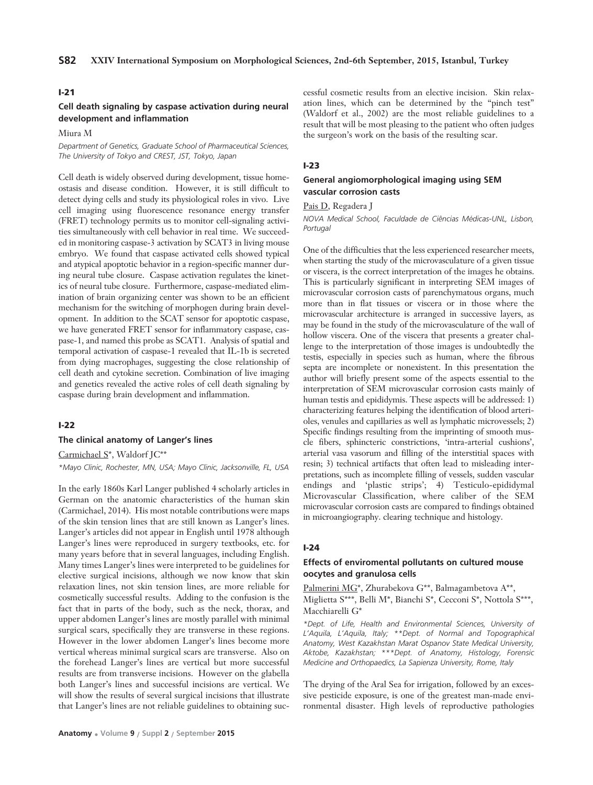# **I-21**

# **Cell death signaling by caspase activation during neural development and inflammation**

Miura M

*Department of Genetics, Graduate School of Pharmaceutical Sciences, The University of Tokyo and CREST, JST, Tokyo, Japan*

Cell death is widely observed during development, tissue homeostasis and disease condition. However, it is still difficult to detect dying cells and study its physiological roles in vivo. Live cell imaging using fluorescence resonance energy transfer (FRET) technology permits us to monitor cell-signaling activities simultaneously with cell behavior in real time. We succeeded in monitoring caspase-3 activation by SCAT3 in living mouse embryo. We found that caspase activated cells showed typical and atypical apoptotic behavior in a region-specific manner during neural tube closure. Caspase activation regulates the kinetics of neural tube closure. Furthermore, caspase-mediated elimination of brain organizing center was shown to be an efficient mechanism for the switching of morphogen during brain development. In addition to the SCAT sensor for apoptotic caspase, we have generated FRET sensor for inflammatory caspase, caspase-1, and named this probe as SCAT1. Analysis of spatial and temporal activation of caspase-1 revealed that IL-1b is secreted from dying macrophages, suggesting the close relationship of cell death and cytokine secretion. Combination of live imaging and genetics revealed the active roles of cell death signaling by caspase during brain development and inflammation.

# **I-22**

#### **The clinical anatomy of Langer's lines**

Carmichael S\*, Waldorf JC\*\*

*\*Mayo Clinic, Rochester, MN, USA; Mayo Clinic, Jacksonville, FL, USA*

In the early 1860s Karl Langer published 4 scholarly articles in German on the anatomic characteristics of the human skin (Carmichael, 2014). His most notable contributions were maps of the skin tension lines that are still known as Langer's lines. Langer's articles did not appear in English until 1978 although Langer's lines were reproduced in surgery textbooks, etc. for many years before that in several languages, including English. Many times Langer's lines were interpreted to be guidelines for elective surgical incisions, although we now know that skin relaxation lines, not skin tension lines, are more reliable for cosmetically successful results. Adding to the confusion is the fact that in parts of the body, such as the neck, thorax, and upper abdomen Langer's lines are mostly parallel with minimal surgical scars, specifically they are transverse in these regions. However in the lower abdomen Langer's lines become more vertical whereas minimal surgical scars are transverse. Also on the forehead Langer's lines are vertical but more successful results are from transverse incisions. However on the glabella both Langer's lines and successful incisions are vertical. We will show the results of several surgical incisions that illustrate that Langer's lines are not reliable guidelines to obtaining suc-

cessful cosmetic results from an elective incision. Skin relaxation lines, which can be determined by the "pinch test" (Waldorf et al., 2002) are the most reliable guidelines to a result that will be most pleasing to the patient who often judges the surgeon's work on the basis of the resulting scar.

#### **I-23**

#### **General angiomorphological imaging using SEM vascular corrosion casts**

Pais D, Regadera J

*NOVA Medical School, Faculdade de Ciências Médicas-UNL, Lisbon, Portugal*

One of the difficulties that the less experienced researcher meets, when starting the study of the microvasculature of a given tissue or viscera, is the correct interpretation of the images he obtains. This is particularly significant in interpreting SEM images of microvascular corrosion casts of parenchymatous organs, much more than in flat tissues or viscera or in those where the microvascular architecture is arranged in successive layers, as may be found in the study of the microvasculature of the wall of hollow viscera. One of the viscera that presents a greater challenge to the interpretation of those images is undoubtedly the testis, especially in species such as human, where the fibrous septa are incomplete or nonexistent. In this presentation the author will briefly present some of the aspects essential to the interpretation of SEM microvascular corrosion casts mainly of human testis and epididymis. These aspects will be addressed: 1) characterizing features helping the identification of blood arterioles, venules and capillaries as well as lymphatic microvessels; 2) Specific findings resulting from the imprinting of smooth muscle fibers, sphincteric constrictions, 'intra-arterial cushions', arterial vasa vasorum and filling of the interstitial spaces with resin; 3) technical artifacts that often lead to misleading interpretations, such as incomplete filling of vessels, sudden vascular endings and 'plastic strips'; 4) Testiculo-epididymal Microvascular Classification, where caliber of the SEM microvascular corrosion casts are compared to findings obtained in microangiography. clearing technique and histology.

#### **I-24**

#### **Effects of enviromental pollutants on cultured mouse oocytes and granulosa cells**

Palmerini MG\*, Zhurabekova G\*\*, Balmagambetova A\*\*, Miglietta S\*\*\*, Belli M\*, Bianchi S\*, Cecconi S\*, Nottola S\*\*\*, Macchiarelli G\*

*\*Dept. of Life, Health and Environmental Sciences, University of L'Aquila, L'Aquila, Italy; \*\*Dept. of Normal and Topographical Anatomy, West Kazakhstan Marat Ospanov State Medical University, Aktobe, Kazakhstan; \*\*\*Dept. of Anatomy, Histology, Forensic Medicine and Orthopaedics, La Sapienza University, Rome, Italy*

The drying of the Aral Sea for irrigation, followed by an excessive pesticide exposure, is one of the greatest man-made environmental disaster. High levels of reproductive pathologies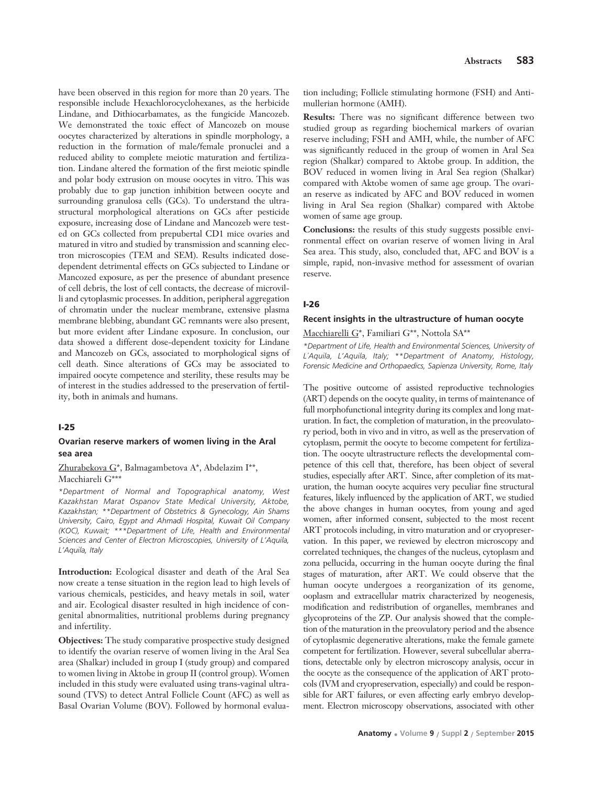have been observed in this region for more than 20 years. The responsible include Hexachlorocyclohexanes, as the herbicide Lindane, and Dithiocarbamates, as the fungicide Mancozeb. We demonstrated the toxic effect of Mancozeb on mouse oocytes characterized by alterations in spindle morphology, a reduction in the formation of male/female pronuclei and a reduced ability to complete meiotic maturation and fertilization. Lindane altered the formation of the first meiotic spindle and polar body extrusion on mouse oocytes in vitro. This was probably due to gap junction inhibition between oocyte and surrounding granulosa cells (GCs). To understand the ultrastructural morphological alterations on GCs after pesticide exposure, increasing dose of Lindane and Mancozeb were tested on GCs collected from prepubertal CD1 mice ovaries and matured in vitro and studied by transmission and scanning electron microscopies (TEM and SEM). Results indicated dosedependent detrimental effects on GCs subjected to Lindane or Mancozed exposure, as per the presence of abundant presence of cell debris, the lost of cell contacts, the decrease of microvilli and cytoplasmic processes. In addition, peripheral aggregation of chromatin under the nuclear membrane, extensive plasma membrane blebbing, abundant GC remnants were also present, but more evident after Lindane exposure. In conclusion, our data showed a different dose-dependent toxicity for Lindane and Mancozeb on GCs, associated to morphological signs of cell death. Since alterations of GCs may be associated to impaired oocyte competence and sterility, these results may be of interest in the studies addressed to the preservation of fertility, both in animals and humans.

# **I-25**

#### **Ovarian reserve markers of women living in the Aral sea area**

Zhurabekova G\*, Balmagambetova A\*, Abdelazim I\*\*, Macchiareli G\*\*\*

*\*Department of Normal and Topographical anatomy, West Kazakhstan Marat Ospanov State Medical University, Aktobe, Kazakhstan; \*\*Department of Obstetrics & Gynecology, Ain Shams University, Cairo, Egypt and Ahmadi Hospital, Kuwait Oil Company (KOC), Kuwait; \*\*\*Department of Life, Health and Environmental Sciences and Center of Electron Microscopies, University of L'Aquila, L'Aquila, Italy*

**Introduction:** Ecological disaster and death of the Aral Sea now create a tense situation in the region lead to high levels of various chemicals, pesticides, and heavy metals in soil, water and air. Ecological disaster resulted in high incidence of congenital abnormalities, nutritional problems during pregnancy and infertility.

**Objectives:** The study comparative prospective study designed to identify the ovarian reserve of women living in the Aral Sea area (Shalkar) included in group I (study group) and compared to women living in Aktobe in group II (control group). Women included in this study were evaluated using trans-vaginal ultrasound (TVS) to detect Antral Follicle Count (AFC) as well as Basal Ovarian Volume (BOV). Followed by hormonal evalua-

tion including; Follicle stimulating hormone (FSH) and Antimullerian hormone (AMH).

**Results:** There was no significant difference between two studied group as regarding biochemical markers of ovarian reserve including; FSH and AMH, while, the number of AFC was significantly reduced in the group of women in Aral Sea region (Shalkar) compared to Aktobe group. In addition, the BOV reduced in women living in Aral Sea region (Shalkar) compared with Aktobe women of same age group. The ovarian reserve as indicated by AFC and BOV reduced in women living in Aral Sea region (Shalkar) compared with Aktobe women of same age group.

**Conclusions:** the results of this study suggests possible environmental effect on ovarian reserve of women living in Aral Sea area. This study, also, concluded that, AFC and BOV is a simple, rapid, non-invasive method for assessment of ovarian reserve.

#### **I-26**

#### **Recent insights in the ultrastructure of human oocyte**

Macchiarelli G\*, Familiari G\*\*, Nottola SA\*\*

*\*Department of Life, Health and Environmental Sciences, University of L´Aquila, L'Aquila, Italy; \*\*Department of Anatomy, Histology, Forensic Medicine and Orthopaedics, Sapienza University, Rome, Italy*

The positive outcome of assisted reproductive technologies (ART) depends on the oocyte quality, in terms of maintenance of full morphofunctional integrity during its complex and long maturation. In fact, the completion of maturation, in the preovulatory period, both in vivo and in vitro, as well as the preservation of cytoplasm, permit the oocyte to become competent for fertilization. The oocyte ultrastructure reflects the developmental competence of this cell that, therefore, has been object of several studies, especially after ART. Since, after completion of its maturation, the human oocyte acquires very peculiar fine structural features, likely influenced by the application of ART, we studied the above changes in human oocytes, from young and aged women, after informed consent, subjected to the most recent ART protocols including, in vitro maturation and or cryopreservation. In this paper, we reviewed by electron microscopy and correlated techniques, the changes of the nucleus, cytoplasm and zona pellucida, occurring in the human oocyte during the final stages of maturation, after ART. We could observe that the human oocyte undergoes a reorganization of its genome, ooplasm and extracellular matrix characterized by neogenesis, modification and redistribution of organelles, membranes and glycoproteins of the ZP. Our analysis showed that the completion of the maturation in the preovulatory period and the absence of cytoplasmic degenerative alterations, make the female gamete competent for fertilization. However, several subcellular aberrations, detectable only by electron microscopy analysis, occur in the oocyte as the consequence of the application of ART protocols (IVM and cryopreservation, especially) and could be responsible for ART failures, or even affecting early embryo development. Electron microscopy observations, associated with other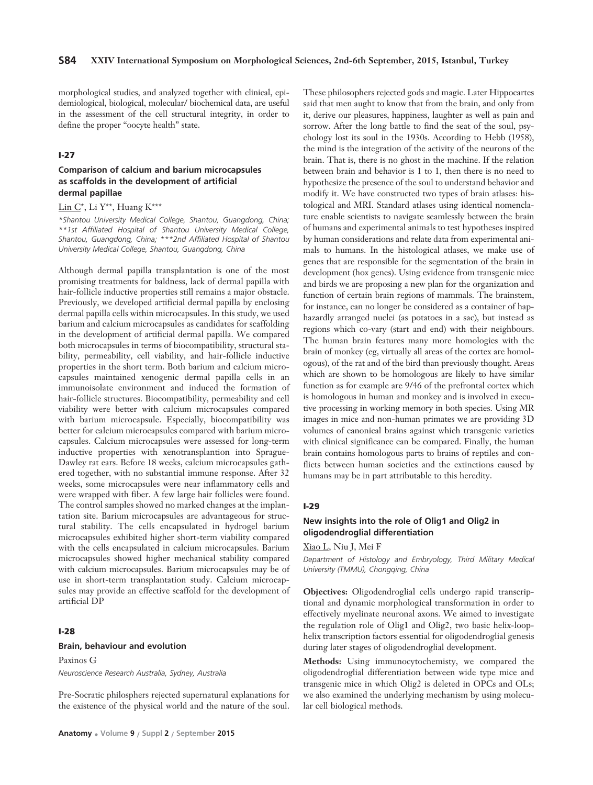morphological studies, and analyzed together with clinical, epidemiological, biological, molecular/ biochemical data, are useful in the assessment of the cell structural integrity, in order to define the proper "oocyte health" state.

#### **I-27**

# **Comparison of calcium and barium microcapsules as scaffolds in the development of artificial dermal papillae**

# Lin C\*, Li Y\*\*, Huang K\*\*\*

*\*Shantou University Medical College, Shantou, Guangdong, China; \*\*1st Affiliated Hospital of Shantou University Medical College, Shantou, Guangdong, China; \*\*\*2nd Affiliated Hospital of Shantou University Medical College, Shantou, Guangdong, China*

Although dermal papilla transplantation is one of the most promising treatments for baldness, lack of dermal papilla with hair-follicle inductive properties still remains a major obstacle. Previously, we developed artificial dermal papilla by enclosing dermal papilla cells within microcapsules. In this study, we used barium and calcium microcapsules as candidates for scaffolding in the development of artificial dermal papilla. We compared both microcapsules in terms of biocompatibility, structural stability, permeability, cell viability, and hair-follicle inductive properties in the short term. Both barium and calcium microcapsules maintained xenogenic dermal papilla cells in an immunoisolate environment and induced the formation of hair-follicle structures. Biocompatibility, permeability and cell viability were better with calcium microcapsules compared with barium microcapsule. Especially, biocompatibility was better for calcium microcapsules compared with barium microcapsules. Calcium microcapsules were assessed for long-term inductive properties with xenotransplantion into Sprague-Dawley rat ears. Before 18 weeks, calcium microcapsules gathered together, with no substantial immune response. After 32 weeks, some microcapsules were near inflammatory cells and were wrapped with fiber. A few large hair follicles were found. The control samples showed no marked changes at the implantation site. Barium microcapsules are advantageous for structural stability. The cells encapsulated in hydrogel barium microcapsules exhibited higher short-term viability compared with the cells encapsulated in calcium microcapsules. Barium microcapsules showed higher mechanical stability compared with calcium microcapsules. Barium microcapsules may be of use in short-term transplantation study. Calcium microcapsules may provide an effective scaffold for the development of artificial DP

# **I-28**

#### **Brain, behaviour and evolution**

Paxinos G *Neuroscience Research Australia, Sydney, Australia*

Pre-Socratic philosphers rejected supernatural explanations for the existence of the physical world and the nature of the soul.

These philosophers rejected gods and magic. Later Hippocartes said that men aught to know that from the brain, and only from it, derive our pleasures, happiness, laughter as well as pain and sorrow. After the long battle to find the seat of the soul, psychology lost its soul in the 1930s. According to Hebb (1958), the mind is the integration of the activity of the neurons of the brain. That is, there is no ghost in the machine. If the relation between brain and behavior is 1 to 1, then there is no need to hypothesize the presence of the soul to understand behavior and modify it. We have constructed two types of brain atlases: histological and MRI. Standard atlases using identical nomenclature enable scientists to navigate seamlessly between the brain of humans and experimental animals to test hypotheses inspired by human considerations and relate data from experimental animals to humans. In the histological atlases, we make use of genes that are responsible for the segmentation of the brain in development (hox genes). Using evidence from transgenic mice and birds we are proposing a new plan for the organization and function of certain brain regions of mammals. The brainstem, for instance, can no longer be considered as a container of haphazardly arranged nuclei (as potatoes in a sac), but instead as regions which co-vary (start and end) with their neighbours. The human brain features many more homologies with the brain of monkey (eg, virtually all areas of the cortex are homologous), of the rat and of the bird than previously thought. Areas which are shown to be homologous are likely to have similar function as for example are 9/46 of the prefrontal cortex which is homologous in human and monkey and is involved in executive processing in working memory in both species. Using MR images in mice and non-human primates we are providing 3D volumes of canonical brains against which transgenic varieties with clinical significance can be compared. Finally, the human brain contains homologous parts to brains of reptiles and conflicts between human societies and the extinctions caused by humans may be in part attributable to this heredity.

#### **I-29**

# **New insights into the role of Olig1 and Olig2 in oligodendroglial differentiation**

Xiao L, Niu J, Mei F

*Department of Histology and Embryology, Third Military Medical University (TMMU), Chongqing, China*

**Objectives:** Oligodendroglial cells undergo rapid transcriptional and dynamic morphological transformation in order to effectively myelinate neuronal axons. We aimed to investigate the regulation role of Olig1 and Olig2, two basic helix-loophelix transcription factors essential for oligodendroglial genesis during later stages of oligodendroglial development.

**Methods:** Using immunocytochemisty, we compared the oligodendroglial differentiation between wide type mice and transgenic mice in which Olig2 is deleted in OPCs and OLs; we also examined the underlying mechanism by using molecular cell biological methods.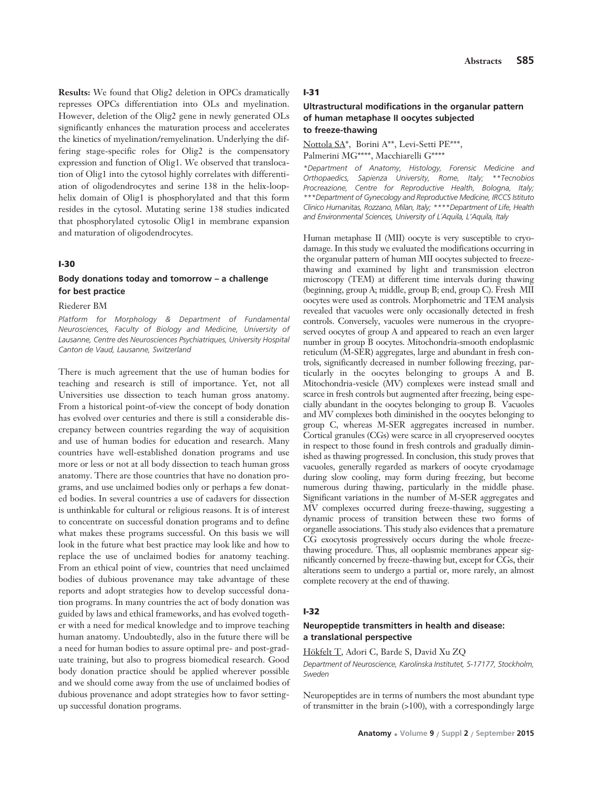**Results:** We found that Olig2 deletion in OPCs dramatically represses OPCs differentiation into OLs and myelination. However, deletion of the Olig2 gene in newly generated OLs significantly enhances the maturation process and accelerates the kinetics of myelination/remyelination. Underlying the differing stage-specific roles for Olig2 is the compensatory expression and function of Olig1. We observed that translocation of Olig1 into the cytosol highly correlates with differentiation of oligodendrocytes and serine 138 in the helix-loophelix domain of Olig1 is phosphorylated and that this form resides in the cytosol. Mutating serine 138 studies indicated that phosphorylated cytosolic Olig1 in membrane expansion and maturation of oligodendrocytes.

# **I-30**

# **Body donations today and tomorrow – a challenge for best practice**

#### Riederer BM

*Platform for Morphology & Department of Fundamental Neurosciences, Faculty of Biology and Medicine, University of Lausanne, Centre des Neurosciences Psychiatriques, University Hospital Canton de Vaud, Lausanne, Switzerland*

There is much agreement that the use of human bodies for teaching and research is still of importance. Yet, not all Universities use dissection to teach human gross anatomy. From a historical point-of-view the concept of body donation has evolved over centuries and there is still a considerable discrepancy between countries regarding the way of acquisition and use of human bodies for education and research. Many countries have well-established donation programs and use more or less or not at all body dissection to teach human gross anatomy. There are those countries that have no donation programs, and use unclaimed bodies only or perhaps a few donated bodies. In several countries a use of cadavers for dissection is unthinkable for cultural or religious reasons. It is of interest to concentrate on successful donation programs and to define what makes these programs successful. On this basis we will look in the future what best practice may look like and how to replace the use of unclaimed bodies for anatomy teaching. From an ethical point of view, countries that need unclaimed bodies of dubious provenance may take advantage of these reports and adopt strategies how to develop successful donation programs. In many countries the act of body donation was guided by laws and ethical frameworks, and has evolved together with a need for medical knowledge and to improve teaching human anatomy. Undoubtedly, also in the future there will be a need for human bodies to assure optimal pre- and post-graduate training, but also to progress biomedical research. Good body donation practice should be applied wherever possible and we should come away from the use of unclaimed bodies of dubious provenance and adopt strategies how to favor settingup successful donation programs.

#### **I-31**

# **Ultrastructural modifications in the organular pattern of human metaphase II oocytes subjected to freeze-thawing**

Nottola SA\*, Borini A\*\*, Levi-Setti PE\*\*\*, Palmerini MG\*\*\*\*, Macchiarelli G\*\*\*\*

*\*Department of Anatomy, Histology, Forensic Medicine and Orthopaedics, Sapienza University, Rome, Italy; \*\*Tecnobios Procreazione, Centre for Reproductive Health, Bologna, Italy; \*\*\*Department of Gynecology and Reproductive Medicine, IRCCS Istituto Clinico Humanitas, Rozzano, Milan, Italy; \*\*\*\*Department of Life, Health and Environmental Sciences, University of L´Aquila, L'Aquila, Italy*

Human metaphase II (MII) oocyte is very susceptible to cryodamage. In this study we evaluated the modifications occurring in the organular pattern of human MII oocytes subjected to freezethawing and examined by light and transmission electron microscopy (TEM) at different time intervals during thawing (beginning, group A; middle, group B; end, group C). Fresh MII oocytes were used as controls. Morphometric and TEM analysis revealed that vacuoles were only occasionally detected in fresh controls. Conversely, vacuoles were numerous in the cryopreserved oocytes of group A and appeared to reach an even larger number in group B oocytes. Mitochondria-smooth endoplasmic reticulum (M-SER) aggregates, large and abundant in fresh controls, significantly decreased in number following freezing, particularly in the oocytes belonging to groups A and B. Mitochondria-vesicle (MV) complexes were instead small and scarce in fresh controls but augmented after freezing, being especially abundant in the oocytes belonging to group B. Vacuoles and MV complexes both diminished in the oocytes belonging to group C, whereas M-SER aggregates increased in number. Cortical granules (CGs) were scarce in all cryopreserved oocytes in respect to those found in fresh controls and gradually diminished as thawing progressed. In conclusion, this study proves that vacuoles, generally regarded as markers of oocyte cryodamage during slow cooling, may form during freezing, but become numerous during thawing, particularly in the middle phase. Significant variations in the number of M-SER aggregates and MV complexes occurred during freeze-thawing, suggesting a dynamic process of transition between these two forms of organelle associations. This study also evidences that a premature CG exocytosis progressively occurs during the whole freezethawing procedure. Thus, all ooplasmic membranes appear significantly concerned by freeze-thawing but, except for CGs, their alterations seem to undergo a partial or, more rarely, an almost complete recovery at the end of thawing.

#### **I-32**

# **Neuropeptide transmitters in health and disease: a translational perspective**

Hökfelt T, Adori C, Barde S, David Xu ZQ

*Department of Neuroscience, Karolinska Institutet, S-17177, Stockholm, Sweden* 

Neuropeptides are in terms of numbers the most abundant type of transmitter in the brain (>100), with a correspondingly large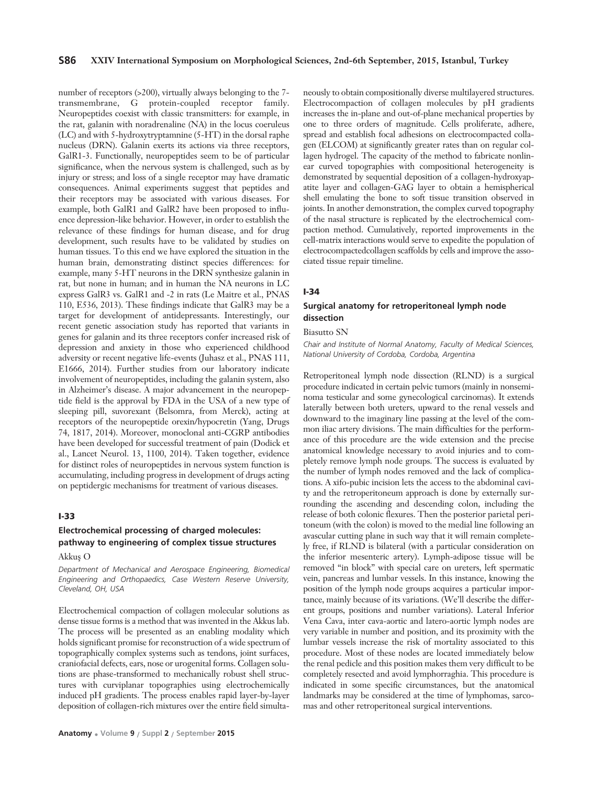number of receptors (>200), virtually always belonging to the 7 transmembrane, G protein-coupled receptor family. Neuropeptides coexist with classic transmitters: for example, in the rat, galanin with noradrenaline (NA) in the locus coeruleus (LC) and with 5-hydroxytryptamnine (5-HT) in the dorsal raphe nucleus (DRN). Galanin exerts its actions via three receptors, GalR1-3. Functionally, neuropeptides seem to be of particular significance, when the nervous system is challenged, such as by injury or stress; and loss of a single receptor may have dramatic consequences. Animal experiments suggest that peptides and their receptors may be associated with various diseases. For example, both GalR1 and GalR2 have been proposed to influence depression-like behavior. However, in order to establish the relevance of these findings for human disease, and for drug development, such results have to be validated by studies on human tissues. To this end we have explored the situation in the human brain, demonstrating distinct species differences: for example, many 5-HT neurons in the DRN synthesize galanin in rat, but none in human; and in human the NA neurons in LC express GalR3 vs. GalR1 and -2 in rats (Le Maitre et al., PNAS 110, E536, 2013). These findings indicate that GalR3 may be a target for development of antidepressants. Interestingly, our recent genetic association study has reported that variants in genes for galanin and its three receptors confer increased risk of depression and anxiety in those who experienced childhood adversity or recent negative life-events (Juhasz et al., PNAS 111, E1666, 2014). Further studies from our laboratory indicate involvement of neuropeptides, including the galanin system, also in Alzheimer's disease. A major advancement in the neuropeptide field is the approval by FDA in the USA of a new type of sleeping pill, suvorexant (Belsomra, from Merck), acting at receptors of the neuropeptide orexin/hypocretin (Yang, Drugs 74, 1817, 2014). Moreover, monoclonal anti-CGRP antibodies have been developed for successful treatment of pain (Dodick et al., Lancet Neurol. 13, 1100, 2014). Taken together, evidence for distinct roles of neuropeptides in nervous system function is accumulating, including progress in development of drugs acting on peptidergic mechanisms for treatment of various diseases.

# **I-33**

# **Electrochemical processing of charged molecules: pathway to engineering of complex tissue structures**

#### Akkus O

*Department of Mechanical and Aerospace Engineering, Biomedical Engineering and Orthopaedics, Case Western Reserve University, Cleveland, OH, USA*

Electrochemical compaction of collagen molecular solutions as dense tissue forms is a method that was invented in the Akkus lab. The process will be presented as an enabling modality which holds significant promise for reconstruction of a wide spectrum of topographically complex systems such as tendons, joint surfaces, craniofacial defects, ears, nose or urogenital forms. Collagen solutions are phase-transformed to mechanically robust shell structures with curviplanar topographies using electrochemically induced pH gradients. The process enables rapid layer-by-layer deposition of collagen-rich mixtures over the entire field simulta-

neously to obtain compositionally diverse multilayered structures. Electrocompaction of collagen molecules by pH gradients increases the in-plane and out-of-plane mechanical properties by one to three orders of magnitude. Cells proliferate, adhere, spread and establish focal adhesions on electrocompacted collagen (ELCOM) at significantly greater rates than on regular collagen hydrogel. The capacity of the method to fabricate nonlinear curved topographies with compositional heterogeneity is demonstrated by sequential deposition of a collagen-hydroxyapatite layer and collagen-GAG layer to obtain a hemispherical shell emulating the bone to soft tissue transition observed in joints. In another demonstration, the complex curved topography of the nasal structure is replicated by the electrochemical compaction method. Cumulatively, reported improvements in the cell-matrix interactions would serve to expedite the population of electrocompactedcollagen scaffolds by cells and improve the associated tissue repair timeline.

#### **I-34**

# **Surgical anatomy for retroperitoneal lymph node dissection**

#### Biasutto SN

*Chair and Institute of Normal Anatomy, Faculty of Medical Sciences, National University of Cordoba, Cordoba, Argentina*

Retroperitoneal lymph node dissection (RLND) is a surgical procedure indicated in certain pelvic tumors (mainly in nonseminoma testicular and some gynecological carcinomas). It extends laterally between both ureters, upward to the renal vessels and downward to the imaginary line passing at the level of the common iliac artery divisions. The main difficulties for the performance of this procedure are the wide extension and the precise anatomical knowledge necessary to avoid injuries and to completely remove lymph node groups. The success is evaluated by the number of lymph nodes removed and the lack of complications. A xifo-pubic incision lets the access to the abdominal cavity and the retroperitoneum approach is done by externally surrounding the ascending and descending colon, including the release of both colonic flexures. Then the posterior parietal peritoneum (with the colon) is moved to the medial line following an avascular cutting plane in such way that it will remain completely free, if RLND is bilateral (with a particular consideration on the inferior mesenteric artery). Lymph-adipose tissue will be removed "in block" with special care on ureters, left spermatic vein, pancreas and lumbar vessels. In this instance, knowing the position of the lymph node groups acquires a particular importance, mainly because of its variations. (We'll describe the different groups, positions and number variations). Lateral Inferior Vena Cava, inter cava-aortic and latero-aortic lymph nodes are very variable in number and position, and its proximity with the lumbar vessels increase the risk of mortality associated to this procedure. Most of these nodes are located immediately below the renal pedicle and this position makes them very difficult to be completely resected and avoid lymphorraghia. This procedure is indicated in some specific circumstances, but the anatomical landmarks may be considered at the time of lymphomas, sarcomas and other retroperitoneal surgical interventions.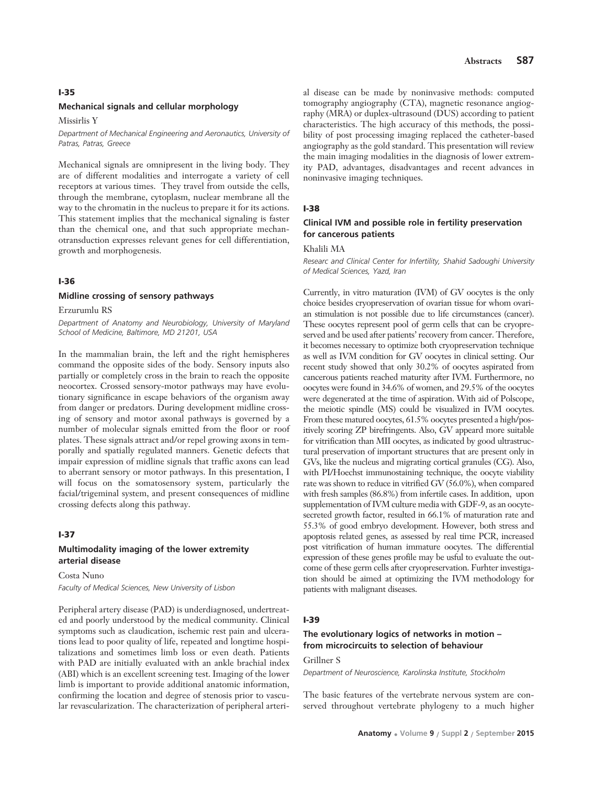#### **I-35**

#### **Mechanical signals and cellular morphology**

Missirlis Y

*Department of Mechanical Engineering and Aeronautics, University of Patras, Patras, Greece*

Mechanical signals are omnipresent in the living body. They are of different modalities and interrogate a variety of cell receptors at various times. They travel from outside the cells, through the membrane, cytoplasm, nuclear membrane all the way to the chromatin in the nucleus to prepare it for its actions. This statement implies that the mechanical signaling is faster than the chemical one, and that such appropriate mechanotransduction expresses relevant genes for cell differentiation, growth and morphogenesis.

# **I-36**

#### **Midline crossing of sensory pathways**

Erzurumlu RS

*Department of Anatomy and Neurobiology, University of Maryland School of Medicine, Baltimore, MD 21201, USA*

In the mammalian brain, the left and the right hemispheres command the opposite sides of the body. Sensory inputs also partially or completely cross in the brain to reach the opposite neocortex. Crossed sensory-motor pathways may have evolutionary significance in escape behaviors of the organism away from danger or predators. During development midline crossing of sensory and motor axonal pathways is governed by a number of molecular signals emitted from the floor or roof plates. These signals attract and/or repel growing axons in temporally and spatially regulated manners. Genetic defects that impair expression of midline signals that traffic axons can lead to aberrant sensory or motor pathways. In this presentation, I will focus on the somatosensory system, particularly the facial/trigeminal system, and present consequences of midline crossing defects along this pathway.

#### **I-37**

#### **Multimodality imaging of the lower extremity arterial disease**

Costa Nuno

*Faculty of Medical Sciences, New University of Lisbon*

Peripheral artery disease (PAD) is underdiagnosed, undertreated and poorly understood by the medical community. Clinical symptoms such as claudication, ischemic rest pain and ulcerations lead to poor quality of life, repeated and longtime hospitalizations and sometimes limb loss or even death. Patients with PAD are initially evaluated with an ankle brachial index (ABI) which is an excellent screening test. Imaging of the lower limb is important to provide additional anatomic information, confirming the location and degree of stenosis prior to vascular revascularization. The characterization of peripheral arteri-

al disease can be made by noninvasive methods: computed tomography angiography (CTA), magnetic resonance angiography (MRA) or duplex-ultrasound (DUS) according to patient characteristics. The high accuracy of this methods, the possibility of post processing imaging replaced the catheter-based angiography as the gold standard. This presentation will review the main imaging modalities in the diagnosis of lower extremity PAD, advantages, disadvantages and recent advances in noninvasive imaging techniques.

#### **I-38**

# **Clinical IVM and possible role in fertility preservation for cancerous patients**

Khalili MA

*Researc and Clinical Center for Infertility, Shahid Sadoughi University of Medical Sciences, Yazd, Iran*

Currently, in vitro maturation (IVM) of GV oocytes is the only choice besides cryopreservation of ovarian tissue for whom ovarian stimulation is not possible due to life circumstances (cancer). These oocytes represent pool of germ cells that can be cryopreserved and be used after patients' recovery from cancer. Therefore, it becomes necessary to optimize both cryopreservation technique as well as IVM condition for GV oocytes in clinical setting. Our recent study showed that only 30.2% of oocytes aspirated from cancerous patients reached maturity after IVM. Furthermore, no oocytes were found in 34.6% of women, and 29.5% of the oocytes were degenerated at the time of aspiration. With aid of Polscope, the meiotic spindle (MS) could be visualized in IVM oocytes. From these matured oocytes, 61.5% oocytes presented a high/positively scoring ZP birefringents. Also, GV appeard more suitable for vitrification than MII oocytes, as indicated by good ultrastructural preservation of important structures that are present only in GVs, like the nucleus and migrating cortical granules (CG). Also, with PI/Hoechst immunostaining technique, the oocyte viability rate was shown to reduce in vitrified GV (56.0%), when compared with fresh samples (86.8%) from infertile cases. In addition, upon supplementation of IVM culture media with GDF-9, as an oocytesecreted growth factor, resulted in 66.1% of maturation rate and 55.3% of good embryo development. However, both stress and apoptosis related genes, as assessed by real time PCR, increased post vitrification of human immature oocytes. The differential expression of these genes profile may be usful to evaluate the outcome of these germ cells after cryopreservation. Furhter investigation should be aimed at optimizing the IVM methodology for patients with malignant diseases.

#### **I-39**

# **The evolutionary logics of networks in motion – from microcircuits to selection of behaviour**

# Grillner S

*Department of Neuroscience, Karolinska Institute, Stockholm*

The basic features of the vertebrate nervous system are conserved throughout vertebrate phylogeny to a much higher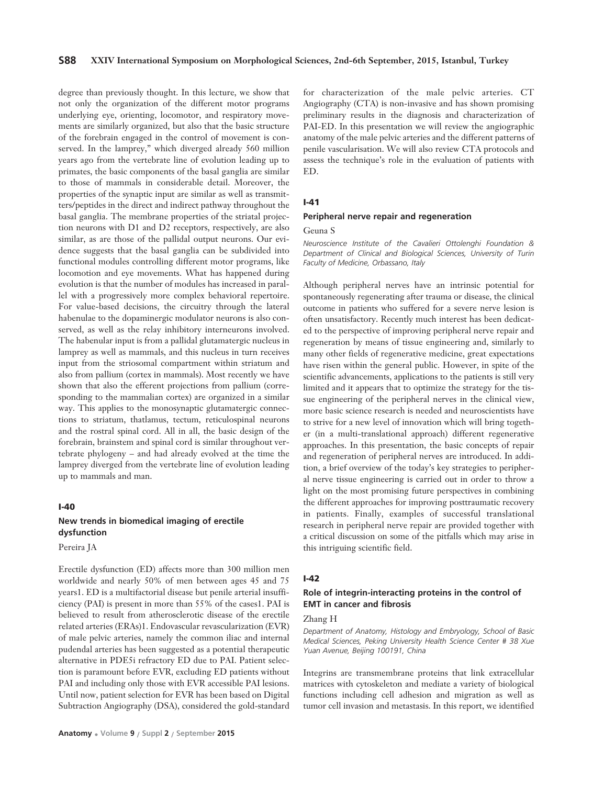# **S88 XXIV International Symposium on Morphological Sciences, 2nd-6th September, 2015, Istanbul, Turkey**

degree than previously thought. In this lecture, we show that not only the organization of the different motor programs underlying eye, orienting, locomotor, and respiratory movements are similarly organized, but also that the basic structure of the forebrain engaged in the control of movement is conserved. In the lamprey," which diverged already 560 million years ago from the vertebrate line of evolution leading up to primates, the basic components of the basal ganglia are similar to those of mammals in considerable detail. Moreover, the properties of the synaptic input are similar as well as transmitters/peptides in the direct and indirect pathway throughout the basal ganglia. The membrane properties of the striatal projection neurons with D1 and D2 receptors, respectively, are also similar, as are those of the pallidal output neurons. Our evidence suggests that the basal ganglia can be subdivided into functional modules controlling different motor programs, like locomotion and eye movements. What has happened during evolution is that the number of modules has increased in parallel with a progressively more complex behavioral repertoire. For value-based decisions, the circuitry through the lateral habenulae to the dopaminergic modulator neurons is also conserved, as well as the relay inhibitory interneurons involved. The habenular input is from a pallidal glutamatergic nucleus in lamprey as well as mammals, and this nucleus in turn receives input from the striosomal compartment within striatum and also from pallium (cortex in mammals). Most recently we have shown that also the efferent projections from pallium (corresponding to the mammalian cortex) are organized in a similar way. This applies to the monosynaptic glutamatergic connections to striatum, thatlamus, tectum, reticulospinal neurons and the rostral spinal cord. All in all, the basic design of the forebrain, brainstem and spinal cord is similar throughout vertebrate phylogeny – and had already evolved at the time the lamprey diverged from the vertebrate line of evolution leading up to mammals and man.

# **I-40**

# **New trends in biomedical imaging of erectile dysfunction**

Pereira JA

Erectile dysfunction (ED) affects more than 300 million men worldwide and nearly 50% of men between ages 45 and 75 years1. ED is a multifactorial disease but penile arterial insufficiency (PAI) is present in more than 55% of the cases1. PAI is believed to result from atherosclerotic disease of the erectile related arteries (ERAs)1. Endovascular revascularization (EVR) of male pelvic arteries, namely the common iliac and internal pudendal arteries has been suggested as a potential therapeutic alternative in PDE5i refractory ED due to PAI. Patient selection is paramount before EVR, excluding ED patients without PAI and including only those with EVR accessible PAI lesions. Until now, patient selection for EVR has been based on Digital Subtraction Angiography (DSA), considered the gold-standard

for characterization of the male pelvic arteries. CT Angiography (CTA) is non-invasive and has shown promising preliminary results in the diagnosis and characterization of PAI-ED. In this presentation we will review the angiographic anatomy of the male pelvic arteries and the different patterns of penile vascularisation. We will also review CTA protocols and assess the technique's role in the evaluation of patients with ED.

#### **I-41**

#### **Peripheral nerve repair and regeneration**

#### Geuna S

*Neuroscience Institute of the Cavalieri Ottolenghi Foundation & Department of Clinical and Biological Sciences, University of Turin Faculty of Medicine, Orbassano, Italy*

Although peripheral nerves have an intrinsic potential for spontaneously regenerating after trauma or disease, the clinical outcome in patients who suffered for a severe nerve lesion is often unsatisfactory. Recently much interest has been dedicated to the perspective of improving peripheral nerve repair and regeneration by means of tissue engineering and, similarly to many other fields of regenerative medicine, great expectations have risen within the general public. However, in spite of the scientific advancements, applications to the patients is still very limited and it appears that to optimize the strategy for the tissue engineering of the peripheral nerves in the clinical view, more basic science research is needed and neuroscientists have to strive for a new level of innovation which will bring together (in a multi-translational approach) different regenerative approaches. In this presentation, the basic concepts of repair and regeneration of peripheral nerves are introduced. In addition, a brief overview of the today's key strategies to peripheral nerve tissue engineering is carried out in order to throw a light on the most promising future perspectives in combining the different approaches for improving posttraumatic recovery in patients. Finally, examples of successful translational research in peripheral nerve repair are provided together with a critical discussion on some of the pitfalls which may arise in this intriguing scientific field.

#### **I-42**

# **Role of integrin-interacting proteins in the control of EMT in cancer and fibrosis**

# Zhang H

*Department of Anatomy, Histology and Embryology, School of Basic Medical Sciences, Peking University Health Science Center # 38 Xue Yuan Avenue, Beijing 100191, China* 

Integrins are transmembrane proteins that link extracellular matrices with cytoskeleton and mediate a variety of biological functions including cell adhesion and migration as well as tumor cell invasion and metastasis. In this report, we identified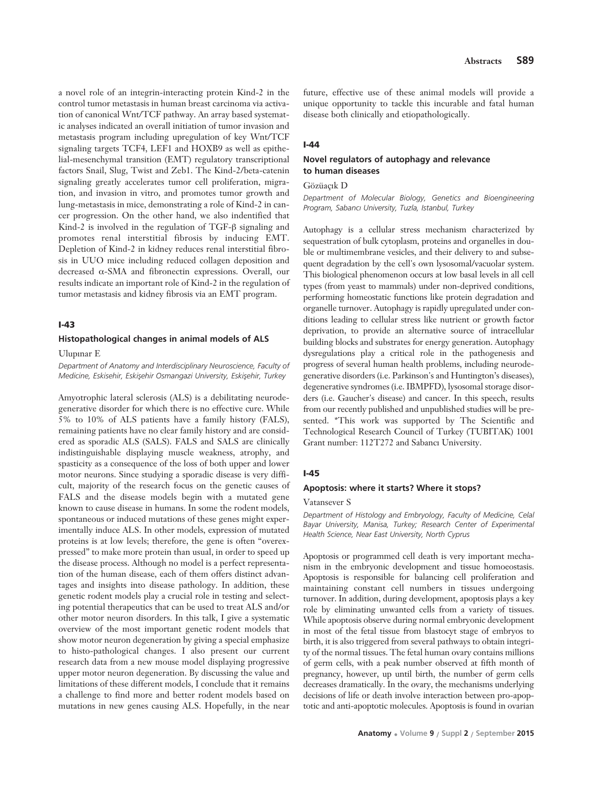a novel role of an integrin-interacting protein Kind-2 in the control tumor metastasis in human breast carcinoma via activation of canonical Wnt/TCF pathway. An array based systematic analyses indicated an overall initiation of tumor invasion and metastasis program including upregulation of key Wnt/TCF signaling targets TCF4, LEF1 and HOXB9 as well as epithelial-mesenchymal transition (EMT) regulatory transcriptional factors Snail, Slug, Twist and Zeb1. The Kind-2/beta-catenin signaling greatly accelerates tumor cell proliferation, migration, and invasion in vitro, and promotes tumor growth and lung-metastasis in mice, demonstrating a role of Kind-2 in cancer progression. On the other hand, we also indentified that Kind-2 is involved in the regulation of TGF-β signaling and promotes renal interstitial fibrosis by inducing EMT. Depletion of Kind-2 in kidney reduces renal interstitial fibrosis in UUO mice including reduced collagen deposition and decreased α-SMA and fibronectin expressions. Overall, our results indicate an important role of Kind-2 in the regulation of tumor metastasis and kidney fibrosis via an EMT program.

# **I-43**

#### **Histopathological changes in animal models of ALS**

Ulupınar E

*Department of Anatomy and Interdisciplinary Neuroscience, Faculty of Medicine, Eskisehir, Eskişehir Osmangazi University, Eskişehir, Turkey* 

Amyotrophic lateral sclerosis (ALS) is a debilitating neurodegenerative disorder for which there is no effective cure. While 5% to 10% of ALS patients have a family history (FALS), remaining patients have no clear family history and are considered as sporadic ALS (SALS). FALS and SALS are clinically indistinguishable displaying muscle weakness, atrophy, and spasticity as a consequence of the loss of both upper and lower motor neurons. Since studying a sporadic disease is very difficult, majority of the research focus on the genetic causes of FALS and the disease models begin with a mutated gene known to cause disease in humans. In some the rodent models, spontaneous or induced mutations of these genes might experimentally induce ALS. In other models, expression of mutated proteins is at low levels; therefore, the gene is often "overexpressed" to make more protein than usual, in order to speed up the disease process. Although no model is a perfect representation of the human disease, each of them offers distinct advantages and insights into disease pathology. In addition, these genetic rodent models play a crucial role in testing and selecting potential therapeutics that can be used to treat ALS and/or other motor neuron disorders. In this talk, I give a systematic overview of the most important genetic rodent models that show motor neuron degeneration by giving a special emphasize to histo-pathological changes. I also present our current research data from a new mouse model displaying progressive upper motor neuron degeneration. By discussing the value and limitations of these different models, I conclude that it remains a challenge to find more and better rodent models based on mutations in new genes causing ALS. Hopefully, in the near

future, effective use of these animal models will provide a unique opportunity to tackle this incurable and fatal human disease both clinically and etiopathologically.

# **I-44**

# **Novel regulators of autophagy and relevance to human diseases**

Gözüacık D

*Department of Molecular Biology, Genetics and Bioengineering Program, Sabanc› University, Tuzla, Istanbul, Turkey*

Autophagy is a cellular stress mechanism characterized by sequestration of bulk cytoplasm, proteins and organelles in double or multimembrane vesicles, and their delivery to and subsequent degradation by the cell's own lysosomal/vacuolar system. This biological phenomenon occurs at low basal levels in all cell types (from yeast to mammals) under non-deprived conditions, performing homeostatic functions like protein degradation and organelle turnover. Autophagy is rapidly upregulated under conditions leading to cellular stress like nutrient or growth factor deprivation, to provide an alternative source of intracellular building blocks and substrates for energy generation. Autophagy dysregulations play a critical role in the pathogenesis and progress of several human health problems, including neurodegenerative disorders (i.e. Parkinson's and Huntington's diseases), degenerative syndromes (i.e. IBMPFD), lysosomal storage disorders (i.e. Gaucher's disease) and cancer. In this speech, results from our recently published and unpublished studies will be presented. \*This work was supported by The Scientific and Technological Research Council of Turkey (TUBITAK) 1001 Grant number: 112T272 and Sabancı University.

# **I-45**

#### **Apoptosis: where it starts? Where it stops?**

#### Vatansever S

*Department of Histology and Embryology, Faculty of Medicine, Celal Bayar University, Manisa, Turkey; Research Center of Experimental Health Science, Near East University, North Cyprus* 

Apoptosis or programmed cell death is very important mechanism in the embryonic development and tissue homoeostasis. Apoptosis is responsible for balancing cell proliferation and maintaining constant cell numbers in tissues undergoing turnover. In addition, during development, apoptosis plays a key role by eliminating unwanted cells from a variety of tissues. While apoptosis observe during normal embryonic development in most of the fetal tissue from blastocyt stage of embryos to birth, it is also triggered from several pathways to obtain integrity of the normal tissues. The fetal human ovary contains millions of germ cells, with a peak number observed at fifth month of pregnancy, however, up until birth, the number of germ cells decreases dramatically. In the ovary, the mechanisms underlying decisions of life or death involve interaction between pro-apoptotic and anti-apoptotic molecules. Apoptosis is found in ovarian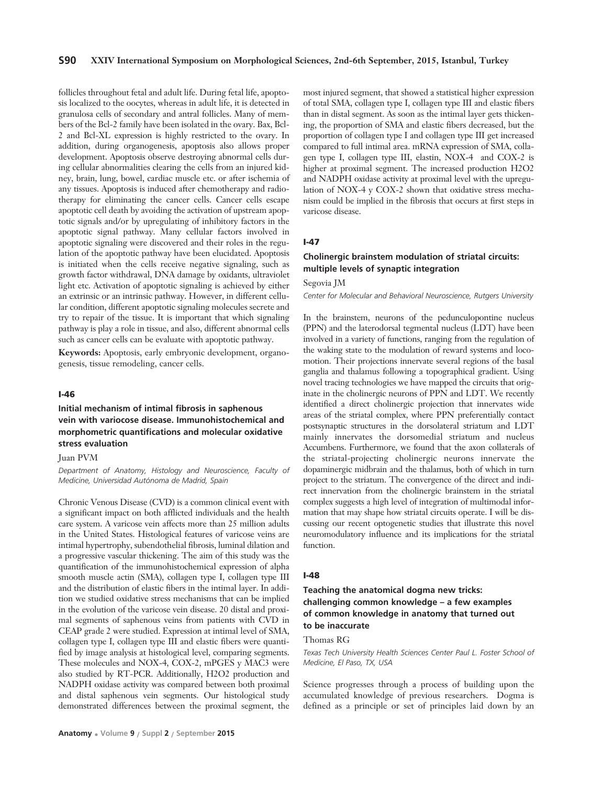# **S90 XXIV International Symposium on Morphological Sciences, 2nd-6th September, 2015, Istanbul, Turkey**

follicles throughout fetal and adult life. During fetal life, apoptosis localized to the oocytes, whereas in adult life, it is detected in granulosa cells of secondary and antral follicles. Many of members of the Bcl-2 family have been isolated in the ovary. Bax, Bcl-2 and Bcl-XL expression is highly restricted to the ovary. In addition, during organogenesis, apoptosis also allows proper development. Apoptosis observe destroying abnormal cells during cellular abnormalities clearing the cells from an injured kidney, brain, lung, bowel, cardiac muscle etc. or after ischemia of any tissues. Apoptosis is induced after chemotherapy and radiotherapy for eliminating the cancer cells. Cancer cells escape apoptotic cell death by avoiding the activation of upstream apoptotic signals and/or by upregulating of inhibitory factors in the apoptotic signal pathway. Many cellular factors involved in apoptotic signaling were discovered and their roles in the regulation of the apoptotic pathway have been elucidated. Apoptosis is initiated when the cells receive negative signaling, such as growth factor withdrawal, DNA damage by oxidants, ultraviolet light etc. Activation of apoptotic signaling is achieved by either an extrinsic or an intrinsic pathway. However, in different cellular condition, different apoptotic signaling molecules secrete and try to repair of the tissue. It is important that which signaling pathway is play a role in tissue, and also, different abnormal cells such as cancer cells can be evaluate with apoptotic pathway.

**Keywords:** Apoptosis, early embryonic development, organogenesis, tissue remodeling, cancer cells.

# **I-46**

# **Initial mechanism of intimal fibrosis in saphenous vein with variocose disease. Immunohistochemical and morphometric quantifications and molecular oxidative stress evaluation**

#### Juan PVM

*Department of Anatomy, Histology and Neuroscience, Faculty of Medicine, Universidad Autónoma de Madrid, Spain*

Chronic Venous Disease (CVD) is a common clinical event with a significant impact on both afflicted individuals and the health care system. A varicose vein affects more than 25 million adults in the United States. Histological features of varicose veins are intimal hypertrophy, subendothelial fibrosis, luminal dilation and a progressive vascular thickening. The aim of this study was the quantification of the immunohistochemical expression of alpha smooth muscle actin (SMA), collagen type I, collagen type III and the distribution of elastic fibers in the intimal layer. In addition we studied oxidative stress mechanisms that can be implied in the evolution of the varicose vein disease. 20 distal and proximal segments of saphenous veins from patients with CVD in CEAP grade 2 were studied. Expression at intimal level of SMA, collagen type I, collagen type III and elastic fibers were quantified by image analysis at histological level, comparing segments. These molecules and NOX-4, COX-2, mPGES y MAC3 were also studied by RT-PCR. Additionally, H2O2 production and NADPH oxidase activity was compared between both proximal and distal saphenous vein segments. Our histological study demonstrated differences between the proximal segment, the most injured segment, that showed a statistical higher expression of total SMA, collagen type I, collagen type III and elastic fibers than in distal segment. As soon as the intimal layer gets thickening, the proportion of SMA and elastic fibers decreased, but the proportion of collagen type I and collagen type III get increased compared to full intimal area. mRNA expression of SMA, collagen type I, collagen type III, elastin, NOX-4 and COX-2 is higher at proximal segment. The increased production H2O2 and NADPH oxidase activity at proximal level with the upregulation of NOX-4 y COX-2 shown that oxidative stress mechanism could be implied in the fibrosis that occurs at first steps in varicose disease.

#### **I-47**

# **Cholinergic brainstem modulation of striatal circuits: multiple levels of synaptic integration**

#### Segovia JM

*Center for Molecular and Behavioral Neuroscience, Rutgers University*

In the brainstem, neurons of the pedunculopontine nucleus (PPN) and the laterodorsal tegmental nucleus (LDT) have been involved in a variety of functions, ranging from the regulation of the waking state to the modulation of reward systems and locomotion. Their projections innervate several regions of the basal ganglia and thalamus following a topographical gradient. Using novel tracing technologies we have mapped the circuits that originate in the cholinergic neurons of PPN and LDT. We recently identified a direct cholinergic projection that innervates wide areas of the striatal complex, where PPN preferentially contact postsynaptic structures in the dorsolateral striatum and LDT mainly innervates the dorsomedial striatum and nucleus Accumbens. Furthermore, we found that the axon collaterals of the striatal-projecting cholinergic neurons innervate the dopaminergic midbrain and the thalamus, both of which in turn project to the striatum. The convergence of the direct and indirect innervation from the cholinergic brainstem in the striatal complex suggests a high level of integration of multimodal information that may shape how striatal circuits operate. I will be discussing our recent optogenetic studies that illustrate this novel neuromodulatory influence and its implications for the striatal function.

#### **I-48**

# **Teaching the anatomical dogma new tricks: challenging common knowledge – a few examples of common knowledge in anatomy that turned out to be inaccurate**

#### Thomas RG

*Texas Tech University Health Sciences Center Paul L. Foster School of Medicine, El Paso, TX, USA*

Science progresses through a process of building upon the accumulated knowledge of previous researchers. Dogma is defined as a principle or set of principles laid down by an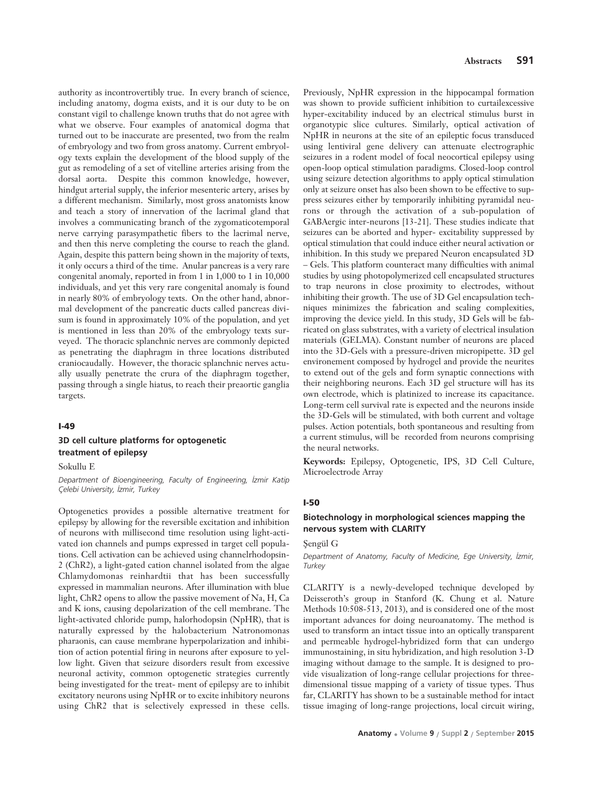authority as incontrovertibly true. In every branch of science, including anatomy, dogma exists, and it is our duty to be on constant vigil to challenge known truths that do not agree with what we observe. Four examples of anatomical dogma that turned out to be inaccurate are presented, two from the realm of embryology and two from gross anatomy. Current embryology texts explain the development of the blood supply of the gut as remodeling of a set of vitelline arteries arising from the dorsal aorta. Despite this common knowledge, however, hindgut arterial supply, the inferior mesenteric artery, arises by a different mechanism. Similarly, most gross anatomists know and teach a story of innervation of the lacrimal gland that involves a communicating branch of the zygomaticotemporal nerve carrying parasympathetic fibers to the lacrimal nerve, and then this nerve completing the course to reach the gland. Again, despite this pattern being shown in the majority of texts, it only occurs a third of the time. Anular pancreas is a very rare congenital anomaly, reported in from 1 in 1,000 to 1 in 10,000 individuals, and yet this very rare congenital anomaly is found in nearly 80% of embryology texts. On the other hand, abnormal development of the pancreatic ducts called pancreas divisum is found in approximately 10% of the population, and yet is mentioned in less than 20% of the embryology texts surveyed. The thoracic splanchnic nerves are commonly depicted as penetrating the diaphragm in three locations distributed craniocaudally. However, the thoracic splanchnic nerves actually usually penetrate the crura of the diaphragm together, passing through a single hiatus, to reach their preaortic ganglia targets.

#### **I-49**

# **3D cell culture platforms for optogenetic treatment of epilepsy**

Sokullu E

*Department of Bioengineering, Faculty of Engineering, ‹zmir Katip Çelebi University, ‹zmir, Turkey*

Optogenetics provides a possible alternative treatment for epilepsy by allowing for the reversible excitation and inhibition of neurons with millisecond time resolution using light-activated ion channels and pumps expressed in target cell populations. Cell activation can be achieved using channelrhodopsin-2 (ChR2), a light-gated cation channel isolated from the algae Chlamydomonas reinhardtii that has been successfully expressed in mammalian neurons. After illumination with blue light, ChR2 opens to allow the passive movement of Na, H, Ca and K ions, causing depolarization of the cell membrane. The light-activated chloride pump, halorhodopsin (NpHR), that is naturally expressed by the halobacterium Natronomonas pharaonis, can cause membrane hyperpolarization and inhibition of action potential firing in neurons after exposure to yellow light. Given that seizure disorders result from excessive neuronal activity, common optogenetic strategies currently being investigated for the treat- ment of epilepsy are to inhibit excitatory neurons using NpHR or to excite inhibitory neurons using ChR2 that is selectively expressed in these cells.

Previously, NpHR expression in the hippocampal formation was shown to provide sufficient inhibition to curtailexcessive hyper-excitability induced by an electrical stimulus burst in organotypic slice cultures. Similarly, optical activation of NpHR in neurons at the site of an epileptic focus transduced using lentiviral gene delivery can attenuate electrographic seizures in a rodent model of focal neocortical epilepsy using open-loop optical stimulation paradigms. Closed-loop control using seizure detection algorithms to apply optical stimulation only at seizure onset has also been shown to be effective to suppress seizures either by temporarily inhibiting pyramidal neurons or through the activation of a sub-population of GABAergic inter-neurons [13-21]. These studies indicate that seizures can be aborted and hyper- excitability suppressed by optical stimulation that could induce either neural activation or inhibition. In this study we prepared Neuron encapsulated 3D – Gels. This platform counteract many difficulties with animal studies by using photopolymerized cell encapsulated structures to trap neurons in close proximity to electrodes, without inhibiting their growth. The use of 3D Gel encapsulation techniques minimizes the fabrication and scaling complexities, improving the device yield. In this study, 3D Gels will be fabricated on glass substrates, with a variety of electrical insulation materials (GELMA). Constant number of neurons are placed into the 3D-Gels with a pressure-driven micropipette. 3D gel environement composed by hydrogel and provide the neurites to extend out of the gels and form synaptic connections with their neighboring neurons. Each 3D gel structure will has its own electrode, which is platinized to increase its capacitance. Long-term cell survival rate is expected and the neurons inside the 3D-Gels will be stimulated, with both current and voltage pulses. Action potentials, both spontaneous and resulting from a current stimulus, will be recorded from neurons comprising the neural networks.

**Keywords:** Epilepsy, Optogenetic, IPS, 3D Cell Culture, Microelectrode Array

#### **I-50**

# **Biotechnology in morphological sciences mapping the nervous system with CLARITY**

Sengül G

*Department of Anatomy, Faculty of Medicine, Ege University, ‹zmir, Turkey*

CLARITY is a newly-developed technique developed by Deisseroth's group in Stanford (K. Chung et al. Nature Methods 10:508-513, 2013), and is considered one of the most important advances for doing neuroanatomy. The method is used to transform an intact tissue into an optically transparent and permeable hydrogel-hybridized form that can undergo immunostaining, in situ hybridization, and high resolution 3-D imaging without damage to the sample. It is designed to provide visualization of long-range cellular projections for threedimensional tissue mapping of a variety of tissue types. Thus far, CLARITY has shown to be a sustainable method for intact tissue imaging of long-range projections, local circuit wiring,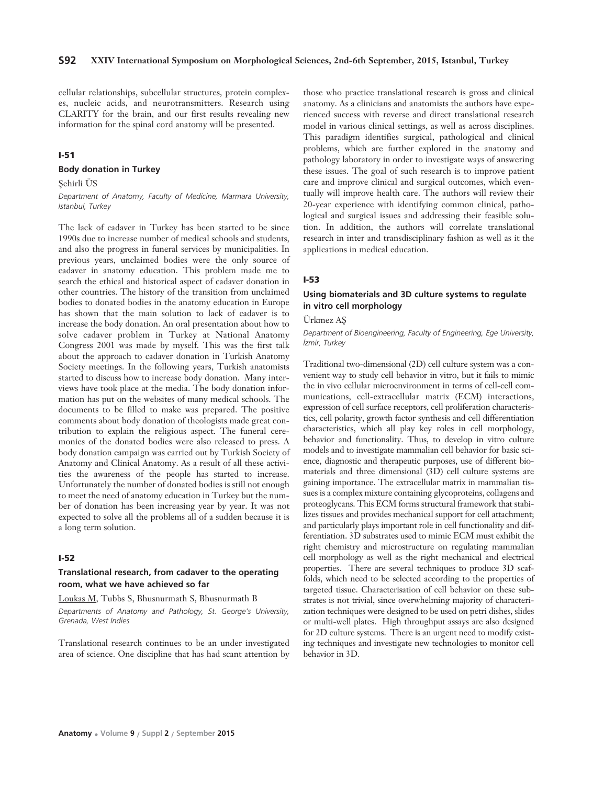cellular relationships, subcellular structures, protein complexes, nucleic acids, and neurotransmitters. Research using CLARITY for the brain, and our first results revealing new information for the spinal cord anatomy will be presented.

# **I-51**

#### **Body donation in Turkey**

# Sehirli ÜS

*Department of Anatomy, Faculty of Medicine, Marmara University, Istanbul, Turkey*

The lack of cadaver in Turkey has been started to be since 1990s due to increase number of medical schools and students, and also the progress in funeral services by municipalities. In previous years, unclaimed bodies were the only source of cadaver in anatomy education. This problem made me to search the ethical and historical aspect of cadaver donation in other countries. The history of the transition from unclaimed bodies to donated bodies in the anatomy education in Europe has shown that the main solution to lack of cadaver is to increase the body donation. An oral presentation about how to solve cadaver problem in Turkey at National Anatomy Congress 2001 was made by myself. This was the first talk about the approach to cadaver donation in Turkish Anatomy Society meetings. In the following years, Turkish anatomists started to discuss how to increase body donation. Many interviews have took place at the media. The body donation information has put on the websites of many medical schools. The documents to be filled to make was prepared. The positive comments about body donation of theologists made great contribution to explain the religious aspect. The funeral ceremonies of the donated bodies were also released to press. A body donation campaign was carried out by Turkish Society of Anatomy and Clinical Anatomy. As a result of all these activities the awareness of the people has started to increase. Unfortunately the number of donated bodies is still not enough to meet the need of anatomy education in Turkey but the number of donation has been increasing year by year. It was not expected to solve all the problems all of a sudden because it is a long term solution.

#### **I-52**

# **Translational research, from cadaver to the operating room, what we have achieved so far**

Loukas M, Tubbs S, Bhusnurmath S, Bhusnurmath B *Departments of Anatomy and Pathology, St. George's University, Grenada, West Indies*

Translational research continues to be an under investigated area of science. One discipline that has had scant attention by

those who practice translational research is gross and clinical anatomy. As a clinicians and anatomists the authors have experienced success with reverse and direct translational research model in various clinical settings, as well as across disciplines. This paradigm identifies surgical, pathological and clinical problems, which are further explored in the anatomy and pathology laboratory in order to investigate ways of answering these issues. The goal of such research is to improve patient care and improve clinical and surgical outcomes, which eventually will improve health care. The authors will review their 20-year experience with identifying common clinical, pathological and surgical issues and addressing their feasible solution. In addition, the authors will correlate translational research in inter and transdisciplinary fashion as well as it the applications in medical education.

#### **I-53**

# **Using biomaterials and 3D culture systems to regulate in vitro cell morphology**

Ürkmez Afi

*Department of Bioengineering, Faculty of Engineering, Ege University, ‹zmir, Turkey*

Traditional two-dimensional (2D) cell culture system was a convenient way to study cell behavior in vitro, but it fails to mimic the in vivo cellular microenvironment in terms of cell-cell communications, cell-extracellular matrix (ECM) interactions, expression of cell surface receptors, cell proliferation characteristics, cell polarity, growth factor synthesis and cell differentiation characteristics, which all play key roles in cell morphology, behavior and functionality. Thus, to develop in vitro culture models and to investigate mammalian cell behavior for basic science, diagnostic and therapeutic purposes, use of different biomaterials and three dimensional (3D) cell culture systems are gaining importance. The extracellular matrix in mammalian tissues is a complex mixture containing glycoproteins, collagens and proteoglycans. This ECM forms structural framework that stabilizes tissues and provides mechanical support for cell attachment; and particularly plays important role in cell functionality and differentiation. 3D substrates used to mimic ECM must exhibit the right chemistry and microstructure on regulating mammalian cell morphology as well as the right mechanical and electrical properties. There are several techniques to produce 3D scaffolds, which need to be selected according to the properties of targeted tissue. Characterisation of cell behavior on these substrates is not trivial, since overwhelming majority of characterization techniques were designed to be used on petri dishes, slides or multi-well plates. High throughput assays are also designed for 2D culture systems. There is an urgent need to modify existing techniques and investigate new technologies to monitor cell behavior in 3D.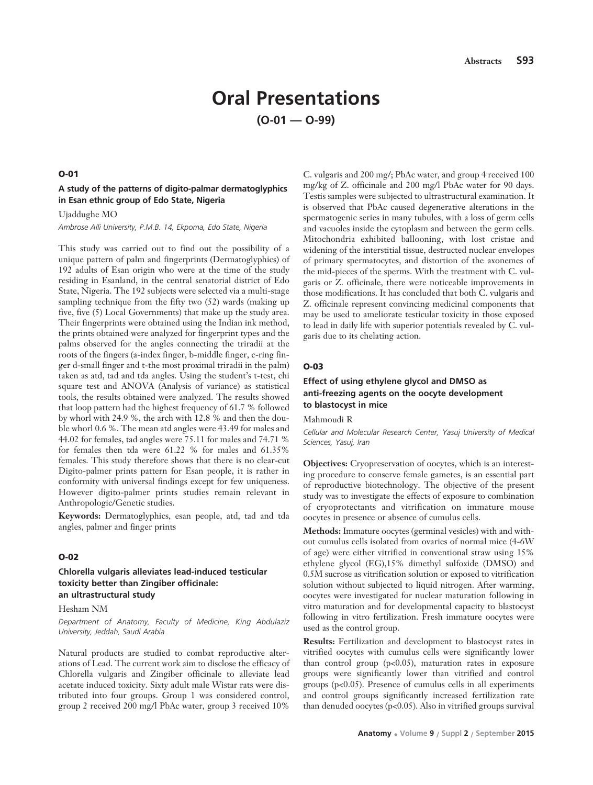# **Oral Presentations (O-01 — O-99)**

# **O-01**

# **A study of the patterns of digito-palmar dermatoglyphics in Esan ethnic group of Edo State, Nigeria**

Ujaddughe MO

*Ambrose Alli University, P.M.B. 14, Ekpoma, Edo State, Nigeria*

This study was carried out to find out the possibility of a unique pattern of palm and fingerprints (Dermatoglyphics) of 192 adults of Esan origin who were at the time of the study residing in Esanland, in the central senatorial district of Edo State, Nigeria. The 192 subjects were selected via a multi-stage sampling technique from the fifty two (52) wards (making up five, five (5) Local Governments) that make up the study area. Their fingerprints were obtained using the Indian ink method, the prints obtained were analyzed for fingerprint types and the palms observed for the angles connecting the triradii at the roots of the fingers (a-index finger, b-middle finger, c-ring finger d-small finger and t-the most proximal triradii in the palm) taken as atd, tad and tda angles. Using the student's t-test, chi square test and ANOVA (Analysis of variance) as statistical tools, the results obtained were analyzed. The results showed that loop pattern had the highest frequency of 61.7 % followed by whorl with 24.9 %, the arch with 12.8 % and then the double whorl 0.6 %. The mean atd angles were 43.49 for males and 44.02 for females, tad angles were 75.11 for males and 74.71 % for females then tda were 61.22 % for males and 61.35% females. This study therefore shows that there is no clear-cut Digito-palmer prints pattern for Esan people, it is rather in conformity with universal findings except for few uniqueness. However digito-palmer prints studies remain relevant in Anthropologic/Genetic studies.

**Keywords:** Dermatoglyphics, esan people, atd, tad and tda angles, palmer and finger prints

#### **O-02**

# **Chlorella vulgaris alleviates lead-induced testicular toxicity better than Zingiber officinale: an ultrastructural study**

#### Hesham NM

*Department of Anatomy, Faculty of Medicine, King Abdulaziz University, Jeddah, Saudi Arabia*

Natural products are studied to combat reproductive alterations of Lead. The current work aim to disclose the efficacy of Chlorella vulgaris and Zingiber officinale to alleviate lead acetate induced toxicity. Sixty adult male Wistar rats were distributed into four groups. Group 1 was considered control, group 2 received 200 mg/l PbAc water, group 3 received 10%

C. vulgaris and 200 mg/; PbAc water, and group 4 received 100 mg/kg of Z. officinale and 200 mg/l PbAc water for 90 days. Testis samples were subjected to ultrastructural examination. It is observed that PbAc caused degenerative alterations in the spermatogenic series in many tubules, with a loss of germ cells and vacuoles inside the cytoplasm and between the germ cells. Mitochondria exhibited ballooning, with lost cristae and widening of the interstitial tissue, destructed nuclear envelopes of primary spermatocytes, and distortion of the axonemes of the mid-pieces of the sperms. With the treatment with C. vulgaris or Z. officinale, there were noticeable improvements in those modifications. It has concluded that both C. vulgaris and Z. officinale represent convincing medicinal components that may be used to ameliorate testicular toxicity in those exposed to lead in daily life with superior potentials revealed by C. vulgaris due to its chelating action.

#### **O-03**

# **Effect of using ethylene glycol and DMSO as anti-freezing agents on the oocyte development to blastocyst in mice**

Mahmoudi R

*Cellular and Molecular Research Center, Yasuj University of Medical Sciences, Yasuj, Iran*

**Objectives:** Cryopreservation of oocytes, which is an interesting procedure to conserve female gametes, is an essential part of reproductive biotechnology. The objective of the present study was to investigate the effects of exposure to combination of cryoprotectants and vitrification on immature mouse oocytes in presence or absence of cumulus cells.

**Methods:** Immature oocytes (germinal vesicles) with and without cumulus cells isolated from ovaries of normal mice (4-6W of age) were either vitrified in conventional straw using 15% ethylene glycol (EG),15% dimethyl sulfoxide (DMSO) and 0.5M sucrose as vitrification solution or exposed to vitrification solution without subjected to liquid nitrogen. After warming, oocytes were investigated for nuclear maturation following in vitro maturation and for developmental capacity to blastocyst following in vitro fertilization. Fresh immature oocytes were used as the control group.

**Results:** Fertilization and development to blastocyst rates in vitrified oocytes with cumulus cells were significantly lower than control group  $(p<0.05)$ , maturation rates in exposure groups were significantly lower than vitrified and control groups (p<0.05). Presence of cumulus cells in all experiments and control groups significantly increased fertilization rate than denuded oocytes (p<0.05). Also in vitrified groups survival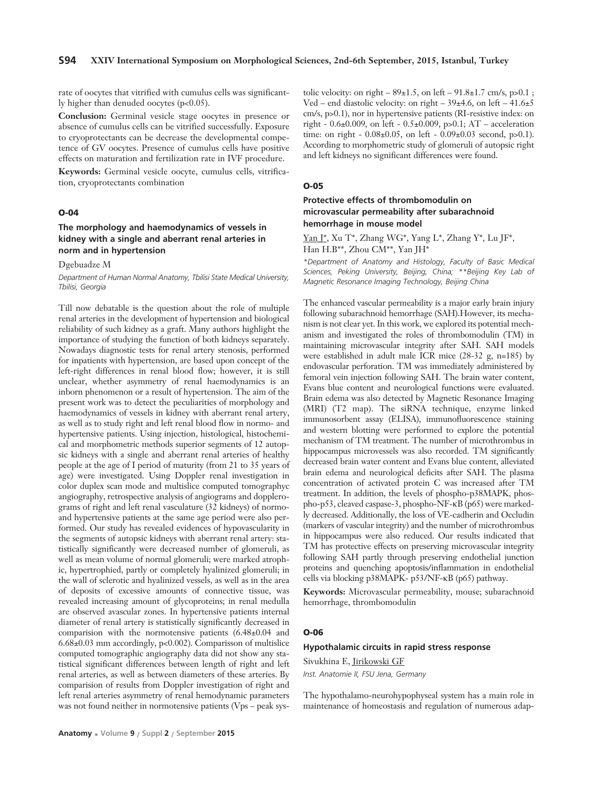rate of oocytes that vitrified with cumulus cells was significantly higher than denuded oocytes (p<0.05).

**Conclusion:** Germinal vesicle stage oocytes in presence or absence of cumulus cells can be vitrified successfully. Exposure to cryoprotectants can be decrease the developmental competence of GV oocytes. Presence of cumulus cells have positive effects on maturation and fertilization rate in IVF procedure.

**Keywords:** Germinal vesicle oocyte, cumulus cells, vitrification, cryoprotectants combination

#### **O-04**

# **The morphology and haemodynamics of vessels in kidney with a single and aberrant renal arteries in norm and in hypertension**

Dgebuadze M

*Department of Human Normal Anatomy, Tbilisi State Medical University, Tbilisi, Georgia* 

Till now debatable is the question about the role of multiple renal arteries in the development of hypertension and biological reliability of such kidney as a graft. Many authors highlight the importance of studying the function of both kidneys separately. Nowadays diagnostic tests for renal artery stenosis, performed for inpatients with hypertension, are based upon concept of the left-right differences in renal blood flow; however, it is still unclear, whether asymmetry of renal haemodynamics is an inborn phenomenon or a result of hypertension. The aim of the present work was to detect the peculiarities of morphology and haemodynamics of vessels in kidney with aberrant renal artery, as well as to study right and left renal blood flow in normo- and hypertensive patients. Using injection, histological, histochemical and morphometric methods superior segments of 12 autopsic kidneys with a single and aberrant renal arteries of healthy people at the age of I period of maturity (from 21 to 35 years of age) were investigated. Using Doppler renal investigation in color duplex scan mode and multislice computed tomographyc angiography, retrospective analysis of angiograms and dopplerograms of right and left renal vasculature (32 kidneys) of normoand hypertensive patients at the same age period were also performed. Our study has revealed evidences of hypovascularity in the segments of autopsic kidneys with aberrant renal artery: statistically significantly were decreased number of glomeruli, as well as mean volume of normal glomeruli; were marked atrophic, hypertrophied, partly or completely hyalinized glomeruli; in the wall of sclerotic and hyalinized vessels, as well as in the area of deposits of excessive amounts of connective tissue, was revealed increasing amount of glycoproteins; in renal medulla are observed avascular zones. In hypertensive patients internal diameter of renal artery is statistically significantly decreased in comparision with the normotensive patients (6.48±0.04 and 6.68±0.03 mm accordingly, p<0.002). Comparisson of multislice computed tomographic angiography data did not show any statistical significant differences between length of right and left renal arteries, as well as between diameters of these arteries. By comparision of results from Doppler investigation of right and left renal arteries asymmetry of renal hemodynamic parameters was not found neither in normotensive patients (Vps – peak sys-

tolic velocity: on right –  $89 \pm 1.5$ , on left –  $91.8 \pm 1.7$  cm/s, p $> 0.1$ ; Ved – end diastolic velocity: on right – 39±4.6, on left – 41.6±5 cm/s, p>0.1), nor in hypertensive patients (RI-resistive index: on right - 0.6±0.009, on left - 0.5±0.009, p>0.1; AT – acceleration time: on right - 0.08±0.05, on left - 0.09±0.03 second, p>0.1). According to morphometric study of glomeruli of autopsic right and left kidneys no significant differences were found.

#### **O-05**

# **Protective effects of thrombomodulin on microvascular permeability after subarachnoid hemorrhage in mouse model**

Yan J\*, Xu T\*, Zhang WG\*, Yang L\*, Zhang Y\*, Lu JF\*, Han H.B\*\*, Zhou CM\*\*, Yan IH\*

*\*Department of Anatomy and Histology, Faculty of Basic Medical Sciences, Peking University, Beijing, China; \*\*Beijing Key Lab of Magnetic Resonance Imaging Technology, Beijing China*

The enhanced vascular permeability is a major early brain injury following subarachnoid hemorrhage (SAH).However, its mechanism is not clear yet. In this work, we explored its potential mechanism and investigated the roles of thrombomodulin (TM) in maintaining microvascular integrity after SAH. SAH models were established in adult male ICR mice (28-32 g, n=185) by endovascular perforation. TM was immediately administered by femoral vein injection following SAH. The brain water content, Evans blue content and neurological functions were evaluated. Brain edema was also detected by Magnetic Resonance Imaging (MRI) (T2 map). The siRNA technique, enzyme linked immunosorbent assay (ELISA), immunofluorescence staining and western blotting were performed to explore the potential mechanism of TM treatment. The number of microthrombus in hippocampus microvessels was also recorded. TM significantly decreased brain water content and Evans blue content, alleviated brain edema and neurological deficits after SAH. The plasma concentration of activated protein C was increased after TM treatment. In addition, the levels of phospho-p38MAPK, phospho-p53, cleaved caspase-3, phospho-NF-κB (p65) were markedly decreased. Additionally, the loss of VE-cadherin and Occludin (markers of vascular integrity) and the number of microthrombus in hippocampus were also reduced. Our results indicated that TM has protective effects on preserving microvascular integrity following SAH partly through preserving endothelial junction proteins and quenching apoptosis/inflammation in endothelial cells via blocking p38MAPK- p53/NF-κB (p65) pathway.

**Keywords:** Microvascular permeability, mouse; subarachnoid hemorrhage, thrombomodulin

# **O-06**

# **Hypothalamic circuits in rapid stress response**

Sivukhina E, Jirikowski GF

*Inst. Anatomie II, FSU Jena, Germany*

The hypothalamo-neurohypophyseal system has a main role in maintenance of homeostasis and regulation of numerous adap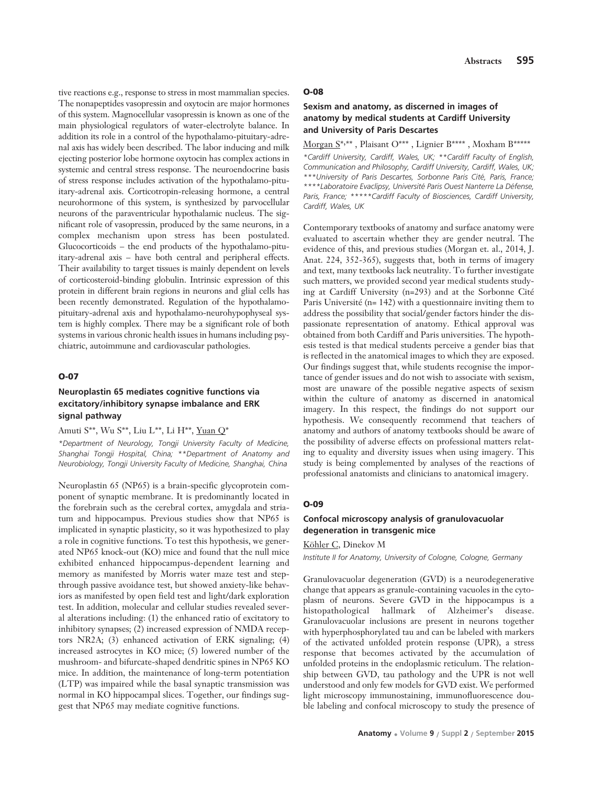tive reactions e.g., response to stress in most mammalian species. The nonapeptides vasopressin and oxytocin are major hormones of this system. Magnocellular vasopressin is known as one of the main physiological regulators of water-electrolyte balance. In addition its role in a control of the hypothalamo-pituitary-adrenal axis has widely been described. The labor inducing and milk ejecting posterior lobe hormone oxytocin has complex actions in systemic and central stress response. The neuroendocrine basis of stress response includes activation of the hypothalamo-pituitary-adrenal axis. Corticotropin-releasing hormone, a central neurohormone of this system, is synthesized by parvocellular neurons of the paraventricular hypothalamic nucleus. The significant role of vasopressin, produced by the same neurons, in a complex mechanism upon stress has been postulated. Glucocorticoids – the end products of the hypothalamo-pituitary-adrenal axis – have both central and peripheral effects. Their availability to target tissues is mainly dependent on levels of corticosteroid-binding globulin. Intrinsic expression of this protein in different brain regions in neurons and glial cells has been recently demonstrated. Regulation of the hypothalamopituitary-adrenal axis and hypothalamo-neurohypophyseal system is highly complex. There may be a significant role of both systems in various chronic health issues in humans including psychiatric, autoimmune and cardiovascular pathologies.

# **O-07**

# **Neuroplastin 65 mediates cognitive functions via excitatory/inhibitory synapse imbalance and ERK signal pathway**

Amuti S\*\*, Wu S\*\*, Liu L\*\*, Li H\*\*, Yuan Q\*

*\*Department of Neurology, Tongji University Faculty of Medicine, Shanghai Tongji Hospital, China; \*\*Department of Anatomy and Neurobiology, Tongji University Faculty of Medicine, Shanghai, China* 

Neuroplastin 65 (NP65) is a brain-specific glycoprotein component of synaptic membrane. It is predominantly located in the forebrain such as the cerebral cortex, amygdala and striatum and hippocampus. Previous studies show that NP65 is implicated in synaptic plasticity, so it was hypothesized to play a role in cognitive functions. To test this hypothesis, we generated NP65 knock-out (KO) mice and found that the null mice exhibited enhanced hippocampus-dependent learning and memory as manifested by Morris water maze test and stepthrough passive avoidance test, but showed anxiety-like behaviors as manifested by open field test and light/dark exploration test. In addition, molecular and cellular studies revealed several alterations including: (1) the enhanced ratio of excitatory to inhibitory synapses; (2) increased expression of NMDA receptors NR2A; (3) enhanced activation of ERK signaling; (4) increased astrocytes in KO mice; (5) lowered number of the mushroom- and bifurcate-shaped dendritic spines in NP65 KO mice. In addition, the maintenance of long-term potentiation (LTP) was impaired while the basal synaptic transmission was normal in KO hippocampal slices. Together, our findings suggest that NP65 may mediate cognitive functions.

#### **O-08**

# **Sexism and anatomy, as discerned in images of anatomy by medical students at Cardiff University and University of Paris Descartes**

Morgan S\*, \*\* , Plaisant O\*\*\* , Lignier B\*\*\*\* , Moxham B\*\*\*\*\* *\*Cardiff University, Cardiff, Wales, UK; \*\*Cardiff Faculty of English, Communication and Philosophy, Cardiff University, Cardiff, Wales, UK; \*\*\*University of Paris Descartes, Sorbonne Paris Cité, Paris, France; \*\*\*\*Laboratoire Evaclipsy, Université Paris Ouest Nanterre La Défense, Paris, France; \*\*\*\*\*Cardiff Faculty of Biosciences, Cardiff University, Cardiff, Wales, UK* 

Contemporary textbooks of anatomy and surface anatomy were evaluated to ascertain whether they are gender neutral. The evidence of this, and previous studies (Morgan et. al., 2014, J. Anat. 224, 352-365), suggests that, both in terms of imagery and text, many textbooks lack neutrality. To further investigate such matters, we provided second year medical students studying at Cardiff University (n=293) and at the Sorbonne Cité Paris Université (n= 142) with a questionnaire inviting them to address the possibility that social/gender factors hinder the dispassionate representation of anatomy. Ethical approval was obtained from both Cardiff and Paris universities. The hypothesis tested is that medical students perceive a gender bias that is reflected in the anatomical images to which they are exposed. Our findings suggest that, while students recognise the importance of gender issues and do not wish to associate with sexism, most are unaware of the possible negative aspects of sexism within the culture of anatomy as discerned in anatomical imagery. In this respect, the findings do not support our hypothesis. We consequently recommend that teachers of anatomy and authors of anatomy textbooks should be aware of the possibility of adverse effects on professional matters relating to equality and diversity issues when using imagery. This study is being complemented by analyses of the reactions of professional anatomists and clinicians to anatomical imagery.

#### **O-09**

# **Confocal microscopy analysis of granulovacuolar degeneration in transgenic mice**

Köhler C, Dinekov M

*Institute II for Anatomy, University of Cologne, Cologne, Germany*

Granulovacuolar degeneration (GVD) is a neurodegenerative change that appears as granule-containing vacuoles in the cytoplasm of neurons. Severe GVD in the hippocampus is a histopathological hallmark of Alzheimer's disease. Granulovacuolar inclusions are present in neurons together with hyperphosphorylated tau and can be labeled with markers of the activated unfolded protein response (UPR), a stress response that becomes activated by the accumulation of unfolded proteins in the endoplasmic reticulum. The relationship between GVD, tau pathology and the UPR is not well understood and only few models for GVD exist. We performed light microscopy immunostaining, immunofluorescence double labeling and confocal microscopy to study the presence of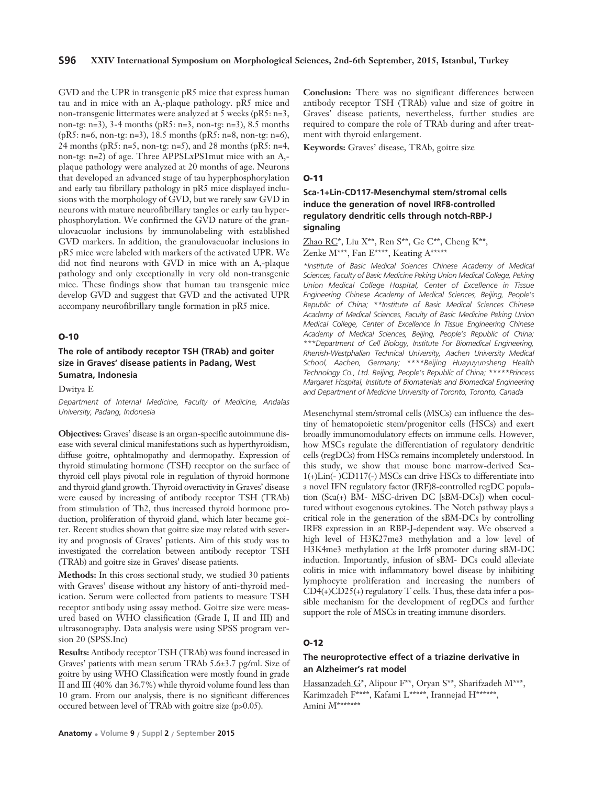# **S96 XXIV International Symposium on Morphological Sciences, 2nd-6th September, 2015, Istanbul, Turkey**

GVD and the UPR in transgenic pR5 mice that express human tau and in mice with an A,-plaque pathology. pR5 mice and non-transgenic littermates were analyzed at 5 weeks (pR5: n=3, non-tg: n=3), 3-4 months (pR5: n=3, non-tg: n=3), 8.5 months (pR5: n=6, non-tg: n=3), 18.5 months (pR5: n=8, non-tg: n=6), 24 months (pR5: n=5, non-tg: n=5), and 28 months (pR5: n=4, non-tg: n=2) of age. Three APPSLxPS1mut mice with an A,plaque pathology were analyzed at 20 months of age. Neurons that developed an advanced stage of tau hyperphosphorylation and early tau fibrillary pathology in pR5 mice displayed inclusions with the morphology of GVD, but we rarely saw GVD in neurons with mature neurofibrillary tangles or early tau hyperphosphorylation. We confirmed the GVD nature of the granulovacuolar inclusions by immunolabeling with established GVD markers. In addition, the granulovacuolar inclusions in pR5 mice were labeled with markers of the activated UPR. We did not find neurons with GVD in mice with an A,-plaque pathology and only exceptionally in very old non-transgenic mice. These findings show that human tau transgenic mice develop GVD and suggest that GVD and the activated UPR accompany neurofibrillary tangle formation in pR5 mice.

#### **O-10**

**The role of antibody receptor TSH (TRAb) and goiter size in Graves' disease patients in Padang, West Sumatra, Indonesia**

Dwitya E

*Department of Internal Medicine, Faculty of Medicine, Andalas University, Padang, Indonesia*

**Objectives:** Graves' disease is an organ-specific autoimmune disease with several clinical manifestations such as hyperthyroidism, diffuse goitre, ophtalmopathy and dermopathy. Expression of thyroid stimulating hormone (TSH) receptor on the surface of thyroid cell plays pivotal role in regulation of thyroid hormone and thyroid gland growth. Thyroid overactivity in Graves' disease were caused by increasing of antibody receptor TSH (TRAb) from stimulation of Th2, thus increased thyroid hormone production, proliferation of thyroid gland, which later became goiter. Recent studies shown that goitre size may related with severity and prognosis of Graves' patients. Aim of this study was to investigated the correlation between antibody receptor TSH (TRAb) and goitre size in Graves' disease patients.

**Methods:** In this cross sectional study, we studied 30 patients with Graves' disease without any history of anti-thyroid medication. Serum were collected from patients to measure TSH receptor antibody using assay method. Goitre size were measured based on WHO classification (Grade I, II and III) and ultrasonography. Data analysis were using SPSS program version 20 (SPSS.Inc)

**Results:** Antibody receptor TSH (TRAb) was found increased in Graves' patients with mean serum TRAb 5.6±3.7 pg/ml. Size of goitre by using WHO Classification were mostly found in grade II and III (40% dan 36.7%) while thyroid volume found less than 10 gram. From our analysis, there is no significant differences occured between level of TRAb with goitre size (p>0.05).

**Conclusion:** There was no significant differences between antibody receptor TSH (TRAb) value and size of goitre in Graves' disease patients, nevertheless, further studies are required to compare the role of TRAb during and after treatment with thyroid enlargement.

**Keywords:** Graves' disease, TRAb, goitre size

#### **O-11**

**Sca-1+Lin-CD117-Mesenchymal stem/stromal cells induce the generation of novel IRF8-controlled regulatory dendritic cells through notch-RBP-J signaling**

Zhao  $RC^*$ , Liu X<sup>\*\*</sup>, Ren S<sup>\*\*</sup>, Ge C<sup>\*\*</sup>, Cheng K<sup>\*\*</sup>, Zenke M\*\*\*, Fan E\*\*\*\*, Keating A\*\*\*\*\*

*\*Institute of Basic Medical Sciences Chinese Academy of Medical Sciences, Faculty of Basic Medicine Peking Union Medical College, Peking Union Medical College Hospital, Center of Excellence in Tissue Engineering Chinese Academy of Medical Sciences, Beijing, People's Republic of China; \*\*Institute of Basic Medical Sciences Chinese Academy of Medical Sciences, Faculty of Basic Medicine Peking Union Medical College, Center of Excellence ‹n Tissue Engineering Chinese Academy of Medical Sciences, Beijing, People's Republic of China; \*\*\*Department of Cell Biology, Institute For Biomedical Engineering, Rhenish-Westphalian Technical University, Aachen University Medical School, Aachen, Germany; \*\*\*\*Beijing Huayuyunsheng Health Technology Co., Ltd. Beijing, People's Republic of China; \*\*\*\*\*Princess Margaret Hospital, Institute of Biomaterials and Biomedical Engineering and Department of Medicine University of Toronto, Toronto, Canada*

Mesenchymal stem/stromal cells (MSCs) can influence the destiny of hematopoietic stem/progenitor cells (HSCs) and exert broadly immunomodulatory effects on immune cells. However, how MSCs regulate the differentiation of regulatory dendritic cells (regDCs) from HSCs remains incompletely understood. In this study, we show that mouse bone marrow-derived Sca-1(+)Lin(- )CD117(-) MSCs can drive HSCs to differentiate into a novel IFN regulatory factor (IRF)8-controlled regDC population (Sca(+) BM- MSC-driven DC [sBM-DCs]) when cocultured without exogenous cytokines. The Notch pathway plays a critical role in the generation of the sBM-DCs by controlling IRF8 expression in an RBP-J-dependent way. We observed a high level of H3K27me3 methylation and a low level of H3K4me3 methylation at the Irf8 promoter during sBM-DC induction. Importantly, infusion of sBM- DCs could alleviate colitis in mice with inflammatory bowel disease by inhibiting lymphocyte proliferation and increasing the numbers of  $CD4(+)CD25(+)$  regulatory T cells. Thus, these data infer a possible mechanism for the development of regDCs and further support the role of MSCs in treating immune disorders.

#### **O-12**

# **The neuroprotective effect of a triazine derivative in an Alzheimer's rat model**

Hassanzadeh G\*, Alipour F\*\*, Oryan S\*\*, Sharifzadeh M\*\*\*, Karimzadeh F\*\*\*\*, Kafami L\*\*\*\*\*, Irannejad H\*\*\*\*\*\*, Amini M\*\*\*\*\*\*\*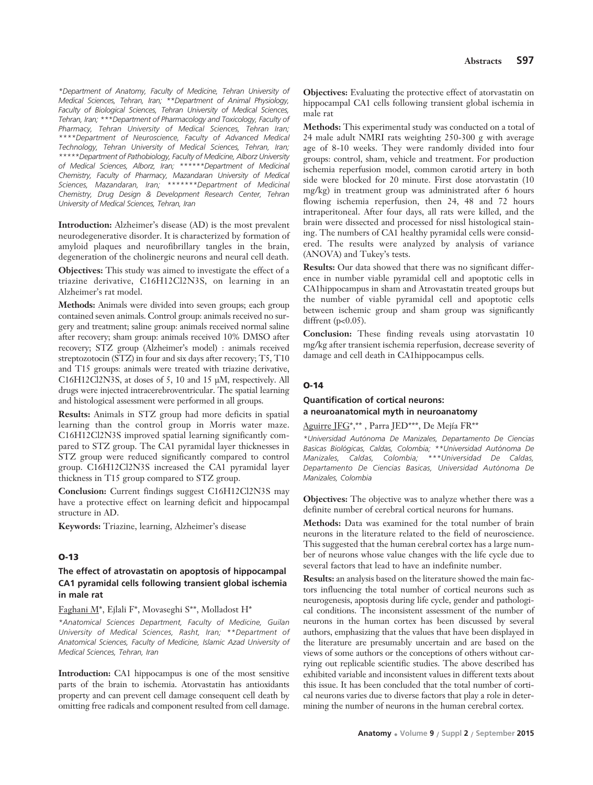*\*Department of Anatomy, Faculty of Medicine, Tehran University of Medical Sciences, Tehran, Iran; \*\*Department of Animal Physiology, Faculty of Biological Sciences, Tehran University of Medical Sciences, Tehran, Iran; \*\*\*Department of Pharmacology and Toxicology, Faculty of Pharmacy, Tehran University of Medical Sciences, Tehran Iran; \*\*\*\*Department of Neuroscience, Faculty of Advanced Medical Technology, Tehran University of Medical Sciences, Tehran, Iran; \*\*\*\*\*Department of Pathobiology, Faculty of Medicine, Alborz University of Medical Sciences, Alborz, Iran; \*\*\*\*\*\*Department of Medicinal Chemistry, Faculty of Pharmacy, Mazandaran University of Medical Sciences, Mazandaran, Iran; \*\*\*\*\*\*\*Department of Medicinal Chemistry, Drug Design & Development Research Center, Tehran University of Medical Sciences, Tehran, Iran*

**Introduction:** Alzheimer's disease (AD) is the most prevalent neurodegenerative disorder. It is characterized by formation of amyloid plaques and neurofibrillary tangles in the brain, degeneration of the cholinergic neurons and neural cell death.

**Objectives:** This study was aimed to investigate the effect of a triazine derivative, C16H12Cl2N3S, on learning in an Alzheimer's rat model.

**Methods:** Animals were divided into seven groups; each group contained seven animals. Control group: animals received no surgery and treatment; saline group: animals received normal saline after recovery; sham group: animals received 10% DMSO after recovery; STZ group (Alzheimer's model) : animals received streptozotocin (STZ) in four and six days after recovery; T5, T10 and T15 groups: animals were treated with triazine derivative, C16H12Cl2N3S, at doses of 5, 10 and 15 μM, respectively. All drugs were injected intracerebroventricular. The spatial learning and histological assessment were performed in all groups.

**Results:** Animals in STZ group had more deficits in spatial learning than the control group in Morris water maze. C16H12Cl2N3S improved spatial learning significantly compared to STZ group. The CA1 pyramidal layer thicknesses in STZ group were reduced significantly compared to control group. C16H12Cl2N3S increased the CA1 pyramidal layer thickness in T15 group compared to STZ group.

**Conclusion:** Current findings suggest C16H12Cl2N3S may have a protective effect on learning deficit and hippocampal structure in AD.

**Keywords:** Triazine, learning, Alzheimer's disease

#### **O-13**

# **The effect of atrovastatin on apoptosis of hippocampal CA1 pyramidal cells following transient global ischemia in male rat**

#### Faghani M\*, Ejlali F\*, Movaseghi S\*\*, Molladost H\*

*\*Anatomical Sciences Department, Faculty of Medicine, Guilan University of Medical Sciences, Rasht, Iran; \*\*Department of Anatomical Sciences, Faculty of Medicine, Islamic Azad University of Medical Sciences, Tehran, Iran*

**Introduction:** CA1 hippocampus is one of the most sensitive parts of the brain to ischemia. Atorvastatin has antioxidants property and can prevent cell damage consequent cell death by omitting free radicals and component resulted from cell damage.

**Objectives:** Evaluating the protective effect of atorvastatin on hippocampal CA1 cells following transient global ischemia in male rat

**Methods:** This experimental study was conducted on a total of 24 male adult NMRI rats weighting 250-300 g with average age of 8-10 weeks. They were randomly divided into four groups: control, sham, vehicle and treatment. For production ischemia reperfusion model, common carotid artery in both side were blocked for 20 minute. First dose atorvastatin (10 mg/kg) in treatment group was administrated after 6 hours flowing ischemia reperfusion, then 24, 48 and 72 hours intraperitoneal. After four days, all rats were killed, and the brain were dissected and processed for nissl histological staining. The numbers of CA1 healthy pyramidal cells were considered. The results were analyzed by analysis of variance (ANOVA) and Tukey's tests.

**Results:** Our data showed that there was no significant difference in number viable pyramidal cell and apoptotic cells in CA1hippocampus in sham and Atrovastatin treated groups but the number of viable pyramidal cell and apoptotic cells between ischemic group and sham group was significantly diffrent  $(p<0.05)$ .

**Conclusion:** These finding reveals using atorvastatin 10 mg/kg after transient ischemia reperfusion, decrease severity of damage and cell death in CA1hippocampus cells.

#### **O-14**

#### **Quantification of cortical neurons: a neuroanatomical myth in neuroanatomy**

Aguirre JFG\*,\*\* , Parra JED\*\*\*, De Mejía FR\*\*

*\*Universidad Autónoma De Manizales, Departamento De Ciencias Basicas Biológicas, Caldas, Colombia; \*\*Universidad Autónoma De Manizales, Caldas, Colombia; \*\*\*Universidad De Caldas, Departamento De Ciencias Basicas, Universidad Autónoma De Manizales, Colombia* 

**Objectives:** The objective was to analyze whether there was a definite number of cerebral cortical neurons for humans.

**Methods:** Data was examined for the total number of brain neurons in the literature related to the field of neuroscience. This suggested that the human cerebral cortex has a large number of neurons whose value changes with the life cycle due to several factors that lead to have an indefinite number.

**Results:** an analysis based on the literature showed the main factors influencing the total number of cortical neurons such as neurogenesis, apoptosis during life cycle, gender and pathological conditions. The inconsistent assessment of the number of neurons in the human cortex has been discussed by several authors, emphasizing that the values that have been displayed in the literature are presumably uncertain and are based on the views of some authors or the conceptions of others without carrying out replicable scientific studies. The above described has exhibited variable and inconsistent values in different texts about this issue. It has been concluded that the total number of cortical neurons varies due to diverse factors that play a role in determining the number of neurons in the human cerebral cortex.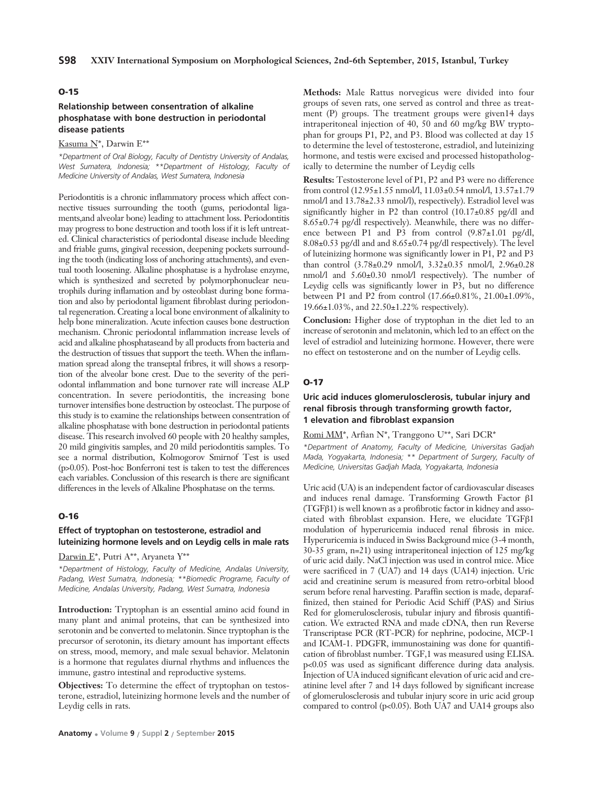#### **O-15**

# **Relationship between consentration of alkaline phosphatase with bone destruction in periodontal disease patients**

Kasuma N\*, Darwin E\*\*

*\*Department of Oral Biology, Faculty of Dentistry University of Andalas, West Sumatera, Indonesia; \*\*Department of Histology, Faculty of Medicine University of Andalas, West Sumatera, Indonesia* 

Periodontitis is a chronic inflammatory process which affect connective tissues surrounding the tooth (gums, periodontal ligaments,and alveolar bone) leading to attachment loss. Periodontitis may progress to bone destruction and tooth loss if it is left untreated. Clinical characteristics of periodontal disease include bleeding and friable gums, gingival recession, deepening pockets surrounding the tooth (indicating loss of anchoring attachments), and eventual tooth loosening. Alkaline phosphatase is a hydrolase enzyme, which is synthesized and secreted by polymorphonuclear neutrophils during inflamation and by osteoblast during bone formation and also by periodontal ligament fibroblast during periodontal regeneration. Creating a local bone environment of alkalinity to help bone mineralization. Acute infection causes bone destruction mechanism. Chronic periodontal inflammation increase levels of acid and alkaline phosphataseand by all products from bacteria and the destruction of tissues that support the teeth. When the inflammation spread along the transeptal fribres, it will shows a resorption of the alveolar bone crest. Due to the severity of the periodontal inflammation and bone turnover rate will increase ALP concentration. In severe periodontitis, the increasing bone turnover intensifies bone destruction by osteoclast. The purpose of this study is to examine the relationships between consentration of alkaline phosphatase with bone destruction in periodontal patients disease. This research involved 60 people with 20 healthy samples, 20 mild gingivitis samples, and 20 mild periodontitis samples. To see a normal distribution, Kolmogorov Smirnof Test is used (p>0.05). Post-hoc Bonferroni test is taken to test the differences each variables. Conclussion of this research is there are significant differences in the levels of Alkaline Phosphatase on the terms.

#### **O-16**

# **Effect of tryptophan on testosterone, estradiol and luteinizing hormone levels and on Leydig cells in male rats**

Darwin E\*, Putri A\*\*, Aryaneta Y\*\*

*\*Department of Histology, Faculty of Medicine, Andalas University, Padang, West Sumatra, Indonesia; \*\*Biomedic Programe, Faculty of Medicine, Andalas University, Padang, West Sumatra, Indonesia*

**Introduction:** Tryptophan is an essential amino acid found in many plant and animal proteins, that can be synthesized into serotonin and be converted to melatonin. Since tryptophan is the precursor of serotonin, its dietary amount has important effects on stress, mood, memory, and male sexual behavior. Melatonin is a hormone that regulates diurnal rhythms and influences the immune, gastro intestinal and reproductive systems.

**Objectives:** To determine the effect of tryptophan on testosterone, estradiol, luteinizing hormone levels and the number of Leydig cells in rats.

**Methods:** Male Rattus norvegicus were divided into four groups of seven rats, one served as control and three as treatment (P) groups. The treatment groups were given14 days intraperitoneal injection of 40, 50 and 60 mg/kg BW tryptophan for groups P1, P2, and P3. Blood was collected at day 15 to determine the level of testosterone, estradiol, and luteinizing hormone, and testis were excised and processed histopathologically to determine the number of Leydig cells

**Results:** Testosterone level of P1, P2 and P3 were no difference from control (12.95±1.55 nmol/l, 11.03±0.54 nmol/l, 13.57±1.79 nmol/l and 13.78±2.33 nmol/l), respectively). Estradiol level was significantly higher in P2 than control (10.17±0.85 pg/dl and 8.65±0.74 pg/dl respectively). Meanwhile, there was no difference between P1 and P3 from control (9.87±1.01 pg/dl, 8.08±0.53 pg/dl and and 8.65±0.74 pg/dl respectively). The level of luteinizing hormone was significantly lower in P1, P2 and P3 than control (3.78±0.29 nmol/l, 3.32±0.35 nmol/l, 2.96±0.28 nmol/l and 5.60±0.30 nmol/l respectively). The number of Leydig cells was significantly lower in P3, but no difference between P1 and P2 from control (17.66±0.81%, 21.00±1.09%, 19.66±1.03%, and 22.50±1.22% respectively).

**Conclusion:** Higher dose of tryptophan in the diet led to an increase of serotonin and melatonin, which led to an effect on the level of estradiol and luteinizing hormone. However, there were no effect on testosterone and on the number of Leydig cells.

#### **O-17**

# **Uric acid induces glomerulosclerosis, tubular injury and renal fibrosis through transforming growth factor' 1 elevation and fibroblast expansion**

# Romi MM\*, Arfian N\*, Tranggono U\*\*, Sari DCR\*

*\*Department of Anatomy, Faculty of Medicine, Universitas Gadjah Mada, Yogyakarta, Indonesia; \*\* Department of Surgery, Faculty of Medicine, Universitas Gadjah Mada, Yogyakarta, Indonesia*

Uric acid (UA) is an independent factor of cardiovascular diseases and induces renal damage. Transforming Growth Factor β1 (TGFβ1) is well known as a profibrotic factor in kidney and associated with fibroblast expansion. Here, we elucidate TGFβ1 modulation of hyperuricemia induced renal fibrosis in mice. Hyperuricemia is induced in Swiss Background mice (3-4 month, 30-35 gram, n=21) using intraperitoneal injection of 125 mg/kg of uric acid daily. NaCl injection was used in control mice. Mice were sacrificed in 7 (UA7) and 14 days (UA14) injection. Uric acid and creatinine serum is measured from retro-orbital blood serum before renal harvesting. Paraffin section is made, deparaffinized, then stained for Periodic Acid Schiff (PAS) and Sirius Red for glomerulosclerosis, tubular injury and fibrosis quantification. We extracted RNA and made cDNA, then run Reverse Transcriptase PCR (RT-PCR) for nephrine, podocine, MCP-1 and ICAM-1. PDGFR, immunostaining was done for quantification of fibroblast number. TGF,1 was measured using ELISA. p<0.05 was used as significant difference during data analysis. Injection of UA induced significant elevation of uric acid and creatinine level after 7 and 14 days followed by significant increase of glomerulosclerosis and tubular injury score in uric acid group compared to control (p<0.05). Both UA7 and UA14 groups also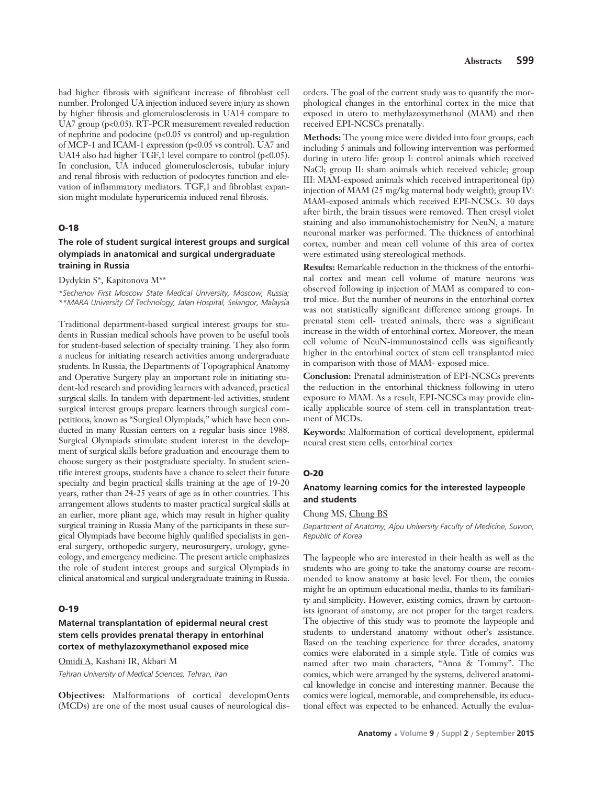had higher fibrosis with significant increase of fibroblast cell number. Prolonged UA injection induced severe injury as shown by higher fibrosis and glomerulosclerosis in UA14 compare to UA7 group (p<0.05). RT-PCR measurement revealed reduction of nephrine and podocine (p<0.05 vs control) and up-regulation of MCP-1 and ICAM-1 expression (p<0.05 vs control). UA7 and UA14 also had higher TGF,1 level compare to control ( $p<0.05$ ). In conclusion, UA induced glomerulosclerosis, tubular injury and renal fibrosis with reduction of podocytes function and elevation of inflammatory mediators. TGF,1 and fibroblast expansion might modulate hyperuricemia induced renal fibrosis.

#### **O-18**

# **The role of student surgical interest groups and surgical olympiads in anatomical and surgical undergraduate training in Russia**

Dydykin S\*, Kapitonova M\*\*

*\*Sechenov First Moscow State Medical University, Moscow, Russia; \*\*MARA University Of Technology, Jalan Hospital, Selangor, Malaysia*

Traditional department-based surgical interest groups for students in Russian medical schools have proven to be useful tools for student-based selection of specialty training. They also form a nucleus for initiating research activities among undergraduate students. In Russia, the Departments of Topographical Anatomy and Operative Surgery play an important role in initiating student-led research and providing learners with advanced, practical surgical skills. In tandem with department-led activities, student surgical interest groups prepare learners through surgical competitions, known as "Surgical Olympiads," which have been conducted in many Russian centers on a regular basis since 1988. Surgical Olympiads stimulate student interest in the development of surgical skills before graduation and encourage them to choose surgery as their postgraduate specialty. In student scientific interest groups, students have a chance to select their future specialty and begin practical skills training at the age of 19-20 years, rather than 24-25 years of age as in other countries. This arrangement allows students to master practical surgical skills at an earlier, more pliant age, which may result in higher quality surgical training in Russia Many of the participants in these surgical Olympiads have become highly qualified specialists in general surgery, orthopedic surgery, neurosurgery, urology, gynecology, and emergency medicine. The present article emphasizes the role of student interest groups and surgical Olympiads in clinical anatomical and surgical undergraduate training in Russia.

#### **O-19**

# **Maternal transplantation of epidermal neural crest stem cells provides prenatal therapy in entorhinal cortex of methylazoxymethanol exposed mice**

Omidi A, Kashani IR, Akbari M *Tehran University of Medical Sciences, Tehran, Iran*

**Objectives:** Malformations of cortical developmOents (MCDs) are one of the most usual causes of neurological dis-

orders. The goal of the current study was to quantify the morphological changes in the entorhinal cortex in the mice that exposed in utero to methylazoxymethanol (MAM) and then received EPI-NCSCs prenatally.

**Methods:** The young mice were divided into four groups, each including 5 animals and following intervention was performed during in utero life: group I: control animals which received NaCl; group II: sham animals which received vehicle; group III: MAM-exposed animals which received intraperitoneal (ip) injection of MAM (25 mg/kg maternal body weight); group IV: MAM-exposed animals which received EPI-NCSCs. 30 days after birth, the brain tissues were removed. Then cresyl violet staining and also immunohistochemistry for NeuN, a mature neuronal marker was performed. The thickness of entorhinal cortex, number and mean cell volume of this area of cortex were estimated using stereological methods.

**Results:** Remarkable reduction in the thickness of the entorhinal cortex and mean cell volume of mature neurons was observed following ip injection of MAM as compared to control mice. But the number of neurons in the entorhinal cortex was not statistically significant difference among groups. In prenatal stem cell- treated animals, there was a significant increase in the width of entorhinal cortex. Moreover, the mean cell volume of NeuN-immunostained cells was significantly higher in the entorhinal cortex of stem cell transplanted mice in comparison with those of MAM- exposed mice.

**Conclusion:** Prenatal administration of EPI-NCSCs prevents the reduction in the entorhinal thickness following in utero exposure to MAM. As a result, EPI-NCSCs may provide clinically applicable source of stem cell in transplantation treatment of MCDs.

**Keywords:** Malformation of cortical development, epidermal neural crest stem cells, entorhinal cortex

#### **O-20**

# **Anatomy learning comics for the interested laypeople and students**

Chung MS, Chung BS

*Department of Anatomy, Ajou University Faculty of Medicine, Suwon, Republic of Korea* 

The laypeople who are interested in their health as well as the students who are going to take the anatomy course are recommended to know anatomy at basic level. For them, the comics might be an optimum educational media, thanks to its familiarity and simplicity. However, existing comics, drawn by cartoonists ignorant of anatomy, are not proper for the target readers. The objective of this study was to promote the laypeople and students to understand anatomy without other's assistance. Based on the teaching experience for three decades, anatomy comics were elaborated in a simple style. Title of comics was named after two main characters, "Anna & Tommy". The comics, which were arranged by the systems, delivered anatomical knowledge in concise and interesting manner. Because the comics were logical, memorable, and comprehensible, its educational effect was expected to be enhanced. Actually the evalua-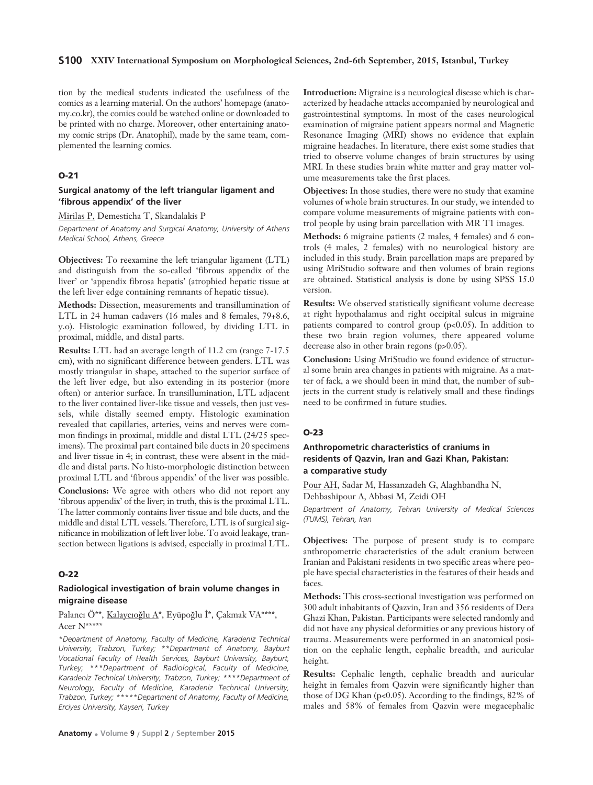#### **S100 XXIV International Symposium on Morphological Sciences, 2nd-6th September, 2015, Istanbul, Turkey**

tion by the medical students indicated the usefulness of the comics as a learning material. On the authors' homepage (anatomy.co.kr), the comics could be watched online or downloaded to be printed with no charge. Moreover, other entertaining anatomy comic strips (Dr. Anatophil), made by the same team, complemented the learning comics.

#### **O-21**

# **Surgical anatomy of the left triangular ligament and 'fibrous appendix' of the liver**

Mirilas P, Demesticha T, Skandalakis P

*Department of Anatomy and Surgical Anatomy, University of Athens Medical School, Athens, Greece*

**Objectives:** To reexamine the left triangular ligament (LTL) and distinguish from the so-called 'fibrous appendix of the liver' or 'appendix fibrosa hepatis' (atrophied hepatic tissue at the left liver edge containing remnants of hepatic tissue).

**Methods:** Dissection, measurements and transillumination of LTL in 24 human cadavers (16 males and 8 females, 79+8.6, y.o). Histologic examination followed, by dividing LTL in proximal, middle, and distal parts.

**Results:** LTL had an average length of 11.2 cm (range 7-17.5 cm), with no significant difference between genders. LTL was mostly triangular in shape, attached to the superior surface of the left liver edge, but also extending in its posterior (more often) or anterior surface. In transillumination, LTL adjacent to the liver contained liver-like tissue and vessels, then just vessels, while distally seemed empty. Histologic examination revealed that capillaries, arteries, veins and nerves were common findings in proximal, middle and distal LTL (24/25 specimens). The proximal part contained bile ducts in 20 specimens and liver tissue in 4; in contrast, these were absent in the middle and distal parts. No histo-morphologic distinction between proximal LTL and 'fibrous appendix' of the liver was possible.

**Conclusions:** We agree with others who did not report any 'fibrous appendix' of the liver; in truth, this is the proximal LTL. The latter commonly contains liver tissue and bile ducts, and the middle and distal LTL vessels. Therefore, LTL is of surgical significance in mobilization of left liver lobe. To avoid leakage, transection between ligations is advised, especially in proximal LTL.

#### **O-22**

# **Radiological investigation of brain volume changes in migraine disease**

Palancı Ö\*\*, Kalaycıoğlu A\*, Eyüpoğlu İ\*, Çakmak VA\*\*\*\*, Acer N\*\*\*\*\*

*\*Department of Anatomy, Faculty of Medicine, Karadeniz Technical University, Trabzon, Turkey; \*\*Department of Anatomy, Bayburt Vocational Faculty of Health Services, Bayburt University, Bayburt, Turkey; \*\*\*Department of Radiological, Faculty of Medicine, Karadeniz Technical University, Trabzon, Turkey; \*\*\*\*Department of Neurology, Faculty of Medicine, Karadeniz Technical University, Trabzon, Turkey; \*\*\*\*\*Department of Anatomy, Faculty of Medicine, Erciyes University, Kayseri, Turkey*

**Introduction:** Migraine is a neurological disease which is characterized by headache attacks accompanied by neurological and gastrointestinal symptoms. In most of the cases neurological examination of migraine patient appears normal and Magnetic Resonance Imaging (MRI) shows no evidence that explain migraine headaches. In literature, there exist some studies that tried to observe volume changes of brain structures by using MRI. In these studies brain white matter and gray matter volume measurements take the first places.

**Objectives:** In those studies, there were no study that examine volumes of whole brain structures. In our study, we intended to compare volume measurements of migraine patients with control people by using brain parcellation with MR T1 images.

**Methods:** 6 migraine patients (2 males, 4 females) and 6 controls (4 males, 2 females) with no neurological history are included in this study. Brain parcellation maps are prepared by using MriStudio software and then volumes of brain regions are obtained. Statistical analysis is done by using SPSS 15.0 version.

**Results:** We observed statistically significant volume decrease at right hypothalamus and right occipital sulcus in migraine patients compared to control group (p<0.05). In addition to these two brain region volumes, there appeared volume decrease also in other brain regons (p>0.05).

**Conclusion:** Using MriStudio we found evidence of structural some brain area changes in patients with migraine. As a matter of fack, a we should been in mind that, the number of subjects in the current study is relatively small and these findings need to be confirmed in future studies.

#### **O-23**

# **Anthropometric characteristics of craniums in residents of Qazvin, Iran and Gazi Khan, Pakistan: a comparative study**

Pour AH, Sadar M, Hassanzadeh G, Alaghbandha N,

Dehbashipour A, Abbasi M, Zeidi OH

*Department of Anatomy, Tehran University of Medical Sciences (TUMS), Tehran, Iran* 

**Objectives:** The purpose of present study is to compare anthropometric characteristics of the adult cranium between Iranian and Pakistani residents in two specific areas where people have special characteristics in the features of their heads and faces.

**Methods:** This cross-sectional investigation was performed on 300 adult inhabitants of Qazvin, Iran and 356 residents of Dera Ghazi Khan, Pakistan. Participants were selected randomly and did not have any physical deformities or any previous history of trauma. Measurements were performed in an anatomical position on the cephalic length, cephalic breadth, and auricular height.

**Results:** Cephalic length, cephalic breadth and auricular height in females from Qazvin were significantly higher than those of DG Khan ( $p<0.05$ ). According to the findings, 82% of males and 58% of females from Qazvin were megacephalic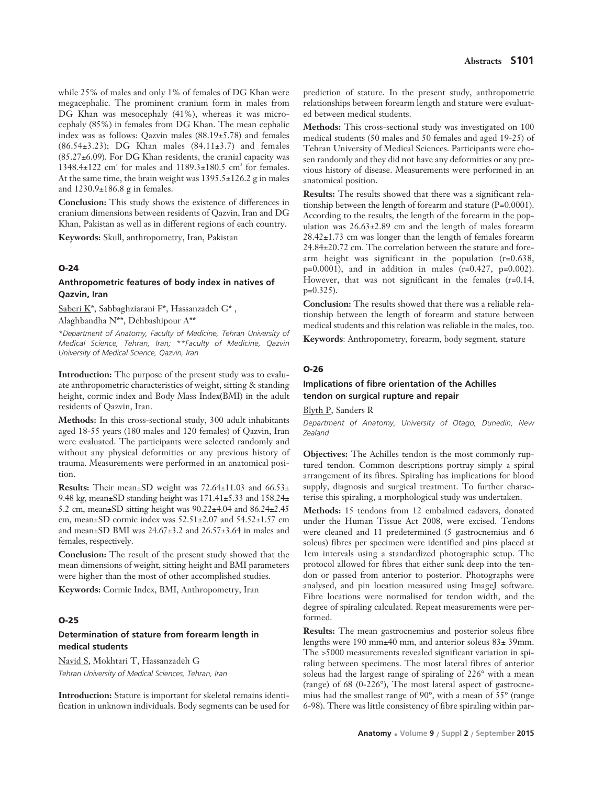while 25% of males and only 1% of females of DG Khan were megacephalic. The prominent cranium form in males from DG Khan was mesocephaly (41%), whereas it was microcephaly (85%) in females from DG Khan. The mean cephalic index was as follows: Qazvin males (88.19±5.78) and females (86.54±3.23); DG Khan males (84.11±3.7) and females (85.27±6.09). For DG Khan residents, the cranial capacity was 1348.4 $\pm$ 122 cm<sup>3</sup> for males and 1189.3 $\pm$ 180.5 cm<sup>3</sup> for females. At the same time, the brain weight was 1395.5±126.2 g in males and 1230.9±186.8 g in females.

**Conclusion:** This study shows the existence of differences in cranium dimensions between residents of Qazvin, Iran and DG Khan, Pakistan as well as in different regions of each country.

**Keywords:** Skull, anthropometry, Iran, Pakistan

#### **O-24**

# **Anthropometric features of body index in natives of Qazvin, Iran**

Saberi K\*, Sabbaghziarani F\*, Hassanzadeh G\* , Alaghbandha N\*\*, Dehbashipour A\*\*

*\*Department of Anatomy, Faculty of Medicine, Tehran University of Medical Science, Tehran, Iran; \*\*Faculty of Medicine, Qazvin University of Medical Science, Qazvin, Iran* 

**Introduction:** The purpose of the present study was to evaluate anthropometric characteristics of weight, sitting & standing height, cormic index and Body Mass Index(BMI) in the adult residents of Qazvin, Iran.

**Methods:** In this cross-sectional study, 300 adult inhabitants aged 18-55 years (180 males and 120 females) of Qazvin, Iran were evaluated. The participants were selected randomly and without any physical deformities or any previous history of trauma. Measurements were performed in an anatomical position.

**Results:** Their mean±SD weight was 72.64±11.03 and 66.53± 9.48 kg, mean±SD standing height was 171.41±5.33 and 158.24± 5.2 cm, mean±SD sitting height was 90.22±4.04 and 86.24±2.45 cm, mean±SD cormic index was 52.51±2.07 and 54.52±1.57 cm and mean±SD BMI was 24.67±3.2 and 26.57±3.64 in males and females, respectively.

**Conclusion:** The result of the present study showed that the mean dimensions of weight, sitting height and BMI parameters were higher than the most of other accomplished studies.

**Keywords:** Cormic Index, BMI, Anthropometry, Iran

# **O-25**

# **Determination of stature from forearm length in medical students**

Navid S, Mokhtari T, Hassanzadeh G *Tehran University of Medical Sciences, Tehran, Iran* 

**Introduction:** Stature is important for skeletal remains identification in unknown individuals. Body segments can be used for prediction of stature. In the present study, anthropometric relationships between forearm length and stature were evaluated between medical students.

**Methods:** This cross-sectional study was investigated on 100 medical students (50 males and 50 females and aged 19-25) of Tehran University of Medical Sciences. Participants were chosen randomly and they did not have any deformities or any previous history of disease. Measurements were performed in an anatomical position.

**Results:** The results showed that there was a significant relationship between the length of forearm and stature (P=0.0001). According to the results, the length of the forearm in the population was 26.63±2.89 cm and the length of males forearm 28.42±1.73 cm was longer than the length of females forearm 24.84±20.72 cm. The correlation between the stature and forearm height was significant in the population (r=0.638, p=0.0001), and in addition in males (r=0.427, p=0.002). However, that was not significant in the females (r=0.14, p=0.325).

**Conclusion:** The results showed that there was a reliable relationship between the length of forearm and stature between medical students and this relation was reliable in the males, too.

**Keywords**: Anthropometry, forearm, body segment, stature

#### **O-26**

# **Implications of fibre orientation of the Achilles tendon on surgical rupture and repair**

Blyth P, Sanders R

*Department of Anatomy, University of Otago, Dunedin, New Zealand* 

**Objectives:** The Achilles tendon is the most commonly ruptured tendon. Common descriptions portray simply a spiral arrangement of its fibres. Spiraling has implications for blood supply, diagnosis and surgical treatment. To further characterise this spiraling, a morphological study was undertaken.

**Methods:** 15 tendons from 12 embalmed cadavers, donated under the Human Tissue Act 2008, were excised. Tendons were cleaned and 11 predetermined (5 gastrocnemius and 6 soleus) fibres per specimen were identified and pins placed at 1cm intervals using a standardized photographic setup. The protocol allowed for fibres that either sunk deep into the tendon or passed from anterior to posterior. Photographs were analysed, and pin location measured using ImageJ software. Fibre locations were normalised for tendon width, and the degree of spiraling calculated. Repeat measurements were performed.

**Results:** The mean gastrocnemius and posterior soleus fibre lengths were 190 mm±40 mm, and anterior soleus 83± 39mm. The >5000 measurements revealed significant variation in spiraling between specimens. The most lateral fibres of anterior soleus had the largest range of spiraling of 226° with a mean (range) of 68 (0-226°), The most lateral aspect of gastrocnemius had the smallest range of 90°, with a mean of 55° (range 6-98). There was little consistency of fibre spiraling within par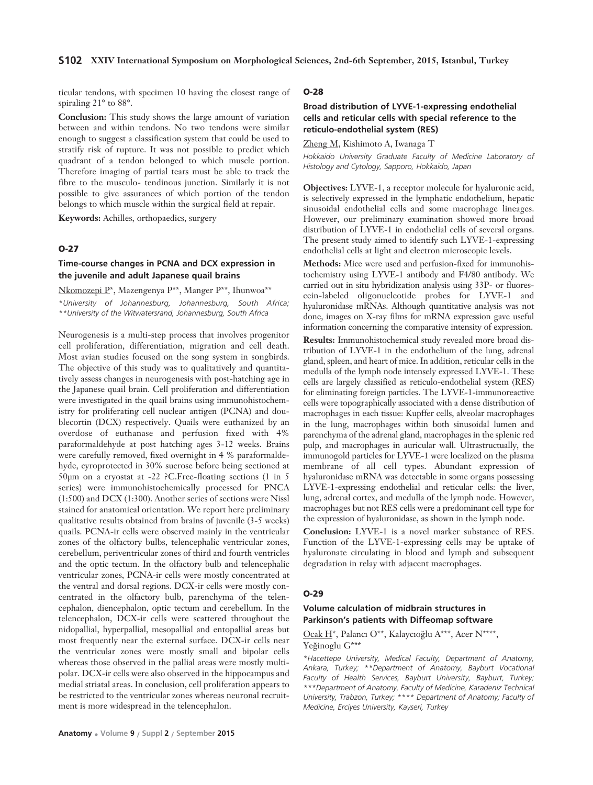ticular tendons, with specimen 10 having the closest range of spiraling 21° to 88°.

**Conclusion:** This study shows the large amount of variation between and within tendons. No two tendons were similar enough to suggest a classification system that could be used to stratify risk of rupture. It was not possible to predict which quadrant of a tendon belonged to which muscle portion. Therefore imaging of partial tears must be able to track the fibre to the musculo- tendinous junction. Similarly it is not possible to give assurances of which portion of the tendon belongs to which muscle within the surgical field at repair.

**Keywords:** Achilles, orthopaedics, surgery

# **O-27**

# **Time-course changes in PCNA and DCX expression in the juvenile and adult Japanese quail brains**

Nkomozepi P\*, Mazengenya P\*\*, Manger P\*\*, Ihunwoa\*\* *\*University of Johannesburg, Johannesburg, South Africa; \*\*University of the Witwatersrand, Johannesburg, South Africa*

Neurogenesis is a multi-step process that involves progenitor cell proliferation, differentiation, migration and cell death. Most avian studies focused on the song system in songbirds. The objective of this study was to qualitatively and quantitatively assess changes in neurogenesis with post-hatching age in the Japanese quail brain. Cell proliferation and differentiation were investigated in the quail brains using immunohistochemistry for proliferating cell nuclear antigen (PCNA) and doublecortin (DCX) respectively. Quails were euthanized by an overdose of euthanase and perfusion fixed with 4% paraformaldehyde at post hatching ages 3-12 weeks. Brains were carefully removed, fixed overnight in 4 % paraformaldehyde, cyroprotected in 30% sucrose before being sectioned at 50μm on a cryostat at -22 ?C.Free-floating sections (1 in 5 series) were immunohistochemically processed for PNCA (1:500) and DCX (1:300). Another series of sections were Nissl stained for anatomical orientation. We report here preliminary qualitative results obtained from brains of juvenile (3-5 weeks) quails. PCNA-ir cells were observed mainly in the ventricular zones of the olfactory bulbs, telencephalic ventricular zones, cerebellum, periventricular zones of third and fourth ventricles and the optic tectum. In the olfactory bulb and telencephalic ventricular zones, PCNA-ir cells were mostly concentrated at the ventral and dorsal regions. DCX-ir cells were mostly concentrated in the olfactory bulb, parenchyma of the telencephalon, diencephalon, optic tectum and cerebellum. In the telencephalon, DCX-ir cells were scattered throughout the nidopallial, hyperpallial, mesopallial and entopallial areas but most frequently near the external surface. DCX-ir cells near the ventricular zones were mostly small and bipolar cells whereas those observed in the pallial areas were mostly multipolar. DCX-ir cells were also observed in the hippocampus and medial striatal areas. In conclusion, cell proliferation appears to be restricted to the ventricular zones whereas neuronal recruitment is more widespread in the telencephalon.

#### **O-28**

# **Broad distribution of LYVE-1-expressing endothelial cells and reticular cells with special reference to the reticulo-endothelial system (RES)**

Zheng M, Kishimoto A, Iwanaga T

*Hokkaido University Graduate Faculty of Medicine Laboratory of Histology and Cytology, Sapporo, Hokkaido, Japan*

**Objectives:** LYVE-1, a receptor molecule for hyaluronic acid, is selectively expressed in the lymphatic endothelium, hepatic sinusoidal endothelial cells and some macrophage lineages. However, our preliminary examination showed more broad distribution of LYVE-1 in endothelial cells of several organs. The present study aimed to identify such LYVE-1-expressing endothelial cells at light and electron microscopic levels.

**Methods:** Mice were used and perfusion-fixed for immunohistochemistry using LYVE-1 antibody and F4/80 antibody. We carried out in situ hybridization analysis using 33P- or fluorescein-labeled oligonucleotide probes for LYVE-1 and hyaluronidase mRNAs. Although quantitative analysis was not done, images on X-ray films for mRNA expression gave useful information concerning the comparative intensity of expression.

**Results:** Immunohistochemical study revealed more broad distribution of LYVE-1 in the endothelium of the lung, adrenal gland, spleen, and heart of mice. In addition, reticular cells in the medulla of the lymph node intensely expressed LYVE-1. These cells are largely classified as reticulo-endothelial system (RES) for eliminating foreign particles. The LYVE-1-immunoreactive cells were topographically associated with a dense distribution of macrophages in each tissue: Kupffer cells, alveolar macrophages in the lung, macrophages within both sinusoidal lumen and parenchyma of the adrenal gland, macrophages in the splenic red pulp, and macrophages in auricular wall. Ultrastructually, the immunogold particles for LYVE-1 were localized on the plasma membrane of all cell types. Abundant expression of hyaluronidase mRNA was detectable in some organs possessing LYVE-1-expressing endothelial and reticular cells: the liver, lung, adrenal cortex, and medulla of the lymph node. However, macrophages but not RES cells were a predominant cell type for the expression of hyaluronidase, as shown in the lymph node.

**Conclusion:** LYVE-1 is a novel marker substance of RES. Function of the LYVE-1-expressing cells may be uptake of hyaluronate circulating in blood and lymph and subsequent degradation in relay with adjacent macrophages.

#### **O-29**

# **Volume calculation of midbrain structures in Parkinson's patients with Diffeomap software**

Ocak H<sup>\*</sup>, Palancı O\*\*, Kalaycıoğlu A\*\*\*, Acer N\*\*\*\*, Yeğinoglu G\*\*\*

*\*Hacettepe University, Medical Faculty, Department of Anatomy, Ankara, Turkey; \*\*Department of Anatomy, Bayburt Vocational Faculty of Health Services, Bayburt University, Bayburt, Turkey; \*\*\*Department of Anatomy, Faculty of Medicine, Karadeniz Technical University, Trabzon, Turkey; \*\*\*\* Department of Anatomy; Faculty of Medicine, Erciyes University, Kayseri, Turkey*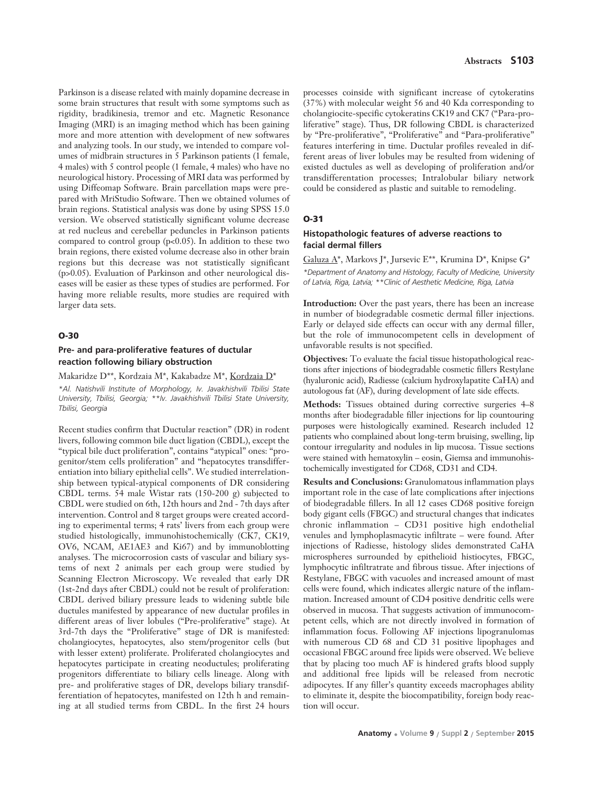Parkinson is a disease related with mainly dopamine decrease in some brain structures that result with some symptoms such as rigidity, bradikinesia, tremor and etc. Magnetic Resonance Imaging (MRI) is an imaging method which has been gaining more and more attention with development of new softwares and analyzing tools. In our study, we intended to compare volumes of midbrain structures in 5 Parkinson patients (1 female, 4 males) with 5 control people (1 female, 4 males) who have no neurological history. Processing of MRI data was performed by using Diffeomap Software. Brain parcellation maps were prepared with MriStudio Software. Then we obtained volumes of brain regions. Statistical analysis was done by using SPSS 15.0 version. We observed statistically significant volume decrease at red nucleus and cerebellar peduncles in Parkinson patients compared to control group (p<0.05). In addition to these two brain regions, there existed volume decrease also in other brain regions but this decrease was not statistically significant (p>0.05). Evaluation of Parkinson and other neurological diseases will be easier as these types of studies are performed. For having more reliable results, more studies are required with larger data sets.

#### **O-30**

# **Pre- and para-proliferative features of ductular reaction following biliary obstruction**

Makaridze D\*\*, Kordzaia M\*, Kakabadze M\*, Kordzaia D\*

*\*Al. Natishvili Institute of Morphology, Iv. Javakhishvili Tbilisi State University, Tbilisi, Georgia; \*\*Iv. Javakhishvili Tbilisi State University, Tbilisi, Georgia*

Recent studies confirm that Ductular reaction" (DR) in rodent livers, following common bile duct ligation (CBDL), except the "typical bile duct proliferation", contains "atypical" ones: "progenitor/stem cells proliferation" and "hepatocytes transdifferentiation into biliary epithelial cells". We studied interrelationship between typical-atypical components of DR considering CBDL terms. 54 male Wistar rats (150-200 g) subjected to CBDL were studied on 6th, 12th hours and 2nd - 7th days after intervention. Control and 8 target groups were created according to experimental terms; 4 rats' livers from each group were studied histologically, immunohistochemically (CK7, CK19, OV6, NCAM, AE1AE3 and Ki67) and by immunoblotting analyses. The microcorrosion casts of vascular and biliary systems of next 2 animals per each group were studied by Scanning Electron Microscopy. We revealed that early DR (1st-2nd days after CBDL) could not be result of proliferation: CBDL derived biliary pressure leads to widening subtle bile ductules manifested by appearance of new ductular profiles in different areas of liver lobules ("Pre-proliferative" stage). At 3rd-7th days the "Proliferative" stage of DR is manifested: cholangiocytes, hepatocytes, also stem/progenitor cells (but with lesser extent) proliferate. Proliferated cholangiocytes and hepatocytes participate in creating neoductules; proliferating progenitors differentiate to biliary cells lineage. Along with pre- and proliferative stages of DR, develops biliary transdifferentiation of hepatocytes, manifested on 12th h and remaining at all studied terms from CBDL. In the first 24 hours processes coinside with significant increase of cytokeratins (37%) with molecular weight 56 and 40 Kda corresponding to cholangiocite-specific cytokeratins CK19 and CK7 ("Para-proliferative" stage). Thus, DR following CBDL is characterized by "Pre-proliferative", "Proliferative" and "Para-proliferative" features interfering in time. Ductular profiles revealed in different areas of liver lobules may be resulted from widening of existed ductules as well as developing of proliferation and/or transdifferentation processes; Intralobular biliary network could be considered as plastic and suitable to remodeling.

#### **O-31**

# **Histopathologic features of adverse reactions to facial dermal fillers**

Galuza A\*, Markovs J\*, Jursevic E\*\*, Krumina D\*, Knipse G\* *\*Department of Anatomy and Histology, Faculty of Medicine, University of Latvia, Riga, Latvia; \*\*Clinic of Aesthetic Medicine, Riga, Latvia*

**Introduction:** Over the past years, there has been an increase in number of biodegradable cosmetic dermal filler injections. Early or delayed side effects can occur with any dermal filler, but the role of immunocompetent cells in development of unfavorable results is not specified.

**Objectives:** To evaluate the facial tissue histopathological reactions after injections of biodegradable cosmetic fillers Restylane (hyaluronic acid), Radiesse (calcium hydroxylapatite CaHA) and autologous fat (AF), during development of late side effects.

**Methods:** Tissues obtained during corrective surgeries 4–8 months after biodegradable filler injections for lip countouring purposes were histologically examined. Research included 12 patients who complained about long-term bruising, swelling, lip contour irregularity and nodules in lip mucosa. Tissue sections were stained with hematoxylin – eosin, Giemsa and immunohistochemically investigated for CD68, CD31 and CD4.

**Results and Conclusions:** Granulomatous inflammation plays important role in the case of late complications after injections of biodegradable fillers. In all 12 cases CD68 positive foreign body gigant cells (FBGC) and structural changes that indicates chronic inflammation – CD31 positive high endothelial venules and lymphoplasmacytic infiltrate – were found. After injections of Radiesse, histology slides demonstrated CaHA microspheres surrounded by epithelioid histiocytes, FBGC, lymphocytic infiltratrate and fibrous tissue. After injections of Restylane, FBGC with vacuoles and increased amount of mast cells were found, which indicates allergic nature of the inflammation. Increased amount of CD4 positive dendritic cells were observed in mucosa. That suggests activation of immunocompetent cells, which are not directly involved in formation of inflammation focus. Following AF injections lipogranulomas with numerous CD 68 and CD 31 positive lipophages and occasional FBGC around free lipids were observed. We believe that by placing too much AF is hindered grafts blood supply and additional free lipids will be released from necrotic adipocytes. If any filler's quantity exceeds macrophages ability to eliminate it, despite the biocompatibility, foreign body reaction will occur.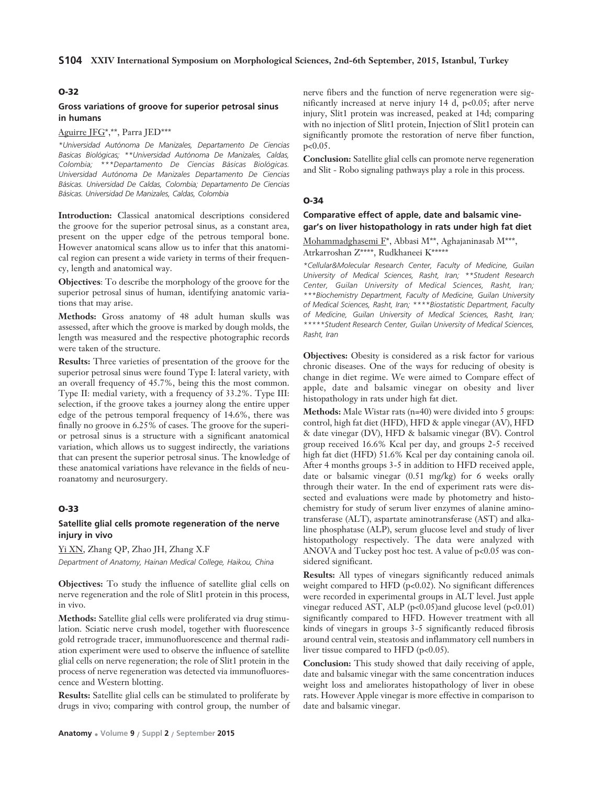# **O-32**

# **Gross variations of groove for superior petrosal sinus in humans**

#### Aguirre JFG\*,\*\*, Parra JED\*\*\*

*\*Universidad Autónoma De Manizales, Departamento De Ciencias Basicas Biológicas; \*\*Universidad Autónoma De Manizales, Caldas, Colombia; \*\*\*Departamento De Ciencias Básicas Biológicas. Universidad Autónoma De Manizales Departamento De Ciencias Básicas. Universidad De Caldas, Colombia; Departamento De Ciencias Básicas. Universidad De Manizales, Caldas, Colombia*

**Introduction:** Classical anatomical descriptions considered the groove for the superior petrosal sinus, as a constant area, present on the upper edge of the petrous temporal bone. However anatomical scans allow us to infer that this anatomical region can present a wide variety in terms of their frequency, length and anatomical way.

**Objectives**: To describe the morphology of the groove for the superior petrosal sinus of human, identifying anatomic variations that may arise.

**Methods:** Gross anatomy of 48 adult human skulls was assessed, after which the groove is marked by dough molds, the length was measured and the respective photographic records were taken of the structure.

**Results:** Three varieties of presentation of the groove for the superior petrosal sinus were found Type I: lateral variety, with an overall frequency of 45.7%, being this the most common. Type II: medial variety, with a frequency of 33.2%. Type III: selection, if the groove takes a journey along the entire upper edge of the petrous temporal frequency of 14.6%, there was finally no groove in 6.25% of cases. The groove for the superior petrosal sinus is a structure with a significant anatomical variation, which allows us to suggest indirectly, the variations that can present the superior petrosal sinus. The knowledge of these anatomical variations have relevance in the fields of neuroanatomy and neurosurgery.

# **O-33**

# **Satellite glial cells promote regeneration of the nerve injury in vivo**

Yi XN, Zhang QP, Zhao JH, Zhang X.F *Department of Anatomy, Hainan Medical College, Haikou, China*

**Objectives:** To study the influence of satellite glial cells on nerve regeneration and the role of Slit1 protein in this process, in vivo.

**Methods:** Satellite glial cells were proliferated via drug stimulation. Sciatic nerve crush model, together with fluorescence gold retrograde tracer, immunofluorescence and thermal radiation experiment were used to observe the influence of satellite glial cells on nerve regeneration; the role of Slit1 protein in the process of nerve regeneration was detected via immunofluorescence and Western blotting.

**Results:** Satellite glial cells can be stimulated to proliferate by drugs in vivo; comparing with control group, the number of

nerve fibers and the function of nerve regeneration were significantly increased at nerve injury 14 d, p<0.05; after nerve injury, Slit1 protein was increased, peaked at 14d; comparing with no injection of Slit1 protein, Injection of Slit1 protein can significantly promote the restoration of nerve fiber function,  $p < 0.05$ .

**Conclusion:** Satellite glial cells can promote nerve regeneration and Slit - Robo signaling pathways play a role in this process.

#### **O-34**

# **Comparative effect of apple, date and balsamic vinegar's on liver histopathology in rats under high fat diet**

Mohammadghasemi F\*, Abbasi M\*\*, Aghajaninasab M\*\*\*, Atrkarroshan Z\*\*\*\*, Rudkhaneei K\*\*\*\*\*

*\*Cellular&Molecular Research Center, Faculty of Medicine, Guilan University of Medical Sciences, Rasht, Iran; \*\*Student Research Center, Guilan University of Medical Sciences, Rasht, Iran; \*\*\*Biochemistry Department, Faculty of Medicine, Guilan University of Medical Sciences, Rasht, Iran; \*\*\*\*Biostatistic Department, Faculty of Medicine, Guilan University of Medical Sciences, Rasht, Iran; \*\*\*\*\*Student Research Center, Guilan University of Medical Sciences, Rasht, Iran*

**Objectives:** Obesity is considered as a risk factor for various chronic diseases. One of the ways for reducing of obesity is change in diet regime. We were aimed to Compare effect of apple, date and balsamic vinegar on obesity and liver histopathology in rats under high fat diet.

**Methods:** Male Wistar rats (n=40) were divided into 5 groups: control, high fat diet (HFD), HFD & apple vinegar (AV), HFD & date vinegar (DV), HFD & balsamic vinegar (BV). Control group received 16.6% Kcal per day, and groups 2-5 received high fat diet (HFD) 51.6% Kcal per day containing canola oil. After 4 months groups 3-5 in addition to HFD received apple, date or balsamic vinegar (0.51 mg/kg) for 6 weeks orally through their water. In the end of experiment rats were dissected and evaluations were made by photometry and histochemistry for study of serum liver enzymes of alanine aminotransferase (ALT), aspartate aminotransferase (AST) and alkaline phosphatase (ALP), serum glucose level and study of liver histopathology respectively. The data were analyzed with ANOVA and Tuckey post hoc test. A value of p<0.05 was considered significant.

**Results:** All types of vinegars significantly reduced animals weight compared to HFD ( $p<0.02$ ). No significant differences were recorded in experimental groups in ALT level. Just apple vinegar reduced AST, ALP  $(p<0.05)$  and glucose level  $(p<0.01)$ significantly compared to HFD. However treatment with all kinds of vinegars in groups 3-5 significantly reduced fibrosis around central vein, steatosis and inflammatory cell numbers in liver tissue compared to HFD ( $p<0.05$ ).

**Conclusion:** This study showed that daily receiving of apple, date and balsamic vinegar with the same concentration induces weight loss and ameliorates histopathology of liver in obese rats. However Apple vinegar is more effective in comparison to date and balsamic vinegar.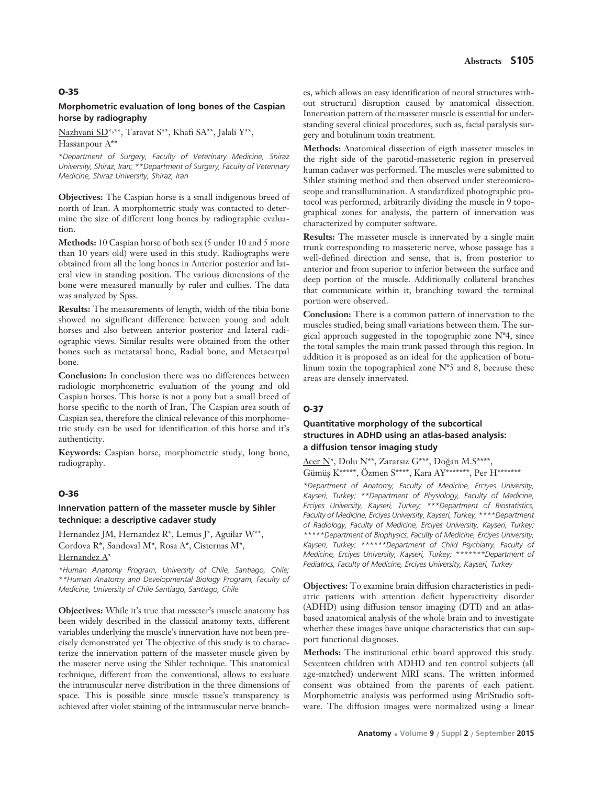# **Morphometric evaluation of long bones of the Caspian horse by radiography**

Nazhvani SD\*, \*\*, Taravat S\*\*, Khafi SA\*\*, Jalali Y\*\*,

Hassanpour A\*\*

*\*Department of Surgery, Faculty of Veterinary Medicine, Shiraz University, Shiraz, Iran; \*\*Department of Surgery, Faculty of Veterinary Medicine, Shiraz University, Shiraz, Iran*

**Objectives:** The Caspian horse is a small indigenous breed of north of Iran. A morphometric study was contacted to determine the size of different long bones by radiographic evaluation.

**Methods:** 10 Caspian horse of both sex (5 under 10 and 5 more than 10 years old) were used in this study. Radiographs were obtained from all the long bones in Anterior posterior and lateral view in standing position. The various dimensions of the bone were measured manually by ruler and cullies. The data was analyzed by Spss.

**Results:** The measurements of length, width of the tibia bone showed no significant difference between young and adult horses and also between anterior posterior and lateral radiographic views. Similar results were obtained from the other bones such as metatarsal bone, Radial bone, and Metacarpal bone.

**Conclusion:** In conclusion there was no differences between radiologic morphometric evaluation of the young and old Caspian horses. This horse is not a pony but a small breed of horse specific to the north of Iran, The Caspian area south of Caspian sea, therefore the clinical relevance of this morphometric study can be used for identification of this horse and it's authenticity.

**Keywords:** Caspian horse, morphometric study, long bone, radiography.

#### **O-36**

# **Innervation pattern of the masseter muscle by Sihler technique: a descriptive cadaver study**

Hernandez JM, Hernandez R\*, Lemus J\*, Aguilar W\*\*, Cordova R\*, Sandoval M\*, Rosa A\*, Cisternas M\*, Hernandez A\*

*\*Human Anatomy Program, University of Chile, Santiago, Chile; \*\*Human Anatomy and Developmental Biology Program, Faculty of Medicine, University of Chile Santiago, Santiago, Chile* 

**Objectives:** While it's true that messeter's muscle anatomy has been widely described in the classical anatomy texts, different variables underlying the muscle's innervation have not been precisely demonstrated yet The objective of this study is to characterize the innervation pattern of the masseter muscle given by the maseter nerve using the Sihler technique. This anatomical technique, different from the conventional, allows to evaluate the intramuscular nerve distribution in the three dimensions of space. This is possible since muscle tissue's transparency is achieved after violet staining of the intramuscular nerve branch-

es, which allows an easy identification of neural structures without structural disruption caused by anatomical dissection. Innervation pattern of the masseter muscle is essential for understanding several clinical procedures, such as, facial paralysis surgery and botulinum toxin treatment.

**Methods:** Anatomical dissection of eigth masseter muscles in the right side of the parotid-masseteric region in preserved human cadaver was performed. The muscles were submitted to Sihler staining method and then observed under stereomicroscope and transillumination. A standardized photographic protocol was performed, arbitrarily dividing the muscle in 9 topographical zones for analysis, the pattern of innervation was characterized by computer software.

**Results:** The masseter muscle is innervated by a single main trunk corresponding to masseteric nerve, whose passage has a well-defined direction and sense, that is, from posterior to anterior and from superior to inferior between the surface and deep portion of the muscle. Additionally collateral branches that communicate within it, branching toward the terminal portion were observed.

**Conclusion:** There is a common pattern of innervation to the muscles studied, being small variations between them. The surgical approach suggested in the topographic zone  $N^{\circ}4$ , since the total samples the main trunk passed through this region. In addition it is proposed as an ideal for the application of botulinum toxin the topographical zone Nº5 and 8, because these areas are densely innervated.

# **O-37**

# **Quantitative morphology of the subcortical structures in ADHD using an atlas-based analysis: a diffusion tensor imaging study**

Acer N\*, Dolu N\*\*, Zararsız G\*\*\*, Doğan M.S\*\*\*\*, Gümüş K\*\*\*\*\*, Özmen S\*\*\*\*, Kara AY\*\*\*\*\*\*\*, Per H\*\*\*\*\*\*\*

*\*Department of Anatomy, Faculty of Medicine, Erciyes University, Kayseri, Turkey; \*\*Department of Physiology, Faculty of Medicine, Erciyes University, Kayseri, Turkey; \*\*\*Department of Biostatistics, Faculty of Medicine, Erciyes University, Kayseri, Turkey; \*\*\*\*Department of Radiology, Faculty of Medicine, Erciyes University, Kayseri, Turkey; \*\*\*\*\*Department of Biophysics, Faculty of Medicine, Erciyes University, Kayseri, Turkey; \*\*\*\*\*\*Department of Child Psychiatry, Faculty of Medicine, Erciyes University, Kayseri, Turkey; \*\*\*\*\*\*\*Department of Pediatrics, Faculty of Medicine, Erciyes University, Kayseri, Turkey*

**Objectives:** To examine brain diffusion characteristics in pediatric patients with attention deficit hyperactivity disorder (ADHD) using diffusion tensor imaging (DTI) and an atlasbased anatomical analysis of the whole brain and to investigate whether these images have unique characteristics that can support functional diagnoses.

**Methods:** The institutional ethic board approved this study. Seventeen children with ADHD and ten control subjects (all age-matched) underwent MRI scans. The written informed consent was obtained from the parents of each patient. Morphometric analysis was performed using MriStudio software. The diffusion images were normalized using a linear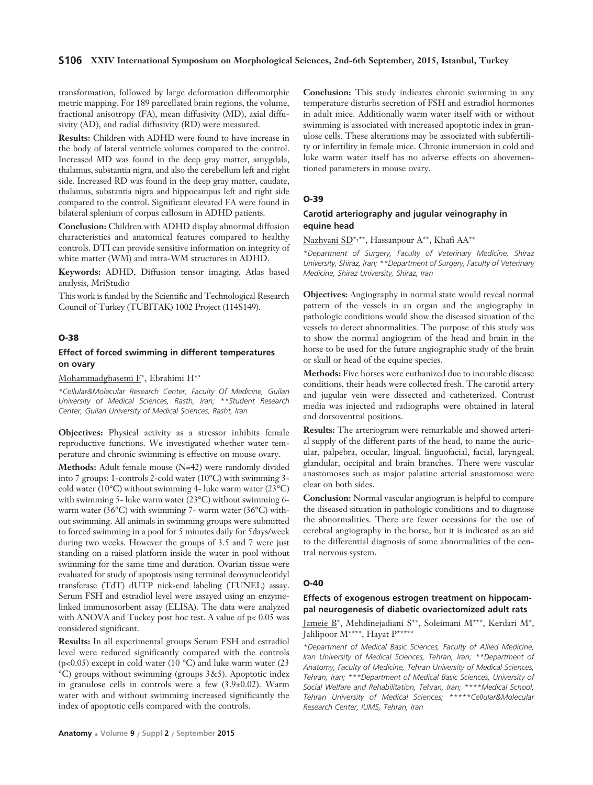#### **S106 XXIV International Symposium on Morphological Sciences, 2nd-6th September, 2015, Istanbul, Turkey**

transformation, followed by large deformation diffeomorphic metric mapping. For 189 parcellated brain regions, the volume, fractional anisotropy (FA), mean diffusivity (MD), axial diffusivity (AD), and radial diffusivity (RD) were measured.

**Results:** Children with ADHD were found to have increase in the body of lateral ventricle volumes compared to the control. Increased MD was found in the deep gray matter, amygdala, thalamus, substantia nigra, and also the cerebellum left and right side. Increased RD was found in the deep gray matter, caudate, thalamus, substantia nigra and hippocampus left and right side compared to the control. Significant elevated FA were found in bilateral splenium of corpus callosum in ADHD patients.

**Conclusion:** Children with ADHD display abnormal diffusion characteristics and anatomical features compared to healthy controls. DTI can provide sensitive information on integrity of white matter (WM) and intra-WM structures in ADHD.

**Keywords:** ADHD, Diffusion tensor imaging, Atlas based analysis, MriStudio

This work is funded by the Scientific and Technological Research Council of Turkey (TUBITAK) 1002 Project (114S149).

#### **O-38**

# **Effect of forced swimming in different temperatures on ovary**

Mohammadghasemi F\*, Ebrahimi H\*\*

*\*Cellular&Molecular Research Center, Faculty Of Medicine, Guilan University of Medical Sciences, Rasth, Iran; \*\*Student Research Center, Guilan University of Medical Sciences, Rasht, Iran*

**Objectives:** Physical activity as a stressor inhibits female reproductive functions. We investigated whether water temperature and chronic swimming is effective on mouse ovary.

**Methods:** Adult female mouse (N=42) were randomly divided into 7 groups: 1-controls 2-cold water (10°C) with swimming 3 cold water (10 $^{\circ}$ C) without swimming 4- luke warm water (23 $^{\circ}$ C) with swimming 5- luke warm water (23°C) without swimming 6 warm water (36°C) with swimming 7- warm water (36°C) without swimming. All animals in swimming groups were submitted to forced swimming in a pool for 5 minutes daily for 5days/week during two weeks. However the groups of 3.5 and 7 were just standing on a raised platform inside the water in pool without swimming for the same time and duration. Ovarian tissue were evaluated for study of apoptosis using terminal deoxynucleotidyl transferase (TdT) dUTP nick-end labeling (TUNEL) assay. Serum FSH and estradiol level were assayed using an enzymelinked immunosorbent assay (ELISA). The data were analyzed with ANOVA and Tuckey post hoc test. A value of p< 0.05 was considered significant.

**Results:** In all experimental groups Serum FSH and estradiol level were reduced significantly compared with the controls (p<0.05) except in cold water (10  $^{\circ}$ C) and luke warm water (23) °C) groups without swimming (groups 3&5). Apoptotic index in granulose cells in controls were a few (3.9±0.02). Warm water with and without swimming increased significantly the index of apoptotic cells compared with the controls.

**Conclusion:** This study indicates chronic swimming in any temperature disturbs secretion of FSH and estradiol hormones in adult mice. Additionally warm water itself with or without swimming is associated with increased apoptotic index in granulose cells. These alterations may be associated with subfertility or infertility in female mice. Chronic immersion in cold and luke warm water itself has no adverse effects on abovementioned parameters in mouse ovary.

#### **O-39**

#### **Carotid arteriography and jugular veinography in equine head**

Nazhvani SD\*, \*\*, Hassanpour A\*\*, Khafi AA\*\*

*\*Department of Surgery, Faculty of Veterinary Medicine, Shiraz University, Shiraz, Iran; \*\*Department of Surgery, Faculty of Veterinary Medicine, Shiraz University, Shiraz, Iran*

**Objectives:** Angiography in normal state would reveal normal pattern of the vessels in an organ and the angiography in pathologic conditions would show the diseased situation of the vessels to detect abnormalities. The purpose of this study was to show the normal angiogram of the head and brain in the horse to be used for the future angiographic study of the brain or skull or head of the equine species.

**Methods:** Five horses were euthanized due to incurable disease conditions, their heads were collected fresh. The carotid artery and jugular vein were dissected and catheterized. Contrast media was injected and radiographs were obtained in lateral and dorsoventral positions.

**Results:** The arteriogram were remarkable and showed arterial supply of the different parts of the head, to name the auricular, palpebra, occular, lingual, linguofacial, facial, laryngeal, glandular, occipital and brain branches. There were vascular anastomoses such as major palatine arterial anastomose were clear on both sides.

**Conclusion:** Normal vascular angiogram is helpful to compare the diseased situation in pathologic conditions and to diagnose the abnormalities. There are fewer occasions for the use of cerebral angiography in the horse, but it is indicated as an aid to the differential diagnosis of some abnormalities of the central nervous system.

#### **O-40**

# **Effects of exogenous estrogen treatment on hippocampal neurogenesis of diabetic ovariectomized adult rats**

Jameie B\*, Mehdinejadiani S\*\*, Soleimani M\*\*\*, Kerdari M\*, Jalilipoor M\*\*\*\*, Hayat P\*\*\*\*\*

*\*Department of Medical Basic Sciences, Faculty of Allied Medicine, Iran University of Medical Sciences, Tehran, Iran; \*\*Department of Anatomy, Faculty of Medicine, Tehran University of Medical Sciences, Tehran, Iran; \*\*\*Department of Medical Basic Sciences, University of Social Welfare and Rehabilitation, Tehran, Iran; \*\*\*\*Medical School, Tehran University of Medical Sciences; \*\*\*\*\*Cellular&Molecular Research Center, IUMS, Tehran, Iran*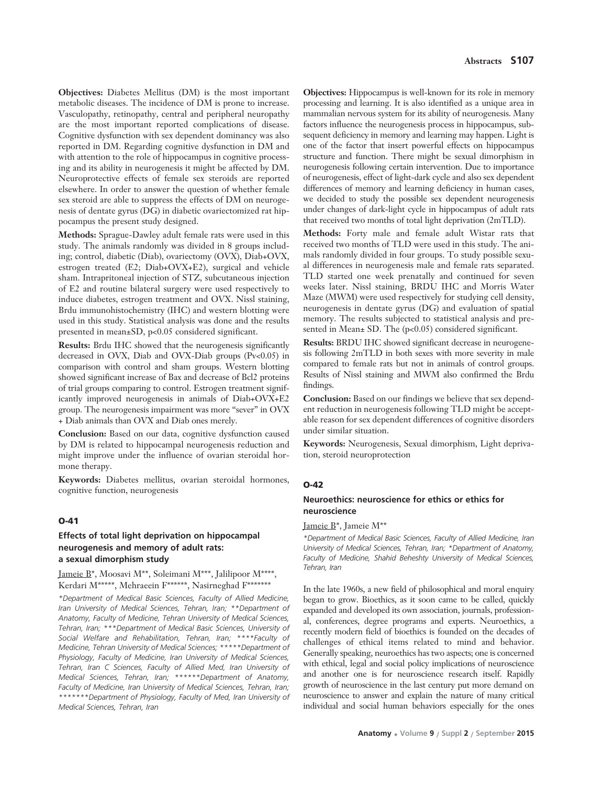**Objectives:** Diabetes Mellitus (DM) is the most important metabolic diseases. The incidence of DM is prone to increase. Vasculopathy, retinopathy, central and peripheral neuropathy are the most important reported complications of disease. Cognitive dysfunction with sex dependent dominancy was also reported in DM. Regarding cognitive dysfunction in DM and with attention to the role of hippocampus in cognitive processing and its ability in neurogenesis it might be affected by DM. Neuroprotective effects of female sex steroids are reported elsewhere. In order to answer the question of whether female sex steroid are able to suppress the effects of DM on neurogenesis of dentate gyrus (DG) in diabetic ovariectomized rat hippocampus the present study designed.

**Methods:** Sprague-Dawley adult female rats were used in this study. The animals randomly was divided in 8 groups including; control, diabetic (Diab), ovariectomy (OVX), Diab+OVX, estrogen treated (E2; Diab+OVX+E2), surgical and vehicle sham. Intrapritoneal injection of STZ, subcutaneous injection of E2 and routine bilateral surgery were used respectively to induce diabetes, estrogen treatment and OVX. Nissl staining, Brdu immunohistochemistry (IHC) and western blotting were used in this study. Statistical analysis was done and the results presented in mean±SD, p<0.05 considered significant.

**Results:** Brdu IHC showed that the neurogenesis significantly decreased in OVX, Diab and OVX-Diab groups (Pv<0.05) in comparison with control and sham groups. Western blotting showed significant increase of Bax and decrease of Bcl2 proteins of trial groups comparing to control. Estrogen treatment significantly improved neurogenesis in animals of Diab+OVX+E2 group. The neurogenesis impairment was more "sever" in OVX + Diab animals than OVX and Diab ones merely.

**Conclusion:** Based on our data, cognitive dysfunction caused by DM is related to hippocampal neurogenesis reduction and might improve under the influence of ovarian steroidal hormone therapy.

**Keywords:** Diabetes mellitus, ovarian steroidal hormones, cognitive function, neurogenesis

#### **O-41**

# **Effects of total light deprivation on hippocampal neurogenesis and memory of adult rats: a sexual dimorphism study**

Jameie B\*, Moosavi M\*\*, Soleimani M\*\*\*, Jalilipoor M\*\*\*\*, Kerdari M\*\*\*\*\*, Mehraeein F\*\*\*\*\*\*, Nasirneghad F\*\*\*\*\*\*\*

*\*Department of Medical Basic Sciences, Faculty of Allied Medicine, Iran University of Medical Sciences, Tehran, Iran; \*\*Department of Anatomy, Faculty of Medicine, Tehran University of Medical Sciences, Tehran, Iran; \*\*\*Department of Medical Basic Sciences, University of Social Welfare and Rehabilitation, Tehran, Iran; \*\*\*\*Faculty of Medicine, Tehran University of Medical Sciences; \*\*\*\*\*Department of Physiology, Faculty of Medicine, Iran University of Medical Sciences, Tehran, Iran C Sciences, Faculty of Allied Med, Iran University of Medical Sciences, Tehran, Iran; \*\*\*\*\*\*Department of Anatomy, Faculty of Medicine, Iran University of Medical Sciences, Tehran, Iran; \*\*\*\*\*\*\*Department of Physiology, Faculty of Med, Iran University of Medical Sciences, Tehran, Iran*

**Objectives:** Hippocampus is well-known for its role in memory processing and learning. It is also identified as a unique area in mammalian nervous system for its ability of neurogenesis. Many factors influence the neurogenesis process in hippocampus, subsequent deficiency in memory and learning may happen. Light is one of the factor that insert powerful effects on hippocampus structure and function. There might be sexual dimorphism in neurogenesis following certain intervention. Due to importance of neurogenesis, effect of light-dark cycle and also sex dependent differences of memory and learning deficiency in human cases, we decided to study the possible sex dependent neurogenesis under changes of dark-light cycle in hippocampus of adult rats that received two months of total light deprivation (2mTLD).

**Methods:** Forty male and female adult Wistar rats that received two months of TLD were used in this study. The animals randomly divided in four groups. To study possible sexual differences in neurogenesis male and female rats separated. TLD started one week prenatally and continued for seven weeks later. Nissl staining, BRDU IHC and Morris Water Maze (MWM) were used respectively for studying cell density, neurogenesis in dentate gyrus (DG) and evaluation of spatial memory. The results subjected to statistical analysis and presented in Mean± SD. The (p<0.05) considered significant.

**Results:** BRDU IHC showed significant decrease in neurogenesis following 2mTLD in both sexes with more severity in male compared to female rats but not in animals of control groups. Results of Nissl staining and MWM also confirmed the Brdu findings.

**Conclusion:** Based on our findings we believe that sex dependent reduction in neurogenesis following TLD might be acceptable reason for sex dependent differences of cognitive disorders under similar situation.

**Keywords:** Neurogenesis, Sexual dimorphism, Light deprivation, steroid neuroprotection

#### **O-42**

# **Neuroethics: neuroscience for ethics or ethics for neuroscience**

Jameie B\*, Jameie M\*\*

*\*Department of Medical Basic Sciences, Faculty of Allied Medicine, Iran University of Medical Sciences, Tehran, Iran; \*Department of Anatomy, Faculty of Medicine, Shahid Beheshty University of Medical Sciences, Tehran, Iran* 

In the late 1960s, a new field of philosophical and moral enquiry began to grow. Bioethics, as it soon came to be called, quickly expanded and developed its own association, journals, professional, conferences, degree programs and experts. Neuroethics, a recently modern field of bioethics is founded on the decades of challenges of ethical items related to mind and behavior. Generally speaking, neuroethics has two aspects; one is concerned with ethical, legal and social policy implications of neuroscience and another one is for neuroscience research itself. Rapidly growth of neuroscience in the last century put more demand on neuroscience to answer and explain the nature of many critical individual and social human behaviors especially for the ones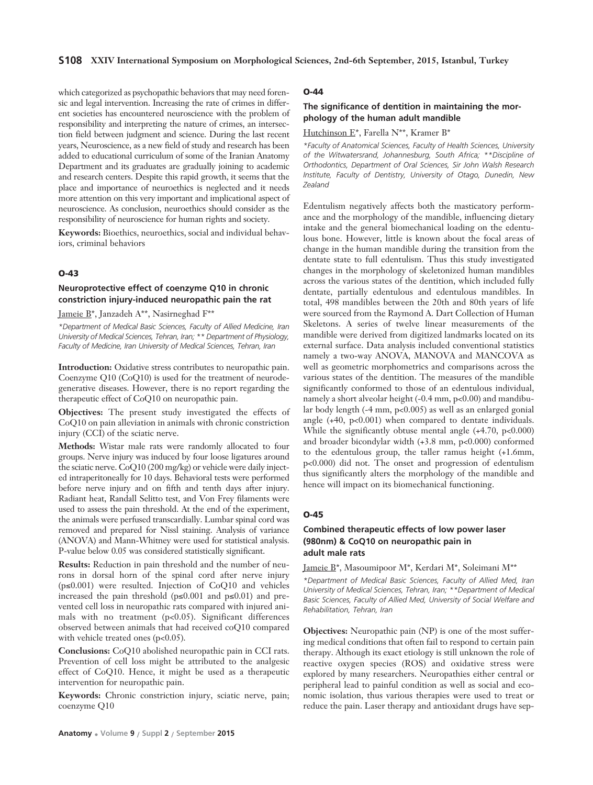which categorized as psychopathic behaviors that may need forensic and legal intervention. Increasing the rate of crimes in different societies has encountered neuroscience with the problem of responsibility and interpreting the nature of crimes, an intersection field between judgment and science. During the last recent years, Neuroscience, as a new field of study and research has been added to educational curriculum of some of the Iranian Anatomy Department and its graduates are gradually joining to academic and research centers. Despite this rapid growth, it seems that the place and importance of neuroethics is neglected and it needs more attention on this very important and implicational aspect of neuroscience. As conclusion, neuroethics should consider as the responsibility of neuroscience for human rights and society.

**Keywords:** Bioethics, neuroethics, social and individual behaviors, criminal behaviors

#### **O-43**

# **Neuroprotective effect of coenzyme Q10 in chronic constriction injury-induced neuropathic pain the rat**

Jameie B\*, Janzadeh A\*\*, Nasirneghad F\*\*

*\*Department of Medical Basic Sciences, Faculty of Allied Medicine, Iran University of Medical Sciences, Tehran, Iran; \*\* Department of Physiology, Faculty of Medicine, Iran University of Medical Sciences, Tehran, Iran*

**Introduction:** Oxidative stress contributes to neuropathic pain. Coenzyme Q10 (CoQ10) is used for the treatment of neurodegenerative diseases. However, there is no report regarding the therapeutic effect of CoQ10 on neuropathic pain.

**Objectives:** The present study investigated the effects of CoQ10 on pain alleviation in animals with chronic constriction injury (CCI) of the sciatic nerve.

**Methods:** Wistar male rats were randomly allocated to four groups. Nerve injury was induced by four loose ligatures around the sciatic nerve. CoQ10 (200 mg/kg) or vehicle were daily injected intraperitoneally for 10 days. Behavioral tests were performed before nerve injury and on fifth and tenth days after injury. Radiant heat, Randall Selitto test, and Von Frey filaments were used to assess the pain threshold. At the end of the experiment, the animals were perfused transcardially. Lumbar spinal cord was removed and prepared for Nissl staining. Analysis of variance (ANOVA) and Mann-Whitney were used for statistical analysis. P-value below 0.05 was considered statistically significant.

**Results:** Reduction in pain threshold and the number of neurons in dorsal horn of the spinal cord after nerve injury (p≤0.001) were resulted. Injection of CoQ10 and vehicles increased the pain threshold ( $p \le 0.001$  and  $p \le 0.01$ ) and prevented cell loss in neuropathic rats compared with injured animals with no treatment (p<0.05). Significant differences observed between animals that had received coQ10 compared with vehicle treated ones (p<0.05).

**Conclusions:** CoQ10 abolished neuropathic pain in CCI rats. Prevention of cell loss might be attributed to the analgesic effect of CoQ10. Hence, it might be used as a therapeutic intervention for neuropathic pain.

**Keywords:** Chronic constriction injury, sciatic nerve, pain; coenzyme Q10

# **O-44**

# **The significance of dentition in maintaining the morphology of the human adult mandible**

Hutchinson E\*, Farella N\*\*, Kramer B\*

*\*Faculty of Anatomical Sciences, Faculty of Health Sciences, University of the Witwatersrand, Johannesburg, South Africa; \*\*Discipline of Orthodontics, Department of Oral Sciences, Sir John Walsh Research Institute, Faculty of Dentistry, University of Otago, Dunedin, New Zealand*

Edentulism negatively affects both the masticatory performance and the morphology of the mandible, influencing dietary intake and the general biomechanical loading on the edentulous bone. However, little is known about the focal areas of change in the human mandible during the transition from the dentate state to full edentulism. Thus this study investigated changes in the morphology of skeletonized human mandibles across the various states of the dentition, which included fully dentate, partially edentulous and edentulous mandibles. In total, 498 mandibles between the 20th and 80th years of life were sourced from the Raymond A. Dart Collection of Human Skeletons. A series of twelve linear measurements of the mandible were derived from digitized landmarks located on its external surface. Data analysis included conventional statistics namely a two-way ANOVA, MANOVA and MANCOVA as well as geometric morphometrics and comparisons across the various states of the dentition. The measures of the mandible significantly conformed to those of an edentulous individual, namely a short alveolar height (-0.4 mm, p<0.00) and mandibular body length (-4 mm, p<0.005) as well as an enlarged gonial angle (+40, p<0.001) when compared to dentate individuals. While the significantly obtuse mental angle  $(+4.70, p<0.000)$ and broader bicondylar width (+3.8 mm, p<0.000) conformed to the edentulous group, the taller ramus height (+1.6mm, p<0.000) did not. The onset and progression of edentulism thus significantly alters the morphology of the mandible and hence will impact on its biomechanical functioning.

#### **O-45**

# **Combined therapeutic effects of low power laser (980nm) & CoQ10 on neuropathic pain in adult male rats**

Jameie B\*, Masoumipoor M\*, Kerdari M\*, Soleimani M\*\*

*\*Department of Medical Basic Sciences, Faculty of Allied Med, Iran University of Medical Sciences, Tehran, Iran; \*\*Department of Medical Basic Sciences, Faculty of Allied Med, University of Social Welfare and Rehabilitation, Tehran, Iran*

**Objectives:** Neuropathic pain (NP) is one of the most suffering medical conditions that often fail to respond to certain pain therapy. Although its exact etiology is still unknown the role of reactive oxygen species (ROS) and oxidative stress were explored by many researchers. Neuropathies either central or peripheral lead to painful condition as well as social and economic isolation, thus various therapies were used to treat or reduce the pain. Laser therapy and antioxidant drugs have sep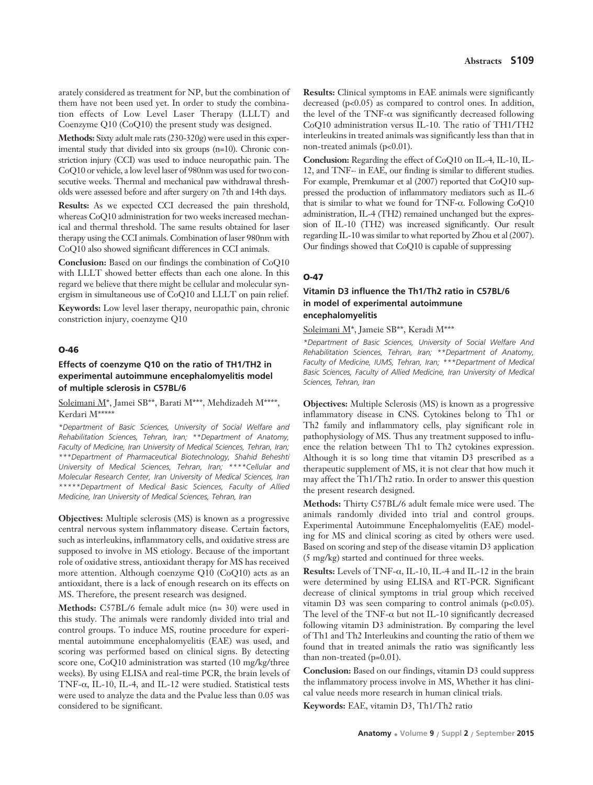arately considered as treatment for NP, but the combination of them have not been used yet. In order to study the combination effects of Low Level Laser Therapy (LLLT) and Coenzyme Q10 (CoQ10) the present study was designed.

**Methods:** Sixty adult male rats (230-320g) were used in this experimental study that divided into six groups (n=10). Chronic constriction injury (CCI) was used to induce neuropathic pain. The CoQ10 or vehicle, a low level laser of 980nm was used for two consecutive weeks. Thermal and mechanical paw withdrawal thresholds were assessed before and after surgery on 7th and 14th days.

**Results:** As we expected CCI decreased the pain threshold, whereas CoQ10 administration for two weeks increased mechanical and thermal threshold. The same results obtained for laser therapy using the CCI animals. Combination of laser 980nm with CoQ10 also showed significant differences in CCI animals.

**Conclusion:** Based on our findings the combination of CoQ10 with LLLT showed better effects than each one alone. In this regard we believe that there might be cellular and molecular synergism in simultaneous use of CoQ10 and LLLT on pain relief.

**Keywords:** Low level laser therapy, neuropathic pain, chronic constriction injury, coenzyme Q10

#### **O-46**

# **Effects of coenzyme Q10 on the ratio of TH1/TH2 in experimental autoimmune encephalomyelitis model of multiple sclerosis in C57BL/6**

Soleimani M\*, Jamei SB\*\*, Barati M\*\*\*, Mehdizadeh M\*\*\*\*, Kerdari M\*\*\*\*\*

*\*Department of Basic Sciences, University of Social Welfare and Rehabilitation Sciences, Tehran, Iran; \*\*Department of Anatomy, Faculty of Medicine, Iran University of Medical Sciences, Tehran, Iran; \*\*\*Department of Pharmaceutical Biotechnology, Shahid Beheshti University of Medical Sciences, Tehran, Iran; \*\*\*\*Cellular and Molecular Research Center, Iran University of Medical Sciences, Iran \*\*\*\*\*Department of Medical Basic Sciences, Faculty of Allied Medicine, Iran University of Medical Sciences, Tehran, Iran*

**Objectives:** Multiple sclerosis (MS) is known as a progressive central nervous system inflammatory disease. Certain factors, such as interleukins, inflammatory cells, and oxidative stress are supposed to involve in MS etiology. Because of the important role of oxidative stress, antioxidant therapy for MS has received more attention. Although coenzyme Q10 (CoQ10) acts as an antioxidant, there is a lack of enough research on its effects on MS. Therefore, the present research was designed.

**Methods:** C57BL/6 female adult mice (n= 30) were used in this study. The animals were randomly divided into trial and control groups. To induce MS, routine procedure for experimental autoimmune encephalomyelitis (EAE) was used, and scoring was performed based on clinical signs. By detecting score one, CoQ10 administration was started (10 mg/kg/three weeks). By using ELISA and real-time PCR, the brain levels of TNF- $\alpha$ , IL-10, IL-4, and IL-12 were studied. Statistical tests were used to analyze the data and the Pvalue less than 0.05 was considered to be significant.

**Results:** Clinical symptoms in EAE animals were significantly decreased (p<0.05) as compared to control ones. In addition, the level of the TNF- $\alpha$  was significantly decreased following CoQ10 administration versus IL-10. The ratio of TH1/TH2 interleukins in treated animals was significantly less than that in non-treated animals (p<0.01).

**Conclusion:** Regarding the effect of CoQ10 on IL-4, IL-10, IL-12, and TNF-· in EAE, our finding is similar to different studies. For example, Premkumar et al (2007) reported that CoQ10 suppressed the production of inflammatory mediators such as IL-6 that is similar to what we found for TNF-α. Following CoQ10 administration, IL-4 (TH2) remained unchanged but the expression of IL-10 (TH2) was increased significantly. Our result regarding IL-10 was similar to what reported by Zhou et al (2007). Our findings showed that CoQ10 is capable of suppressing

#### **O-47**

# **Vitamin D3 influence the Th1/Th2 ratio in C57BL/6 in model of experimental autoimmune encephalomyelitis**

Soleimani M\*, Jameie SB\*\*, Keradi M\*\*\*

*\*Department of Basic Sciences, University of Social Welfare And Rehabilitation Sciences, Tehran, Iran; \*\*Department of Anatomy, Faculty of Medicine, IUMS, Tehran, Iran; \*\*\*Department of Medical Basic Sciences, Faculty of Allied Medicine, Iran University of Medical Sciences, Tehran, Iran*

**Objectives:** Multiple Sclerosis (MS) is known as a progressive inflammatory disease in CNS. Cytokines belong to Th1 or Th2 family and inflammatory cells, play significant role in pathophysiology of MS. Thus any treatment supposed to influence the relation between Th1 to Th2 cytokines expression. Although it is so long time that vitamin D3 prescribed as a therapeutic supplement of MS, it is not clear that how much it may affect the Th1/Th2 ratio. In order to answer this question the present research designed.

**Methods:** Thirty C57BL/6 adult female mice were used. The animals randomly divided into trial and control groups. Experimental Autoimmune Encephalomyelitis (EAE) modeling for MS and clinical scoring as cited by others were used. Based on scoring and step of the disease vitamin D3 application (5 mg/kg) started and continued for three weeks.

**Results:** Levels of TNF-α, IL-10, IL-4 and IL-12 in the brain were determined by using ELISA and RT-PCR. Significant decrease of clinical symptoms in trial group which received vitamin D3 was seen comparing to control animals  $(p<0.05)$ . The level of the TNF- $\alpha$  but not IL-10 significantly decreased following vitamin D3 administration. By comparing the level of Th1 and Th2 Interleukins and counting the ratio of them we found that in treated animals the ratio was significantly less than non-treated (p=0.01).

**Conclusion:** Based on our findings, vitamin D3 could suppress the inflammatory process involve in MS, Whether it has clinical value needs more research in human clinical trials.

**Keywords:** EAE, vitamin D3, Th1/Th2 ratio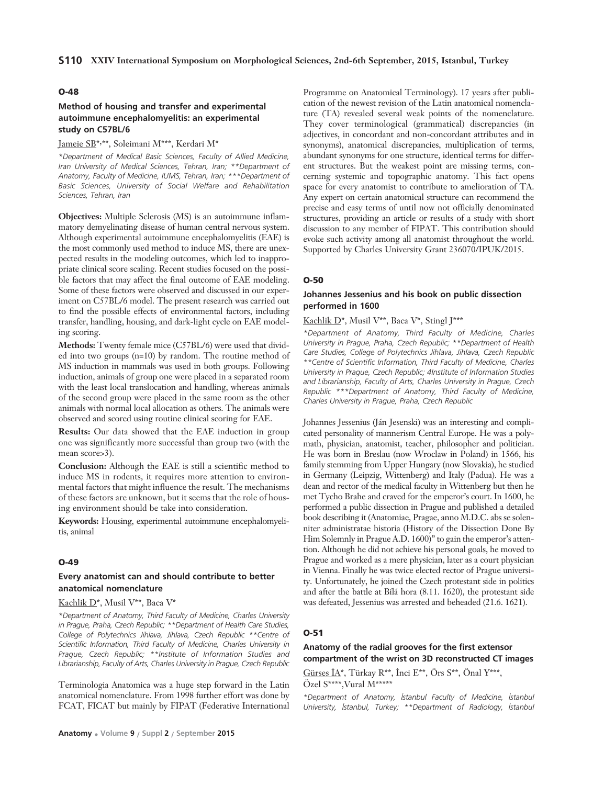#### **O-48**

# **Method of housing and transfer and experimental autoimmune encephalomyelitis: an experimental study on C57BL/6**

# J<u>ameie SB</u>\*,\*\*, Soleimani M\*\*\*, Kerdari M\*

*\*Department of Medical Basic Sciences, Faculty of Allied Medicine, Iran University of Medical Sciences, Tehran, Iran; \*\*Department of Anatomy, Faculty of Medicine, IUMS, Tehran, Iran; \*\*\*Department of Basic Sciences, University of Social Welfare and Rehabilitation Sciences, Tehran, Iran*

**Objectives:** Multiple Sclerosis (MS) is an autoimmune inflammatory demyelinating disease of human central nervous system. Although experimental autoimmune encephalomyelitis (EAE) is the most commonly used method to induce MS, there are unexpected results in the modeling outcomes, which led to inappropriate clinical score scaling. Recent studies focused on the possible factors that may affect the final outcome of EAE modeling. Some of these factors were observed and discussed in our experiment on C57BL/6 model. The present research was carried out to find the possible effects of environmental factors, including transfer, handling, housing, and dark-light cycle on EAE modeling scoring.

**Methods:** Twenty female mice (C57BL/6) were used that divided into two groups (n=10) by random. The routine method of MS induction in mammals was used in both groups. Following induction, animals of group one were placed in a separated room with the least local translocation and handling, whereas animals of the second group were placed in the same room as the other animals with normal local allocation as others. The animals were observed and scored using routine clinical scoring for EAE.

**Results:** Our data showed that the EAE induction in group one was significantly more successful than group two (with the mean score>3).

**Conclusion:** Although the EAE is still a scientific method to induce MS in rodents, it requires more attention to environmental factors that might influence the result. The mechanisms of these factors are unknown, but it seems that the role of housing environment should be take into consideration.

**Keywords:** Housing, experimental autoimmune encephalomyelitis, animal

#### **O-49**

#### **Every anatomist can and should contribute to better anatomical nomenclature**

#### Kachlik D\*, Musil V\*\*, Baca V\*

*\*Department of Anatomy, Third Faculty of Medicine, Charles University in Prague, Praha, Czech Republic; \*\*Department of Health Care Studies, College of Polytechnics Jihlava, Jihlava, Czech Republic \*\*Centre of Scientific Information, Third Faculty of Medicine, Charles University in Prague, Czech Republic; \*\*Institute of Information Studies and Librarianship, Faculty of Arts, Charles University in Prague, Czech Republic*

Terminologia Anatomica was a huge step forward in the Latin anatomical nomenclature. From 1998 further effort was done by FCAT, FICAT but mainly by FIPAT (Federative International

Programme on Anatomical Terminology). 17 years after publication of the newest revision of the Latin anatomical nomenclature (TA) revealed several weak points of the nomenclature. They cover terminological (grammatical) discrepancies (in adjectives, in concordant and non-concordant attributes and in synonyms), anatomical discrepancies, multiplication of terms, abundant synonyms for one structure, identical terms for different structures. But the weakest point are missing terms, concerning systemic and topographic anatomy. This fact opens space for every anatomist to contribute to amelioration of TA. Any expert on certain anatomical structure can recommend the precise and easy terms of until now not officially denominated structures, providing an article or results of a study with short discussion to any member of FIPAT. This contribution should evoke such activity among all anatomist throughout the world. Supported by Charles University Grant 236070/IPUK/2015.

#### **O-50**

# **Johannes Jessenius and his book on public dissection performed in 1600**

#### Kachlik D\*, Musil V\*\*, Baca V\*, Stingl J\*\*\*

*\*Department of Anatomy, Third Faculty of Medicine, Charles University in Prague, Praha, Czech Republic; \*\*Department of Health Care Studies, College of Polytechnics Jihlava, Jihlava, Czech Republic \*\*Centre of Scientific Information, Third Faculty of Medicine, Charles University in Prague, Czech Republic; 4Institute of Information Studies and Librarianship, Faculty of Arts, Charles University in Prague, Czech Republic \*\*\*Department of Anatomy, Third Faculty of Medicine, Charles University in Prague, Praha, Czech Republic*

Johannes Jessenius (Ján Jesenski) was an interesting and complicated personality of mannerism Central Europe. He was a polymath, physician, anatomist, teacher, philosopher and politician. He was born in Breslau (now Wroclaw in Poland) in 1566, his family stemming from Upper Hungary (now Slovakia), he studied in Germany (Leipzig, Wittenberg) and Italy (Padua). He was a dean and rector of the medical faculty in Wittenberg but then he met Tycho Brahe and craved for the emperor's court. In 1600, he performed a public dissection in Prague and published a detailed book describing it (Anatomiae, Pragae, anno M.D.C. abs se solenniter administratae historia (History of the Dissection Done By Him Solemnly in Prague A.D. 1600)" to gain the emperor's attention. Although he did not achieve his personal goals, he moved to Prague and worked as a mere physician, later as a court physician in Vienna. Finally he was twice elected rector of Prague university. Unfortunately, he joined the Czech protestant side in politics and after the battle at Bílá hora (8.11. 1620), the protestant side was defeated, Jessenius was arrested and beheaded (21.6. 1621).

#### **O-51**

#### **Anatomy of the radial grooves for the first extensor compartment of the wrist on 3D reconstructed CT images**

Gürses  $\dot{A}^*$ , Türkay R<sup>\*\*</sup>, İnci E<sup>\*\*</sup>, Örs S<sup>\*\*</sup>, Önal Y\*\*\*, Özel S\*\*\*\*,Vural M\*\*\*\*\*

*\*Department of Anatomy, ‹stanbul Faculty of Medicine, ‹stanbul University, ‹stanbul, Turkey; \*\*Department of Radiology, ‹stanbul*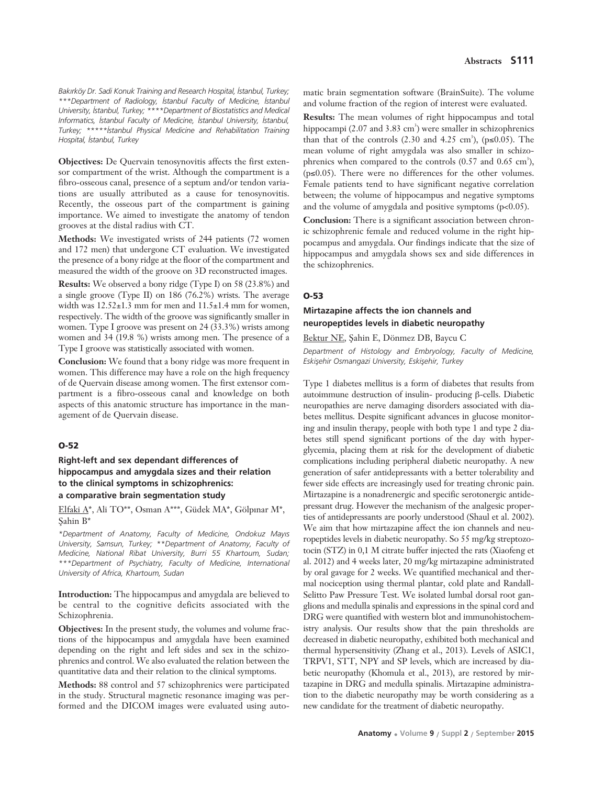Bakırköy Dr. Sadi Konuk Training and Research Hospital, İstanbul, Turkey; *\*\*\*Department of Radiology, ‹stanbul Faculty of Medicine, ‹stanbul* University, *Istanbul, Turkey*; \*\*\*\*Department of Biostatistics and Medical *Informatics, ‹stanbul Faculty of Medicine, ‹stanbul University, ‹stanbul, Turkey; \*\*\*\*\*‹stanbul Physical Medicine and Rehabilitation Training Hospital, ‹stanbul, Turkey*

**Objectives:** De Quervain tenosynovitis affects the first extensor compartment of the wrist. Although the compartment is a fibro-osseous canal, presence of a septum and/or tendon variations are usually attributed as a cause for tenosynovitis. Recently, the osseous part of the compartment is gaining importance. We aimed to investigate the anatomy of tendon grooves at the distal radius with CT.

**Methods:** We investigated wrists of 244 patients (72 women and 172 men) that undergone CT evaluation. We investigated the presence of a bony ridge at the floor of the compartment and measured the width of the groove on 3D reconstructed images.

**Results:** We observed a bony ridge (Type I) on 58 (23.8%) and a single groove (Type II) on 186 (76.2%) wrists. The average width was  $12.52\pm1.3$  mm for men and  $11.5\pm1.4$  mm for women, respectively. The width of the groove was significantly smaller in women. Type I groove was present on 24 (33.3%) wrists among women and 34 (19.8 %) wrists among men. The presence of a Type I groove was statistically associated with women.

**Conclusion:** We found that a bony ridge was more frequent in women. This difference may have a role on the high frequency of de Quervain disease among women. The first extensor compartment is a fibro-osseous canal and knowledge on both aspects of this anatomic structure has importance in the management of de Quervain disease.

#### **O-52**

### **Right-left and sex dependant differences of hippocampus and amygdala sizes and their relation to the clinical symptoms in schizophrenics: a comparative brain segmentation study**

Elfaki A\*, Ali TO\*\*, Osman A\*\*\*, Güdek MA\*, Gölpınar M\*, Sahin B\*

*\*Department of Anatomy, Faculty of Medicine, Ondokuz May›s University, Samsun, Turkey; \*\*Department of Anatomy, Faculty of Medicine, National Ribat University, Burri 55 Khartoum, Sudan; \*\*\*Department of Psychiatry, Faculty of Medicine, International University of Africa, Khartoum, Sudan*

**Introduction:** The hippocampus and amygdala are believed to be central to the cognitive deficits associated with the Schizophrenia.

**Objectives:** In the present study, the volumes and volume fractions of the hippocampus and amygdala have been examined depending on the right and left sides and sex in the schizophrenics and control. We also evaluated the relation between the quantitative data and their relation to the clinical symptoms.

**Methods:** 88 control and 57 schizophrenics were participated in the study. Structural magnetic resonance imaging was performed and the DICOM images were evaluated using auto-

matic brain segmentation software (BrainSuite). The volume and volume fraction of the region of interest were evaluated.

**Results:** The mean volumes of right hippocampus and total hippocampi (2.07 and 3.83 cm<sup>3</sup>) were smaller in schizophrenics than that of the controls  $(2.30 \text{ and } 4.25 \text{ cm}^3)$ ,  $(p \le 0.05)$ . The mean volume of right amygdala was also smaller in schizophrenics when compared to the controls  $(0.57 \text{ and } 0.65 \text{ cm}^3)$ , (p≤0.05). There were no differences for the other volumes. Female patients tend to have significant negative correlation between; the volume of hippocampus and negative symptoms and the volume of amygdala and positive symptoms (p<0.05).

**Conclusion:** There is a significant association between chronic schizophrenic female and reduced volume in the right hippocampus and amygdala. Our findings indicate that the size of hippocampus and amygdala shows sex and side differences in the schizophrenics.

#### **O-53**

#### **Mirtazapine affects the ion channels and neuropeptides levels in diabetic neuropathy**

Bektur NE, fiahin E, Dönmez DB, Baycu C

*Department of Histology and Embryology, Faculty of Medicine,* **Eskisehir Osmangazi University, Eskisehir, Turkey** 

Type 1 diabetes mellitus is a form of diabetes that results from autoimmune destruction of insulin- producing β-cells. Diabetic neuropathies are nerve damaging disorders associated with diabetes mellitus. Despite significant advances in glucose monitoring and insulin therapy, people with both type 1 and type 2 diabetes still spend significant portions of the day with hyperglycemia, placing them at risk for the development of diabetic complications including peripheral diabetic neuropathy. A new generation of safer antidepressants with a better tolerability and fewer side effects are increasingly used for treating chronic pain. Mirtazapine is a nonadrenergic and specific serotonergic antidepressant drug. However the mechanism of the analgesic properties of antidepressants are poorly understood (Shaul et al. 2002). We aim that how mirtazapine affect the ion channels and neuropeptides levels in diabetic neuropathy. So 55 mg/kg streptozotocin (STZ) in 0,1 M citrate buffer injected the rats (Xiaofeng et al. 2012) and 4 weeks later, 20 mg/kg mirtazapine administrated by oral gavage for 2 weeks. We quantified mechanical and thermal nociception using thermal plantar, cold plate and Randall-Selitto Paw Pressure Test. We isolated lumbal dorsal root ganglions and medulla spinalis and expressions in the spinal cord and DRG were quantified with western blot and immunohistochemistry analysis. Our results show that the pain thresholds are decreased in diabetic neuropathy, exhibited both mechanical and thermal hypersensitivity (Zhang et al., 2013). Levels of ASIC1, TRPV1, STT, NPY and SP levels, which are increased by diabetic neuropathy (Khomula et al., 2013), are restored by mirtazapine in DRG and medulla spinalis. Mirtazapine administration to the diabetic neuropathy may be worth considering as a new candidate for the treatment of diabetic neuropathy.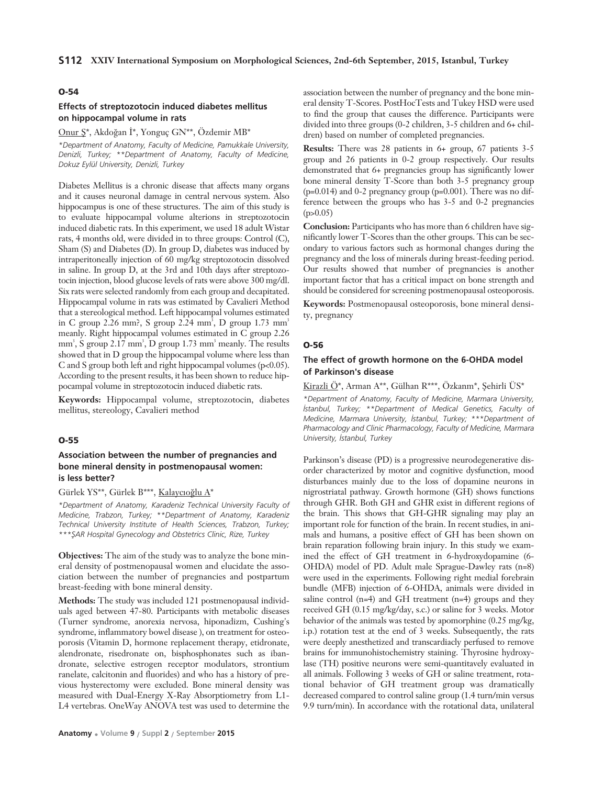#### **O-54**

#### **Effects of streptozotocin induced diabetes mellitus on hippocampal volume in rats**

#### Onur  $S^*$ , Akdoğan İ\*, Yonguç GN\*\*, Özdemir MB\*

*\*Department of Anatomy, Faculty of Medicine, Pamukkale University, Denizli, Turkey; \*\*Department of Anatomy, Faculty of Medicine, Dokuz Eylül University, Denizli, Turkey*

Diabetes Mellitus is a chronic disease that affects many organs and it causes neuronal damage in central nervous system. Also hippocampus is one of these structures. The aim of this study is to evaluate hippocampal volume alterions in streptozotocin induced diabetic rats. In this experiment, we used 18 adult Wistar rats, 4 months old, were divided in to three groups: Control (C), Sham (S) and Diabetes (D). In group D, diabetes was induced by intraperitoneally injection of 60 mg/kg streptozotocin dissolved in saline. In group D, at the 3rd and 10th days after streptozotocin injection, blood glucose levels of rats were above 300 mg/dl. Six rats were selected randomly from each group and decapitated. Hippocampal volume in rats was estimated by Cavalieri Method that a stereological method. Left hippocampal volumes estimated in C group 2.26 mm?, S group 2.24 mm<sup>3</sup>, D group 1.73 mm<sup>3</sup> meanly. Right hippocampal volumes estimated in C group 2.26 mm<sup>3</sup>, S group 2.17 mm<sup>3</sup>, D group 1.73 mm<sup>3</sup> meanly. The results showed that in D group the hippocampal volume where less than C and S group both left and right hippocampal volumes (p<0.05). According to the present results, it has been shown to reduce hippocampal volume in streptozotocin induced diabetic rats.

**Keywords:** Hippocampal volume, streptozotocin, diabetes mellitus, stereology, Cavalieri method

#### **O-55**

### **Association between the number of pregnancies and bone mineral density in postmenopausal women: is less better?**

Gürlek YS\*\*, Gürlek B\*\*\*, Kalaycıoğlu A\*

*\*Department of Anatomy, Karadeniz Technical University Faculty of Medicine, Trabzon, Turkey; \*\*Department of Anatomy, Karadeniz Technical University Institute of Health Sciences, Trabzon, Turkey; \*\*\*fiAR Hospital Gynecology and Obstetrics Clinic, Rize, Turkey*

**Objectives:** The aim of the study was to analyze the bone mineral density of postmenopausal women and elucidate the association between the number of pregnancies and postpartum breast-feeding with bone mineral density.

**Methods:** The study was included 121 postmenopausal individuals aged between 47-80. Participants with metabolic diseases (Turner syndrome, anorexia nervosa, hiponadizm, Cushing's syndrome, inflammatory bowel disease ), on treatment for osteoporosis (Vitamin D, hormone replacement therapy, etidronate, alendronate, risedronate on, bisphosphonates such as ibandronate, selective estrogen receptor modulators, strontium ranelate, calcitonin and fluorides) and who has a history of previous hysterectomy were excluded. Bone mineral density was measured with Dual-Energy X-Ray Absorptiometry from L1- L4 vertebras. OneWay ANOVA test was used to determine the

association between the number of pregnancy and the bone mineral density T-Scores. PostHocTests and Tukey HSD were used to find the group that causes the difference. Participants were divided into three groups (0-2 children, 3-5 children and 6+ children) based on number of completed pregnancies.

**Results:** There was 28 patients in 6+ group, 67 patients 3-5 group and 26 patients in 0-2 group respectively. Our results demonstrated that 6+ pregnancies group has significantly lower bone mineral density T-Score than both 3-5 pregnancy group (p=0.014) and 0-2 pregnancy group (p=0.001). There was no difference between the groups who has 3-5 and 0-2 pregnancies  $(p>0.05)$ 

**Conclusion:** Participants who has more than 6 children have significantly lower T-Scores than the other groups. This can be secondary to various factors such as hormonal changes during the pregnancy and the loss of minerals during breast-feeding period. Our results showed that number of pregnancies is another important factor that has a critical impact on bone strength and should be considered for screening postmenopausal osteoporosis.

**Keywords:** Postmenopausal osteoporosis, bone mineral density, pregnancy

#### **O-56**

#### **The effect of growth hormone on the 6-OHDA model of Parkinson's disease**

Kirazli  $\ddot{O}^*$ , Arman A\*\*, Gülhan R\*\*\*, Özkanm\*, Şehirli ÜS\*

*\*Department of Anatomy, Faculty of Medicine, Marmara University, istanbul, Turkey; \*\*Department of Medical Genetics, Faculty of Medicine, Marmara University, İstanbul, Turkey; \*\*\*Department of Pharmacology and Clinic Pharmacology, Faculty of Medicine, Marmara University, ‹stanbul, Turkey*

Parkinson's disease (PD) is a progressive neurodegenerative disorder characterized by motor and cognitive dysfunction, mood disturbances mainly due to the loss of dopamine neurons in nigrostriatal pathway. Growth hormone (GH) shows functions through GHR. Both GH and GHR exist in different regions of the brain. This shows that GH-GHR signaling may play an important role for function of the brain. In recent studies, in animals and humans, a positive effect of GH has been shown on brain reparation following brain injury. In this study we examined the effect of GH treatment in 6-hydroxydopamine (6- OHDA) model of PD. Adult male Sprague-Dawley rats (n=8) were used in the experiments. Following right medial forebrain bundle (MFB) injection of 6-OHDA, animals were divided in saline control (n=4) and GH treatment (n=4) groups and they received GH (0.15 mg/kg/day, s.c.) or saline for 3 weeks. Motor behavior of the animals was tested by apomorphine (0.25 mg/kg, i.p.) rotation test at the end of 3 weeks. Subsequently, the rats were deeply anesthetized and transcardiacly perfused to remove brains for immunohistochemistry staining. Thyrosine hydroxylase (TH) positive neurons were semi-quantitavely evaluated in all animals. Following 3 weeks of GH or saline treatment, rotational behavior of GH treatment group was dramatically decreased compared to control saline group (1.4 turn/min versus 9.9 turn/min). In accordance with the rotational data, unilateral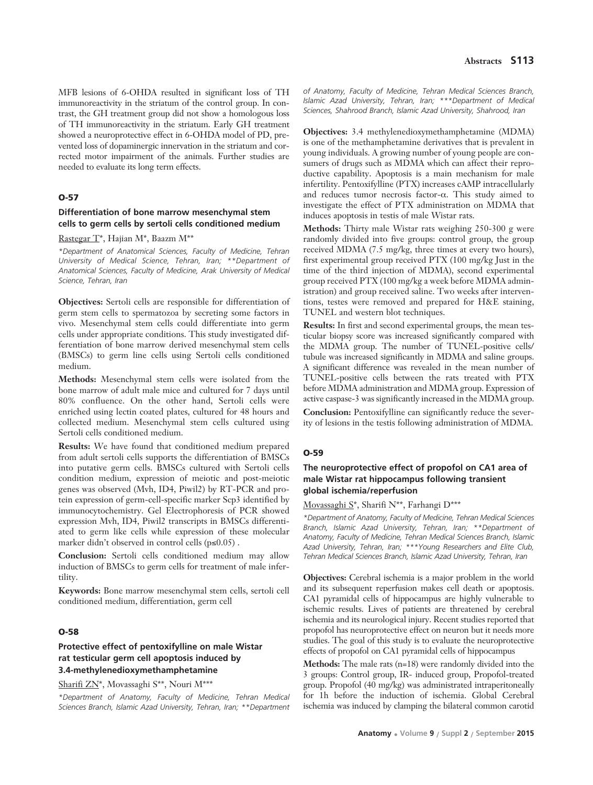MFB lesions of 6-OHDA resulted in significant loss of TH immunoreactivity in the striatum of the control group. In contrast, the GH treatment group did not show a homologous loss of TH immunoreactivity in the striatum. Early GH treatment showed a neuroprotective effect in 6-OHDA model of PD, prevented loss of dopaminergic innervation in the striatum and corrected motor impairment of the animals. Further studies are needed to evaluate its long term effects.

#### **O-57**

### **Differentiation of bone marrow mesenchymal stem cells to germ cells by sertoli cells conditioned medium**

Rastegar T\*, Hajian M\*, Baazm M\*\*

*\*Department of Anatomical Sciences, Faculty of Medicine, Tehran University of Medical Science, Tehran, Iran; \*\*Department of Anatomical Sciences, Faculty of Medicine, Arak University of Medical Science, Tehran, Iran* 

**Objectives:** Sertoli cells are responsible for differentiation of germ stem cells to spermatozoa by secreting some factors in vivo. Mesenchymal stem cells could differentiate into germ cells under appropriate conditions. This study investigated differentiation of bone marrow derived mesenchymal stem cells (BMSCs) to germ line cells using Sertoli cells conditioned medium.

**Methods:** Mesenchymal stem cells were isolated from the bone marrow of adult male mice and cultured for 7 days until 80% confluence. On the other hand, Sertoli cells were enriched using lectin coated plates, cultured for 48 hours and collected medium. Mesenchymal stem cells cultured using Sertoli cells conditioned medium.

**Results:** We have found that conditioned medium prepared from adult sertoli cells supports the differentiation of BMSCs into putative germ cells. BMSCs cultured with Sertoli cells condition medium, expression of meiotic and post-meiotic genes was observed (Mvh, ID4, Piwil2) by RT-PCR and protein expression of germ-cell-specific marker Scp3 identified by immunocytochemistry. Gel Electrophoresis of PCR showed expression Mvh, ID4, Piwil2 transcripts in BMSCs differentiated to germ like cells while expression of these molecular marker didn't observed in control cells (p≤0.05) .

**Conclusion:** Sertoli cells conditioned medium may allow induction of BMSCs to germ cells for treatment of male infertility.

**Keywords:** Bone marrow mesenchymal stem cells, sertoli cell conditioned medium, differentiation, germ cell

### **O-58**

### **Protective effect of pentoxifylline on male Wistar rat testicular germ cell apoptosis induced by 3.4-methylenedioxymethamphetamine**

Sharifi ZN\*, Movassaghi S\*\*, Nouri M\*\*\*

*\*Department of Anatomy, Faculty of Medicine, Tehran Medical Sciences Branch, Islamic Azad University, Tehran, Iran; \*\*Department*

*of Anatomy, Faculty of Medicine, Tehran Medical Sciences Branch, Islamic Azad University, Tehran, Iran; \*\*\*Department of Medical Sciences, Shahrood Branch, Islamic Azad University, Shahrood, Iran*

**Objectives:** 3.4 methylenedioxymethamphetamine (MDMA) is one of the methamphetamine derivatives that is prevalent in young individuals. A growing number of young people are consumers of drugs such as MDMA which can affect their reproductive capability. Apoptosis is a main mechanism for male infertility. Pentoxifylline (PTX) increases cAMP intracellularly and reduces tumor necrosis factor-α. This study aimed to investigate the effect of PTX administration on MDMA that induces apoptosis in testis of male Wistar rats.

**Methods:** Thirty male Wistar rats weighing 250-300 g were randomly divided into five groups: control group, the group received MDMA (7.5 mg/kg, three times at every two hours), first experimental group received PTX (100 mg/kg Just in the time of the third injection of MDMA), second experimental group received PTX (100 mg/kg a week before MDMA administration) and group received saline. Two weeks after interventions, testes were removed and prepared for H&E staining, TUNEL and western blot techniques.

**Results:** In first and second experimental groups, the mean testicular biopsy score was increased significantly compared with the MDMA group. The number of TUNEL-positive cells/ tubule was increased significantly in MDMA and saline groups. A significant difference was revealed in the mean number of TUNEL-positive cells between the rats treated with PTX before MDMA administration and MDMA group. Expression of active caspase-3 was significantly increased in the MDMA group.

**Conclusion:** Pentoxifylline can significantly reduce the severity of lesions in the testis following administration of MDMA.

#### **O-59**

### **The neuroprotective effect of propofol on CA1 area of male Wistar rat hippocampus following transient global ischemia/reperfusion**

#### Movassaghi S\*, Sharifi N\*\*, Farhangi D\*\*\*

*\*Department of Anatomy, Faculty of Medicine, Tehran Medical Sciences Branch, Islamic Azad University, Tehran, Iran; \*\*Department of Anatomy, Faculty of Medicine, Tehran Medical Sciences Branch, Islamic Azad University, Tehran, Iran; \*\*\*Young Researchers and Elite Club, Tehran Medical Sciences Branch, Islamic Azad University, Tehran, Iran*

**Objectives:** Cerebral ischemia is a major problem in the world and its subsequent reperfusion makes cell death or apoptosis. CA1 pyramidal cells of hippocampus are highly vulnerable to ischemic results. Lives of patients are threatened by cerebral ischemia and its neurological injury. Recent studies reported that propofol has neuroprotective effect on neuron but it needs more studies. The goal of this study is to evaluate the neuroprotective effects of propofol on CA1 pyramidal cells of hippocampus

**Methods:** The male rats (n=18) were randomly divided into the 3 groups: Control group, IR- induced group, Propofol-treated group. Propofol (40 mg/kg) was administrated intraperitoneally for 1h before the induction of ischemia. Global Cerebral ischemia was induced by clamping the bilateral common carotid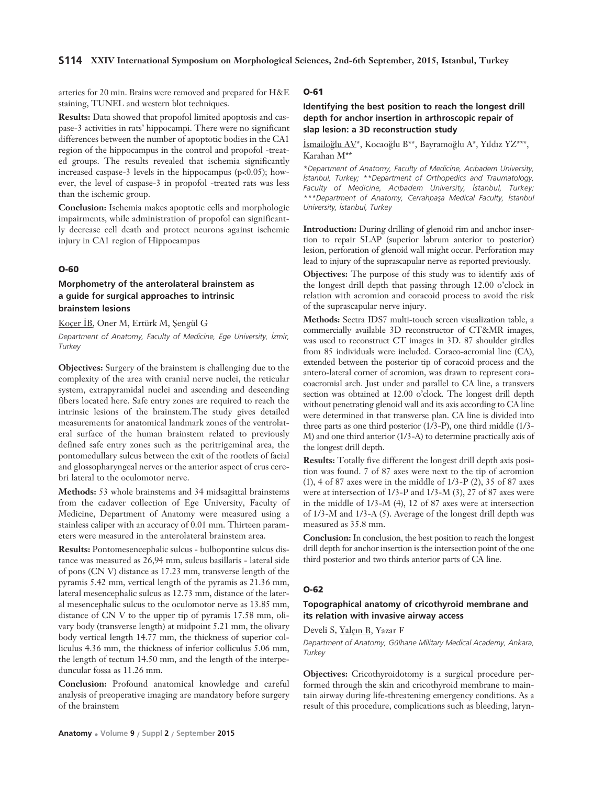arteries for 20 min. Brains were removed and prepared for H&E staining, TUNEL and western blot techniques.

**Results:** Data showed that propofol limited apoptosis and caspase-3 activities in rats' hippocampi. There were no significant differences between the number of apoptotic bodies in the CA1 region of the hippocampus in the control and propofol -treated groups. The results revealed that ischemia significantly increased caspase-3 levels in the hippocampus (p<0.05); however, the level of caspase-3 in propofol -treated rats was less than the ischemic group.

**Conclusion:** Ischemia makes apoptotic cells and morphologic impairments, while administration of propofol can significantly decrease cell death and protect neurons against ischemic injury in CA1 region of Hippocampus

#### **O-60**

### **Morphometry of the anterolateral brainstem as a guide for surgical approaches to intrinsic brainstem lesions**

Koçer İB, Oner M, Ertürk M, Şengül G

*Department of Anatomy, Faculty of Medicine, Ege University, ‹zmir, Turkey*

**Objectives:** Surgery of the brainstem is challenging due to the complexity of the area with cranial nerve nuclei, the reticular system, extrapyramidal nuclei and ascending and descending fibers located here. Safe entry zones are required to reach the intrinsic lesions of the brainstem.The study gives detailed measurements for anatomical landmark zones of the ventrolateral surface of the human brainstem related to previously defined safe entry zones such as the peritrigeminal area, the pontomedullary sulcus between the exit of the rootlets of facial and glossopharyngeal nerves or the anterior aspect of crus cerebri lateral to the oculomotor nerve.

**Methods:** 53 whole brainstems and 34 midsagittal brainstems from the cadaver collection of Ege University, Faculty of Medicine, Department of Anatomy were measured using a stainless caliper with an accuracy of 0.01 mm. Thirteen parameters were measured in the anterolateral brainstem area.

**Results:** Pontomesencephalic sulcus - bulbopontine sulcus distance was measured as 26,94 mm, sulcus basillaris - lateral side of pons (CN V) distance as 17.23 mm, transverse length of the pyramis 5.42 mm, vertical length of the pyramis as 21.36 mm, lateral mesencephalic sulcus as 12.73 mm, distance of the lateral mesencephalic sulcus to the oculomotor nerve as 13.85 mm, distance of CN V to the upper tip of pyramis 17.58 mm, olivary body (transverse length) at midpoint 5.21 mm, the olivary body vertical length 14.77 mm, the thickness of superior colliculus 4.36 mm, the thickness of inferior colliculus 5.06 mm, the length of tectum 14.50 mm, and the length of the interpeduncular fossa as 11.26 mm.

**Conclusion:** Profound anatomical knowledge and careful analysis of preoperative imaging are mandatory before surgery of the brainstem

#### **O-61**

### **Identifying the best position to reach the longest drill depth for anchor insertion in arthroscopic repair of slap lesion: a 3D reconstruction study**

İsmailoğlu AV\*, Kocaoğlu B\*\*, Bayramoğlu A\*, Yıldız YZ\*\*\*, Karahan M\*\*

*\*Department of Anatomy, Faculty of Medicine, Ac›badem University, ‹stanbul, Turkey; \*\*Department of Orthopedics and Traumatology,* Faculty of Medicine, Acıbadem University, İstanbul, Turkey; *\*\*\*Department of Anatomy, Cerrahpafla Medical Faculty, ‹stanbul University, ‹stanbul, Turkey*

**Introduction:** During drilling of glenoid rim and anchor insertion to repair SLAP (superior labrum anterior to posterior) lesion, perforation of glenoid wall might occur. Perforation may lead to injury of the suprascapular nerve as reported previously.

**Objectives:** The purpose of this study was to identify axis of the longest drill depth that passing through 12.00 o'clock in relation with acromion and coracoid process to avoid the risk of the suprascapular nerve injury.

**Methods:** Sectra IDS7 multi-touch screen visualization table, a commercially available 3D reconstructor of CT&MR images, was used to reconstruct CT images in 3D. 87 shoulder girdles from 85 individuals were included. Coraco-acromial line (CA), extended between the posterior tip of coracoid process and the antero-lateral corner of acromion, was drawn to represent coracoacromial arch. Just under and parallel to CA line, a transvers section was obtained at 12.00 o'clock. The longest drill depth without penetrating glenoid wall and its axis according to CA line were determined in that transverse plan. CA line is divided into three parts as one third posterior (1/3-P), one third middle (1/3- M) and one third anterior (1/3-A) to determine practically axis of the longest drill depth.

**Results:** Totally five different the longest drill depth axis position was found. 7 of 87 axes were next to the tip of acromion (1), 4 of 87 axes were in the middle of  $1/3-P(2)$ , 35 of 87 axes were at intersection of 1/3-P and 1/3-M (3), 27 of 87 axes were in the middle of 1/3-M (4), 12 of 87 axes were at intersection of 1/3-M and 1/3-A (5). Average of the longest drill depth was measured as 35.8 mm.

**Conclusion:** In conclusion, the best position to reach the longest drill depth for anchor insertion is the intersection point of the one third posterior and two thirds anterior parts of CA line.

#### **O-62**

#### **Topographical anatomy of cricothyroid membrane and its relation with invasive airway access**

Develi S, Yalçın B, Yazar F

*Department of Anatomy, Gülhane Military Medical Academy, Ankara, Turkey* 

**Objectives:** Cricothyroidotomy is a surgical procedure performed through the skin and cricothyroid membrane to maintain airway during life-threatening emergency conditions. As a result of this procedure, complications such as bleeding, laryn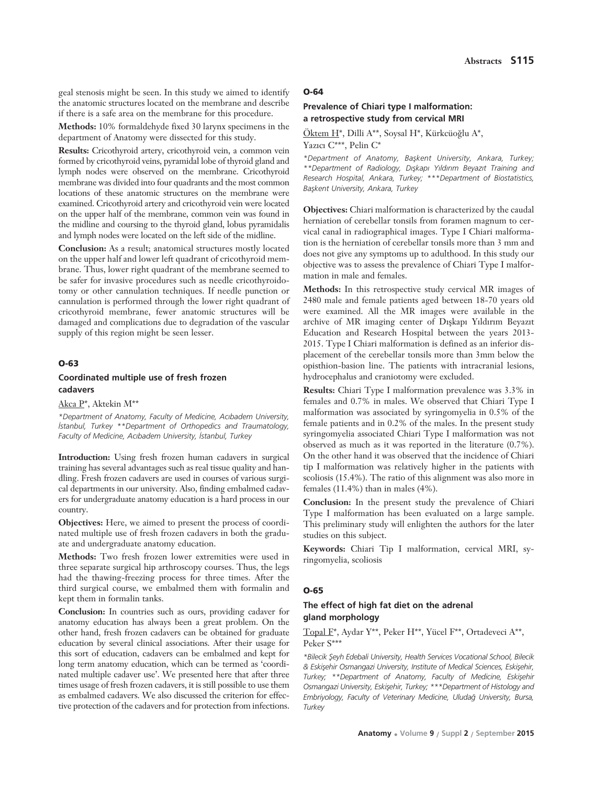geal stenosis might be seen. In this study we aimed to identify the anatomic structures located on the membrane and describe if there is a safe area on the membrane for this procedure.

**Methods:** 10% formaldehyde fixed 30 larynx specimens in the department of Anatomy were dissected for this study.

**Results:** Cricothyroid artery, cricothyroid vein, a common vein formed by cricothyroid veins, pyramidal lobe of thyroid gland and lymph nodes were observed on the membrane. Cricothyroid membrane was divided into four quadrants and the most common locations of these anatomic structures on the membrane were examined. Cricothyroid artery and cricothyroid vein were located on the upper half of the membrane, common vein was found in the midline and coursing to the thyroid gland, lobus pyramidalis and lymph nodes were located on the left side of the midline.

**Conclusion:** As a result; anatomical structures mostly located on the upper half and lower left quadrant of cricothyroid membrane. Thus, lower right quadrant of the membrane seemed to be safer for invasive procedures such as needle cricothyroidotomy or other cannulation techniques. If needle punction or cannulation is performed through the lower right quadrant of cricothyroid membrane, fewer anatomic structures will be damaged and complications due to degradation of the vascular supply of this region might be seen lesser.

#### **O-63**

### **Coordinated multiple use of fresh frozen cadavers**

Akca P\*, Aktekin M\*\*

*\*Department of Anatomy, Faculty of Medicine, Ac›badem University, ‹stanbul, Turkey \*\*Department of Orthopedics and Traumatology,* Faculty of Medicine, Acıbadem University, İstanbul, Turkey

**Introduction:** Using fresh frozen human cadavers in surgical training has several advantages such as real tissue quality and handling. Fresh frozen cadavers are used in courses of various surgical departments in our university. Also, finding embalmed cadavers for undergraduate anatomy education is a hard process in our country.

**Objectives:** Here, we aimed to present the process of coordinated multiple use of fresh frozen cadavers in both the graduate and undergraduate anatomy education.

**Methods:** Two fresh frozen lower extremities were used in three separate surgical hip arthroscopy courses. Thus, the legs had the thawing-freezing process for three times. After the third surgical course, we embalmed them with formalin and kept them in formalin tanks.

**Conclusion:** In countries such as ours, providing cadaver for anatomy education has always been a great problem. On the other hand, fresh frozen cadavers can be obtained for graduate education by several clinical associations. After their usage for this sort of education, cadavers can be embalmed and kept for long term anatomy education, which can be termed as 'coordinated multiple cadaver use'. We presented here that after three times usage of fresh frozen cadavers, it is still possible to use them as embalmed cadavers. We also discussed the criterion for effective protection of the cadavers and for protection from infections.

#### **O-64**

### **Prevalence of Chiari type I malformation: a retrospective study from cervical MRI**

 $Öktem H^*$ , Dilli A\*\*, Soysal H\*, Kürkcüoğlu A\*, Yazıcı C\*\*\*, Pelin C\*

*\*Department of Anatomy, Baflkent University, Ankara, Turkey; \*\*Department of Radiology, D›flkap› Y›ld›r›m Beyaz›t Training and Research Hospital, Ankara, Turkey; \*\*\*Department of Biostatistics, Baflkent University, Ankara, Turkey*

**Objectives:** Chiari malformation is characterized by the caudal herniation of cerebellar tonsils from foramen magnum to cervical canal in radiographical images. Type I Chiari malformation is the herniation of cerebellar tonsils more than 3 mm and does not give any symptoms up to adulthood. In this study our objective was to assess the prevalence of Chiari Type I malformation in male and females.

**Methods:** In this retrospective study cervical MR images of 2480 male and female patients aged between 18-70 years old were examined. All the MR images were available in the archive of MR imaging center of Dışkapı Yıldırım Beyazıt Education and Research Hospital between the years 2013- 2015. Type I Chiari malformation is defined as an inferior displacement of the cerebellar tonsils more than 3mm below the opisthion-basion line. The patients with intracranial lesions, hydrocephalus and craniotomy were excluded.

**Results:** Chiari Type I malformation prevalence was 3.3% in females and 0.7% in males. We observed that Chiari Type I malformation was associated by syringomyelia in 0.5% of the female patients and in 0.2% of the males. In the present study syringomyelia associated Chiari Type I malformation was not observed as much as it was reported in the literature (0.7%). On the other hand it was observed that the incidence of Chiari tip I malformation was relatively higher in the patients with scoliosis (15.4%). The ratio of this alignment was also more in females (11.4%) than in males (4%).

**Conclusion:** In the present study the prevalence of Chiari Type I malformation has been evaluated on a large sample. This preliminary study will enlighten the authors for the later studies on this subject.

**Keywords:** Chiari Tip I malformation, cervical MRI, syringomyelia, scoliosis

#### **O-65**

### **The effect of high fat diet on the adrenal gland morphology**

Topal F\*, Aydar Y\*\*, Peker H\*\*, Yücel F\*\*, Ortadeveci A\*\*, Peker S\*\*\*

*\*Bilecik fieyh Edebali University, Health Services Vocational School, Bilecik*  $\&$  Eskişehir Osmangazi University, Institute of Medical Sciences, Eskişehir, Turkey; \*\*Department of Anatomy, Faculty of Medicine, Eskişehir Osmangazi University, Eskişehir, Turkey; \*\*\*Department of Histology and *Embriyology, Faculty of Veterinary Medicine, Uluda¤ University, Bursa, Turkey*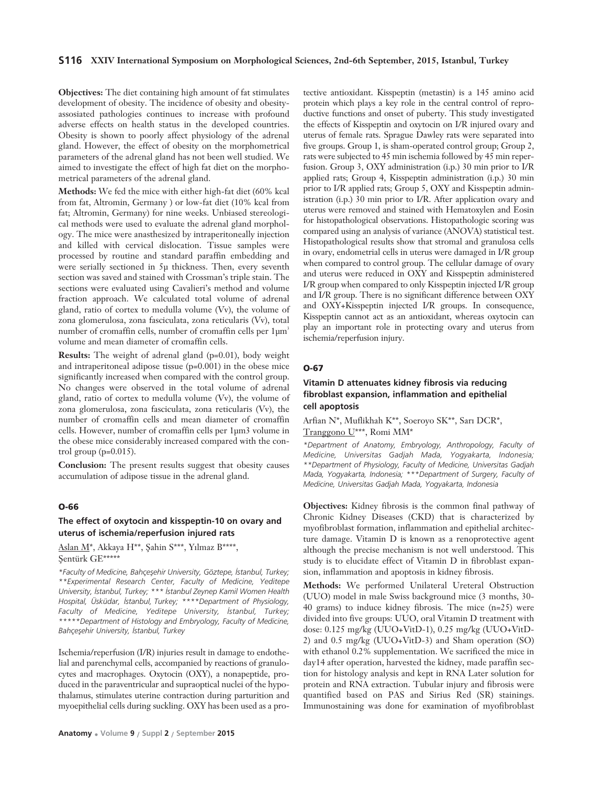#### **S116 XXIV International Symposium on Morphological Sciences, 2nd-6th September, 2015, Istanbul, Turkey**

**Objectives:** The diet containing high amount of fat stimulates development of obesity. The incidence of obesity and obesityassosiated pathologies continues to increase with profound adverse effects on health status in the developed countries. Obesity is shown to poorly affect physiology of the adrenal gland. However, the effect of obesity on the morphometrical parameters of the adrenal gland has not been well studied. We aimed to investigate the effect of high fat diet on the morphometrical parameters of the adrenal gland.

**Methods:** We fed the mice with either high-fat diet (60% kcal from fat, Altromin, Germany ) or low-fat diet (10% kcal from fat; Altromin, Germany) for nine weeks. Unbiased stereological methods were used to evaluate the adrenal gland morphology. The mice were anasthesized by intraperitoneally injection and killed with cervical dislocation. Tissue samples were processed by routine and standard paraffin embedding and were serially sectioned in 5μ thickness. Then, every seventh section was saved and stained with Crossman's triple stain. The sections were evaluated using Cavalieri's method and volume fraction approach. We calculated total volume of adrenal gland, ratio of cortex to medulla volume (Vv), the volume of zona glomerulosa, zona fasciculata, zona reticularis (Vv), total number of cromaffin cells, number of cromaffin cells per  $1 \mu m^3$ volume and mean diameter of cromaffin cells.

**Results:** The weight of adrenal gland (p=0.01), body weight and intraperitoneal adipose tissue (p=0.001) in the obese mice significantly increased when compared with the control group. No changes were observed in the total volume of adrenal gland, ratio of cortex to medulla volume (Vv), the volume of zona glomerulosa, zona fasciculata, zona reticularis (Vv), the number of cromaffin cells and mean diameter of cromaffin cells. However, number of cromaffin cells per 1μm3 volume in the obese mice considerably increased compared with the control group  $(p=0.015)$ .

**Conclusion:** The present results suggest that obesity causes accumulation of adipose tissue in the adrenal gland.

### **O-66**

#### **The effect of oxytocin and kisspeptin-10 on ovary and uterus of ischemia/reperfusion injured rats**

Aslan M<sup>\*</sup>, Akkaya H<sup>\*\*</sup>, Şahin S<sup>\*\*\*</sup>, Yılmaz B<sup>\*\*\*\*</sup>, Şentürk GE\*\*\*\*\*

*\*Faculty of Medicine, Bahçeflehir University, Göztepe, ‹stanbul, Turkey; \*\*Experimental Research Center, Faculty of Medicine, Yeditepe University, ‹stanbul, Turkey; \*\*\* ‹stanbul Zeynep Kamil Women Health Hospital, Üsküdar, ‹stanbul, Turkey; \*\*\*\*Department of Physiology,* Faculty of Medicine, Yeditepe University, *Istanbul*, Turkey; *\*\*\*\*\*Department of Histology and Embryology, Faculty of Medicine, Bahçeflehir University, ‹stanbul, Turkey*

Ischemia/reperfusion (I/R) injuries result in damage to endothelial and parenchymal cells, accompanied by reactions of granulocytes and macrophages. Oxytocin (OXY), a nonapeptide, produced in the paraventricular and supraoptical nuclei of the hypothalamus, stimulates uterine contraction during parturition and myoepithelial cells during suckling. OXY has been used as a pro-

tective antioxidant. Kisspeptin (metastin) is a 145 amino acid protein which plays a key role in the central control of reproductive functions and onset of puberty. This study investigated the effects of Kisspeptin and oxytocin on I/R injured ovary and uterus of female rats. Sprague Dawley rats were separated into five groups. Group 1, is sham-operated control group; Group 2, rats were subjected to 45 min ischemia followed by 45 min reperfusion. Group 3, OXY administration (i.p.) 30 min prior to I/R applied rats; Group 4, Kisspeptin administration (i.p.) 30 min prior to I/R applied rats; Group 5, OXY and Kisspeptin administration (i.p.) 30 min prior to I/R. After application ovary and uterus were removed and stained with Hematoxylen and Eosin for histopathological observations. Histopathologic scoring was compared using an analysis of variance (ANOVA) statistical test. Histopathological results show that stromal and granulosa cells in ovary, endometrial cells in uterus were damaged in I/R group when compared to control group. The cellular damage of ovary and uterus were reduced in OXY and Kisspeptin administered I/R group when compared to only Kisspeptin injected I/R group and I/R group. There is no significant difference between OXY and OXY+Kisspeptin injected I/R groups. In consequence, Kisspeptin cannot act as an antioxidant, whereas oxytocin can play an important role in protecting ovary and uterus from ischemia/reperfusion injury.

#### **O-67**

### **Vitamin D attenuates kidney fibrosis via reducing fibroblast expansion, inflammation and epithelial cell apoptosis**

Arfian N\*, Muflikhah K\*\*, Soeroyo SK\*\*, Sarı DCR\*, Tranggono U\*\*\*, Romi MM\*

*\*Department of Anatomy, Embryology, Anthropology, Faculty of Medicine, Universitas Gadjah Mada, Yogyakarta, Indonesia; \*\*Department of Physiology, Faculty of Medicine, Universitas Gadjah Mada, Yogyakarta, Indonesia; \*\*\*Department of Surgery, Faculty of Medicine, Universitas Gadjah Mada, Yogyakarta, Indonesia* 

**Objectives:** Kidney fibrosis is the common final pathway of Chronic Kidney Diseases (CKD) that is characterized by myofibroblast formation, inflammation and epithelial architecture damage. Vitamin D is known as a renoprotective agent although the precise mechanism is not well understood. This study is to elucidate effect of Vitamin D in fibroblast expansion, inflammation and apoptosis in kidney fibrosis.

**Methods:** We performed Unilateral Ureteral Obstruction (UUO) model in male Swiss background mice (3 months, 30- 40 grams) to induce kidney fibrosis. The mice (n=25) were divided into five groups: UUO, oral Vitamin D treatment with dose: 0.125 mg/kg (UUO+VitD-1), 0.25 mg/kg (UUO+VitD-2) and 0.5 mg/kg (UUO+VitD-3) and Sham operation (SO) with ethanol 0.2% supplementation. We sacrificed the mice in day14 after operation, harvested the kidney, made paraffin section for histology analysis and kept in RNA Later solution for protein and RNA extraction. Tubular injury and fibrosis were quantified based on PAS and Sirius Red (SR) stainings. Immunostaining was done for examination of myofibroblast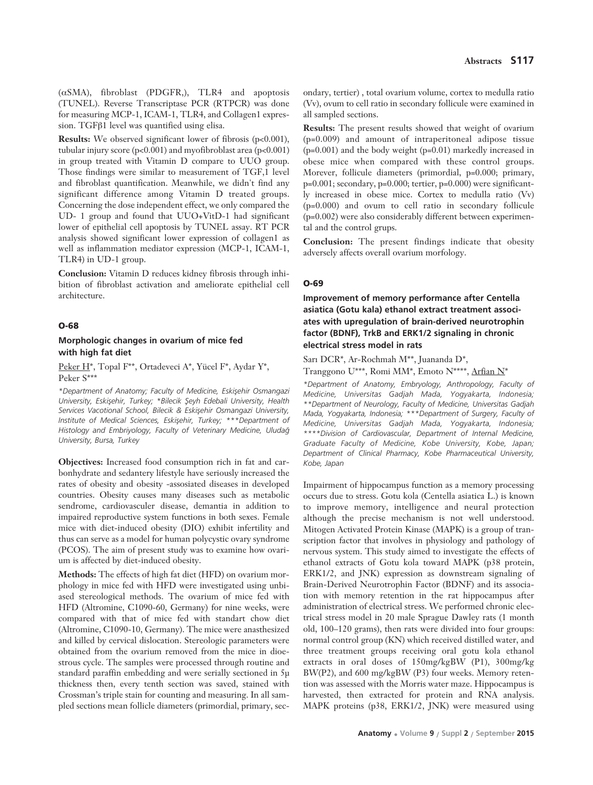( $\alpha$ SMA), fibroblast (PDGFR,), TLR4 and apoptosis (TUNEL). Reverse Transcriptase PCR (RTPCR) was done for measuring MCP-1, ICAM-1, TLR4, and Collagen1 expression. TGFβ1 level was quantified using elisa.

**Results:** We observed significant lower of fibrosis (p<0.001). tubular injury score (p<0.001) and myofibroblast area (p<0.001) in group treated with Vitamin D compare to UUO group. Those findings were similar to measurement of TGF,1 level and fibroblast quantification. Meanwhile, we didn't find any significant difference among Vitamin D treated groups. Concerning the dose independent effect, we only compared the UD- 1 group and found that UUO+VitD-1 had significant lower of epithelial cell apoptosis by TUNEL assay. RT PCR analysis showed significant lower expression of collagen1 as well as inflammation mediator expression (MCP-1, ICAM-1, TLR4) in UD-1 group.

**Conclusion:** Vitamin D reduces kidney fibrosis through inhibition of fibroblast activation and ameliorate epithelial cell architecture.

#### **O-68**

### **Morphologic changes in ovarium of mice fed with high fat diet**

Peker H\*, Topal F\*\*, Ortadeveci A\*, Yücel F\*, Aydar Y\*, Peker S\*\*\*

*\*Department of Anatomy; Faculty of Medicine, Eskiflehir Osmangazi University, Eskisehir, Turkey; \*Bilecik Şeyh Edebali University, Health* Services Vacotional School, Bilecik & Eskişehir Osmangazi University, *Institute of Medical Sciences, Eskişehir, Turkey; \*\*\*Department of Histology and Embriyology, Faculty of Veterinary Medicine, Uluda¤ University, Bursa, Turkey*

**Objectives:** Increased food consumption rich in fat and carbonhydrate and sedantery lifestyle have seriously increased the rates of obesity and obesity -assosiated diseases in developed countries. Obesity causes many diseases such as metabolic sendrome, cardiovasculer disease, demantia in addition to impaired reproductive system functions in both sexes. Female mice with diet-induced obesity (DIO) exhibit infertility and thus can serve as a model for human polycystic ovary syndrome (PCOS). The aim of present study was to examine how ovarium is affected by diet-induced obesity.

**Methods:** The effects of high fat diet (HFD) on ovarium morphology in mice fed with HFD were investigated using unbiased stereological methods. The ovarium of mice fed with HFD (Altromine, C1090-60, Germany) for nine weeks, were compared with that of mice fed with standart chow diet (Altromine, C1090-10, Germany). The mice were anasthesized and killed by cervical dislocation. Stereologic parameters were obtained from the ovarium removed from the mice in dioestrous cycle. The samples were processed through routine and standard paraffin embedding and were serially sectioned in 5μ thickness then, every tenth section was saved, stained with Crossman's triple stain for counting and measuring. In all sampled sections mean follicle diameters (primordial, primary, secondary, tertier) , total ovarium volume, cortex to medulla ratio (Vv), ovum to cell ratio in secondary follicule were examined in all sampled sections.

**Results:** The present results showed that weight of ovarium (p=0.009) and amount of intraperitoneal adipose tissue (p=0.001) and the body weight (p=0.01) markedly increased in obese mice when compared with these control groups. Morever, follicule diameters (primordial, p=0.000; primary, p=0.001; secondary, p=0.000; tertier, p=0.000) were significantly increased in obese mice. Cortex to medulla ratio (Vv) (p=0.000) and ovum to cell ratio in secondary follicule (p=0.002) were also considerably different between experimental and the control grups.

**Conclusion:** The present findings indicate that obesity adversely affects overall ovarium morfology.

#### **O-69**

**Improvement of memory performance after Centella asiatica (Gotu kala) ethanol extract treatment associates with upregulation of brain-derived neurotrophin factor (BDNF), TrkB and ERK1/2 signaling in chronic electrical stress model in rats**

Sarı DCR\*, Ar-Rochmah M\*\*, Juananda D\*, Tranggono U\*\*\*, Romi MM\*, Emoto N\*\*\*\*, Arfian N\*

*\*Department of Anatomy, Embryology, Anthropology, Faculty of Medicine, Universitas Gadjah Mada, Yogyakarta, Indonesia; \*\*Department of Neurology, Faculty of Medicine, Universitas Gadjah Mada, Yogyakarta, Indonesia; \*\*\*Department of Surgery, Faculty of Medicine, Universitas Gadjah Mada, Yogyakarta, Indonesia; \*\*\*\*Division of Cardiovascular, Department of Internal Medicine, Graduate Faculty of Medicine, Kobe University, Kobe, Japan; Department of Clinical Pharmacy, Kobe Pharmaceutical University, Kobe, Japan*

Impairment of hippocampus function as a memory processing occurs due to stress. Gotu kola (Centella asiatica L.) is known to improve memory, intelligence and neural protection although the precise mechanism is not well understood. Mitogen Activated Protein Kinase (MAPK) is a group of transcription factor that involves in physiology and pathology of nervous system. This study aimed to investigate the effects of ethanol extracts of Gotu kola toward MAPK (p38 protein, ERK1/2, and JNK) expression as downstream signaling of Brain-Derived Neurotrophin Factor (BDNF) and its association with memory retention in the rat hippocampus after administration of electrical stress. We performed chronic electrical stress model in 20 male Sprague Dawley rats (1 month old, 100–120 grams), then rats were divided into four groups: normal control group (KN) which received distilled water, and three treatment groups receiving oral gotu kola ethanol extracts in oral doses of 150mg/kgBW (P1), 300mg/kg BW(P2), and 600 mg/kgBW (P3) four weeks. Memory retention was assessed with the Morris water maze. Hippocampus is harvested, then extracted for protein and RNA analysis. MAPK proteins (p38, ERK1/2, JNK) were measured using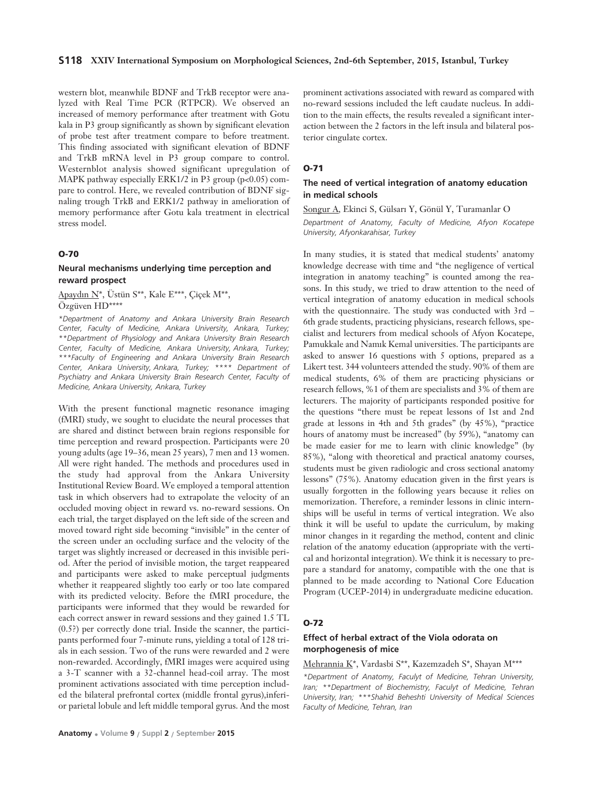#### **S118 XXIV International Symposium on Morphological Sciences, 2nd-6th September, 2015, Istanbul, Turkey**

western blot, meanwhile BDNF and TrkB receptor were analyzed with Real Time PCR (RTPCR). We observed an increased of memory performance after treatment with Gotu kala in P3 group significantly as shown by significant elevation of probe test after treatment compare to before treatment. This finding associated with significant elevation of BDNF and TrkB mRNA level in P3 group compare to control. Westernblot analysis showed significant upregulation of MAPK pathway especially ERK1/2 in P3 group (p<0.05) compare to control. Here, we revealed contribution of BDNF signaling trough TrkB and ERK1/2 pathway in amelioration of memory performance after Gotu kala treatment in electrical stress model.

#### **O-70**

### **Neural mechanisms underlying time perception and reward prospect**

Apaydın N\*, Üstün S\*\*, Kale E\*\*\*, Çiçek M\*\*, Özgüven HD\*\*\*\*

*\*Department of Anatomy and Ankara University Brain Research Center, Faculty of Medicine, Ankara University, Ankara, Turkey; \*\*Department of Physiology and Ankara University Brain Research Center, Faculty of Medicine, Ankara University, Ankara, Turkey; \*\*\*Faculty of Engineering and Ankara University Brain Research Center, Ankara University, Ankara, Turkey; \*\*\*\* Department of Psychiatry and Ankara University Brain Research Center, Faculty of Medicine, Ankara University, Ankara, Turkey*

With the present functional magnetic resonance imaging (fMRI) study, we sought to elucidate the neural processes that are shared and distinct between brain regions responsible for time perception and reward prospection. Participants were 20 young adults (age 19–36, mean 25 years), 7 men and 13 women. All were right handed. The methods and procedures used in the study had approval from the Ankara University Institutional Review Board. We employed a temporal attention task in which observers had to extrapolate the velocity of an occluded moving object in reward vs. no-reward sessions. On each trial, the target displayed on the left side of the screen and moved toward right side becoming "invisible" in the center of the screen under an occluding surface and the velocity of the target was slightly increased or decreased in this invisible period. After the period of invisible motion, the target reappeared and participants were asked to make perceptual judgments whether it reappeared slightly too early or too late compared with its predicted velocity. Before the fMRI procedure, the participants were informed that they would be rewarded for each correct answer in reward sessions and they gained 1.5 TL (0.5?) per correctly done trial. Inside the scanner, the participants performed four 7-minute runs, yielding a total of 128 trials in each session. Two of the runs were rewarded and 2 were non-rewarded. Accordingly, fMRI images were acquired using a 3-T scanner with a 32-channel head-coil array. The most prominent activations associated with time perception included the bilateral prefrontal cortex (middle frontal gyrus),inferior parietal lobule and left middle temporal gyrus. And the most

**Anatomy • Volume 9 / Suppl 2 / September 2015**

prominent activations associated with reward as compared with no-reward sessions included the left caudate nucleus. In addition to the main effects, the results revealed a significant interaction between the 2 factors in the left insula and bilateral posterior cingulate cortex.

#### **O-71**

### **The need of vertical integration of anatomy education in medical schools**

Songur A, Ekinci S, Gülsarı Y, Gönül Y, Turamanlar O *Department of Anatomy, Faculty of Medicine, Afyon Kocatepe University, Afyonkarahisar, Turkey* 

In many studies, it is stated that medical students' anatomy knowledge decrease with time and "the negligence of vertical integration in anatomy teaching" is counted among the reasons. In this study, we tried to draw attention to the need of vertical integration of anatomy education in medical schools with the questionnaire. The study was conducted with 3rd – 6th grade students, practicing physicians, research fellows, specialist and lecturers from medical schools of Afyon Kocatepe, Pamukkale and Namik Kemal universities. The participants are asked to answer 16 questions with 5 options, prepared as a Likert test. 344 volunteers attended the study. 90% of them are medical students, 6% of them are practicing physicians or research fellows, %1 of them are specialists and 3% of them are lecturers. The majority of participants responded positive for the questions "there must be repeat lessons of 1st and 2nd grade at lessons in 4th and 5th grades" (by 45%), "practice hours of anatomy must be increased" (by 59%), "anatomy can be made easier for me to learn with clinic knowledge" (by 85%), "along with theoretical and practical anatomy courses, students must be given radiologic and cross sectional anatomy lessons" (75%). Anatomy education given in the first years is usually forgotten in the following years because it relies on memorization. Therefore, a reminder lessons in clinic internships will be useful in terms of vertical integration. We also think it will be useful to update the curriculum, by making minor changes in it regarding the method, content and clinic relation of the anatomy education (appropriate with the vertical and horizontal integration). We think it is necessary to prepare a standard for anatomy, compatible with the one that is planned to be made according to National Core Education Program (UCEP-2014) in undergraduate medicine education.

#### **O-72**

### **Effect of herbal extract of the Viola odorata on morphogenesis of mice**

Mehrannia K\*, Vardasbi S\*\*, Kazemzadeh S\*, Shayan M\*\*\*

*\*Department of Anatomy, Faculyt of Medicine, Tehran University, Iran; \*\*Department of Biochemistry, Faculyt of Medicine, Tehran University, Iran; \*\*\*Shahid Beheshti University of Medical Sciences Faculty of Medicine, Tehran, Iran*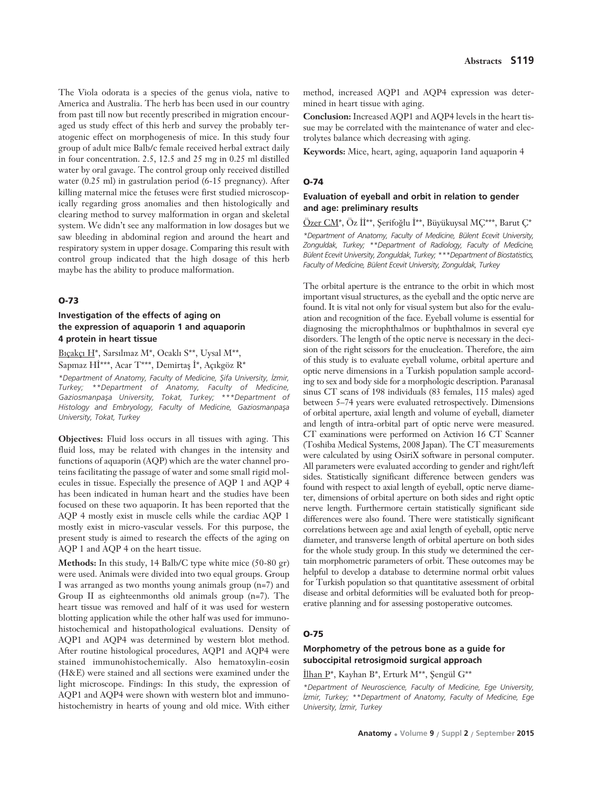The Viola odorata is a species of the genus viola, native to America and Australia. The herb has been used in our country from past till now but recently prescribed in migration encouraged us study effect of this herb and survey the probably teratogenic effect on morphogenesis of mice. In this study four group of adult mice Balb/c female received herbal extract daily in four concentration. 2.5, 12.5 and 25 mg in 0.25 ml distilled water by oral gavage. The control group only received distilled water (0.25 ml) in gastrulation period (6-15 pregnancy). After killing maternal mice the fetuses were first studied microscopically regarding gross anomalies and then histologically and clearing method to survey malformation in organ and skeletal system. We didn't see any malformation in low dosages but we saw bleeding in abdominal region and around the heart and respiratory system in upper dosage. Comparing this result with control group indicated that the high dosage of this herb maybe has the ability to produce malformation.

#### **O-73**

### **Investigation of the effects of aging on the expression of aquaporin 1 and aquaporin 4 protein in heart tissue**

Bıçakçı H\*, Sarsılmaz M\*, Ocaklı S\*\*, Uysal M\*\*, Sapmaz Hİ\*\*\*, Acar T\*\*\*, Demirtaş İ\*, Açıkgöz R\*

*\*Department of Anatomy, Faculty of Medicine, fiifa University, ‹zmir, Turkey; \*\*Department of Anatomy, Faculty of Medicine,* Gaziosmanpaşa University, Tokat, Turkey; \*\*\*Department of Histology and Embryology, Faculty of Medicine, Gaziosmanpaşa *University, Tokat, Turkey* 

**Objectives:** Fluid loss occurs in all tissues with aging. This fluid loss, may be related with changes in the intensity and functions of aquaporin (AQP) which are the water channel proteins facilitating the passage of water and some small rigid molecules in tissue. Especially the presence of AQP 1 and AQP 4 has been indicated in human heart and the studies have been focused on these two aquaporin. It has been reported that the AQP 4 mostly exist in muscle cells while the cardiac AQP 1 mostly exist in micro-vascular vessels. For this purpose, the present study is aimed to research the effects of the aging on AQP 1 and AQP 4 on the heart tissue.

**Methods:** In this study, 14 Balb/C type white mice (50-80 gr) were used. Animals were divided into two equal groups. Group I was arranged as two months young animals group (n=7) and Group II as eighteenmonths old animals group (n=7). The heart tissue was removed and half of it was used for western blotting application while the other half was used for immunohistochemical and histopathological evaluations. Density of AQP1 and AQP4 was determined by western blot method. After routine histological procedures, AQP1 and AQP4 were stained immunohistochemically. Also hematoxylin-eosin (H&E) were stained and all sections were examined under the light microscope. Findings: In this study, the expression of AQP1 and AQP4 were shown with western blot and immunohistochemistry in hearts of young and old mice. With either method, increased AQP1 and AQP4 expression was determined in heart tissue with aging.

**Conclusion:** Increased AQP1 and AQP4 levels in the heart tissue may be correlated with the maintenance of water and electrolytes balance which decreasing with aging.

**Keywords:** Mice, heart, aging, aquaporin 1and aquaporin 4

#### **O-74**

### **Evaluation of eyeball and orbit in relation to gender and age: preliminary results**

Özer CM\*, Öz İİ\*\*, Şerifoğlu İ\*\*, Büyükuysal MÇ\*\*\*, Barut Ç\* *\*Department of Anatomy, Faculty of Medicine, Bülent Ecevit University, Zonguldak, Turkey; \*\*Department of Radiology, Faculty of Medicine, Bülent Ecevit University, Zonguldak, Turkey; \*\*\*Department of Biostatistics, Faculty of Medicine, Bülent Ecevit University, Zonguldak, Turkey*

The orbital aperture is the entrance to the orbit in which most important visual structures, as the eyeball and the optic nerve are found. It is vital not only for visual system but also for the evaluation and recognition of the face. Eyeball volume is essential for diagnosing the microphthalmos or buphthalmos in several eye disorders. The length of the optic nerve is necessary in the decision of the right scissors for the enucleation. Therefore, the aim of this study is to evaluate eyeball volume, orbital aperture and optic nerve dimensions in a Turkish population sample according to sex and body side for a morphologic description. Paranasal sinus CT scans of 198 individuals (83 females, 115 males) aged between 5–74 years were evaluated retrospectively. Dimensions of orbital aperture, axial length and volume of eyeball, diameter and length of intra-orbital part of optic nerve were measured. CT examinations were performed on Activion 16 CT Scanner (Toshiba Medical Systems, 2008 Japan). The CT measurements were calculated by using OsiriX software in personal computer. All parameters were evaluated according to gender and right/left sides. Statistically significant difference between genders was found with respect to axial length of eyeball, optic nerve diameter, dimensions of orbital aperture on both sides and right optic nerve length. Furthermore certain statistically significant side differences were also found. There were statistically significant correlations between age and axial length of eyeball, optic nerve diameter, and transverse length of orbital aperture on both sides for the whole study group. In this study we determined the certain morphometric parameters of orbit. These outcomes may be helpful to develop a database to determine normal orbit values for Turkish population so that quantitative assessment of orbital disease and orbital deformities will be evaluated both for preoperative planning and for assessing postoperative outcomes.

#### **O-75**

#### **Morphometry of the petrous bone as a guide for suboccipital retrosigmoid surgical approach**

İlhan P\*, Kayhan B\*, Erturk M\*\*, Şengül G\*\*

*\*Department of Neuroscience, Faculty of Medicine, Ege University, ‹zmir, Turkey; \*\*Department of Anatomy, Faculty of Medicine, Ege University, ‹zmir, Turkey*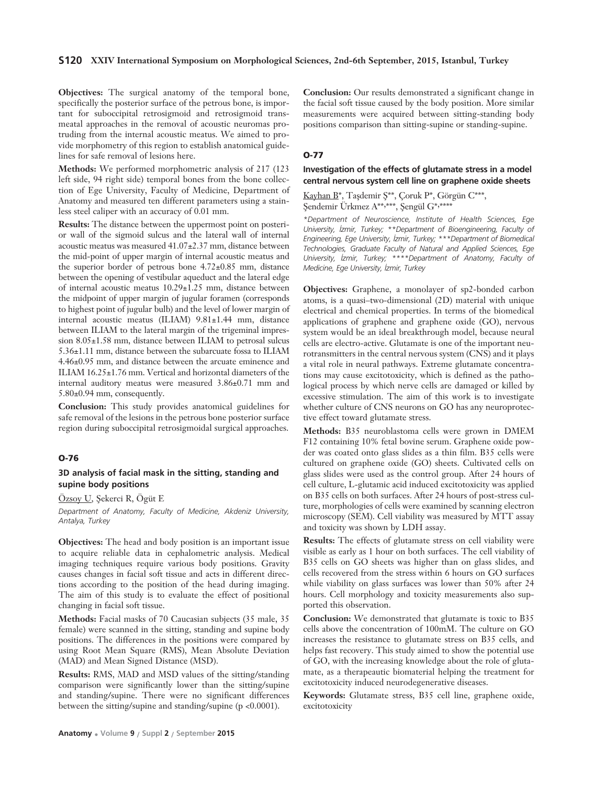#### **S120 XXIV International Symposium on Morphological Sciences, 2nd-6th September, 2015, Istanbul, Turkey**

**Objectives:** The surgical anatomy of the temporal bone, specifically the posterior surface of the petrous bone, is important for suboccipital retrosigmoid and retrosigmoid transmeatal approaches in the removal of acoustic neuromas protruding from the internal acoustic meatus. We aimed to provide morphometry of this region to establish anatomical guidelines for safe removal of lesions here.

**Methods:** We performed morphometric analysis of 217 (123 left side, 94 right side) temporal bones from the bone collection of Ege University, Faculty of Medicine, Department of Anatomy and measured ten different parameters using a stainless steel caliper with an accuracy of 0.01 mm.

**Results:** The distance between the uppermost point on posterior wall of the sigmoid sulcus and the lateral wall of internal acoustic meatus was measured 41.07±2.37 mm, distance between the mid-point of upper margin of internal acoustic meatus and the superior border of petrous bone 4.72±0.85 mm, distance between the opening of vestibular aqueduct and the lateral edge of internal acoustic meatus 10.29±1.25 mm, distance between the midpoint of upper margin of jugular foramen (corresponds to highest point of jugular bulb) and the level of lower margin of internal acoustic meatus (ILIAM) 9.81±1.44 mm, distance between ILIAM to the lateral margin of the trigeminal impression 8.05±1.58 mm, distance between ILIAM to petrosal sulcus 5.36±1.11 mm, distance between the subarcuate fossa to ILIAM 4.46±0.95 mm, and distance between the arcuate eminence and ILIAM 16.25±1.76 mm. Vertical and horizontal diameters of the internal auditory meatus were measured 3.86±0.71 mm and 5.80±0.94 mm, consequently.

**Conclusion:** This study provides anatomical guidelines for safe removal of the lesions in the petrous bone posterior surface region during suboccipital retrosigmoidal surgical approaches.

#### **O-76**

#### **3D analysis of facial mask in the sitting, standing and supine body positions**

Özsoy U, Şekerci R, Ögüt E

*Department of Anatomy, Faculty of Medicine, Akdeniz University, Antalya, Turkey* 

**Objectives:** The head and body position is an important issue to acquire reliable data in cephalometric analysis. Medical imaging techniques require various body positions. Gravity causes changes in facial soft tissue and acts in different directions according to the position of the head during imaging. The aim of this study is to evaluate the effect of positional changing in facial soft tissue.

**Methods:** Facial masks of 70 Caucasian subjects (35 male, 35 female) were scanned in the sitting, standing and supine body positions. The differences in the positions were compared by using Root Mean Square (RMS), Mean Absolute Deviation (MAD) and Mean Signed Distance (MSD).

**Results:** RMS, MAD and MSD values of the sitting/standing comparison were significantly lower than the sitting/supine and standing/supine. There were no significant differences between the sitting/supine and standing/supine (p <0.0001).

**Conclusion:** Our results demonstrated a significant change in the facial soft tissue caused by the body position. More similar measurements were acquired between sitting-standing body positions comparison than sitting-supine or standing-supine.

#### **O-77**

#### **Investigation of the effects of glutamate stress in a model central nervous system cell line on graphene oxide sheets**

Kayhan B<sup>\*</sup>, Taşdemir Ş<sup>\*\*</sup>, Çoruk P<sup>\*</sup>, Görgün C<sup>\*\*\*</sup>, Şendemir Ürkmez A\*\*,\*\*\*, Şengül G\*,\*\*\*\*

*\*Department of Neuroscience, Institute of Health Sciences, Ege University, ‹zmir, Turkey; \*\*Department of Bioengineering, Faculty of Engineering, Ege University, ‹zmir, Turkey; \*\*\*Department of Biomedical Technologies, Graduate Faculty of Natural and Applied Sciences, Ege University, ‹zmir, Turkey; \*\*\*\*Department of Anatomy, Faculty of Medicine, Ege University, ‹zmir, Turkey* 

**Objectives:** Graphene, a monolayer of sp2-bonded carbon atoms, is a quasi–two-dimensional (2D) material with unique electrical and chemical properties. In terms of the biomedical applications of graphene and graphene oxide (GO), nervous system would be an ideal breakthrough model, because neural cells are electro-active. Glutamate is one of the important neurotransmitters in the central nervous system (CNS) and it plays a vital role in neural pathways. Extreme glutamate concentrations may cause excitotoxicity, which is defined as the pathological process by which nerve cells are damaged or killed by excessive stimulation. The aim of this work is to investigate whether culture of CNS neurons on GO has any neuroprotective effect toward glutamate stress.

**Methods:** B35 neuroblastoma cells were grown in DMEM F12 containing 10% fetal bovine serum. Graphene oxide powder was coated onto glass slides as a thin film. B35 cells were cultured on graphene oxide (GO) sheets. Cultivated cells on glass slides were used as the control group. After 24 hours of cell culture, L-glutamic acid induced excitotoxicity was applied on B35 cells on both surfaces. After 24 hours of post-stress culture, morphologies of cells were examined by scanning electron microscopy (SEM). Cell viability was measured by MTT assay and toxicity was shown by LDH assay.

**Results:** The effects of glutamate stress on cell viability were visible as early as 1 hour on both surfaces. The cell viability of B35 cells on GO sheets was higher than on glass slides, and cells recovered from the stress within 6 hours on GO surfaces while viability on glass surfaces was lower than 50% after 24 hours. Cell morphology and toxicity measurements also supported this observation.

**Conclusion:** We demonstrated that glutamate is toxic to B35 cells above the concentration of 100mM. The culture on GO increases the resistance to glutamate stress on B35 cells, and helps fast recovery. This study aimed to show the potential use of GO, with the increasing knowledge about the role of glutamate, as a therapeautic biomaterial helping the treatment for excitotoxicity induced neurodegenerative diseases.

**Keywords:** Glutamate stress, B35 cell line, graphene oxide, excitotoxicity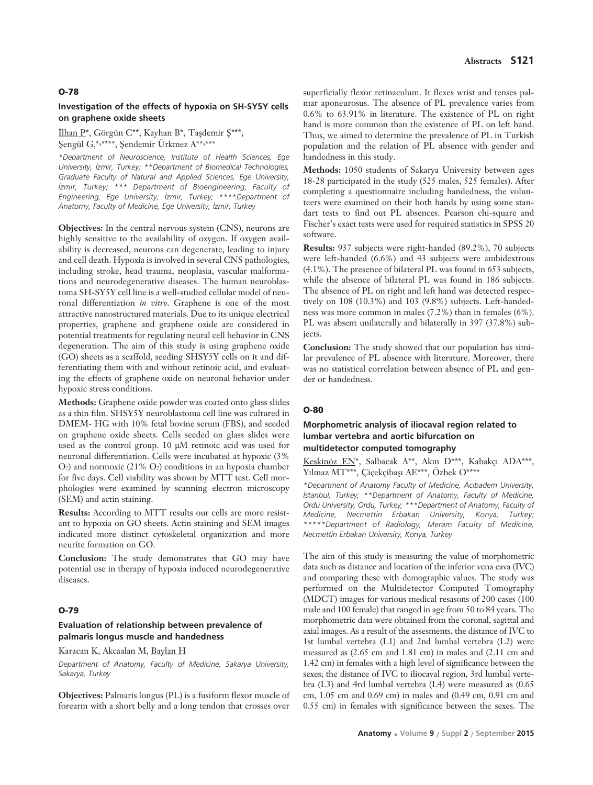#### **O-78**

#### **Investigation of the effects of hypoxia on SH-SY5Y cells on graphene oxide sheets**

 $\text{Ilhan P*},$  Görgün C\*\*, Kayhan B\*, Taşdemir Ş\*\*\*, Şengül G,\*,\*\*\*\*\*, Şendemir Ürkmez A\*\*,\*\*\*

*\*Department of Neuroscience, Institute of Health Sciences, Ege University, ‹zmir, Turkey; \*\*Department of Biomedical Technologies, Graduate Faculty of Natural and Applied Sciences, Ege University, izmir, Turkey;* \*\*\* Department of Bioengineering, Faculty of *Engineering, Ege University, ‹zmir, Turkey; \*\*\*\*Department of Anatomy, Faculty of Medicine, Ege University, ‹zmir, Turkey* 

**Objectives:** In the central nervous system (CNS), neurons are highly sensitive to the availability of oxygen. If oxygen availability is decreased, neurons can degenerate, leading to injury and cell death. Hypoxia is involved in several CNS pathologies, including stroke, head trauma, neoplasia, vascular malformations and neurodegenerative diseases. The human neuroblastoma SH-SY5Y cell line is a well-studied cellular model of neuronal differentiation *in vitro*. Graphene is one of the most attractive nanostructured materials. Due to its unique electrical properties, graphene and graphene oxide are considered in potential treatments for regulating neural cell behavior in CNS degeneration. The aim of this study is using graphene oxide (GO) sheets as a scaffold, seeding SHSY5Y cells on it and differentiating them with and without retinoic acid, and evaluating the effects of graphene oxide on neuronal behavior under hypoxic stress conditions.

**Methods:** Graphene oxide powder was coated onto glass slides as a thin film. SHSY5Y neuroblastoma cell line was cultured in DMEM- HG with 10% fetal bovine serum (FBS), and seeded on graphene oxide sheets. Cells seeded on glass slides were used as the control group. 10 μM retinoic acid was used for neuronal differentiation. Cells were incubated at hypoxic (3%  $O<sub>2</sub>$ ) and normoxic (21%  $O<sub>2</sub>$ ) conditions in an hypoxia chamber for five days. Cell viability was shown by MTT test. Cell morphologies were examined by scanning electron microscopy (SEM) and actin staining.

**Results:** According to MTT results our cells are more resistant to hypoxia on GO sheets. Actin staining and SEM images indicated more distinct cytoskeletal organization and more neurite formation on GO.

**Conclusion:** The study demonstrates that GO may have potential use in therapy of hypoxia induced neurodegenerative diseases.

#### **O-79**

### **Evaluation of relationship between prevalence of palmaris longus muscle and handedness**

Karacan K, Akcaalan M, Baylan H

*Department of Anatomy, Faculty of Medicine, Sakarya University, Sakarya, Turkey*

**Objectives:** Palmaris longus (PL) is a fusiform flexor muscle of forearm with a short belly and a long tendon that crosses over

superficially flexor retinaculum. It flexes wrist and tenses palmar aponeurosus. The absence of PL prevalence varies from 0.6% to 63.91% in literature. The existence of PL on right hand is more common than the existence of PL on left hand. Thus, we aimed to determine the prevalence of PL in Turkish population and the relation of PL absence with gender and handedness in this study.

**Methods:** 1050 students of Sakarya University between ages 18-28 participated in the study (525 males, 525 females). After completing a questionnaire including handedness, the volunteers were examined on their both hands by using some standart tests to find out PL absences. Pearson chi-square and Fischer's exact tests were used for required statistics in SPSS 20 software.

**Results:** 937 subjects were right-handed (89.2%), 70 subjects were left-handed (6.6%) and 43 subjects were ambidextrous (4.1%). The presence of bilateral PL was found in 653 subjects, while the absence of bilateral PL was found in 186 subjects. The absence of PL on right and left hand was detected respectively on 108 (10.3%) and 103 (9.8%) subjects. Left-handedness was more common in males (7.2%) than in females (6%). PL was absent unilaterally and bilaterally in 397 (37.8%) subjects.

**Conclusion:** The study showed that our population has similar prevalence of PL absence with literature. Moreover, there was no statistical correlation between absence of PL and gender or handedness.

#### **O-80**

### **Morphometric analysis of iliocaval region related to lumbar vertebra and aortic bifurcation on multidetector computed tomography**

Keskinöz EN\*, Salbacak A\*\*, Akın D\*\*\*, Kabakçı ADA\*\*\*, Yılmaz MT\*\*\*, Çiçekçibaşı AE\*\*\*, Özbek O\*\*\*\*

*\*Department of Anatomy Faculty of Medicine, Ac›badem University, ‹stanbul, Turkey; \*\*Department of Anatomy, Faculty of Medicine, Ordu University, Ordu, Turkey; \*\*\*Department of Anatomy, Faculty of Medicine, Necmettin Erbakan University, Konya, Turkey; \*\*\*\*\*Department of Radiology, Meram Faculty of Medicine, Necmettin Erbakan University, Konya, Turkey*

The aim of this study is measuring the value of morphometric data such as distance and location of the inferior vena cava (IVC) and comparing these with demographic values. The study was performed on the Multidetector Computed Tomography (MDCT) images for various medical resasons of 200 cases (100 male and 100 female) that ranged in age from 50 to 84 years. The morphometric data were obtained from the coronal, sagittal and axial images. As a result of the assesments, the distance of IVC to 1st lumbal vertebra (L1) and 2nd lumbal vertebra (L2) were measured as (2.65 cm and 1.81 cm) in males and (2.11 cm and 1.42 cm) in females with a high level of significance between the sexes; the distance of IVC to iliocaval region, 3rd lumbal vertebra (L3) and 4rd lumbal vertebra (L4) were measured as (0.65 cm, 1.05 cm and 0.69 cm) in males and (0.49 cm, 0.91 cm and 0.55 cm) in females with significance between the sexes. The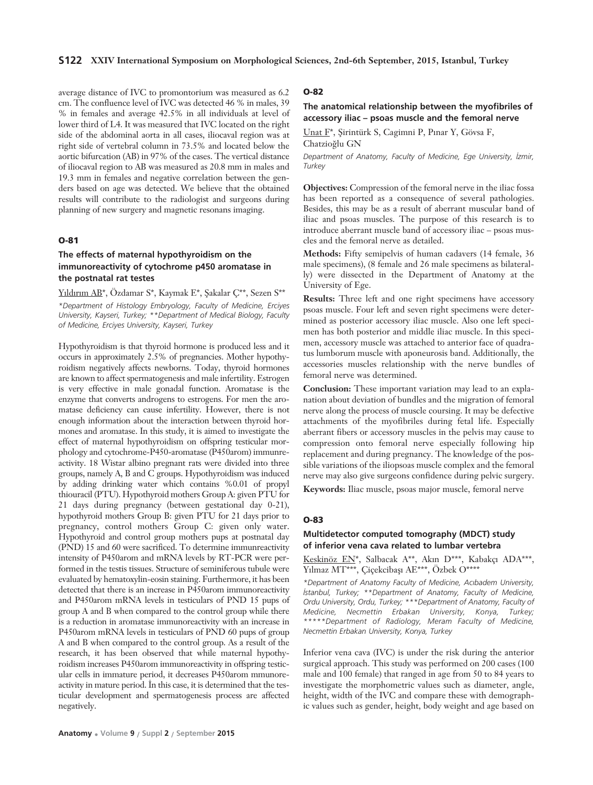average distance of IVC to promontorium was measured as 6.2 cm. The confluence level of IVC was detected 46 % in males, 39 % in females and average 42.5% in all individuals at level of lower third of L4. It was measured that IVC located on the right side of the abdominal aorta in all cases, iliocaval region was at right side of vertebral column in 73.5% and located below the aortic bifurcation (AB) in 97% of the cases. The vertical distance of iliocaval region to AB was measured as 20.8 mm in males and 19.3 mm in females and negative correlation between the genders based on age was detected. We believe that the obtained results will contribute to the radiologist and surgeons during planning of new surgery and magnetic resonans imaging.

#### **O-81**

### **The effects of maternal hypothyroidism on the immunoreactivity of cytochrome p450 aromatase in the postnatal rat testes**

Yıldırım AB\*, Özdamar S\*, Kaymak E\*, Sakalar C\*\*, Sezen S\*\*

*\*Department of Histology Embryology, Faculty of Medicine, Erciyes University, Kayseri, Turkey; \*\*Department of Medical Biology, Faculty of Medicine, Erciyes University, Kayseri, Turkey*

Hypothyroidism is that thyroid hormone is produced less and it occurs in approximately 2.5% of pregnancies. Mother hypothyroidism negatively affects newborns. Today, thyroid hormones are known to affect spermatogenesis and male infertility. Estrogen is very effective in male gonadal function. Aromatase is the enzyme that converts androgens to estrogens. For men the aromatase deficiency can cause infertility. However, there is not enough information about the interaction between thyroid hormones and aromatase. In this study, it is aimed to investigate the effect of maternal hypothyroidism on offspring testicular morphology and cytochrome-P450-aromatase (P450arom) immunreactivity. 18 Wistar albino pregnant rats were divided into three groups, namely A, B and C groups. Hypothyroidism was induced by adding drinking water which contains %0.01 of propyl thiouracil (PTU). Hypothyroid mothers Group A: given PTU for 21 days during pregnancy (between gestational day 0-21), hypothyroid mothers Group B: given PTU for 21 days prior to pregnancy, control mothers Group C: given only water. Hypothyroid and control group mothers pups at postnatal day (PND) 15 and 60 were sacrificed. To determine immunreactivity intensity of P450arom and mRNA levels by RT-PCR were performed in the testis tissues. Structure of seminiferous tubule were evaluated by hematoxylin-eosin staining. Furthermore, it has been detected that there is an increase in P450arom immunoreactivity and P450arom mRNA levels in testiculars of PND 15 pups of group A and B when compared to the control group while there is a reduction in aromatase immunoreactivity with an increase in P450arom mRNA levels in testiculars of PND 60 pups of group A and B when compared to the control group. As a result of the research, it has been observed that while maternal hypothyroidism increases P450arom immunoreactivity in offspring testicular cells in immature period, it decreases P450arom mmunoreactivity in mature period. In this case, it is determined that the testicular development and spermatogenesis process are affected negatively.

### **O-82**

### **The anatomical relationship between the myofibriles of accessory iliac – psoas muscle and the femoral nerve**

Unat F\*, Sirintürk S, Cagimni P, Pınar Y, Gövsa F, Chatzio¤lu GN

*Department of Anatomy, Faculty of Medicine, Ege University, ‹zmir, Turkey*

**Objectives:** Compression of the femoral nerve in the iliac fossa has been reported as a consequence of several pathologies. Besides, this may be as a result of aberrant muscular band of iliac and psoas muscles. The purpose of this research is to introduce aberrant muscle band of accessory iliac – psoas muscles and the femoral nerve as detailed.

**Methods:** Fifty semipelvis of human cadavers (14 female, 36 male specimens), (8 female and 26 male specimens as bilaterally) were dissected in the Department of Anatomy at the University of Ege.

**Results:** Three left and one right specimens have accessory psoas muscle. Four left and seven right specimens were determined as posterior accessory iliac muscle. Also one left specimen has both posterior and middle iliac muscle. In this specimen, accessory muscle was attached to anterior face of quadratus lumborum muscle with aponeurosis band. Additionally, the accessories muscles relationship with the nerve bundles of femoral nerve was determined.

**Conclusion:** These important variation may lead to an explanation about deviation of bundles and the migration of femoral nerve along the process of muscle coursing. It may be defective attachments of the myofibriles during fetal life. Especially aberrant fibers or accessory muscles in the pelvis may cause to compression onto femoral nerve especially following hip replacement and during pregnancy. The knowledge of the possible variations of the iliopsoas muscle complex and the femoral nerve may also give surgeons confidence during pelvic surgery.

**Keywords:** Iliac muscle, psoas major muscle, femoral nerve

#### **O-83**

#### **Multidetector computed tomography (MDCT) study of inferior vena cava related to lumbar vertebra**

Keskinöz EN\*, Salbacak A\*\*, Akın D\*\*\*, Kabakçı ADA\*\*\*, Yılmaz MT\*\*\*, Cicekcibası AE\*\*\*, Özbek O\*\*\*\*

*\*Department of Anatomy Faculty of Medicine, Ac›badem University, ‹stanbul, Turkey; \*\*Department of Anatomy, Faculty of Medicine, Ordu University, Ordu, Turkey; \*\*\*Department of Anatomy, Faculty of Medicine, Necmettin Erbakan University, Konya, Turkey; \*\*\*\*\*Department of Radiology, Meram Faculty of Medicine, Necmettin Erbakan University, Konya, Turkey*

Inferior vena cava (IVC) is under the risk during the anterior surgical approach. This study was performed on 200 cases (100 male and 100 female) that ranged in age from 50 to 84 years to investigate the morphometric values such as diameter, angle, height, width of the IVC and compare these with demographic values such as gender, height, body weight and age based on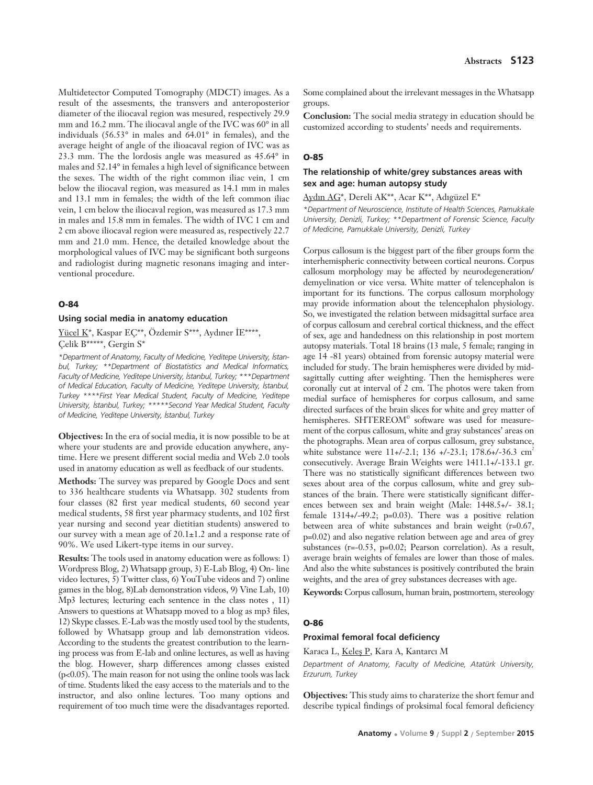Multidetector Computed Tomography (MDCT) images. As a result of the assesments, the transvers and anteroposterior diameter of the iliocaval region was mesured, respectively 29.9 mm and 16.2 mm. The iliocaval angle of the IVC was 60° in all individuals (56.53° in males and 64.01° in females), and the average height of angle of the ilioacaval region of IVC was as 23.3 mm. The the lordosis angle was measured as 45.64° in males and 52.14° in females a high level of significance between the sexes. The width of the right common iliac vein, 1 cm below the iliocaval region, was measured as 14.1 mm in males and 13.1 mm in females; the width of the left common iliac vein, 1 cm below the iliocaval region, was measured as 17.3 mm in males and 15.8 mm in females. The width of IVC 1 cm and 2 cm above iliocaval region were measured as, respectively 22.7 mm and 21.0 mm. Hence, the detailed knowledge about the morphological values of IVC may be significant both surgeons and radiologist during magnetic resonans imaging and interventional procedure.

#### **O-84**

#### **Using social media in anatomy education**

Yücel K\*, Kaspar EÇ\*\*, Özdemir S\*\*\*, Aydıner İE\*\*\*\*, Çelik B\*\*\*\*\*, Gergin S\*

*\*Department of Anatomy, Faculty of Medicine, Yeditepe University, ‹stanbul, Turkey; \*\*Department of Biostatistics and Medical Informatics, Faculty of Medicine, Yeditepe University, ‹stanbul, Turkey; \*\*\*Department of Medical Education, Faculty of Medicine, Yeditepe University, ‹stanbul, Turkey \*\*\*\*First Year Medical Student, Faculty of Medicine, Yeditepe University, ‹stanbul, Turkey; \*\*\*\*\*Second Year Medical Student, Faculty of Medicine, Yeditepe University, ‹stanbul, Turkey*

**Objectives:** In the era of social media, it is now possible to be at where your students are and provide education anywhere, anytime. Here we present different social media and Web 2.0 tools used in anatomy education as well as feedback of our students.

**Methods:** The survey was prepared by Google Docs and sent to 336 healthcare students via Whatsapp. 302 students from four classes (82 first year medical students, 60 second year medical students, 58 first year pharmacy students, and 102 first year nursing and second year dietitian students) answered to our survey with a mean age of 20.1±1.2 and a response rate of 90%. We used Likert-type items in our survey.

**Results:** The tools used in anatomy education were as follows: 1) Wordpress Blog, 2) Whatsapp group, 3) E-Lab Blog, 4) On- line video lectures, 5) Twitter class, 6) YouTube videos and 7) online games in the blog, 8)Lab demonstration videos, 9) Vine Lab, 10) Mp3 lectures; lecturing each sentence in the class notes , 11) Answers to questions at Whatsapp moved to a blog as mp3 files, 12) Skype classes. E-Lab was the mostly used tool by the students, followed by Whatsapp group and lab demonstration videos. According to the students the greatest contribution to the learning process was from E-lab and online lectures, as well as having the blog. However, sharp differences among classes existed (p<0.05). The main reason for not using the online tools was lack of time. Students liked the easy access to the materials and to the instructor, and also online lectures. Too many options and requirement of too much time were the disadvantages reported. Some complained about the irrelevant messages in the Whatsapp groups.

**Conclusion:** The social media strategy in education should be customized according to students' needs and requirements.

#### **O-85**

### **The relationship of white/grey substances areas with sex and age: human autopsy study**

Aydın AG\*, Dereli AK\*\*, Acar K\*\*, Adıgüzel E\*

*\*Department of Neuroscience, Institute of Health Sciences, Pamukkale University, Denizli, Turkey; \*\*Department of Forensic Science, Faculty of Medicine, Pamukkale University, Denizli, Turkey*

Corpus callosum is the biggest part of the fiber groups form the interhemispheric connectivity between cortical neurons. Corpus callosum morphology may be affected by neurodegeneration/ demyelination or vice versa. White matter of telencephalon is important for its functions. The corpus callosum morphology may provide information about the telencephalon physiology. So, we investigated the relation between midsagittal surface area of corpus callosum and cerebral cortical thickness, and the effect of sex, age and handedness on this relationship in post mortem autopsy materials. Total 18 brains (13 male, 5 female; ranging in age 14 -81 years) obtained from forensic autopsy material were included for study. The brain hemispheres were divided by midsagittally cutting after weighting. Then the hemispheres were coronally cut at interval of 2 cm. The photos were taken from medial surface of hemispheres for corpus callosum, and same directed surfaces of the brain slices for white and grey matter of hemispheres. SHTEREOM<sup>®</sup> software was used for measurement of the corpus callosum, white and gray substances' areas on the photographs. Mean area of corpus callosum, grey substance, white substance were  $11+/-2.1$ ; 136  $+/-23.1$ ; 178.6 $+/-36.3$  cm<sup>2</sup> consecutively. Average Brain Weights were 1411.1+/-133.1 gr. There was no statistically significant differences between two sexes about area of the corpus callosum, white and grey substances of the brain. There were statistically significant differences between sex and brain weight (Male: 1448.5+/- 38.1; female 1314+/-49.2; p=0.03). There was a positive relation between area of white substances and brain weight (r=0.67, p=0.02) and also negative relation between age and area of grey substances (r=-0.53, p=0.02; Pearson correlation). As a result, average brain weights of females are lower than those of males. And also the white substances is positively contributed the brain weights, and the area of grey substances decreases with age.

**Keywords:** Corpus callosum, human brain, postmortem, stereology

#### **O-86**

#### **Proximal femoral focal deficiency**

Karaca L, Keleş P, Kara A, Kantarcı M

*Department of Anatomy, Faculty of Medicine, Atatürk University, Erzurum, Turkey*

**Objectives:** This study aims to charaterize the short femur and describe typical findings of proksimal focal femoral deficiency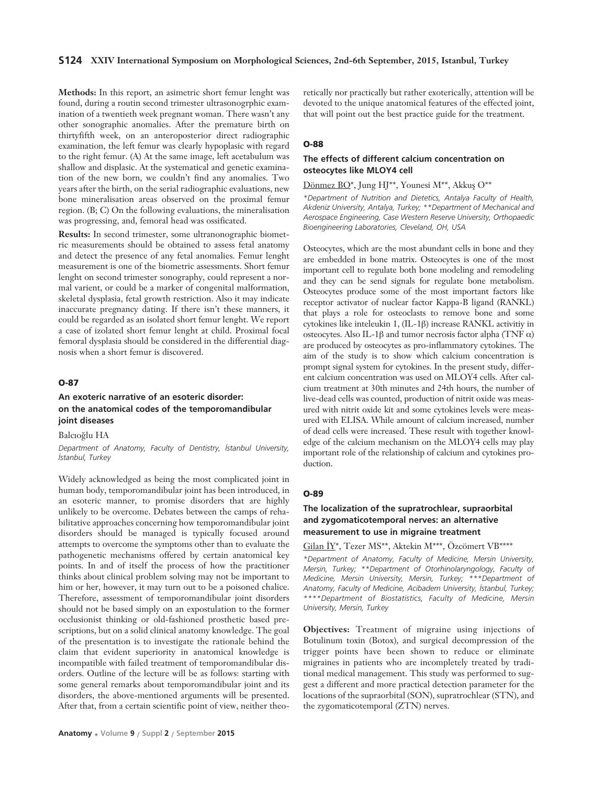#### **S124 XXIV International Symposium on Morphological Sciences, 2nd-6th September, 2015, Istanbul, Turkey**

**Methods:** In this report, an asimetric short femur lenght was found, during a routin second trimester ultrasonogrphic examination of a twentieth week pregnant woman. There wasn't any other sonographic anomalies. After the premature birth on thirtyfifth week, on an anteroposterior direct radiographic examination, the left femur was clearly hypoplasic with regard to the right femur. (A) At the same image, left acetabulum was shallow and displasic. At the systematical and genetic examination of the new born, we couldn't find any anomalies. Two years after the birth, on the serial radiographic evaluations, new bone mineralisation areas observed on the proximal femur region. (B; C) On the following evaluations, the mineralisation was progressing, and, femoral head was ossificated.

**Results:** In second trimester, some ultranonographic biometric measurements should be obtained to assess fetal anatomy and detect the presence of any fetal anomalies. Femur lenght measurement is one of the biometric assessments. Short femur lenght on second trimester sonography, could represent a normal varient, or could be a marker of congenital malformation, skeletal dysplasia, fetal growth restriction. Also it may indicate inaccurate pregnancy dating. If there isn't these manners, it could be regarded as an isolated short femur lenght. We report a case of izolated short femur lenght at child. Proximal focal femoral dysplasia should be considered in the differential diagnosis when a short femur is discovered.

### **O-87**

### **An exoteric narrative of an esoteric disorder: on the anatomical codes of the temporomandibular joint diseases**

Balcıoğlu HA

*Department of Anatomy, Faculty of Dentistry, ‹stanbul University, ‹stanbul, Turkey*

Widely acknowledged as being the most complicated joint in human body, temporomandibular joint has been introduced, in an esoteric manner, to promise disorders that are highly unlikely to be overcome. Debates between the camps of rehabilitative approaches concerning how temporomandibular joint disorders should be managed is typically focused around attempts to overcome the symptoms other than to evaluate the pathogenetic mechanisms offered by certain anatomical key points. In and of itself the process of how the practitioner thinks about clinical problem solving may not be important to him or her, however, it may turn out to be a poisoned chalice. Therefore, assessment of temporomandibular joint disorders should not be based simply on an expostulation to the former occlusionist thinking or old-fashioned prosthetic based prescriptions, but on a solid clinical anatomy knowledge. The goal of the presentation is to investigate the rationale behind the claim that evident superiority in anatomical knowledge is incompatible with failed treatment of temporomandibular disorders. Outline of the lecture will be as follows: starting with some general remarks about temporomandibular joint and its disorders, the above-mentioned arguments will be presented. After that, from a certain scientific point of view, neither theoretically nor practically but rather exoterically, attention will be devoted to the unique anatomical features of the effected joint, that will point out the best practice guide for the treatment.

#### **O-88**

### **The effects of different calcium concentration on osteocytes like MLOY4 cell**

Dönmez BO\*, Jung HJ\*\*, Younesi M\*\*, Akkuş O\*\*

*\*Department of Nutrition and Dietetics, Antalya Faculty of Health, Akdeniz University, Antalya, Turkey; \*\*Department of Mechanical and Aerospace Engineering, Case Western Reserve University, Orthopaedic Bioengineering Laboratories, Cleveland, OH, USA*

Osteocytes, which are the most abundant cells in bone and they are embedded in bone matrix. Osteocytes is one of the most important cell to regulate both bone modeling and remodeling and they can be send signals for regulate bone metabolism. Osteocytes produce some of the most important factors like receptor activator of nuclear factor Kappa-B ligand (RANKL) that plays a role for osteoclasts to remove bone and some cytokines like inteleukin 1, (IL-1β) increase RANKL activitiy in osteocytes. Also IL-1β and tumor necrosis factor alpha (TNF α) are produced by osteocytes as pro-inflammatory cytokines. The aim of the study is to show which calcium concentration is prompt signal system for cytokines. In the present study, different calcium concentration was used on MLOY4 cells. After calcium treatment at 30th minutes and 24th hours, the number of live-dead cells was counted, production of nitrit oxide was measured with nitrit oxide kit and some cytokines levels were measured with ELISA. While amount of calcium increased, number of dead cells were increased. These result with together knowledge of the calcium mechanism on the MLOY4 cells may play important role of the relationship of calcium and cytokines production.

#### **O-89**

### **The localization of the supratrochlear, supraorbital and zygomaticotemporal nerves: an alternative measurement to use in migraine treatment**

Gilan İY\*, Tezer MS\*\*, Aktekin M\*\*\*, Özcömert VB\*\*\*\*

*\*Department of Anatomy, Faculty of Medicine, Mersin University, Mersin, Turkey; \*\*Department of Otorhinolaryngology, Faculty of Medicine, Mersin University, Mersin, Turkey; \*\*\*Department of Anatomy, Faculty of Medicine, Acibadem University, ‹stanbul, Turkey; \*\*\*\*Department of Biostatistics, Faculty of Medicine, Mersin University, Mersin, Turkey*

**Objectives:** Treatment of migraine using injections of Botulinum toxin (Botox), and surgical decompression of the trigger points have been shown to reduce or eliminate migraines in patients who are incompletely treated by traditional medical management. This study was performed to suggest a different and more practical detection parameter for the locations of the supraorbital (SON), supratrochlear (STN), and the zygomaticotemporal (ZTN) nerves.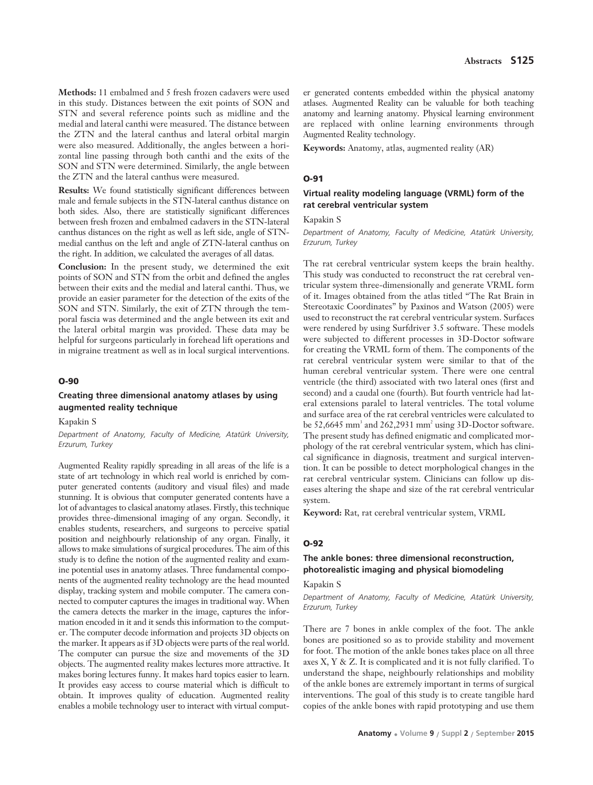**Methods:** 11 embalmed and 5 fresh frozen cadavers were used in this study. Distances between the exit points of SON and STN and several reference points such as midline and the medial and lateral canthi were measured. The distance between the ZTN and the lateral canthus and lateral orbital margin were also measured. Additionally, the angles between a horizontal line passing through both canthi and the exits of the SON and STN were determined. Similarly, the angle between the ZTN and the lateral canthus were measured.

**Results:** We found statistically significant differences between male and female subjects in the STN-lateral canthus distance on both sides. Also, there are statistically significant differences between fresh frozen and embalmed cadavers in the STN-lateral canthus distances on the right as well as left side, angle of STNmedial canthus on the left and angle of ZTN-lateral canthus on the right. In addition, we calculated the averages of all datas.

**Conclusion:** In the present study, we determined the exit points of SON and STN from the orbit and defined the angles between their exits and the medial and lateral canthi. Thus, we provide an easier parameter for the detection of the exits of the SON and STN. Similarly, the exit of ZTN through the temporal fascia was determined and the angle between its exit and the lateral orbital margin was provided. These data may be helpful for surgeons particularly in forehead lift operations and in migraine treatment as well as in local surgical interventions.

#### **O-90**

### **Creating three dimensional anatomy atlases by using augmented reality technique**

### Kapakin S

*Department of Anatomy, Faculty of Medicine, Atatürk University, Erzurum, Turkey* 

Augmented Reality rapidly spreading in all areas of the life is a state of art technology in which real world is enriched by computer generated contents (auditory and visual files) and made stunning. It is obvious that computer generated contents have a lot of advantages to clasical anatomy atlases. Firstly, this technique provides three-dimensional imaging of any organ. Secondly, it enables students, researchers, and surgeons to perceive spatial position and neighbourly relationship of any organ. Finally, it allows to make simulations of surgical procedures. The aim of this study is to define the notion of the augmented reality and examine potential uses in anatomy atlases. Three fundamental components of the augmented reality technology are the head mounted display, tracking system and mobile computer. The camera connected to computer captures the images in traditional way. When the camera detects the marker in the image, captures the information encoded in it and it sends this information to the computer. The computer decode information and projects 3D objects on the marker. It appears as if 3D objects were parts of the real world. The computer can pursue the size and movements of the 3D objects. The augmented reality makes lectures more attractive. It makes boring lectures funny. It makes hard topics easier to learn. It provides easy access to course material which is difficult to obtain. It improves quality of education. Augmented reality enables a mobile technology user to interact with virtual computer generated contents embedded within the physical anatomy atlases. Augmented Reality can be valuable for both teaching anatomy and learning anatomy. Physical learning environment are replaced with online learning environments through Augmented Reality technology.

**Keywords:** Anatomy, atlas, augmented reality (AR)

#### **O-91**

### **Virtual reality modeling language (VRML) form of the rat cerebral ventricular system**

Kapakin S

*Department of Anatomy, Faculty of Medicine, Atatürk University, Erzurum, Turkey* 

The rat cerebral ventricular system keeps the brain healthy. This study was conducted to reconstruct the rat cerebral ventricular system three-dimensionally and generate VRML form of it. Images obtained from the atlas titled "The Rat Brain in Stereotaxic Coordinates" by Paxinos and Watson (2005) were used to reconstruct the rat cerebral ventricular system. Surfaces were rendered by using Surfdriver 3.5 software. These models were subjected to different processes in 3D-Doctor software for creating the VRML form of them. The components of the rat cerebral ventricular system were similar to that of the human cerebral ventricular system. There were one central ventricle (the third) associated with two lateral ones (first and second) and a caudal one (fourth). But fourth ventricle had lateral extensions paralel to lateral ventricles. The total volume and surface area of the rat cerebral ventricles were calculated to be  $52,6645$  mm<sup>3</sup> and  $262,2931$  mm<sup>2</sup> using 3D-Doctor software. The present study has defined enigmatic and complicated morphology of the rat cerebral ventricular system, which has clinical significance in diagnosis, treatment and surgical intervention. It can be possible to detect morphological changes in the rat cerebral ventricular system. Clinicians can follow up diseases altering the shape and size of the rat cerebral ventricular system.

**Keyword:** Rat, rat cerebral ventricular system, VRML

#### **O-92**

### **The ankle bones: three dimensional reconstruction, photorealistic imaging and physical biomodeling**

### Kapakin S

*Department of Anatomy, Faculty of Medicine, Atatürk University, Erzurum, Turkey* 

There are 7 bones in ankle complex of the foot. The ankle bones are positioned so as to provide stability and movement for foot. The motion of the ankle bones takes place on all three axes X, Y & Z. It is complicated and it is not fully clarified. To understand the shape, neighbourly relationships and mobility of the ankle bones are extremely important in terms of surgical interventions. The goal of this study is to create tangible hard copies of the ankle bones with rapid prototyping and use them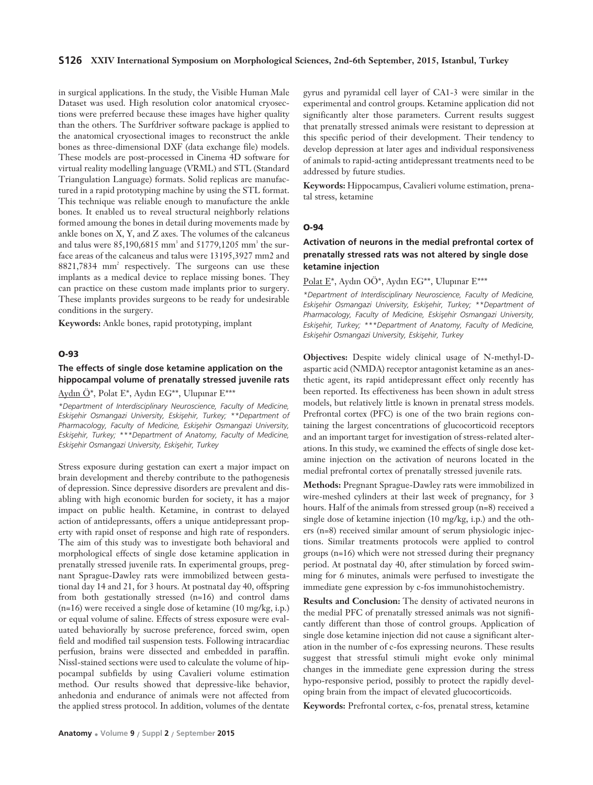#### **S126 XXIV International Symposium on Morphological Sciences, 2nd-6th September, 2015, Istanbul, Turkey**

in surgical applications. In the study, the Visible Human Male Dataset was used. High resolution color anatomical cryosections were preferred because these images have higher quality than the others. The Surfdriver software package is applied to the anatomical cryosectional images to reconstruct the ankle bones as three-dimensional DXF (data exchange file) models. These models are post-processed in Cinema 4D software for virtual reality modelling language (VRML) and STL (Standard Triangulation Language) formats. Solid replicas are manufactured in a rapid prototyping machine by using the STL format. This technique was reliable enough to manufacture the ankle bones. It enabled us to reveal structural neighborly relations formed amoung the bones in detail during movements made by ankle bones on X, Y, and Z axes. The volumes of the calcaneus and talus were 85,190,6815 mm<sup>3</sup> and 51779,1205 mm<sup>3</sup> the surface areas of the calcaneus and talus were 13195,3927 mm2 and 8821,7834 mm<sup>2</sup> respectively. The surgeons can use these implants as a medical device to replace missing bones. They can practice on these custom made implants prior to surgery. These implants provides surgeons to be ready for undesirable conditions in the surgery.

**Keywords:** Ankle bones, rapid prototyping, implant

### **O-93**

### **The effects of single dose ketamine application on the hippocampal volume of prenatally stressed juvenile rats**

Aydın Ö\*, Polat E\*, Aydın EG\*\*, Ulupınar E\*\*\*

*\*Department of Interdisciplinary Neuroscience, Faculty of Medicine, Eskişehir Osmangazi University, Eskişehir, Turkey; \*\*Department of* Pharmacology, Faculty of Medicine, Eskişehir Osmangazi University, *Eskişehir, Turkey; \*\*\*Department of Anatomy, Faculty of Medicine,* **Eskişehir Osmangazi University, Eskişehir, Turkey** 

Stress exposure during gestation can exert a major impact on brain development and thereby contribute to the pathogenesis of depression. Since depressive disorders are prevalent and disabling with high economic burden for society, it has a major impact on public health. Ketamine, in contrast to delayed action of antidepressants, offers a unique antidepressant property with rapid onset of response and high rate of responders. The aim of this study was to investigate both behavioral and morphological effects of single dose ketamine application in prenatally stressed juvenile rats. In experimental groups, pregnant Sprague-Dawley rats were immobilized between gestational day 14 and 21, for 3 hours. At postnatal day 40, offspring from both gestationally stressed (n=16) and control dams (n=16) were received a single dose of ketamine (10 mg/kg, i.p.) or equal volume of saline. Effects of stress exposure were evaluated behaviorally by sucrose preference, forced swim, open field and modified tail suspension tests. Following intracardiac perfusion, brains were dissected and embedded in paraffin. Nissl-stained sections were used to calculate the volume of hippocampal subfields by using Cavalieri volume estimation method. Our results showed that depressive-like behavior, anhedonia and endurance of animals were not affected from the applied stress protocol. In addition, volumes of the dentate

gyrus and pyramidal cell layer of CA1-3 were similar in the experimental and control groups. Ketamine application did not significantly alter those parameters. Current results suggest that prenatally stressed animals were resistant to depression at this specific period of their development. Their tendency to develop depression at later ages and individual responsiveness of animals to rapid-acting antidepressant treatments need to be addressed by future studies.

**Keywords:** Hippocampus, Cavalieri volume estimation, prenatal stress, ketamine

#### **O-94**

### **Activation of neurons in the medial prefrontal cortex of prenatally stressed rats was not altered by single dose ketamine injection**

Polat E\*, Aydın OÖ\*, Aydın EG\*\*, Ulupınar E\*\*\*

*\*Department of Interdisciplinary Neuroscience, Faculty of Medicine,* Eskişehir Osmangazi University, Eskişehir, Turkey; \*\*Department of Pharmacology, Faculty of Medicine, Eskisehir Osmangazi University, *Eskisehir, Turkey; \*\*\*Department of Anatomy, Faculty of Medicine,* **Eskisehir Osmangazi University, Eskisehir, Turkey** 

**Objectives:** Despite widely clinical usage of N-methyl-Daspartic acid (NMDA) receptor antagonist ketamine as an anesthetic agent, its rapid antidepressant effect only recently has been reported. Its effectiveness has been shown in adult stress models, but relatively little is known in prenatal stress models. Prefrontal cortex (PFC) is one of the two brain regions containing the largest concentrations of glucocorticoid receptors and an important target for investigation of stress-related alterations. In this study, we examined the effects of single dose ketamine injection on the activation of neurons located in the medial prefrontal cortex of prenatally stressed juvenile rats.

**Methods:** Pregnant Sprague-Dawley rats were immobilized in wire-meshed cylinders at their last week of pregnancy, for 3 hours. Half of the animals from stressed group (n=8) received a single dose of ketamine injection (10 mg/kg, i.p.) and the others (n=8) received similar amount of serum physiologic injections. Similar treatments protocols were applied to control groups (n=16) which were not stressed during their pregnancy period. At postnatal day 40, after stimulation by forced swimming for 6 minutes, animals were perfused to investigate the immediate gene expression by c-fos immunohistochemistry.

**Results and Conclusion:** The density of activated neurons in the medial PFC of prenatally stressed animals was not significantly different than those of control groups. Application of single dose ketamine injection did not cause a significant alteration in the number of c-fos expressing neurons. These results suggest that stressful stimuli might evoke only minimal changes in the immediate gene expression during the stress hypo-responsive period, possibly to protect the rapidly developing brain from the impact of elevated glucocorticoids.

**Keywords:** Prefrontal cortex, c-fos, prenatal stress, ketamine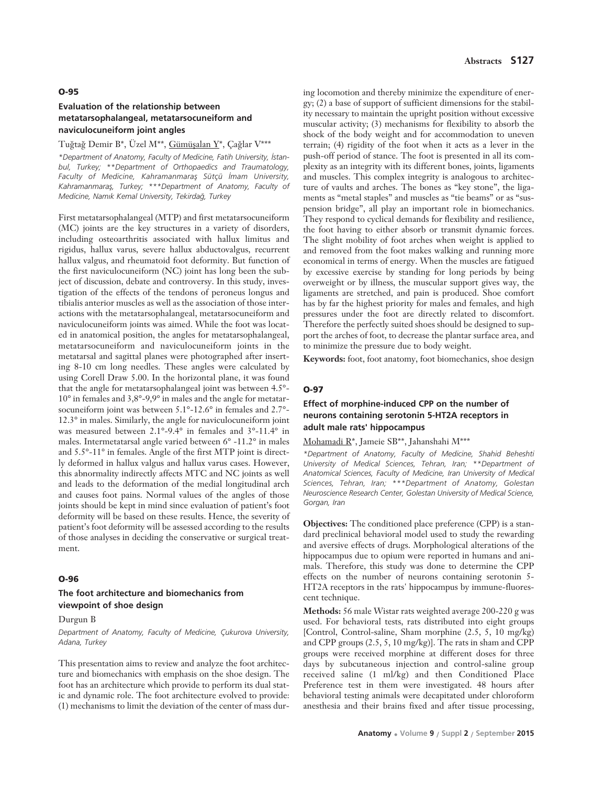#### **O-95**

### **Evaluation of the relationship between metatarsophalangeal, metatarsocuneiform and naviculocuneiform joint angles**

### Tuğtağ Demir B\*, Üzel M\*\*, Gümüşalan Y\*, Çağlar V\*\*\*

*\*Department of Anatomy, Faculty of Medicine, Fatih University, ‹stanbul, Turkey; \*\*Department of Orthopaedics and Traumatology,* Faculty of Medicine, Kahramanmaraş Sütçü İmam University, Kahramanmaraş, Turkey; \*\*\*Department of Anatomy, Faculty of *Medicine, Nam›k Kemal University, Tekirda¤, Turkey*

First metatarsophalangeal (MTP) and first metatarsocuneiform (MC) joints are the key structures in a variety of disorders, including osteoarthritis associated with hallux limitus and rigidus, hallux varus, severe hallux abductovalgus, recurrent hallux valgus, and rheumatoid foot deformity. But function of the first naviculocuneiform (NC) joint has long been the subject of discussion, debate and controversy. In this study, investigation of the effects of the tendons of peroneus longus and tibialis anterior muscles as well as the association of those interactions with the metatarsophalangeal, metatarsocuneiform and naviculocuneiform joints was aimed. While the foot was located in anatomical position, the angles for metatarsophalangeal, metatarsocuneiform and naviculocuneiform joints in the metatarsal and sagittal planes were photographed after inserting 8-10 cm long needles. These angles were calculated by using Corell Draw 5.00. In the horizontal plane, it was found that the angle for metatarsophalangeal joint was between 4.5°- 10° in females and 3,8°-9,9° in males and the angle for metatarsocuneiform joint was between 5.1°-12.6° in females and 2.7°- 12.3° in males. Similarly, the angle for naviculocuneiform joint was measured between 2.1°-9.4° in females and 3°-11.4° in males. Intermetatarsal angle varied between 6° -11.2° in males and 5.5°-11° in females. Angle of the first MTP joint is directly deformed in hallux valgus and hallux varus cases. However, this abnormality indirectly affects MTC and NC joints as well and leads to the deformation of the medial longitudinal arch and causes foot pains. Normal values of the angles of those joints should be kept in mind since evaluation of patient's foot deformity will be based on these results. Hence, the severity of patient's foot deformity will be assessed according to the results of those analyses in deciding the conservative or surgical treatment.

#### **O-96**

### **The foot architecture and biomechanics from viewpoint of shoe design**

#### Durgun B

*Department of Anatomy, Faculty of Medicine, Çukurova University, Adana, Turkey*

This presentation aims to review and analyze the foot architecture and biomechanics with emphasis on the shoe design. The foot has an architecture which provide to perform its dual static and dynamic role. The foot architecture evolved to provide: (1) mechanisms to limit the deviation of the center of mass during locomotion and thereby minimize the expenditure of energy; (2) a base of support of sufficient dimensions for the stability necessary to maintain the upright position without excessive muscular activity; (3) mechanisms for flexibility to absorb the shock of the body weight and for accommodation to uneven terrain; (4) rigidity of the foot when it acts as a lever in the push-off period of stance. The foot is presented in all its complexity as an integrity with its different bones, joints, ligaments and muscles. This complex integrity is analogous to architecture of vaults and arches. The bones as "key stone", the ligaments as "metal staples" and muscles as "tie beams" or as "suspension bridge", all play an important role in biomechanics. They respond to cyclical demands for flexibility and resilience, the foot having to either absorb or transmit dynamic forces. The slight mobility of foot arches when weight is applied to and removed from the foot makes walking and running more economical in terms of energy. When the muscles are fatigued by excessive exercise by standing for long periods by being overweight or by illness, the muscular support gives way, the ligaments are stretched, and pain is produced. Shoe comfort has by far the highest priority for males and females, and high pressures under the foot are directly related to discomfort. Therefore the perfectly suited shoes should be designed to support the arches of foot, to decrease the plantar surface area, and to minimize the pressure due to body weight.

**Keywords:** foot, foot anatomy, foot biomechanics, shoe design

#### **O-97**

### **Effect of morphine-induced CPP on the number of neurons containing serotonin 5-HT2A receptors in adult male rats' hippocampus**

#### Mohamadi R\*, Jameie SB\*\*, Jahanshahi M\*\*\*

*\*Department of Anatomy, Faculty of Medicine, Shahid Beheshti University of Medical Sciences, Tehran, Iran; \*\*Department of Anatomical Sciences, Faculty of Medicine, Iran University of Medical Sciences, Tehran, Iran; \*\*\*Department of Anatomy, Golestan Neuroscience Research Center, Golestan University of Medical Science, Gorgan, Iran*

**Objectives:** The conditioned place preference (CPP) is a standard preclinical behavioral model used to study the rewarding and aversive effects of drugs. Morphological alterations of the hippocampus due to opium were reported in humans and animals. Therefore, this study was done to determine the CPP effects on the number of neurons containing serotonin 5- HT2A receptors in the rats' hippocampus by immune-fluorescent technique.

**Methods:** 56 male Wistar rats weighted average 200-220 g was used. For behavioral tests, rats distributed into eight groups [Control, Control-saline, Sham morphine (2.5, 5, 10 mg/kg) and CPP groups (2.5, 5, 10 mg/kg)]. The rats in sham and CPP groups were received morphine at different doses for three days by subcutaneous injection and control-saline group received saline (1 ml/kg) and then Conditioned Place Preference test in them were investigated. 48 hours after behavioral testing animals were decapitated under chloroform anesthesia and their brains fixed and after tissue processing,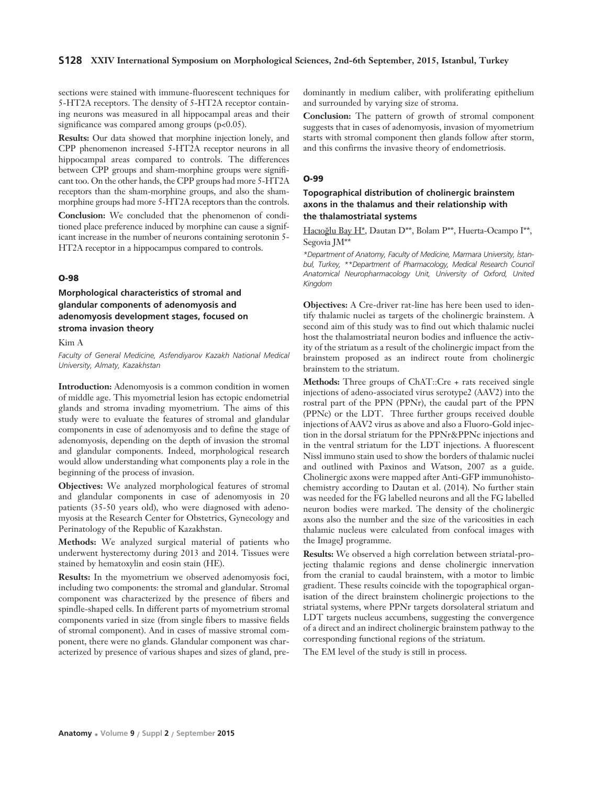#### **S128 XXIV International Symposium on Morphological Sciences, 2nd-6th September, 2015, Istanbul, Turkey**

sections were stained with immune-fluorescent techniques for 5-HT2A receptors. The density of 5-HT2A receptor containing neurons was measured in all hippocampal areas and their significance was compared among groups  $(p<0.05)$ .

**Results:** Our data showed that morphine injection lonely, and CPP phenomenon increased 5-HT2A receptor neurons in all hippocampal areas compared to controls. The differences between CPP groups and sham-morphine groups were significant too. On the other hands, the CPP groups had more 5-HT2A receptors than the sham-morphine groups, and also the shammorphine groups had more 5-HT2A receptors than the controls.

**Conclusion:** We concluded that the phenomenon of conditioned place preference induced by morphine can cause a significant increase in the number of neurons containing serotonin 5- HT2A receptor in a hippocampus compared to controls.

### **O-98**

**Morphological characteristics of stromal and glandular components of adenomyosis and adenomyosis development stages, focused on stroma invasion theory**

Kim A

*Faculty of General Medicine, Asfendiyarov Kazakh National Medical University, Almaty, Kazakhstan*

**Introduction:** Adenomyosis is a common condition in women of middle age. This myometrial lesion has ectopic endometrial glands and stroma invading myometrium. The aims of this study were to evaluate the features of stromal and glandular components in case of adenomyosis and to define the stage of adenomyosis, depending on the depth of invasion the stromal and glandular components. Indeed, morphological research would allow understanding what components play a role in the beginning of the process of invasion.

**Objectives:** We analyzed morphological features of stromal and glandular components in case of adenomyosis in 20 patients (35-50 years old), who were diagnosed with adenomyosis at the Research Center for Obstetrics, Gynecology and Perinatology of the Republic of Kazakhstan.

**Methods:** We analyzed surgical material of patients who underwent hysterectomy during 2013 and 2014. Tissues were stained by hematoxylin and eosin stain (HE).

**Results:** In the myometrium we observed adenomyosis foci, including two components: the stromal and glandular. Stromal component was characterized by the presence of fibers and spindle-shaped cells. In different parts of myometrium stromal components varied in size (from single fibers to massive fields of stromal component). And in cases of massive stromal component, there were no glands. Glandular component was characterized by presence of various shapes and sizes of gland, predominantly in medium caliber, with proliferating epithelium and surrounded by varying size of stroma.

**Conclusion:** The pattern of growth of stromal component suggests that in cases of adenomyosis, invasion of myometrium starts with stromal component then glands follow after storm, and this confirms the invasive theory of endometriosis.

#### **O-99**

### **Topographical distribution of cholinergic brainstem axons in the thalamus and their relationship with the thalamostriatal systems**

Hacıoğlu Bay H\*, Dautan D\*\*, Bolam P\*\*, Huerta-Ocampo I\*\*, Segovia JM\*\*

*\*Department of Anatomy, Faculty of Medicine, Marmara University, ‹stanbul, Turkey, \*\*Department of Pharmacology, Medical Research Council Anatomical Neuropharmacology Unit, University of Oxford, United Kingdom*

**Objectives:** A Cre-driver rat-line has here been used to identify thalamic nuclei as targets of the cholinergic brainstem. A second aim of this study was to find out which thalamic nuclei host the thalamostriatal neuron bodies and influence the activity of the striatum as a result of the cholinergic impact from the brainstem proposed as an indirect route from cholinergic brainstem to the striatum.

**Methods:** Three groups of ChAT::Cre + rats received single injections of adeno-associated virus serotype2 (AAV2) into the rostral part of the PPN (PPNr), the caudal part of the PPN (PPNc) or the LDT. Three further groups received double injections of AAV2 virus as above and also a Fluoro-Gold injection in the dorsal striatum for the PPNr&PPNc injections and in the ventral striatum for the LDT injections. A fluorescent Nissl immuno stain used to show the borders of thalamic nuclei and outlined with Paxinos and Watson, 2007 as a guide. Cholinergic axons were mapped after Anti-GFP immunohistochemistry according to Dautan et al. (2014). No further stain was needed for the FG labelled neurons and all the FG labelled neuron bodies were marked. The density of the cholinergic axons also the number and the size of the varicosities in each thalamic nucleus were calculated from confocal images with the ImageJ programme.

**Results:** We observed a high correlation between striatal-projecting thalamic regions and dense cholinergic innervation from the cranial to caudal brainstem, with a motor to limbic gradient. These results coincide with the topographical organisation of the direct brainstem cholinergic projections to the striatal systems, where PPNr targets dorsolateral striatum and LDT targets nucleus accumbens, suggesting the convergence of a direct and an indirect cholinergic brainstem pathway to the corresponding functional regions of the striatum.

The EM level of the study is still in process.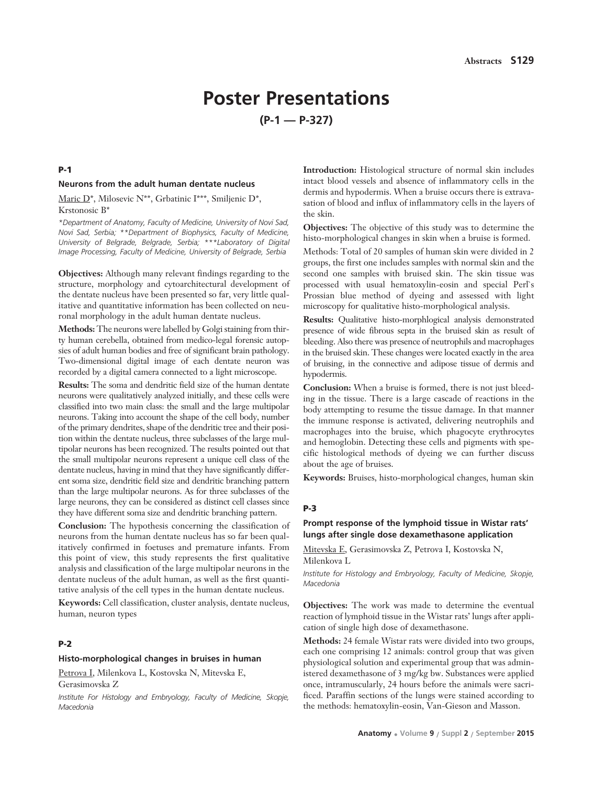# **Poster Presentations (P-1 — P-327)**

#### **P-1**

### **Neurons from the adult human dentate nucleus**

Maric D\*, Milosevic N\*\*, Grbatinic I\*\*\*, Smiljenic D\*, Krstonosic B\*

*\*Department of Anatomy, Faculty of Medicine, University of Novi Sad, Novi Sad, Serbia; \*\*Department of Biophysics, Faculty of Medicine, University of Belgrade, Belgrade, Serbia; \*\*\*Laboratory of Digital Image Processing, Faculty of Medicine, University of Belgrade, Serbia*

**Objectives:** Although many relevant findings regarding to the structure, morphology and cytoarchitectural development of the dentate nucleus have been presented so far, very little qualitative and quantitative information has been collected on neuronal morphology in the adult human dentate nucleus.

**Methods:** The neurons were labelled by Golgi staining from thirty human cerebella, obtained from medico-legal forensic autopsies of adult human bodies and free of significant brain pathology. Two-dimensional digital image of each dentate neuron was recorded by a digital camera connected to a light microscope.

**Results:** The soma and dendritic field size of the human dentate neurons were qualitatively analyzed initially, and these cells were classified into two main class: the small and the large multipolar neurons. Taking into account the shape of the cell body, number of the primary dendrites, shape of the dendritic tree and their position within the dentate nucleus, three subclasses of the large multipolar neurons has been recognized. The results pointed out that the small multipolar neurons represent a unique cell class of the dentate nucleus, having in mind that they have significantly different soma size, dendritic field size and dendritic branching pattern than the large multipolar neurons. As for three subclasses of the large neurons, they can be considered as distinct cell classes since they have different soma size and dendritic branching pattern.

**Conclusion:** The hypothesis concerning the classification of neurons from the human dentate nucleus has so far been qualitatively confirmed in foetuses and premature infants. From this point of view, this study represents the first qualitative analysis and classification of the large multipolar neurons in the dentate nucleus of the adult human, as well as the first quantitative analysis of the cell types in the human dentate nucleus.

**Keywords:** Cell classification, cluster analysis, dentate nucleus, human, neuron types

#### **P-2**

#### **Histo-morphological changes in bruises in human**

Petrova I, Milenkova L, Kostovska N, Mitevska E, Gerasimovska Z

*Institute For Histology and Embryology, Faculty of Medicine, Skopje, Macedonia*

**Introduction:** Histological structure of normal skin includes intact blood vessels and absence of inflammatory cells in the dermis and hypodermis. When a bruise occurs there is extravasation of blood and influx of inflammatory cells in the layers of the skin.

**Objectives:** The objective of this study was to determine the histo-morphological changes in skin when a bruise is formed.

Methods: Total of 20 samples of human skin were divided in 2 groups, the first one includes samples with normal skin and the second one samples with bruised skin. The skin tissue was processed with usual hematoxylin-eosin and special Perl`s Prossian blue method of dyeing and assessed with light microscopy for qualitative histo-morphological analysis.

**Results:** Qualitative histo-morphlogical analysis demonstrated presence of wide fibrous septa in the bruised skin as result of bleeding. Also there was presence of neutrophils and macrophages in the bruised skin. These changes were located exactly in the area of bruising, in the connective and adipose tissue of dermis and hypodermis.

**Conclusion:** When a bruise is formed, there is not just bleeding in the tissue. There is a large cascade of reactions in the body attempting to resume the tissue damage. In that manner the immune response is activated, delivering neutrophils and macrophages into the bruise, which phagocyte erythrocytes and hemoglobin. Detecting these cells and pigments with specific histological methods of dyeing we can further discuss about the age of bruises.

**Keywords:** Bruises, histo-morphological changes, human skin

#### **P-3**

### **Prompt response of the lymphoid tissue in Wistar rats' lungs after single dose dexamethasone application**

Mitevska E, Gerasimovska Z, Petrova I, Kostovska N, Milenkova L

*Institute for Histology and Embryology, Faculty of Medicine, Skopje, Macedonia* 

**Objectives:** The work was made to determine the eventual reaction of lymphoid tissue in the Wistar rats' lungs after application of single high dose of dexamethasone.

**Methods:** 24 female Wistar rats were divided into two groups, each one comprising 12 animals: control group that was given physiological solution and experimental group that was administered dexamethasone of 3 mg/kg bw. Substances were applied once, intramuscularly, 24 hours before the animals were sacrificed. Paraffin sections of the lungs were stained according to the methods: hematoxylin-eosin, Van-Gieson and Masson.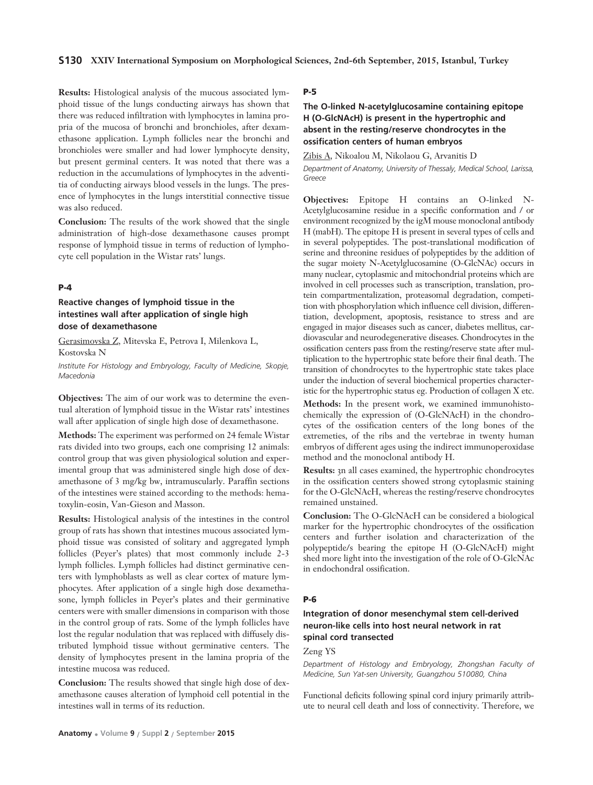**Results:** Histological analysis of the mucous associated lymphoid tissue of the lungs conducting airways has shown that there was reduced infiltration with lymphocytes in lamina propria of the mucosa of bronchi and bronchioles, after dexamethasone application. Lymph follicles near the bronchi and bronchioles were smaller and had lower lymphocyte density, but present germinal centers. It was noted that there was a reduction in the accumulations of lymphocytes in the adventitia of conducting airways blood vessels in the lungs. The presence of lymphocytes in the lungs interstitial connective tissue was also reduced.

**Conclusion:** The results of the work showed that the single administration of high-dose dexamethasone causes prompt response of lymphoid tissue in terms of reduction of lymphocyte cell population in the Wistar rats' lungs.

### **P-4**

### **Reactive changes of lymphoid tissue in the intestines wall after application of single high dose of dexamethasone**

Gerasimovska Z, Mitevska E, Petrova I, Milenkova L, Kostovska N

*Institute For Histology and Embryology, Faculty of Medicine, Skopje, Macedonia*

**Objectives:** The aim of our work was to determine the eventual alteration of lymphoid tissue in the Wistar rats' intestines wall after application of single high dose of dexamethasone.

**Methods:** The experiment was performed on 24 female Wistar rats divided into two groups, each one comprising 12 animals: control group that was given physiological solution and experimental group that was administered single high dose of dexamethasone of 3 mg/kg bw, intramuscularly. Paraffin sections of the intestines were stained according to the methods: hematoxylin-eosin, Van-Gieson and Masson.

**Results:** Histological analysis of the intestines in the control group of rats has shown that intestines mucous associated lymphoid tissue was consisted of solitary and aggregated lymph follicles (Peyer's plates) that most commonly include 2-3 lymph follicles. Lymph follicles had distinct germinative centers with lymphoblasts as well as clear cortex of mature lymphocytes. After application of a single high dose dexamethasone, lymph follicles in Peyer's plates and their germinative centers were with smaller dimensions in comparison with those in the control group of rats. Some of the lymph follicles have lost the regular nodulation that was replaced with diffusely distributed lymphoid tissue without germinative centers. The density of lymphocytes present in the lamina propria of the intestine mucosa was reduced.

**Conclusion:** The results showed that single high dose of dexamethasone causes alteration of lymphoid cell potential in the intestines wall in terms of its reduction.

### **P-5**

### **The O-linked N-acetylglucosamine containing epitope H (O-GlcNAcH) is present in the hypertrophic and absent in the resting/reserve chondrocytes in the ossification centers of human embryos**

Zibis A, Nikoalou M, Nikolaou G, Arvanitis D *Department of Anatomy, University of Thessaly, Medical School, Larissa, Greece*

**Objectives:** Epitope H contains an O-linked N-Acetylglucosamine residue in a specific conformation and / or environment recognized by the igM mouse monoclonal antibody H (mabH). The epitope H is present in several types of cells and in several polypeptides. The post-translational modification of serine and threonine residues of polypeptides by the addition of the sugar moiety N-Acetylglucosamine (O-GlcNAc) occurs in many nuclear, cytoplasmic and mitochondrial proteins which are involved in cell processes such as transcription, translation, protein compartmentalization, proteasomal degradation, competition with phosphorylation which influence cell division, differentiation, development, apoptosis, resistance to stress and are engaged in major diseases such as cancer, diabetes mellitus, cardiovascular and neurodegenerative diseases. Chondrocytes in the ossification centers pass from the resting/reserve state after multiplication to the hypertrophic state before their final death. The transition of chondrocytes to the hypertrophic state takes place under the induction of several biochemical properties characteristic for the hypertrophic status eg. Production of collagen X etc.

**Methods:** In the present work, we examined immunohistochemically the expression of (O-GlcNAcH) in the chondrocytes of the ossification centers of the long bones of the extremeties, of the ribs and the vertebrae in twenty human embryos of different ages using the indirect immunoperoxidase method and the monoclonal antibody H.

**Results:** 3n all cases examined, the hypertrophic chondrocytes in the ossification centers showed strong cytoplasmic staining for the O-GlcNAcH, whereas the resting/reserve chondrocytes remained unstained.

**Conclusion:** The O-GlcNAcH can be considered a biological marker for the hypertrophic chondrocytes of the ossification centers and further isolation and characterization of the polypeptide/s bearing the epitope H (O-GlcNAcH) might shed more light into the investigation of the role of O-GlcNAc in endochondral ossification.

### **P-6**

#### **Integration of donor mesenchymal stem cell-derived neuron-like cells into host neural network in rat spinal cord transected**

Zeng YS

*Department of Histology and Embryology, Zhongshan Faculty of Medicine, Sun Yat-sen University, Guangzhou 510080, China*

Functional deficits following spinal cord injury primarily attribute to neural cell death and loss of connectivity. Therefore, we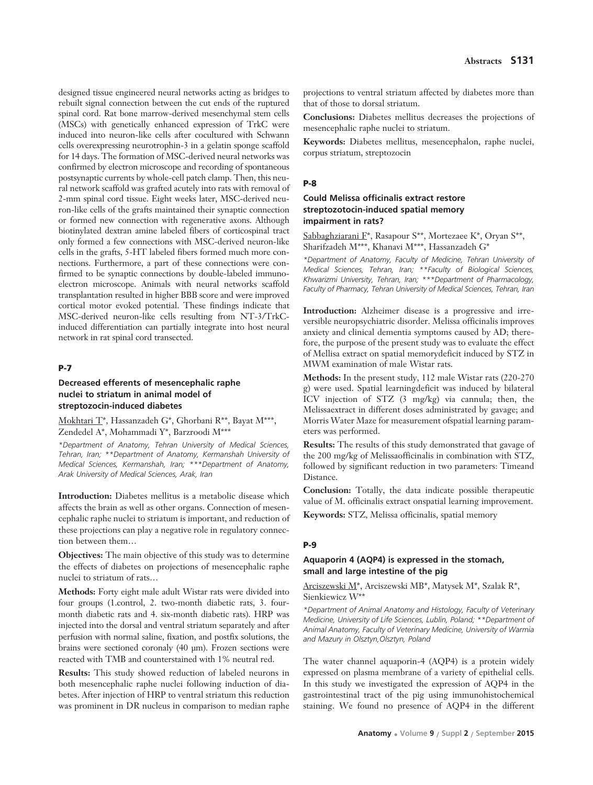designed tissue engineered neural networks acting as bridges to rebuilt signal connection between the cut ends of the ruptured spinal cord. Rat bone marrow-derived mesenchymal stem cells (MSCs) with genetically enhanced expression of TrkC were induced into neuron-like cells after cocultured with Schwann cells overexpressing neurotrophin-3 in a gelatin sponge scaffold for 14 days. The formation of MSC-derived neural networks was confirmed by electron microscope and recording of spontaneous postsynaptic currents by whole-cell patch clamp. Then, this neural network scaffold was grafted acutely into rats with removal of 2-mm spinal cord tissue. Eight weeks later, MSC-derived neuron-like cells of the grafts maintained their synaptic connection or formed new connection with regenerative axons. Although biotinylated dextran amine labeled fibers of corticospinal tract only formed a few connections with MSC-derived neuron-like cells in the grafts, 5-HT labeled fibers formed much more connections. Furthermore, a part of these connections were confirmed to be synaptic connections by double-labeled immunoelectron microscope. Animals with neural networks scaffold transplantation resulted in higher BBB score and were improved cortical motor evoked potential. These findings indicate that MSC-derived neuron-like cells resulting from NT-3/TrkCinduced differentiation can partially integrate into host neural network in rat spinal cord transected.

### **P-7**

### **Decreased efferents of mesencephalic raphe nuclei to striatum in animal model of streptozocin-induced diabetes**

Mokhtari T\*, Hassanzadeh G\*, Ghorbani R\*\*, Bayat M\*\*\*, Zendedel A\*, Mohammadi Y\*, Barzroodi M\*\*\*

*\*Department of Anatomy, Tehran University of Medical Sciences, Tehran, Iran; \*\*Department of Anatomy, Kermanshah University of Medical Sciences, Kermanshah, Iran; \*\*\*Department of Anatomy, Arak University of Medical Sciences, Arak, Iran* 

**Introduction:** Diabetes mellitus is a metabolic disease which affects the brain as well as other organs. Connection of mesencephalic raphe nuclei to striatum is important, and reduction of these projections can play a negative role in regulatory connection between them…

**Objectives:** The main objective of this study was to determine the effects of diabetes on projections of mesencephalic raphe nuclei to striatum of rats…

**Methods:** Forty eight male adult Wistar rats were divided into four groups (1.control, 2. two-month diabetic rats, 3. fourmonth diabetic rats and 4. six-month diabetic rats). HRP was injected into the dorsal and ventral striatum separately and after perfusion with normal saline, fixation, and postfix solutions, the brains were sectioned coronaly (40 μm). Frozen sections were reacted with TMB and counterstained with 1% neutral red.

**Results:** This study showed reduction of labeled neurons in both mesencephalic raphe nuclei following induction of diabetes. After injection of HRP to ventral striatum this reduction was prominent in DR nucleus in comparison to median raphe

projections to ventral striatum affected by diabetes more than that of those to dorsal striatum.

**Conclusions:** Diabetes mellitus decreases the projections of mesencephalic raphe nuclei to striatum.

**Keywords:** Diabetes mellitus, mesencephalon, raphe nuclei, corpus striatum, streptozocin

#### **P-8**

### **Could Melissa officinalis extract restore streptozotocin-induced spatial memory impairment in rats?**

Sabbaghziarani F\*, Rasapour S\*\*, Mortezaee K\*, Oryan S\*\*, Sharifzadeh M\*\*\*, Khanavi M\*\*\*, Hassanzadeh G\*

*\*Department of Anatomy, Faculty of Medicine, Tehran University of Medical Sciences, Tehran, Iran; \*\*Faculty of Biological Sciences, Khwarizmi University, Tehran, Iran; \*\*\*Department of Pharmacology, Faculty of Pharmacy, Tehran University of Medical Sciences, Tehran, Iran*

**Introduction:** Alzheimer disease is a progressive and irreversible neuropsychiatric disorder. Melissa officinalis improves anxiety and clinical dementia symptoms caused by AD; therefore, the purpose of the present study was to evaluate the effect of Mellisa extract on spatial memorydeficit induced by STZ in MWM examination of male Wistar rats.

**Methods:** In the present study, 112 male Wistar rats (220-270 g) were used. Spatial learningdeficit was induced by bilateral ICV injection of STZ (3 mg/kg) via cannula; then, the Melissaextract in different doses administrated by gavage; and Morris Water Maze for measurement ofspatial learning parameters was performed.

**Results:** The results of this study demonstrated that gavage of the 200 mg/kg of Melissaofficinalis in combination with STZ, followed by significant reduction in two parameters: Timeand Distance.

**Conclusion:** Totally, the data indicate possible therapeutic value of M. officinalis extract onspatial learning improvement.

**Keywords:** STZ, Melissa officinalis, spatial memory

#### **P-9**

### **Aquaporin 4 (AQP4) is expressed in the stomach, small and large intestine of the pig**

Arciszewski M\*, Arciszewski MB\*, Matysek M\*, Szalak R\*, Sienkiewicz W\*\*

*\*Department of Animal Anatomy and Histology, Faculty of Veterinary Medicine, University of Life Sciences, Lublin, Poland; \*\*Department of Animal Anatomy, Faculty of Veterinary Medicine, University of Warmia and Mazury in Olsztyn,Olsztyn, Poland* 

The water channel aquaporin-4 (AQP4) is a protein widely expressed on plasma membrane of a variety of epithelial cells. In this study we investigated the expression of AQP4 in the gastrointestinal tract of the pig using immunohistochemical staining. We found no presence of AQP4 in the different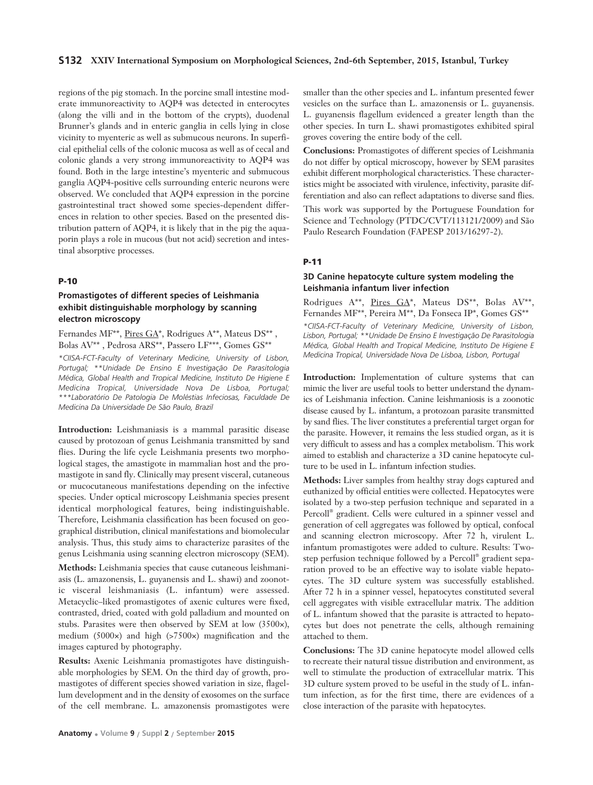#### **S132 XXIV International Symposium on Morphological Sciences, 2nd-6th September, 2015, Istanbul, Turkey**

regions of the pig stomach. In the porcine small intestine moderate immunoreactivity to AQP4 was detected in enterocytes (along the villi and in the bottom of the crypts), duodenal Brunner's glands and in enteric ganglia in cells lying in close vicinity to myenteric as well as submucous neurons. In superficial epithelial cells of the colonic mucosa as well as of cecal and colonic glands a very strong immunoreactivity to AQP4 was found. Both in the large intestine's myenteric and submucous ganglia AQP4-positive cells surrounding enteric neurons were observed. We concluded that AQP4 expression in the porcine gastrointestinal tract showed some species-dependent differences in relation to other species. Based on the presented distribution pattern of AQP4, it is likely that in the pig the aquaporin plays a role in mucous (but not acid) secretion and intestinal absorptive processes.

#### **P-10**

### **Promastigotes of different species of Leishmania exhibit distinguishable morphology by scanning electron microscopy**

Fernandes MF<sup>\*\*</sup>, Pires GA<sup>\*</sup>, Rodrigues A<sup>\*\*</sup>, Mateus DS<sup>\*\*</sup> Bolas AV\*\* , Pedrosa ARS\*\*, Passero LF\*\*\*, Gomes GS\*\*

*\*CIISA-FCT-Faculty of Veterinary Medicine, University of Lisbon, Portugal; \*\*Unidade De Ensino E Investigação De Parasitologia Médica, Global Health and Tropical Medicine, Instituto De Higiene E Medicina Tropical, Universidade Nova De Lisboa, Portugal; \*\*\*Laboratório De Patologia De Moléstias Infeciosas, Faculdade De Medicina Da Universidade De São Paulo, Brazil*

**Introduction:** Leishmaniasis is a mammal parasitic disease caused by protozoan of genus Leishmania transmitted by sand flies. During the life cycle Leishmania presents two morphological stages, the amastigote in mammalian host and the promastigote in sand fly. Clinically may present visceral, cutaneous or mucocutaneous manifestations depending on the infective species. Under optical microscopy Leishmania species present identical morphological features, being indistinguishable. Therefore, Leishmania classification has been focused on geographical distribution, clinical manifestations and biomolecular analysis. Thus, this study aims to characterize parasites of the genus Leishmania using scanning electron microscopy (SEM).

**Methods:** Leishmania species that cause cutaneous leishmaniasis (L. amazonensis, L. guyanensis and L. shawi) and zoonotic visceral leishmaniasis (L. infantum) were assessed. Metacyclic–liked promastigotes of axenic cultures were fixed, contrasted, dried, coated with gold palladium and mounted on stubs. Parasites were then observed by SEM at low (3500×), medium (5000×) and high (>7500×) magnification and the images captured by photography.

**Results:** Axenic Leishmania promastigotes have distinguishable morphologies by SEM. On the third day of growth, promastigotes of different species showed variation in size, flagellum development and in the density of exosomes on the surface of the cell membrane. L. amazonensis promastigotes were smaller than the other species and L. infantum presented fewer vesicles on the surface than L. amazonensis or L. guyanensis. L. guyanensis flagellum evidenced a greater length than the other species. In turn L. shawi promastigotes exhibited spiral groves covering the entire body of the cell.

**Conclusions:** Promastigotes of different species of Leishmania do not differ by optical microscopy, however by SEM parasites exhibit different morphological characteristics. These characteristics might be associated with virulence, infectivity, parasite differentiation and also can reflect adaptations to diverse sand flies.

This work was supported by the Portuguese Foundation for Science and Technology (PTDC/CVT/113121/2009) and São Paulo Research Foundation (FAPESP 2013/16297-2).

### **P-11**

#### **3D Canine hepatocyte culture system modeling the Leishmania infantum liver infection**

Rodrigues A\*\*, Pires GA\*, Mateus DS\*\*, Bolas AV\*\*, Fernandes MF\*\*, Pereira M\*\*, Da Fonseca IP\*, Gomes GS\*\* *\*CIISA-FCT-Faculty of Veterinary Medicine, University of Lisbon, Lisbon, Portugal; \*\*Unidade De Ensino E Investigação De Parasitologia Médica, Global Health and Tropical Medicine, Instituto De Higiene E Medicina Tropical, Universidade Nova De Lisboa, Lisbon, Portugal*

**Introduction:** Implementation of culture systems that can mimic the liver are useful tools to better understand the dynamics of Leishmania infection. Canine leishmaniosis is a zoonotic disease caused by L. infantum, a protozoan parasite transmitted by sand flies. The liver constitutes a preferential target organ for the parasite. However, it remains the less studied organ, as it is very difficult to assess and has a complex metabolism. This work aimed to establish and characterize a 3D canine hepatocyte culture to be used in L. infantum infection studies.

**Methods:** Liver samples from healthy stray dogs captured and euthanized by official entities were collected. Hepatocytes were isolated by a two-step perfusion technique and separated in a Percoll® gradient. Cells were cultured in a spinner vessel and generation of cell aggregates was followed by optical, confocal and scanning electron microscopy. After 72 h, virulent L. infantum promastigotes were added to culture. Results: Twostep perfusion technique followed by a Percoll® gradient separation proved to be an effective way to isolate viable hepatocytes. The 3D culture system was successfully established. After 72 h in a spinner vessel, hepatocytes constituted several cell aggregates with visible extracellular matrix. The addition of L. infantum showed that the parasite is attracted to hepatocytes but does not penetrate the cells, although remaining attached to them.

**Conclusions:** The 3D canine hepatocyte model allowed cells to recreate their natural tissue distribution and environment, as well to stimulate the production of extracellular matrix. This 3D culture system proved to be useful in the study of L. infantum infection, as for the first time, there are evidences of a close interaction of the parasite with hepatocytes.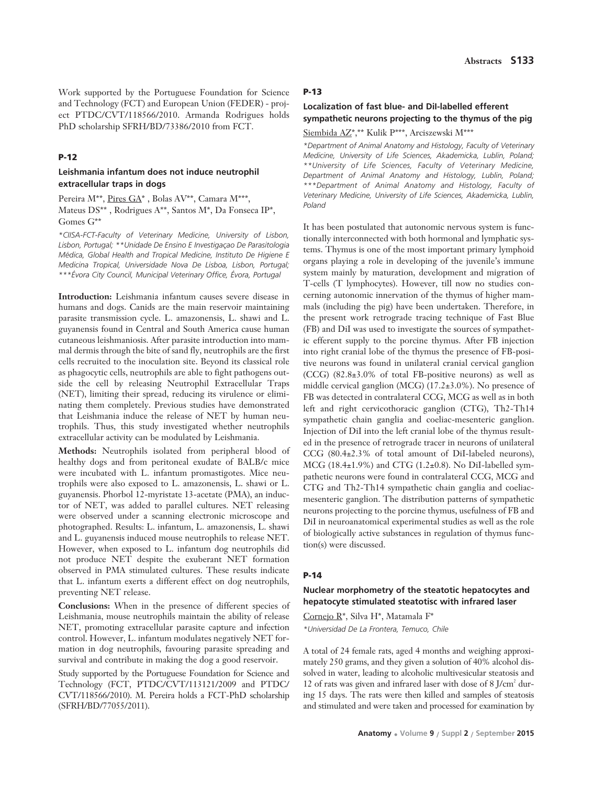Work supported by the Portuguese Foundation for Science and Technology (FCT) and European Union (FEDER) - project PTDC/CVT/118566/2010. Armanda Rodrigues holds PhD scholarship SFRH/BD/73386/2010 from FCT.

#### **P-12**

### **Leishmania infantum does not induce neutrophil extracellular traps in dogs**

Pereira M<sup>\*\*</sup>, Pires GA<sup>\*</sup>, Bolas AV<sup>\*\*</sup>, Camara M<sup>\*\*\*</sup>, Mateus DS\*\* , Rodrigues A\*\*, Santos M\*, Da Fonseca IP\*, Gomes G\*\*

*\*CIISA-FCT-Faculty of Veterinary Medicine, University of Lisbon, Lisbon, Portugal; \*\*Unidade De Ensino E Investigaçao De Parasitologia Médica, Global Health and Tropical Medicine, Instituto De Higiene E Medicina Tropical, Universidade Nova De Lisboa, Lisbon, Portugal; \*\*\*Évora City Council, Municipal Veterinary Office, Évora, Portugal*

**Introduction:** Leishmania infantum causes severe disease in humans and dogs. Canids are the main reservoir maintaining parasite transmission cycle. L. amazonensis, L. shawi and L. guyanensis found in Central and South America cause human cutaneous leishmaniosis. After parasite introduction into mammal dermis through the bite of sand fly, neutrophils are the first cells recruited to the inoculation site. Beyond its classical role as phagocytic cells, neutrophils are able to fight pathogens outside the cell by releasing Neutrophil Extracellular Traps (NET), limiting their spread, reducing its virulence or eliminating them completely. Previous studies have demonstrated that Leishmania induce the release of NET by human neutrophils. Thus, this study investigated whether neutrophils extracellular activity can be modulated by Leishmania.

**Methods:** Neutrophils isolated from peripheral blood of healthy dogs and from peritoneal exudate of BALB/c mice were incubated with L. infantum promastigotes. Mice neutrophils were also exposed to L. amazonensis, L. shawi or L. guyanensis. Phorbol 12-myristate 13-acetate (PMA), an inductor of NET, was added to parallel cultures. NET releasing were observed under a scanning electronic microscope and photographed. Results: L. infantum, L. amazonensis, L. shawi and L. guyanensis induced mouse neutrophils to release NET. However, when exposed to L. infantum dog neutrophils did not produce NET despite the exuberant NET formation observed in PMA stimulated cultures. These results indicate that L. infantum exerts a different effect on dog neutrophils, preventing NET release.

**Conclusions:** When in the presence of different species of Leishmania, mouse neutrophils maintain the ability of release NET, promoting extracellular parasite capture and infection control. However, L. infantum modulates negatively NET formation in dog neutrophils, favouring parasite spreading and survival and contribute in making the dog a good reservoir.

Study supported by the Portuguese Foundation for Science and Technology (FCT, PTDC/CVT/113121/2009 and PTDC/ CVT/118566/2010). M. Pereira holds a FCT-PhD scholarship (SFRH/BD/77055/2011).

#### **P-13**

### **Localization of fast blue- and DiI-labelled efferent sympathetic neurons projecting to the thymus of the pig**

Siembida AZ\*,\*\* Kulik P\*\*\*, Arciszewski M\*\*\*

*\*Department of Animal Anatomy and Histology, Faculty of Veterinary Medicine, University of Life Sciences, Akademicka, Lublin, Poland; \*\*University of Life Sciences, Faculty of Veterinary Medicine, Department of Animal Anatomy and Histology, Lublin, Poland; \*\*\*Department of Animal Anatomy and Histology, Faculty of Veterinary Medicine, University of Life Sciences, Akademicka, Lublin, Poland* 

It has been postulated that autonomic nervous system is functionally interconnected with both hormonal and lymphatic systems. Thymus is one of the most important primary lymphoid organs playing a role in developing of the juvenile's immune system mainly by maturation, development and migration of T-cells (T lymphocytes). However, till now no studies concerning autonomic innervation of the thymus of higher mammals (including the pig) have been undertaken. Therefore, in the present work retrograde tracing technique of Fast Blue (FB) and DiI was used to investigate the sources of sympathetic efferent supply to the porcine thymus. After FB injection into right cranial lobe of the thymus the presence of FB-positive neurons was found in unilateral cranial cervical ganglion (CCG) (82.8±3.0% of total FB-positive neurons) as well as middle cervical ganglion (MCG) (17.2±3.0%). No presence of FB was detected in contralateral CCG, MCG as well as in both left and right cervicothoracic ganglion (CTG), Th2-Th14 sympathetic chain ganglia and coeliac-mesenteric ganglion. Injection of DiI into the left cranial lobe of the thymus resulted in the presence of retrograde tracer in neurons of unilateral CCG (80.4±2.3% of total amount of DiI-labeled neurons),  $MCG (18.4\pm1.9\%)$  and CTG (1.2 $\pm$ 0.8). No DiI-labelled sympathetic neurons were found in contralateral CCG, MCG and CTG and Th2-Th14 sympathetic chain ganglia and coeliacmesenteric ganglion. The distribution patterns of sympathetic neurons projecting to the porcine thymus, usefulness of FB and DiI in neuroanatomical experimental studies as well as the role of biologically active substances in regulation of thymus function(s) were discussed.

#### **P-14**

### **Nuclear morphometry of the steatotic hepatocytes and hepatocyte stimulated steatotisc with infrared laser**

Cornejo R\*, Silva H\*, Matamala F\* *\*Universidad De La Frontera, Temuco, Chile*

A total of 24 female rats, aged 4 months and weighing approximately 250 grams, and they given a solution of 40% alcohol dissolved in water, leading to alcoholic multivesicular steatosis and 12 of rats was given and infrared laser with dose of  $8$  J/cm<sup>2</sup> during 15 days. The rats were then killed and samples of steatosis and stimulated and were taken and processed for examination by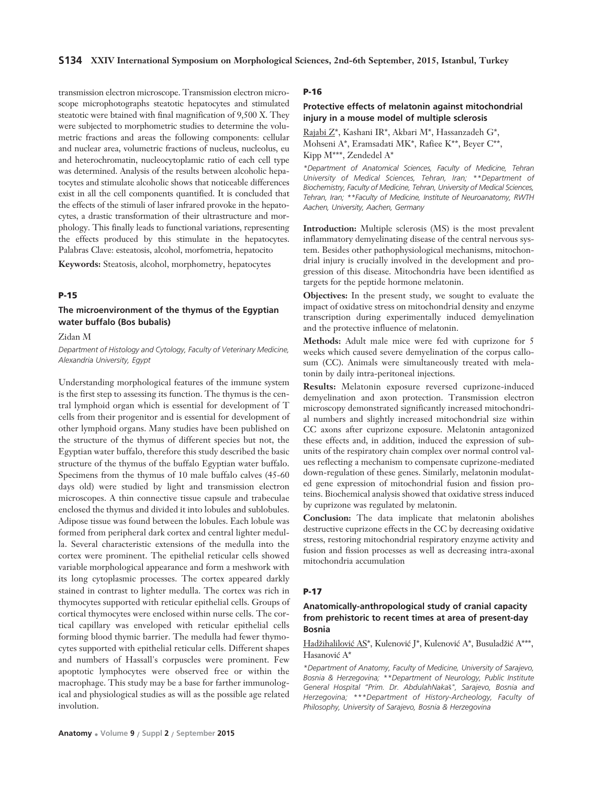transmission electron microscope. Transmission electron microscope microphotographs steatotic hepatocytes and stimulated steatotic were btained with final magnification of 9,500 X. They were subjected to morphometric studies to determine the volumetric fractions and areas the following components: cellular and nuclear area, volumetric fractions of nucleus, nucleolus, eu and heterochromatin, nucleocytoplamic ratio of each cell type was determined. Analysis of the results between alcoholic hepatocytes and stimulate alcoholic shows that noticeable differences exist in all the cell components quantified. It is concluded that the effects of the stimuli of laser infrared provoke in the hepatocytes, a drastic transformation of their ultrastructure and morphology. This finally leads to functional variations, representing the effects produced by this stimulate in the hepatocytes. Palabras Clave: esteatosis, alcohol, morfometria, hepatocito

**Keywords:** Steatosis, alcohol, morphometry, hepatocytes

#### **P-15**

### **The microenvironment of the thymus of the Egyptian water buffalo (Bos bubalis)**

Zidan M

*Department of Histology and Cytology, Faculty of Veterinary Medicine, Alexandria University, Egypt* 

Understanding morphological features of the immune system is the first step to assessing its function. The thymus is the central lymphoid organ which is essential for development of T cells from their progenitor and is essential for development of other lymphoid organs. Many studies have been published on the structure of the thymus of different species but not, the Egyptian water buffalo, therefore this study described the basic structure of the thymus of the buffalo Egyptian water buffalo. Specimens from the thymus of 10 male buffalo calves (45-60 days old) were studied by light and transmission electron microscopes. A thin connective tissue capsule and trabeculae enclosed the thymus and divided it into lobules and sublobules. Adipose tissue was found between the lobules. Each lobule was formed from peripheral dark cortex and central lighter medulla. Several characteristic extensions of the medulla into the cortex were prominent. The epithelial reticular cells showed variable morphological appearance and form a meshwork with its long cytoplasmic processes. The cortex appeared darkly stained in contrast to lighter medulla. The cortex was rich in thymocytes supported with reticular epithelial cells. Groups of cortical thymocytes were enclosed within nurse cells. The cortical capillary was enveloped with reticular epithelial cells forming blood thymic barrier. The medulla had fewer thymocytes supported with epithelial reticular cells. Different shapes and numbers of Hassall's corpuscles were prominent. Few apoptotic lymphocytes were observed free or within the macrophage. This study may be a base for farther immunological and physiological studies as will as the possible age related involution.

### **Protective effects of melatonin against mitochondrial injury in a mouse model of multiple sclerosis**

Rajabi Z\*, Kashani IR\*, Akbari M\*, Hassanzadeh G\*, Mohseni A\*, Eramsadati MK\*, Rafiee K\*\*, Beyer C\*\*, Kipp M\*\*\*, Zendedel A\*

*\*Department of Anatomical Sciences, Faculty of Medicine, Tehran University of Medical Sciences, Tehran, Iran; \*\*Department of Biochemistry, Faculty of Medicine, Tehran, University of Medical Sciences, Tehran, Iran; \*\*Faculty of Medicine, Institute of Neuroanatomy, RWTH Aachen, University, Aachen, Germany*

**Introduction:** Multiple sclerosis (MS) is the most prevalent inflammatory demyelinating disease of the central nervous system. Besides other pathophysiological mechanisms, mitochondrial injury is crucially involved in the development and progression of this disease. Mitochondria have been identified as targets for the peptide hormone melatonin.

**Objectives:** In the present study, we sought to evaluate the impact of oxidative stress on mitochondrial density and enzyme transcription during experimentally induced demyelination and the protective influence of melatonin.

**Methods:** Adult male mice were fed with cuprizone for 5 weeks which caused severe demyelination of the corpus callosum (CC). Animals were simultaneously treated with melatonin by daily intra-peritoneal injections.

**Results:** Melatonin exposure reversed cuprizone-induced demyelination and axon protection. Transmission electron microscopy demonstrated significantly increased mitochondrial numbers and slightly increased mitochondrial size within CC axons after cuprizone exposure. Melatonin antagonized these effects and, in addition, induced the expression of subunits of the respiratory chain complex over normal control values reflecting a mechanism to compensate cuprizone-mediated down-regulation of these genes. Similarly, melatonin modulated gene expression of mitochondrial fusion and fission proteins. Biochemical analysis showed that oxidative stress induced by cuprizone was regulated by melatonin.

**Conclusion:** The data implicate that melatonin abolishes destructive cuprizone effects in the CC by decreasing oxidative stress, restoring mitochondrial respiratory enzyme activity and fusion and fission processes as well as decreasing intra-axonal mitochondria accumulation

#### **P-17**

### **Anatomically-anthropological study of cranial capacity from prehistoric to recent times at area of present-day Bosnia**

Hadžihalilović AS\*, Kulenović J\*, Kulenović A\*, Busuladžić A\*\*\*, Hasanović A\*

*\*Department of Anatomy, Faculty of Medicine, University of Sarajevo, Bosnia & Herzegovina; \*\*Department of Neurology, Public Institute General Hospital "Prim. Dr. AbdulahNaka*š*", Sarajevo, Bosnia and Herzegovina; \*\*\*Department of History-Archeology, Faculty of Philosophy, University of Sarajevo, Bosnia & Herzegovina*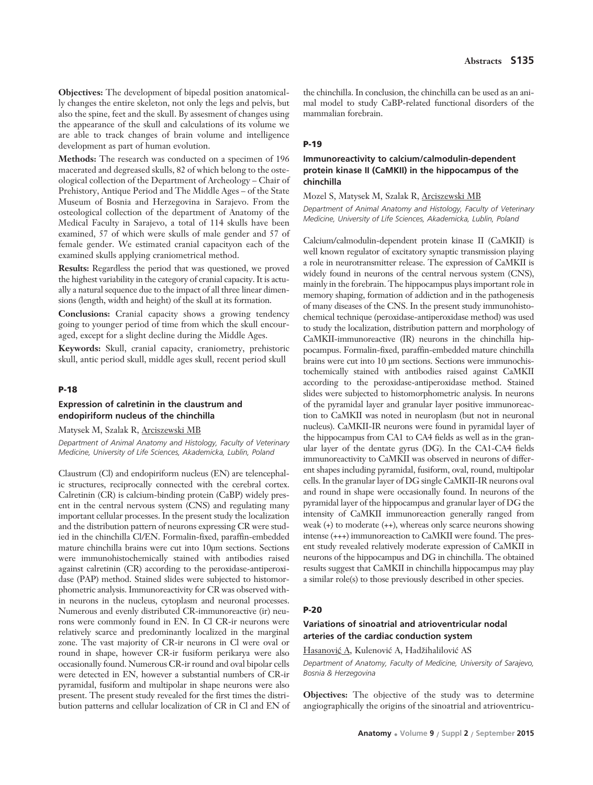**Objectives:** The development of bipedal position anatomically changes the entire skeleton, not only the legs and pelvis, but also the spine, feet and the skull. By assesment of changes using the appearance of the skull and calculations of its volume we are able to track changes of brain volume and intelligence development as part of human evolution.

**Methods:** The research was conducted on a specimen of 196 macerated and degreased skulls, 82 of which belong to the osteological collection of the Department of Archeology – Chair of Prehistory, Antique Period and The Middle Ages – of the State Museum of Bosnia and Herzegovina in Sarajevo. From the osteological collection of the department of Anatomy of the Medical Faculty in Sarajevo, a total of 114 skulls have been examined, 57 of which were skulls of male gender and 57 of female gender. We estimated cranial capacityon each of the examined skulls applying craniometrical method.

**Results:** Regardless the period that was questioned, we proved the highest variability in the category of cranial capacity. It is actually a natural sequence due to the impact of all three linear dimensions (length, width and height) of the skull at its formation.

**Conclusions:** Cranial capacity shows a growing tendency going to younger period of time from which the skull encouraged, except for a slight decline during the Middle Ages.

**Keywords:** Skull, cranial capacity, craniometry, prehistoric skull, antic period skull, middle ages skull, recent period skull

### **P-18**

#### **Expression of calretinin in the claustrum and endopiriform nucleus of the chinchilla**

Matysek M, Szalak R, Arciszewski MB

*Department of Animal Anatomy and Histology, Faculty of Veterinary Medicine, University of Life Sciences, Akademicka, Lublin, Poland*

Claustrum (Cl) and endopiriform nucleus (EN) are telencephalic structures, reciprocally connected with the cerebral cortex. Calretinin (CR) is calcium-binding protein (CaBP) widely present in the central nervous system (CNS) and regulating many important cellular processes. In the present study the localization and the distribution pattern of neurons expressing CR were studied in the chinchilla Cl/EN. Formalin-fixed, paraffin-embedded mature chinchilla brains were cut into 10μm sections. Sections were immunohistochemically stained with antibodies raised against calretinin (CR) according to the peroxidase-antiperoxidase (PAP) method. Stained slides were subjected to histomorphometric analysis. Immunoreactivity for CR was observed within neurons in the nucleus, cytoplasm and neuronal processes. Numerous and evenly distributed CR-immunoreactive (ir) neurons were commonly found in EN. In Cl CR-ir neurons were relatively scarce and predominantly localized in the marginal zone. The vast majority of CR-ir neurons in Cl were oval or round in shape, however CR-ir fusiform perikarya were also occasionally found. Numerous CR-ir round and oval bipolar cells were detected in EN, however a substantial numbers of CR-ir pyramidal, fusiform and multipolar in shape neurons were also present. The present study revealed for the first times the distribution patterns and cellular localization of CR in Cl and EN of

the chinchilla. In conclusion, the chinchilla can be used as an animal model to study CaBP-related functional disorders of the mammalian forebrain.

### **P-19**

### **Immunoreactivity to calcium/calmodulin-dependent protein kinase II (CaMKII) in the hippocampus of the chinchilla**

Mozel S, Matysek M, Szalak R, Arciszewski MB

*Department of Animal Anatomy and Histology, Faculty of Veterinary Medicine, University of Life Sciences, Akademicka, Lublin, Poland* 

Calcium/calmodulin-dependent protein kinase II (CaMKII) is well known regulator of excitatory synaptic transmission playing a role in neurotransmitter release. The expression of CaMKII is widely found in neurons of the central nervous system (CNS), mainly in the forebrain. The hippocampus plays important role in memory shaping, formation of addiction and in the pathogenesis of many diseases of the CNS. In the present study immunohistochemical technique (peroxidase-antiperoxidase method) was used to study the localization, distribution pattern and morphology of CaMKII-immunoreactive (IR) neurons in the chinchilla hippocampus. Formalin-fixed, paraffin-embedded mature chinchilla brains were cut into 10 μm sections. Sections were immunochistochemically stained with antibodies raised against CaMKII according to the peroxidase-antiperoxidase method. Stained slides were subjected to histomorphometric analysis. In neurons of the pyramidal layer and granular layer positive immunoreaction to CaMKII was noted in neuroplasm (but not in neuronal nucleus). CaMKII-IR neurons were found in pyramidal layer of the hippocampus from CA1 to CA4 fields as well as in the granular layer of the dentate gyrus (DG). In the CA1-CA4 fields immunoreactivity to CaMKII was observed in neurons of different shapes including pyramidal, fusiform, oval, round, multipolar cells. In the granular layer of DG single CaMKII-IR neurons oval and round in shape were occasionally found. In neurons of the pyramidal layer of the hippocampus and granular layer of DG the intensity of CaMKII immunoreaction generally ranged from weak (+) to moderate (++), whereas only scarce neurons showing intense (+++) immunoreaction to CaMKII were found. The present study revealed relatively moderate expression of CaMKII in neurons of the hippocampus and DG in chinchilla. The obtained results suggest that CaMKII in chinchilla hippocampus may play a similar role(s) to those previously described in other species.

#### **P-20**

### **Variations of sinoatrial and atrioventricular nodal arteries of the cardiac conduction system**

Hasanović A, Kulenović A, Hadžihalilović AS

*Department of Anatomy, Faculty of Medicine, University of Sarajevo, Bosnia & Herzegovina*

**Objectives:** The objective of the study was to determine angiographically the origins of the sinoatrial and atrioventricu-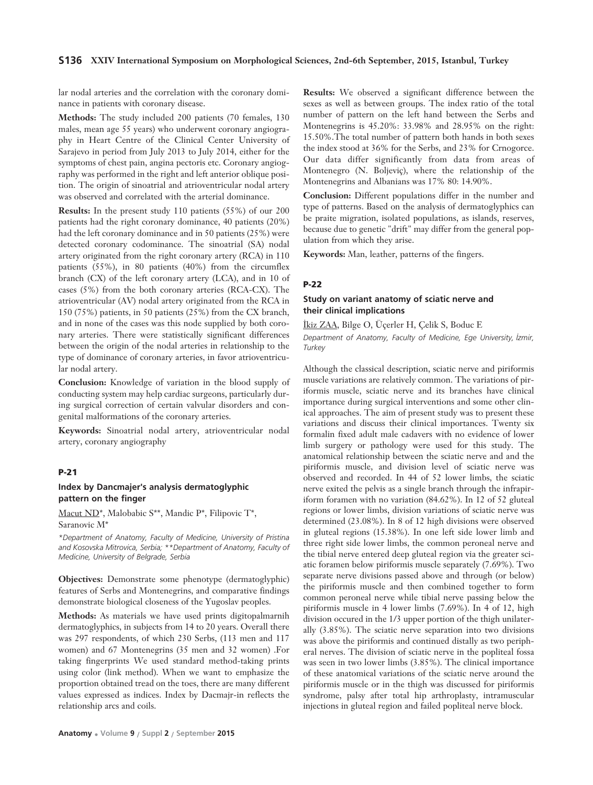#### **S136 XXIV International Symposium on Morphological Sciences, 2nd-6th September, 2015, Istanbul, Turkey**

lar nodal arteries and the correlation with the coronary dominance in patients with coronary disease.

**Methods:** The study included 200 patients (70 females, 130 males, mean age 55 years) who underwent coronary angiography in Heart Centre of the Clinical Center University of Sarajevo in period from July 2013 to July 2014, either for the symptoms of chest pain, angina pectoris etc. Coronary angiography was performed in the right and left anterior oblique position. The origin of sinoatrial and atrioventricular nodal artery was observed and correlated with the arterial dominance.

**Results:** In the present study 110 patients (55%) of our 200 patients had the right coronary dominance, 40 patients (20%) had the left coronary dominance and in 50 patients (25%) were detected coronary codominance. The sinoatrial (SA) nodal artery originated from the right coronary artery (RCA) in 110 patients (55%), in 80 patients (40%) from the circumflex branch (CX) of the left coronary artery (LCA), and in 10 of cases (5%) from the both coronary arteries (RCA-CX). The atrioventricular (AV) nodal artery originated from the RCA in 150 (75%) patients, in 50 patients (25%) from the CX branch, and in none of the cases was this node supplied by both coronary arteries. There were statistically significant differences between the origin of the nodal arteries in relationship to the type of dominance of coronary arteries, in favor atrioventricular nodal artery.

**Conclusion:** Knowledge of variation in the blood supply of conducting system may help cardiac surgeons, particularly during surgical correction of certain valvular disorders and congenital malformations of the coronary arteries.

**Keywords:** Sinoatrial nodal artery, atrioventricular nodal artery, coronary angiography

### **P-21**

### **Index by Dancmajer's analysis dermatoglyphic pattern on the finger**

Macut ND\*, Malobabic S\*\*, Mandic P\*, Filipovic T\*, Saranovic M\*

*\*Department of Anatomy, Faculty of Medicine, University of Pristina and Kosovska Mitrovica, Serbia; \*\*Department of Anatomy, Faculty of Medicine, University of Belgrade, Serbia* 

**Objectives:** Demonstrate some phenotype (dermatoglyphic) features of Serbs and Montenegrins, and comparative findings demonstrate biological closeness of the Yugoslav peoples.

**Methods:** As materials we have used prints digitopalmarnih dermatoglyphics, in subjects from 14 to 20 years. Overall there was 297 respondents, of which 230 Serbs, (113 men and 117 women) and 67 Montenegrins (35 men and 32 women) .For taking fingerprints We used standard method-taking prints using color (link method). When we want to emphasize the proportion obtained tread on the toes, there are many different values expressed as indices. Index by Dacmajr-in reflects the relationship arcs and coils.

**Results:** We observed a significant difference between the sexes as well as between groups. The index ratio of the total number of pattern on the left hand between the Serbs and Montenegrins is 45.20%: 33.98% and 28.95% on the right: 15.50%.The total number of pattern both hands in both sexes the index stood at 36% for the Serbs, and 23% for Crnogorce. Our data differ significantly from data from areas of Montenegro (N. Boljeviç), where the relationship of the Montenegrins and Albanians was 17% 80: 14.90%.

**Conclusion:** Different populations differ in the number and type of patterns. Based on the analysis of dermatoglyphics can be praite migration, isolated populations, as islands, reserves, because due to genetic "drift" may differ from the general population from which they arise.

**Keywords:** Man, leather, patterns of the fingers.

#### **P-22**

### **Study on variant anatomy of sciatic nerve and their clinical implications**

Ikiz ZAA, Bilge O, Üçerler H, Çelik S, Boduc E

*Department of Anatomy, Faculty of Medicine, Ege University, ‹zmir, Turkey*

Although the classical description, sciatic nerve and piriformis muscle variations are relatively common. The variations of piriformis muscle, sciatic nerve and its branches have clinical importance during surgical interventions and some other clinical approaches. The aim of present study was to present these variations and discuss their clinical importances. Twenty six formalin fixed adult male cadavers with no evidence of lower limb surgery or pathology were used for this study. The anatomical relationship between the sciatic nerve and and the piriformis muscle, and division level of sciatic nerve was observed and recorded. In 44 of 52 lower limbs, the sciatic nerve exited the pelvis as a single branch through the infrapiriform foramen with no variation (84.62%). In 12 of 52 gluteal regions or lower limbs, division variations of sciatic nerve was determined (23.08%). In 8 of 12 high divisions were observed in gluteal regions (15.38%). In one left side lower limb and three right side lower limbs, the common peroneal nerve and the tibial nerve entered deep gluteal region via the greater sciatic foramen below piriformis muscle separately (7.69%). Two separate nerve divisions passed above and through (or below) the piriformis muscle and then combined together to form common peroneal nerve while tibial nerve passing below the piriformis muscle in 4 lower limbs (7.69%). In 4 of 12, high division occured in the 1/3 upper portion of the thigh unilaterally (3.85%). The sciatic nerve separation into two divisions was above the piriformis and continued distally as two peripheral nerves. The division of sciatic nerve in the popliteal fossa was seen in two lower limbs (3.85%). The clinical importance of these anatomical variations of the sciatic nerve around the piriformis muscle or in the thigh was discussed for piriformis syndrome, palsy after total hip arthroplasty, intramuscular injections in gluteal region and failed popliteal nerve block.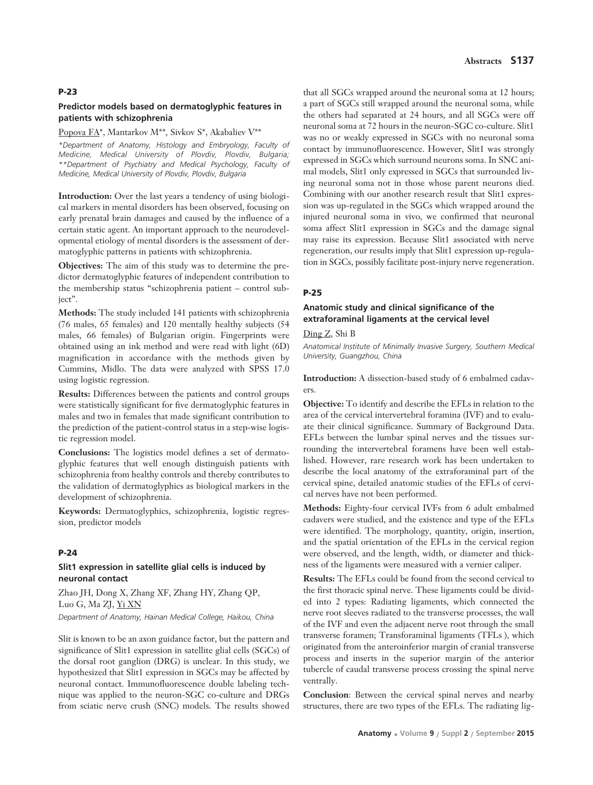#### **P-23**

#### **Predictor models based on dermatoglyphic features in patients with schizophrenia**

## Popova FA\*, Mantarkov M\*\*, Sivkov S\*, Akabaliev V\*\*

*\*Department of Anatomy, Histology and Embryology, Faculty of Medicine, Medical University of Plovdiv, Plovdiv, Bulgaria; \*\*Department of Psychiatry and Medical Psychology, Faculty of Medicine, Medical University of Plovdiv, Plovdiv, Bulgaria* 

**Introduction:** Over the last years a tendency of using biological markers in mental disorders has been observed, focusing on early prenatal brain damages and caused by the influence of a certain static agent. An important approach to the neurodevelopmental etiology of mental disorders is the assessment of dermatoglyphic patterns in patients with schizophrenia.

**Objectives:** The aim of this study was to determine the predictor dermatoglyphic features of independent contribution to the membership status "schizophrenia patient – control subject".

**Methods:** The study included 141 patients with schizophrenia (76 males, 65 females) and 120 mentally healthy subjects (54 males, 66 females) of Bulgarian origin. Fingerprints were obtained using an ink method and were read with light (6D) magnification in accordance with the methods given by Cummins, Midlo. The data were analyzed with SPSS 17.0 using logistic regression.

**Results:** Differences between the patients and control groups were statistically significant for five dermatoglyphic features in males and two in females that made significant contribution to the prediction of the patient-control status in a step-wise logistic regression model.

**Conclusions:** The logistics model defines a set of dermatoglyphic features that well enough distinguish patients with schizophrenia from healthy controls and thereby contributes to the validation of dermatoglyphics as biological markers in the development of schizophrenia.

**Keywords:** Dermatoglyphics, schizophrenia, logistic regression, predictor models

#### **P-24**

### **Slit1 expression in satellite glial cells is induced by neuronal contact**

Zhao JH, Dong X, Zhang XF, Zhang HY, Zhang QP, Luo G, Ma ZJ, Yi XN *Department of Anatomy, Hainan Medical College, Haikou, China* 

Slit is known to be an axon guidance factor, but the pattern and significance of Slit1 expression in satellite glial cells (SGCs) of the dorsal root ganglion (DRG) is unclear. In this study, we hypothesized that Slit1 expression in SGCs may be affected by neuronal contact. Immunofluorescence double labeling technique was applied to the neuron-SGC co-culture and DRGs from sciatic nerve crush (SNC) models. The results showed

that all SGCs wrapped around the neuronal soma at 12 hours; a part of SGCs still wrapped around the neuronal soma, while the others had separated at 24 hours, and all SGCs were off neuronal soma at 72 hours in the neuron-SGC co-culture. Slit1 was no or weakly expressed in SGCs with no neuronal soma contact by immunofluorescence. However, Slit1 was strongly expressed in SGCs which surround neurons soma. In SNC animal models, Slit1 only expressed in SGCs that surrounded living neuronal soma not in those whose parent neurons died. Combining with our another research result that Slit1 expression was up-regulated in the SGCs which wrapped around the injured neuronal soma in vivo, we confirmed that neuronal soma affect Slit1 expression in SGCs and the damage signal may raise its expression. Because Slit1 associated with nerve regeneration, our results imply that Slit1 expression up-regulation in SGCs, possibly facilitate post-injury nerve regeneration.

#### **P-25**

### **Anatomic study and clinical significance of the extraforaminal ligaments at the cervical level**

Ding Z, Shi B

*Anatomical Institute of Minimally Invasive Surgery, Southern Medical University, Guangzhou, China* 

**Introduction:** A dissection-based study of 6 embalmed cadavers.

**Objective:** To identify and describe the EFLs in relation to the area of the cervical intervertebral foramina (IVF) and to evaluate their clinical significance. Summary of Background Data. EFLs between the lumbar spinal nerves and the tissues surrounding the intervertebral foramens have been well established. However, rare research work has been undertaken to describe the local anatomy of the extraforaminal part of the cervical spine, detailed anatomic studies of the EFLs of cervical nerves have not been performed.

**Methods:** Eighty-four cervical IVFs from 6 adult embalmed cadavers were studied, and the existence and type of the EFLs were identified. The morphology, quantity, origin, insertion, and the spatial orientation of the EFLs in the cervical region were observed, and the length, width, or diameter and thickness of the ligaments were measured with a vernier caliper.

**Results:** The EFLs could be found from the second cervical to the first thoracic spinal nerve. These ligaments could be divided into 2 types: Radiating ligaments, which connected the nerve root sleeves radiated to the transverse processes, the wall of the IVF and even the adjacent nerve root through the small transverse foramen; Transforaminal ligaments (TFLs ), which originated from the anteroinferior margin of cranial transverse process and inserts in the superior margin of the anterior tubercle of caudal transverse process crossing the spinal nerve ventrally.

**Conclusion**: Between the cervical spinal nerves and nearby structures, there are two types of the EFLs. The radiating lig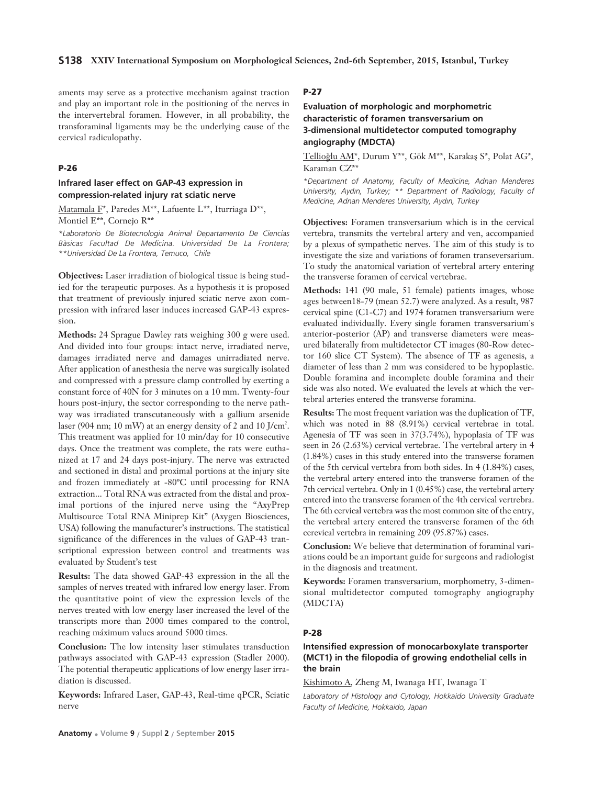aments may serve as a protective mechanism against traction and play an important role in the positioning of the nerves in the intervertebral foramen. However, in all probability, the transforaminal ligaments may be the underlying cause of the cervical radiculopathy.

#### **P-26**

### **Infrared laser effect on GAP-43 expression in compression-related injury rat sciatic nerve**

Matamala F\*, Paredes M\*\*, Lafuente L\*\*, Iturriaga D\*\*, Montiel E\*\*, Cornejo R\*\*

*\*Laboratorio De Biotecnologia Animal Departamento De Ciencias Bàsicas Facultad De Medicina. Universidad De La Frontera; \*\*Universidad De La Frontera, Temuco, Chile* 

**Objectives:** Laser irradiation of biological tissue is being studied for the terapeutic purposes. As a hypothesis it is proposed that treatment of previously injured sciatic nerve axon compression with infrared laser induces increased GAP-43 expression.

**Methods:** 24 Sprague Dawley rats weighing 300 g were used. And divided into four groups: intact nerve, irradiated nerve, damages irradiated nerve and damages unirradiated nerve. After application of anesthesia the nerve was surgically isolated and compressed with a pressure clamp controlled by exerting a constant force of 40N for 3 minutes on a 10 mm. Twenty-four hours post-injury, the sector corresponding to the nerve pathway was irradiated transcutaneously with a gallium arsenide laser (904 nm; 10 mW) at an energy density of 2 and 10 J/cm<sup>2</sup>. This treatment was applied for 10 min/day for 10 consecutive days. Once the treatment was complete, the rats were euthanized at 17 and 24 days post-injury. The nerve was extracted and sectioned in distal and proximal portions at the injury site and frozen immediately at -80ºC until processing for RNA extraction... Total RNA was extracted from the distal and proximal portions of the injured nerve using the "AxyPrep Multisource Total RNA Miniprep Kit" (Axygen Biosciences, USA) following the manufacturer's instructions. The statistical significance of the differences in the values of GAP-43 transcriptional expression between control and treatments was evaluated by Student's test

**Results:** The data showed GAP-43 expression in the all the samples of nerves treated with infrared low energy laser. From the quantitative point of view the expression levels of the nerves treated with low energy laser increased the level of the transcripts more than 2000 times compared to the control, reaching máximum values around 5000 times.

**Conclusion:** The low intensity laser stimulates transduction pathways associated with GAP-43 expression (Stadler 2000). The potential therapeutic applications of low energy laser irradiation is discussed.

**Keywords:** Infrared Laser, GAP-43, Real-time qPCR, Sciatic nerve

**Anatomy • Volume 9 / Suppl 2 / September 2015**

#### **P-27**

### **Evaluation of morphologic and morphometric characteristic of foramen transversarium on 3-dimensional multidetector computed tomography angiography (MDCTA)**

Tellioğlu AM\*, Durum Y\*\*, Gök M\*\*, Karakaş S\*, Polat AG\*, Karaman CZ\*\*

*\*Department of Anatomy, Faculty of Medicine, Adnan Menderes University, Ayd›n, Turkey; \*\* Department of Radiology, Faculty of Medicine, Adnan Menderes University, Ayd›n, Turkey*

**Objectives:** Foramen transversarium which is in the cervical vertebra, transmits the vertebral artery and ven, accompanied by a plexus of sympathetic nerves. The aim of this study is to investigate the size and variations of foramen transeversarium. To study the anatomical variation of vertebral artery entering the transverse foramen of cervical vertebrae.

**Methods:** 141 (90 male, 51 female) patients images, whose ages between18-79 (mean 52.7) were analyzed. As a result, 987 cervical spine (C1-C7) and 1974 foramen transversarium were evaluated individually. Every single foramen transversarium's anterior-posterior (AP) and transverse diameters were measured bilaterally from multidetector CT images (80-Row detector 160 slice CT System). The absence of TF as agenesis, a diameter of less than 2 mm was considered to be hypoplastic. Double foramina and incomplete double foramina and their side was also noted. We evaluated the levels at which the vertebral arteries entered the transverse foramina.

**Results:** The most frequent variation was the duplication of TF, which was noted in 88 (8.91%) cervical vertebrae in total. Agenesia of TF was seen in 37(3.74%), hypoplasia of TF was seen in 26 (2.63%) cervical vertebrae. The vertebral artery in 4 (1.84%) cases in this study entered into the transverse foramen of the 5th cervical vertebra from both sides. In 4 (1.84%) cases, the vertebral artery entered into the transverse foramen of the 7th cervical vertebra. Only in 1 (0.45%) case, the vertebral artery entered into the transverse foramen of the 4th cervical vertrebra. The 6th cervical vertebra was the most common site of the entry, the vertebral artery entered the transverse foramen of the 6th cerevical vertebra in remaining 209 (95.87%) cases.

**Conclusion:** We believe that determination of foraminal variations could be an important guide for surgeons and radiologist in the diagnosis and treatment.

**Keywords:** Foramen transversarium, morphometry, 3-dimensional multidetector computed tomography angiography (MDCTA)

#### **P-28**

### **Intensified expression of monocarboxylate transporter (MCT1) in the filopodia of growing endothelial cells in the brain**

Kishimoto A, Zheng M, Iwanaga HT, Iwanaga T

*Laboratory of Histology and Cytology, Hokkaido University Graduate Faculty of Medicine, Hokkaido, Japan*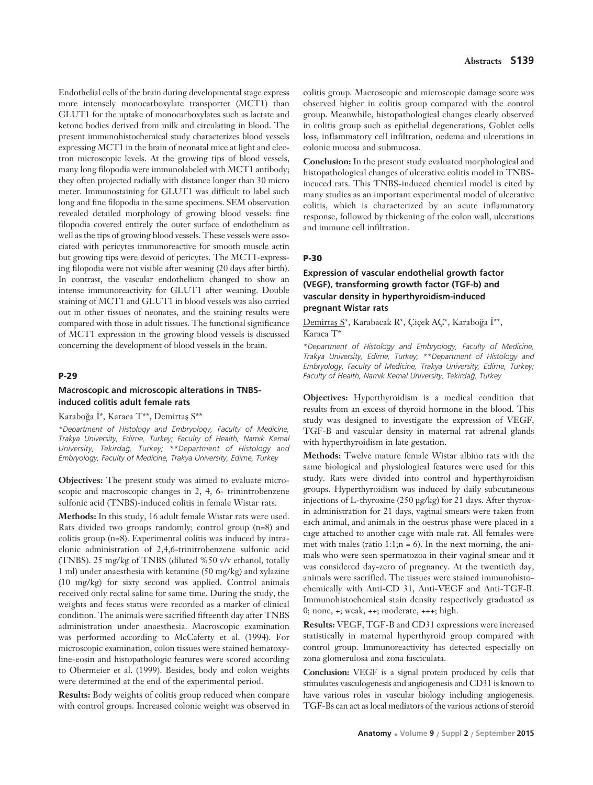Endothelial cells of the brain during developmental stage express more intensely monocarboxylate transporter (MCT1) than GLUT1 for the uptake of monocarboxylates such as lactate and ketone bodies derived from milk and circulating in blood. The present immunohistochemical study characterizes blood vessels expressing MCT1 in the brain of neonatal mice at light and electron microscopic levels. At the growing tips of blood vessels, many long filopodia were immunolabeled with MCT1 antibody; they often projected radially with distance longer than 30 micro meter. Immunostaining for GLUT1 was difficult to label such long and fine filopodia in the same specimens. SEM observation revealed detailed morphology of growing blood vessels: fine filopodia covered entirely the outer surface of endothelium as well as the tips of growing blood vessels. These vessels were associated with pericytes immunoreactive for smooth muscle actin but growing tips were devoid of pericytes. The MCT1-expressing filopodia were not visible after weaning (20 days after birth). In contrast, the vascular endothelium changed to show an intense immunoreactivity for GLUT1 after weaning. Double staining of MCT1 and GLUT1 in blood vessels was also carried out in other tissues of neonates, and the staining results were compared with those in adult tissues. The functional significance of MCT1 expression in the growing blood vessels is discussed concerning the development of blood vessels in the brain.

### **P-29**

#### **Macroscopic and microscopic alterations in TNBSinduced colitis adult female rats**

### Karaboğa İ\*, Karaca T\*\*, Demirtas S\*\*

*\*Department of Histology and Embryology, Faculty of Medicine, Trakya University, Edirne, Turkey; Faculty of Health, Nam›k Kemal University, Tekirda¤, Turkey; \*\*Department of Histology and Embryology, Faculty of Medicine, Trakya University, Edirne, Turkey* 

**Objectives:** The present study was aimed to evaluate microscopic and macroscopic changes in 2, 4, 6- trinintrobenzene sulfonic acid (TNBS)-induced colitis in female Wistar rats.

**Methods:** In this study, 16 adult female Wistar rats were used. Rats divided two groups randomly; control group (n=8) and colitis group (n=8). Experimental colitis was induced by intraclonic administration of 2,4,6-trinitrobenzene sulfonic acid (TNBS). 25 mg/kg of TNBS (diluted %50 v/v ethanol, totally 1 ml) under anaesthesia with ketamine (50 mg/kg) and xylazine (10 mg/kg) for sixty second was applied. Control animals received only rectal saline for same time. During the study, the weights and feces status were recorded as a marker of clinical condition. The animals were sacrified fifteenth day after TNBS administration under anaesthesia. Macroscopic examination was performed according to McCaferty et al. (1994). For microscopic examination, colon tissues were stained hematoxyline-eosin and histopathologic features were scored according to Obermeier et al. (1999). Besides, body and colon weights were determined at the end of the experimental period.

**Results:** Body weights of colitis group reduced when compare with control groups. Increased colonic weight was observed in

colitis group. Macroscopic and microscopic damage score was observed higher in colitis group compared with the control group. Meanwhile, histopathological changes clearly observed in colitis group such as epithelial degenerations, Goblet cells loss, inflammatory cell infiltration, oedema and ulcerations in colonic mucosa and submucosa.

**Conclusion:** In the present study evaluated morphological and histopathological changes of ulcerative colitis model in TNBSincuced rats. This TNBS-induced chemical model is cited by many studies as an important experimental model of ulcerative colitis, which is characterized by an acute inflammatory response, followed by thickening of the colon wall, ulcerations and immune cell infiltration.

#### **P-30**

### **Expression of vascular endothelial growth factor (VEGF), transforming growth factor (TGF-b) and vascular density in hyperthyroidism-induced pregnant Wistar rats**

Demirtas S\*, Karabacak R\*, Çiçek AÇ\*, Karaboğa İ\*\*, Karaca T\*

*\*Department of Histology and Embryology, Faculty of Medicine, Trakya University, Edirne, Turkey; \*\*Department of Histology and Embryology, Faculty of Medicine, Trakya University, Edirne, Turkey;* Faculty of Health, Namik Kemal University, Tekirdağ, Turkey

**Objectives:** Hyperthyroidism is a medical condition that results from an excess of thyroid hormone in the blood. This study was designed to investigate the expression of VEGF, TGF-B and vascular density in maternal rat adrenal glands with hyperthyroidism in late gestation.

**Methods:** Twelve mature female Wistar albino rats with the same biological and physiological features were used for this study. Rats were divided into control and hyperthyroidism groups. Hyperthyroidism was induced by daily subcutaneous injections of L-thyroxine (250 μg/kg) for 21 days. After thyroxin administration for 21 days, vaginal smears were taken from each animal, and animals in the oestrus phase were placed in a cage attached to another cage with male rat. All females were met with males (ratio 1:1;n = 6). In the next morning, the animals who were seen spermatozoa in their vaginal smear and it was considered day-zero of pregnancy. At the twentieth day, animals were sacrified. The tissues were stained immunohistochemically with Anti-CD 31, Anti-VEGF and Anti-TGF-B. Immunohistochemical stain density respectively graduated as 0; none, +; weak, ++; moderate, +++; high.

**Results:** VEGF, TGF-B and CD31 expressions were increased statistically in maternal hyperthyroid group compared with control group. Immunoreactivity has detected especially on zona glomerulosa and zona fasciculata.

**Conclusion:** VEGF is a signal protein produced by cells that stimulates vasculogenesis and angiogenesis and CD31 is known to have various roles in vascular biology including angiogenesis. TGF-Bs can act as local mediators of the various actions of steroid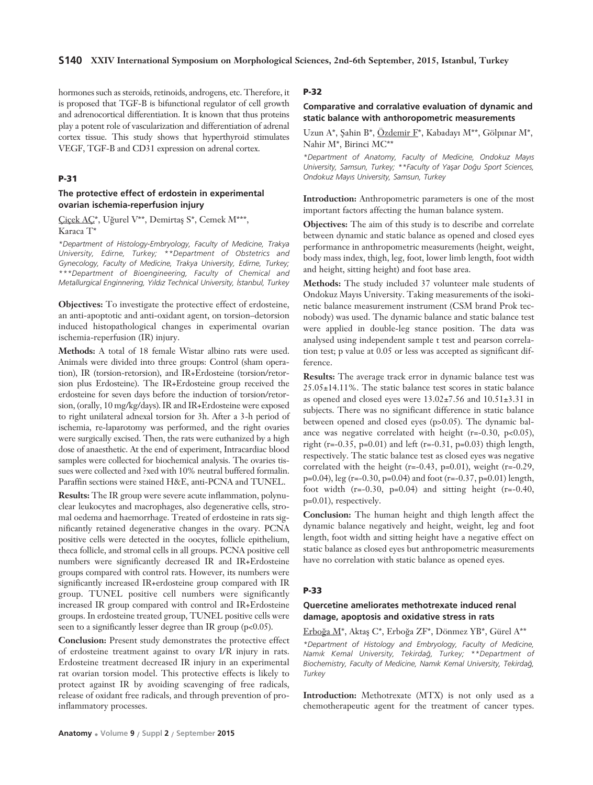hormones such as steroids, retinoids, androgens, etc. Therefore, it is proposed that TGF-B is bifunctional regulator of cell growth and adrenocortical differentiation. It is known that thus proteins play a potent role of vascularization and differentiation of adrenal cortex tissue. This study shows that hyperthyroid stimulates VEGF, TGF-B and CD31 expression on adrenal cortex.

### **P-31**

### **The protective effect of erdostein in experimental ovarian ischemia-reperfusion injury**

Çiçek AÇ\*, Uğurel V\*\*, Demirtaş S\*, Cemek M\*\*\*, Karaca T\*

*\*Department of Histology-Embryology, Faculty of Medicine, Trakya University, Edirne, Turkey; \*\*Department of Obstetrics and Gynecology, Faculty of Medicine, Trakya University, Edirne, Turkey; \*\*\*Department of Bioengineering, Faculty of Chemical and Metallurgical Enginnering, Y›ld›z Technical University, ‹stanbul, Turkey* 

**Objectives:** To investigate the protective effect of erdosteine, an anti-apoptotic and anti-oxidant agent, on torsion–detorsion induced histopathological changes in experimental ovarian ischemia-reperfusion (IR) injury.

**Methods:** A total of 18 female Wistar albino rats were used. Animals were divided into three groups: Control (sham operation), IR (torsion-retorsion), and IR+Erdosteine (torsion/retorsion plus Erdosteine). The IR+Erdosteine group received the erdosteine for seven days before the induction of torsion/retorsion, (orally, 10 mg/kg/days). IR and IR+Erdosteine were exposed to right unilateral adnexal torsion for 3h. After a 3-h period of ischemia, re-laparotomy was performed, and the right ovaries were surgically excised. Then, the rats were euthanized by a high dose of anaesthetic. At the end of experiment, Intracardiac blood samples were collected for biochemical analysis. The ovaries tissues were collected and ?xed with 10% neutral buffered formalin. Paraffin sections were stained H&E, anti-PCNA and TUNEL.

**Results:** The IR group were severe acute inflammation, polynuclear leukocytes and macrophages, also degenerative cells, stromal oedema and haemorrhage. Treated of erdosteine in rats significantly retained degenerative changes in the ovary. PCNA positive cells were detected in the oocytes, follicle epithelium, theca follicle, and stromal cells in all groups. PCNA positive cell numbers were significantly decreased IR and IR+Erdosteine groups compared with control rats. However, its numbers were significantly increased IR+erdosteine group compared with IR group. TUNEL positive cell numbers were significantly increased IR group compared with control and IR+Erdosteine groups. In erdosteine treated group, TUNEL positive cells were seen to a significantly lesser degree than IR group (p<0.05).

**Conclusion:** Present study demonstrates the protective effect of erdosteine treatment against to ovary I/R injury in rats. Erdosteine treatment decreased IR injury in an experimental rat ovarian torsion model. This protective effects is likely to protect against IR by avoiding scavenging of free radicals, release of oxidant free radicals, and through prevention of proinflammatory processes.

### **P-32**

#### **Comparative and corralative evaluation of dynamic and static balance with anthoropometric measurements**

Uzun A\*, Şahin B\*, Özdemir F\*, Kabadayı M\*\*, Gölpınar M\*, Nahir M\*, Birinci MC\*\*

*\*Department of Anatomy, Faculty of Medicine, Ondokuz May›s University, Samsun, Turkey; \*\*Faculty of Yaflar Do¤u Sport Sciences, Ondokuz May›s University, Samsun, Turkey*

**Introduction:** Anthropometric parameters is one of the most important factors affecting the human balance system.

**Objectives:** The aim of this study is to describe and correlate between dynamic and static balance as opened and closed eyes performance in anthropometric measurements (height, weight, body mass index, thigh, leg, foot, lower limb length, foot width and height, sitting height) and foot base area.

**Methods:** The study included 37 volunteer male students of Ondokuz Mayıs University. Taking measurements of the isokinetic balance measurement instrument (CSM brand Prok tecnobody) was used. The dynamic balance and static balance test were applied in double-leg stance position. The data was analysed using independent sample t test and pearson correlation test; p value at 0.05 or less was accepted as significant difference.

**Results:** The average track error in dynamic balance test was 25.05±14.11%. The static balance test scores in static balance as opened and closed eyes were 13.02±7.56 and 10.51±3.31 in subjects. There was no significant difference in static balance between opened and closed eyes (p>0.05). The dynamic balance was negative correlated with height  $(r=-0.30, p<0.05)$ , right (r=-0.35, p=0.01) and left (r=-0.31, p=0.03) thigh length, respectively. The static balance test as closed eyes was negative correlated with the height  $(r=-0.43, p=0.01)$ , weight  $(r=-0.29, p=0.01)$ p=0.04), leg (r=-0.30, p=0.04) and foot (r=-0.37, p=0.01) length, foot width  $(r=-0.30, p=0.04)$  and sitting height  $(r=-0.40,$ p=0.01), respectively.

**Conclusion:** The human height and thigh length affect the dynamic balance negatively and height, weight, leg and foot length, foot width and sitting height have a negative effect on static balance as closed eyes but anthropometric measurements have no correlation with static balance as opened eyes.

#### **P-33**

### **Quercetine ameliorates methotrexate induced renal damage, apoptosis and oxidative stress in rats**

Erboğa M\*, Aktaş C\*, Erboğa ZF\*, Dönmez YB\*, Gürel A\*\*

*\*Department of Histology and Embryology, Faculty of Medicine, Nam›k Kemal University, Tekirda¤, Turkey; \*\*Department of* Biochemistry, Faculty of Medicine, Namik Kemal University, Tekirdağ, *Turkey*

**Introduction:** Methotrexate (MTX) is not only used as a chemotherapeutic agent for the treatment of cancer types.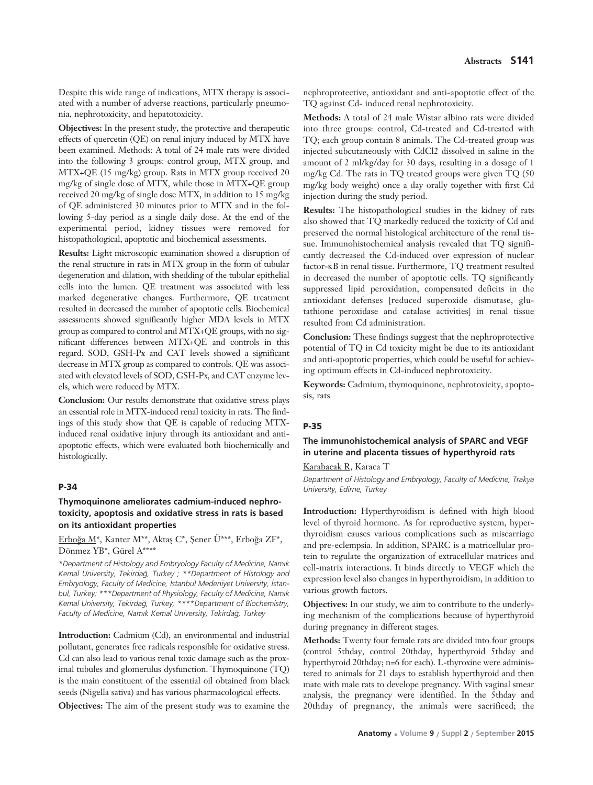Despite this wide range of indications, MTX therapy is associated with a number of adverse reactions, particularly pneumonia, nephrotoxicity, and hepatotoxicity.

**Objectives:** In the present study, the protective and therapeutic effects of quercetin (QE) on renal injury induced by MTX have been examined. Methods: A total of 24 male rats were divided into the following 3 groups: control group, MTX group, and MTX+QE (15 mg/kg) group. Rats in MTX group received 20 mg/kg of single dose of MTX, while those in MTX+QE group received 20 mg/kg of single dose MTX, in addition to 15 mg/kg of QE administered 30 minutes prior to MTX and in the following 5-day period as a single daily dose. At the end of the experimental period, kidney tissues were removed for histopathological, apoptotic and biochemical assessments.

**Results:** Light microscopic examination showed a disruption of the renal structure in rats in MTX group in the form of tubular degeneration and dilation, with shedding of the tubular epithelial cells into the lumen. QE treatment was associated with less marked degenerative changes. Furthermore, QE treatment resulted in decreased the number of apoptotic cells. Biochemical assessments showed significantly higher MDA levels in MTX group as compared to control and MTX+QE groups, with no significant differences between MTX+QE and controls in this regard. SOD, GSH-Px and CAT levels showed a significant decrease in MTX group as compared to controls. QE was associated with elevated levels of SOD, GSH-Px, and CAT enzyme levels, which were reduced by MTX.

**Conclusion:** Our results demonstrate that oxidative stress plays an essential role in MTX-induced renal toxicity in rats. The findings of this study show that QE is capable of reducing MTXinduced renal oxidative injury through its antioxidant and antiapoptotic effects, which were evaluated both biochemically and histologically.

### **P-34**

### **Thymoquinone ameliorates cadmium-induced nephrotoxicity, apoptosis and oxidative stress in rats is based on its antioxidant properties**

Erboğa M<sup>\*</sup>, Kanter M<sup>\*\*</sup>, Aktaş C<sup>\*</sup>, Şener Ü\*\*\*, Erboğa ZF<sup>\*</sup>, Dönmez YB\*, Gürel A\*\*\*\*

*\*Department of Histology and Embryology Faculty of Medicine, Nam›k Kemal University, Tekirda¤, Turkey ; \*\*Department of Histology and* Embryology, Faculty of Medicine, *İstanbul Medeniyet University*, İstan*bul, Turkey; \*\*\*Department of Physiology, Faculty of Medicine, Nam›k Kemal University, Tekirda¤, Turkey; \*\*\*\*Department of Biochemistry, Faculty of Medicine, Nam›k Kemal University, Tekirda¤, Turkey*

**Introduction:** Cadmium (Cd), an environmental and industrial pollutant, generates free radicals responsible for oxidative stress. Cd can also lead to various renal toxic damage such as the proximal tubules and glomerulus dysfunction. Thymoquinone (TQ) is the main constituent of the essential oil obtained from black seeds (Nigella sativa) and has various pharmacological effects.

**Objectives:** The aim of the present study was to examine the

nephroprotective, antioxidant and anti-apoptotic effect of the TQ against Cd- induced renal nephrotoxicity.

**Methods:** A total of 24 male Wistar albino rats were divided into three groups: control, Cd-treated and Cd-treated with TQ; each group contain 8 animals. The Cd-treated group was injected subcutaneously with CdCl2 dissolved in saline in the amount of 2 ml/kg/day for 30 days, resulting in a dosage of 1 mg/kg Cd. The rats in TQ treated groups were given TQ (50 mg/kg body weight) once a day orally together with first Cd injection during the study period.

**Results:** The histopathological studies in the kidney of rats also showed that TQ markedly reduced the toxicity of Cd and preserved the normal histological architecture of the renal tissue. Immunohistochemical analysis revealed that TQ significantly decreased the Cd-induced over expression of nuclear factor-κB in renal tissue. Furthermore, TQ treatment resulted in decreased the number of apoptotic cells. TQ significantly suppressed lipid peroxidation, compensated deficits in the antioxidant defenses [reduced superoxide dismutase, glutathione peroxidase and catalase activities] in renal tissue resulted from Cd administration.

**Conclusion:** These findings suggest that the nephroprotective potential of TQ in Cd toxicity might be due to its antioxidant and anti-apoptotic properties, which could be useful for achieving optimum effects in Cd-induced nephrotoxicity.

**Keywords:** Cadmium, thymoquinone, nephrotoxicity, apoptosis, rats

#### **P-35**

### **The immunohistochemical analysis of SPARC and VEGF in uterine and placenta tissues of hyperthyroid rats**

Karabacak R, Karaca T

*Department of Histology and Embryology, Faculty of Medicine, Trakya University, Edirne, Turkey*

**Introduction:** Hyperthyroidism is defined with high blood level of thyroid hormone. As for reproductive system, hyperthyroidism causes various complications such as miscarriage and pre-eclempsia. In addition, SPARC is a matricellular protein to regulate the organization of extracellular matrices and cell-matrix interactions. It binds directly to VEGF which the expression level also changes in hyperthyroidism, in addition to various growth factors.

**Objectives:** In our study, we aim to contribute to the underlying mechanism of the complications because of hyperthyroid during pregnancy in different stages.

**Methods:** Twenty four female rats are divided into four groups (control 5thday, control 20thday, hyperthyroid 5thday and hyperthyroid 20thday; n=6 for each). L-thyroxine were administered to animals for 21 days to establish hyperthyroid and then mate with male rats to develope pregnancy. With vaginal smear analysis, the pregnancy were identified. In the 5thday and 20thday of pregnancy, the animals were sacrificed; the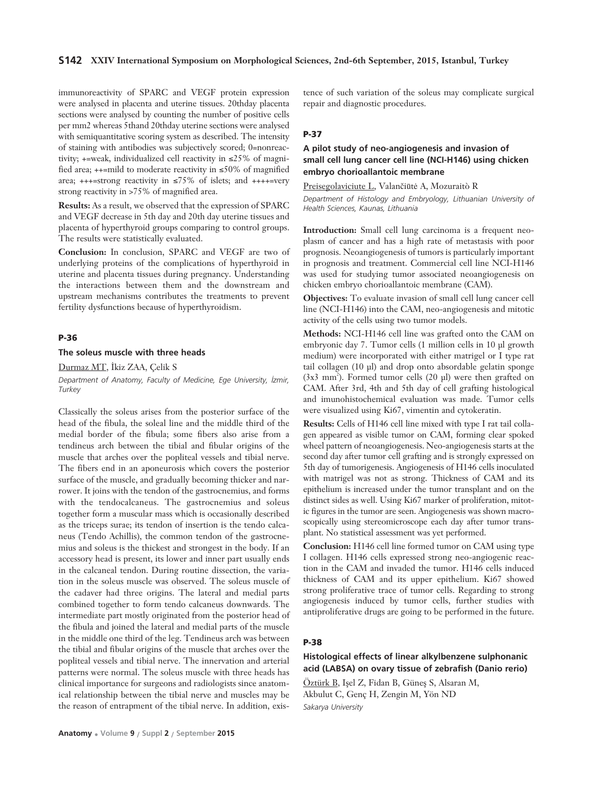immunoreactivity of SPARC and VEGF protein expression were analysed in placenta and uterine tissues. 20thday placenta sections were analysed by counting the number of positive cells per mm2 whereas 5thand 20thday uterine sections were analysed with semiquantitative scoring system as described. The intensity of staining with antibodies was subjectively scored; 0=nonreactivity; +=weak, individualized cell reactivity in ≤25% of magnified area; ++=mild to moderate reactivity in ≤50% of magnified area;  $+++$ =strong reactivity in  $\leq$ 75% of islets; and  $+++$ =very strong reactivity in >75% of magnified area.

**Results:** As a result, we observed that the expression of SPARC and VEGF decrease in 5th day and 20th day uterine tissues and placenta of hyperthyroid groups comparing to control groups. The results were statistically evaluated.

**Conclusion:** In conclusion, SPARC and VEGF are two of underlying proteins of the complications of hyperthyroid in uterine and placenta tissues during pregnancy. Understanding the interactions between them and the downstream and upstream mechanisms contributes the treatments to prevent fertility dysfunctions because of hyperthyroidism.

#### **P-36**

#### **The soleus muscle with three heads**

Durmaz MT, İkiz ZAA, Çelik S *Department of Anatomy, Faculty of Medicine, Ege University, ‹zmir, Turkey*

Classically the soleus arises from the posterior surface of the head of the fibula, the soleal line and the middle third of the medial border of the fibula; some fibers also arise from a tendineus arch between the tibial and fibular origins of the muscle that arches over the popliteal vessels and tibial nerve. The fibers end in an aponeurosis which covers the posterior surface of the muscle, and gradually becoming thicker and narrower. It joins with the tendon of the gastrocnemius, and forms with the tendocalcaneus. The gastrocnemius and soleus together form a muscular mass which is occasionally described as the triceps surae; its tendon of insertion is the tendo calcaneus (Tendo Achillis), the common tendon of the gastrocnemius and soleus is the thickest and strongest in the body. If an accessory head is present, its lower and inner part usually ends in the calcaneal tendon. During routine dissection, the variation in the soleus muscle was observed. The soleus muscle of the cadaver had three origins. The lateral and medial parts combined together to form tendo calcaneus downwards. The intermediate part mostly originated from the posterior head of the fibula and joined the lateral and medial parts of the muscle in the middle one third of the leg. Tendineus arch was between the tibial and fibular origins of the muscle that arches over the popliteal vessels and tibial nerve. The innervation and arterial patterns were normal. The soleus muscle with three heads has clinical importance for surgeons and radiologists since anatomical relationship between the tibial nerve and muscles may be the reason of entrapment of the tibial nerve. In addition, exis-

tence of such variation of the soleus may complicate surgical repair and diagnostic procedures.

#### **P-37**

### **A pilot study of neo-angiogenesis and invasion of small cell lung cancer cell line (NCI-H146) using chicken embryo chorioallantoic membrane**

Preisegolaviciute L, Valančiūtė A, Mozuraitò R

*Department of Histology and Embryology, Lithuanian University of Health Sciences, Kaunas, Lithuania* 

**Introduction:** Small cell lung carcinoma is a frequent neoplasm of cancer and has a high rate of metastasis with poor prognosis. Neoangiogenesis of tumors is particularly important in prognosis and treatment. Commercial cell line NCI-H146 was used for studying tumor associated neoangiogenesis on chicken embryo chorioallantoic membrane (CAM).

**Objectives:** To evaluate invasion of small cell lung cancer cell line (NCI-H146) into the CAM, neo-angiogenesis and mitotic activity of the cells using two tumor models.

**Methods:** NCI-H146 cell line was grafted onto the CAM on embryonic day 7. Tumor cells (1 million cells in 10 μl growth medium) were incorporated with either matrigel or I type rat tail collagen (10 μl) and drop onto absordable gelatin sponge  $(3x3 mm<sup>2</sup>)$ . Formed tumor cells  $(20 \text{ pl})$  were then grafted on CAM. After 3rd, 4th and 5th day of cell grafting histological and imunohistochemical evaluation was made. Tumor cells were visualized using Ki67, vimentin and cytokeratin.

**Results:** Cells of H146 cell line mixed with type I rat tail collagen appeared as visible tumor on CAM, forming clear spoked wheel pattern of neoangiogenesis. Neo-angiogenesis starts at the second day after tumor cell grafting and is strongly expressed on 5th day of tumorigenesis. Angiogenesis of H146 cells inoculated with matrigel was not as strong. Thickness of CAM and its epithelium is increased under the tumor transplant and on the distinct sides as well. Using Ki67 marker of proliferation, mitotic figures in the tumor are seen. Angiogenesis was shown macroscopically using stereomicroscope each day after tumor transplant. No statistical assessment was yet performed.

**Conclusion:** H146 cell line formed tumor on CAM using type I collagen. H146 cells expressed strong neo-angiogenic reaction in the CAM and invaded the tumor. H146 cells induced thickness of CAM and its upper epithelium. Ki67 showed strong proliferative trace of tumor cells. Regarding to strong angiogenesis induced by tumor cells, further studies with antiproliferative drugs are going to be performed in the future.

#### **P-38**

**Histological effects of linear alkylbenzene sulphonanic acid (LABSA) on ovary tissue of zebrafish (Danio rerio)**

Öztürk B, Isel Z, Fidan B, Günes S, Alsaran M, Akbulut C, Genç H, Zengin M, Yön ND *Sakarya University*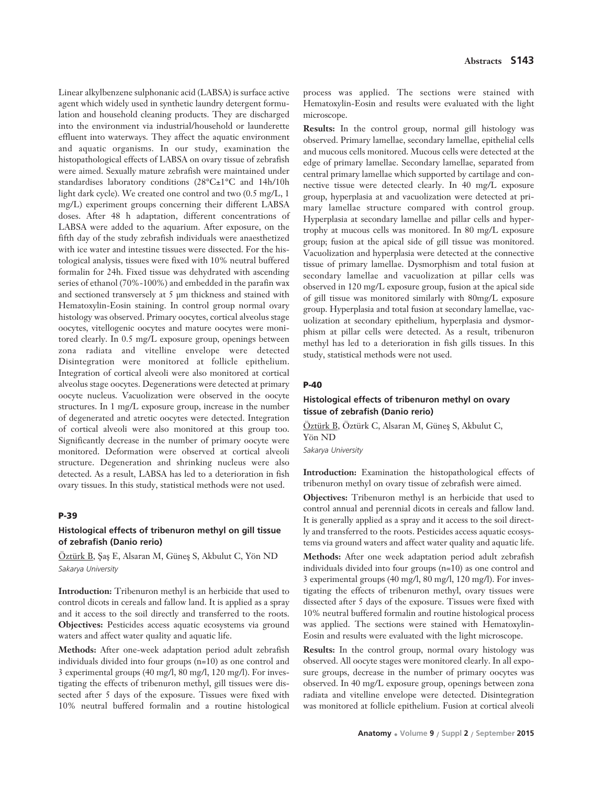Linear alkylbenzene sulphonanic acid (LABSA) is surface active agent which widely used in synthetic laundry detergent formulation and household cleaning products. They are discharged into the environment via industrial/household or launderette effluent into waterways. They affect the aquatic environment and aquatic organisms. In our study, examination the histopathological effects of LABSA on ovary tissue of zebrafish were aimed. Sexually mature zebrafish were maintained under standardises laboratory conditions (28°C±1°C and 14h/10h light dark cycle). We created one control and two (0.5 mg/L, 1 mg/L) experiment groups concerning their different LABSA doses. After 48 h adaptation, different concentrations of LABSA were added to the aquarium. After exposure, on the fifth day of the study zebrafish individuals were anaesthetized with ice water and intestine tissues were dissected. For the histological analysis, tissues were fixed with 10% neutral buffered formalin for 24h. Fixed tissue was dehydrated with ascending series of ethanol (70%-100%) and embedded in the parafin wax and sectioned transversely at 5 μm thickness and stained with Hematoxylin-Eosin staining. In control group normal ovary histology was observed. Primary oocytes, cortical alveolus stage oocytes, vitellogenic oocytes and mature oocytes were monitored clearly. In 0.5 mg/L exposure group, openings between zona radiata and vitelline envelope were detected Disintegration were monitored at follicle epithelium. Integration of cortical alveoli were also monitored at cortical alveolus stage oocytes. Degenerations were detected at primary oocyte nucleus. Vacuolization were observed in the oocyte structures. In 1 mg/L exposure group, increase in the number of degenerated and atretic oocytes were detected. Integration of cortical alveoli were also monitored at this group too. Significantly decrease in the number of primary oocyte were monitored. Deformation were observed at cortical alveoli structure. Degeneration and shrinking nucleus were also detected. As a result, LABSA has led to a deterioration in fish ovary tissues. In this study, statistical methods were not used.

#### **P-39**

### **Histological effects of tribenuron methyl on gill tissue of zebrafish (Danio rerio)**

Öztürk B, Saş E, Alsaran M, Güneş S, Akbulut C, Yön ND *Sakarya University*

**Introduction:** Tribenuron methyl is an herbicide that used to control dicots in cereals and fallow land. It is applied as a spray and it access to the soil directly and transferred to the roots. **Objectives:** Pesticides access aquatic ecosystems via ground waters and affect water quality and aquatic life.

**Methods:** After one-week adaptation period adult zebrafish individuals divided into four groups (n=10) as one control and 3 experimental groups (40 mg/l, 80 mg/l, 120 mg/l). For investigating the effects of tribenuron methyl, gill tissues were dissected after 5 days of the exposure. Tissues were fixed with 10% neutral buffered formalin and a routine histological process was applied. The sections were stained with Hematoxylin-Eosin and results were evaluated with the light microscope.

**Results:** In the control group, normal gill histology was observed. Primary lamellae, secondary lamellae, epithelial cells and mucous cells monitored. Mucous cells were detected at the edge of primary lamellae. Secondary lamellae, separated from central primary lamellae which supported by cartilage and connective tissue were detected clearly. In 40 mg/L exposure group, hyperplasia at and vacuolization were detected at primary lamellae structure compared with control group. Hyperplasia at secondary lamellae and pillar cells and hypertrophy at mucous cells was monitored. In 80 mg/L exposure group; fusion at the apical side of gill tissue was monitored. Vacuolization and hyperplasia were detected at the connective tissue of primary lamellae. Dysmorphism and total fusion at secondary lamellae and vacuolization at pillar cells was observed in 120 mg/L exposure group, fusion at the apical side of gill tissue was monitored similarly with 80mg/L exposure group. Hyperplasia and total fusion at secondary lamellae, vacuolization at secondary epithelium, hyperplasia and dysmorphism at pillar cells were detected. As a result, tribenuron methyl has led to a deterioration in fish gills tissues. In this study, statistical methods were not used.

#### **P-40**

### **Histological effects of tribenuron methyl on ovary tissue of zebrafish (Danio rerio)**

Öztürk B, Öztürk C, Alsaran M, Güneş S, Akbulut C, Yön ND

*Sakarya University* 

**Introduction:** Examination the histopathological effects of tribenuron methyl on ovary tissue of zebrafish were aimed.

**Objectives:** Tribenuron methyl is an herbicide that used to control annual and perennial dicots in cereals and fallow land. It is generally applied as a spray and it access to the soil directly and transferred to the roots. Pesticides access aquatic ecosystems via ground waters and affect water quality and aquatic life.

**Methods:** After one week adaptation period adult zebrafish individuals divided into four groups (n=10) as one control and 3 experimental groups (40 mg/l, 80 mg/l, 120 mg/l). For investigating the effects of tribenuron methyl, ovary tissues were dissected after 5 days of the exposure. Tissues were fixed with 10% neutral buffered formalin and routine histological process was applied. The sections were stained with Hematoxylin-Eosin and results were evaluated with the light microscope.

**Results:** In the control group, normal ovary histology was observed. All oocyte stages were monitored clearly. In all exposure groups, decrease in the number of primary oocytes was observed. In 40 mg/L exposure group, openings between zona radiata and vitelline envelope were detected. Disintegration was monitored at follicle epithelium. Fusion at cortical alveoli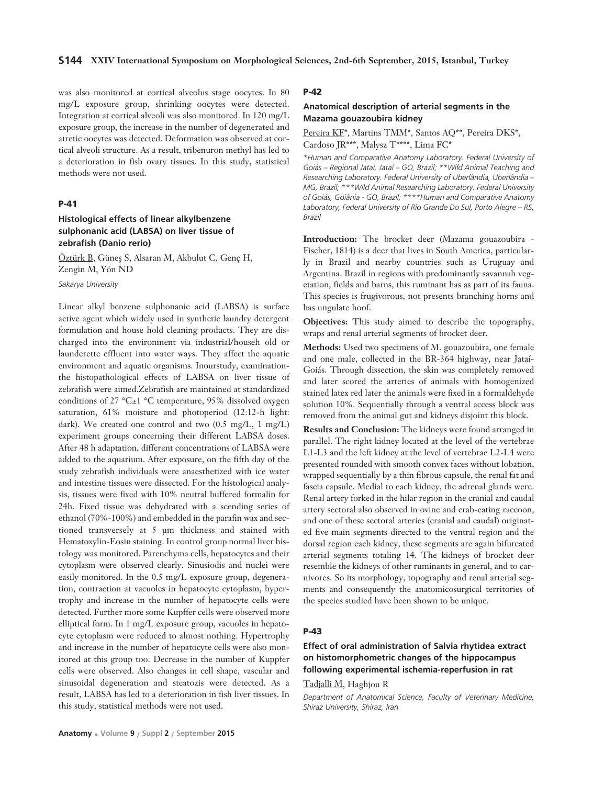was also monitored at cortical alveolus stage oocytes. In 80 mg/L exposure group, shrinking oocytes were detected. Integration at cortical alveoli was also monitored. In 120 mg/L exposure group, the increase in the number of degenerated and atretic oocytes was detected. Deformation was observed at cortical alveoli structure. As a result, tribenuron methyl has led to a deterioration in fish ovary tissues. In this study, statistical methods were not used.

### **P-41**

### **Histological effects of linear alkylbenzene sulphonanic acid (LABSA) on liver tissue of zebrafish (Danio rerio)**

Öztürk B, Güneş S, Alsaran M, Akbulut C, Genç H, Zengin M, Yön ND

*Sakarya University*

Linear alkyl benzene sulphonanic acid (LABSA) is surface active agent which widely used in synthetic laundry detergent formulation and house hold cleaning products. They are discharged into the environment via industrial/househ old or launderette effluent into water ways. They affect the aquatic environment and aquatic organisms. Inourstudy, examinationthe histopathological effects of LABSA on liver tissue of zebrafish were aimed.Zebrafish are maintained at standardized conditions of 27 °C±1 °C temperature, 95% dissolved oxygen saturation, 61% moisture and photoperiod (12:12-h light: dark). We created one control and two (0.5 mg/L, 1 mg/L) experiment groups concerning their different LABSA doses. After 48 h adaptation, different concentrations of LABSA were added to the aquarium. After exposure, on the fifth day of the study zebrafish individuals were anaesthetized with ice water and intestine tissues were dissected. For the histological analysis, tissues were fixed with 10% neutral buffered formalin for 24h. Fixed tissue was dehydrated with a scending series of ethanol (70%-100%) and embedded in the parafin wax and sectioned transversely at 5 μm thickness and stained with Hematoxylin-Eosin staining. In control group normal liver histology was monitored. Parenchyma cells, hepatocytes and their cytoplasm were observed clearly. Sinusiodis and nuclei were easily monitored. In the 0.5 mg/L exposure group, degeneration, contraction at vacuoles in hepatocyte cytoplasm, hypertrophy and increase in the number of hepatocyte cells were detected. Further more some Kupffer cells were observed more elliptical form. In 1 mg/L exposure group, vacuoles in hepatocyte cytoplasm were reduced to almost nothing. Hypertrophy and increase in the number of hepatocyte cells were also monitored at this group too. Decrease in the number of Kuppfer cells were observed. Also changes in cell shape, vascular and sinusoidal degeneration and steatozis were detected. As a result, LABSA has led to a deterioration in fish liver tissues. In this study, statistical methods were not used.

#### **P-42**

#### **Anatomical description of arterial segments in the Mazama gouazoubira kidney**

Pereira KF\*, Martins TMM\*, Santos AQ\*\*, Pereira DKS\*, Cardoso JR\*\*\*, Malysz T\*\*\*\*, Lima FC\*

*\*Human and Comparative Anatomy Laboratory. Federal University of Goiás – Regional Jataí, Jataí – GO, Brazil; \*\*Wild Animal Teaching and Researching Laboratory. Federal University of Uberlândia, Uberlândia – MG, Brazil; \*\*\*Wild Animal Researching Laboratory. Federal University of Goiás, Goiânia - GO, Brazil; \*\*\*\*Human and Comparative Anatomy Laboratory, Federal University of Rio Grande Do Sul, Porto Alegre – RS, Brazil*

**Introduction:** The brocket deer (Mazama gouazoubira - Fischer, 1814) is a deer that lives in South America, particularly in Brazil and nearby countries such as Uruguay and Argentina. Brazil in regions with predominantly savannah vegetation, fields and barns, this ruminant has as part of its fauna. This species is frugivorous, not presents branching horns and has ungulate hoof.

**Objectives:** This study aimed to describe the topography, wraps and renal arterial segments of brocket deer.

**Methods:** Used two specimens of M. gouazoubira, one female and one male, collected in the BR-364 highway, near Jataí-Goiás. Through dissection, the skin was completely removed and later scored the arteries of animals with homogenized stained latex red later the animals were fixed in a formaldehyde solution 10%. Sequentially through a ventral access block was removed from the animal gut and kidneys disjoint this block.

**Results and Conclusion:** The kidneys were found arranged in parallel. The right kidney located at the level of the vertebrae L1-L3 and the left kidney at the level of vertebrae L2-L4 were presented rounded with smooth convex faces without lobation, wrapped sequentially by a thin fibrous capsule, the renal fat and fascia capsule. Medial to each kidney, the adrenal glands were. Renal artery forked in the hilar region in the cranial and caudal artery sectoral also observed in ovine and crab-eating raccoon, and one of these sectoral arteries (cranial and caudal) originated five main segments directed to the ventral region and the dorsal region each kidney, these segments are again bifurcated arterial segments totaling 14. The kidneys of brocket deer resemble the kidneys of other ruminants in general, and to carnivores. So its morphology, topography and renal arterial segments and consequently the anatomicosurgical territories of the species studied have been shown to be unique.

### **P-43**

### **Effect of oral administration of Salvia rhytidea extract on histomorphometric changes of the hippocampus following experimental ischemia-reperfusion in rat**

### Tadjalli M, Haghjou R

*Department of Anatomical Science, Faculty of Veterinary Medicine, Shiraz University, Shiraz, Iran*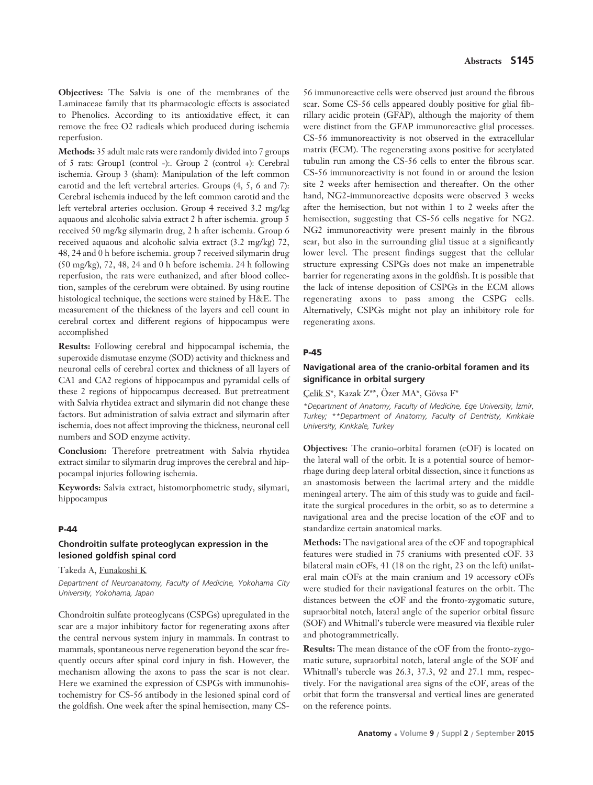**Objectives:** The Salvia is one of the membranes of the Laminaceae family that its pharmacologic effects is associated to Phenolics. According to its antioxidative effect, it can remove the free O2 radicals which produced during ischemia reperfusion.

**Methods:** 35 adult male rats were randomly divided into 7 groups of 5 rats: Group1 (control -):. Group 2 (control +): Cerebral ischemia. Group 3 (sham): Manipulation of the left common carotid and the left vertebral arteries. Groups (4, 5, 6 and 7): Cerebral ischemia induced by the left common carotid and the left vertebral arteries occlusion. Group 4 received 3.2 mg/kg aquaous and alcoholic salvia extract 2 h after ischemia. group 5 received 50 mg/kg silymarin drug, 2 h after ischemia. Group 6 received aquaous and alcoholic salvia extract (3.2 mg/kg) 72, 48, 24 and 0 h before ischemia. group 7 received silymarin drug (50 mg/kg), 72, 48, 24 and 0 h before ischemia. 24 h following reperfusion, the rats were euthanized, and after blood collection, samples of the cerebrum were obtained. By using routine histological technique, the sections were stained by H&E. The measurement of the thickness of the layers and cell count in cerebral cortex and different regions of hippocampus were accomplished

**Results:** Following cerebral and hippocampal ischemia, the superoxide dismutase enzyme (SOD) activity and thickness and neuronal cells of cerebral cortex and thickness of all layers of CA1 and CA2 regions of hippocampus and pyramidal cells of these 2 regions of hippocampus decreased. But pretreatment with Salvia rhytidea extract and silymarin did not change these factors. But administration of salvia extract and silymarin after ischemia, does not affect improving the thickness, neuronal cell numbers and SOD enzyme activity.

**Conclusion:** Therefore pretreatment with Salvia rhytidea extract similar to silymarin drug improves the cerebral and hippocampal injuries following ischemia.

**Keywords:** Salvia extract, histomorphometric study, silymari, hippocampus

#### **P-44**

### **Chondroitin sulfate proteoglycan expression in the lesioned goldfish spinal cord**

#### Takeda A, Funakoshi K

*Department of Neuroanatomy, Faculty of Medicine, Yokohama City University, Yokohama, Japan*

Chondroitin sulfate proteoglycans (CSPGs) upregulated in the scar are a major inhibitory factor for regenerating axons after the central nervous system injury in mammals. In contrast to mammals, spontaneous nerve regeneration beyond the scar frequently occurs after spinal cord injury in fish. However, the mechanism allowing the axons to pass the scar is not clear. Here we examined the expression of CSPGs with immunohistochemistry for CS-56 antibody in the lesioned spinal cord of the goldfish. One week after the spinal hemisection, many CS-

56 immunoreactive cells were observed just around the fibrous scar. Some CS-56 cells appeared doubly positive for glial fibrillary acidic protein (GFAP), although the majority of them were distinct from the GFAP immunoreactive glial processes. CS-56 immunoreactivity is not observed in the extracellular matrix (ECM). The regenerating axons positive for acetylated tubulin run among the CS-56 cells to enter the fibrous scar. CS-56 immunoreactivity is not found in or around the lesion site 2 weeks after hemisection and thereafter. On the other hand, NG2-immunoreactive deposits were observed 3 weeks after the hemisection, but not within 1 to 2 weeks after the hemisection, suggesting that CS-56 cells negative for NG2. NG2 immunoreactivity were present mainly in the fibrous scar, but also in the surrounding glial tissue at a significantly lower level. The present findings suggest that the cellular structure expressing CSPGs does not make an impenetrable barrier for regenerating axons in the goldfish. It is possible that the lack of intense deposition of CSPGs in the ECM allows regenerating axons to pass among the CSPG cells. Alternatively, CSPGs might not play an inhibitory role for regenerating axons.

#### **P-45**

### **Navigational area of the cranio-orbital foramen and its significance in orbital surgery**

Çelik S\*, Kazak Z\*\*, Özer MA\*, Gövsa F\*

*\*Department of Anatomy, Faculty of Medicine, Ege University, ‹zmir, Turkey; \*\*Department of Anatomy, Faculty of Dentristy, K›r›kkale University, K›r›kkale, Turkey* 

**Objectives:** The cranio-orbital foramen (cOF) is located on the lateral wall of the orbit. It is a potential source of hemorrhage during deep lateral orbital dissection, since it functions as an anastomosis between the lacrimal artery and the middle meningeal artery. The aim of this study was to guide and facilitate the surgical procedures in the orbit, so as to determine a navigational area and the precise location of the cOF and to standardize certain anatomical marks.

**Methods:** The navigational area of the cOF and topographical features were studied in 75 craniums with presented cOF. 33 bilateral main cOFs, 41 (18 on the right, 23 on the left) unilateral main cOFs at the main cranium and 19 accessory cOFs were studied for their navigational features on the orbit. The distances between the cOF and the fronto-zygomatic suture, supraorbital notch, lateral angle of the superior orbital fissure (SOF) and Whitnall's tubercle were measured via flexible ruler and photogrammetrically.

**Results:** The mean distance of the cOF from the fronto-zygomatic suture, supraorbital notch, lateral angle of the SOF and Whitnall's tubercle was 26.3, 37.3, 92 and 27.1 mm, respectively. For the navigational area signs of the cOF, areas of the orbit that form the transversal and vertical lines are generated on the reference points.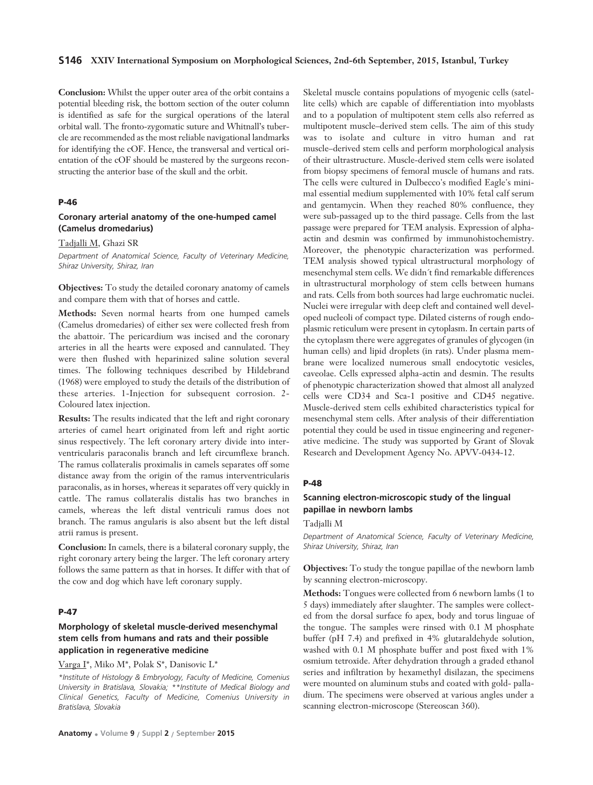#### **S146 XXIV International Symposium on Morphological Sciences, 2nd-6th September, 2015, Istanbul, Turkey**

**Conclusion:** Whilst the upper outer area of the orbit contains a potential bleeding risk, the bottom section of the outer column is identified as safe for the surgical operations of the lateral orbital wall. The fronto-zygomatic suture and Whitnall's tubercle are recommended as the most reliable navigational landmarks for identifying the cOF. Hence, the transversal and vertical orientation of the cOF should be mastered by the surgeons reconstructing the anterior base of the skull and the orbit.

### **P-46**

#### **Coronary arterial anatomy of the one-humped camel (Camelus dromedarius)**

Tadjalli M, Ghazi SR

*Department of Anatomical Science, Faculty of Veterinary Medicine, Shiraz University, Shiraz, Iran*

**Objectives:** To study the detailed coronary anatomy of camels and compare them with that of horses and cattle.

**Methods:** Seven normal hearts from one humped camels (Camelus dromedaries) of either sex were collected fresh from the abattoir. The pericardium was incised and the coronary arteries in all the hearts were exposed and cannulated. They were then flushed with heparinized saline solution several times. The following techniques described by Hildebrand (1968) were employed to study the details of the distribution of these arteries. 1-Injection for subsequent corrosion. 2- Coloured latex injection.

**Results:** The results indicated that the left and right coronary arteries of camel heart originated from left and right aortic sinus respectively. The left coronary artery divide into interventricularis paraconalis branch and left circumflexe branch. The ramus collateralis proximalis in camels separates off some distance away from the origin of the ramus interventricularis paraconalis, as in horses, whereas it separates off very quickly in cattle. The ramus collateralis distalis has two branches in camels, whereas the left distal ventriculi ramus does not branch. The ramus angularis is also absent but the left distal atrii ramus is present.

**Conclusion:** In camels, there is a bilateral coronary supply, the right coronary artery being the larger. The left coronary artery follows the same pattern as that in horses. It differ with that of the cow and dog which have left coronary supply.

#### **P-47**

### **Morphology of skeletal muscle-derived mesenchymal stem cells from humans and rats and their possible application in regenerative medicine**

Varga I\*, Miko M\*, Polak S\*, Danisovic L\*

*\*Institute of Histology & Embryology, Faculty of Medicine, Comenius University in Bratislava, Slovakia; \*\*Institute of Medical Biology and Clinical Genetics, Faculty of Medicine, Comenius University in Bratislava, Slovakia* 

Skeletal muscle contains populations of myogenic cells (satellite cells) which are capable of differentiation into myoblasts and to a population of multipotent stem cells also referred as multipotent muscle–derived stem cells. The aim of this study was to isolate and culture in vitro human and rat muscle–derived stem cells and perform morphological analysis of their ultrastructure. Muscle-derived stem cells were isolated from biopsy specimens of femoral muscle of humans and rats. The cells were cultured in Dulbecco's modified Eagle's minimal essential medium supplemented with 10% fetal calf serum and gentamycin. When they reached 80% confluence, they were sub-passaged up to the third passage. Cells from the last passage were prepared for TEM analysis. Expression of alphaactin and desmin was confirmed by immunohistochemistry. Moreover, the phenotypic characterization was performed. TEM analysis showed typical ultrastructural morphology of mesenchymal stem cells. We didn´t find remarkable differences in ultrastructural morphology of stem cells between humans and rats. Cells from both sources had large euchromatic nuclei. Nuclei were irregular with deep cleft and contained well developed nucleoli of compact type. Dilated cisterns of rough endoplasmic reticulum were present in cytoplasm. In certain parts of the cytoplasm there were aggregates of granules of glycogen (in human cells) and lipid droplets (in rats). Under plasma membrane were localized numerous small endocytotic vesicles, caveolae. Cells expressed alpha-actin and desmin. The results of phenotypic characterization showed that almost all analyzed cells were CD34 and Sca-1 positive and CD45 negative. Muscle-derived stem cells exhibited characteristics typical for mesenchymal stem cells. After analysis of their differentiation potential they could be used in tissue engineering and regenerative medicine. The study was supported by Grant of Slovak Research and Development Agency No. APVV-0434-12.

#### **P-48**

### **Scanning electron-microscopic study of the lingual papillae in newborn lambs**

#### Tadjalli M

*Department of Anatomical Science, Faculty of Veterinary Medicine, Shiraz University, Shiraz, Iran*

**Objectives:** To study the tongue papillae of the newborn lamb by scanning electron-microscopy.

**Methods:** Tongues were collected from 6 newborn lambs (1 to 5 days) immediately after slaughter. The samples were collected from the dorsal surface fo apex, body and torus linguae of the tongue. The samples were rinsed with 0.1 M phosphate buffer (pH 7.4) and prefixed in 4% glutaraldehyde solution, washed with 0.1 M phosphate buffer and post fixed with 1% osmium tetroxide. After dehydration through a graded ethanol series and infiltration by hexamethyl disilazan, the specimens were mounted on aluminum stubs and coated with gold- palladium. The specimens were observed at various angles under a scanning electron-microscope (Stereoscan 360).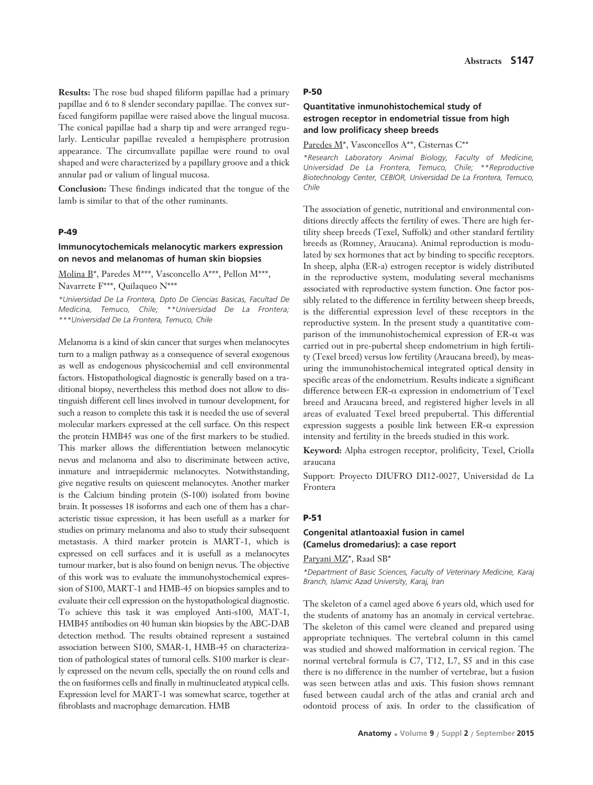**Results:** The rose bud shaped filiform papillae had a primary papillae and 6 to 8 slender secondary papillae. The convex surfaced fungiform papillae were raised above the lingual mucosa. The conical papillae had a sharp tip and were arranged regularly. Lenticular papillae revealed a hempisphere protrusion appearance. The circumvallate papillae were round to oval shaped and were characterized by a papillary groove and a thick annular pad or valium of lingual mucosa.

**Conclusion:** These findings indicated that the tongue of the lamb is similar to that of the other ruminants.

#### **P-49**

## **Immunocytochemicals melanocytic markers expression on nevos and melanomas of human skin biopsies**

Molina B\*, Paredes M\*\*\*, Vasconcello A\*\*\*, Pellon M\*\*\*, Navarrete F\*\*\*, Quilaqueo N\*\*\*

*\*Universidad De La Frontera, Dpto De Ciencias Basicas, Facultad De Medicina, Temuco, Chile; \*\*Universidad De La Frontera; \*\*\*Universidad De La Frontera, Temuco, Chile* 

Melanoma is a kind of skin cancer that surges when melanocytes turn to a malign pathway as a consequence of several exogenous as well as endogenous physicochemial and cell environmental factors. Histopathological diagnostic is generally based on a traditional biopsy, nevertheless this method does not allow to distinguish different cell lines involved in tumour development, for such a reason to complete this task it is needed the use of several molecular markers expressed at the cell surface. On this respect the protein HMB45 was one of the first markers to be studied. This marker allows the differentiation between melanocytic nevus and melanoma and also to discriminate between active, inmature and intraepidermic melanocytes. Notwithstanding, give negative results on quiescent melanocytes. Another marker is the Calcium binding protein (S-100) isolated from bovine brain. It possesses 18 isoforms and each one of them has a characteristic tissue expression, it has been usefull as a marker for studies on primary melanoma and also to study their subsequent metastasis. A third marker protein is MART-1, which is expressed on cell surfaces and it is usefull as a melanocytes tumour marker, but is also found on benign nevus. The objective of this work was to evaluate the immunohystochemical expression of S100, MART-1 and HMB-45 on biopsies samples and to evaluate their cell expression on the hystopathological diagnostic. To achieve this task it was employed Anti-s100, MAT-1, HMB45 antibodies on 40 human skin biopsies by the ABC-DAB detection method. The results obtained represent a sustained association between S100, SMAR-1, HMB-45 on characterization of pathological states of tumoral cells. S100 marker is clearly expressed on the nevum cells, specially the on round cells and the on fusiformes cells and finally in multinucleated atypical cells. Expression level for MART-1 was somewhat scarce, together at fibroblasts and macrophage demarcation. HMB

#### **P-50**

# **Quantitative inmunohistochemical study of estrogen receptor in endometrial tissue from high and low prolificacy sheep breeds**

Paredes M\*, Vasconcellos A\*\*, Cisternas C\*\*

*\*Research Laboratory Animal Biology, Faculty of Medicine, Universidad De La Frontera, Temuco, Chile; \*\*Reproductive Biotechnology Center, CEBIOR, Universidad De La Frontera, Temuco, Chile*

The association of genetic, nutritional and environmental conditions directly affects the fertility of ewes. There are high fertility sheep breeds (Texel, Suffolk) and other standard fertility breeds as (Romney, Araucana). Animal reproduction is modulated by sex hormones that act by binding to specific receptors. In sheep, alpha (ER-a) estrogen receptor is widely distributed in the reproductive system, modulating several mechanisms associated with reproductive system function. One factor possibly related to the difference in fertility between sheep breeds, is the differential expression level of these receptors in the reproductive system. In the present study a quantitative comparison of the immunohistochemical expression of ER-α was carried out in pre-pubertal sheep endometrium in high fertility (Texel breed) versus low fertility (Araucana breed), by measuring the immunohistochemical integrated optical density in specific areas of the endometrium. Results indicate a significant difference between ER-α expression in endometrium of Texel breed and Araucana breed, and registered higher levels in all areas of evaluated Texel breed prepubertal. This differential expression suggests a posible link between  $ER-\alpha$  expression intensity and fertility in the breeds studied in this work.

**Keyword:** Alpha estrogen receptor, prolificity, Texel, Criolla araucana

Support: Proyecto DIUFRO DI12-0027, Universidad de La Frontera

#### **P-51**

## **Congenital atlantoaxial fusion in camel (Camelus dromedarius): a case report**

Paryani MZ\*, Raad SB\*

*\*Department of Basic Sciences, Faculty of Veterinary Medicine, Karaj Branch, Islamic Azad University, Karaj, Iran*

The skeleton of a camel aged above 6 years old, which used for the students of anatomy has an anomaly in cervical vertebrae. The skeleton of this camel were cleaned and prepared using appropriate techniques. The vertebral column in this camel was studied and showed malformation in cervical region. The normal vertebral formula is C7, T12, L7, S5 and in this case there is no difference in the number of vertebrae, but a fusion was seen between atlas and axis. This fusion shows remnant fused between caudal arch of the atlas and cranial arch and odontoid process of axis. In order to the classification of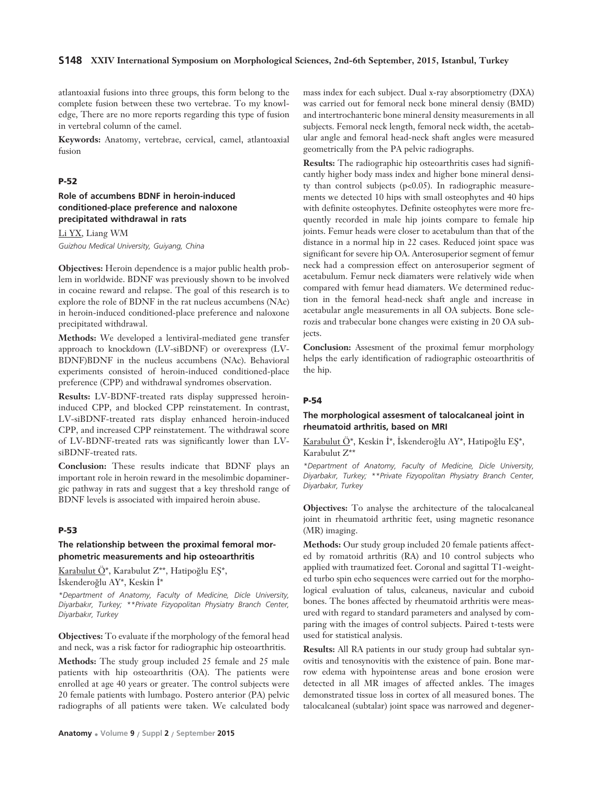### **S148 XXIV International Symposium on Morphological Sciences, 2nd-6th September, 2015, Istanbul, Turkey**

atlantoaxial fusions into three groups, this form belong to the complete fusion between these two vertebrae. To my knowledge, There are no more reports regarding this type of fusion in vertebral column of the camel.

**Keywords:** Anatomy, vertebrae, cervical, camel, atlantoaxial fusion

### **P-52**

# **Role of accumbens BDNF in heroin-induced conditioned-place preference and naloxone precipitated withdrawal in rats**

Li YX, Liang WM *Guizhou Medical University, Guiyang, China*

**Objectives:** Heroin dependence is a major public health problem in worldwide. BDNF was previously shown to be involved in cocaine reward and relapse. The goal of this research is to explore the role of BDNF in the rat nucleus accumbens (NAc) in heroin-induced conditioned-place preference and naloxone precipitated withdrawal.

**Methods:** We developed a lentiviral-mediated gene transfer approach to knockdown (LV-siBDNF) or overexpress (LV-BDNF)BDNF in the nucleus accumbens (NAc). Behavioral experiments consisted of heroin-induced conditioned-place preference (CPP) and withdrawal syndromes observation.

**Results:** LV-BDNF-treated rats display suppressed heroininduced CPP, and blocked CPP reinstatement. In contrast, LV-siBDNF-treated rats display enhanced heroin-induced CPP, and increased CPP reinstatement. The withdrawal score of LV-BDNF-treated rats was significantly lower than LVsiBDNF-treated rats.

**Conclusion:** These results indicate that BDNF plays an important role in heroin reward in the mesolimbic dopaminergic pathway in rats and suggest that a key threshold range of BDNF levels is associated with impaired heroin abuse.

## **P-53**

# **The relationship between the proximal femoral morphometric measurements and hip osteoarthritis**

Karabulut Ö\*, Karabulut Z\*\*, Hatipoğlu EŞ\*,

İskenderoğlu AY\*, Keskin İ\*

*\*Department of Anatomy, Faculty of Medicine, Dicle University, Diyarbak›r, Turkey; \*\*Private Fizyopolitan Physiatry Branch Center, Diyarbak›r, Turkey*

**Objectives:** To evaluate if the morphology of the femoral head and neck, was a risk factor for radiographic hip osteoarthritis.

**Methods:** The study group included 25 female and 25 male patients with hip osteoarthritis (OA). The patients were enrolled at age 40 years or greater. The control subjects were 20 female patients with lumbago. Postero anterior (PA) pelvic radiographs of all patients were taken. We calculated body mass index for each subject. Dual x-ray absorptiometry (DXA) was carried out for femoral neck bone mineral densiy (BMD) and intertrochanteric bone mineral density measurements in all subjects. Femoral neck length, femoral neck width, the acetabular angle and femoral head-neck shaft angles were measured geometrically from the PA pelvic radiographs.

**Results:** The radiographic hip osteoarthritis cases had significantly higher body mass index and higher bone mineral density than control subjects (p<0.05). In radiographic measurements we detected 10 hips with small osteophytes and 40 hips with definite osteophytes. Definite osteophytes were more frequently recorded in male hip joints compare to female hip joints. Femur heads were closer to acetabulum than that of the distance in a normal hip in 22 cases. Reduced joint space was significant for severe hip OA. Anterosuperior segment of femur neck had a compression effect on anterosuperior segment of acetabulum. Femur neck diamaters were relatively wide when compared with femur head diamaters. We determined reduction in the femoral head-neck shaft angle and increase in acetabular angle measurements in all OA subjects. Bone sclerozis and trabecular bone changes were existing in 20 OA subjects.

**Conclusion:** Assesment of the proximal femur morphology helps the early identification of radiographic osteoarthritis of the hip.

## **P-54**

## **The morphological assesment of talocalcaneal joint in rheumatoid arthritis, based on MRI**

Karabulut Ö\*, Keskin İ\*, İskenderoğlu AY\*, Hatipoğlu EŞ\*, Karabulut Z\*\*

*\*Department of Anatomy, Faculty of Medicine, Dicle University, Diyarbak›r, Turkey; \*\*Private Fizyopolitan Physiatry Branch Center, Diyarbak›r, Turkey* 

**Objectives:** To analyse the architecture of the talocalcaneal joint in rheumatoid arthritic feet, using magnetic resonance (MR) imaging.

**Methods:** Our study group included 20 female patients affected by romatoid arthritis (RA) and 10 control subjects who applied with traumatized feet. Coronal and sagittal T1-weighted turbo spin echo sequences were carried out for the morphological evaluation of talus, calcaneus, navicular and cuboid bones. The bones affected by rheumatoid arthritis were measured with regard to standard parameters and analysed by comparing with the images of control subjects. Paired t-tests were used for statistical analysis.

**Results:** All RA patients in our study group had subtalar synovitis and tenosynovitis with the existence of pain. Bone marrow edema with hypointense areas and bone erosion were detected in all MR images of affected ankles. The images demonstrated tissue loss in cortex of all measured bones. The talocalcaneal (subtalar) joint space was narrowed and degener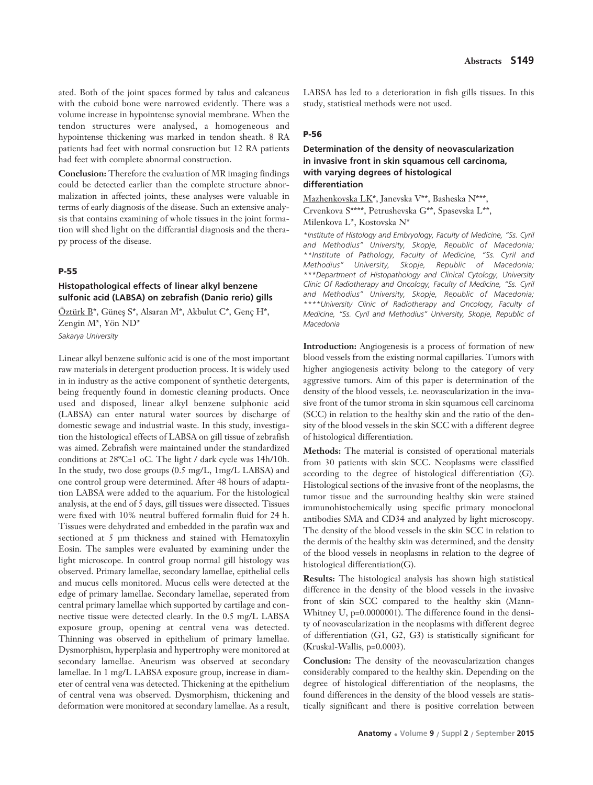ated. Both of the joint spaces formed by talus and calcaneus with the cuboid bone were narrowed evidently. There was a volume increase in hypointense synovial membrane. When the tendon structures were analysed, a homogeneous and hypointense thickening was marked in tendon sheath. 8 RA patients had feet with normal consruction but 12 RA patients had feet with complete abnormal construction.

**Conclusion:** Therefore the evaluation of MR imaging findings could be detected earlier than the complete structure abnormalization in affected joints, these analyses were valuable in terms of early diagnosis of the disease. Such an extensive analysis that contains examining of whole tissues in the joint formation will shed light on the differantial diagnosis and the therapy process of the disease.

#### **P-55**

## **Histopathological effects of linear alkyl benzene sulfonic acid (LABSA) on zebrafish (Danio rerio) gills**

Öztürk  $B^*$ , Güneş S\*, Alsaran M\*, Akbulut C\*, Genç H\*, Zengin M\*, Yön ND\* *Sakarya University* 

Linear alkyl benzene sulfonic acid is one of the most important raw materials in detergent production process. It is widely used in in industry as the active component of synthetic detergents, being frequently found in domestic cleaning products. Once used and disposed, linear alkyl benzene sulphonic acid (LABSA) can enter natural water sources by discharge of domestic sewage and industrial waste. In this study, investigation the histological effects of LABSA on gill tissue of zebrafish was aimed. Zebrafish were maintained under the standardized conditions at 28ºC±1 oC. The light / dark cycle was 14h/10h. In the study, two dose groups (0.5 mg/L, 1mg/L LABSA) and one control group were determined. After 48 hours of adaptation LABSA were added to the aquarium. For the histological analysis, at the end of 5 days, gill tissues were dissected. Tissues were fixed with 10% neutral buffered formalin fluid for 24 h. Tissues were dehydrated and embedded in the parafin wax and sectioned at 5 μm thickness and stained with Hematoxylin Eosin. The samples were evaluated by examining under the light microscope. In control group normal gill histology was observed. Primary lamellae, secondary lamellae, epithelial cells and mucus cells monitored. Mucus cells were detected at the edge of primary lamellae. Secondary lamellae, seperated from central primary lamellae which supported by cartilage and connective tissue were detected clearly. In the 0.5 mg/L LABSA exposure group, opening at central vena was detected. Thinning was observed in epithelium of primary lamellae. Dysmorphism, hyperplasia and hypertrophy were monitored at secondary lamellae. Aneurism was observed at secondary lamellae. In 1 mg/L LABSA exposure group, increase in diameter of central vena was detected. Thickening at the epithelium of central vena was observed. Dysmorphism, thickening and deformation were monitored at secondary lamellae. As a result,

LABSA has led to a deterioration in fish gills tissues. In this study, statistical methods were not used.

### **P-56**

## **Determination of the density of neovascularization in invasive front in skin squamous cell carcinoma, with varying degrees of histological differentiation**

Mazhenkovska LK\*, Janevska V\*\*, Basheska N\*\*\*, Crvenkova S\*\*\*\*, Petrushevska G\*\*, Spasevska L\*\*, Milenkova L\*, Kostovska N\*

*\*Institute of Histology and Embryology, Faculty of Medicine, "Ss. Cyril and Methodius" University, Skopje, Republic of Macedonia; \*\*Institute of Pathology, Faculty of Medicine, "Ss. Cyril and Methodius" University, Skopje, Republic of Macedonia; \*\*\*Department of Histopathology and Clinical Cytology, University Clinic Of Radiotherapy and Oncology, Faculty of Medicine, "Ss. Cyril and Methodius" University, Skopje, Republic of Macedonia; \*\*\*\*University Clinic of Radiotherapy and Oncology, Faculty of Medicine, "Ss. Cyril and Methodius" University, Skopje, Republic of Macedonia*

**Introduction:** Angiogenesis is a process of formation of new blood vessels from the existing normal capillaries. Tumors with higher angiogenesis activity belong to the category of very aggressive tumors. Aim of this paper is determination of the density of the blood vessels, i.e. neovascularization in the invasive front of the tumor stroma in skin squamous cell carcinoma (SCC) in relation to the healthy skin and the ratio of the density of the blood vessels in the skin SCC with a different degree of histological differentiation.

**Methods:** The material is consisted of operational materials from 30 patients with skin SCC. Neoplasms were classified according to the degree of histological differentiation (G). Histological sections of the invasive front of the neoplasms, the tumor tissue and the surrounding healthy skin were stained immunohistochemically using specific primary monoclonal antibodies SMA and CD34 and analyzed by light microscopy. The density of the blood vessels in the skin SCC in relation to the dermis of the healthy skin was determined, and the density of the blood vessels in neoplasms in relation to the degree of histological differentiation(G).

**Results:** The histological analysis has shown high statistical difference in the density of the blood vessels in the invasive front of skin SCC compared to the healthy skin (Mann-Whitney U, p=0.0000001). The difference found in the density of neovascularization in the neoplasms with different degree of differentiation (G1, G2, G3) is statistically significant for (Kruskal-Wallis, p=0.0003).

**Conclusion:** The density of the neovascularization changes considerably compared to the healthy skin. Depending on the degree of histological differentiation of the neoplasms, the found differences in the density of the blood vessels are statistically significant and there is positive correlation between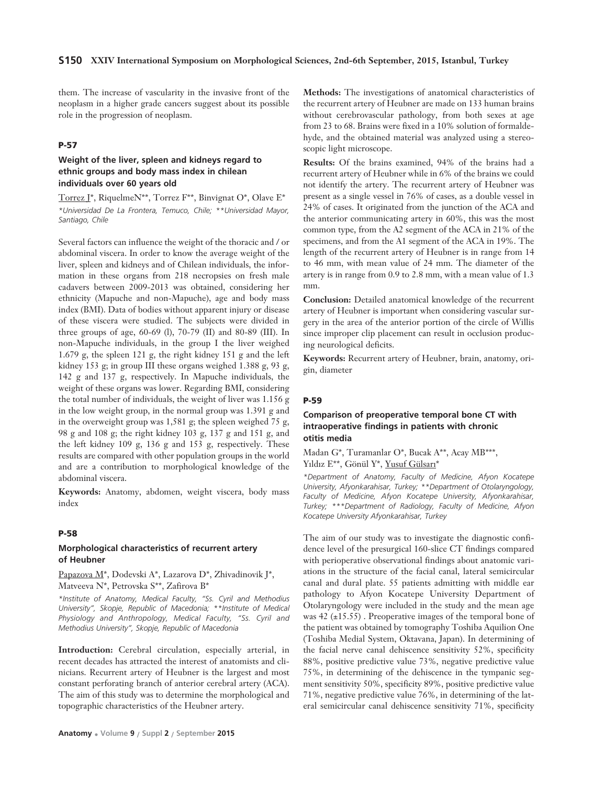them. The increase of vascularity in the invasive front of the neoplasm in a higher grade cancers suggest about its possible role in the progression of neoplasm.

## **P-57**

## **Weight of the liver, spleen and kidneys regard to ethnic groups and body mass index in chilean individuals over 60 years old**

Torrez J\*, RiquelmeN\*\*, Torrez F\*\*, Binvignat O\*, Olave E\* *\*Universidad De La Frontera, Temuco, Chile; \*\*Universidad Mayor, Santiago, Chile*

Several factors can influence the weight of the thoracic and / or abdominal viscera. In order to know the average weight of the liver, spleen and kidneys and of Chilean individuals, the information in these organs from 218 necropsies on fresh male cadavers between 2009-2013 was obtained, considering her ethnicity (Mapuche and non-Mapuche), age and body mass index (BMI). Data of bodies without apparent injury or disease of these viscera were studied. The subjects were divided in three groups of age, 60-69 (l), 70-79 (II) and 80-89 (III). In non-Mapuche individuals, in the group I the liver weighed 1.679 g, the spleen 121 g, the right kidney 151 g and the left kidney 153 g; in group III these organs weighed 1.388 g, 93 g, 142 g and 137 g, respectively. In Mapuche individuals, the weight of these organs was lower. Regarding BMI, considering the total number of individuals, the weight of liver was 1.156 g in the low weight group, in the normal group was 1.391 g and in the overweight group was 1,581 g; the spleen weighed 75 g, 98 g and 108 g; the right kidney 103 g, 137 g and 151 g, and the left kidney 109 g, 136 g and 153 g, respectively. These results are compared with other population groups in the world and are a contribution to morphological knowledge of the abdominal viscera.

**Keywords:** Anatomy, abdomen, weight viscera, body mass index

#### **P-58**

#### **Morphological characteristics of recurrent artery of Heubner**

Papazova M\*, Dodevski A\*, Lazarova D\*, Zhivadinovik J\*, Matveeva N\*, Petrovska S\*\*, Zafirova B\*

*\*Institute of Anatomy, Medical Faculty, "Ss. Cyril and Methodius University", Skopje, Republic of Macedonia; \*\*Institute of Medical Physiology and Anthropology, Medical Faculty, "Ss. Cyril and Methodius University", Skopje, Republic of Macedonia*

**Introduction:** Cerebral circulation, especially arterial, in recent decades has attracted the interest of anatomists and clinicians. Recurrent artery of Heubner is the largest and most constant perforating branch of anterior cerebral artery (ACA). The aim of this study was to determine the morphological and topographic characteristics of the Heubner artery.

**Methods:** The investigations of anatomical characteristics of the recurrent artery of Heubner are made on 133 human brains without cerebrovascular pathology, from both sexes at age from 23 to 68. Brains were fixed in a 10% solution of formaldehyde, and the obtained material was analyzed using a stereoscopic light microscope.

**Results:** Of the brains examined, 94% of the brains had a recurrent artery of Heubner while in 6% of the brains we could not identify the artery. The recurrent artery of Heubner was present as a single vessel in 76% of cases, as a double vessel in 24% of cases. It originated from the junction of the ACA and the anterior communicating artery in 60%, this was the most common type, from the A2 segment of the ACA in 21% of the specimens, and from the A1 segment of the ACA in 19%. The length of the recurrent artery of Heubner is in range from 14 to 46 mm, with mean value of 24 mm. The diameter of the artery is in range from 0.9 to 2.8 mm, with a mean value of 1.3 mm.

**Conclusion:** Detailed anatomical knowledge of the recurrent artery of Heubner is important when considering vascular surgery in the area of the anterior portion of the circle of Willis since improper clip placement can result in occlusion producing neurological deficits.

**Keywords:** Recurrent artery of Heubner, brain, anatomy, origin, diameter

#### **P-59**

## **Comparison of preoperative temporal bone CT with intraoperative findings in patients with chronic otitis media**

Madan G\*, Turamanlar O\*, Bucak A\*\*, Acay MB\*\*\*, Yıldız E\*\*, Gönül Y\*, Yusuf Gülsarı\*

*\*Department of Anatomy, Faculty of Medicine, Afyon Kocatepe University, Afyonkarahisar, Turkey; \*\*Department of Otolaryngology, Faculty of Medicine, Afyon Kocatepe University, Afyonkarahisar, Turkey; \*\*\*Department of Radiology, Faculty of Medicine, Afyon Kocatepe University Afyonkarahisar, Turkey* 

The aim of our study was to investigate the diagnostic confidence level of the presurgical 160-slice CT findings compared with perioperative observational findings about anatomic variations in the structure of the facial canal, lateral semicircular canal and dural plate. 55 patients admitting with middle ear pathology to Afyon Kocatepe University Department of Otolaryngology were included in the study and the mean age was 42 (±15.55) . Preoperative images of the temporal bone of the patient was obtained by tomography Toshiba Aquilion One (Toshiba Medial System, Oktavana, Japan). In determining of the facial nerve canal dehiscence sensitivity 52%, specificity 88%, positive predictive value 73%, negative predictive value 75%, in determining of the dehiscence in the tympanic segment sensitivity 50%, specificity 89%, positive predictive value 71%, negative predictive value 76%, in determining of the lateral semicircular canal dehiscence sensitivity 71%, specificity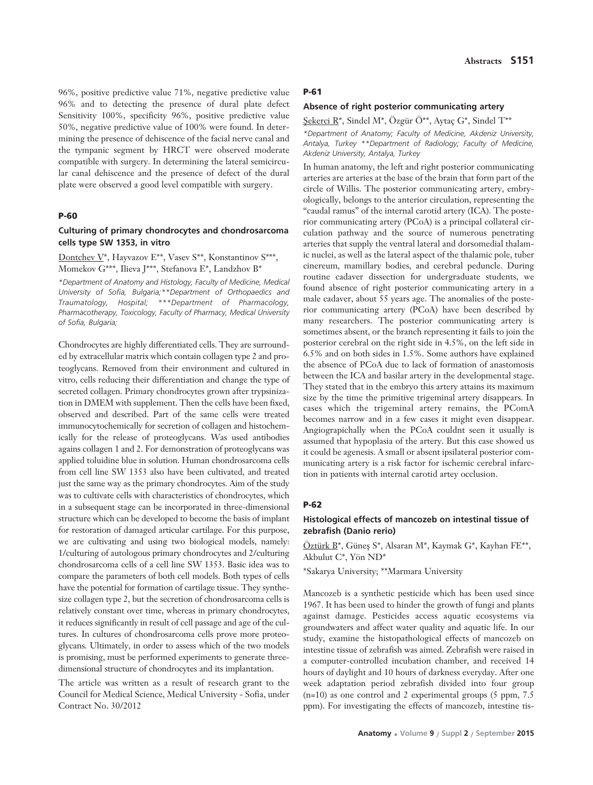96%, positive predictive value 71%, negative predictive value 96% and to detecting the presence of dural plate defect Sensitivity 100%, specificity 96%, positive predictive value 50%, negative predictive value of 100% were found. In determining the presence of dehiscence of the facial nerve canal and the tympanic segment by HRCT were observed moderate compatible with surgery. In determining the lateral semicircular canal dehiscence and the presence of defect of the dural plate were observed a good level compatible with surgery.

### **P-60**

## **Culturing of primary chondrocytes and chondrosarcoma cells type SW 1353, in vitro**

Dontchev V\*, Hayvazov E\*\*, Vasev S\*\*, Konstantinov S\*\*\*, Momekov G\*\*\*, Ilieva J\*\*\*, Stefanova E\*, Landzhov B\*

*\*Department of Anatomy and Histology, Faculty of Medicine, Medical University of Sofia, Bulgaria;\*\*Department of Orthopaedics and Traumatology, Hospital; \*\*\*Department of Pharmacology, Pharmacotherapy, Toxicology, Faculty of Pharmacy, Medical University of Sofia, Bulgaria;*

Chondrocytes are highly differentiated cells. They are surrounded by extracellular matrix which contain collagen type 2 and proteoglycans. Removed from their environment and cultured in vitro, cells reducing their differentiation and change the type of secreted collagen. Primary chondrocytes grown after trypsinization in DMEM with supplement. Then the cells have been fixed, observed and described. Part of the same cells were treated immunocytochemically for secretion of collagen and histochemically for the release of proteoglycans. Was used antibodies agains collagen 1 and 2. For demonstration of proteoglycans was applied toluidine blue in solution. Human chondrosarcoma cells from cell line SW 1353 also have been cultivated, and treated just the same way as the primary chondrocytes. Aim of the study was to cultivate cells with characteristics of chondrocytes, which in a subsequent stage can be incorporated in three-dimensional structure which can be developed to become the basis of implant for restoration of damaged articular cartilage. For this purpose, we are cultivating and using two biological models, namely: 1/culturing of autologous primary chondrocytes and 2/culturing chondrosarcoma cells of a cell line SW 1353. Basic idea was to compare the parameters of both cell models. Both types of cells have the potential for formation of cartilage tissue. They synthesize collagen type 2, but the secretion of chondrosarcoma cells is relatively constant over time, whereas in primary chondrocytes, it reduces significantly in result of cell passage and age of the cultures. In cultures of chondrosarcoma cells prove more proteoglycans. Ultimately, in order to assess which of the two models is promising, must be performed experiments to generate threedimensional structure of chondrocytes and its implantation.

The article was written as a result of research grant to the Council for Medical Science, Medical University - Sofia, under Contract No. 30/2012

#### **P-61**

### **Absence of right posterior communicating artery**

fiekerci R\*, Sindel M\*, Özgür Ö\*\*, Aytaç G\*, Sindel T\*\* *\*Department of Anatomy; Faculty of Medicine, Akdeniz University, Antalya, Turkey \*\*Department of Radiology; Faculty of Medicine, Akdeniz University, Antalya, Turkey* 

In human anatomy, the left and right posterior communicating arteries are arteries at the base of the brain that form part of the circle of Willis. The posterior communicating artery, embryologically, belongs to the anterior circulation, representing the "caudal ramus" of the internal carotid artery (ICA). The posterior communicating artery (PCoA) is a principal collateral circulation pathway and the source of numerous penetrating arteries that supply the ventral lateral and dorsomedial thalamic nuclei, as well as the lateral aspect of the thalamic pole, tuber cinereum, mamillary bodies, and cerebral peduncle. During routine cadaver dissection for undergraduate students, we found absence of right posterior communicating artery in a male cadaver, about 55 years age. The anomalies of the posterior communicating artery (PCoA) have been described by many researchers. The posterior communicating artery is sometimes absent, or the branch representing it fails to join the posterior cerebral on the right side in 4.5%, on the left side in 6.5% and on both sides in 1.5%. Some authors have explained the absence of PCoA due to lack of formation of anastomosis between the ICA and basilar artery in the developmental stage. They stated that in the embryo this artery attains its maximum size by the time the primitive trigeminal artery disappears. In cases which the trigeminal artery remains, the PComA becomes narrow and in a few cases it might even disappear. Angiograpichally when the PCoA couldnt seen it usually is assumed that hypoplasia of the artery. But this case showed us it could be agenesis. A small or absent ipsilateral posterior communicating artery is a risk factor for ischemic cerebral infarction in patients with internal carotid artey occlusion.

### **P-62**

## **Histological effects of mancozeb on intestinal tissue of zebrafish (Danio rerio)**

Öztürk B\*, Güneş S\*, Alsaran M\*, Kaymak G\*, Kayhan FE\*\*, Akbulut C\*, Yön ND\*

\*Sakarya University; \*\*Marmara University

Mancozeb is a synthetic pesticide which has been used since 1967. It has been used to hinder the growth of fungi and plants against damage. Pesticides access aquatic ecosystems via groundwaters and affect water quality and aquatic life. In our study, examine the histopathological effects of mancozeb on intestine tissue of zebrafish was aimed. Zebrafish were raised in a computer-controlled incubation chamber, and received 14 hours of daylight and 10 hours of darkness everyday. After one week adaptation period zebrafish divided into four group  $(n=10)$  as one control and 2 experimental groups (5 ppm, 7.5) ppm). For investigating the effects of mancozeb, intestine tis-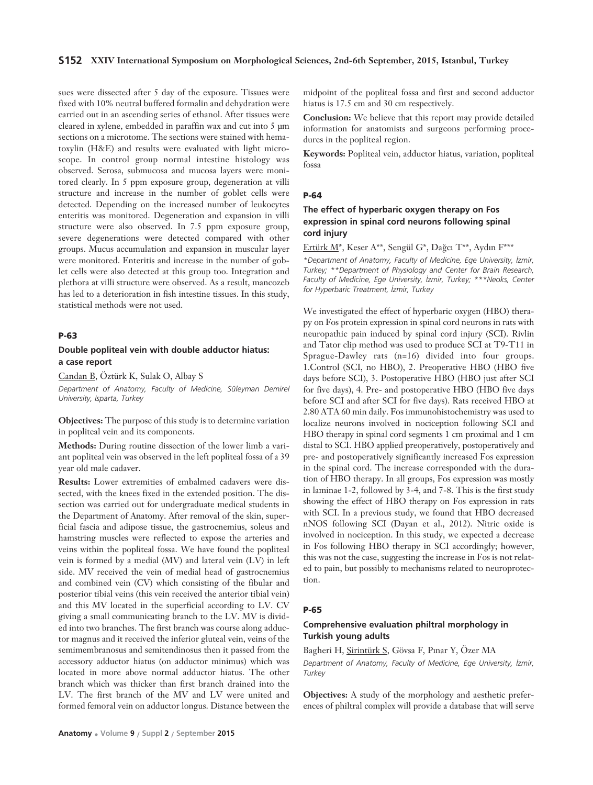## **S152 XXIV International Symposium on Morphological Sciences, 2nd-6th September, 2015, Istanbul, Turkey**

sues were dissected after 5 day of the exposure. Tissues were fixed with 10% neutral buffered formalin and dehydration were carried out in an ascending series of ethanol. After tissues were cleared in xylene, embedded in paraffin wax and cut into 5 μm sections on a microtome. The sections were stained with hematoxylin (H&E) and results were evaluated with light microscope. In control group normal intestine histology was observed. Serosa, submucosa and mucosa layers were monitored clearly. In 5 ppm exposure group, degeneration at villi structure and increase in the number of goblet cells were detected. Depending on the increased number of leukocytes enteritis was monitored. Degeneration and expansion in villi structure were also observed. In 7.5 ppm exposure group, severe degenerations were detected compared with other groups. Mucus accumulation and expansion in muscular layer were monitored. Enteritis and increase in the number of goblet cells were also detected at this group too. Integration and plethora at villi structure were observed. As a result, mancozeb has led to a deterioration in fish intestine tissues. In this study, statistical methods were not used.

## **P-63**

## **Double popliteal vein with double adductor hiatus: a case report**

Candan B, Öztürk K, Sulak O, Albay S

*Department of Anatomy, Faculty of Medicine, Süleyman Demirel University, Isparta, Turkey*

**Objectives:** The purpose of this study is to determine variation in popliteal vein and its components.

**Methods:** During routine dissection of the lower limb a variant popliteal vein was observed in the left popliteal fossa of a 39 year old male cadaver.

**Results:** Lower extremities of embalmed cadavers were dissected, with the knees fixed in the extended position. The dissection was carried out for undergraduate medical students in the Department of Anatomy. After removal of the skin, superficial fascia and adipose tissue, the gastrocnemius, soleus and hamstring muscles were reflected to expose the arteries and veins within the popliteal fossa. We have found the popliteal vein is formed by a medial (MV) and lateral vein (LV) in left side. MV received the vein of medial head of gastrocnemius and combined vein (CV) which consisting of the fibular and posterior tibial veins (this vein received the anterior tibial vein) and this MV located in the superficial according to LV. CV giving a small communicating branch to the LV. MV is divided into two branches. The first branch was course along adductor magnus and it received the inferior gluteal vein, veins of the semimembranosus and semitendinosus then it passed from the accessory adductor hiatus (on adductor minimus) which was located in more above normal adductor hiatus. The other branch which was thicker than first branch drained into the LV. The first branch of the MV and LV were united and formed femoral vein on adductor longus. Distance between the

midpoint of the popliteal fossa and first and second adductor hiatus is 17.5 cm and 30 cm respectively.

**Conclusion:** We believe that this report may provide detailed information for anatomists and surgeons performing procedures in the popliteal region.

**Keywords:** Popliteal vein, adductor hiatus, variation, popliteal fossa

#### **P-64**

## **The effect of hyperbaric oxygen therapy on Fos expression in spinal cord neurons following spinal cord injury**

Ertürk M\*, Keser A\*\*, Sengül G\*, Dağcı T\*\*, Aydın F\*\*\*

*\*Department of Anatomy, Faculty of Medicine, Ege University, ‹zmir, Turkey; \*\*Department of Physiology and Center for Brain Research, Faculty of Medicine, Ege University, ‹zmir, Turkey; \*\*\*Neoks, Center for Hyperbaric Treatment, ‹zmir, Turkey* 

We investigated the effect of hyperbaric oxygen (HBO) therapy on Fos protein expression in spinal cord neurons in rats with neuropathic pain induced by spinal cord injury (SCI). Rivlin and Tator clip method was used to produce SCI at T9-T11 in Sprague-Dawley rats (n=16) divided into four groups. 1.Control (SCI, no HBO), 2. Preoperative HBO (HBO five days before SCI), 3. Postoperative HBO (HBO just after SCI for five days), 4. Pre- and postoperative HBO (HBO five days before SCI and after SCI for five days). Rats received HBO at 2.80 ATA 60 min daily. Fos immunohistochemistry was used to localize neurons involved in nociception following SCI and HBO therapy in spinal cord segments 1 cm proximal and 1 cm distal to SCI. HBO applied preoperatively, postoperatively and pre- and postoperatively significantly increased Fos expression in the spinal cord. The increase corresponded with the duration of HBO therapy. In all groups, Fos expression was mostly in laminae 1-2, followed by 3-4, and 7-8. This is the first study showing the effect of HBO therapy on Fos expression in rats with SCI. In a previous study, we found that HBO decreased nNOS following SCI (Dayan et al., 2012). Nitric oxide is involved in nociception. In this study, we expected a decrease in Fos following HBO therapy in SCI accordingly; however, this was not the case, suggesting the increase in Fos is not related to pain, but possibly to mechanisms related to neuroprotection.

#### **P-65**

## **Comprehensive evaluation philtral morphology in Turkish young adults**

Bagheri H, Sirintürk S, Gövsa F, Pınar Y, Özer MA

*Department of Anatomy, Faculty of Medicine, Ege University, ‹zmir, Turkey* 

**Objectives:** A study of the morphology and aesthetic preferences of philtral complex will provide a database that will serve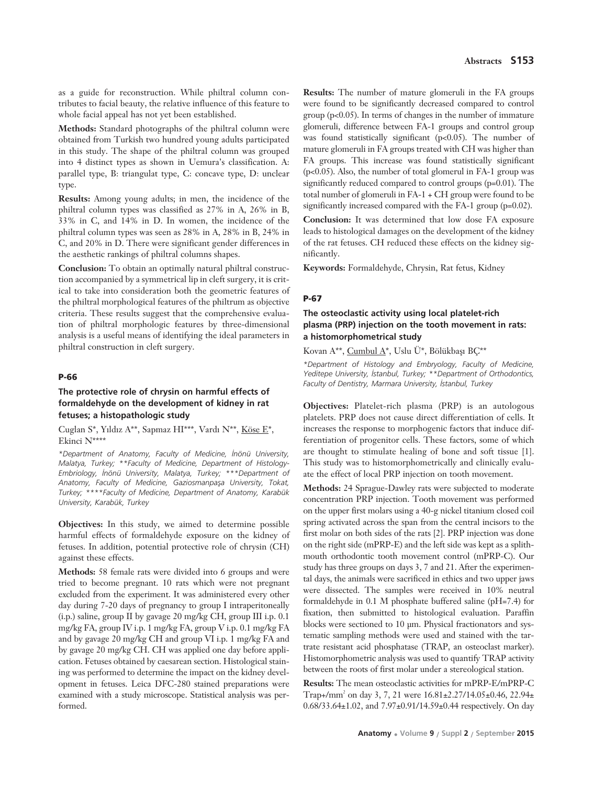as a guide for reconstruction. While philtral column contributes to facial beauty, the relative influence of this feature to whole facial appeal has not yet been established.

**Methods:** Standard photographs of the philtral column were obtained from Turkish two hundred young adults participated in this study. The shape of the philtral column was grouped into 4 distinct types as shown in Uemura's classification. A: parallel type, B: triangulat type, C: concave type, D: unclear type.

**Results:** Among young adults; in men, the incidence of the philtral column types was classified as 27% in A, 26% in B, 33% in C, and 14% in D. In women, the incidence of the philtral column types was seen as 28% in A, 28% in B, 24% in C, and 20% in D. There were significant gender differences in the aesthetic rankings of philtral columns shapes.

**Conclusion:** To obtain an optimally natural philtral construction accompanied by a symmetrical lip in cleft surgery, it is critical to take into consideration both the geometric features of the philtral morphological features of the philtrum as objective criteria. These results suggest that the comprehensive evaluation of philtral morphologic features by three-dimensional analysis is a useful means of identifying the ideal parameters in philtral construction in cleft surgery.

### **P-66**

## **The protective role of chrysin on harmful effects of formaldehyde on the development of kidney in rat fetuses; a histopathologic study**

Cuglan S\*, Yıldız A\*\*, Sapmaz HI\*\*\*, Vardı N\*\*, Köse E\*, Ekinci N\*\*\*\*

*\*Department of Anatomy, Faculty of Medicine, ‹nönü University, Malatya, Turkey; \*\*Faculty of Medicine, Department of Histology-Embriology, ‹nönü University, Malatya, Turkey; \*\*\*Department of* Anatomy, Faculty of Medicine, Gaziosmanpaşa University, Tokat, *Turkey; \*\*\*\*Faculty of Medicine, Department of Anatomy, Karabük University, Karabük, Turkey*

**Objectives:** In this study, we aimed to determine possible harmful effects of formaldehyde exposure on the kidney of fetuses. In addition, potential protective role of chrysin (CH) against these effects.

**Methods:** 58 female rats were divided into 6 groups and were tried to become pregnant. 10 rats which were not pregnant excluded from the experiment. It was administered every other day during 7-20 days of pregnancy to group I intraperitoneally (i.p.) saline, group II by gavage 20 mg/kg CH, group III i.p. 0.1 mg/kg FA, group IV i.p. 1 mg/kg FA, group V i.p. 0.1 mg/kg FA and by gavage 20 mg/kg CH and group VI i.p. 1 mg/kg FA and by gavage 20 mg/kg CH. CH was applied one day before application. Fetuses obtained by caesarean section. Histological staining was performed to determine the impact on the kidney development in fetuses. Leica DFC-280 stained preparations were examined with a study microscope. Statistical analysis was performed.

**Results:** The number of mature glomeruli in the FA groups were found to be significantly decreased compared to control group  $(p<0.05)$ . In terms of changes in the number of immature glomeruli, difference between FA-1 groups and control group was found statistically significant (p<0.05). The number of mature glomeruli in FA groups treated with CH was higher than FA groups. This increase was found statistically significant (p<0.05). Also, the number of total glomerul in FA-1 group was significantly reduced compared to control groups (p=0.01). The total number of glomeruli in FA-1 + CH group were found to be significantly increased compared with the FA-1 group (p=0.02).

**Conclusion:** It was determined that low dose FA exposure leads to histological damages on the development of the kidney of the rat fetuses. CH reduced these effects on the kidney significantly.

**Keywords:** Formaldehyde, Chrysin, Rat fetus, Kidney

#### **P-67**

## **The osteoclastic activity using local platelet-rich plasma (PRP) injection on the tooth movement in rats: a histomorphometrical study**

Kovan A\*\*, Cumbul A\*, Uslu Ü\*, Bölükbaşı BÇ\*\*

*\*Department of Histology and Embryology, Faculty of Medicine, Yeditepe University, ‹stanbul, Turkey; \*\*Department of Orthodontics, Faculty of Dentistry, Marmara University, ‹stanbul, Turkey*

**Objectives:** Platelet-rich plasma (PRP) is an autologous platelets. PRP does not cause direct differentiation of cells. It increases the response to morphogenic factors that induce differentiation of progenitor cells. These factors, some of which are thought to stimulate healing of bone and soft tissue [1]. This study was to histomorphometrically and clinically evaluate the effect of local PRP injection on tooth movement.

**Methods:** 24 Sprague-Dawley rats were subjected to moderate concentration PRP injection. Tooth movement was performed on the upper first molars using a 40-g nickel titanium closed coil spring activated across the span from the central incisors to the first molar on both sides of the rats [2]. PRP injection was done on the right side (mPRP-E) and the left side was kept as a splithmouth orthodontic tooth movement control (mPRP-C). Our study has three groups on days 3, 7 and 21. After the experimental days, the animals were sacrificed in ethics and two upper jaws were dissected. The samples were received in 10% neutral formaldehyde in 0.1 M phosphate buffered saline (pH=7.4) for fixation, then submitted to histological evaluation. Paraffin blocks were sectioned to 10 μm. Physical fractionators and systematic sampling methods were used and stained with the tartrate resistant acid phosphatase (TRAP, an osteoclast marker). Histomorphometric analysis was used to quantify TRAP activity between the roots of first molar under a stereological station.

**Results:** The mean osteoclastic activities for mPRP-E/mPRP-C Trap+/mm2 on day 3, 7, 21 were 16.81±2.27/14.05±0.46, 22.94± 0.68/33.64±1.02, and 7.97±0.91/14.59±0.44 respectively. On day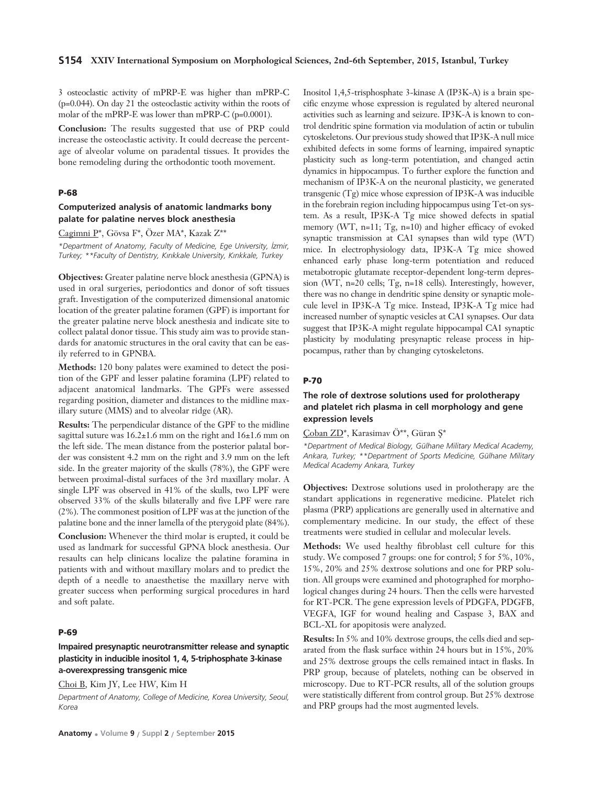3 osteoclastic activity of mPRP-E was higher than mPRP-C (p=0.044). On day 21 the osteoclastic activity within the roots of molar of the mPRP-E was lower than mPRP-C (p=0.0001).

**Conclusion:** The results suggested that use of PRP could increase the osteoclastic activity. It could decrease the percentage of alveolar volume on paradental tissues. It provides the bone remodeling during the orthodontic tooth movement.

#### **P-68**

## **Computerized analysis of anatomic landmarks bony palate for palatine nerves block anesthesia**

Cagimni P\*, Gövsa F\*, Özer MA\*, Kazak Z\*\*

*\*Department of Anatomy, Faculty of Medicine, Ege University, ‹zmir, Turkey; \*\*Faculty of Dentistry, K›r›kkale University, K›r›kkale, Turkey*

**Objectives:** Greater palatine nerve block anesthesia (GPNA) is used in oral surgeries, periodontics and donor of soft tissues graft. Investigation of the computerized dimensional anatomic location of the greater palatine foramen (GPF) is important for the greater palatine nerve block anesthesia and indicate site to collect palatal donor tissue. This study aim was to provide standards for anatomic structures in the oral cavity that can be easily referred to in GPNBA.

**Methods:** 120 bony palates were examined to detect the position of the GPF and lesser palatine foramina (LPF) related to adjacent anatomical landmarks. The GPFs were assessed regarding position, diameter and distances to the midline maxillary suture (MMS) and to alveolar ridge (AR).

**Results:** The perpendicular distance of the GPF to the midline sagittal suture was  $16.2\pm1.6$  mm on the right and  $16\pm1.6$  mm on the left side. The mean distance from the posterior palatal border was consistent 4.2 mm on the right and 3.9 mm on the left side. In the greater majority of the skulls (78%), the GPF were between proximal-distal surfaces of the 3rd maxillary molar. A single LPF was observed in 41% of the skulls, two LPF were observed 33% of the skulls bilaterally and five LPF were rare (2%). The commonest position of LPF was at the junction of the palatine bone and the inner lamella of the pterygoid plate (84%).

**Conclusion:** Whenever the third molar is erupted, it could be used as landmark for successful GPNA block anesthesia. Our resaults can help clinicans localize the palatine foramina in patients with and without maxillary molars and to predict the depth of a needle to anaesthetise the maxillary nerve with greater success when performing surgical procedures in hard and soft palate.

#### **P-69**

## **Impaired presynaptic neurotransmitter release and synaptic plasticity in inducible inositol 1, 4, 5-triphosphate 3-kinase a-overexpressing transgenic mice**

## Choi B, Kim JY, Lee HW, Kim H

*Department of Anatomy, College of Medicine, Korea University, Seoul, Korea* 

Inositol 1,4,5-trisphosphate 3-kinase A (IP3K-A) is a brain specific enzyme whose expression is regulated by altered neuronal activities such as learning and seizure. IP3K-A is known to control dendritic spine formation via modulation of actin or tubulin cytoskeletons. Our previous study showed that IP3K-A null mice exhibited defects in some forms of learning, impaired synaptic plasticity such as long-term potentiation, and changed actin dynamics in hippocampus. To further explore the function and mechanism of IP3K-A on the neuronal plasticity, we generated transgenic (Tg) mice whose expression of IP3K-A was inducible in the forebrain region including hippocampus using Tet-on system. As a result, IP3K-A Tg mice showed defects in spatial memory (WT, n=11;  $Tg$ , n=10) and higher efficacy of evoked synaptic transmission at CA1 synapses than wild type (WT) mice. In electrophysiology data, IP3K-A Tg mice showed enhanced early phase long-term potentiation and reduced metabotropic glutamate receptor-dependent long-term depression (WT, n=20 cells; Tg, n=18 cells). Interestingly, however, there was no change in dendritic spine density or synaptic molecule level in IP3K-A Tg mice. Instead, IP3K-A Tg mice had increased number of synaptic vesicles at CA1 synapses. Our data suggest that IP3K-A might regulate hippocampal CA1 synaptic plasticity by modulating presynaptic release process in hippocampus, rather than by changing cytoskeletons.

#### **P-70**

# **The role of dextrose solutions used for prolotherapy and platelet rich plasma in cell morphology and gene expression levels**

Çoban ZD\*, Karasimav Ö\*\*, Güran Ş\*

*\*Department of Medical Biology, Gülhane Military Medical Academy, Ankara, Turkey; \*\*Department of Sports Medicine, Gülhane Military Medical Academy Ankara, Turkey* 

**Objectives:** Dextrose solutions used in prolotherapy are the standart applications in regenerative medicine. Platelet rich plasma (PRP) applications are generally used in alternative and complementary medicine. In our study, the effect of these treatments were studied in cellular and molecular levels.

**Methods:** We used healthy fibroblast cell culture for this study. We composed 7 groups: one for control; 5 for 5%, 10%, 15%, 20% and 25% dextrose solutions and one for PRP solution. All groups were examined and photographed for morphological changes during 24 hours. Then the cells were harvested for RT-PCR. The gene expression levels of PDGFA, PDGFB, VEGFA, IGF for wound healing and Caspase 3, BAX and BCL-XL for apopitosis were analyzed.

**Results:** In 5% and 10% dextrose groups, the cells died and separated from the flask surface within 24 hours but in 15%, 20% and 25% dextrose groups the cells remained intact in flasks. In PRP group, because of platelets, nothing can be observed in microscopy. Due to RT-PCR results, all of the solution groups were statistically different from control group. But 25% dextrose and PRP groups had the most augmented levels.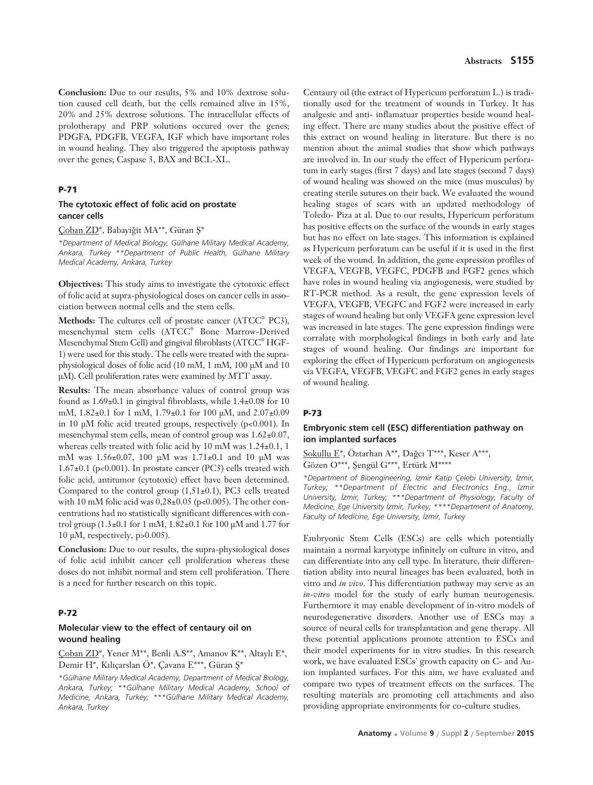**Conclusion:** Due to our results, 5% and 10% dextrose solution caused cell death, but the cells remained alive in 15%, 20% and 25% dextrose solutions. The intracellular effects of prolotherapy and PRP solutions occured over the genes; PDGFA, PDGFB, VEGFA, IGF which have important roles in wound healing. They also triggered the apoptosis pathway over the genes; Caspase 3, BAX and BCL-XL.

### **P-71**

## **The cytotoxic effect of folic acid on prostate cancer cells**

#### Çoban ZD\*, Babayiğit MA\*\*, Güran Ş\*

*\*Department of Medical Biology, Gülhane Military Medical Academy, Ankara, Turkey \*\*Department of Public Health, Gülhane Military Medical Academy, Ankara, Turkey* 

**Objectives:** This study aims to investigate the cytotoxic effect of folic acid at supra-physiological doses on cancer cells in association between normal cells and the stem cells.

**Methods:** The cultures cell of prostate cancer (ATCC® PC3), mesenchymal stem cells (ATCC® Bone Marrow-Derived Mesenchymal Stem Cell) and gingival fibroblasts (ATCC® HGF-1) were used for this study. The cells were treated with the supraphysiological doses of folic acid (10 mM, 1 mM, 100 μM and 10 μM). Cell proliferation rates were examined by MTT assay.

**Results:** The mean absorbance values of control group was found as 1.69±0.1 in gingival fibroblasts, while 1.4±0.08 for 10 mM, 1.82±0.1 for 1 mM, 1.79±0.1 for 100 μM, and 2.07±0.09 in 10 μM folic acid treated groups, respectively (p<0.001). In mesenchymal stem cells, mean of control group was 1.62±0.07, whereas cells treated with folic acid by 10 mM was 1.24±0.1, 1 mM was 1.56±0.07, 100 μM was 1.71±0.1 and 10 μM was 1.67±0.1 (p<0.001). In prostate cancer (PC3) cells treated with folic acid, antitumor (cytotoxic) effect have been determined. Compared to the control group (1,51±0.1), PC3 cells treated with 10 mM folic acid was  $0,28\pm0.05$  (p<0.005). The other concentrations had no statistically significant differences with control group  $(1.3±0.1$  for 1 mM,  $1.82±0.1$  for 100 μM and 1.77 for 10 μM, respectively, p>0.005).

**Conclusion:** Due to our results, the supra-physiological doses of folic acid inhibit cancer cell proliferation whereas these doses do not inhibit normal and stem cell proliferation. There is a need for further research on this topic.

## **P-72**

## **Molecular view to the effect of centaury oil on wound healing**

Coban ZD\*, Yener M\*\*, Benli A.S\*\*, Amanov K\*\*, Altaylı E\*, Demir H\*, Kılıçarslan Ö\*, Çavana E\*\*\*, Güran Ş\*

*\*Gülhane Military Medical Academy, Department of Medical Biology, Ankara, Turkey; \*\*Gülhane Military Medical Academy, School of Medicine, Ankara, Turkey; \*\*\*Gülhane Military Medical Academy, Ankara, Turkey* 

Centaury oil (the extract of Hypericum perforatum L.) is traditionally used for the treatment of wounds in Turkey. It has analgesic and anti- inflamatuar properties beside wound healing effect. There are many studies about the positive effect of this extract on wound healing in literature. But there is no mention about the animal studies that show which pathways are involved in. In our study the effect of Hypericum perforatum in early stages (first 7 days) and late stages (second 7 days) of wound healing was showed on the mice (mus musculus) by creating sterile sutures on their back. We evaluated the wound healing stages of scars with an updated methodology of Toledo- Piza at al. Due to our results, Hypericum perforatum has positive effects on the surface of the wounds in early stages but has no effect on late stages. This information is explained as Hypericum perforatum can be useful if it is used in the first week of the wound. In addition, the gene expression profiles of VEGFA, VEGFB, VEGFC, PDGFB and FGF2 genes which have roles in wound healing via angiogenesis, were studied by RT-PCR method. As a result, the gene expression levels of VEGFA, VEGFB, VEGFC and FGF2 were increased in early stages of wound healing but only VEGFA gene expression level was increased in late stages. The gene expression findings were corralate with morphological findings in both early and late stages of wound healing. Our findings are important for exploring the effect of Hypericum perforatum on angiogenesis via VEGFA, VEGFB, VEGFC and FGF2 genes in early stages of wound healing.

#### **P-73**

## **Embryonic stem cell (ESC) differentiation pathway on ion implanted surfaces**

Sokullu E\*, Öztarhan A\*\*, Dağcı T\*\*\*, Keser A\*\*\*, Gözen O\*\*\*, Şengül G\*\*\*, Ertürk M\*\*\*\*

*\*Department of Bioengineering, ‹zmir Katip Çelebi University, ‹zmir, Turkey; \*\*Department of Electric and Electronics Eng., ‹zmir University, ‹zmir, Turkey; \*\*\*Department of Physiology, Faculty of Medicine, Ege University İzmir, Turkey; \*\*\*\*Department of Anatomy, Faculty of Medicine, Ege University, ‹zmir, Turkey* 

Embryonic Stem Cells (ESCs) are cells which potentially maintain a normal karyotype infinitely on culture in vitro, and can differentiate into any cell type. In literature, their differentiation ability into neural lineages has been evaluated, both in vitro and *in vivo*. This differentiation pathway may serve as an *in-vitro* model for the study of early human neurogenesis. Furthermore it may enable development of in-vitro models of neurodegenerative disorders. Another use of ESCs may a source of neural cells for transplantation and gene therapy. All these potential applications promote attention to ESCs and their model experiments for in vitro studies. In this research work, we have evaluated ESCs' growth capacity on C- and Auion implanted surfaces. For this aim, we have evaluated and compare two types of treatment effects on the surfaces. The resulting materials are promoting cell attachments and also providing appropriate environments for co-culture studies.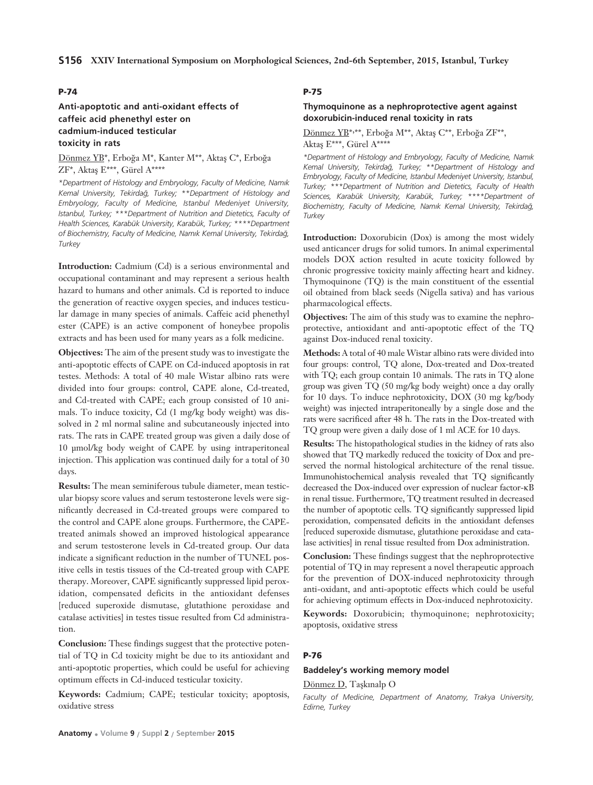## **P-74**

# **Anti-apoptotic and anti-oxidant effects of caffeic acid phenethyl ester on cadmium-induced testicular toxicity in rats**

Dönmez YB\*, Erboğa M\*, Kanter M\*\*, Aktaş C\*, Erboğa  $ZF^*$ , Aktas E\*\*\*, Gürel A\*\*\*\*

*\*Department of Histology and Embryology, Faculty of Medicine, Nam›k Kemal University, Tekirda¤, Turkey; \*\*Department of Histology and Embryology, Faculty of Medicine, Istanbul Medeniyet University, Istanbul, Turkey; \*\*\*Department of Nutrition and Dietetics, Faculty of Health Sciences, Karabük University, Karabük, Turkey; \*\*\*\*Department* of Biochemistry, Faculty of Medicine, Namık Kemal University, Tekirdağ, *Turkey* 

**Introduction:** Cadmium (Cd) is a serious environmental and occupational contaminant and may represent a serious health hazard to humans and other animals. Cd is reported to induce the generation of reactive oxygen species, and induces testicular damage in many species of animals. Caffeic acid phenethyl ester (CAPE) is an active component of honeybee propolis extracts and has been used for many years as a folk medicine.

**Objectives:** The aim of the present study was to investigate the anti-apoptotic effects of CAPE on Cd-induced apoptosis in rat testes. Methods: A total of 40 male Wistar albino rats were divided into four groups: control, CAPE alone, Cd-treated, and Cd-treated with CAPE; each group consisted of 10 animals. To induce toxicity, Cd (1 mg/kg body weight) was dissolved in 2 ml normal saline and subcutaneously injected into rats. The rats in CAPE treated group was given a daily dose of 10 μmol/kg body weight of CAPE by using intraperitoneal injection. This application was continued daily for a total of 30 days.

**Results:** The mean seminiferous tubule diameter, mean testicular biopsy score values and serum testosterone levels were significantly decreased in Cd-treated groups were compared to the control and CAPE alone groups. Furthermore, the CAPEtreated animals showed an improved histological appearance and serum testosterone levels in Cd-treated group. Our data indicate a significant reduction in the number of TUNEL positive cells in testis tissues of the Cd-treated group with CAPE therapy. Moreover, CAPE significantly suppressed lipid peroxidation, compensated deficits in the antioxidant defenses [reduced superoxide dismutase, glutathione peroxidase and catalase activities] in testes tissue resulted from Cd administration.

**Conclusion:** These findings suggest that the protective potential of TQ in Cd toxicity might be due to its antioxidant and anti-apoptotic properties, which could be useful for achieving optimum effects in Cd-induced testicular toxicity.

**Keywords:** Cadmium; CAPE; testicular toxicity; apoptosis, oxidative stress

# **P-75**

## **Thymoquinone as a nephroprotective agent against doxorubicin-induced renal toxicity in rats**

Dönmez YB\*,\*\*, Erboğa M\*\*, Aktaş C\*\*, Erboğa ZF\*\*, Aktaş E\*\*\*, Gürel A\*\*\*\*

*\*Department of Histology and Embryology, Faculty of Medicine, Nam›k Kemal University, Tekirda¤, Turkey; \*\*Department of Histology and Embryology, Faculty of Medicine, Istanbul Medeniyet University, Istanbul, Turkey; \*\*\*Department of Nutrition and Dietetics, Faculty of Health Sciences, Karabük University, Karabük, Turkey; \*\*\*\*Department of* Biochemistry, Faculty of Medicine, Namık Kemal University, Tekirdağ, *Turkey* 

**Introduction:** Doxorubicin (Dox) is among the most widely used anticancer drugs for solid tumors. In animal experimental models DOX action resulted in acute toxicity followed by chronic progressive toxicity mainly affecting heart and kidney. Thymoquinone (TQ) is the main constituent of the essential oil obtained from black seeds (Nigella sativa) and has various pharmacological effects.

**Objectives:** The aim of this study was to examine the nephroprotective, antioxidant and anti-apoptotic effect of the TQ against Dox-induced renal toxicity.

**Methods:** A total of 40 male Wistar albino rats were divided into four groups: control, TQ alone, Dox-treated and Dox-treated with TQ; each group contain 10 animals. The rats in TQ alone group was given TQ (50 mg/kg body weight) once a day orally for 10 days. To induce nephrotoxicity, DOX (30 mg kg/body weight) was injected intraperitoneally by a single dose and the rats were sacrificed after 48 h. The rats in the Dox-treated with TQ group were given a daily dose of 1 ml ACE for 10 days.

**Results:** The histopathological studies in the kidney of rats also showed that TQ markedly reduced the toxicity of Dox and preserved the normal histological architecture of the renal tissue. Immunohistochemical analysis revealed that TQ significantly decreased the Dox-induced over expression of nuclear factor-κB in renal tissue. Furthermore, TQ treatment resulted in decreased the number of apoptotic cells. TQ significantly suppressed lipid peroxidation, compensated deficits in the antioxidant defenses [reduced superoxide dismutase, glutathione peroxidase and catalase activities] in renal tissue resulted from Dox administration.

**Conclusion:** These findings suggest that the nephroprotective potential of TQ in may represent a novel therapeutic approach for the prevention of DOX-induced nephrotoxicity through anti-oxidant, and anti-apoptotic effects which could be useful for achieving optimum effects in Dox-induced nephrotoxicity.

**Keywords:** Doxorubicin; thymoquinone; nephrotoxicity; apoptosis, oxidative stress

## **P-76**

## **Baddeley's working memory model**

## Dönmez D, Taşkınalp O

*Faculty of Medicine, Department of Anatomy, Trakya University, Edirne, Turkey*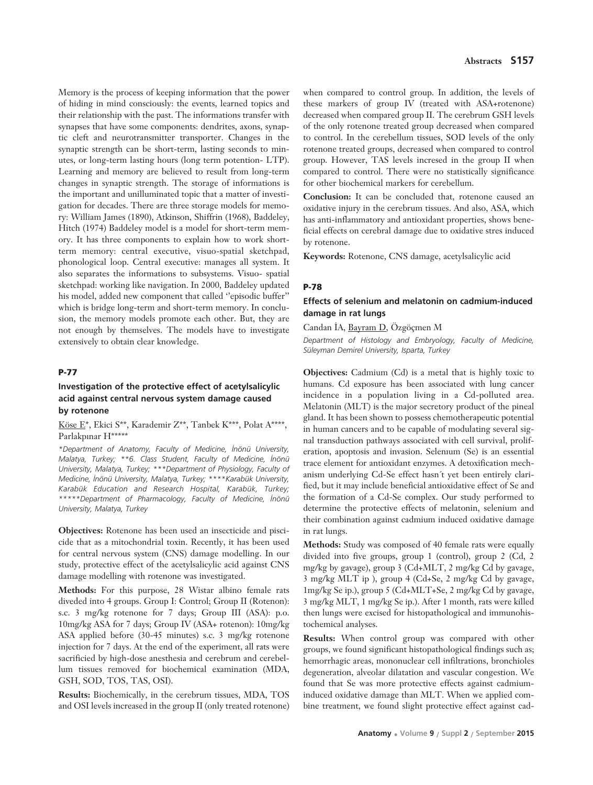Memory is the process of keeping information that the power of hiding in mind consciously: the events, learned topics and their relationship with the past. The informations transfer with synapses that have some components: dendrites, axons, synaptic cleft and neurotransmitter transporter. Changes in the synaptic strength can be short-term, lasting seconds to minutes, or long-term lasting hours (long term potention- LTP). Learning and memory are believed to result from long-term changes in synaptic strength. The storage of informations is the important and unilluminated topic that a matter of investigation for decades. There are three storage models for memory: William James (1890), Atkinson, Shiffrin (1968), Baddeley, Hitch (1974) Baddeley model is a model for short-term memory. It has three components to explain how to work shortterm memory: central executive, visuo-spatial sketchpad, phonological loop. Central executive: manages all system. It also separates the informations to subsystems. Visuo- spatial sketchpad: working like navigation. In 2000, Baddeley updated his model, added new component that called ''episodic buffer'' which is bridge long-term and short-term memory. In conclusion, the memory models promote each other. But, they are not enough by themselves. The models have to investigate extensively to obtain clear knowledge.

## **P-77**

## **Investigation of the protective effect of acetylsalicylic acid against central nervous system damage caused by rotenone**

### Köse E\*, Ekici S\*\*, Karademir Z\*\*, Tanbek K\*\*\*, Polat A\*\*\*\*, Parlakpınar H\*\*\*\*\*

*\*Department of Anatomy, Faculty of Medicine, ‹nönü University, Malatya, Turkey; \*\*6. Class Student, Faculty of Medicine, ‹nönü University, Malatya, Turkey; \*\*\*Department of Physiology, Faculty of Medicine, ‹nönü University, Malatya, Turkey; \*\*\*\*Karabük University, Karabük Education and Research Hospital, Karabük, Turkey; \*\*\*\*\*Department of Pharmacology, Faculty of Medicine, ‹nönü University, Malatya, Turkey*

**Objectives:** Rotenone has been used an insecticide and piscicide that as a mitochondrial toxin. Recently, it has been used for central nervous system (CNS) damage modelling. In our study, protective effect of the acetylsalicylic acid against CNS damage modelling with rotenone was investigated.

**Methods:** For this purpose, 28 Wistar albino female rats diveded into 4 groups. Group I: Control; Group II (Rotenon): s.c. 3 mg/kg rotenone for 7 days; Group III (ASA): p.o. 10mg/kg ASA for 7 days; Group IV (ASA+ rotenon): 10mg/kg ASA applied before (30-45 minutes) s.c. 3 mg/kg rotenone injection for 7 days. At the end of the experiment, all rats were sacrificied by high-dose anesthesia and cerebrum and cerebellum tissues removed for biochemical examination (MDA, GSH, SOD, TOS, TAS, OSI).

**Results:** Biochemically, in the cerebrum tissues, MDA, TOS and OSI levels increased in the group II (only treated rotenone)

when compared to control group. In addition, the levels of these markers of group IV (treated with ASA+rotenone) decreased when compared group II. The cerebrum GSH levels of the only rotenone treated group decreased when compared to control. In the cerebellum tissues, SOD levels of the only rotenone treated groups, decreased when compared to control group. However, TAS levels incresed in the group II when compared to control. There were no statistically significance for other biochemical markers for cerebellum.

**Conclusion:** It can be concluded that, rotenone caused an oxidative injury in the cerebrum tissues. And also, ASA, which has anti-inflammatory and antioxidant properties, shows beneficial effects on cerebral damage due to oxidative stres induced by rotenone.

**Keywords:** Rotenone, CNS damage, acetylsalicylic acid

### **P-78**

# **Effects of selenium and melatonin on cadmium-induced damage in rat lungs**

Candan İA, Bayram D, Özgöçmen M

*Department of Histology and Embryology, Faculty of Medicine, Süleyman Demirel University, Isparta, Turkey* 

**Objectives:** Cadmium (Cd) is a metal that is highly toxic to humans. Cd exposure has been associated with lung cancer incidence in a population living in a Cd-polluted area. Melatonin (MLT) is the major secretory product of the pineal gland. It has been shown to possess chemotherapeutic potential in human cancers and to be capable of modulating several signal transduction pathways associated with cell survival, proliferation, apoptosis and invasion. Selenium (Se) is an essential trace element for antioxidant enzymes. A detoxification mechanism underlying Cd-Se effect hasn´t yet been entirely clarified, but it may include beneficial antioxidative effect of Se and the formation of a Cd-Se complex. Our study performed to determine the protective effects of melatonin, selenium and their combination against cadmium induced oxidative damage in rat lungs.

**Methods:** Study was composed of 40 female rats were equally divided into five groups, group 1 (control), group 2 (Cd, 2 mg/kg by gavage), group 3 (Cd+MLT, 2 mg/kg Cd by gavage, 3 mg/kg MLT ip ), group 4 (Cd+Se, 2 mg/kg Cd by gavage, 1mg/kg Se ip.), group 5 (Cd+MLT+Se, 2 mg/kg Cd by gavage, 3 mg/kg MLT, 1 mg/kg Se ip.). After 1 month, rats were killed then lungs were excised for histopathological and immunohistochemical analyses.

**Results:** When control group was compared with other groups, we found significant histopathological findings such as; hemorrhagic areas, mononuclear cell infiltrations, bronchioles degeneration, alveolar dilatation and vascular congestion. We found that Se was more protective effects against cadmiuminduced oxidative damage than MLT. When we applied combine treatment, we found slight protective effect against cad-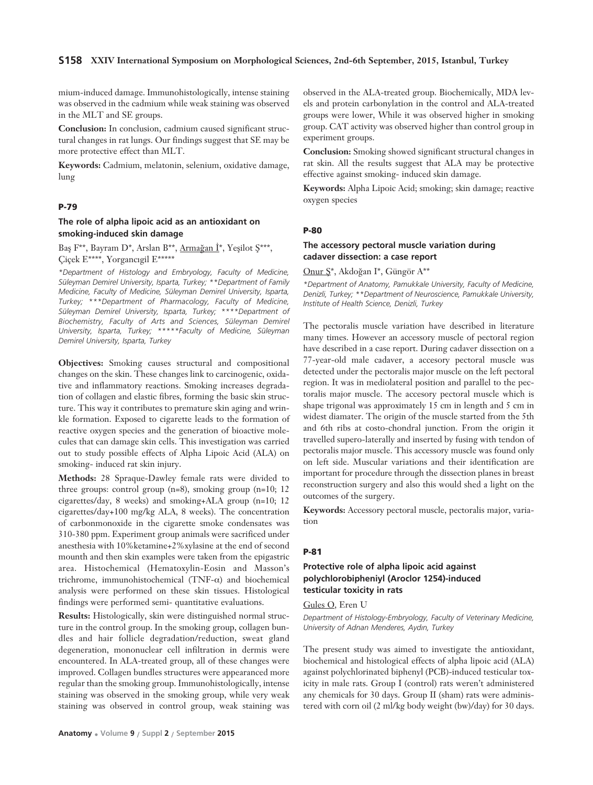### **S158 XXIV International Symposium on Morphological Sciences, 2nd-6th September, 2015, Istanbul, Turkey**

mium-induced damage. Immunohistologically, intense staining was observed in the cadmium while weak staining was observed in the MLT and SE groups.

**Conclusion:** In conclusion, cadmium caused significant structural changes in rat lungs. Our findings suggest that SE may be more protective effect than MLT.

**Keywords:** Cadmium, melatonin, selenium, oxidative damage, lung

### **P-79**

### **The role of alpha lipoic acid as an antioxidant on smoking-induced skin damage**

Baş F<sup>\*\*</sup>, Bayram D<sup>\*</sup>, Arslan B<sup>\*\*</sup>, Armağan İ<sup>\*</sup>, Yeşilot S<sup>\*\*\*</sup>, Ciçek E\*\*\*\*, Yorgancıgil E\*\*\*\*\*

*\*Department of Histology and Embryology, Faculty of Medicine, Süleyman Demirel University, Isparta, Turkey; \*\*Department of Family Medicine, Faculty of Medicine, Süleyman Demirel University, Isparta, Turkey; \*\*\*Department of Pharmacology, Faculty of Medicine, Süleyman Demirel University, Isparta, Turkey; \*\*\*\*Department of Biochemistry, Faculty of Arts and Sciences, Süleyman Demirel University, Isparta, Turkey; \*\*\*\*\*Faculty of Medicine, Süleyman Demirel University, Isparta, Turkey*

**Objectives:** Smoking causes structural and compositional changes on the skin. These changes link to carcinogenic, oxidative and inflammatory reactions. Smoking increases degradation of collagen and elastic fibres, forming the basic skin structure. This way it contributes to premature skin aging and wrinkle formation. Exposed to cigarette leads to the formation of reactive oxygen species and the generation of bioactive molecules that can damage skin cells. This investigation was carried out to study possible effects of Alpha Lipoic Acid (ALA) on smoking- induced rat skin injury.

**Methods:** 28 Spraque-Dawley female rats were divided to three groups: control group (n=8), smoking group (n=10; 12 cigarettes/day, 8 weeks) and smoking+ALA group (n=10; 12 cigarettes/day+100 mg/kg ALA, 8 weeks). The concentration of carbonmonoxide in the cigarette smoke condensates was 310-380 ppm. Experiment group animals were sacrificed under anesthesia with 10%ketamine+2%xylasine at the end of second mounth and then skin examples were taken from the epigastric area. Histochemical (Hematoxylin-Eosin and Masson's trichrome, immunohistochemical (TNF-α) and biochemical analysis were performed on these skin tissues. Histological findings were performed semi- quantitative evaluations.

**Results:** Histologically, skin were distinguished normal structure in the control group. In the smoking group, collagen bundles and hair follicle degradation/reduction, sweat gland degeneration, mononuclear cell infiltration in dermis were encountered. In ALA-treated group, all of these changes were improved. Collagen bundles structures were appearanced more regular than the smoking group. Immunohistologically, intense staining was observed in the smoking group, while very weak staining was observed in control group, weak staining was

observed in the ALA-treated group. Biochemically, MDA levels and protein carbonylation in the control and ALA-treated groups were lower, While it was observed higher in smoking group. CAT activity was observed higher than control group in experiment groups.

**Conclusion:** Smoking showed significant structural changes in rat skin. All the results suggest that ALA may be protective effective against smoking- induced skin damage.

**Keywords:** Alpha Lipoic Acid; smoking; skin damage; reactive oxygen species

#### **P-80**

### **The accessory pectoral muscle variation during cadaver dissection: a case report**

Onur  $S^*$ , Akdoğan I\*, Güngör A\*\*

*\*Department of Anatomy, Pamukkale University, Faculty of Medicine, Denizli, Turkey; \*\*Department of Neuroscience, Pamukkale University, Institute of Health Science, Denizli, Turkey* 

The pectoralis muscle variation have described in literature many times. However an accessory muscle of pectoral region have described in a case report. During cadaver dissection on a 77-year-old male cadaver, a accesory pectoral muscle was detected under the pectoralis major muscle on the left pectoral region. It was in mediolateral position and parallel to the pectoralis major muscle. The accesory pectoral muscle which is shape trigonal was approximately 15 cm in length and 5 cm in widest diamater. The origin of the muscle started from the 5th and 6th ribs at costo-chondral junction. From the origin it travelled supero-laterally and inserted by fusing with tendon of pectoralis major muscle. This accessory muscle was found only on left side. Muscular variations and their identification are important for procedure through the dissection planes in breast reconstruction surgery and also this would shed a light on the outcomes of the surgery.

**Keywords:** Accessory pectoral muscle, pectoralis major, variation

#### **P-81**

# **Protective role of alpha lipoic acid against polychlorobipheniyl (Aroclor 1254)-induced testicular toxicity in rats**

## Gules O, Eren U

*Department of Histology-Embryology, Faculty of Veterinary Medicine, University of Adnan Menderes, Ayd›n, Turkey* 

The present study was aimed to investigate the antioxidant, biochemical and histological effects of alpha lipoic acid (ALA) against polychlorinated biphenyl (PCB)-induced testicular toxicity in male rats. Group I (control) rats weren't administered any chemicals for 30 days. Group II (sham) rats were administered with corn oil (2 ml/kg body weight (bw)/day) for 30 days.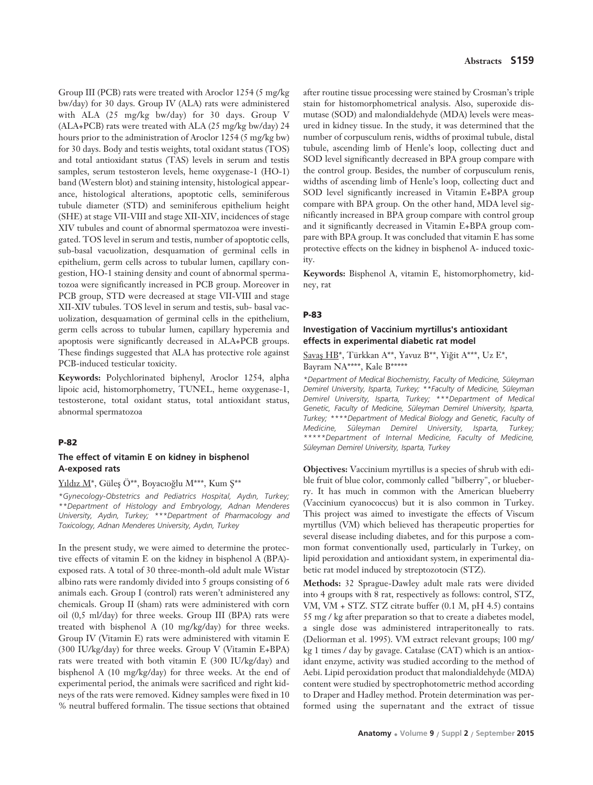Group III (PCB) rats were treated with Aroclor 1254 (5 mg/kg bw/day) for 30 days. Group IV (ALA) rats were administered with ALA (25 mg/kg bw/day) for 30 days. Group V (ALA+PCB) rats were treated with ALA (25 mg/kg bw/day) 24 hours prior to the administration of Aroclor 1254 (5 mg/kg bw) for 30 days. Body and testis weights, total oxidant status (TOS) and total antioxidant status (TAS) levels in serum and testis samples, serum testosteron levels, heme oxygenase-1 (HO-1) band (Western blot) and staining intensity, histological appearance, histological alterations, apoptotic cells, seminiferous tubule diameter (STD) and seminiferous epithelium height (SHE) at stage VII-VIII and stage XII-XIV, incidences of stage XIV tubules and count of abnormal spermatozoa were investigated. TOS level in serum and testis, number of apoptotic cells, sub-basal vacuolization, desquamation of germinal cells in epithelium, germ cells across to tubular lumen, capillary congestion, HO-1 staining density and count of abnormal spermatozoa were significantly increased in PCB group. Moreover in PCB group, STD were decreased at stage VII-VIII and stage XII-XIV tubules. TOS level in serum and testis, sub- basal vacuolization, desquamation of germinal cells in the epithelium, germ cells across to tubular lumen, capillary hyperemia and apoptosis were significantly decreased in ALA+PCB groups. These findings suggested that ALA has protective role against PCB-induced testicular toxicity.

**Keywords:** Polychlorinated biphenyl, Aroclor 1254, alpha lipoic acid, histomorphometry, TUNEL, heme oxygenase-1, testosterone, total oxidant status, total antioxidant status, abnormal spermatozoa

#### **P-82**

# **The effect of vitamin E on kidney in bisphenol A-exposed rats**

#### $Y_1$ ldız  $M^*$ , Güleş Ö\*\*, Boyacıoğlu M\*\*\*, Kum Ş\*\*

*\*Gynecology-Obstetrics and Pediatrics Hospital, Ayd›n, Turkey; \*\*Department of Histology and Embryology, Adnan Menderes University, Ayd›n, Turkey; \*\*\*Department of Pharmacology and Toxicology, Adnan Menderes University, Ayd›n, Turkey* 

In the present study, we were aimed to determine the protective effects of vitamin E on the kidney in bisphenol A (BPA) exposed rats. A total of 30 three-month-old adult male Wistar albino rats were randomly divided into 5 groups consisting of 6 animals each. Group I (control) rats weren't administered any chemicals. Group II (sham) rats were administered with corn oil (0,5 ml/day) for three weeks. Group III (BPA) rats were treated with bisphenol A (10 mg/kg/day) for three weeks. Group IV (Vitamin E) rats were administered with vitamin E (300 IU/kg/day) for three weeks. Group V (Vitamin E+BPA) rats were treated with both vitamin E (300 IU/kg/day) and bisphenol A (10 mg/kg/day) for three weeks. At the end of experimental period, the animals were sacrificed and right kidneys of the rats were removed. Kidney samples were fixed in 10 % neutral buffered formalin. The tissue sections that obtained after routine tissue processing were stained by Crosman's triple stain for histomorphometrical analysis. Also, superoxide dismutase (SOD) and malondialdehyde (MDA) levels were measured in kidney tissue. In the study, it was determined that the number of corpusculum renis, widths of proximal tubule, distal tubule, ascending limb of Henle's loop, collecting duct and SOD level significantly decreased in BPA group compare with the control group. Besides, the number of corpusculum renis, widths of ascending limb of Henle's loop, collecting duct and SOD level significantly increased in Vitamin E+BPA group compare with BPA group. On the other hand, MDA level significantly increased in BPA group compare with control group and it significantly decreased in Vitamin E+BPA group compare with BPA group. It was concluded that vitamin E has some protective effects on the kidney in bisphenol A- induced toxicity.

**Keywords:** Bisphenol A, vitamin E, histomorphometry, kidney, rat

### **P-83**

# **Investigation of Vaccinium myrtillus's antioxidant effects in experimental diabetic rat model**

Savaş HB\*, Türkkan A\*\*, Yavuz B\*\*, Yiğit A\*\*\*, Uz E\*, Bayram NA\*\*\*\*, Kale B\*\*\*\*\*

*\*Department of Medical Biochemistry, Faculty of Medicine, Süleyman Demirel University, Isparta, Turkey; \*\*Faculty of Medicine, Süleyman Demirel University, Isparta, Turkey; \*\*\*Department of Medical Genetic, Faculty of Medicine, Süleyman Demirel University, Isparta, Turkey; \*\*\*\*Department of Medical Biology and Genetic, Faculty of Medicine, Süleyman Demirel University, Isparta, Turkey; \*\*\*\*\*Department of Internal Medicine, Faculty of Medicine, Süleyman Demirel University, Isparta, Turkey* 

**Objectives:** Vaccinium myrtillus is a species of shrub with edible fruit of blue color, commonly called "bilberry", or blueberry. It has much in common with the American blueberry (Vaccinium cyanococcus) but it is also common in Turkey. This project was aimed to investigate the effects of Viscum myrtillus (VM) which believed has therapeutic properties for several disease including diabetes, and for this purpose a common format conventionally used, particularly in Turkey, on lipid peroxidation and antioxidant system, in experimental diabetic rat model induced by streptozotocin (STZ).

**Methods:** 32 Sprague-Dawley adult male rats were divided into 4 groups with 8 rat, respectively as follows: control, STZ, VM, VM + STZ. STZ citrate buffer (0.1 M, pH 4.5) contains 55 mg / kg after preparation so that to create a diabetes model, a single dose was administered intraperitoneally to rats. (Deliorman et al. 1995). VM extract relevant groups; 100 mg/ kg 1 times / day by gavage. Catalase (CAT) which is an antioxidant enzyme, activity was studied according to the method of Aebi. Lipid peroxidation product that malondialdehyde (MDA) content were studied by spectrophotometric method according to Draper and Hadley method. Protein determination was performed using the supernatant and the extract of tissue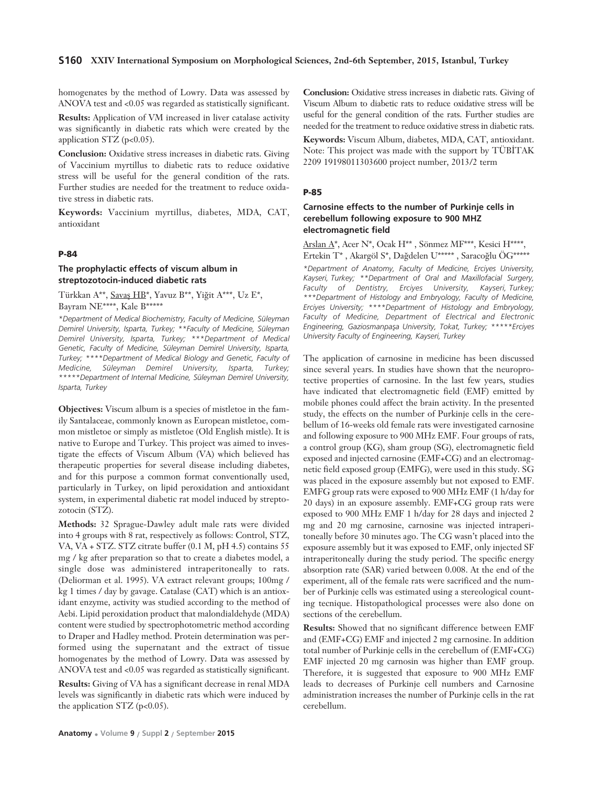#### **S160 XXIV International Symposium on Morphological Sciences, 2nd-6th September, 2015, Istanbul, Turkey**

homogenates by the method of Lowry. Data was assessed by ANOVA test and <0.05 was regarded as statistically significant.

**Results:** Application of VM increased in liver catalase activity was significantly in diabetic rats which were created by the application STZ (p<0.05).

**Conclusion:** Oxidative stress increases in diabetic rats. Giving of Vaccinium myrtillus to diabetic rats to reduce oxidative stress will be useful for the general condition of the rats. Further studies are needed for the treatment to reduce oxidative stress in diabetic rats.

**Keywords:** Vaccinium myrtillus, diabetes, MDA, CAT, antioxidant

#### **P-84**

## **The prophylactic effects of viscum album in streptozotocin-induced diabetic rats**

Türkkan A\*\*, Savaş HB\*, Yavuz B\*\*, Yiğit A\*\*\*, Uz E\*, Bayram NE\*\*\*\*, Kale B\*\*\*\*\*

*\*Department of Medical Biochemistry, Faculty of Medicine, Süleyman Demirel University, Isparta, Turkey; \*\*Faculty of Medicine, Süleyman Demirel University, Isparta, Turkey; \*\*\*Department of Medical Genetic, Faculty of Medicine, Süleyman Demirel University, Isparta, Turkey; \*\*\*\*Department of Medical Biology and Genetic, Faculty of Medicine, Süleyman Demirel University, Isparta, Turkey; \*\*\*\*\*Department of Internal Medicine, Süleyman Demirel University, Isparta, Turkey*

**Objectives:** Viscum album is a species of mistletoe in the family Santalaceae, commonly known as European mistletoe, common mistletoe or simply as mistletoe (Old English mistle). It is native to Europe and Turkey. This project was aimed to investigate the effects of Viscum Album (VA) which believed has therapeutic properties for several disease including diabetes, and for this purpose a common format conventionally used, particularly in Turkey, on lipid peroxidation and antioxidant system, in experimental diabetic rat model induced by streptozotocin (STZ).

**Methods:** 32 Sprague-Dawley adult male rats were divided into 4 groups with 8 rat, respectively as follows: Control, STZ, VA, VA + STZ. STZ citrate buffer (0.1 M, pH 4.5) contains 55 mg / kg after preparation so that to create a diabetes model, a single dose was administered intraperitoneally to rats. (Deliorman et al. 1995). VA extract relevant groups; 100mg / kg 1 times / day by gavage. Catalase (CAT) which is an antioxidant enzyme, activity was studied according to the method of Aebi. Lipid peroxidation product that malondialdehyde (MDA) content were studied by spectrophotometric method according to Draper and Hadley method. Protein determination was performed using the supernatant and the extract of tissue homogenates by the method of Lowry. Data was assessed by ANOVA test and <0.05 was regarded as statistically significant.

**Results:** Giving of VA has a significant decrease in renal MDA levels was significantly in diabetic rats which were induced by the application STZ ( $p<0.05$ ).

**Conclusion:** Oxidative stress increases in diabetic rats. Giving of Viscum Album to diabetic rats to reduce oxidative stress will be useful for the general condition of the rats. Further studies are needed for the treatment to reduce oxidative stress in diabetic rats.

**Keywords:** Viscum Album, diabetes, MDA, CAT, antioxidant. Note: This project was made with the support by TÜBİTAK 2209 19198011303600 project number, 2013/2 term

#### **P-85**

## **Carnosine effects to the number of Purkinje cells in cerebellum following exposure to 900 MHZ electromagnetic field**

Arslan A\*, Acer N\*, Ocak H\*\* , Sönmez MF\*\*\*, Kesici H\*\*\*\*, Ertekin T\*, Akargöl S\*, Dağdelen U\*\*\*\*\*, Saracoğlu ÖG\*\*\*\*\*

*\*Department of Anatomy, Faculty of Medicine, Erciyes University, Kayseri, Turkey; \*\*Department of Oral and Maxillofacial Surgery, Faculty of Dentistry, Erciyes University, Kayseri, Turkey; \*\*\*Department of Histology and Embryology, Faculty of Medicine, Erciyes University; \*\*\*\*Department of Histology and Embryology, Faculty of Medicine, Department of Electrical and Electronic Engineering, Gaziosmanpafla University, Tokat, Turkey; \*\*\*\*\*Erciyes University Faculty of Engineering, Kayseri, Turkey*

The application of carnosine in medicine has been discussed since several years. In studies have shown that the neuroprotective properties of carnosine. In the last few years, studies have indicated that electromagnetic field (EMF) emitted by mobile phones could affect the brain activity. In the presented study, the effects on the number of Purkinje cells in the cerebellum of 16-weeks old female rats were investigated carnosine and following exposure to 900 MHz EMF. Four groups of rats, a control group (KG), sham group (SG), electromagnetic field exposed and injected carnosine (EMF+CG) and an electromagnetic field exposed group (EMFG), were used in this study. SG was placed in the exposure assembly but not exposed to EMF. EMFG group rats were exposed to 900 MHz EMF (1 h/day for 20 days) in an exposure assembly. EMF+CG group rats were exposed to 900 MHz EMF 1 h/day for 28 days and injected 2 mg and 20 mg carnosine, carnosine was injected intraperitoneally before 30 minutes ago. The CG wasn't placed into the exposure assembly but it was exposed to EMF, only injected SF intraperitoneally during the study period. The specific energy absorption rate (SAR) varied between 0.008. At the end of the experiment, all of the female rats were sacrificed and the number of Purkinje cells was estimated using a stereological counting tecnique. Histopathological processes were also done on sections of the cerebellum.

**Results:** Showed that no significant difference between EMF and (EMF+CG) EMF and injected 2 mg carnosine. In addition total number of Purkinje cells in the cerebellum of (EMF+CG) EMF injected 20 mg carnosin was higher than EMF group. Therefore, it is suggested that exposure to 900 MHz EMF leads to decreases of Purkinje cell numbers and Carnosine administration increases the number of Purkinje cells in the rat cerebellum.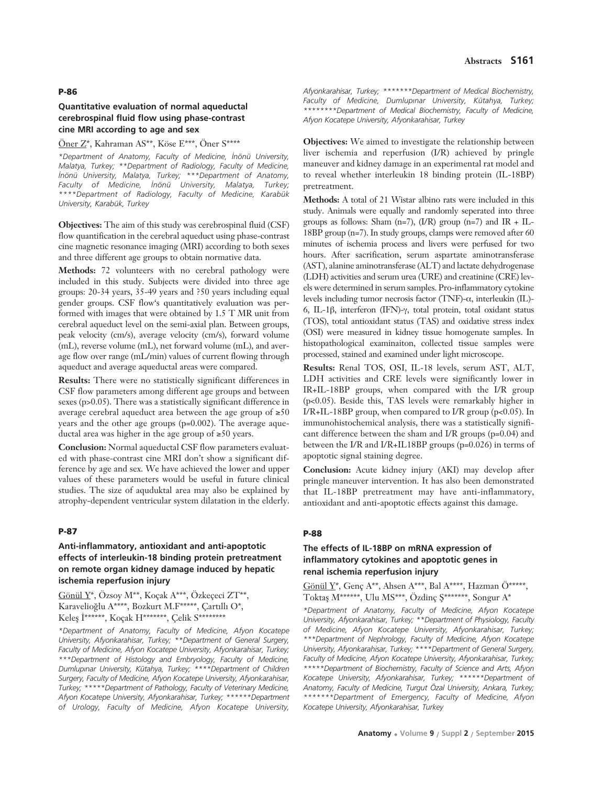## **Abstracts S161**

### **P-86**

## **Quantitative evaluation of normal aqueductal cerebrospinal fluid flow using phase-contrast cine MRI according to age and sex**

## Öner Z\*, Kahraman AS\*\*, Köse E\*\*\*, Öner S\*\*\*\*

*\*Department of Anatomy, Faculty of Medicine, ‹nönü University, Malatya, Turkey; \*\*Department of Radiology, Faculty of Medicine, ‹nönü University, Malatya, Turkey; \*\*\*Department of Anatomy,* Faculty of Medicine, İnönü University, Malatya, Turkey; *\*\*\*\*Department of Radiology, Faculty of Medicine, Karabük University, Karabük, Turkey*

**Objectives:** The aim of this study was cerebrospinal fluid (CSF) flow quantification in the cerebral aqueduct using phase-contrast cine magnetic resonance imaging (MRI) according to both sexes and three different age groups to obtain normative data.

**Methods:** 72 volunteers with no cerebral pathology were included in this study. Subjects were divided into three age groups: 20-34 years, 35-49 years and ?50 years including equal gender groups. CSF flow's quantitatively evaluation was performed with images that were obtained by 1.5 T MR unit from cerebral aqueduct level on the semi-axial plan. Between groups, peak velocity (cm/s), average velocity (cm/s), forward volume (mL), reverse volume (mL), net forward volume (mL), and average flow over range (mL/min) values of current flowing through aqueduct and average aqueductal areas were compared.

**Results:** There were no statistically significant differences in CSF flow parameters among different age groups and between sexes (p>0.05). There was a statistically significant difference in average cerebral aqueduct area between the age group of ≥50 years and the other age groups (p=0.002). The average aqueductal area was higher in the age group of ≥50 years.

**Conclusion:** Normal aqueductal CSF flow parameters evaluated with phase-contrast cine MRI don't show a significant difference by age and sex. We have achieved the lower and upper values of these parameters would be useful in future clinical studies. The size of aquduktal area may also be explained by atrophy-dependent ventricular system dilatation in the elderly.

#### **P-87**

## **Anti-inflammatory, antioxidant and anti-apoptotic effects of interleukin-18 binding protein pretreatment on remote organ kidney damage induced by hepatic ischemia reperfusion injury**

Gönül Y\*, Özsoy M\*\*, Koçak A\*\*\*, Özkeçeci ZT\*\*, Karavelioğlu A\*\*\*\*, Bozkurt M.F\*\*\*\*\*, Çartıllı O\*, Keleş İ\*\*\*\*\*\*, Koçak H\*\*\*\*\*\*\*, Çelik S\*\*\*\*\*\*\*\*

*\*Department of Anatomy, Faculty of Medicine, Afyon Kocatepe University, Afyonkarahisar, Turkey; \*\*Department of General Surgery, Faculty of Medicine, Afyon Kocatepe University, Afyonkarahisar, Turkey; \*\*\*Department of Histology and Embryology, Faculty of Medicine, Dumlup›nar University, Kütahya, Turkey; \*\*\*\*Department of Children Surgery, Faculty of Medicine, Afyon Kocatepe University, Afyonkarahisar, Turkey; \*\*\*\*\*Department of Pathology, Faculty of Veterinary Medicine, Afyon Kocatepe University, Afyonkarahisar, Turkey; \*\*\*\*\*\*Department of Urology, Faculty of Medicine, Afyon Kocatepe University,*

*Afyonkarahisar, Turkey; \*\*\*\*\*\*\*Department of Medical Biochemistry,* Faculty of Medicine, Dumlupinar University, Kütahya, Turkey; *\*\*\*\*\*\*\*\*Department of Medical Biochemistry, Faculty of Medicine, Afyon Kocatepe University, Afyonkarahisar, Turkey* 

**Objectives:** We aimed to investigate the relationship between liver ischemia and reperfusion (I/R) achieved by pringle maneuver and kidney damage in an experimental rat model and to reveal whether interleukin 18 binding protein (IL-18BP) pretreatment.

**Methods:** A total of 21 Wistar albino rats were included in this study. Animals were equally and randomly seperated into three groups as follows: Sham (n=7), (I/R) group (n=7) and IR + IL-18BP group (n=7). In study groups, clamps were removed after 60 minutes of ischemia process and livers were perfused for two hours. After sacrification, serum aspartate aminotransferase (AST), alanine aminotransferase (ALT) and lactate dehydrogenase (LDH) activities and serum urea (URE) and creatinine (CRE) levels were determined in serum samples. Pro-inflammatory cytokine levels including tumor necrosis factor (TNF)-α, interleukin (IL)- 6, IL-1β, interferon (IFN)-γ, total protein, total oxidant status (TOS), total antioxidant status (TAS) and oxidative stress index (OSI) were measured in kidney tissue homogenate samples. In histopathological examinaiton, collected tissue samples were processed, stained and examined under light microscope.

**Results:** Renal TOS, OSI, IL-18 levels, serum AST, ALT, LDH activities and CRE levels were significantly lower in IR+IL-18BP groups, when compared with the I/R group (p<0.05). Beside this, TAS levels were remarkably higher in I/R+IL-18BP group, when compared to I/R group ( $p<0.05$ ). In immunohistochemical analysis, there was a statistically significant difference between the sham and I/R groups (p=0.04) and between the I/R and I/R+IL18BP groups (p=0.026) in terms of apoptotic signal staining degree.

**Conclusion:** Acute kidney injury (AKI) may develop after pringle maneuver intervention. It has also been demonstrated that IL-18BP pretreatment may have anti-inflammatory, antioxidant and anti-apoptotic effects against this damage.

#### **P-88**

## **The effects of IL-18BP on mRNA expression of inflammatory cytokines and apoptotic genes in renal ischemia reperfusion injury**

Gönül Y\*, Genç A\*\*, Ahsen A\*\*\*, Bal A\*\*\*\*, Hazman Ö\*\*\*\*\*, Toktaş M\*\*\*\*\*\*, Ulu MS\*\*\*, Özdinç Ş\*\*\*\*\*\*\*, Songur A\*

*\*Department of Anatomy, Faculty of Medicine, Afyon Kocatepe University, Afyonkarahisar, Turkey; \*\*Department of Physiology, Faculty of Medicine, Afyon Kocatepe University, Afyonkarahisar, Turkey; \*\*\*Department of Nephrology, Faculty of Medicine, Afyon Kocatepe University, Afyonkarahisar, Turkey; \*\*\*\*Department of General Surgery, Faculty of Medicine, Afyon Kocatepe University, Afyonkarahisar, Turkey; \*\*\*\*\*Department of Biochemistry, Faculty of Science and Arts, Afyon Kocatepe University, Afyonkarahisar, Turkey; \*\*\*\*\*\*Department of Anatomy, Faculty of Medicine, Turgut Özal University, Ankara, Turkey; \*\*\*\*\*\*\*Department of Emergency, Faculty of Medicine, Afyon Kocatepe University, Afyonkarahisar, Turkey*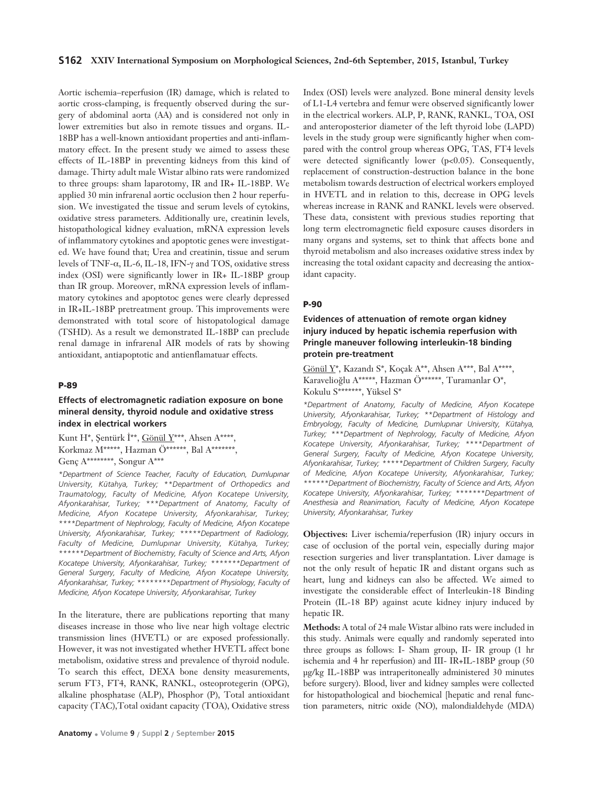Aortic ischemia–reperfusion (IR) damage, which is related to aortic cross-clamping, is frequently observed during the surgery of abdominal aorta (AA) and is considered not only in lower extremities but also in remote tissues and organs. IL-18BP has a well-known antioxidant properties and anti-inflammatory effect. In the present study we aimed to assess these effects of IL-18BP in preventing kidneys from this kind of damage. Thirty adult male Wistar albino rats were randomized to three groups: sham laparotomy, IR and IR+ IL-18BP. We applied 30 min infrarenal aortic occlusion then 2 hour reperfusion. We investigated the tissue and serum levels of cytokins, oxidative stress parameters. Additionally ure, creatinin levels, histopathological kidney evaluation, mRNA expression levels of inflammatory cytokines and apoptotic genes were investigated. We have found that; Urea and creatinin, tissue and serum levels of TNF-α, IL-6, IL-18, IFN-γ and TOS, oxidative stress index (OSI) were significantly lower in IR+ IL-18BP group than IR group. Moreover, mRNA expression levels of inflammatory cytokines and apoptotoc genes were clearly depressed in IR+IL-18BP pretreatment group. This improvements were demonstrated with total score of histopatological damage (TSHD). As a result we demonstrated IL-18BP can preclude renal damage in infrarenal AIR models of rats by showing antioxidant, antiapoptotic and antienflamatuar effects.

#### **P-89**

## **Effects of electromagnetic radiation exposure on bone mineral density, thyroid nodule and oxidative stress index in electrical workers**

Kunt H\*, Şentürk İ\*\*, Gönül Y\*\*\*, Ahsen A\*\*\*\*, Korkmaz M\*\*\*\*\*, Hazman Ö\*\*\*\*\*\*, Bal A\*\*\*\*\*\*\*, Genç A\*\*\*\*\*\*\*\*, Songur A\*\*\*

*\*Department of Science Teacher, Faculty of Education, Dumlup›nar University, Kütahya, Turkey; \*\*Department of Orthopedics and Traumatology, Faculty of Medicine, Afyon Kocatepe University, Afyonkarahisar, Turkey; \*\*\*Department of Anatomy, Faculty of Medicine, Afyon Kocatepe University, Afyonkarahisar, Turkey; \*\*\*\*Department of Nephrology, Faculty of Medicine, Afyon Kocatepe University, Afyonkarahisar, Turkey; \*\*\*\*\*Department of Radiology, Faculty of Medicine, Dumlup›nar University, Kütahya, Turkey; \*\*\*\*\*\*Department of Biochemistry, Faculty of Science and Arts, Afyon Kocatepe University, Afyonkarahisar, Turkey; \*\*\*\*\*\*\*Department of General Surgery, Faculty of Medicine, Afyon Kocatepe University, Afyonkarahisar, Turkey; \*\*\*\*\*\*\*\*Department of Physiology, Faculty of Medicine, Afyon Kocatepe University, Afyonkarahisar, Turkey* 

In the literature, there are publications reporting that many diseases increase in those who live near high voltage electric transmission lines (HVETL) or are exposed professionally. However, it was not investigated whether HVETL affect bone metabolism, oxidative stress and prevalence of thyroid nodule. To search this effect, DEXA bone density measurements, serum FT3, FT4, RANK, RANKL, osteoprotegerin (OPG), alkaline phosphatase (ALP), Phosphor (P), Total antioxidant capacity (TAC),Total oxidant capacity (TOA), Oxidative stress

Index (OSI) levels were analyzed. Bone mineral density levels of L1-L4 vertebra and femur were observed significantly lower in the electrical workers. ALP, P, RANK, RANKL, TOA, OSI and anteroposterior diameter of the left thyroid lobe (LAPD) levels in the study group were significantly higher when compared with the control group whereas OPG, TAS, FT4 levels were detected significantly lower (p<0.05). Consequently, replacement of construction-destruction balance in the bone metabolism towards destruction of electrical workers employed in HVETL and in relation to this, decrease in OPG levels whereas increase in RANK and RANKL levels were observed. These data, consistent with previous studies reporting that long term electromagnetic field exposure causes disorders in many organs and systems, set to think that affects bone and thyroid metabolism and also increases oxidative stress index by increasing the total oxidant capacity and decreasing the antioxidant capacity.

#### **P-90**

## **Evidences of attenuation of remote organ kidney injury induced by hepatic ischemia reperfusion with Pringle maneuver following interleukin-18 binding protein pre-treatment**

Gönül  $Y^*$ , Kazandı S\*, Koçak A\*\*, Ahsen A\*\*\*, Bal A\*\*\*\*, Karavelioğlu A\*\*\*\*\*, Hazman Ö\*\*\*\*\*\*, Turamanlar O\*, Kokulu S\*\*\*\*\*\*\*, Yüksel S\*

*\*Department of Anatomy, Faculty of Medicine, Afyon Kocatepe University, Afyonkarahisar, Turkey; \*\*Department of Histology and Embryology, Faculty of Medicine, Dumlup›nar University, Kütahya, Turkey; \*\*\*Department of Nephrology, Faculty of Medicine, Afyon Kocatepe University, Afyonkarahisar, Turkey; \*\*\*\*Department of General Surgery, Faculty of Medicine, Afyon Kocatepe University, Afyonkarahisar, Turkey; \*\*\*\*\*Department of Children Surgery, Faculty of Medicine, Afyon Kocatepe University, Afyonkarahisar, Turkey; \*\*\*\*\*\*Department of Biochemistry, Faculty of Science and Arts, Afyon Kocatepe University, Afyonkarahisar, Turkey; \*\*\*\*\*\*\*Department of Anesthesia and Reanimation, Faculty of Medicine, Afyon Kocatepe University, Afyonkarahisar, Turkey*

**Objectives:** Liver ischemia/reperfusion (IR) injury occurs in case of occlusion of the portal vein, especially during major resection surgeries and liver transplantation. Liver damage is not the only result of hepatic IR and distant organs such as heart, lung and kidneys can also be affected. We aimed to investigate the considerable effect of Interleukin-18 Binding Protein (IL-18 BP) against acute kidney injury induced by hepatic IR.

**Methods:** A total of 24 male Wistar albino rats were included in this study. Animals were equally and randomly seperated into three groups as follows: I- Sham group, II- IR group (1 hr ischemia and 4 hr reperfusion) and III- IR+IL-18BP group (50 μg/kg IL-18BP was intraperitoneally administered 30 minutes before surgery). Blood, liver and kidney samples were collected for histopathological and biochemical [hepatic and renal function parameters, nitric oxide (NO), malondialdehyde (MDA)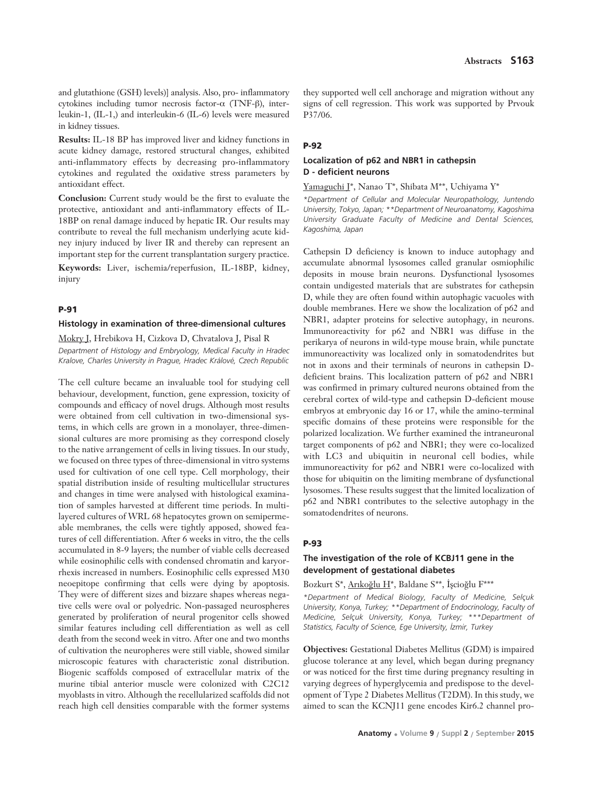and glutathione (GSH) levels)] analysis. Also, pro- inflammatory cytokines including tumor necrosis factor-α (TNF-β), interleukin-1, (IL-1,) and interleukin-6 (IL-6) levels were measured in kidney tissues.

**Results:** IL-18 BP has improved liver and kidney functions in acute kidney damage, restored structural changes, exhibited anti-inflammatory effects by decreasing pro-inflammatory cytokines and regulated the oxidative stress parameters by antioxidant effect.

**Conclusion:** Current study would be the first to evaluate the protective, antioxidant and anti-inflammatory effects of IL-18BP on renal damage induced by hepatic IR. Our results may contribute to reveal the full mechanism underlying acute kidney injury induced by liver IR and thereby can represent an important step for the current transplantation surgery practice.

**Keywords:** Liver, ischemia/reperfusion, IL-18BP, kidney, injury

## **P-91**

#### **Histology in examination of three-dimensional cultures**

Mokry J, Hrebikova H, Cizkova D, Chvatalova J, Pisal R

*Department of Histology and Embryology, Medical Faculty in Hradec Kralove, Charles University in Prague, Hradec Králové, Czech Republic*

The cell culture became an invaluable tool for studying cell behaviour, development, function, gene expression, toxicity of compounds and efficacy of novel drugs. Although most results were obtained from cell cultivation in two-dimensional systems, in which cells are grown in a monolayer, three-dimensional cultures are more promising as they correspond closely to the native arrangement of cells in living tissues. In our study, we focused on three types of three-dimensional in vitro systems used for cultivation of one cell type. Cell morphology, their spatial distribution inside of resulting multicellular structures and changes in time were analysed with histological examination of samples harvested at different time periods. In multilayered cultures of WRL 68 hepatocytes grown on semipermeable membranes, the cells were tightly apposed, showed features of cell differentiation. After 6 weeks in vitro, the the cells accumulated in 8-9 layers; the number of viable cells decreased while eosinophilic cells with condensed chromatin and karyorrhexis increased in numbers. Eosinophilic cells expressed M30 neoepitope confirming that cells were dying by apoptosis. They were of different sizes and bizzare shapes whereas negative cells were oval or polyedric. Non-passaged neurospheres generated by proliferation of neural progenitor cells showed similar features including cell differentiation as well as cell death from the second week in vitro. After one and two months of cultivation the neuropheres were still viable, showed similar microscopic features with characteristic zonal distribution. Biogenic scaffolds composed of extracellular matrix of the murine tibial anterior muscle were colonized with C2C12 myoblasts in vitro. Although the recellularized scaffolds did not reach high cell densities comparable with the former systems they supported well cell anchorage and migration without any signs of cell regression. This work was supported by Prvouk P37/06.

### **P-92**

## **Localization of p62 and NBR1 in cathepsin D - deficient neurons**

Yamaguchi J\*, Nanao T\*, Shibata M\*\*, Uchiyama Y\*

*\*Department of Cellular and Molecular Neuropathology, Juntendo University, Tokyo, Japan; \*\*Department of Neuroanatomy, Kagoshima University Graduate Faculty of Medicine and Dental Sciences, Kagoshima, Japan* 

Cathepsin D deficiency is known to induce autophagy and accumulate abnormal lysosomes called granular osmiophilic deposits in mouse brain neurons. Dysfunctional lysosomes contain undigested materials that are substrates for cathepsin D, while they are often found within autophagic vacuoles with double membranes. Here we show the localization of p62 and NBR1, adapter proteins for selective autophagy, in neurons. Immunoreactivity for p62 and NBR1 was diffuse in the perikarya of neurons in wild-type mouse brain, while punctate immunoreactivity was localized only in somatodendrites but not in axons and their terminals of neurons in cathepsin Ddeficient brains. This localization pattern of p62 and NBR1 was confirmed in primary cultured neurons obtained from the cerebral cortex of wild-type and cathepsin D-deficient mouse embryos at embryonic day 16 or 17, while the amino-terminal specific domains of these proteins were responsible for the polarized localization. We further examined the intraneuronal target components of p62 and NBR1; they were co-localized with LC3 and ubiquitin in neuronal cell bodies, while immunoreactivity for p62 and NBR1 were co-localized with those for ubiquitin on the limiting membrane of dysfunctional lysosomes. These results suggest that the limited localization of p62 and NBR1 contributes to the selective autophagy in the somatodendrites of neurons.

#### **P-93**

## **The investigation of the role of KCBJ11 gene in the development of gestational diabetes**

Bozkurt S\*, Arıkoğlu H\*, Baldane S\*\*, İşcioğlu F\*\*\*

*\*Department of Medical Biology, Faculty of Medicine, Selçuk University, Konya, Turkey; \*\*Department of Endocrinology, Faculty of Medicine, Selçuk University, Konya, Turkey; \*\*\*Department of Statistics, Faculty of Science, Ege University, ‹zmir, Turkey*

**Objectives:** Gestational Diabetes Mellitus (GDM) is impaired glucose tolerance at any level, which began during pregnancy or was noticed for the first time during pregnancy resulting in varying degrees of hyperglycemia and predispose to the development of Type 2 Diabetes Mellitus (T2DM). In this study, we aimed to scan the KCNJ11 gene encodes Kir6.2 channel pro-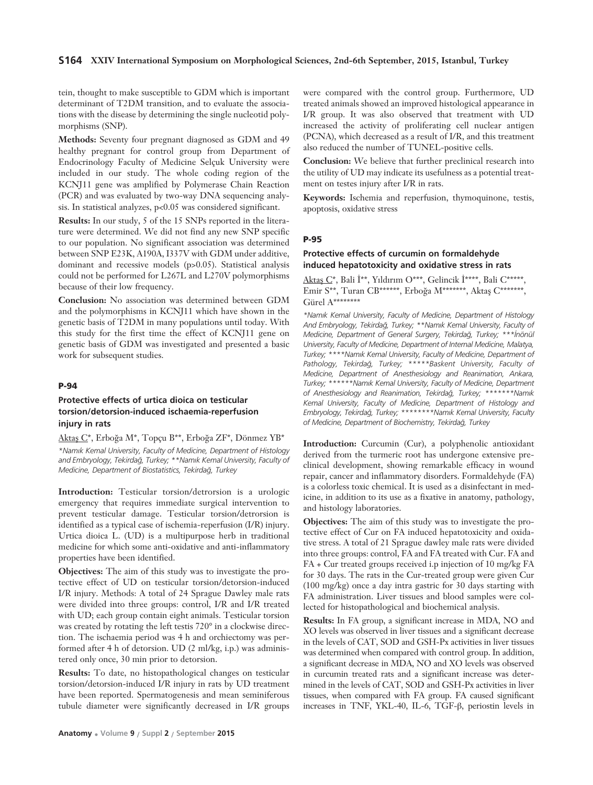#### **S164 XXIV International Symposium on Morphological Sciences, 2nd-6th September, 2015, Istanbul, Turkey**

tein, thought to make susceptible to GDM which is important determinant of T2DM transition, and to evaluate the associations with the disease by determining the single nucleotid polymorphisms (SNP).

**Methods:** Seventy four pregnant diagnosed as GDM and 49 healthy pregnant for control group from Department of Endocrinology Faculty of Medicine Selçuk University were included in our study. The whole coding region of the KCNJ11 gene was amplified by Polymerase Chain Reaction (PCR) and was evaluated by two-way DNA sequencing analysis. In statistical analyzes, p<0.05 was considered significant.

**Results:** In our study, 5 of the 15 SNPs reported in the literature were determined. We did not find any new SNP specific to our population. No significant association was determined between SNP E23K, A190A, I337V with GDM under additive, dominant and recessive models (p>0.05). Statistical analysis could not be performed for L267L and L270V polymorphisms because of their low frequency.

**Conclusion:** No association was determined between GDM and the polymorphisms in KCNJ11 which have shown in the genetic basis of T2DM in many populations until today. With this study for the first time the effect of KCNJ11 gene on genetic basis of GDM was investigated and presented a basic work for subsequent studies.

#### **P-94**

## **Protective effects of urtica dioica on testicular torsion/detorsion-induced ischaemia-reperfusion injury in rats**

Aktaş C\*, Erboğa M\*, Topçu B\*\*, Erboğa ZF\*, Dönmez YB\* *\*Nam›k Kemal University, Faculty of Medicine, Department of Histology and Embryology, Tekirda¤, Turkey; \*\*Nam›k Kemal University, Faculty of Medicine, Department of Biostatistics, Tekirda¤, Turkey*

**Introduction:** Testicular torsion/detrorsion is a urologic emergency that requires immediate surgical intervention to prevent testicular damage. Testicular torsion/detrorsion is identified as a typical case of ischemia-reperfusion (I/R) injury. Urtica dioica L. (UD) is a multipurpose herb in traditional medicine for which some anti-oxidative and anti-inflammatory properties have been identified.

**Objectives:** The aim of this study was to investigate the protective effect of UD on testicular torsion/detorsion-induced I/R injury. Methods: A total of 24 Sprague Dawley male rats were divided into three groups: control, I/R and I/R treated with UD; each group contain eight animals. Testicular torsion was created by rotating the left testis 720° in a clockwise direction. The ischaemia period was 4 h and orchiectomy was performed after 4 h of detorsion. UD (2 ml/kg, i.p.) was administered only once, 30 min prior to detorsion.

**Results:** To date, no histopathological changes on testicular torsion/detorsion-induced I/R injury in rats by UD treatment have been reported. Spermatogenesis and mean seminiferous tubule diameter were significantly decreased in I/R groups were compared with the control group. Furthermore, UD treated animals showed an improved histological appearance in I/R group. It was also observed that treatment with UD increased the activity of proliferating cell nuclear antigen (PCNA), which decreased as a result of I/R, and this treatment also reduced the number of TUNEL-positive cells.

**Conclusion:** We believe that further preclinical research into the utility of UD may indicate its usefulness as a potential treatment on testes injury after I/R in rats.

**Keywords:** Ischemia and reperfusion, thymoquinone, testis, apoptosis, oxidative stress

### **P-95**

## **Protective effects of curcumin on formaldehyde induced hepatotoxicity and oxidative stress in rats**

Aktas C\*, Bali İ\*\*, Yıldırım O\*\*\*, Gelincik İ\*\*\*\*, Bali C\*\*\*\*\*, Emir S\*\*, Turan CB\*\*\*\*\*\*, Erboğa M\*\*\*\*\*\*\*, Aktaş C\*\*\*\*\*\*\*, Gürel A\*\*\*\*\*\*\*\*

*\*Nam›k Kemal University, Faculty of Medicine, Department of Histology And Embryology, Tekirda¤, Turkey; \*\*Nam›k Kemal University, Faculty of Medicine, Department of General Surgery, Tekirda¤, Turkey; \*\*\*‹nönül University, Faculty of Medicine, Department of Internal Medicine, Malatya, Turkey; \*\*\*\*Nam›k Kemal University, Faculty of Medicine, Department of Pathology, Tekirda¤, Turkey; \*\*\*\*\*Baskent University, Faculty of Medicine, Department of Anesthesiology and Reanimation, Ankara, Turkey; \*\*\*\*\*\*Nam›k Kemal University, Faculty of Medicine, Department of Anesthesiology and Reanimation, Tekirda¤, Turkey; \*\*\*\*\*\*\*Nam›k Kemal University, Faculty of Medicine, Department of Histology and Embryology, Tekirda¤, Turkey; \*\*\*\*\*\*\*\*Nam›k Kemal University, Faculty* of Medicine, Department of Biochemistry, Tekirdağ, Turkey

**Introduction:** Curcumin (Cur), a polyphenolic antioxidant derived from the turmeric root has undergone extensive preclinical development, showing remarkable efficacy in wound repair, cancer and inflammatory disorders. Formaldehyde (FA) is a colorless toxic chemical. It is used as a disinfectant in medicine, in addition to its use as a fixative in anatomy, pathology, and histology laboratories.

**Objectives:** The aim of this study was to investigate the protective effect of Cur on FA induced hepatotoxicity and oxidative stress. A total of 21 Sprague dawley male rats were divided into three groups: control, FA and FA treated with Cur. FA and FA + Cur treated groups received i.p injection of 10 mg/kg FA for 30 days. The rats in the Cur-treated group were given Cur (100 mg/kg) once a day intra gastric for 30 days starting with FA administration. Liver tissues and blood samples were collected for histopathological and biochemical analysis.

**Results:** In FA group, a significant increase in MDA, NO and XO levels was observed in liver tissues and a significant decrease in the levels of CAT, SOD and GSH-Px activities in liver tissues was determined when compared with control group. In addition, a significant decrease in MDA, NO and XO levels was observed in curcumin treated rats and a significant increase was determined in the levels of CAT, SOD and GSH-Px activities in liver tissues, when compared with FA group. FA caused significant increases in TNF, YKL-40, IL-6, TGF-β, periostin levels in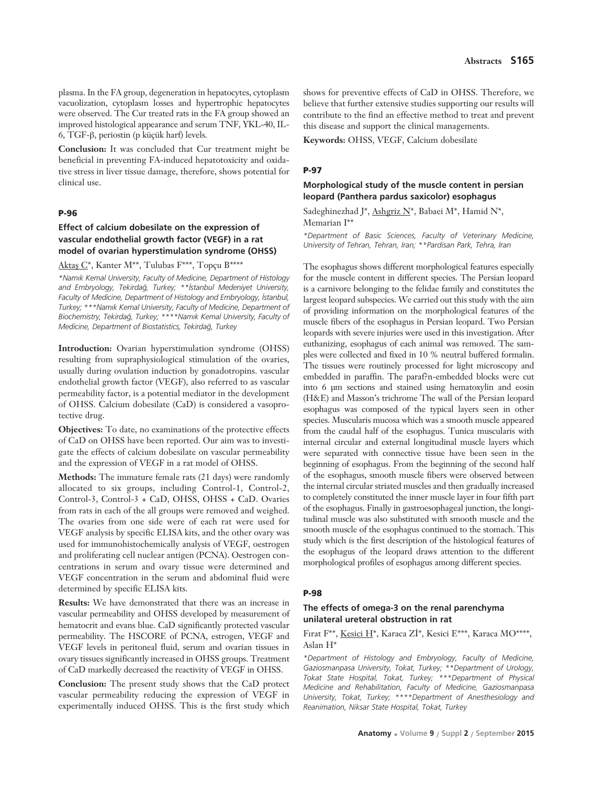plasma. In the FA group, degeneration in hepatocytes, cytoplasm vacuolization, cytoplasm losses and hypertrophic hepatocytes were observed. The Cur treated rats in the FA group showed an improved histological appearance and serum TNF, YKL-40, IL-6, TGF-β, periostin (p küçük harf) levels.

**Conclusion:** It was concluded that Cur treatment might be beneficial in preventing FA-induced hepatotoxicity and oxidative stress in liver tissue damage, therefore, shows potential for clinical use.

### **P-96**

# **Effect of calcium dobesilate on the expression of vascular endothelial growth factor (VEGF) in a rat model of ovarian hyperstimulation syndrome (OHSS)**

Aktaş C\*, Kanter M\*\*, Tulubas F\*\*\*, Topçu B\*\*\*\*

*\*Nam›k Kemal University, Faculty of Medicine, Department of Histology and Embryology, Tekirda¤, Turkey; \*\*‹stanbul Medeniyet University,* Faculty of Medicine, Department of Histology and Embryology, İstanbul, *Turkey; \*\*\*Nam›k Kemal University, Faculty of Medicine, Department of Biochemistry, Tekirda¤, Turkey; \*\*\*\*Nam›k Kemal University, Faculty of Medicine, Department of Biostatistics, Tekirda¤, Turkey* 

**Introduction:** Ovarian hyperstimulation syndrome (OHSS) resulting from supraphysiological stimulation of the ovaries, usually during ovulation induction by gonadotropins. vascular endothelial growth factor (VEGF), also referred to as vascular permeability factor, is a potential mediator in the development of OHSS. Calcium dobesilate (CaD) is considered a vasoprotective drug.

**Objectives:** To date, no examinations of the protective effects of CaD on OHSS have been reported. Our aim was to investigate the effects of calcium dobesilate on vascular permeability and the expression of VEGF in a rat model of OHSS.

**Methods:** The immature female rats (21 days) were randomly allocated to six groups, including Control-1, Control-2, Control-3, Control-3 + CaD, OHSS, OHSS + CaD. Ovaries from rats in each of the all groups were removed and weighed. The ovaries from one side were of each rat were used for VEGF analysis by specific ELISA kits, and the other ovary was used for immunohistochemically analysis of VEGF, oestrogen and proliferating cell nuclear antigen (PCNA). Oestrogen concentrations in serum and ovary tissue were determined and VEGF concentration in the serum and abdominal fluid were determined by specific ELISA kits.

**Results:** We have demonstrated that there was an increase in vascular permeability and OHSS developed by measurement of hematocrit and evans blue. CaD significantly protected vascular permeability. The HSCORE of PCNA, estrogen, VEGF and VEGF levels in peritoneal fluid, serum and ovarian tissues in ovary tissues significantly increased in OHSS groups. Treatment of CaD markedly decreased the reactivity of VEGF in OHSS.

**Conclusion:** The present study shows that the CaD protect vascular permeability reducing the expression of VEGF in experimentally induced OHSS. This is the first study which

shows for preventive effects of CaD in OHSS. Therefore, we believe that further extensive studies supporting our results will contribute to the find an effective method to treat and prevent this disease and support the clinical managements.

**Keywords:** OHSS, VEGF, Calcium dobesilate

### **P-97**

## **Morphological study of the muscle content in persian leopard (Panthera pardus saxicolor) esophagus**

Sadeghinezhad J\*, Ashgriz N\*, Babaei M\*, Hamid N\*, Memarian I\*\*

*\*Department of Basic Sciences, Faculty of Veterinary Medicine, University of Tehran, Tehran, Iran; \*\*Pardisan Park, Tehra, Iran*

The esophagus shows different morphological features especially for the muscle content in different species. The Persian leopard is a carnivore belonging to the felidae family and constitutes the largest leopard subspecies. We carried out this study with the aim of providing information on the morphological features of the muscle fibers of the esophagus in Persian leopard. Two Persian leopards with severe injuries were used in this investigation. After euthanizing, esophagus of each animal was removed. The samples were collected and fixed in 10 % neutral buffered formalin. The tissues were routinely processed for light microscopy and embedded in paraffin. The paraf?n-embedded blocks were cut into 6 μm sections and stained using hematoxylin and eosin (H&E) and Masson's trichrome The wall of the Persian leopard esophagus was composed of the typical layers seen in other species. Muscularis mucosa which was a smooth muscle appeared from the caudal half of the esophagus. Tunica muscularis with internal circular and external longitudinal muscle layers which were separated with connective tissue have been seen in the beginning of esophagus. From the beginning of the second half of the esophagus, smooth muscle fibers were observed between the internal circular striated muscles and then gradually increased to completely constituted the inner muscle layer in four fifth part of the esophagus. Finally in gastroesophageal junction, the longitudinal muscle was also substituted with smooth muscle and the smooth muscle of the esophagus continued to the stomach. This study which is the first description of the histological features of the esophagus of the leopard draws attention to the different morphological profiles of esophagus among different species.

### **P-98**

## **The effects of omega-3 on the renal parenchyma unilateral ureteral obstruction in rat**

Fırat F\*\*, Kesici H\*, Karaca Zİ\*, Kesici E\*\*\*, Karaca MO\*\*\*\*, Aslan H\*

*\*Department of Histology and Embryology, Faculty of Medicine, Gaziosmanpasa University, Tokat, Turkey; \*\*Department of Urology, Tokat State Hospital, Tokat, Turkey; \*\*\*Department of Physical Medicine and Rehabilitation, Faculty of Medicine, Gaziosmanpasa University, Tokat, Turkey; \*\*\*\*Department of Anesthesiology and Reanimation, Niksar State Hospital, Tokat, Turkey*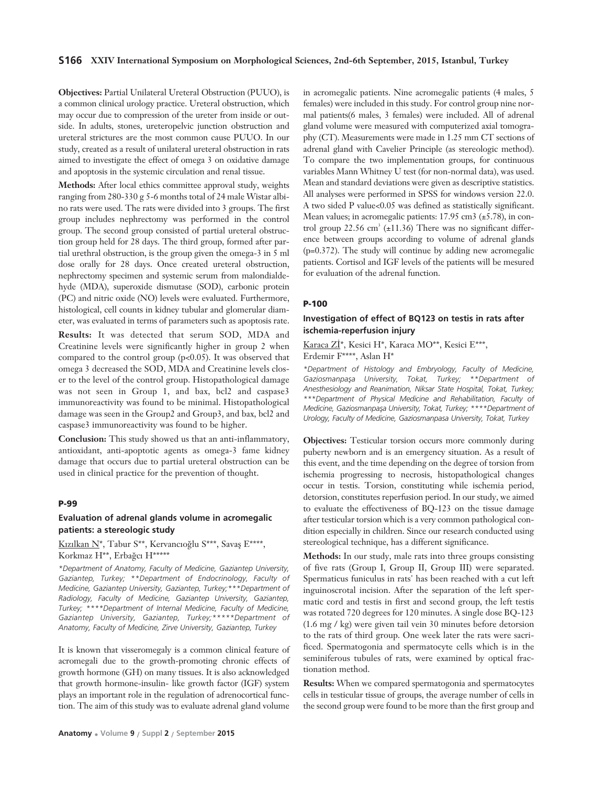**Objectives:** Partial Unilateral Ureteral Obstruction (PUUO), is a common clinical urology practice. Ureteral obstruction, which may occur due to compression of the ureter from inside or outside. In adults, stones, ureteropelvic junction obstruction and ureteral strictures are the most common cause PUUO. In our study, created as a result of unilateral ureteral obstruction in rats aimed to investigate the effect of omega 3 on oxidative damage and apoptosis in the systemic circulation and renal tissue.

**Methods:** After local ethics committee approval study, weights ranging from 280-330 g 5-6 months total of 24 male Wistar albino rats were used. The rats were divided into 3 groups. The first group includes nephrectomy was performed in the control group. The second group consisted of partial ureteral obstruction group held for 28 days. The third group, formed after partial urethral obstruction, is the group given the omega-3 in 5 ml dose orally for 28 days. Once created ureteral obstruction, nephrectomy specimen and systemic serum from malondialdehyde (MDA), superoxide dismutase (SOD), carbonic protein (PC) and nitric oxide (NO) levels were evaluated. Furthermore, histological, cell counts in kidney tubular and glomerular diameter, was evaluated in terms of parameters such as apoptosis rate.

**Results:** It was detected that serum SOD, MDA and Creatinine levels were significantly higher in group 2 when compared to the control group (p<0.05). It was observed that omega 3 decreased the SOD, MDA and Creatinine levels closer to the level of the control group. Histopathological damage was not seen in Group 1, and bax, bcl2 and caspase3 immunoreactivity was found to be minimal. Histopathological damage was seen in the Group2 and Group3, and bax, bcl2 and caspase3 immunoreactivity was found to be higher.

**Conclusion:** This study showed us that an anti-inflammatory, antioxidant, anti-apoptotic agents as omega-3 fame kidney damage that occurs due to partial ureteral obstruction can be used in clinical practice for the prevention of thought.

#### **P-99**

### **Evaluation of adrenal glands volume in acromegalic patients: a stereologic study**

Kızılkan N\*, Tabur S\*\*, Kervancıoğlu S\*\*\*, Savaş E\*\*\*\*, Korkmaz H\*\*, Erbağcı H\*\*\*\*\*

*\*Department of Anatomy, Faculty of Medicine, Gaziantep University, Gaziantep, Turkey; \*\*Department of Endocrinology, Faculty of Medicine, Gaziantep University, Gaziantep, Turkey;\*\*\*Department of Radiology, Faculty of Medicine, Gaziantep University, Gaziantep, Turkey; \*\*\*\*Department of Internal Medicine, Faculty of Medicine, Gaziantep University, Gaziantep, Turkey;\*\*\*\*\*Department of Anatomy, Faculty of Medicine, Zirve University, Gaziantep, Turkey* 

It is known that visseromegaly is a common clinical feature of acromegali due to the growth-promoting chronic effects of growth hormone (GH) on many tissues. It is also acknowledged that growth hormone-insulin- like growth factor (IGF) system plays an important role in the regulation of adrenocortical function. The aim of this study was to evaluate adrenal gland volume

in acromegalic patients. Nine acromegalic patients (4 males, 5 females) were included in this study. For control group nine normal patients(6 males, 3 females) were included. All of adrenal gland volume were measured with computerized axial tomography (CT). Measurements were made in 1.25 mm CT sections of adrenal gland with Cavelier Principle (as stereologic method). To compare the two implementation groups, for continuous variables Mann Whitney U test (for non-normal data), was used. Mean and standard deviations were given as descriptive statistics. All analyses were performed in SPSS for windows version 22.0. A two sided P value<0.05 was defined as statistically significant. Mean values; in acromegalic patients:  $17.95 \text{ cm}^3$  ( $\pm 5.78$ ), in control group 22.56 cm<sup>3</sup> ( $\pm$ 11.36) There was no significant difference between groups according to volume of adrenal glands (p=0.372). The study will continue by adding new acromegalic patients. Cortisol and IGF levels of the patients will be mesured for evaluation of the adrenal function.

#### **P-100**

### **Investigation of effect of BQ123 on testis in rats after ischemia-reperfusion injury**

Karaca Zİ\*, Kesici H\*, Karaca MO\*\*, Kesici E\*\*\*,

Erdemir F\*\*\*\*, Aslan H\*

*\*Department of Histology and Embryology, Faculty of Medicine,* Gaziosmanpaşa University, Tokat, Turkey; \*\*Department of *Anesthesiology and Reanimation, Niksar State Hospital, Tokat, Turkey; \*\*\*Department of Physical Medicine and Rehabilitation, Faculty of Medicine, Gaziosmanpaşa University, Tokat, Turkey; \*\*\*\*Department of Urology, Faculty of Medicine, Gaziosmanpasa University, Tokat, Turkey* 

**Objectives:** Testicular torsion occurs more commonly during puberty newborn and is an emergency situation. As a result of this event, and the time depending on the degree of torsion from ischemia progressing to necrosis, histopathological changes occur in testis. Torsion, constituting while ischemia period, detorsion, constitutes reperfusion period. In our study, we aimed to evaluate the effectiveness of BQ-123 on the tissue damage after testicular torsion which is a very common pathological condition especially in children. Since our research conducted using stereological technique, has a different significance.

**Methods:** In our study, male rats into three groups consisting of five rats (Group I, Group II, Group III) were separated. Spermaticus funiculus in rats' has been reached with a cut left inguinoscrotal incision. After the separation of the left spermatic cord and testis in first and second group, the left testis was rotated 720 degrees for 120 minutes. A single dose BQ-123 (1.6 mg / kg) were given tail vein 30 minutes before detorsion to the rats of third group. One week later the rats were sacrificed. Spermatogonia and spermatocyte cells which is in the seminiferous tubules of rats, were examined by optical fractionation method.

**Results:** When we compared spermatogonia and spermatocytes cells in testicular tissue of groups, the average number of cells in the second group were found to be more than the first group and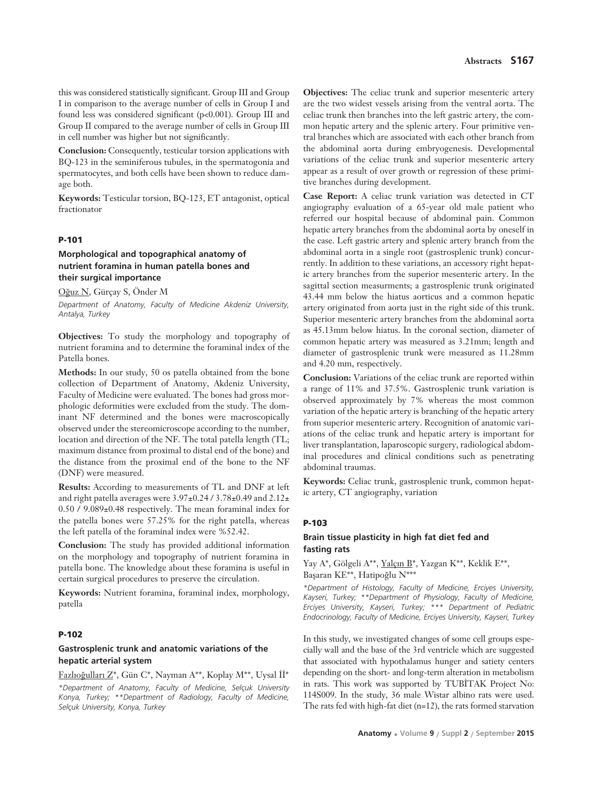this was considered statistically significant. Group III and Group I in comparison to the average number of cells in Group I and found less was considered significant (p<0.001). Group III and Group II compared to the average number of cells in Group III in cell number was higher but not significantly.

**Conclusion:** Consequently, testicular torsion applications with BQ-123 in the seminiferous tubules, in the spermatogonia and spermatocytes, and both cells have been shown to reduce damage both.

**Keywords:** Testicular torsion, BQ-123, ET antagonist, optical fractionator

#### **P-101**

## **Morphological and topographical anatomy of nutrient foramina in human patella bones and their surgical importance**

O¤uz N, Gürçay S, Önder M

*Department of Anatomy, Faculty of Medicine Akdeniz University, Antalya, Turkey*

**Objectives:** To study the morphology and topography of nutrient foramina and to determine the foraminal index of the Patella bones.

**Methods:** In our study, 50 os patella obtained from the bone collection of Department of Anatomy, Akdeniz University, Faculty of Medicine were evaluated. The bones had gross morphologic deformities were excluded from the study. The dominant NF determined and the bones were macroscopically observed under the stereomicroscope according to the number, location and direction of the NF. The total patella length (TL; maximum distance from proximal to distal end of the bone) and the distance from the proximal end of the bone to the NF (DNF) were measured.

**Results:** According to measurements of TL and DNF at left and right patella averages were 3.97±0.24 / 3.78±0.49 and 2.12± 0.50 / 9.089±0.48 respectively. The mean foraminal index for the patella bones were 57.25% for the right patella, whereas the left patella of the foraminal index were %52.42.

**Conclusion:** The study has provided additional information on the morphology and topography of nutrient foramina in patella bone. The knowledge about these foramina is useful in certain surgical procedures to preserve the circulation.

**Keywords:** Nutrient foramina, foraminal index, morphology, patella

### **P-102**

## **Gastrosplenic trunk and anatomic variations of the hepatic arterial system**

Fazlıoğulları Z\*, Gün C\*, Nayman A\*\*, Koplay M\*\*, Uysal İİ\*

*\*Department of Anatomy, Faculty of Medicine, Selçuk University Konya, Turkey; \*\*Department of Radiology, Faculty of Medicine, Selçuk University, Konya, Turkey*

**Objectives:** The celiac trunk and superior mesenteric artery are the two widest vessels arising from the ventral aorta. The celiac trunk then branches into the left gastric artery, the common hepatic artery and the splenic artery. Four primitive ventral branches which are associated with each other branch from the abdominal aorta during embryogenesis. Developmental variations of the celiac trunk and superior mesenteric artery appear as a result of over growth or regression of these primitive branches during development.

**Case Report:** A celiac trunk variation was detected in CT angiography evaluation of a 65-year old male patient who referred our hospital because of abdominal pain. Common hepatic artery branches from the abdominal aorta by oneself in the case. Left gastric artery and splenic artery branch from the abdominal aorta in a single root (gastrosplenic trunk) concurrently. In addition to these variations, an accessory right hepatic artery branches from the superior mesenteric artery. In the sagittal section measurments; a gastrosplenic trunk originated 43.44 mm below the hiatus aorticus and a common hepatic artery originated from aorta just in the right side of this trunk. Superior mesenteric artery branches from the abdominal aorta as 45.13mm below hiatus. In the coronal section, diameter of common hepatic artery was measured as 3.21mm; length and diameter of gastrosplenic trunk were measured as 11.28mm and 4.20 mm, respectively.

**Conclusion:** Variations of the celiac trunk are reported within a range of 11% and 37.5%. Gastrosplenic trunk variation is observed approximately by 7% whereas the most common variation of the hepatic artery is branching of the hepatic artery from superior mesenteric artery. Recognition of anatomic variations of the celiac trunk and hepatic artery is important for liver transplantation, laparoscopic surgery, radiological abdominal procedures and clinical conditions such as penetrating abdominal traumas.

**Keywords:** Celiac trunk, gastrosplenic trunk, common hepatic artery, CT angiography, variation

### **P-103**

## **Brain tissue plasticity in high fat diet fed and fasting rats**

Yay A\*, Gölgeli A\*\*, Yalçın B\*, Yazgan K\*\*, Keklik E\*\*, Başaran KE\*\*, Hatipoğlu N\*\*\*

*\*Department of Histology, Faculty of Medicine, Erciyes University, Kayseri, Turkey; \*\*Department of Physiology, Faculty of Medicine, Erciyes University, Kayseri, Turkey; \*\*\* Department of Pediatric Endocrinology, Faculty of Medicine, Erciyes University, Kayseri, Turkey*

In this study, we investigated changes of some cell groups especially wall and the base of the 3rd ventricle which are suggested that associated with hypothalamus hunger and satiety centers depending on the short- and long-term alteration in metabolism in rats. This work was supported by TUBİTAK Project No: 114S009. In the study, 36 male Wistar albino rats were used. The rats fed with high-fat diet (n=12), the rats formed starvation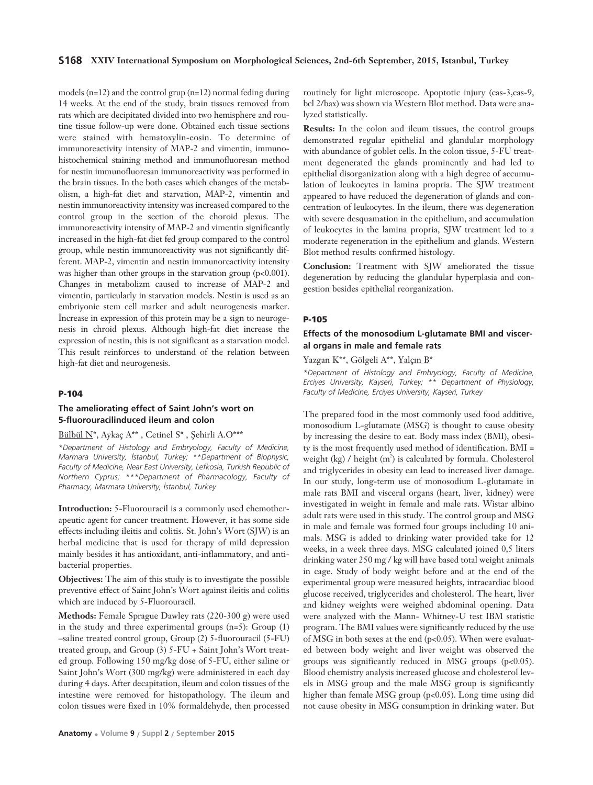### **S168 XXIV International Symposium on Morphological Sciences, 2nd-6th September, 2015, Istanbul, Turkey**

models (n=12) and the control grup (n=12) normal feding during 14 weeks. At the end of the study, brain tissues removed from rats which are decipitated divided into two hemisphere and routine tissue follow-up were done. Obtained each tissue sections were stained with hematoxylin-eosin. To determine of immunoreactivity intensity of MAP-2 and vimentin, immunohistochemical staining method and immunofluoresan method for nestin immunofluoresan immunoreactivity was performed in the brain tissues. In the both cases which changes of the metabolism, a high-fat diet and starvation, MAP-2, vimentin and nestin immunoreactivity intensity was increased compared to the control group in the section of the choroid plexus. The immunoreactivity intensity of MAP-2 and vimentin significantly increased in the high-fat diet fed group compared to the control group, while nestin immunoreactivity was not significantly different. MAP-2, vimentin and nestin immunoreactivity intensity was higher than other groups in the starvation group (p<0.001). Changes in metabolizm caused to increase of MAP-2 and vimentin, particularly in starvation models. Nestin is used as an embriyonic stem cell marker and adult neurogenesis marker. Increase in expression of this protein may be a sign to neurogenesis in chroid plexus. Although high-fat diet increase the expression of nestin, this is not significant as a starvation model. This result reinforces to understand of the relation between high-fat diet and neurogenesis.

### **P-104**

## **The ameliorating effect of Saint John's wort on 5-fluorouracilinduced ileum and colon**

## Bülbül N\*, Aykaç A\*\*, Cetinel S\*, Şehirli A.O\*\*\*

*\*Department of Histology and Embryology, Faculty of Medicine, Marmara University, ‹stanbul, Turkey; \*\*Department of Biophysic, Faculty of Medicine, Near East University, Lefkosia, Turkish Republic of Northern Cyprus; \*\*\*Department of Pharmacology, Faculty of Pharmacy, Marmara University, ‹stanbul, Turkey* 

**Introduction:** 5-Fluorouracil is a commonly used chemotherapeutic agent for cancer treatment. However, it has some side effects including ileitis and colitis. St. John's Wort (SJW) is an herbal medicine that is used for therapy of mild depression mainly besides it has antioxidant, anti-inflammatory, and antibacterial properties.

**Objectives:** The aim of this study is to investigate the possible preventive effect of Saint John's Wort against ileitis and colitis which are induced by 5-Fluorouracil.

**Methods:** Female Sprague Dawley rats (220-300 g) were used in the study and three experimental groups (n=5): Group (1) –saline treated control group, Group (2) 5-fluorouracil (5-FU) treated group, and Group (3) 5-FU + Saint John's Wort treated group. Following 150 mg/kg dose of 5-FU, either saline or Saint John's Wort (300 mg/kg) were administered in each day during 4 days. After decapitation, ileum and colon tissues of the intestine were removed for histopathology. The ileum and colon tissues were fixed in 10% formaldehyde, then processed routinely for light microscope. Apoptotic injury (cas-3,cas-9, bcl 2/bax) was shown via Western Blot method. Data were analyzed statistically.

**Results:** In the colon and ileum tissues, the control groups demonstrated regular epithelial and glandular morphology with abundance of goblet cells. In the colon tissue, 5-FU treatment degenerated the glands prominently and had led to epithelial disorganization along with a high degree of accumulation of leukocytes in lamina propria. The SJW treatment appeared to have reduced the degeneration of glands and concentration of leukocytes. In the ileum, there was degeneration with severe desquamation in the epithelium, and accumulation of leukocytes in the lamina propria, SJW treatment led to a moderate regeneration in the epithelium and glands. Western Blot method results confirmed histology.

**Conclusion:** Treatment with SJW ameliorated the tissue degeneration by reducing the glandular hyperplasia and congestion besides epithelial reorganization.

#### **P-105**

## **Effects of the monosodium L-glutamate BMI and visceral organs in male and female rats**

Yazgan K\*\*, Gölgeli A\*\*, Yalçın B\*

*\*Department of Histology and Embryology, Faculty of Medicine, Erciyes University, Kayseri, Turkey; \*\* Department of Physiology, Faculty of Medicine, Erciyes University, Kayseri, Turkey*

The prepared food in the most commonly used food additive, monosodium L-glutamate (MSG) is thought to cause obesity by increasing the desire to eat. Body mass index (BMI), obesity is the most frequently used method of identification. BMI = weight (kg) / height (m<sup>2</sup>) is calculated by formula. Cholesterol and triglycerides in obesity can lead to increased liver damage. In our study, long-term use of monosodium L-glutamate in male rats BMI and visceral organs (heart, liver, kidney) were investigated in weight in female and male rats. Wistar albino adult rats were used in this study. The control group and MSG in male and female was formed four groups including 10 animals. MSG is added to drinking water provided take for 12 weeks, in a week three days. MSG calculated joined 0,5 liters drinking water 250 mg / kg will have based total weight animals in cage. Study of body weight before and at the end of the experimental group were measured heights, intracardiac blood glucose received, triglycerides and cholesterol. The heart, liver and kidney weights were weighed abdominal opening. Data were analyzed with the Mann- Whitney-U test IBM statistic program. The BMI values were significantly reduced by the use of MSG in both sexes at the end (p<0.05). When were evaluated between body weight and liver weight was observed the groups was significantly reduced in MSG groups  $(p<0.05)$ . Blood chemistry analysis increased glucose and cholesterol levels in MSG group and the male MSG group is significantly higher than female MSG group (p<0.05). Long time using did not cause obesity in MSG consumption in drinking water. But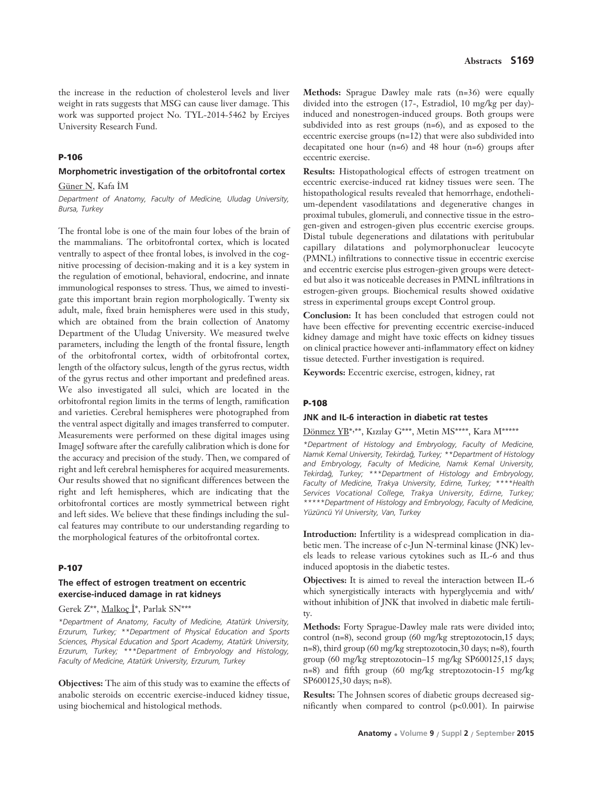### **P-106**

## **Morphometric investigation of the orbitofrontal cortex**

Güner N, Kafa İM

*Department of Anatomy, Faculty of Medicine, Uludag University, Bursa, Turkey*

The frontal lobe is one of the main four lobes of the brain of the mammalians. The orbitofrontal cortex, which is located ventrally to aspect of thee frontal lobes, is involved in the cognitive processing of decision-making and it is a key system in the regulation of emotional, behavioral, endocrine, and innate immunological responses to stress. Thus, we aimed to investigate this important brain region morphologically. Twenty six adult, male, fixed brain hemispheres were used in this study, which are obtained from the brain collection of Anatomy Department of the Uludag University. We measured twelve parameters, including the length of the frontal fissure, length of the orbitofrontal cortex, width of orbitofrontal cortex, length of the olfactory sulcus, length of the gyrus rectus, width of the gyrus rectus and other important and predefined areas. We also investigated all sulci, which are located in the orbitofrontal region limits in the terms of length, ramification and varieties. Cerebral hemispheres were photographed from the ventral aspect digitally and images transferred to computer. Measurements were performed on these digital images using ImageJ software after the carefully calibration which is done for the accuracy and precision of the study. Then, we compared of right and left cerebral hemispheres for acquired measurements. Our results showed that no significant differences between the right and left hemispheres, which are indicating that the orbitofrontal cortices are mostly symmetrical between right and left sides. We believe that these findings including the sulcal features may contribute to our understanding regarding to the morphological features of the orbitofrontal cortex.

#### **P-107**

# **The effect of estrogen treatment on eccentric exercise-induced damage in rat kidneys**

Gerek  $Z^{**}$ , Malkoç İ\*, Parlak SN\*\*\*

*\*Department of Anatomy, Faculty of Medicine, Atatürk University, Erzurum, Turkey; \*\*Department of Physical Education and Sports Sciences, Physical Education and Sport Academy, Atatürk University, Erzurum, Turkey; \*\*\*Department of Embryology and Histology, Faculty of Medicine, Atatürk University, Erzurum, Turkey*

**Objectives:** The aim of this study was to examine the effects of anabolic steroids on eccentric exercise-induced kidney tissue, using biochemical and histological methods.

**Methods:** Sprague Dawley male rats (n=36) were equally divided into the estrogen (17-, Estradiol, 10 mg/kg per day)induced and nonestrogen-induced groups. Both groups were subdivided into as rest groups (n=6), and as exposed to the eccentric exercise groups (n=12) that were also subdivided into decapitated one hour (n=6) and 48 hour (n=6) groups after eccentric exercise.

**Results:** Histopathological effects of estrogen treatment on eccentric exercise-induced rat kidney tissues were seen. The histopathological results revealed that hemorrhage, endothelium-dependent vasodilatations and degenerative changes in proximal tubules, glomeruli, and connective tissue in the estrogen-given and estrogen-given plus eccentric exercise groups. Distal tubule degenerations and dilatations with peritubular capillary dilatations and polymorphonuclear leucocyte (PMNL) infiltrations to connective tissue in eccentric exercise and eccentric exercise plus estrogen-given groups were detected but also it was noticeable decreases in PMNL infiltrations in estrogen-given groups. Biochemical results showed oxidative stress in experimental groups except Control group.

**Conclusion:** It has been concluded that estrogen could not have been effective for preventing eccentric exercise-induced kidney damage and might have toxic effects on kidney tissues on clinical practice however anti-inflammatory effect on kidney tissue detected. Further investigation is required.

**Keywords:** Eccentric exercise, estrogen, kidney, rat

#### **P-108**

#### **JNK and IL-6 interaction in diabetic rat testes**

Dönmez YB\*,\*\*, Kızılay G\*\*\*, Metin MS\*\*\*\*, Kara M\*\*\*\*\*

*\*Department of Histology and Embryology, Faculty of Medicine, Nam›k Kemal University, Tekirda¤, Turkey; \*\*Department of Histology* and Embryology, Faculty of Medicine, Namik Kemal University, *Tekirda¤, Turkey; \*\*\*Department of Histology and Embryology, Faculty of Medicine, Trakya University, Edirne, Turkey; \*\*\*\*Health Services Vocational College, Trakya University, Edirne, Turkey; \*\*\*\*\*Department of Histology and Embryology, Faculty of Medicine, Yüzüncü Y›l University, Van, Turkey*

**Introduction:** Infertility is a widespread complication in diabetic men. The increase of c-Jun N-terminal kinase (JNK) levels leads to release various cytokines such as IL-6 and thus induced apoptosis in the diabetic testes.

**Objectives:** It is aimed to reveal the interaction between IL-6 which synergistically interacts with hyperglycemia and with/ without inhibition of JNK that involved in diabetic male fertility.

**Methods:** Forty Sprague-Dawley male rats were divided into; control (n=8), second group (60 mg/kg streptozotocin,15 days; n=8), third group (60 mg/kg streptozotocin,30 days; n=8), fourth group (60 mg/kg streptozotocin–15 mg/kg SP600125,15 days; n=8) and fifth group (60 mg/kg streptozotocin-15 mg/kg SP600125,30 days; n=8).

**Results:** The Johnsen scores of diabetic groups decreased significantly when compared to control (p<0.001). In pairwise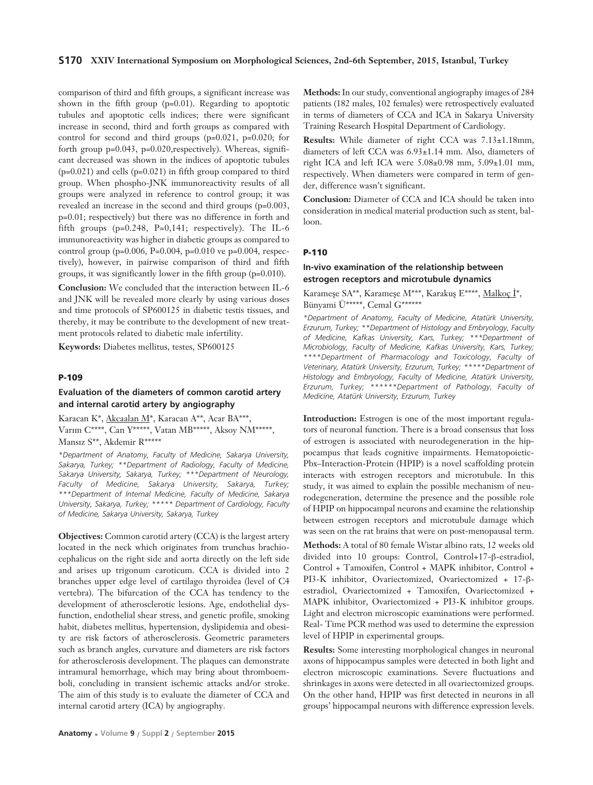### **S170 XXIV International Symposium on Morphological Sciences, 2nd-6th September, 2015, Istanbul, Turkey**

comparison of third and fifth groups, a significant increase was shown in the fifth group (p=0.01). Regarding to apoptotic tubules and apoptotic cells indices; there were significant increase in second, third and forth groups as compared with control for second and third groups (p=0.021, p=0.020; for forth group p=0.043, p=0.020,respectively). Whereas, significant decreased was shown in the indices of apoptotic tubules (p=0.021) and cells (p=0.021) in fifth group compared to third group. When phospho-JNK immunoreactivity results of all groups were analyzed in reference to control group; it was revealed an increase in the second and third groups (p=0.003, p=0.01; respectively) but there was no difference in forth and fifth groups  $(p=0.248, P=0.141;$  respectively). The IL-6 immunoreactivity was higher in diabetic groups as compared to control group (p=0.006, P=0.004, p=0.010 ve p=0.004, respectively), however, in pairwise comparison of third and fifth groups, it was significantly lower in the fifth group (p=0.010).

**Conclusion:** We concluded that the interaction between IL-6 and JNK will be revealed more clearly by using various doses and time protocols of SP600125 in diabetic testis tissues, and thereby, it may be contribute to the development of new treatment protocols related to diabetic male infertility.

**Keywords:** Diabetes mellitus, testes, SP600125

#### **P-109**

## **Evaluation of the diameters of common carotid artery and internal carotid artery by angiography**

Karacan K\*, Akcaalan M\*, Karacan A\*\*, Acar BA\*\*\*, Varım C\*\*\*\*, Can Y\*\*\*\*\*, Vatan MB\*\*\*\*\*, Aksoy NM\*\*\*\*\*, Mansız S\*\*, Akdemir R\*\*\*\*\*

*\*Department of Anatomy, Faculty of Medicine, Sakarya University, Sakarya, Turkey; \*\*Department of Radiology, Faculty of Medicine, Sakarya University, Sakarya, Turkey; \*\*\*Department of Neurology, Faculty of Medicine, Sakarya University, Sakarya, Turkey; \*\*\*Department of Internal Medicine, Faculty of Medicine, Sakarya University, Sakarya, Turkey; \*\*\*\*\* Department of Cardiology, Faculty of Medicine, Sakarya University, Sakarya, Turkey*

**Objectives:** Common carotid artery (CCA) is the largest artery located in the neck which originates from trunchus brachiocephalicus on the right side and aorta directly on the left side and arises up trigonum caroticum. CCA is divided into 2 branches upper edge level of cartilago thyroidea (level of C4 vertebra). The bifurcation of the CCA has tendency to the development of atherosclerotic lesions. Age, endothelial dysfunction, endothelial shear stress, and genetic profile, smoking habit, diabetes mellitus, hypertension, dyslipidemia and obesity are risk factors of atherosclerosis. Geometric parameters such as branch angles, curvature and diameters are risk factors for atherosclerosis development. The plaques can demonstrate intramural hemorrhage, which may bring about thromboemboli, concluding in transient ischemic attacks and/or stroke. The aim of this study is to evaluate the diameter of CCA and internal carotid artery (ICA) by angiography.

**Methods:** In our study, conventional angiography images of 284 patients (182 males, 102 females) were retrospectively evaluated in terms of diameters of CCA and ICA in Sakarya University Training Research Hospital Department of Cardiology.

**Results:** While diameter of right CCA was 7.13±1.18mm, diameters of left CCA was 6.93±1.14 mm. Also, diameters of right ICA and left ICA were 5.08±0.98 mm, 5.09±1.01 mm, respectively. When diameters were compared in term of gender, difference wasn't significant.

**Conclusion:** Diameter of CCA and ICA should be taken into consideration in medical material production such as stent, balloon.

#### **P-110**

### **In-vivo examination of the relationship between estrogen receptors and microtubule dynamics**

Karameşe SA\*\*, Karameşe M\*\*\*, Karakuş E\*\*\*\*, Malkoç İ\*, Bünyami Ü\*\*\*\*\*, Cemal G\*\*\*\*\*\*

*\*Department of Anatomy, Faculty of Medicine, Atatürk University, Erzurum, Turkey; \*\*Department of Histology and Embryology, Faculty of Medicine, Kafkas University, Kars, Turkey; \*\*\*Department of Microbiology, Faculty of Medicine, Kafkas University, Kars, Turkey; \*\*\*\*Department of Pharmacology and Toxicology, Faculty of Veterinary, Atatürk University, Erzurum, Turkey; \*\*\*\*\*Department of Histology and Embryology, Faculty of Medicine, Atatürk University, Erzurum, Turkey; \*\*\*\*\*\*Department of Pathology, Faculty of Medicine, Atatürk University, Erzurum, Turkey*

**Introduction:** Estrogen is one of the most important regulators of neuronal function. There is a broad consensus that loss of estrogen is associated with neurodegeneration in the hippocampus that leads cognitive impairments. Hematopoietic-Pbx–Interaction-Protein (HPIP) is a novel scaffolding protein interacts with estrogen receptors and microtubule. In this study, it was aimed to explain the possible mechanism of neurodegeneration, determine the presence and the possible role of HPIP on hippocampal neurons and examine the relationship between estrogen receptors and microtubule damage which was seen on the rat brains that were on post-menopausal term.

**Methods:** A total of 80 female Wistar albino rats, 12 weeks old divided into 10 groups: Control, Control+17-β-estradiol, Control + Tamoxifen, Control + MAPK inhibitor, Control + PI3-K inhibitor, Ovariectomized, Ovariectomized + 17-βestradiol, Ovariectomized + Tamoxifen, Ovariectomized + MAPK inhibitor, Ovariectomized + PI3-K inhibitor groups. Light and electron microscopic examinations were performed. Real- Time PCR method was used to determine the expression level of HPIP in experimental groups.

**Results:** Some interesting morphological changes in neuronal axons of hippocampus samples were detected in both light and electron microscopic examinations. Severe fluctuations and shrinkages in axons were detected in all ovariectomized groups. On the other hand, HPIP was first detected in neurons in all groups' hippocampal neurons with difference expression levels.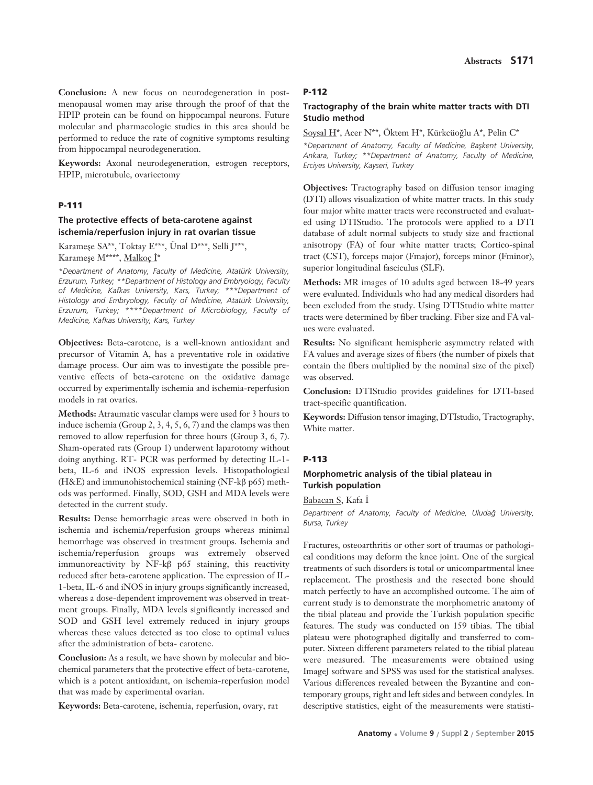**Conclusion:** A new focus on neurodegeneration in postmenopausal women may arise through the proof of that the HPIP protein can be found on hippocampal neurons. Future molecular and pharmacologic studies in this area should be performed to reduce the rate of cognitive symptoms resulting from hippocampal neurodegeneration.

**Keywords:** Axonal neurodegeneration, estrogen receptors, HPIP, microtubule, ovariectomy

# **P-111**

## **The protective effects of beta-carotene against ischemia/reperfusion injury in rat ovarian tissue**

Karameşe SA\*\*, Toktay E\*\*\*, Ünal D\*\*\*, Selli J\*\*\*,

Karameşe M\*\*\*\*, Malkoç İ\*

*\*Department of Anatomy, Faculty of Medicine, Atatürk University, Erzurum, Turkey; \*\*Department of Histology and Embryology, Faculty of Medicine, Kafkas University, Kars, Turkey; \*\*\*Department of Histology and Embryology, Faculty of Medicine, Atatürk University, Erzurum, Turkey; \*\*\*\*Department of Microbiology, Faculty of Medicine, Kafkas University, Kars, Turkey* 

**Objectives:** Beta-carotene, is a well-known antioxidant and precursor of Vitamin A, has a preventative role in oxidative damage process. Our aim was to investigate the possible preventive effects of beta-carotene on the oxidative damage occurred by experimentally ischemia and ischemia-reperfusion models in rat ovaries.

**Methods:** Atraumatic vascular clamps were used for 3 hours to induce ischemia (Group 2, 3, 4, 5, 6, 7) and the clamps was then removed to allow reperfusion for three hours (Group 3, 6, 7). Sham-operated rats (Group 1) underwent laparotomy without doing anything. RT- PCR was performed by detecting IL-1 beta, IL-6 and iNOS expression levels. Histopathological (H&E) and immunohistochemical staining (NF-kβ p65) methods was performed. Finally, SOD, GSH and MDA levels were detected in the current study.

**Results:** Dense hemorrhagic areas were observed in both in ischemia and ischemia/reperfusion groups whereas minimal hemorrhage was observed in treatment groups. Ischemia and ischemia/reperfusion groups was extremely observed immunoreactivity by NF-kβ p65 staining, this reactivity reduced after beta-carotene application. The expression of IL-1-beta, IL-6 and iNOS in injury groups significantly increased, whereas a dose-dependent improvement was observed in treatment groups. Finally, MDA levels significantly increased and SOD and GSH level extremely reduced in injury groups whereas these values detected as too close to optimal values after the administration of beta- carotene.

**Conclusion:** As a result, we have shown by molecular and biochemical parameters that the protective effect of beta-carotene, which is a potent antioxidant, on ischemia-reperfusion model that was made by experimental ovarian.

**Keywords:** Beta-carotene, ischemia, reperfusion, ovary, rat

#### **P-112**

## **Tractography of the brain white matter tracts with DTI Studio method**

Soysal H<sup>\*</sup>, Acer N<sup>\*\*</sup>, Öktem H<sup>\*</sup>, Kürkcüoğlu A<sup>\*</sup>, Pelin C<sup>\*</sup> *\*Department of Anatomy, Faculty of Medicine, Baflkent University, Ankara, Turkey; \*\*Department of Anatomy, Faculty of Medicine, Erciyes University, Kayseri, Turkey*

**Objectives:** Tractography based on diffusion tensor imaging (DTI) allows visualization of white matter tracts. In this study four major white matter tracts were reconstructed and evaluated using DTIStudio. The protocols were applied to a DTI database of adult normal subjects to study size and fractional anisotropy (FA) of four white matter tracts; Cortico-spinal tract (CST), forceps major (Fmajor), forceps minor (Fminor), superior longitudinal fasciculus (SLF).

**Methods:** MR images of 10 adults aged between 18-49 years were evaluated. Individuals who had any medical disorders had been excluded from the study. Using DTIStudio white matter tracts were determined by fiber tracking. Fiber size and FA values were evaluated.

**Results:** No significant hemispheric asymmetry related with FA values and average sizes of fibers (the number of pixels that contain the fibers multiplied by the nominal size of the pixel) was observed.

**Conclusion:** DTIStudio provides guidelines for DTI-based tract-specific quantification.

**Keywords:** Diffusion tensor imaging, DTIstudio, Tractography, White matter.

#### **P-113**

## **Morphometric analysis of the tibial plateau in Turkish population**

Babacan S, Kafa İ

*Department of Anatomy, Faculty of Medicine, Uluda¤ University, Bursa, Turkey*

Fractures, osteoarthritis or other sort of traumas or pathological conditions may deform the knee joint. One of the surgical treatments of such disorders is total or unicompartmental knee replacement. The prosthesis and the resected bone should match perfectly to have an accomplished outcome. The aim of current study is to demonstrate the morphometric anatomy of the tibial plateau and provide the Turkish population specific features. The study was conducted on 159 tibias. The tibial plateau were photographed digitally and transferred to computer. Sixteen different parameters related to the tibial plateau were measured. The measurements were obtained using ImageJ software and SPSS was used for the statistical analyses. Various differences revealed between the Byzantine and contemporary groups, right and left sides and between condyles. In descriptive statistics, eight of the measurements were statisti-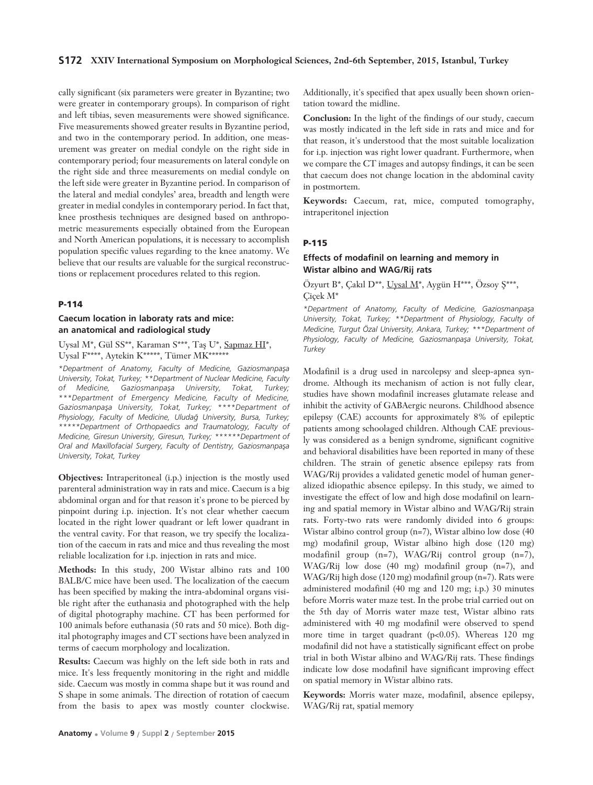## **S172 XXIV International Symposium on Morphological Sciences, 2nd-6th September, 2015, Istanbul, Turkey**

cally significant (six parameters were greater in Byzantine; two were greater in contemporary groups). In comparison of right and left tibias, seven measurements were showed significance. Five measurements showed greater results in Byzantine period, and two in the contemporary period. In addition, one measurement was greater on medial condyle on the right side in contemporary period; four measurements on lateral condyle on the right side and three measurements on medial condyle on the left side were greater in Byzantine period. In comparison of the lateral and medial condyles' area, breadth and length were greater in medial condyles in contemporary period. In fact that, knee prosthesis techniques are designed based on anthropometric measurements especially obtained from the European and North American populations, it is necessary to accomplish population specific values regarding to the knee anatomy. We believe that our results are valuable for the surgical reconstructions or replacement procedures related to this region.

#### **P-114**

## **Caecum location in laboraty rats and mice: an anatomical and radiological study**

Uysal M\*, Gül $\mathrm{SS}^{**},$  Karaman $\mathrm{S}^{***},$  Taş U\*,  $\underline{\mathrm{Sapmaz}\ H\! I^*},$ Uysal F\*\*\*\*, Aytekin K\*\*\*\*\*, Tümer MK\*\*\*\*\*\*

*\*Department of Anatomy, Faculty of Medicine, Gaziosmanpafla University, Tokat, Turkey; \*\*Department of Nuclear Medicine, Faculty* of Medicine, Gaziosmanpaşa University, Tokat, Turkey; *\*\*\*Department of Emergency Medicine, Faculty of Medicine,* Gaziosmanpaşa University, Tokat, Turkey; \*\*\*\*Department of *Physiology, Faculty of Medicine, Uluda¤ University, Bursa, Turkey; \*\*\*\*\*Department of Orthopaedics and Traumatology, Faculty of Medicine, Giresun University, Giresun, Turkey; \*\*\*\*\*\*Department of* Oral and Maxillofacial Surgery, Faculty of Dentistry, Gaziosmanpaşa *University, Tokat, Turkey*

**Objectives:** Intraperitoneal (i.p.) injection is the mostly used parenteral administration way in rats and mice. Caecum is a big abdominal organ and for that reason it's prone to be pierced by pinpoint during i.p. injection. It's not clear whether caecum located in the right lower quadrant or left lower quadrant in the ventral cavity. For that reason, we try specify the localization of the caecum in rats and mice and thus revealing the most reliable localization for i.p. injection in rats and mice.

**Methods:** In this study, 200 Wistar albino rats and 100 BALB/C mice have been used. The localization of the caecum has been specified by making the intra-abdominal organs visible right after the euthanasia and photographed with the help of digital photography machine. CT has been performed for 100 animals before euthanasia (50 rats and 50 mice). Both digital photography images and CT sections have been analyzed in terms of caecum morphology and localization.

**Results:** Caecum was highly on the left side both in rats and mice. It's less frequently monitoring in the right and middle side. Caecum was mostly in comma shape but it was round and S shape in some animals. The direction of rotation of caecum from the basis to apex was mostly counter clockwise. Additionally, it's specified that apex usually been shown orientation toward the midline.

**Conclusion:** In the light of the findings of our study, caecum was mostly indicated in the left side in rats and mice and for that reason, it's understood that the most suitable localization for i.p. injection was right lower quadrant. Furthermore, when we compare the CT images and autopsy findings, it can be seen that caecum does not change location in the abdominal cavity in postmortem.

**Keywords:** Caecum, rat, mice, computed tomography, intraperitonel injection

### **P-115**

## **Effects of modafinil on learning and memory in Wistar albino and WAG/Rij rats**

Özyurt B\*, Çakıl D\*\*, Uysal M\*, Aygün H\*\*\*, Özsoy Ş\*\*\*, Çiçek M\*

*\*Department of Anatomy, Faculty of Medicine, Gaziosmanpafla University, Tokat, Turkey; \*\*Department of Physiology, Faculty of Medicine, Turgut Özal University, Ankara, Turkey; \*\*\*Department of* Physiology, Faculty of Medicine, Gaziosmanpaşa University, Tokat, *Turkey*

Modafinil is a drug used in narcolepsy and sleep-apnea syndrome. Although its mechanism of action is not fully clear, studies have shown modafinil increases glutamate release and inhibit the activity of GABAergic neurons. Childhood absence epilepsy (CAE) accounts for approximately 8% of epileptic patients among schoolaged children. Although CAE previously was considered as a benign syndrome, significant cognitive and behavioral disabilities have been reported in many of these children. The strain of genetic absence epilepsy rats from WAG/Rij provides a validated genetic model of human generalized idiopathic absence epilepsy. In this study, we aimed to investigate the effect of low and high dose modafinil on learning and spatial memory in Wistar albino and WAG/Rij strain rats. Forty-two rats were randomly divided into 6 groups: Wistar albino control group (n=7), Wistar albino low dose (40 mg) modafinil group, Wistar albino high dose (120 mg) modafinil group (n=7), WAG/Rij control group (n=7), WAG/Rij low dose (40 mg) modafinil group (n=7), and WAG/Rij high dose (120 mg) modafinil group (n=7). Rats were administered modafinil (40 mg and 120 mg; i.p.) 30 minutes before Morris water maze test. In the probe trial carried out on the 5th day of Morris water maze test, Wistar albino rats administered with 40 mg modafinil were observed to spend more time in target quadrant (p<0.05). Whereas 120 mg modafinil did not have a statistically significant effect on probe trial in both Wistar albino and WAG/Rij rats. These findings indicate low dose modafinil have significant improving effect on spatial memory in Wistar albino rats.

**Keywords:** Morris water maze, modafinil, absence epilepsy, WAG/Rij rat, spatial memory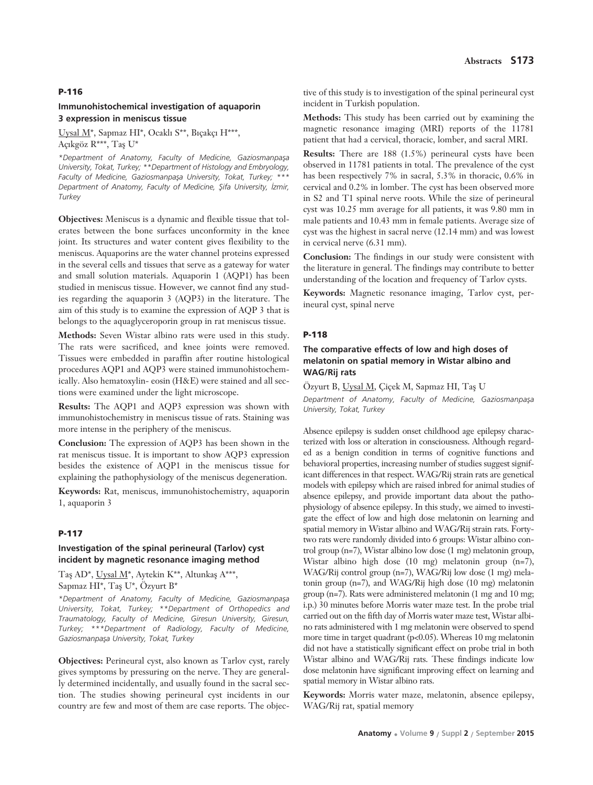#### **P-116**

## **Immunohistochemical investigation of aquaporin 3 expression in meniscus tissue**

Uysal M<sup>\*</sup>, Sapmaz HI<sup>\*</sup>, Ocaklı S<sup>\*\*</sup>, Bıçakçı H<sup>\*\*\*</sup>, Açıkgöz R\*\*\*, Taş U\*

*\*Department of Anatomy, Faculty of Medicine, Gaziosmanpafla University, Tokat, Turkey; \*\*Department of Histology and Embryology,* Faculty of Medicine, Gaziosmanpaşa University, Tokat, Turkey; \*\*\* *Department of Anatomy, Faculty of Medicine, fiifa University, ‹zmir, Turkey*

**Objectives:** Meniscus is a dynamic and flexible tissue that tolerates between the bone surfaces unconformity in the knee joint. Its structures and water content gives flexibility to the meniscus. Aquaporins are the water channel proteins expressed in the several cells and tissues that serve as a gateway for water and small solution materials. Aquaporin 1 (AQP1) has been studied in meniscus tissue. However, we cannot find any studies regarding the aquaporin 3 (AQP3) in the literature. The aim of this study is to examine the expression of AQP 3 that is belongs to the aquaglyceroporin group in rat meniscus tissue.

**Methods:** Seven Wistar albino rats were used in this study. The rats were sacrificed, and knee joints were removed. Tissues were embedded in paraffin after routine histological procedures AQP1 and AQP3 were stained immunohistochemically. Also hematoxylin- eosin (H&E) were stained and all sections were examined under the light microscope.

**Results:** The AQP1 and AQP3 expression was shown with immunohistochemistry in meniscus tissue of rats. Staining was more intense in the periphery of the meniscus.

**Conclusion:** The expression of AQP3 has been shown in the rat meniscus tissue. It is important to show AQP3 expression besides the existence of AQP1 in the meniscus tissue for explaining the pathophysiology of the meniscus degeneration.

**Keywords:** Rat, meniscus, immunohistochemistry, aquaporin 1, aquaporin 3

#### **P-117**

### **Investigation of the spinal perineural (Tarlov) cyst incident by magnetic resonance imaging method**

Taş AD\*, Uysal M\*, Aytekin K\*\*, Altunkaş A\*\*\*, Sapmaz HI\*, Taş U\*, Özyurt B\*

*\*Department of Anatomy, Faculty of Medicine, Gaziosmanpafla University, Tokat, Turkey; \*\*Department of Orthopedics and Traumatology, Faculty of Medicine, Giresun University, Giresun, Turkey; \*\*\*Department of Radiology, Faculty of Medicine, Gaziosmanpafla University, Tokat, Turkey*

**Objectives:** Perineural cyst, also known as Tarlov cyst, rarely gives symptoms by pressuring on the nerve. They are generally determined incidentally, and usually found in the sacral section. The studies showing perineural cyst incidents in our country are few and most of them are case reports. The objective of this study is to investigation of the spinal perineural cyst incident in Turkish population.

**Methods:** This study has been carried out by examining the magnetic resonance imaging (MRI) reports of the 11781 patient that had a cervical, thoracic, lomber, and sacral MRI.

**Results:** There are 188 (1.5%) perineural cysts have been observed in 11781 patients in total. The prevalence of the cyst has been respectively 7% in sacral, 5.3% in thoracic, 0.6% in cervical and 0.2% in lomber. The cyst has been observed more in S2 and T1 spinal nerve roots. While the size of perineural cyst was 10.25 mm average for all patients, it was 9.80 mm in male patients and 10.43 mm in female patients. Average size of cyst was the highest in sacral nerve (12.14 mm) and was lowest in cervical nerve (6.31 mm).

**Conclusion:** The findings in our study were consistent with the literature in general. The findings may contribute to better understanding of the location and frequency of Tarlov cysts.

**Keywords:** Magnetic resonance imaging, Tarlov cyst, perineural cyst, spinal nerve

#### **P-118**

# **The comparative effects of low and high doses of melatonin on spatial memory in Wistar albino and WAG/Rij rats**

Özyurt B, Uysal M, Çiçek M, Sapmaz HI, Taş U

*Department of Anatomy, Faculty of Medicine, Gaziosmanpaşa University, Tokat, Turkey*

Absence epilepsy is sudden onset childhood age epilepsy characterized with loss or alteration in consciousness. Although regarded as a benign condition in terms of cognitive functions and behavioral properties, increasing number of studies suggest significant differences in that respect. WAG/Rij strain rats are genetical models with epilepsy which are raised inbred for animal studies of absence epilepsy, and provide important data about the pathophysiology of absence epilepsy. In this study, we aimed to investigate the effect of low and high dose melatonin on learning and spatial memory in Wistar albino and WAG/Rij strain rats. Fortytwo rats were randomly divided into 6 groups: Wistar albino control group (n=7), Wistar albino low dose (1 mg) melatonin group, Wistar albino high dose (10 mg) melatonin group (n=7), WAG/Rij control group (n=7), WAG/Rij low dose (1 mg) melatonin group (n=7), and WAG/Rij high dose (10 mg) melatonin group (n=7). Rats were administered melatonin (1 mg and 10 mg; i.p.) 30 minutes before Morris water maze test. In the probe trial carried out on the fifth day of Morris water maze test, Wistar albino rats administered with 1 mg melatonin were observed to spend more time in target quadrant (p<0.05). Whereas 10 mg melatonin did not have a statistically significant effect on probe trial in both Wistar albino and WAG/Rij rats. These findings indicate low dose melatonin have significant improving effect on learning and spatial memory in Wistar albino rats.

**Keywords:** Morris water maze, melatonin, absence epilepsy, WAG/Rij rat, spatial memory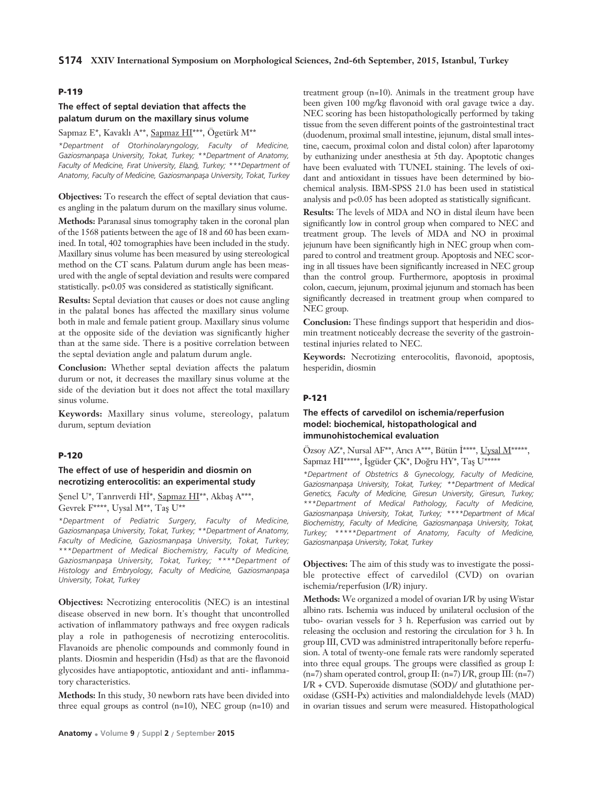#### **P-119**

## **The effect of septal deviation that affects the palatum durum on the maxillary sinus volume**

Sapmaz E\*, Kavaklı A\*\*, Sapmaz HI\*\*\*, Ögetürk M\*\*

*\*Department of Otorhinolaryngology, Faculty of Medicine,* Gaziosmanpasa University, Tokat, Turkey; \*\*Department of Anatomy, Faculty of Medicine, Fırat University, Elazığ, Turkey; \*\*\*Department of *Anatomy, Faculty of Medicine, Gaziosmanpafla University, Tokat, Turkey*

**Objectives:** To research the effect of septal deviation that causes angling in the palatum durum on the maxillary sinus volume.

**Methods:** Paranasal sinus tomography taken in the coronal plan of the 1568 patients between the age of 18 and 60 has been examined. In total, 402 tomographies have been included in the study. Maxillary sinus volume has been measured by using stereological method on the CT scans. Palatum durum angle has been measured with the angle of septal deviation and results were compared statistically. p<0.05 was considered as statistically significant.

**Results:** Septal deviation that causes or does not cause angling in the palatal bones has affected the maxillary sinus volume both in male and female patient group. Maxillary sinus volume at the opposite side of the deviation was significantly higher than at the same side. There is a positive correlation between the septal deviation angle and palatum durum angle.

**Conclusion:** Whether septal deviation affects the palatum durum or not, it decreases the maxillary sinus volume at the side of the deviation but it does not affect the total maxillary sinus volume.

**Keywords:** Maxillary sinus volume, stereology, palatum durum, septum deviation

## **P-120**

## **The effect of use of hesperidin and diosmin on necrotizing enterocolitis: an experimental study**

Şenel U\*, Tanrıverdi Hİ\*, Sapmaz HI\*\*, Akbaş A\*\*\*, Gevrek F\*\*\*\*, Uysal M\*\*, Taş U\*\*

*\*Department of Pediatric Surgery, Faculty of Medicine,* Gaziosmanpasa University, Tokat, Turkey; \*\*Department of Anatomy, Faculty of Medicine, Gaziosmanpaşa University, Tokat, Turkey; *\*\*\*Department of Medical Biochemistry, Faculty of Medicine, Gaziosmanpafla University, Tokat, Turkey; \*\*\*\*Department of* Histology and Embryology, Faculty of Medicine, Gaziosmanpasa *University, Tokat, Turkey*

**Objectives:** Necrotizing enterocolitis (NEC) is an intestinal disease observed in new born. It's thought that uncontrolled activation of inflammatory pathways and free oxygen radicals play a role in pathogenesis of necrotizing enterocolitis. Flavanoids are phenolic compounds and commonly found in plants. Diosmin and hesperidin (Hsd) as that are the flavonoid glycosides have antiapoptotic, antioxidant and anti- inflammatory characteristics.

**Methods:** In this study, 30 newborn rats have been divided into three equal groups as control  $(n=10)$ , NEC group  $(n=10)$  and

treatment group (n=10). Animals in the treatment group have been given 100 mg/kg flavonoid with oral gavage twice a day. NEC scoring has been histopathologically performed by taking tissue from the seven different points of the gastrointestinal tract (duodenum, proximal small intestine, jejunum, distal small intestine, caecum, proximal colon and distal colon) after laparotomy by euthanizing under anesthesia at 5th day. Apoptotic changes have been evaluated with TUNEL staining. The levels of oxidant and antioxidant in tissues have been determined by biochemical analysis. IBM-SPSS 21.0 has been used in statistical analysis and p<0.05 has been adopted as statistically significant.

**Results:** The levels of MDA and NO in distal ileum have been significantly low in control group when compared to NEC and treatment group. The levels of MDA and NO in proximal jejunum have been significantly high in NEC group when compared to control and treatment group. Apoptosis and NEC scoring in all tissues have been significantly increased in NEC group than the control group. Furthermore, apoptosis in proximal colon, caecum, jejunum, proximal jejunum and stomach has been significantly decreased in treatment group when compared to NEC group.

**Conclusion:** These findings support that hesperidin and diosmin treatment noticeably decrease the severity of the gastrointestinal injuries related to NEC.

**Keywords:** Necrotizing enterocolitis, flavonoid, apoptosis, hesperidin, diosmin

### **P-121**

## **The effects of carvedilol on ischemia/reperfusion model: biochemical, histopathological and immunohistochemical evaluation**

Özsoy AZ\*, Nursal AF\*\*, Arıcı A\*\*\*, Bütün İ\*\*\*\*, Uysal M\*\*\*\*\*, Sapmaz HI\*\*\*\*\*, İşgüder ÇK\*, Doğru HY\*, Taş U\*\*\*\*\*

*\*Department of Obstetrics & Gynecology, Faculty of Medicine,* Gaziosmanpaşa University, Tokat, Turkey; \*\*Department of Medical *Genetics, Faculty of Medicine, Giresun University, Giresun, Turkey; \*\*\*Department of Medical Pathology, Faculty of Medicine,* Gaziosmanpaşa University, Tokat, Turkey; \*\*\*\*Department of Mical Biochemistry, Faculty of Medicine, Gaziosmanpaşa University, Tokat, *Turkey; \*\*\*\*\*Department of Anatomy, Faculty of Medicine, Gaziosmanpafla University, Tokat, Turkey*

**Objectives:** The aim of this study was to investigate the possible protective effect of carvedilol (CVD) on ovarian ischemia/reperfusion (I/R) injury.

**Methods:** We organized a model of ovarian I/R by using Wistar albino rats. Ischemia was induced by unilateral occlusion of the tubo- ovarian vessels for 3 h. Reperfusion was carried out by releasing the occlusion and restoring the circulation for 3 h. In group III, CVD was administred intraperitonally before reperfusion. A total of twenty-one female rats were randomly seperated into three equal groups. The groups were classified as group I: (n=7) sham operated control, group II: (n=7) I/R, group III: (n=7) I/R + CVD. Superoxide dismutase (SOD)/ and glutathione peroxidase (GSH-Px) activities and malondialdehyde levels (MAD) in ovarian tissues and serum were measured. Histopathological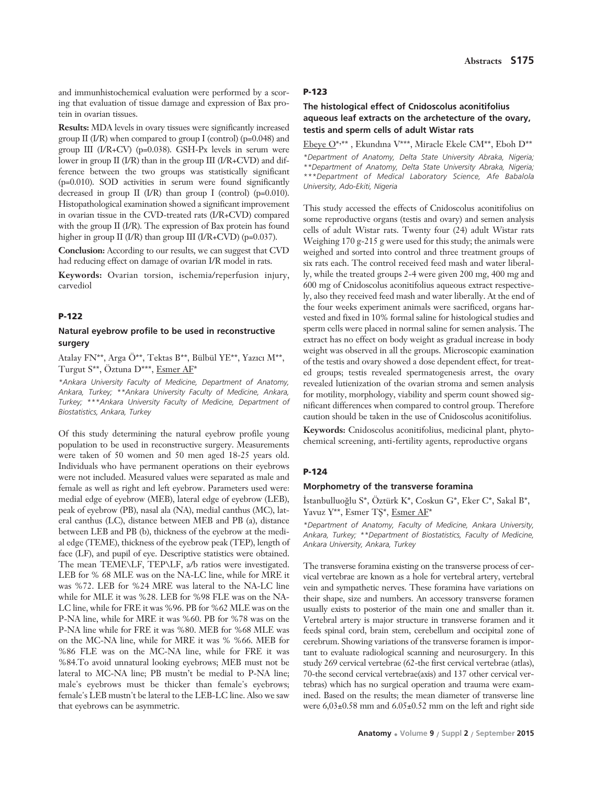and immunhistochemical evaluation were performed by a scoring that evaluation of tissue damage and expression of Bax protein in ovarian tissues.

**Results:** MDA levels in ovary tissues were significantly increased group II (I/R) when compared to group I (control) ( $p=0.048$ ) and group III  $(I/R+CV)$  (p=0.038). GSH-Px levels in serum were lower in group II (I/R) than in the group III (I/R+CVD) and difference between the two groups was statistically significant (p=0.010). SOD activities in serum were found significantly decreased in group  $II$  (I/R) than group I (control) (p=0.010). Histopathological examination showed a significant improvement in ovarian tissue in the CVD-treated rats (I/R+CVD) compared with the group II (I/R). The expression of Bax protein has found higher in group II (I/R) than group III (I/R+CVD) (p=0.037).

**Conclusion:** According to our results, we can suggest that CVD had reducing effect on damage of ovarian I/R model in rats.

**Keywords:** Ovarian torsion, ischemia/reperfusion injury, carvediol

### **P-122**

## **Natural eyebrow profile to be used in reconstructive surgery**

Atalay FN\*\*, Arga Ö\*\*, Tektas B\*\*, Bülbül YE\*\*, Yazıcı M\*\*, Turgut S\*\*, Öztuna D\*\*\*, Esmer AF\*

*\*Ankara University Faculty of Medicine, Department of Anatomy, Ankara, Turkey; \*\*Ankara University Faculty of Medicine, Ankara, Turkey; \*\*\*Ankara University Faculty of Medicine, Department of Biostatistics, Ankara, Turkey* 

Of this study determining the natural eyebrow profile young population to be used in reconstructive surgery. Measurements were taken of 50 women and 50 men aged 18-25 years old. Individuals who have permanent operations on their eyebrows were not included. Measured values were separated as male and female as well as right and left eyebrow. Parameters used were: medial edge of eyebrow (MEB), lateral edge of eyebrow (LEB), peak of eyebrow (PB), nasal ala (NA), medial canthus (MC), lateral canthus (LC), distance between MEB and PB (a), distance between LEB and PB (b), thickness of the eyebrow at the medial edge (TEME), thickness of the eyebrow peak (TEP), length of face (LF), and pupil of eye. Descriptive statistics were obtained. The mean TEME\LF, TEP\LF, a/b ratios were investigated. LEB for % 68 MLE was on the NA-LC line, while for MRE it was %72. LEB for %24 MRE was lateral to the NA-LC line while for MLE it was %28. LEB for %98 FLE was on the NA-LC line, while for FRE it was %96. PB for %62 MLE was on the P-NA line, while for MRE it was %60. PB for %78 was on the P-NA line while for FRE it was %80. MEB for %68 MLE was on the MC-NA line, while for MRE it was % %66. MEB for %86 FLE was on the MC-NA line, while for FRE it was %84.To avoid unnatural looking eyebrows; MEB must not be lateral to MC-NA line; PB mustn't be medial to P-NA line; male's eyebrows must be thicker than female's eyebrows; female's LEB mustn't be lateral to the LEB-LC line. Also we saw that eyebrows can be asymmetric.

#### **P-123**

## **The histological effect of Cnidoscolus aconitifolius aqueous leaf extracts on the archetecture of the ovary, testis and sperm cells of adult Wistar rats**

Ebeye O\*,\*\*, Ekundina V\*\*\*, Miracle Ekele CM\*\*, Eboh D\*\* *\*Department of Anatomy, Delta State University Abraka, Nigeria; \*\*Department of Anatomy, Delta State University Abraka, Nigeria; \*\*\*Department of Medical Laboratory Science, Afe Babalola University, Ado-Ekiti, Nigeria* 

This study accessed the effects of Cnidoscolus aconitifolius on some reproductive organs (testis and ovary) and semen analysis cells of adult Wistar rats. Twenty four (24) adult Wistar rats Weighing 170 g-215 g were used for this study; the animals were weighed and sorted into control and three treatment groups of six rats each. The control received feed mash and water liberally, while the treated groups 2-4 were given 200 mg, 400 mg and 600 mg of Cnidoscolus aconitifolius aqueous extract respectively, also they received feed mash and water liberally. At the end of the four weeks experiment animals were sacrificed, organs harvested and fixed in 10% formal saline for histological studies and sperm cells were placed in normal saline for semen analysis. The extract has no effect on body weight as gradual increase in body weight was observed in all the groups. Microscopic examination of the testis and ovary showed a dose dependent effect, for treated groups; testis revealed spermatogenesis arrest, the ovary revealed lutienization of the ovarian stroma and semen analysis for motility, morphology, viability and sperm count showed significant differences when compared to control group. Therefore caution should be taken in the use of Cnidoscolus aconitifolius.

**Keywords:** Cnidoscolus aconitifolius, medicinal plant, phytochemical screening, anti-fertility agents, reproductive organs

#### **P-124**

#### **Morphometry of the transverse foramina**

İstanbulluoğlu S\*, Öztürk K\*, Coskun G\*, Eker C\*, Sakal B\*, Yavuz  $Y^{**}$ , Esmer TS\*, Esmer AF\*

*\*Department of Anatomy, Faculty of Medicine, Ankara University, Ankara, Turkey; \*\*Department of Biostatistics, Faculty of Medicine, Ankara University, Ankara, Turkey*

The transverse foramina existing on the transverse process of cervical vertebrae are known as a hole for vertebral artery, vertebral vein and sympathetic nerves. These foramina have variations on their shape, size and numbers. An accessory transverse foramen usually exists to posterior of the main one and smaller than it. Vertebral artery is major structure in transverse foramen and it feeds spinal cord, brain stem, cerebellum and occipital zone of cerebrum. Showing variations of the transverse foramen is important to evaluate radiological scanning and neurosurgery. In this study 269 cervical vertebrae (62-the first cervical vertebrae (atlas), 70-the second cervical vertebrae(axis) and 137 other cervical vertebras) which has no surgical operation and trauma were examined. Based on the results; the mean diameter of transverse line were 6,03±0.58 mm and 6.05±0.52 mm on the left and right side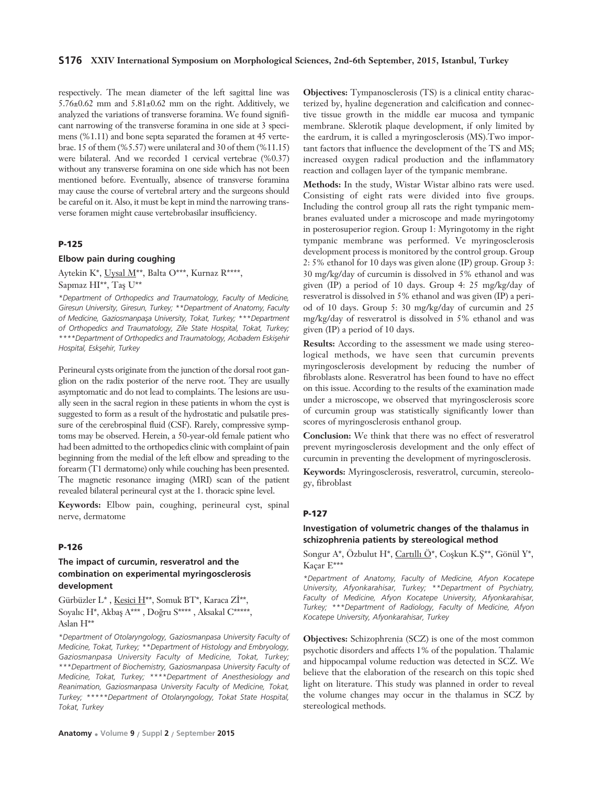### **S176 XXIV International Symposium on Morphological Sciences, 2nd-6th September, 2015, Istanbul, Turkey**

respectively. The mean diameter of the left sagittal line was  $5.76\pm0.62$  mm and  $5.81\pm0.62$  mm on the right. Additively, we analyzed the variations of transverse foramina. We found significant narrowing of the transverse foramina in one side at 3 specimens (%1.11) and bone septa separated the foramen at 45 vertebrae. 15 of them (%5.57) were unilateral and 30 of them (%11.15) were bilateral. And we recorded 1 cervical vertebrae (%0.37) without any transverse foramina on one side which has not been mentioned before. Eventually, absence of transverse foramina may cause the course of vertebral artery and the surgeons should be careful on it. Also, it must be kept in mind the narrowing transverse foramen might cause vertebrobasilar insufficiency.

# **P-125**

### **Elbow pain during coughing**

Aytekin K\*, Uysal M\*\*, Balta O\*\*\*, Kurnaz R\*\*\*\*,

Sapmaz HI\*\*, Taş U\*\*

*\*Department of Orthopedics and Traumatology, Faculty of Medicine, Giresun University, Giresun, Turkey; \*\*Department of Anatomy, Faculty* of Medicine, Gaziosmanpaşa University, Tokat, Turkey; \*\*\*Department *of Orthopedics and Traumatology, Zile State Hospital, Tokat, Turkey;* \*\*\*\*Department of Orthopedics and Traumatology, Acıbadem Eskişehir *Hospital, Esksehir, Turkey* 

Perineural cysts originate from the junction of the dorsal root ganglion on the radix posterior of the nerve root. They are usually asymptomatic and do not lead to complaints. The lesions are usually seen in the sacral region in these patients in whom the cyst is suggested to form as a result of the hydrostatic and pulsatile pressure of the cerebrospinal fluid (CSF). Rarely, compressive symptoms may be observed. Herein, a 50-year-old female patient who had been admitted to the orthopedics clinic with complaint of pain beginning from the medial of the left elbow and spreading to the forearm (T1 dermatome) only while couching has been presented. The magnetic resonance imaging (MRI) scan of the patient revealed bilateral perineural cyst at the 1. thoracic spine level.

**Keywords:** Elbow pain, coughing, perineural cyst, spinal nerve, dermatome

#### **P-126**

# **The impact of curcumin, resveratrol and the combination on experimental myringosclerosis development**

Gürbüzler L\*, Kesici H\*\*, Somuk BT\*, Karaca Zİ\*\*, Soyalıc H\*, Akbaş A\*\*\*, Doğru S\*\*\*\*, Aksakal C\*\*\*\*\*, Aslan H\*\*

*\*Department of Otolaryngology, Gaziosmanpasa University Faculty of Medicine, Tokat, Turkey; \*\*Department of Histology and Embryology, Gaziosmanpasa University Faculty of Medicine, Tokat, Turkey; \*\*\*Department of Biochemistry, Gaziosmanpasa University Faculty of Medicine, Tokat, Turkey; \*\*\*\*Department of Anesthesiology and Reanimation, Gaziosmanpasa University Faculty of Medicine, Tokat, Turkey; \*\*\*\*\*Department of Otolaryngology, Tokat State Hospital, Tokat, Turkey*

**Objectives:** Tympanosclerosis (TS) is a clinical entity characterized by, hyaline degeneration and calcification and connective tissue growth in the middle ear mucosa and tympanic membrane. Sklerotik plaque development, if only limited by the eardrum, it is called a myringosclerosis (MS).Two important factors that influence the development of the TS and MS; increased oxygen radical production and the inflammatory reaction and collagen layer of the tympanic membrane.

**Methods:** In the study, Wistar Wistar albino rats were used. Consisting of eight rats were divided into five groups. Including the control group all rats the right tympanic membranes evaluated under a microscope and made myringotomy in posterosuperior region. Group 1: Myringotomy in the right tympanic membrane was performed. Ve myringosclerosis development process is monitored by the control group. Group 2: 5% ethanol for 10 days was given alone (IP) group. Group 3: 30 mg/kg/day of curcumin is dissolved in 5% ethanol and was given (IP) a period of 10 days. Group 4: 25 mg/kg/day of resveratrol is dissolved in 5% ethanol and was given (IP) a period of 10 days. Group 5: 30 mg/kg/day of curcumin and 25 mg/kg/day of resveratrol is dissolved in 5% ethanol and was given (IP) a period of 10 days.

**Results:** According to the assessment we made using stereological methods, we have seen that curcumin prevents myringosclerosis development by reducing the number of fibroblasts alone. Resveratrol has been found to have no effect on this issue. According to the results of the examination made under a microscope, we observed that myringosclerosis score of curcumin group was statistically significantly lower than scores of myringosclerosis enthanol group.

**Conclusion:** We think that there was no effect of resveratrol prevent myringosclerosis development and the only effect of curcumin in preventing the development of myringosclerosis.

**Keywords:** Myringosclerosis, resveratrol, curcumin, stereology, fibroblast

### **P-127**

## **Investigation of volumetric changes of the thalamus in schizophrenia patients by stereological method**

Songur A\*, Özbulut H\*, Cartıllı Ö\*, Coşkun K.Ş\*\*, Gönül Y\*, Kaçar E\*\*\*

*\*Department of Anatomy, Faculty of Medicine, Afyon Kocatepe University, Afyonkarahisar, Turkey; \*\*Department of Psychiatry, Faculty of Medicine, Afyon Kocatepe University, Afyonkarahisar, Turkey; \*\*\*Department of Radiology, Faculty of Medicine, Afyon Kocatepe University, Afyonkarahisar, Turkey* 

**Objectives:** Schizophrenia (SCZ) is one of the most common psychotic disorders and affects 1% of the population. Thalamic and hippocampal volume reduction was detected in SCZ. We believe that the elaboration of the research on this topic shed light on literature. This study was planned in order to reveal the volume changes may occur in the thalamus in SCZ by stereological methods.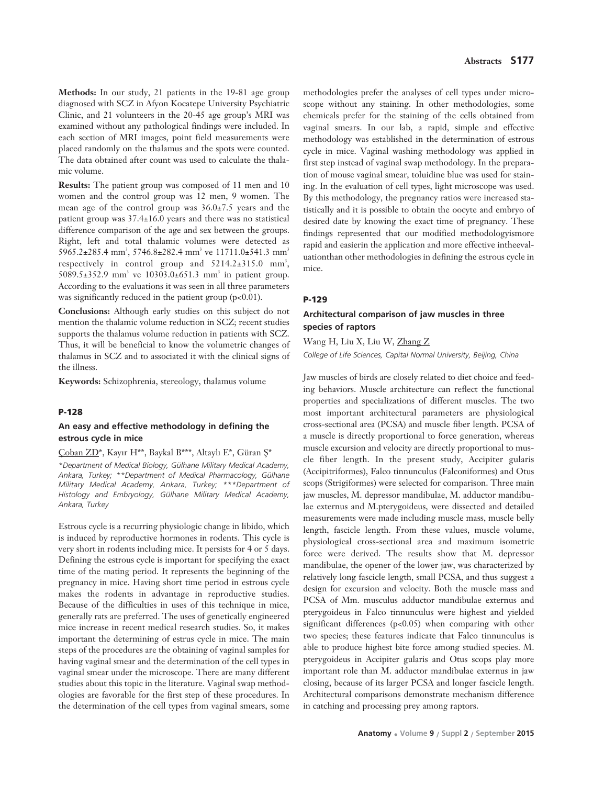**Methods:** In our study, 21 patients in the 19-81 age group diagnosed with SCZ in Afyon Kocatepe University Psychiatric Clinic, and 21 volunteers in the 20-45 age group's MRI was examined without any pathological findings were included. In each section of MRI images, point field measurements were placed randomly on the thalamus and the spots were counted. The data obtained after count was used to calculate the thalamic volume.

**Results:** The patient group was composed of 11 men and 10 women and the control group was 12 men, 9 women. The mean age of the control group was 36.0±7.5 years and the patient group was 37.4±16.0 years and there was no statistical difference comparison of the age and sex between the groups. Right, left and total thalamic volumes were detected as  $5965.2 \pm 285.4$  mm<sup>3</sup>,  $5746.8 \pm 282.4$  mm<sup>3</sup> ve  $11711.0 \pm 541.3$  mm<sup>3</sup> respectively in control group and  $5214.2 \pm 315.0$  mm<sup>3</sup>, 5089.5±352.9 mm<sup>3</sup> ve 10303.0±651.3 mm<sup>3</sup> in patient group. According to the evaluations it was seen in all three parameters was significantly reduced in the patient group  $(p<0.01)$ .

**Conclusions:** Although early studies on this subject do not mention the thalamic volume reduction in SCZ; recent studies supports the thalamus volume reduction in patients with SCZ. Thus, it will be beneficial to know the volumetric changes of thalamus in SCZ and to associated it with the clinical signs of the illness.

**Keywords:** Schizophrenia, stereology, thalamus volume

#### **P-128**

### **An easy and effective methodology in defining the estrous cycle in mice**

#### Coban ZD\*, Kayır H\*\*, Baykal B\*\*\*, Altaylı E\*, Güran S\*

*\*Department of Medical Biology, Gülhane Military Medical Academy, Ankara, Turkey; \*\*Department of Medical Pharmacology, Gülhane Military Medical Academy, Ankara, Turkey; \*\*\*Department of Histology and Embryology, Gülhane Military Medical Academy, Ankara, Turkey*

Estrous cycle is a recurring physiologic change in libido, which is induced by reproductive hormones in rodents. This cycle is very short in rodents including mice. It persists for 4 or 5 days. Defining the estrous cycle is important for specifying the exact time of the mating period. It represents the beginning of the pregnancy in mice. Having short time period in estrous cycle makes the rodents in advantage in reproductive studies. Because of the difficulties in uses of this technique in mice, generally rats are preferred. The uses of genetically engineered mice increase in recent medical research studies. So, it makes important the determining of estrus cycle in mice. The main steps of the procedures are the obtaining of vaginal samples for having vaginal smear and the determination of the cell types in vaginal smear under the microscope. There are many different studies about this topic in the literature. Vaginal swap methodologies are favorable for the first step of these procedures. In the determination of the cell types from vaginal smears, some methodologies prefer the analyses of cell types under microscope without any staining. In other methodologies, some chemicals prefer for the staining of the cells obtained from vaginal smears. In our lab, a rapid, simple and effective methodology was established in the determination of estrous cycle in mice. Vaginal washing methodology was applied in first step instead of vaginal swap methodology. In the preparation of mouse vaginal smear, toluidine blue was used for staining. In the evaluation of cell types, light microscope was used. By this methodology, the pregnancy ratios were increased statistically and it is possible to obtain the oocyte and embryo of desired date by knowing the exact time of pregnancy. These findings represented that our modified methodologyismore rapid and easierin the application and more effective intheevaluationthan other methodologies in defining the estrous cycle in mice.

#### **P-129**

## **Architectural comparison of jaw muscles in three species of raptors**

Wang H, Liu X, Liu W, Zhang Z

*College of Life Sciences, Capital Normal University, Beijing, China*

Jaw muscles of birds are closely related to diet choice and feeding behaviors. Muscle architecture can reflect the functional properties and specializations of different muscles. The two most important architectural parameters are physiological cross-sectional area (PCSA) and muscle fiber length. PCSA of a muscle is directly proportional to force generation, whereas muscle excursion and velocity are directly proportional to muscle fiber length. In the present study, Accipiter gularis (Accipitriformes), Falco tinnunculus (Falconiformes) and Otus scops (Strigiformes) were selected for comparison. Three main jaw muscles, M. depressor mandibulae, M. adductor mandibulae externus and M.pterygoideus, were dissected and detailed measurements were made including muscle mass, muscle belly length, fascicle length. From these values, muscle volume, physiological cross-sectional area and maximum isometric force were derived. The results show that M. depressor mandibulae, the opener of the lower jaw, was characterized by relatively long fascicle length, small PCSA, and thus suggest a design for excursion and velocity. Both the muscle mass and PCSA of Mm. musculus adductor mandibulae externus and pterygoideus in Falco tinnunculus were highest and yielded significant differences  $(p<0.05)$  when comparing with other two species; these features indicate that Falco tinnunculus is able to produce highest bite force among studied species. M. pterygoideus in Accipiter gularis and Otus scops play more important role than M. adductor mandibulae externus in jaw closing, because of its larger PCSA and longer fascicle length. Architectural comparisons demonstrate mechanism difference in catching and processing prey among raptors.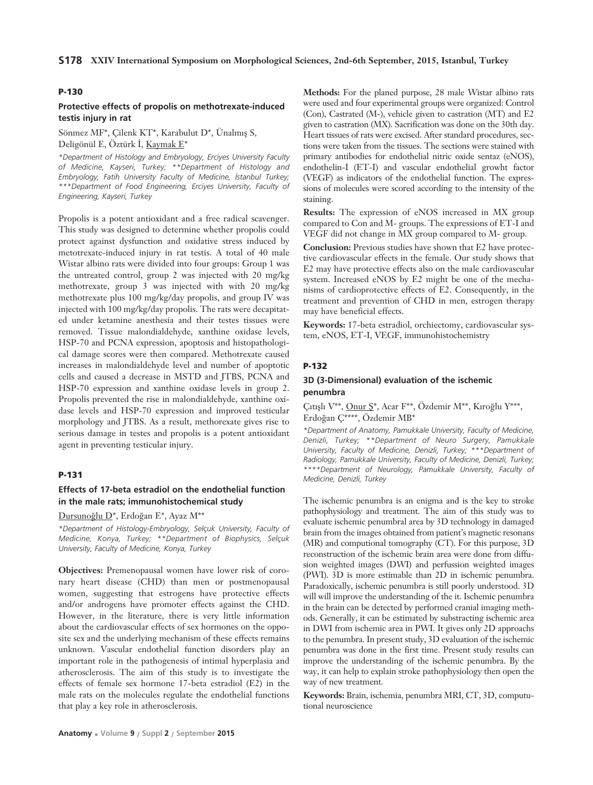#### **P-130**

## **Protective effects of propolis on methotrexate-induced testis injury in rat**

Sönmez MF\*, Çilenk KT\*, Karabulut D\*, Ünalmış S, Deligönül E, Öztürk İ, Kaymak E\*

*\*Department of Histology and Embryology, Erciyes University Faculty of Medicine, Kayseri, Turkey; \*\*Department of Histology and Embryology, Fatih University Faculty of Medicine, İstanbul Turkey; \*\*\*Department of Food Engineering, Erciyes University, Faculty of Engineering, Kayseri, Turkey*

Propolis is a potent antioxidant and a free radical scavenger. This study was designed to determine whether propolis could protect against dysfunction and oxidative stress induced by metotrexate-induced injury in rat testis. A total of 40 male Wistar albino rats were divided into four groups: Group 1 was the untreated control, group 2 was injected with 20 mg/kg methotrexate, group 3 was injected with with 20 mg/kg methotrexate plus 100 mg/kg/day propolis, and group IV was injected with 100 mg/kg/day propolis. The rats were decapitated under ketamine anesthesia and their testes tissues were removed. Tissue malondialdehyde, xanthine oxidase levels, HSP-70 and PCNA expression, apoptosis and histopathological damage scores were then compared. Methotrexate caused increases in malondialdehyde level and number of apoptotic cells and caused a decrease in MSTD and JTBS, PCNA and HSP-70 expression and xanthine oxidase levels in group 2. Propolis prevented the rise in malondialdehyde, xanthine oxidase levels and HSP-70 expression and improved testicular morphology and JTBS. As a result, methorexate gives rise to serious damage in testes and propolis is a potent antioxidant agent in preventing testicular injury.

## **P-131**

### **Effects of 17-beta estradiol on the endothelial function in the male rats; immunohistochemical study**

Dursunoğlu D\*, Erdoğan E\*, Ayaz M\*\*

*\*Department of Histology-Embryology, Selçuk University, Faculty of Medicine, Konya, Turkey; \*\*Department of Biophysics, Selçuk University, Faculty of Medicine, Konya, Turkey* 

**Objectives:** Premenopausal women have lower risk of coronary heart disease (CHD) than men or postmenopausal women, suggesting that estrogens have protective effects and/or androgens have promoter effects against the CHD. However, in the literature, there is very little information about the cardiovascular effects of sex hormones on the opposite sex and the underlying mechanism of these effects remains unknown. Vascular endothelial function disorders play an important role in the pathogenesis of intimal hyperplasia and atherosclerosis. The aim of this study is to investigate the effects of female sex hormone 17-beta estradiol (E2) in the male rats on the molecules regulate the endothelial functions that play a key role in atherosclerosis.

**Methods:** For the planed purpose, 28 male Wistar albino rats were used and four experimental groups were organized: Control (Con), Castrated (M-), vehicle given to castration (MT) and E2 given to castration (MX). Sacrification was done on the 30th day. Heart tissues of rats were excised. After standard procedures, sections were taken from the tissues. The sections were stained with primary antibodies for endothelial nitric oxide sentaz (eNOS), endothelin-I (ET-I) and vascular endothelial growht factor (VEGF) as indicators of the endothelial function. The expressions of molecules were scored according to the intensity of the staining.

**Results:** The expression of eNOS increased in MX group compared to Con and M- groups. The expressions of ET-I and VEGF did not change in MX group compared to M- group.

**Conclusion:** Previous studies have shown that E2 have protective cardiovascular effects in the female. Our study shows that E2 may have protective effects also on the male cardiovascular system. Increased eNOS by E2 might be one of the mechanisms of cardioprotective effects of E2. Consequently, in the treatment and prevention of CHD in men, estrogen therapy may have beneficial effects.

**Keywords:** 17-beta estradiol, orchiectomy, cardiovascular system, eNOS, ET-I, VEGF, immunohistochemistry

#### **P-132**

## **3D (3-Dimensional) evaluation of the ischemic penumbra**

## Çıtışlı V\*\*, Onur Ş\*, Acar F\*\*, Özdemir M\*\*, Kıroğlu Y\*\*\*, Erdoğan Ç\*\*\*\*, Özdemir MB\*

*\*Department of Anatomy, Pamukkale University, Faculty of Medicine, Denizli, Turkey; \*\*Department of Neuro Surgery, Pamukkale University, Faculty of Medicine, Denizli, Turkey; \*\*\*Department of Radiology, Pamukkale University, Faculty of Medicine, Denizli, Turkey; \*\*\*\*Department of Neurology, Pamukkale University, Faculty of Medicine, Denizli, Turkey*

The ischemic penumbra is an enigma and is the key to stroke pathophysiology and treatment. The aim of this study was to evaluate ischemic penumbral area by 3D technology in damaged brain from the images obtained from patient's magnetic resonans (MR) and computional tomography (CT). For this purpose, 3D reconstruction of the ischemic brain area were done from diffusion weighted images (DWI) and perfussion weighted images (PWI). 3D is more estimable than 2D in ischemic penumbra. Paradoxically, ischemic penumbra is still poorly understood. 3D will will improve the understanding of the it. Ischemic penumbra in the brain can be detected by performed cranial imaging methods. Generally, it can be estimated by substracting ischemic area in DWI from ischemic area in PWI. It gives only 2D approachs to the penumbra. In present study, 3D evaluation of the ischemic penumbra was done in the first time. Present study results can improve the understanding of the ischemic penumbra. By the way, it can help to explain stroke pathophysiology then open the way of new treatment.

**Keywords:** Brain, ischemia, penumbra MRI, CT, 3D, compututional neuroscience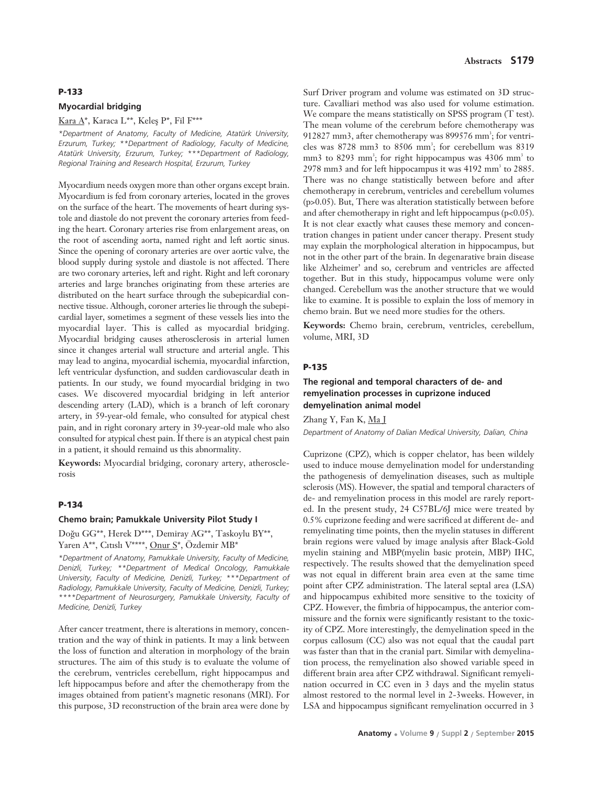#### **P-133**

#### **Myocardial bridging**

#### Kara  $A^*$ , Karaca L<sup>\*\*</sup>, Keleş P<sup>\*</sup>, Fil F<sup>\*\*\*</sup>

*\*Department of Anatomy, Faculty of Medicine, Atatürk University, Erzurum, Turkey; \*\*Department of Radiology, Faculty of Medicine, Atatürk University, Erzurum, Turkey; \*\*\*Department of Radiology, Regional Training and Research Hospital, Erzurum, Turkey*

Myocardium needs oxygen more than other organs except brain. Myocardium is fed from coronary arteries, located in the groves on the surface of the heart. The movements of heart during systole and diastole do not prevent the coronary arteries from feeding the heart. Coronary arteries rise from enlargement areas, on the root of ascending aorta, named right and left aortic sinus. Since the opening of coronary arteries are over aortic valve, the blood supply during systole and diastole is not affected. There are two coronary arteries, left and right. Right and left coronary arteries and large branches originating from these arteries are distributed on the heart surface through the subepicardial connective tissue. Although, coroner arteries lie through the subepicardial layer, sometimes a segment of these vessels lies into the myocardial layer. This is called as myocardial bridging. Myocardial bridging causes atherosclerosis in arterial lumen since it changes arterial wall structure and arterial angle. This may lead to angina, myocardial ischemia, myocardial infarction, left ventricular dysfunction, and sudden cardiovascular death in patients. In our study, we found myocardial bridging in two cases. We discovered myocardial bridging in left anterior descending artery (LAD), which is a branch of left coronary artery, in 59-year-old female, who consulted for atypical chest pain, and in right coronary artery in 39-year-old male who also consulted for atypical chest pain. If there is an atypical chest pain in a patient, it should remaind us this abnormality.

**Keywords:** Myocardial bridging, coronary artery, atherosclerosis

### **P-134**

## **Chemo brain; Pamukkale University Pilot Study I**

Doğu GG\*\*, Herek D\*\*\*, Demiray AG\*\*, Taskoylu BY\*\*, Yaren A\*\*, Cıtıslı V\*\*\*\*, Onur S\*, Özdemir MB\*

*\*Department of Anatomy, Pamukkale University, Faculty of Medicine, Denizli, Turkey; \*\*Department of Medical Oncology, Pamukkale University, Faculty of Medicine, Denizli, Turkey; \*\*\*Department of Radiology, Pamukkale University, Faculty of Medicine, Denizli, Turkey; \*\*\*\*Department of Neurosurgery, Pamukkale University, Faculty of Medicine, Denizli, Turkey*

After cancer treatment, there is alterations in memory, concentration and the way of think in patients. It may a link between the loss of function and alteration in morphology of the brain structures. The aim of this study is to evaluate the volume of the cerebrum, ventricles cerebellum, right hippocampus and left hippocampus before and after the chemotherapy from the images obtained from patient's magnetic resonans (MRI). For this purpose, 3D reconstruction of the brain area were done by Surf Driver program and volume was estimated on 3D structure. Cavalliari method was also used for volume estimation. We compare the means statistically on SPSS program (T test). The mean volume of the cerebrum before chemotherapy was 912827 mm3, after chemotherapy was 899576 mm<sup>3</sup>; for ventricles was 8728 mm3 to 8506 mm<sup>3</sup>; for cerebellum was 8319 mm3 to 8293 mm<sup>3</sup>; for right hippocampus was 4306 mm<sup>3</sup> to  $2978$  mm3 and for left hippocampus it was  $4192$  mm<sup>3</sup> to  $2885$ . There was no change statistically between before and after chemotherapy in cerebrum, ventricles and cerebellum volumes (p>0.05). But, There was alteration statistically between before and after chemotherapy in right and left hippocampus (p<0.05). It is not clear exactly what causes these memory and concentration changes in patient under cancer therapy. Present study may explain the morphological alteration in hippocampus, but not in the other part of the brain. In degenarative brain disease like Alzheimer' and so, cerebrum and ventricles are affected together. But in this study, hippocampus volume were only changed. Cerebellum was the another structure that we would like to examine. It is possible to explain the loss of memory in chemo brain. But we need more studies for the others.

**Keywords:** Chemo brain, cerebrum, ventricles, cerebellum, volume, MRI, 3D

## **P-135**

## **The regional and temporal characters of de- and remyelination processes in cuprizone induced demyelination animal model**

Zhang Y, Fan K, Ma J *Department of Anatomy of Dalian Medical University, Dalian, China*

Cuprizone (CPZ), which is copper chelator, has been wildely used to induce mouse demyelination model for understanding the pathogenesis of demyelination diseases, such as multiple sclerosis (MS). However, the spatial and temporal characters of de- and remyelination process in this model are rarely reported. In the present study, 24 C57BL/6J mice were treated by 0.5% cuprizone feeding and were sacrificed at different de- and remyelinating time points, then the myelin statuses in different brain regions were valued by image analysis after Black-Gold myelin staining and MBP(myelin basic protein, MBP) IHC, respectively. The results showed that the demyelination speed was not equal in different brain area even at the same time point after CPZ administration. The lateral septal area (LSA) and hippocampus exhibited more sensitive to the toxicity of CPZ. However, the fimbria of hippocampus, the anterior commissure and the fornix were significantly resistant to the toxicity of CPZ. More interestingly, the demyelination speed in the corpus callosum (CC) also was not equal that the caudal part was faster than that in the cranial part. Similar with demyelination process, the remyelination also showed variable speed in different brain area after CPZ withdrawal. Significant remyelination occurred in CC even in 3 days and the myelin status almost restored to the normal level in 2-3weeks. However, in LSA and hippocampus significant remyelination occurred in 3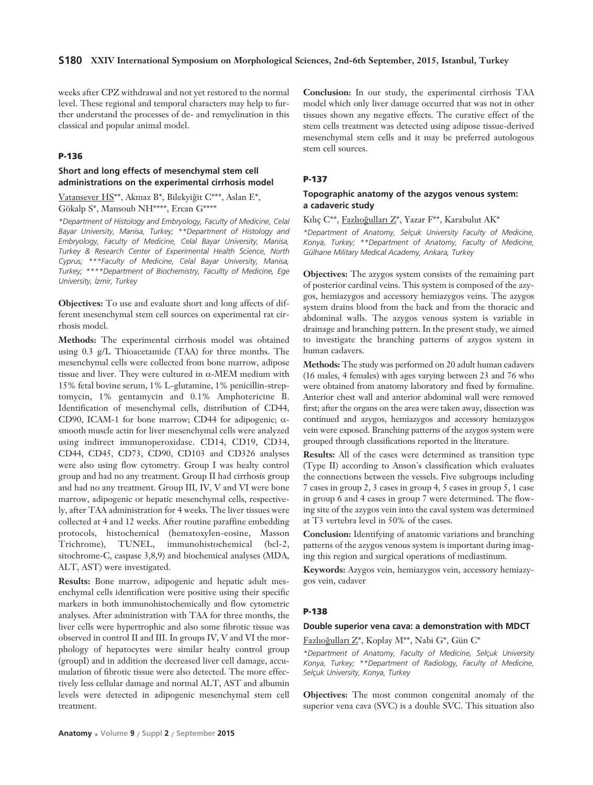weeks after CPZ withdrawal and not yet restored to the normal level. These regional and temporal characters may help to further understand the processes of de- and remyelination in this classical and popular animal model.

### **P-136**

### **Short and long effects of mesenchymal stem cell administrations on the experimental cirrhosis model**

Vatansever HS<sup>\*\*</sup>, Akmaz B<sup>\*</sup>, Bilekyiğit C<sup>\*\*\*</sup>, Aslan E<sup>\*</sup>, Gökalp S\*, Mansoub NH\*\*\*\*, Ercan G\*\*\*\*

*\*Department of Histology and Embryology, Faculty of Medicine, Celal Bayar University, Manisa, Turkey; \*\*Department of Histology and Embryology, Faculty of Medicine, Celal Bayar University, Manisa, Turkey & Research Center of Experimental Health Science, North Cyprus; \*\*\*Faculty of Medicine, Celal Bayar University, Manisa, Turkey; \*\*\*\*Department of Biochemistry, Facullty of Medicine, Ege University, ‹zmir, Turkey*

**Objectives:** To use and evaluate short and long affects of different mesenchymal stem cell sources on experimental rat cirrhosis model.

**Methods:** The experimental cirrhosis model was obtained using 0.3 g/L Thioacetamide (TAA) for three months. The mesenchymal cells were collected from bone marrow, adipose tissue and liver. They were cultured in  $\alpha$ -MEM medium with 15% fetal bovine serum, 1% L-glutamine, 1% penicillin-streptomycin, 1% gentamycin and 0.1% Amphotericine B. Identification of mesenchymal cells, distribution of CD44, CD90, ICAM-1 for bone marrow; CD44 for adipogenic; αsmooth muscle actin for liver mesenchymal cells were analyzed using indirect immunoperoxidase. CD14, CD19, CD34, CD44, CD45, CD73, CD90, CD103 and CD326 analyses were also using flow cytometry. Group I was healty control group and had no any treatment. Group II had cirrhosis group and had no any treatment. Group III, IV, V and VI were bone marrow, adipogenic or hepatic mesenchymal cells, respectively, after TAA administration for 4 weeks. The liver tissues were collected at 4 and 12 weeks. After routine paraffine embedding protocols, histochemical (hematoxylen-eosine, Masson Trichrome), TUNEL, immunohistochemical (bcl-2, sitochrome-C, caspase 3,8,9) and biochemical analyses (MDA, ALT, AST) were investigated.

**Results:** Bone marrow, adipogenic and hepatic adult mesenchymal cells identification were positive using their specific markers in both immunohistochemically and flow cytometric analyses. After administration with TAA for three months, the liver cells were hypertrophic and also some fibrotic tissue was observed in control II and III. In groups IV, V and VI the morphology of hepatocytes were similar healty control group (groupI) and in addition the decreased liver cell damage, accumulation of fibrotic tissue were also detected. The more effectively less cellular damage and normal ALT, AST and albumin levels were detected in adipogenic mesenchymal stem cell treatment.

**Conclusion:** In our study, the experimental cirrhosis TAA model which only liver damage occurred that was not in other tissues shown any negative effects. The curative effect of the stem cells treatment was detected using adipose tissue-derived mesenchymal stem cells and it may be preferred autologous stem cell sources.

## **P-137**

## **Topographic anatomy of the azygos venous system: a cadaveric study**

Kılıç C\*\*, Fazlıoğulları Z\*, Yazar F\*\*, Karabulut AK\*

*\*Department of Anatomy, Selçuk University Faculty of Medicine, Konya, Turkey; \*\*Department of Anatomy, Faculty of Medicine, Gülhane Military Medical Academy, Ankara, Turkey*

**Objectives:** The azygos system consists of the remaining part of posterior cardinal veins. This system is composed of the azygos, hemiazygos and accessory hemiazygos veins. The azygos system drains blood from the back and from the thoracic and abdominal walls. The azygos venous system is variable in drainage and branching pattern. In the present study, we aimed to investigate the branching patterns of azygos system in human cadavers.

**Methods:** The study was performed on 20 adult human cadavers (16 males, 4 females) with ages varying between 23 and 76 who were obtained from anatomy laboratory and fixed by formaline. Anterior chest wall and anterior abdominal wall were removed first; after the organs on the area were taken away, dissection was continued and azygos, hemiazygos and accessory hemiazygos vein were exposed. Branching patterns of the azygos system were grouped through classifications reported in the literature.

**Results:** All of the cases were determined as transition type (Type II) according to Anson's classification which evaluates the connections between the vessels. Five subgroups including 7 cases in group 2, 3 cases in group 4, 5 cases in group 5, 1 case in group 6 and 4 cases in group 7 were determined. The flowing site of the azygos vein into the caval system was determined at T3 vertebra level in 50% of the cases.

**Conclusion:** Identifying of anatomic variations and branching patterns of the azygos venous system is important during imaging this region and surgical operations of mediastinum.

**Keywords:** Azygos vein, hemiazygos vein, accessory hemiazygos vein, cadaver

#### **P-138**

#### **Double superior vena cava: a demonstration with MDCT**

Fazlıoğulları Z\*, Koplay M\*\*, Nabi G\*, Gün C\*

*\*Department of Anatomy, Faculty of Medicine, Selçuk University Konya, Turkey; \*\*Department of Radiology, Faculty of Medicine, Selçuk University, Konya, Turkey*

**Objectives:** The most common congenital anomaly of the superior vena cava (SVC) is a double SVC. This situation also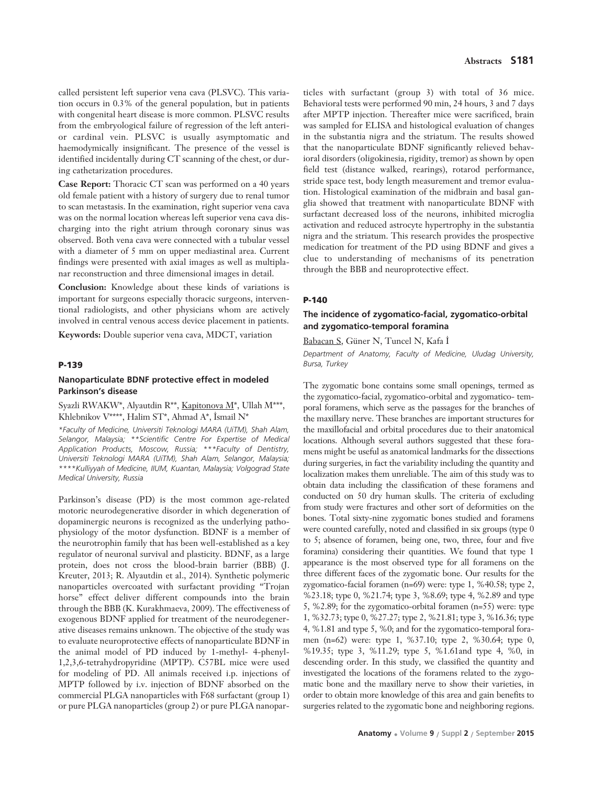called persistent left superior vena cava (PLSVC). This variation occurs in 0.3% of the general population, but in patients with congenital heart disease is more common. PLSVC results from the embryological failure of regression of the left anterior cardinal vein. PLSVC is usually asymptomatic and haemodymically insignificant. The presence of the vessel is identified incidentally during CT scanning of the chest, or during cathetarization procedures.

**Case Report:** Thoracic CT scan was performed on a 40 years old female patient with a history of surgery due to renal tumor to scan metastasis. In the examination, right superior vena cava was on the normal location whereas left superior vena cava discharging into the right atrium through coronary sinus was observed. Both vena cava were connected with a tubular vessel with a diameter of 5 mm on upper mediastinal area. Current findings were presented with axial images as well as multiplanar reconstruction and three dimensional images in detail.

**Conclusion:** Knowledge about these kinds of variations is important for surgeons especially thoracic surgeons, interventional radiologists, and other physicians whom are actively involved in central venous access device placement in patients.

**Keywords:** Double superior vena cava, MDCT, variation

#### **P-139**

## **Nanoparticulate BDNF protective effect in modeled Parkinson's disease**

### Syazli RWAKW\*, Alyautdin R\*\*, Kapitonova M\*, Ullah M\*\*\*, Khlebnikov V\*\*\*\*, Halim ST\*, Ahmad A\*, İsmail N\*

*\*Faculty of Medicine, Universiti Teknologi MARA (UiTM), Shah Alam, Selangor, Malaysia; \*\*Scientific Centre For Expertise of Medical Application Products, Moscow, Russia; \*\*\*Faculty of Dentistry, Universiti Teknologi MARA (UiTM), Shah Alam, Selangor, Malaysia; \*\*\*\*Kulliyyah of Medicine, IIUM, Kuantan, Malaysia; Volgograd State Medical University, Russia* 

Parkinson's disease (PD) is the most common age-related motoric neurodegenerative disorder in which degeneration of dopaminergic neurons is recognized as the underlying pathophysiology of the motor dysfunction. BDNF is a member of the neurotrophin family that has been well-established as a key regulator of neuronal survival and plasticity. BDNF, as a large protein, does not cross the blood-brain barrier (BBB) (J. Kreuter, 2013; R. Alyautdin et al., 2014). Synthetic polymeric nanoparticles overcoated with surfactant providing "Trojan horse" effect deliver different compounds into the brain through the BBB (K. Kurakhmaeva, 2009). The effectiveness of exogenous BDNF applied for treatment of the neurodegenerative diseases remains unknown. The objective of the study was to evaluate neuroprotective effects of nanoparticulate BDNF in the animal model of PD induced by 1-methyl- 4-phenyl-1,2,3,6-tetrahydropyridine (MPTP). C57BL mice were used for modeling of PD. All animals received i.p. injections of MPTP followed by i.v. injection of BDNF absorbed on the commercial PLGA nanoparticles with F68 surfactant (group 1) or pure PLGA nanoparticles (group 2) or pure PLGA nanopar-

ticles with surfactant (group 3) with total of 36 mice. Behavioral tests were performed 90 min, 24 hours, 3 and 7 days after MPTP injection. Thereafter mice were sacrificed, brain was sampled for ELISA and histological evaluation of changes in the substantia nigra and the striatum. The results showed that the nanoparticulate BDNF significantly relieved behavioral disorders (oligokinesia, rigidity, tremor) as shown by open field test (distance walked, rearings), rotarod performance, stride space test, body length measurement and tremor evaluation. Histological examination of the midbrain and basal ganglia showed that treatment with nanoparticulate BDNF with surfactant decreased loss of the neurons, inhibited microglia activation and reduced astrocyte hypertrophy in the substantia nigra and the striatum. This research provides the prospective medication for treatment of the PD using BDNF and gives a clue to understanding of mechanisms of its penetration through the BBB and neuroprotective effect.

#### **P-140**

# **The incidence of zygomatico-facial, zygomatico-orbital and zygomatico-temporal foramina**

Babacan S, Güner N, Tuncel N, Kafa İ

*Department of Anatomy, Faculty of Medicine, Uludag University, Bursa, Turkey*

The zygomatic bone contains some small openings, termed as the zygomatico-facial, zygomatico-orbital and zygomatico- temporal foramens, which serve as the passages for the branches of the maxillary nerve. These branches are important structures for the maxillofacial and orbital procedures due to their anatomical locations. Although several authors suggested that these foramens might be useful as anatomical landmarks for the dissections during surgeries, in fact the variability including the quantity and localization makes them unreliable. The aim of this study was to obtain data including the classification of these foramens and conducted on 50 dry human skulls. The criteria of excluding from study were fractures and other sort of deformities on the bones. Total sixty-nine zygomatic bones studied and foramens were counted carefully, noted and classified in six groups (type 0 to 5; absence of foramen, being one, two, three, four and five foramina) considering their quantities. We found that type 1 appearance is the most observed type for all foramens on the three different faces of the zygomatic bone. Our results for the zygomatico-facial foramen (n=69) were: type 1, %40.58; type 2, %23.18; type 0, %21.74; type 3, %8.69; type 4, %2.89 and type 5, %2.89; for the zygomatico-orbital foramen (n=55) were: type 1, %32.73; type 0, %27.27; type 2, %21.81; type 3, %16.36; type 4, %1.81 and type 5, %0; and for the zygomatico-temporal foramen (n=62) were: type 1, %37.10; type 2, %30.64; type 0, %19.35; type 3, %11.29; type 5, %1.61and type 4, %0, in descending order. In this study, we classified the quantity and investigated the locations of the foramens related to the zygomatic bone and the maxillary nerve to show their varieties, in order to obtain more knowledge of this area and gain benefits to surgeries related to the zygomatic bone and neighboring regions.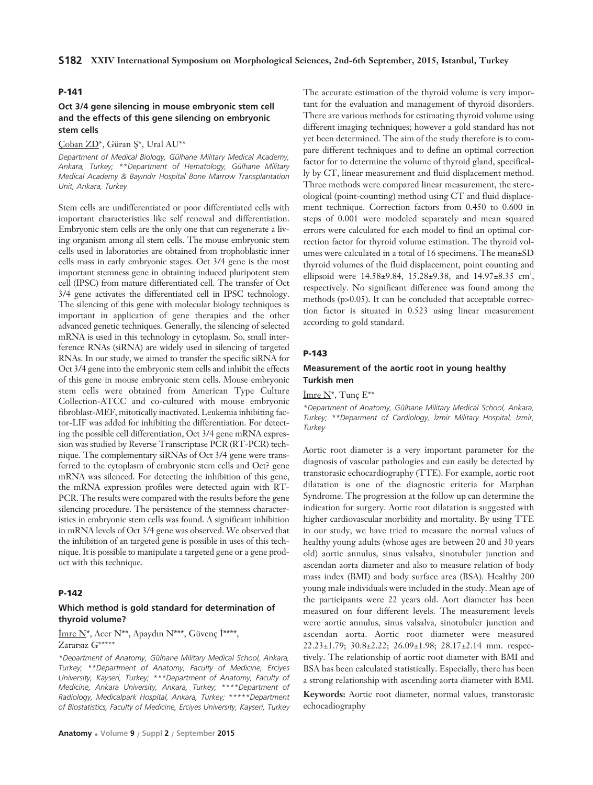### **P-141**

### **Oct 3/4 gene silencing in mouse embryonic stem cell and the effects of this gene silencing on embryonic stem cells**

Çoban ZD\*, Güran Ş\*, Ural AU\*\*

*Department of Medical Biology, Gülhane Military Medical Academy, Ankara, Turkey; \*\*Department of Hematology, Gülhane Military Medical Academy & Bay›nd›r Hospital Bone Marrow Transplantation Unit, Ankara, Turkey*

Stem cells are undifferentiated or poor differentiated cells with important characteristics like self renewal and differentiation. Embryonic stem cells are the only one that can regenerate a living organism among all stem cells. The mouse embryonic stem cells used in laboratories are obtained from trophoblastic inner cells mass in early embryonic stages. Oct 3/4 gene is the most important stemness gene in obtaining induced pluripotent stem cell (IPSC) from mature differentiated cell. The transfer of Oct 3/4 gene activates the differentiated cell in IPSC technology. The silencing of this gene with molecular biology techniques is important in application of gene therapies and the other advanced genetic techniques. Generally, the silencing of selected mRNA is used in this technology in cytoplasm. So, small interference RNAs (siRNA) are widely used in silencing of targeted RNAs. In our study, we aimed to transfer the specific siRNA for Oct 3/4 gene into the embryonic stem cells and inhibit the effects of this gene in mouse embryonic stem cells. Mouse embryonic stem cells were obtained from American Type Culture Collection-ATCC and co-cultured with mouse embryonic fibroblast-MEF, mitotically inactivated. Leukemia inhibiting factor-LIF was added for inhibiting the differentiation. For detecting the possible cell differentiation, Oct 3/4 gene mRNA expression was studied by Reverse Transcriptase PCR (RT-PCR) technique. The complementary siRNAs of Oct 3/4 gene were transferred to the cytoplasm of embryonic stem cells and Oct? gene mRNA was silenced. For detecting the inhibition of this gene, the mRNA expression profiles were detected again with RT-PCR. The results were compared with the results before the gene silencing procedure. The persistence of the stemness characteristics in embryonic stem cells was found. A significant inhibition in mRNA levels of Oct 3/4 gene was observed. We observed that the inhibition of an targeted gene is possible in uses of this technique. It is possible to manipulate a targeted gene or a gene product with this technique.

#### **P-142**

## **Which method is gold standard for determination of thyroid volume?**

 $\overline{\text{Imre N}}^*$ , Acer N<sup>\*\*</sup>, Apaydın N<sup>\*\*\*</sup>, Güvenç İ<sup>\*\*\*\*</sup>, Zararsız G\*\*\*\*\*

*\*Department of Anatomy, Gülhane Military Medical School, Ankara, Turkey; \*\*Department of Anatomy, Faculty of Medicine, Erciyes University, Kayseri, Turkey; \*\*\*Department of Anatomy, Faculty of Medicine, Ankara University, Ankara, Turkey; \*\*\*\*Department of Radiology, Medicalpark Hospital, Ankara, Turkey; \*\*\*\*\*Department of Biostatistics, Faculty of Medicine, Erciyes University, Kayseri, Turkey* 

The accurate estimation of the thyroid volume is very important for the evaluation and management of thyroid disorders. There are various methods for estimating thyroid volume using different imaging techniques; however a gold standard has not yet been determined. The aim of the study therefore is to compare different techniques and to define an optimal correction factor for to determine the volume of thyroid gland, specifically by CT, linear measurement and fluid displacement method. Three methods were compared linear measurement, the stereological (point-counting) method using CT and fluid displacement technique. Correction factors from 0.450 to 0.600 in steps of 0.001 were modeled separately and mean squared errors were calculated for each model to find an optimal correction factor for thyroid volume estimation. The thyroid volumes were calculated in a total of 16 specimens. The mean±SD thyroid volumes of the fluid displacement, point counting and ellipsoid were  $14.58 \pm 9.84$ ,  $15.28 \pm 9.38$ , and  $14.97 \pm 8.35$  cm<sup>3</sup>, respectively. No significant difference was found among the methods (p>0.05). It can be concluded that acceptable correction factor is situated in 0.523 using linear measurement according to gold standard.

#### **P-143**

## **Measurement of the aortic root in young healthy Turkish men**

Imre  $N^*$ , Tunç  $E^{**}$ 

*\*Department of Anatomy, Gülhane Military Medical School, Ankara, Turkey; \*\*Deparment of Cardiology, ‹zmir Military Hospital, ‹zmir, Turkey* 

Aortic root diameter is a very important parameter for the diagnosis of vascular pathologies and can easily be detected by transtorasic echocardiography (TTE). For example, aortic root dilatation is one of the diagnostic criteria for Marphan Syndrome. The progression at the follow up can determine the indication for surgery. Aortic root dilatation is suggested with higher cardiovascular morbidity and mortality. By using TTE in our study, we have tried to measure the normal values of healthy young adults (whose ages are between 20 and 30 years old) aortic annulus, sinus valsalva, sinotubuler junction and ascendan aorta diameter and also to measure relation of body mass index (BMI) and body surface area (BSA). Healthy 200 young male individuals were included in the study. Mean age of the participants were 22 years old. Aort diameter has been measured on four different levels. The measurement levels were aortic annulus, sinus valsalva, sinotubuler junction and ascendan aorta. Aortic root diameter were measured 22.23±1.79; 30.8±2.22; 26.09±1.98; 28.17±2.14 mm. respectively. The relationship of aortic root diameter with BMI and BSA has been calculated statistically. Especially, there has been a strong relationship with ascending aorta diameter with BMI.

**Keywords:** Aortic root diameter, normal values, transtorasic echocadiography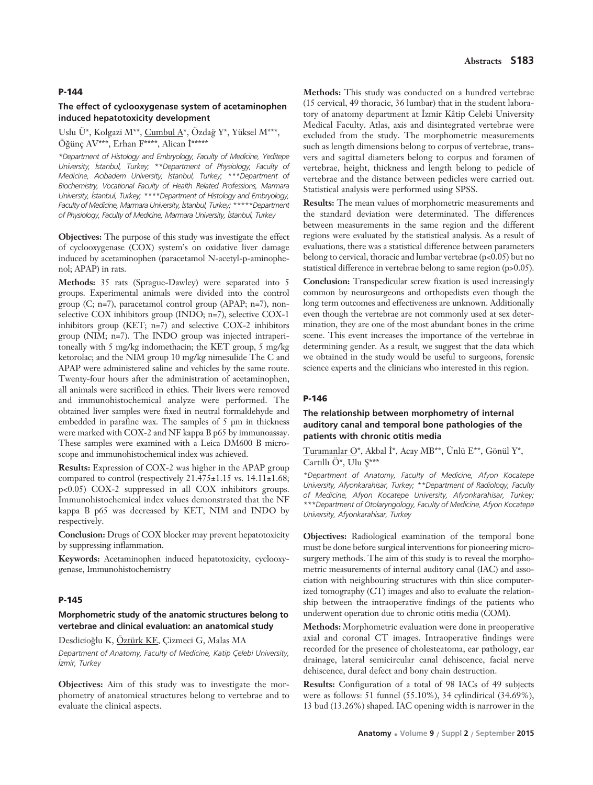#### **P-144**

### **The effect of cyclooxygenase system of acetaminophen induced hepatotoxicity development**

#### Uslu Ü\*, Kolgazi M\*\*, Cumbul  $A^*$ , Özdağ Y\*, Yüksel M\*\*\*, Öğünc AV\*\*\*, Erhan  $F^{***}$ , Alican  $\dot{I}^{****}$

*\*Department of Histology and Embryology, Faculty of Medicine, Yeditepe University, ‹stanbul, Turkey; \*\*Department of Physiology, Faculty of Medicine, Ac›badem University, ‹stanbul, Turkey; \*\*\*Department of Biochemistry, Vocational Faculty of Health Related Professions, Marmara University, ‹stanbul, Turkey; \*\*\*\*Department of Histology and Embryology, Faculty of Medicine, Marmara University, ‹stanbul, Turkey; \*\*\*\*\*Department* of Physiology, Faculty of Medicine, Marmara University, *Istanbul, Turkey* 

**Objectives:** The purpose of this study was investigate the effect of cyclooxygenase (COX) system's on oxidative liver damage induced by acetaminophen (paracetamol N-acetyl-p-aminophenol; APAP) in rats.

**Methods:** 35 rats (Sprague-Dawley) were separated into 5 groups. Experimental animals were divided into the control group (C; n=7), paracetamol control group (APAP; n=7), nonselective COX inhibitors group (INDO; n=7), selective COX-1 inhibitors group (KET; n=7) and selective COX-2 inhibitors group (NIM; n=7). The INDO group was injected intraperitoneally with 5 mg/kg indomethacin; the KET group, 5 mg/kg ketorolac; and the NIM group 10 mg/kg nimesulide The C and APAP were administered saline and vehicles by the same route. Twenty-four hours after the administration of acetaminophen, all animals were sacrificed in ethics. Their livers were removed and immunohistochemical analyze were performed. The obtained liver samples were fixed in neutral formaldehyde and embedded in parafine wax. The samples of 5 μm in thickness were marked with COX-2 and NF kappa B p65 by immunoassay. These samples were examined with a Leica DM600 B microscope and immunohistochemical index was achieved.

**Results:** Expression of COX-2 was higher in the APAP group compared to control (respectively  $21.475\pm1.15$  vs.  $14.11\pm1.68$ ; p<0.05) COX-2 suppressed in all COX inhibitors groups. Immunohistochemical index values demonstrated that the NF kappa B p65 was decreased by KET, NIM and INDO by respectively.

**Conclusion:** Drugs of COX blocker may prevent hepatotoxicity by suppressing inflammation.

**Keywords:** Acetaminophen induced hepatotoxicity, cyclooxygenase, Immunohistochemistry

#### **P-145**

### **Morphometric study of the anatomic structures belong to vertebrae and clinical evaluation: an anatomical study**

Desdicioğlu K, Öztürk KE, Çizmeci G, Malas MA

*Department of Anatomy, Faculty of Medicine, Katip Çelebi University, ‹zmir, Turkey* 

**Objectives:** Aim of this study was to investigate the morphometry of anatomical structures belong to vertebrae and to evaluate the clinical aspects.

**Methods:** This study was conducted on a hundred vertebrae (15 cervical, 49 thoracic, 36 lumbar) that in the student laboratory of anatomy department at İzmir Kâtip Celebi University Medical Faculty. Atlas, axis and disintegrated vertebrae were excluded from the study. The morphometric measurements such as length dimensions belong to corpus of vertebrae, transvers and sagittal diameters belong to corpus and foramen of vertebrae, height, thickness and length belong to pedicle of vertebrae and the distance between pedicles were carried out. Statistical analysis were performed using SPSS.

**Results:** The mean values of morphometric measurements and the standard deviation were determinated. The differences between measurements in the same region and the different regions were evaluated by the statistical analysis. As a result of evaluations, there was a statistical difference between parameters belong to cervical, thoracic and lumbar vertebrae (p<0.05) but no statistical difference in vertebrae belong to same region (p>0.05).

**Conclusion:** Transpedicular screw fixation is used increasingly common by neurosurgeons and orthopedists even though the long term outcomes and effectiveness are unknown. Additionally even though the vertebrae are not commonly used at sex determination, they are one of the most abundant bones in the crime scene. This event increases the importance of the vertebrae in determining gender. As a result, we suggest that the data which we obtained in the study would be useful to surgeons, forensic science experts and the clinicians who interested in this region.

#### **P-146**

## **The relationship between morphometry of internal auditory canal and temporal bone pathologies of the patients with chronic otitis media**

Turamanlar O\*, Akbal İ\*, Acay MB\*\*, Ünlü E\*\*, Gönül Y\*, Cartıllı Ö\*, Ulu S\*\*\*

*\*Department of Anatomy, Faculty of Medicine, Afyon Kocatepe University, Afyonkarahisar, Turkey; \*\*Department of Radiology, Faculty of Medicine, Afyon Kocatepe University, Afyonkarahisar, Turkey; \*\*\*Department of Otolaryngology, Faculty of Medicine, Afyon Kocatepe University, Afyonkarahisar, Turkey* 

**Objectives:** Radiological examination of the temporal bone must be done before surgical interventions for pioneering microsurgery methods. The aim of this study is to reveal the morphometric measurements of internal auditory canal (IAC) and association with neighbouring structures with thin slice computerized tomography (CT) images and also to evaluate the relationship between the intraoperative findings of the patients who underwent operation due to chronic otitis media (COM).

**Methods:** Morphometric evaluation were done in preoperative axial and coronal CT images. Intraoperative findings were recorded for the presence of cholesteatoma, ear pathology, ear drainage, lateral semicircular canal dehiscence, facial nerve dehiscence, dural defect and bony chain destruction.

**Results:** Configuration of a total of 98 IACs of 49 subjects were as follows: 51 funnel (55.10%), 34 cylindirical (34.69%), 13 bud (13.26%) shaped. IAC opening width is narrower in the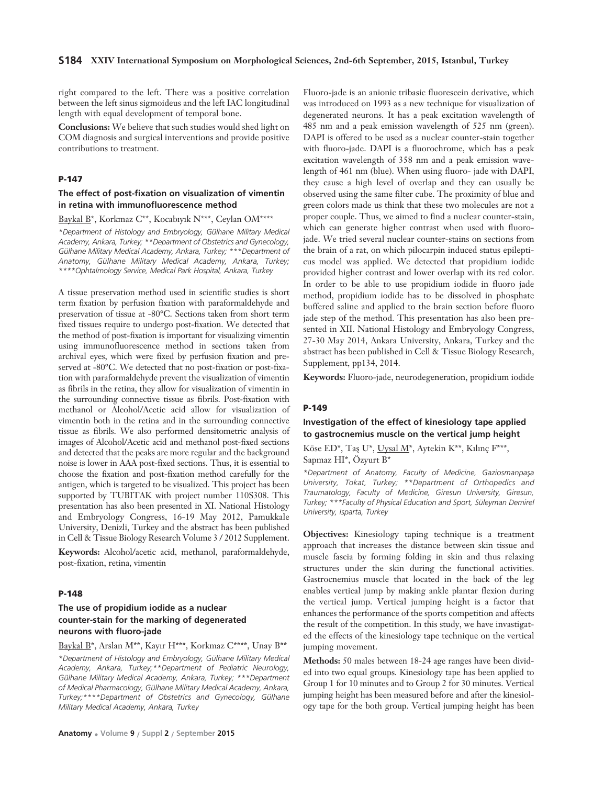right compared to the left. There was a positive correlation between the left sinus sigmoideus and the left IAC longitudinal length with equal development of temporal bone.

**Conclusions:** We believe that such studies would shed light on COM diagnosis and surgical interventions and provide positive contributions to treatment.

## **P-147**

## **The effect of post-fixation on visualization of vimentin in retina with immunofluorescence method**

## Baykal B\*, Korkmaz C\*\*, Kocabıyık N\*\*\*, Ceylan OM\*\*\*\*

*\*Department of Histology and Embryology, Gülhane Military Medical Academy, Ankara, Turkey; \*\*Department of Obstetrics and Gynecology, Gülhane Military Medical Academy, Ankara, Turkey; \*\*\*Department of Anatomy, Gülhane Military Medical Academy, Ankara, Turkey; \*\*\*\*Ophtalmology Service, Medical Park Hospital, Ankara, Turkey* 

A tissue preservation method used in scientific studies is short term fixation by perfusion fixation with paraformaldehyde and preservation of tissue at -80°C. Sections taken from short term fixed tissues require to undergo post-fixation. We detected that the method of post-fixation is important for visualizing vimentin using immunofluorescence method in sections taken from archival eyes, which were fixed by perfusion fixation and preserved at -80°C. We detected that no post-fixation or post-fixation with paraformaldehyde prevent the visualization of vimentin as fibrils in the retina, they allow for visualization of vimentin in the surrounding connective tissue as fibrils. Post-fixation with methanol or Alcohol/Acetic acid allow for visualization of vimentin both in the retina and in the surrounding connective tissue as fibrils. We also performed densitometric analysis of images of Alcohol/Acetic acid and methanol post-fixed sections and detected that the peaks are more regular and the background noise is lower in AAA post-fixed sections. Thus, it is essential to choose the fixation and post-fixation method carefully for the antigen, which is targeted to be visualized. This project has been supported by TUBITAK with project number 110S308. This presentation has also been presented in XI. National Histology and Embryology Congress, 16-19 May 2012, Pamukkale University, Denizli, Turkey and the abstract has been published in Cell & Tissue Biology Research Volume 3 / 2012 Supplement.

**Keywords:** Alcohol/acetic acid, methanol, paraformaldehyde, post-fixation, retina, vimentin

#### **P-148**

### **The use of propidium iodide as a nuclear counter-stain for the marking of degenerated neurons with fluoro-jade**

Baykal B\*, Arslan M\*\*, Kayır H\*\*\*, Korkmaz C\*\*\*\*, Unay B\*\* *\*Department of Histology and Embryology, Gülhane Military Medical Academy, Ankara, Turkey;\*\*Department of Pediatric Neurology, Gülhane Military Medical Academy, Ankara, Turkey; \*\*\*Department of Medical Pharmacology, Gülhane Military Medical Academy, Ankara, Turkey;\*\*\*\*Department of Obstetrics and Gynecology, Gülhane Military Medical Academy, Ankara, Turkey*

Fluoro-jade is an anionic tribasic fluorescein derivative, which was introduced on 1993 as a new technique for visualization of degenerated neurons. It has a peak excitation wavelength of 485 nm and a peak emission wavelength of 525 nm (green). DAPI is offered to be used as a nuclear counter-stain together with fluoro-jade. DAPI is a fluorochrome, which has a peak excitation wavelength of 358 nm and a peak emission wavelength of 461 nm (blue). When using fluoro- jade with DAPI, they cause a high level of overlap and they can usually be observed using the same filter cube. The proximity of blue and green colors made us think that these two molecules are not a proper couple. Thus, we aimed to find a nuclear counter-stain, which can generate higher contrast when used with fluorojade. We tried several nuclear counter-stains on sections from the brain of a rat, on which pilocarpin induced status epilepticus model was applied. We detected that propidium iodide provided higher contrast and lower overlap with its red color. In order to be able to use propidium iodide in fluoro jade method, propidium iodide has to be dissolved in phosphate buffered saline and applied to the brain section before fluoro jade step of the method. This presentation has also been presented in XII. National Histology and Embryology Congress, 27-30 May 2014, Ankara University, Ankara, Turkey and the abstract has been published in Cell & Tissue Biology Research, Supplement, pp134, 2014.

**Keywords:** Fluoro-jade, neurodegeneration, propidium iodide

#### **P-149**

# **Investigation of the effect of kinesiology tape applied to gastrocnemius muscle on the vertical jump height**

Köse ED\*, Taş U\*, Uysal M\*, Aytekin K\*\*, Kılınç F\*\*\*, Sapmaz HI\*, Özyurt B\*

*\*Department of Anatomy, Faculty of Medicine, Gaziosmanpafla University, Tokat, Turkey; \*\*Department of Orthopedics and Traumatology, Faculty of Medicine, Giresun University, Giresun, Turkey; \*\*\*Faculty of Physical Education and Sport, Süleyman Demirel University, Isparta, Turkey* 

**Objectives:** Kinesiology taping technique is a treatment approach that increases the distance between skin tissue and muscle fascia by forming folding in skin and thus relaxing structures under the skin during the functional activities. Gastrocnemius muscle that located in the back of the leg enables vertical jump by making ankle plantar flexion during the vertical jump. Vertical jumping height is a factor that enhances the performance of the sports competition and affects the result of the competition. In this study, we have invastigated the effects of the kinesiology tape technique on the vertical jumping movement.

**Methods:** 50 males between 18-24 age ranges have been divided into two equal groups. Kinesiology tape has been applied to Group 1 for 10 minutes and to Group 2 for 30 minutes. Vertical jumping height has been measured before and after the kinesiology tape for the both group. Vertical jumping height has been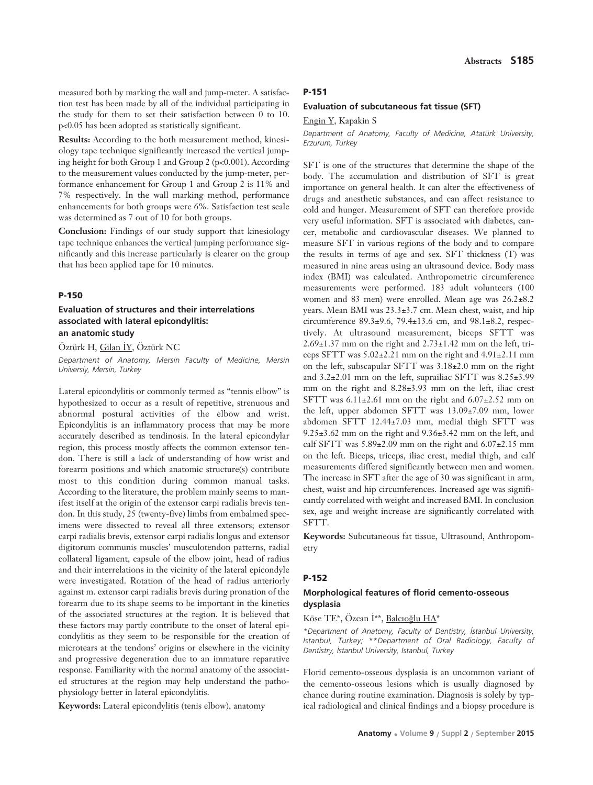measured both by marking the wall and jump-meter. A satisfaction test has been made by all of the individual participating in the study for them to set their satisfaction between 0 to 10. p<0.05 has been adopted as statistically significant.

**Results:** According to the both measurement method, kinesiology tape technique significantly increased the vertical jumping height for both Group 1 and Group 2 (p<0.001). According to the measurement values conducted by the jump-meter, performance enhancement for Group 1 and Group 2 is 11% and 7% respectively. In the wall marking method, performance enhancements for both groups were 6%. Satisfaction test scale was determined as 7 out of 10 for both groups.

**Conclusion:** Findings of our study support that kinesiology tape technique enhances the vertical jumping performance significantly and this increase particularly is clearer on the group that has been applied tape for 10 minutes.

#### **P-150**

## **Evaluation of structures and their interrelations associated with lateral epicondylitis: an anatomic study**

Öztürk H, Gilan İY, Öztürk NC

*Department of Anatomy, Mersin Faculty of Medicine, Mersin Universiy, Mersin, Turkey*

Lateral epicondylitis or commonly termed as "tennis elbow" is hypothesized to occur as a result of repetitive, strenuous and abnormal postural activities of the elbow and wrist. Epicondylitis is an inflammatory process that may be more accurately described as tendinosis. In the lateral epicondylar region, this process mostly affects the common extensor tendon. There is still a lack of understanding of how wrist and forearm positions and which anatomic structure(s) contribute most to this condition during common manual tasks. According to the literature, the problem mainly seems to manifest itself at the origin of the extensor carpi radialis brevis tendon. In this study, 25 (twenty-five) limbs from embalmed specimens were dissected to reveal all three extensors; extensor carpi radialis brevis, extensor carpi radialis longus and extensor digitorum communis muscles' musculotendon patterns, radial collateral ligament, capsule of the elbow joint, head of radius and their interrelations in the vicinity of the lateral epicondyle were investigated. Rotation of the head of radius anteriorly against m. extensor carpi radialis brevis during pronation of the forearm due to its shape seems to be important in the kinetics of the associated structures at the region. It is believed that these factors may partly contribute to the onset of lateral epicondylitis as they seem to be responsible for the creation of microtears at the tendons' origins or elsewhere in the vicinity and progressive degeneration due to an immature reparative response. Familiarity with the normal anatomy of the associated structures at the region may help understand the pathophysiology better in lateral epicondylitis.

**Keywords:** Lateral epicondylitis (tenis elbow), anatomy

#### **P-151**

#### **Evaluation of subcutaneous fat tissue (SFT)**

Engin Y, Kapakin S

*Department of Anatomy, Faculty of Medicine, Atatürk University, Erzurum, Turkey*

SFT is one of the structures that determine the shape of the body. The accumulation and distribution of SFT is great importance on general health. It can alter the effectiveness of drugs and anesthetic substances, and can affect resistance to cold and hunger. Measurement of SFT can therefore provide very useful information. SFT is associated with diabetes, cancer, metabolic and cardiovascular diseases. We planned to measure SFT in various regions of the body and to compare the results in terms of age and sex. SFT thickness (T) was measured in nine areas using an ultrasound device. Body mass index (BMI) was calculated. Anthropometric circumference measurements were performed. 183 adult volunteers (100 women and 83 men) were enrolled. Mean age was 26.2±8.2 years. Mean BMI was 23.3±3.7 cm. Mean chest, waist, and hip circumference 89.3±9.6, 79.4±13.6 cm, and 98.1±8.2, respectively. At ultrasound measurement, biceps SFTT was 2.69±1.37 mm on the right and 2.73±1.42 mm on the left, triceps SFTT was 5.02±2.21 mm on the right and 4.91±2.11 mm on the left, subscapular SFTT was 3.18±2.0 mm on the right and 3.2±2.01 mm on the left, suprailiac SFTT was 8.25±3.99 mm on the right and 8.28±3.93 mm on the left, iliac crest SFTT was  $6.11\pm2.61$  mm on the right and  $6.07\pm2.52$  mm on the left, upper abdomen SFTT was 13.09±7.09 mm, lower abdomen SFTT 12.44±7.03 mm, medial thigh SFTT was 9.25±3.62 mm on the right and 9.36±3.42 mm on the left, and calf SFTT was  $5.89\pm2.09$  mm on the right and  $6.07\pm2.15$  mm on the left. Biceps, triceps, iliac crest, medial thigh, and calf measurements differed significantly between men and women. The increase in SFT after the age of 30 was significant in arm, chest, waist and hip circumferences. Increased age was significantly correlated with weight and increased BMI. In conclusion sex, age and weight increase are significantly correlated with SFTT.

**Keywords:** Subcutaneous fat tissue, Ultrasound, Anthropometry

#### **P-152**

### **Morphological features of florid cemento-osseous dysplasia**

### Köse TE\*, Özcan İ\*\*, Balcıoğlu HA\*

*\*Department of Anatomy, Faculty of Dentistry, ‹stanbul University, Istanbul, Turkey; \*\*Department of Oral Radiology, Faculty of Dentistry, ‹stanbul University, Istanbul, Turkey* 

Florid cemento-osseous dysplasia is an uncommon variant of the cemento-osseous lesions which is usually diagnosed by chance during routine examination. Diagnosis is solely by typical radiological and clinical findings and a biopsy procedure is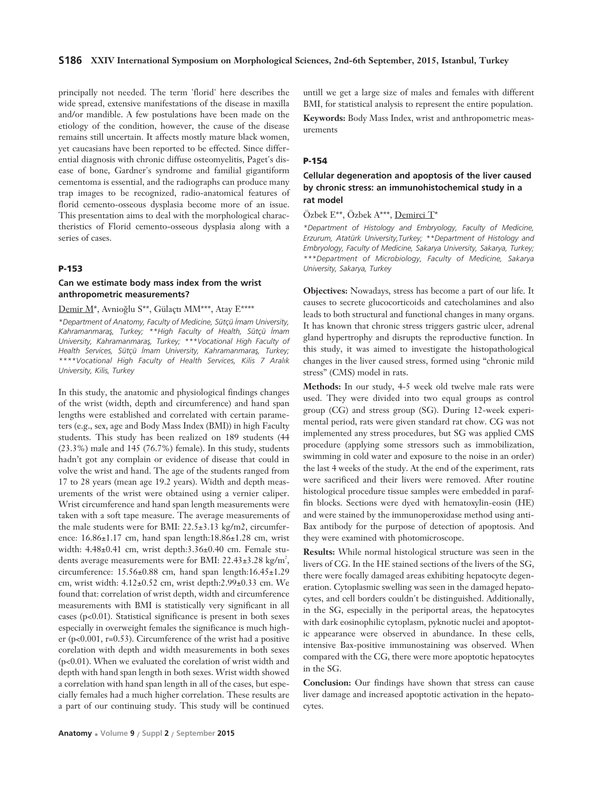### **S186 XXIV International Symposium on Morphological Sciences, 2nd-6th September, 2015, Istanbul, Turkey**

principally not needed. The term 'florid' here describes the wide spread, extensive manifestations of the disease in maxilla and/or mandible. A few postulations have been made on the etiology of the condition, however, the cause of the disease remains still uncertain. It affects mostly mature black women, yet caucasians have been reported to be effected. Since differential diagnosis with chronic diffuse osteomyelitis, Paget's disease of bone, Gardner's syndrome and familial gigantiform cementoma is essential, and the radiographs can produce many trap images to be recognized, radio-anatomical features of florid cemento-osseous dysplasia become more of an issue. This presentation aims to deal with the morphological charactheristics of Florid cemento-osseous dysplasia along with a series of cases.

# **P-153**

# **Can we estimate body mass index from the wrist anthropometric measurements?**

# Demir M\*, Avnioğlu S\*\*, Gülaçtı MM\*\*\*, Atay E\*\*\*\*

*\*Department of Anatomy, Faculty of Medicine, Sütçü ‹mam University, Kahramanmarafl, Turkey; \*\*High Faculty of Health, Sütçü ‹mam* University, Kahramanmaraş, Turkey; \*\*\*Vocational High Faculty of Health Services, Sütçü İmam University, Kahramanmaraş, Turkey; \*\*\*\*Vocational High Faculty of Health Services, Kilis 7 Aralık *University, Kilis, Turkey*

In this study, the anatomic and physiological findings changes of the wrist (width, depth and circumference) and hand span lengths were established and correlated with certain parameters (e.g., sex, age and Body Mass Index (BMI)) in high Faculty students. This study has been realized on 189 students (44 (23.3%) male and 145 (76.7%) female). In this study, students hadn't got any complain or evidence of disease that could in volve the wrist and hand. The age of the students ranged from 17 to 28 years (mean age 19.2 years). Width and depth measurements of the wrist were obtained using a vernier caliper. Wrist circumference and hand span length measurements were taken with a soft tape measure. The average measurements of the male students were for BMI: 22.5±3.13 kg/m2, circumference: 16.86±1.17 cm, hand span length:18.86±1.28 cm, wrist width: 4.48±0.41 cm, wrist depth:3.36±0.40 cm. Female students average measurements were for BMI:  $22.43 \pm 3.28$  kg/m<sup>2</sup>, circumference: 15.56±0.88 cm, hand span length:16.45±1.29 cm, wrist width: 4.12±0.52 cm, wrist depth:2.99±0.33 cm. We found that: correlation of wrist depth, width and circumference measurements with BMI is statistically very significant in all cases (p<0.01). Statistical significance is present in both sexes especially in overweight females the significance is much higher (p<0.001, r=0.53). Circumference of the wrist had a positive corelation with depth and width measurements in both sexes (p<0.01). When we evaluated the corelation of wrist width and depth with hand span length in both sexes. Wrist width showed a correlation with hand span length in all of the cases, but especially females had a much higher correlation. These results are a part of our continuing study. This study will be continued untill we get a large size of males and females with different BMI, for statistical analysis to represent the entire population.

**Keywords:** Body Mass Index, wrist and anthropometric measurements

### **P-154**

# **Cellular degeneration and apoptosis of the liver caused by chronic stress: an immunohistochemical study in a rat model**

Özbek E\*\*, Özbek A\*\*\*, Demirci T\*

*\*Department of Histology and Embryology, Faculty of Medicine, Erzurum, Atatürk University,Turkey; \*\*Department of Histology and Embryology, Faculty of Medicine, Sakarya University, Sakarya, Turkey; \*\*\*Department of Microbiology, Faculty of Medicine, Sakarya University, Sakarya, Turkey*

**Objectives:** Nowadays, stress has become a part of our life. It causes to secrete glucocorticoids and catecholamines and also leads to both structural and functional changes in many organs. It has known that chronic stress triggers gastric ulcer, adrenal gland hypertrophy and disrupts the reproductive function. In this study, it was aimed to investigate the histopathological changes in the liver caused stress, formed using "chronic mild stress" (CMS) model in rats.

**Methods:** In our study, 4-5 week old twelve male rats were used. They were divided into two equal groups as control group (CG) and stress group (SG). During 12-week experimental period, rats were given standard rat chow. CG was not implemented any stress procedures, but SG was applied CMS procedure (applying some stressors such as immobilization, swimming in cold water and exposure to the noise in an order) the last 4 weeks of the study. At the end of the experiment, rats were sacrificed and their livers were removed. After routine histological procedure tissue samples were embedded in paraffin blocks. Sections were dyed with hematoxylin-eosin (HE) and were stained by the immunoperoxidase method using anti-Bax antibody for the purpose of detection of apoptosis. And they were examined with photomicroscope.

**Results:** While normal histological structure was seen in the livers of CG. In the HE stained sections of the livers of the SG, there were focally damaged areas exhibiting hepatocyte degeneration. Cytoplasmic swelling was seen in the damaged hepatocytes, and cell borders couldn't be distinguished. Additionally, in the SG, especially in the periportal areas, the hepatocytes with dark eosinophilic cytoplasm, pyknotic nuclei and apoptotic appearance were observed in abundance. In these cells, intensive Bax-positive immunostaining was observed. When compared with the CG, there were more apoptotic hepatocytes in the SG.

**Conclusion:** Our findings have shown that stress can cause liver damage and increased apoptotic activation in the hepatocytes.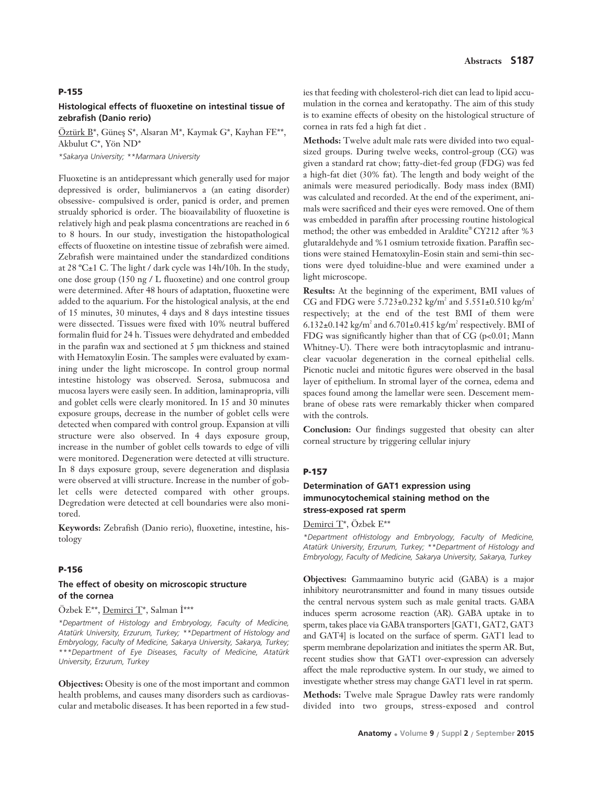#### **P-155**

## **Histological effects of fluoxetine on intestinal tissue of zebrafish (Danio rerio)**

Öztürk B\*, Güneş S\*, Alsaran M\*, Kaymak G\*, Kayhan FE\*\*, Akbulut C\*, Yön ND\*

*\*Sakarya University; \*\*Marmara University* 

Fluoxetine is an antidepressant which generally used for major depressived is order, bulimianervos a (an eating disorder) obsessive- compulsived is order, panicd is order, and premen strualdy sphoricd is order. The bioavailability of fluoxetine is relatively high and peak plasma concentrations are reached in 6 to 8 hours. In our study, investigation the histopathological effects of fluoxetine on intestine tissue of zebrafish were aimed. Zebrafish were maintained under the standardized conditions at 28 ºC±1 C. The light / dark cycle was 14h/10h. In the study, one dose group (150 ng / L fluoxetine) and one control group were determined. After 48 hours of adaptation, fluoxetine were added to the aquarium. For the histological analysis, at the end of 15 minutes, 30 minutes, 4 days and 8 days intestine tissues were dissected. Tissues were fixed with 10% neutral buffered formalin fluid for 24 h. Tissues were dehydrated and embedded in the parafin wax and sectioned at 5 μm thickness and stained with Hematoxylin Eosin. The samples were evaluated by examining under the light microscope. In control group normal intestine histology was observed. Serosa, submucosa and mucosa layers were easily seen. In addition, laminapropria, villi and goblet cells were clearly monitored. In 15 and 30 minutes exposure groups, decrease in the number of goblet cells were detected when compared with control group. Expansion at villi structure were also observed. In 4 days exposure group, increase in the number of goblet cells towards to edge of villi were monitored. Degeneration were detected at villi structure. In 8 days exposure group, severe degeneration and displasia were observed at villi structure. Increase in the number of goblet cells were detected compared with other groups. Degredation were detected at cell boundaries were also monitored.

**Keywords:** Zebrafish (Danio rerio), fluoxetine, intestine, histology

#### **P-156**

# **The effect of obesity on microscopic structure of the cornea**

#### Özbek E\*\*, Demirci T\*, Salman İ\*\*\*

*\*Department of Histology and Embryology, Faculty of Medicine, Atatürk University, Erzurum, Turkey; \*\*Department of Histology and Embryology, Faculty of Medicine, Sakarya University, Sakarya, Turkey; \*\*\*Department of Eye Diseases, Faculty of Medicine, Atatürk University, Erzurum, Turkey*

**Objectives:** Obesity is one of the most important and common health problems, and causes many disorders such as cardiovascular and metabolic diseases. It has been reported in a few studies that feeding with cholesterol-rich diet can lead to lipid accumulation in the cornea and keratopathy. The aim of this study is to examine effects of obesity on the histological structure of cornea in rats fed a high fat diet .

**Methods:** Twelve adult male rats were divided into two equalsized groups. During twelve weeks, control-group (CG) was given a standard rat chow; fatty-diet-fed group (FDG) was fed a high-fat diet (30% fat). The length and body weight of the animals were measured periodically. Body mass index (BMI) was calculated and recorded. At the end of the experiment, animals were sacrificed and their eyes were removed. One of them was embedded in paraffin after processing routine histological method; the other was embedded in Araldite® CY212 after %3 glutaraldehyde and %1 osmium tetroxide fixation. Paraffin sections were stained Hematoxylin-Eosin stain and semi-thin sections were dyed toluidine-blue and were examined under a light microscope.

**Results:** At the beginning of the experiment, BMI values of CG and FDG were  $5.723 \pm 0.232$  kg/m<sup>2</sup> and  $5.551 \pm 0.510$  kg/m<sup>2</sup> respectively; at the end of the test BMI of them were 6.132 $\pm$ 0.142 kg/m<sup>2</sup> and 6.701 $\pm$ 0.415 kg/m<sup>2</sup> respectively. BMI of FDG was significantly higher than that of CG (p<0.01; Mann Whitney-U). There were both intracytoplasmic and intranuclear vacuolar degeneration in the corneal epithelial cells. Picnotic nuclei and mitotic figures were observed in the basal layer of epithelium. In stromal layer of the cornea, edema and spaces found among the lamellar were seen. Descement membrane of obese rats were remarkably thicker when compared with the controls.

**Conclusion:** Our findings suggested that obesity can alter corneal structure by triggering cellular injury

#### **P-157**

# **Determination of GAT1 expression using immunocytochemical staining method on the stress-exposed rat sperm**

#### Demirci T\*, Özbek E\*\*

*\*Department ofHistology and Embryology, Faculty of Medicine, Atatürk University, Erzurum, Turkey; \*\*Department of Histology and Embryology, Faculty of Medicine, Sakarya University, Sakarya, Turkey*

**Objectives:** Gammaamino butyric acid (GABA) is a major inhibitory neurotransmitter and found in many tissues outside the central nervous system such as male genital tracts. GABA induces sperm acrosome reaction (AR). GABA uptake in to sperm, takes place via GABA transporters [GAT1, GAT2, GAT3 and GAT4] is located on the surface of sperm. GAT1 lead to sperm membrane depolarization and initiates the sperm AR. But, recent studies show that GAT1 over-expression can adversely affect the male reproductive system. In our study, we aimed to investigate whether stress may change GAT1 level in rat sperm.

**Methods:** Twelve male Sprague Dawley rats were randomly divided into two groups, stress-exposed and control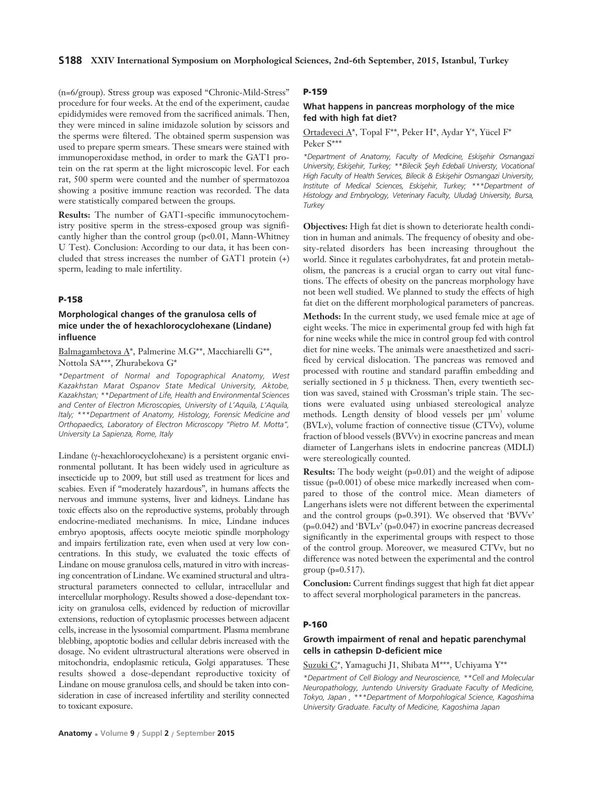(n=6/group). Stress group was exposed "Chronic-Mild-Stress" procedure for four weeks. At the end of the experiment, caudae epididymides were removed from the sacrificed animals. Then, they were minced in saline imidazole solution by scissors and the sperms were filtered. The obtained sperm suspension was used to prepare sperm smears. These smears were stained with immunoperoxidase method, in order to mark the GAT1 protein on the rat sperm at the light microscopic level. For each rat, 500 sperm were counted and the number of spermatozoa showing a positive immune reaction was recorded. The data were statistically compared between the groups.

**Results:** The number of GAT1-specific immunocytochemistry positive sperm in the stress-exposed group was significantly higher than the control group (p<0.01, Mann-Whitney U Test). Conclusion: According to our data, it has been concluded that stress increases the number of GAT1 protein (+) sperm, leading to male infertility.

#### **P-158**

# **Morphological changes of the granulosa cells of mice under the of hexachlorocyclohexane (Lindane) influence**

## Balmagambetova A\*, Palmerine M.G\*\*, Macchiarelli G\*\*, Nottola SA\*\*\*, Zhurabekova G\*

*\*Department of Normal and Topographical Anatomy, West Kazakhstan Marat Ospanov State Medical University, Aktobe, Kazakhstan; \*\*Department of Life, Health and Environmental Sciences and Center of Electron Microscopies, University of L'Aquila, L'Aquila, Italy; \*\*\*Department of Anatomy, Histology, Forensic Medicine and Orthopaedics, Laboratory of Electron Microscopy "Pietro M. Motta", University La Sapienza, Rome, Italy*

Lindane (γ-hexachlorocyclohexane) is a persistent organic environmental pollutant. It has been widely used in agriculture as insecticide up to 2009, but still used as treatment for lices and scabies. Even if "moderately hazardous", in humans affects the nervous and immune systems, liver and kidneys. Lindane has toxic effects also on the reproductive systems, probably through endocrine-mediated mechanisms. In mice, Lindane induces embryo apoptosis, affects oocyte meiotic spindle morphology and impairs fertilization rate, even when used at very low concentrations. In this study, we evaluated the toxic effects of Lindane on mouse granulosa cells, matured in vitro with increasing concentration of Lindane. We examined structural and ultrastructural parameters connected to cellular, intracellular and intercellular morphology. Results showed a dose-dependant toxicity on granulosa cells, evidenced by reduction of microvillar extensions, reduction of cytoplasmic processes between adjacent cells, increase in the lysosomial compartment. Plasma membrane blebbing, apoptotic bodies and cellular debris increased with the dosage. No evident ultrastructural alterations were observed in mitochondria, endoplasmic reticula, Golgi apparatuses. These results showed a dose-dependant reproductive toxicity of Lindane on mouse granulosa cells, and should be taken into consideration in case of increased infertility and sterility connected to toxicant exposure.

### **What happens in pancreas morphology of the mice fed with high fat diet?**

Ortadeveci A\*, Topal F\*\*, Peker H\*, Aydar Y\*, Yücel F\* Peker S\*\*\*

*\*Department of Anatomy, Faculty of Medicine, Eskiflehir Osmangazi* University, Eskişehir, Turkey; \*\*Bilecik Şeyh Edebali Universty, Vocational High Faculty of Health Services, Bilecik & Eskisehir Osmangazi University, *Institute of Medical Sciences, Eskisehir, Turkey; \*\*\*Department of Histology and Embryology, Veterinary Faculty, Uluda¤ University, Bursa, Turkey*

**Objectives:** High fat diet is shown to deteriorate health condition in human and animals. The frequency of obesity and obesity-related disorders has been increasing throughout the world. Since it regulates carbohydrates, fat and protein metabolism, the pancreas is a crucial organ to carry out vital functions. The effects of obesity on the pancreas morphology have not been well studied. We planned to study the effects of high fat diet on the different morphological parameters of pancreas.

**Methods:** In the current study, we used female mice at age of eight weeks. The mice in experimental group fed with high fat for nine weeks while the mice in control group fed with control diet for nine weeks. The animals were anaesthetized and sacrificed by cervical dislocation. The pancreas was removed and processed with routine and standard paraffin embedding and serially sectioned in 5 μ thickness. Then, every twentieth section was saved, stained with Crossman's triple stain. The sections were evaluated using unbiased stereological analyze methods. Length density of blood vessels per  $\mu$ m<sup>3</sup> volume (BVLv), volume fraction of connective tissue (CTVv), volume fraction of blood vessels (BVVv) in exocrine pancreas and mean diameter of Langerhans islets in endocrine pancreas (MDLI) were stereologically counted.

**Results:** The body weight (p=0.01) and the weight of adipose tissue (p=0.001) of obese mice markedly increased when compared to those of the control mice. Mean diameters of Langerhans islets were not different between the experimental and the control groups (p=0.391). We observed that 'BVVv' (p=0.042) and 'BVLv' (p=0.047) in exocrine pancreas decreased significantly in the experimental groups with respect to those of the control group. Moreover, we measured CTVv, but no difference was noted between the experimental and the control group  $(p=0.517)$ .

**Conclusion:** Current findings suggest that high fat diet appear to affect several morphological parameters in the pancreas.

### **P-160**

### **Growth impairment of renal and hepatic parenchymal cells in cathepsin D-deficient mice**

# Suzuki C\*, Yamaguchi J1, Shibata M\*\*\*, Uchiyama Y\*\*

*\*Department of Cell Biology and Neuroscience, \*\*Cell and Molecular Neuropathology, Juntendo University Graduate Faculty of Medicine, Tokyo, Japan , \*\*\*Department of Morpohlogical Science, Kagoshima University Graduate. Faculty of Medicine, Kagoshima Japan*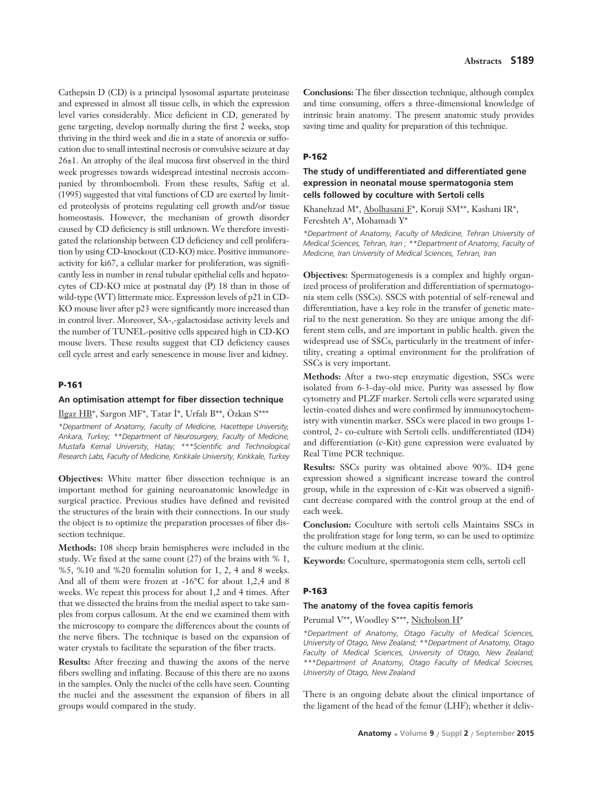Cathepsin D (CD) is a principal lysosomal aspartate proteinase and expressed in almost all tissue cells, in which the expression level varies considerably. Mice deficient in CD, generated by gene targeting, develop normally during the first 2 weeks, stop thriving in the third week and die in a state of anorexia or suffocation due to small intestinal necrosis or convulsive seizure at day 26±1. An atrophy of the ileal mucosa first observed in the third week progresses towards widespread intestinal necrosis accompanied by thromboemboli. From these results, Saftig et al. (1995) suggested that vital functions of CD are exerted by limited proteolysis of proteins regulating cell growth and/or tissue homeostasis. However, the mechanism of growth disorder caused by CD deficiency is still unknown. We therefore investigated the relationship between CD deficiency and cell proliferation by using CD-knockout (CD-KO) mice. Positive immunoreactivity for ki67, a cellular marker for proliferation, was significantly less in number in renal tubular epithelial cells and hepatocytes of CD-KO mice at postnatal day (P) 18 than in those of wild-type (WT) littermate mice. Expression levels of p21 in CD-KO mouse liver after p23 were significantly more increased than in control liver. Moreover, SA-,-galactosidase activity levels and the number of TUNEL-positive cells appeared high in CD-KO mouse livers. These results suggest that CD deficiency causes cell cycle arrest and early senescence in mouse liver and kidney.

#### **P-161**

#### **An optimisation attempt for fiber dissection technique**

Ilgaz HB\*, Sargon MF\*, Tatar İ\*, Urfalı B\*\*, Özkan S\*\*\*

*\*Department of Anatomy, Faculty of Medicine, Hacettepe University, Ankara, Turkey; \*\*Department of Neurosurgery, Faculty of Medicine, Mustafa Kemal University, Hatay; \*\*\*Scientific and Technological Research Labs, Faculty of Medicine, K›r›kkale University, K›r›kkale, Turkey*

**Objectives:** White matter fiber dissection technique is an important method for gaining neuroanatomic knowledge in surgical practice. Previous studies have defined and revisited the structures of the brain with their connections. In our study the object is to optimize the preparation processes of fiber dissection technique.

**Methods:** 108 sheep brain hemispheres were included in the study. We fixed at the same count (27) of the brains with % 1, %5, %10 and %20 formalin solution for 1, 2, 4 and 8 weeks. And all of them were frozen at -16°C for about 1,2,4 and 8 weeks. We repeat this process for about 1,2 and 4 times. After that we dissected the brains from the medial aspect to take samples from corpus callosum. At the end we examined them with the microscopy to compare the differences about the counts of the nerve fibers. The technique is based on the expansion of water crystals to facilitate the separation of the fiber tracts.

**Results:** After freezing and thawing the axons of the nerve fibers swelling and inflating. Because of this there are no axons in the samples. Only the nuclei of the cells have seen. Counting the nuclei and the assessment the expansion of fibers in all groups would compared in the study.

**Conclusions:** The fiber dissection technique, although complex and time consuming, offers a three-dimensional knowledge of intrinsic brain anatomy. The present anatomic study provides saving time and quality for preparation of this technique.

#### **P-162**

# **The study of undifferentiated and differentiated gene expression in neonatal mouse spermatogonia stem cells followed by coculture with Sertoli cells**

Khanehzad M\*, Abolhasani F\*, Koruji SM\*\*, Kashani IR\*, Fereshteh A\*, Mohamadi Y\*

*\*Department of Anatomy, Faculty of Medicine, Tehran University of Medical Sciences, Tehran, Iran ; \*\*Department of Anatomy, Faculty of Medicine, Iran University of Medical Sciences, Tehran, Iran*

**Objectives:** Spermatogenesis is a complex and highly organized process of proliferation and differentiation of spermatogonia stem cells (SSCs). SSCS with potential of self-renewal and differentiation, have a key role in the transfer of genetic material to the next generation. So they are unique among the different stem cells, and are important in public health. given the widespread use of SSCs, particularly in the treatment of infertility, creating a optimal environment for the prolifration of SSCs is very important.

**Methods:** After a two-step enzymatic digestion, SSCs were isolated from 6-3-day-old mice. Purity was assessed by flow cytometry and PLZF marker. Sertoli cells were separated using lectin-coated dishes and were confirmed by immunocytochemistry with vimentin marker. SSCs were placed in two groups 1 control, 2- co-culture with Sertoli cells. undifferentiated (ID4) and differentiation (c-Kit) gene expression were evaluated by Real Time PCR technique.

**Results:** SSCs purity was obtained above 90%. ID4 gene expression showed a significant increase toward the control group, while in the expression of c-Kit was observed a significant decrease compared with the control group at the end of each week.

**Conclusion:** Coculture with sertoli cells Maintains SSCs in the prolifration stage for long term, so can be used to optimize the culture medium at the clinic.

**Keywords:** Coculture, spermatogonia stem cells, sertoli cell

## **P-163**

#### **The anatomy of the fovea capitis femoris**

Perumal V\*\*, Woodley S\*\*\*, Nicholson H\*

*\*Department of Anatomy, Otago Faculty of Medical Sciences, University of Otago, New Zealand; \*\*Department of Anatomy, Otago Faculty of Medical Sciences, University of Otago, New Zealand; \*\*\*Department of Anatomy, Otago Faculty of Medical Sciecnes, University of Otago, New Zealand* 

There is an ongoing debate about the clinical importance of the ligament of the head of the femur (LHF); whether it deliv-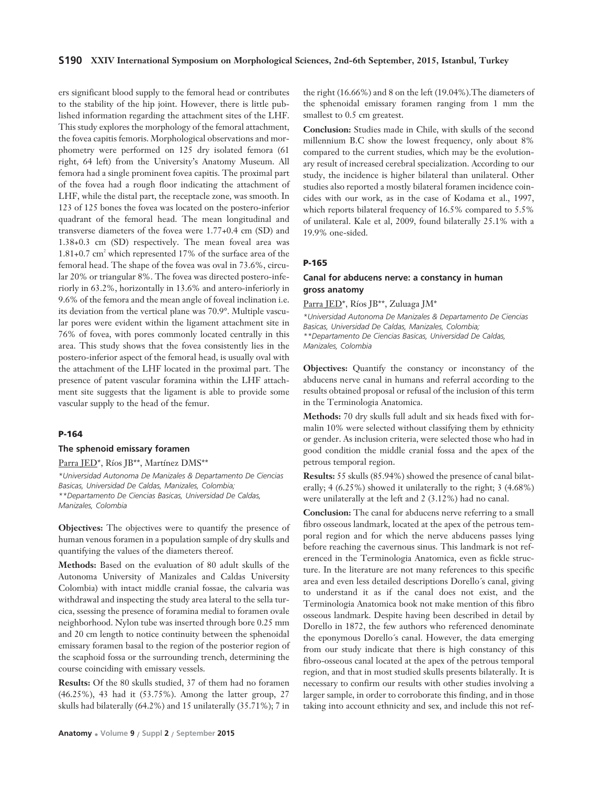### **S190 XXIV International Symposium on Morphological Sciences, 2nd-6th September, 2015, Istanbul, Turkey**

ers significant blood supply to the femoral head or contributes to the stability of the hip joint. However, there is little published information regarding the attachment sites of the LHF. This study explores the morphology of the femoral attachment, the fovea capitis femoris. Morphological observations and morphometry were performed on 125 dry isolated femora (61 right, 64 left) from the University's Anatomy Museum. All femora had a single prominent fovea capitis. The proximal part of the fovea had a rough floor indicating the attachment of LHF, while the distal part, the receptacle zone, was smooth. In 123 of 125 bones the fovea was located on the postero-inferior quadrant of the femoral head. The mean longitudinal and transverse diameters of the fovea were 1.77+0.4 cm (SD) and 1.38+0.3 cm (SD) respectively. The mean foveal area was  $1.81+0.7$  cm<sup>2</sup> which represented 17% of the surface area of the femoral head. The shape of the fovea was oval in 73.6%, circular 20% or triangular 8%. The fovea was directed postero-inferiorly in 63.2%, horizontally in 13.6% and antero-inferiorly in 9.6% of the femora and the mean angle of foveal inclination i.e. its deviation from the vertical plane was 70.9°. Multiple vascular pores were evident within the ligament attachment site in 76% of fovea, with pores commonly located centrally in this area. This study shows that the fovea consistently lies in the postero-inferior aspect of the femoral head, is usually oval with the attachment of the LHF located in the proximal part. The presence of patent vascular foramina within the LHF attachment site suggests that the ligament is able to provide some vascular supply to the head of the femur.

# **P-164**

#### **The sphenoid emissary foramen**

Parra JED\*, Ríos JB\*\*, Martínez DMS\*\*

*\*Universidad Autonoma De Manizales & Departamento De Ciencias Basicas, Universidad De Caldas, Manizales, Colombia; \*\*Departamento De Ciencias Basicas, Universidad De Caldas, Manizales, Colombia* 

**Objectives:** The objectives were to quantify the presence of human venous foramen in a population sample of dry skulls and quantifying the values of the diameters thereof.

**Methods:** Based on the evaluation of 80 adult skulls of the Autonoma University of Manizales and Caldas University Colombia) with intact middle cranial fossae, the calvaria was withdrawal and inspecting the study area lateral to the sella turcica, ssessing the presence of foramina medial to foramen ovale neighborhood. Nylon tube was inserted through bore 0.25 mm and 20 cm length to notice continuity between the sphenoidal emissary foramen basal to the region of the posterior region of the scaphoid fossa or the surrounding trench, determining the course coinciding with emissary vessels.

**Results:** Of the 80 skulls studied, 37 of them had no foramen (46.25%), 43 had it (53.75%). Among the latter group, 27 skulls had bilaterally (64.2%) and 15 unilaterally (35.71%); 7 in the right (16.66%) and 8 on the left (19.04%).The diameters of the sphenoidal emissary foramen ranging from 1 mm the smallest to 0.5 cm greatest.

**Conclusion:** Studies made in Chile, with skulls of the second millennium B.C show the lowest frequency, only about 8% compared to the current studies, which may be the evolutionary result of increased cerebral specialization. According to our study, the incidence is higher bilateral than unilateral. Other studies also reported a mostly bilateral foramen incidence coincides with our work, as in the case of Kodama et al., 1997, which reports bilateral frequency of 16.5% compared to 5.5% of unilateral. Kale et al, 2009, found bilaterally 25.1% with a 19.9% one-sided.

#### **P-165**

## **Canal for abducens nerve: a constancy in human gross anatomy**

Parra JED\*, Ríos JB\*\*, Zuluaga JM\*

*\*Universidad Autonoma De Manizales & Departamento De Ciencias Basicas, Universidad De Caldas, Manizales, Colombia; \*\*Departamento De Ciencias Basicas, Universidad De Caldas, Manizales, Colombia* 

**Objectives:** Quantify the constancy or inconstancy of the abducens nerve canal in humans and referral according to the results obtained proposal or refusal of the inclusion of this term in the Terminologia Anatomica.

**Methods:** 70 dry skulls full adult and six heads fixed with formalin 10% were selected without classifying them by ethnicity or gender. As inclusion criteria, were selected those who had in good condition the middle cranial fossa and the apex of the petrous temporal region.

**Results:** 55 skulls (85.94%) showed the presence of canal bilaterally; 4 (6.25%) showed it unilaterally to the right; 3 (4.68%) were unilaterally at the left and 2 (3.12%) had no canal.

**Conclusion:** The canal for abducens nerve referring to a small fibro osseous landmark, located at the apex of the petrous temporal region and for which the nerve abducens passes lying before reaching the cavernous sinus. This landmark is not referenced in the Terminologia Anatomica, even as fickle structure. In the literature are not many references to this specific area and even less detailed descriptions Dorello´s canal, giving to understand it as if the canal does not exist, and the Terminologia Anatomica book not make mention of this fibro osseous landmark. Despite having been described in detail by Dorello in 1872, the few authors who referenced denominate the eponymous Dorello´s canal. However, the data emerging from our study indicate that there is high constancy of this fibro-osseous canal located at the apex of the petrous temporal region, and that in most studied skulls presents bilaterally. It is necessary to confirm our results with other studies involving a larger sample, in order to corroborate this finding, and in those taking into account ethnicity and sex, and include this not ref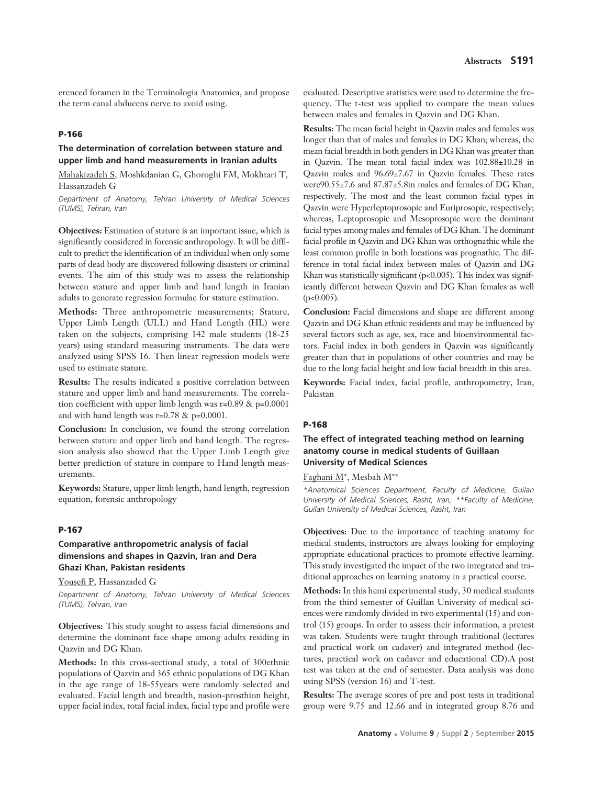erenced foramen in the Terminologia Anatomica, and propose the term canal abducens nerve to avoid using.

## **P-166**

## **The determination of correlation between stature and upper limb and hand measurements in Iranian adults**

Mahakizadeh S, Moshkdanian G, Ghoroghi FM, Mokhtari T, Hassanzadeh G

*Department of Anatomy, Tehran University of Medical Sciences (TUMS), Tehran, Iran*

**Objectives:** Estimation of stature is an important issue, which is significantly considered in forensic anthropology. It will be difficult to predict the identification of an individual when only some parts of dead body are discovered following disasters or criminal events. The aim of this study was to assess the relationship between stature and upper limb and hand length in Iranian adults to generate regression formulae for stature estimation.

**Methods:** Three anthropometric measurements; Stature, Upper Limb Length (ULL) and Hand Length (HL) were taken on the subjects, comprising 142 male students (18-25 years) using standard measuring instruments. The data were analyzed using SPSS 16. Then linear regression models were used to estimate stature.

**Results:** The results indicated a positive correlation between stature and upper limb and hand measurements. The correlation coefficient with upper limb length was r=0.89 & p=0.0001 and with hand length was r=0.78 & p=0.0001.

**Conclusion:** In conclusion, we found the strong correlation between stature and upper limb and hand length. The regression analysis also showed that the Upper Limb Length give better prediction of stature in compare to Hand length measurements.

**Keywords:** Stature, upper limb length, hand length, regression equation, forensic anthropology

### **P-167**

# **Comparative anthropometric analysis of facial dimensions and shapes in Qazvin, Iran and Dera Ghazi Khan, Pakistan residents**

Yousefi P, Hassanzaded G

*Department of Anatomy, Tehran University of Medical Sciences (TUMS), Tehran, Iran*

**Objectives:** This study sought to assess facial dimensions and determine the dominant face shape among adults residing in Qazvin and DG Khan.

**Methods:** In this cross-sectional study, a total of 300ethnic populations of Qazvin and 365 ethnic populations of DG Khan in the age range of 18-55years were randomly selected and evaluated. Facial length and breadth, nasion-prosthion height, upper facial index, total facial index, facial type and profile were evaluated. Descriptive statistics were used to determine the frequency. The t-test was applied to compare the mean values between males and females in Qazvin and DG Khan.

**Results:** The mean facial height in Qazvin males and females was longer than that of males and females in DG Khan; whereas, the mean facial breadth in both genders in DG Khan was greater than in Qazvin. The mean total facial index was 102.88±10.28 in Qazvin males and 96.69±7.67 in Qazvin females. These rates were90.55±7.6 and 87.87±5.8in males and females of DG Khan, respectively. The most and the least common facial types in Qazvin were Hyperleptoprosopic and Euriprosopic, respectively; whereas, Leptoprosopic and Mesoprosopic were the dominant facial types among males and females of DG Khan. The dominant facial profile in Qazvin and DG Khan was orthognathic while the least common profile in both locations was prognathic. The difference in total facial index between males of Qazvin and DG Khan was statistically significant (p<0.005). This index was significantly different between Qazvin and DG Khan females as well  $(p<0.005)$ .

**Conclusion:** Facial dimensions and shape are different among Qazvin and DG Khan ethnic residents and may be influenced by several factors such as age, sex, race and bioenvironmental factors. Facial index in both genders in Qazvin was significantly greater than that in populations of other countries and may be due to the long facial height and low facial breadth in this area.

**Keywords:** Facial index, facial profile, anthropometry, Iran, Pakistan

#### **P-168**

# **The effect of integrated teaching method on learning anatomy course in medical students of Guillaan University of Medical Sciences**

Faghani M\*, Mesbah M\*\*

*\*Anatomical Sciences Department, Faculty of Medicine, Guilan University of Medical Sciences, Rasht, Iran; \*\*Faculty of Medicine, Guilan University of Medical Sciences, Rasht, Iran*

**Objectives:** Due to the importance of teaching anatomy for medical students, instructors are always looking for employing appropriate educational practices to promote effective learning. This study investigated the impact of the two integrated and traditional approaches on learning anatomy in a practical course.

**Methods:** In this hemi experimental study, 30 medical students from the third semester of Guillan University of medical sciences were randomly divided in two experimental (15) and control (15) groups. In order to assess their information, a pretest was taken. Students were taught through traditional (lectures and practical work on cadaver) and integrated method (lectures, practical work on cadaver and educational CD).A post test was taken at the end of semester. Data analysis was done using SPSS (version 16) and T-test.

**Results:** The average scores of pre and post tests in traditional group were 9.75 and 12.66 and in integrated group 8.76 and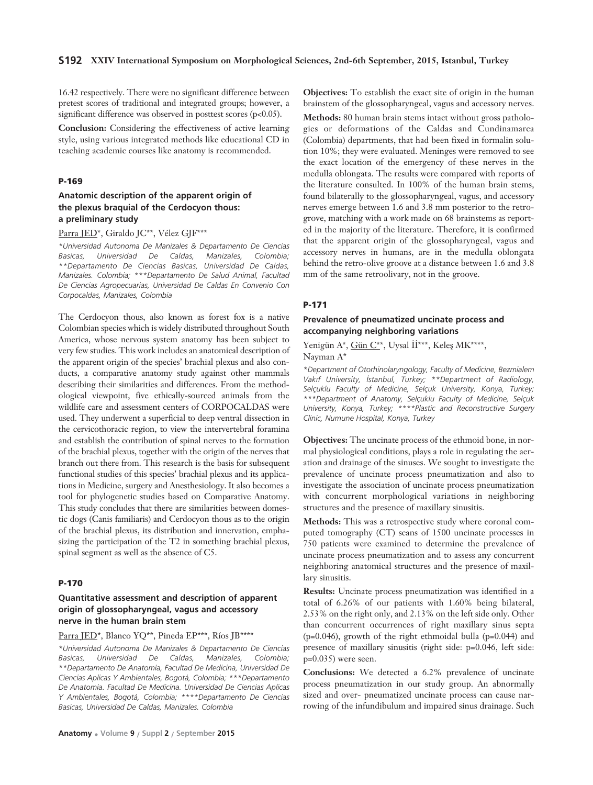16.42 respectively. There were no significant difference between pretest scores of traditional and integrated groups; however, a significant difference was observed in posttest scores (p<0.05).

**Conclusion:** Considering the effectiveness of active learning style, using various integrated methods like educational CD in teaching academic courses like anatomy is recommended.

#### **P-169**

# **Anatomic description of the apparent origin of the plexus braquial of the Cerdocyon thous: a preliminary study**

#### Parra JED\*, Giraldo JC\*\*, Vélez GJF\*\*\*

*\*Universidad Autonoma De Manizales & Departamento De Ciencias Basicas, Universidad De Caldas, Manizales, Colombia; \*\*Departamento De Ciencias Basicas, Universidad De Caldas, Manizales. Colombia; \*\*\*Departamento De Salud Animal, Facultad De Ciencias Agropecuarias, Universidad De Caldas En Convenio Con Corpocaldas, Manizales, Colombia*

The Cerdocyon thous, also known as forest fox is a native Colombian species which is widely distributed throughout South America, whose nervous system anatomy has been subject to very few studies. This work includes an anatomical description of the apparent origin of the species' brachial plexus and also conducts, a comparative anatomy study against other mammals describing their similarities and differences. From the methodological viewpoint, five ethically-sourced animals from the wildlife care and assessment centers of CORPOCALDAS were used. They underwent a superficial to deep ventral dissection in the cervicothoracic region, to view the intervertebral foramina and establish the contribution of spinal nerves to the formation of the brachial plexus, together with the origin of the nerves that branch out there from. This research is the basis for subsequent functional studies of this species' brachial plexus and its applications in Medicine, surgery and Anesthesiology. It also becomes a tool for phylogenetic studies based on Comparative Anatomy. This study concludes that there are similarities between domestic dogs (Canis familiaris) and Cerdocyon thous as to the origin of the brachial plexus, its distribution and innervation, emphasizing the participation of the T2 in something brachial plexus, spinal segment as well as the absence of C5.

#### **P-170**

# **Quantitative assessment and description of apparent origin of glossopharyngeal, vagus and accessory nerve in the human brain stem**

#### Parra JED\*, Blanco YQ\*\*, Pineda EP\*\*\*, Ríos JB\*\*\*\*

*\*Universidad Autonoma De Manizales & Departamento De Ciencias Basicas, Universidad De Caldas, Manizales, Colombia; \*\*Departamento De Anatomía, Facultad De Medicina, Universidad De Ciencias Aplicas Y Ambientales, Bogotá, Colombia; \*\*\*Departamento De Anatomía. Facultad De Medicina. Universidad De Ciencias Aplicas Y Ambientales, Bogotá, Colombia; \*\*\*\*Departamento De Ciencias Basicas, Universidad De Caldas, Manizales. Colombia* 

**Objectives:** To establish the exact site of origin in the human brainstem of the glossopharyngeal, vagus and accessory nerves. **Methods:** 80 human brain stems intact without gross pathologies or deformations of the Caldas and Cundinamarca (Colombia) departments, that had been fixed in formalin solution 10%; they were evaluated. Meninges were removed to see the exact location of the emergency of these nerves in the medulla oblongata. The results were compared with reports of the literature consulted. In 100% of the human brain stems, found bilaterally to the glossopharyngeal, vagus, and accessory nerves emerge between 1.6 and 3.8 mm posterior to the retrogrove, matching with a work made on 68 brainstems as reported in the majority of the literature. Therefore, it is confirmed that the apparent origin of the glossopharyngeal, vagus and accessory nerves in humans, are in the medulla oblongata behind the retro-olive groove at a distance between 1.6 and 3.8 mm of the same retroolivary, not in the groove.

## **P-171**

## **Prevalence of pneumatized uncinate process and accompanying neighboring variations**

Yenigün A\*, Gün C\*\*, Uysal İİ\*\*\*, Keleş MK\*\*\*\*,

Nayman A\*

*\*Department of Otorhinolaryngology, Faculty of Medicine, Bezmialem Vak›f University, ‹stanbul, Turkey; \*\*Department of Radiology, Selçuklu Faculty of Medicine, Selçuk University, Konya, Turkey; \*\*\*Department of Anatomy, Selçuklu Faculty of Medicine, Selçuk University, Konya, Turkey; \*\*\*\*Plastic and Reconstructive Surgery Clinic, Numune Hospital, Konya, Turkey* 

**Objectives:** The uncinate process of the ethmoid bone, in normal physiological conditions, plays a role in regulating the aeration and drainage of the sinuses. We sought to investigate the prevalence of uncinate process pneumatization and also to investigate the association of uncinate process pneumatization with concurrent morphological variations in neighboring structures and the presence of maxillary sinusitis.

**Methods:** This was a retrospective study where coronal computed tomography (CT) scans of 1500 uncinate processes in 750 patients were examined to determine the prevalence of uncinate process pneumatization and to assess any concurrent neighboring anatomical structures and the presence of maxillary sinusitis.

**Results:** Uncinate process pneumatization was identified in a total of 6.26% of our patients with 1.60% being bilateral, 2.53% on the right only, and 2.13% on the left side only. Other than concurrent occurrences of right maxillary sinus septa (p=0.046), growth of the right ethmoidal bulla (p=0.044) and presence of maxillary sinusitis (right side: p=0.046, left side: p=0.035) were seen.

**Conclusions:** We detected a 6.2% prevalence of uncinate process pneumatization in our study group. An abnormally sized and over- pneumatized uncinate process can cause narrowing of the infundibulum and impaired sinus drainage. Such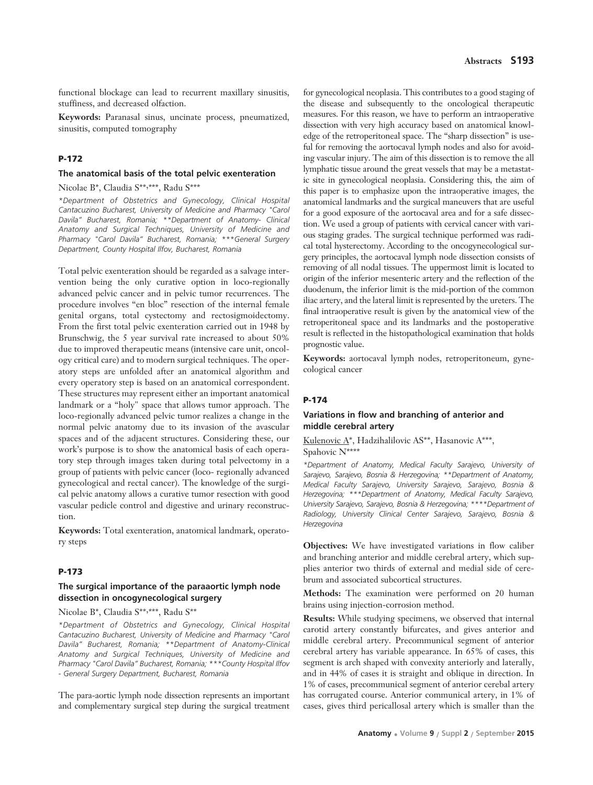functional blockage can lead to recurrent maxillary sinusitis, stuffiness, and decreased olfaction.

**Keywords:** Paranasal sinus, uncinate process, pneumatized, sinusitis, computed tomography

# **P-172**

#### **The anatomical basis of the total pelvic exenteration**

Nicolae B\*, Claudia S\*\*, \*\*\*, Radu S\*\*\*

*\*Department of Obstetrics and Gynecology, Clinical Hospital Cantacuzino Bucharest, University of Medicine and Pharmacy "Carol Davila" Bucharest, Romania; \*\*Department of Anatomy- Clinical Anatomy and Surgical Techniques, University of Medicine and Pharmacy "Carol Davila" Bucharest, Romania; \*\*\*General Surgery Department, County Hospital Ilfov, Bucharest, Romania*

Total pelvic exenteration should be regarded as a salvage intervention being the only curative option in loco-regionally advanced pelvic cancer and in pelvic tumor recurrences. The procedure involves "en bloc" resection of the internal female genital organs, total cystectomy and rectosigmoidectomy. From the first total pelvic exenteration carried out in 1948 by Brunschwig, the 5 year survival rate increased to about 50% due to improved therapeutic means (intensive care unit, oncology critical care) and to modern surgical techniques. The operatory steps are unfolded after an anatomical algorithm and every operatory step is based on an anatomical correspondent. These structures may represent either an important anatomical landmark or a "holy" space that allows tumor approach. The loco-regionally advanced pelvic tumor realizes a change in the normal pelvic anatomy due to its invasion of the avascular spaces and of the adjacent structures. Considering these, our work's purpose is to show the anatomical basis of each operatory step through images taken during total pelvectomy in a group of patients with pelvic cancer (loco- regionally advanced gynecological and rectal cancer). The knowledge of the surgical pelvic anatomy allows a curative tumor resection with good vascular pedicle control and digestive and urinary reconstruction.

**Keywords:** Total exenteration, anatomical landmark, operatory steps

#### **P-173**

# **The surgical importance of the paraaortic lymph node dissection in oncogynecological surgery**

Nicolae B\*, Claudia S\*\*, \*\*\*, Radu S\*\*

*\*Department of Obstetrics and Gynecology, Clinical Hospital Cantacuzino Bucharest, University of Medicine and Pharmacy "Carol Davila" Bucharest, Romania; \*\*Department of Anatomy-Clinical Anatomy and Surgical Techniques, University of Medicine and Pharmacy "Carol Davila" Bucharest, Romania; \*\*\*County Hospital Ilfov - General Surgery Department, Bucharest, Romania*

The para-aortic lymph node dissection represents an important and complementary surgical step during the surgical treatment

for gynecological neoplasia. This contributes to a good staging of the disease and subsequently to the oncological therapeutic measures. For this reason, we have to perform an intraoperative dissection with very high accuracy based on anatomical knowledge of the retroperitoneal space. The "sharp dissection" is useful for removing the aortocaval lymph nodes and also for avoiding vascular injury. The aim of this dissection is to remove the all lymphatic tissue around the great vessels that may be a metastatic site in gynecological neoplasia. Considering this, the aim of this paper is to emphasize upon the intraoperative images, the anatomical landmarks and the surgical maneuvers that are useful for a good exposure of the aortocaval area and for a safe dissection. We used a group of patients with cervical cancer with various staging grades. The surgical technique performed was radical total hysterectomy. According to the oncogynecological surgery principles, the aortocaval lymph node dissection consists of removing of all nodal tissues. The uppermost limit is located to origin of the inferior mesenteric artery and the reflection of the duodenum, the inferior limit is the mid-portion of the common iliac artery, and the lateral limit is represented by the ureters. The final intraoperative result is given by the anatomical view of the retroperitoneal space and its landmarks and the postoperative result is reflected in the histopathological examination that holds prognostic value.

**Keywords:** aortocaval lymph nodes, retroperitoneum, gynecological cancer

#### **P-174**

## **Variations in flow and branching of anterior and middle cerebral artery**

Kulenovic A\*, Hadzihalilovic AS\*\*, Hasanovic A\*\*\*, Spahovic N\*\*\*\*

*\*Department of Anatomy, Medical Faculty Sarajevo, University of Sarajevo, Sarajevo, Bosnia & Herzegovina; \*\*Department of Anatomy, Medical Faculty Sarajevo, University Sarajevo, Sarajevo, Bosnia & Herzegovina; \*\*\*Department of Anatomy, Medical Faculty Sarajevo, University Sarajevo, Sarajevo, Bosnia & Herzegovina; \*\*\*\*Department of Radiology, University Clinical Center Sarajevo, Sarajevo, Bosnia & Herzegovina* 

**Objectives:** We have investigated variations in flow caliber and branching anterior and middle cerebral artery, which supplies anterior two thirds of external and medial side of cerebrum and associated subcortical structures.

**Methods:** The examination were performed on 20 human brains using injection-corrosion method.

**Results:** While studying specimens, we observed that internal carotid artery constantly bifurcates, and gives anterior and middle cerebral artery. Precommunical segment of anterior cerebral artery has variable appearance. In 65% of cases, this segment is arch shaped with convexity anteriorly and laterally, and in 44% of cases it is straight and oblique in direction. In 1% of cases, precommunical segment of anterior cerebal artery has corrugated course. Anterior communical artery, in 1% of cases, gives third pericallosal artery which is smaller than the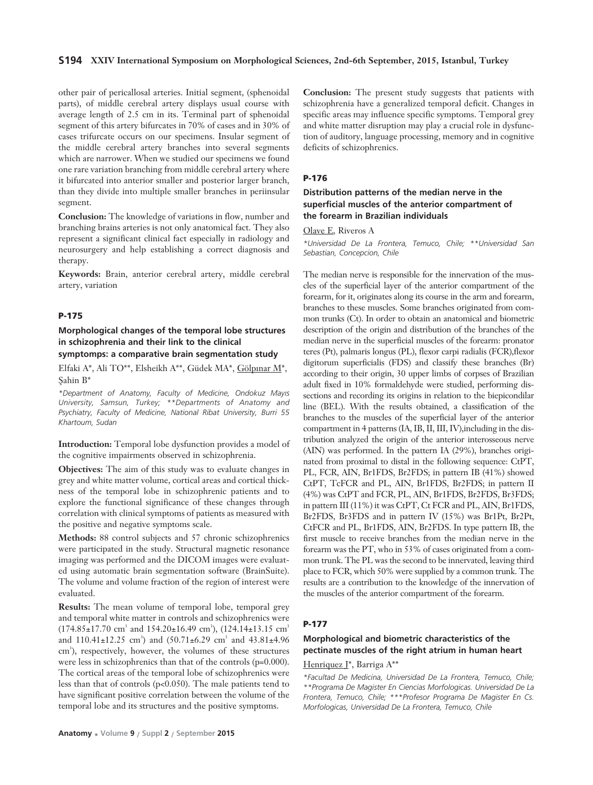### **S194 XXIV International Symposium on Morphological Sciences, 2nd-6th September, 2015, Istanbul, Turkey**

other pair of pericallosal arteries. Initial segment, (sphenoidal parts), of middle cerebral artery displays usual course with average length of 2.5 cm in its. Terminal part of sphenoidal segment of this artery bifurcates in 70% of cases and in 30% of cases trifurcate occurs on our specimens. Insular segment of the middle cerebral artery branches into several segments which are narrower. When we studied our specimens we found one rare variation branching from middle cerebral artery where it bifurcated into anterior smaller and posterior larger branch, than they divide into multiple smaller branches in periinsular segment.

**Conclusion:** The knowledge of variations in flow, number and branching brains arteries is not only anatomical fact. They also represent a significant clinical fact especially in radiology and neurosurgery and help establishing a correct diagnosis and therapy.

**Keywords:** Brain, anterior cerebral artery, middle cerebral artery, variation

### **P-175**

**Morphological changes of the temporal lobe structures in schizophrenia and their link to the clinical symptomps: a comparative brain segmentation study**

Elfaki A\*, Ali TO\*\*, Elsheikh A\*\*, Güdek MA\*, Gölpinar M\*, Şahin B\*

*\*Department of Anatomy, Faculty of Medicine, Ondokuz May›s University, Samsun, Turkey; \*\*Departments of Anatomy and Psychiatry, Faculty of Medicine, National Ribat University, Burri 55 Khartoum, Sudan*

**Introduction:** Temporal lobe dysfunction provides a model of the cognitive impairments observed in schizophrenia.

**Objectives:** The aim of this study was to evaluate changes in grey and white matter volume, cortical areas and cortical thickness of the temporal lobe in schizophrenic patients and to explore the functional significance of these changes through correlation with clinical symptoms of patients as measured with the positive and negative symptoms scale.

**Methods:** 88 control subjects and 57 chronic schizophrenics were participated in the study. Structural magnetic resonance imaging was performed and the DICOM images were evaluated using automatic brain segmentation software (BrainSuite). The volume and volume fraction of the region of interest were evaluated.

**Results:** The mean volume of temporal lobe, temporal grey and temporal white matter in controls and schizophrenics were  $(174.85 \pm 17.70 \text{ cm}^3 \text{ and } 154.20 \pm 16.49 \text{ cm}^3), (124.14 \pm 13.15 \text{ cm}^3)$ and  $110.41\pm12.25$  cm<sup>3</sup>) and  $(50.71\pm6.29$  cm<sup>3</sup> and  $43.81\pm4.96$ cm<sup>3</sup>), respectively, however, the volumes of these structures were less in schizophrenics than that of the controls (p=0.000). The cortical areas of the temporal lobe of schizophrenics were less than that of controls ( $p<0.050$ ). The male patients tend to have significant positive correlation between the volume of the temporal lobe and its structures and the positive symptoms.

**Conclusion:** The present study suggests that patients with schizophrenia have a generalized temporal deficit. Changes in specific areas may influence specific symptoms. Temporal grey and white matter disruption may play a crucial role in dysfunction of auditory, language processing, memory and in cognitive deficits of schizophrenics.

## **P-176**

# **Distribution patterns of the median nerve in the superficial muscles of the anterior compartment of the forearm in Brazilian individuals**

### Olave E, Riveros A

*\*Universidad De La Frontera, Temuco, Chile; \*\*Universidad San Sebastian, Concepcion, Chile* 

The median nerve is responsible for the innervation of the muscles of the superficial layer of the anterior compartment of the forearm, for it, originates along its course in the arm and forearm, branches to these muscles. Some branches originated from common trunks (Ct). In order to obtain an anatomical and biometric description of the origin and distribution of the branches of the median nerve in the superficial muscles of the forearm: pronator teres (Pt), palmaris longus (PL), flexor carpi radialis (FCR),flexor digitorum superficialis (FDS) and classify these branches (Br) according to their origin, 30 upper limbs of corpses of Brazilian adult fixed in 10% formaldehyde were studied, performing dissections and recording its origins in relation to the biepicondilar line (BEL). With the results obtained, a classification of the branches to the muscles of the superficial layer of the anterior compartment in 4 patterns (IA, IB, II, III, IV),including in the distribution analyzed the origin of the anterior interosseous nerve (AIN) was performed. In the pattern IA (29%), branches originated from proximal to distal in the following sequence: CtPT, PL, FCR, AIN, Br1FDS, Br2FDS; in pattern IB (41%) showed CtPT, TcFCR and PL, AIN, Br1FDS, Br2FDS; in pattern II (4%) was CtPT and FCR, PL, AIN, Br1FDS, Br2FDS, Br3FDS; in pattern III (11%) it was CtPT, Ct FCR and PL, AIN, Br1FDS, Br2FDS, Br3FDS and in pattern IV (15%) was Br1Pt, Br2Pt, CtFCR and PL, Br1FDS, AIN, Br2FDS. In type pattern IB, the first muscle to receive branches from the median nerve in the forearm was the PT, who in 53% of cases originated from a common trunk. The PL was the second to be innervated, leaving third place to FCR, which 50% were supplied by a common trunk. The results are a contribution to the knowledge of the innervation of the muscles of the anterior compartment of the forearm.

# **P-177**

# **Morphological and biometric characteristics of the pectinate muscles of the right atrium in human heart**

# Henriquez J\*, Barriga A\*\*

*\*Facultad De Medicina, Universidad De La Frontera, Temuco, Chile; \*\*Programa De Magister En Ciencias Morfologicas. Universidad De La Frontera, Temuco, Chile; \*\*\*Profesor Programa De Magister En Cs. Morfologicas, Universidad De La Frontera, Temuco, Chile*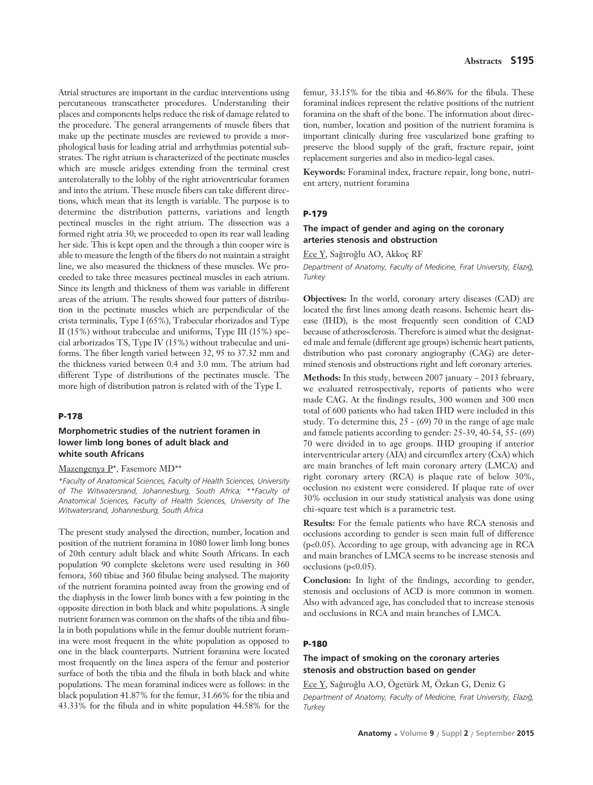Atrial structures are important in the cardiac interventions using percutaneous transcatheter procedures. Understanding their places and components helps reduce the risk of damage related to the procedure. The general arrangements of muscle fibers that make up the pectinate muscles are reviewed to provide a morphological basis for leading atrial and arrhythmias potential substrates. The right atrium is characterized of the pectinate muscles which are muscle aridges extending from the terminal crest anterolaterally to the lobby of the right atrioventricular foramen and into the atrium. These muscle fibers can take different directions, which mean that its length is variable. The purpose is to determine the distribution patterns, variations and length pectineal muscles in the right atrium. The dissection was a formed right atria 30; we proceeded to open its rear wall leading her side. This is kept open and the through a thin cooper wire is able to measure the length of the fibers do not maintain a straight line, we also measured the thickness of these muscles. We proceeded to take three measures pectineal muscles in each atrium. Since its length and thickness of them was variable in different areas of the atrium. The results showed four patters of distribution in the pectinate muscles which are perpendicular of the crista terminalis, Type I (65%), Trabecular rborizados and Type II (15%) without trabeculae and uniforms, Type III (15%) special arborizados TS, Type IV (15%) without trabeculae and uniforms. The fiber length varied between 32, 95 to 37.32 mm and the thickness varied between 0.4 and 3.0 mm. The atrium had different Type of distributions of the pectinates muscle. The more high of distribution patron is related with of the Type I.

#### **P-178**

# **Morphometric studies of the nutrient foramen in lower limb long bones of adult black and white south Africans**

#### Mazengenya P\*, Fasemore MD\*\*

*\*Faculty of Anatomical Sciences, Faculty of Health Sciences, University of The Witwatersrand, Johannesburg, South Africa; \*\*Faculty of Anatomical Sciences, Faculty of Health Sciences, University of The Witwatersrand, Johannesburg, South Africa* 

The present study analysed the direction, number, location and position of the nutrient foramina in 1080 lower limb long bones of 20th century adult black and white South Africans. In each population 90 complete skeletons were used resulting in 360 femora, 360 tibiae and 360 fibulae being analysed. The majority of the nutrient foramina pointed away from the growing end of the diaphysis in the lower limb bones with a few pointing in the opposite direction in both black and white populations. A single nutrient foramen was common on the shafts of the tibia and fibula in both populations while in the femur double nutrient foramina were most frequent in the white population as opposed to one in the black counterparts. Nutrient foramina were located most frequently on the linea aspera of the femur and posterior surface of both the tibia and the fibula in both black and white populations. The mean foraminal indices were as follows: in the black population 41.87% for the femur, 31.66% for the tibia and 43.33% for the fibula and in white population 44.58% for the femur, 33.15% for the tibia and 46.86% for the fibula. These foraminal indices represent the relative positions of the nutrient foramina on the shaft of the bone. The information about direction, number, location and position of the nutrient foramina is important clinically during free vascularized bone grafting to preserve the blood supply of the graft, fracture repair, joint replacement surgeries and also in medico-legal cases.

**Keywords:** Foraminal index, fracture repair, long bone, nutrient artery, nutrient foramina

#### **P-179**

## **The impact of gender and aging on the coronary arteries stenosis and obstruction**

Ece Y, Sağıroğlu AO, Akkoç RF

Department of Anatomy, Faculty of Medicine, Fırat University, Elazığ, *Turkey*

**Objectives:** In the world, coronary artery diseases (CAD) are located the first lines among death reasons. Ischemic heart disease (IHD), is the most frequently seen condition of CAD because of atherosclerosis. Therefore is aimed what the designated male and female (different age groups) ischemic heart patients, distribution who past coronary angiography (CAG) are determined stenosis and obstructions right and left coronary arteries.

**Methods:** In this study, between 2007 january – 2013 february, we evaluated retrospectivaly, reports of patients who were made CAG. At the findings results, 300 women and 300 men total of 600 patients who had taken IHD were included in this study. To determine this, 25 - (69) 70 in the range of age male and famele patients according to gender: 25-39, 40-54, 55- (69) 70 were divided in to age groups. IHD grouping if anterior interventricular artery (AIA) and circumflex artery (CxA) which are main branches of left main coronary artery (LMCA) and right coronary artery (RCA) is plaque rate of below 30%, occlusion no existent were considered. If plaque rate of over 30% occlusion in our study statistical analysis was done using chi-square test which is a parametric test.

**Results:** For the female patients who have RCA stenosis and occlusions according to gender is seen main full of difference (p<0.05). According to age group, with advancing age in RCA and main branches of LMCA seems to be increase stenosis and occlusions (p<0.05).

**Conclusion:** In light of the findings, according to gender, stenosis and occlusions of ACD is more common in women. Also with advanced age, has concluded that to increase stenosis and occlusions in RCA and main branches of LMCA.

#### **P-180**

# **The impact of smoking on the coronary arteries stenosis and obstruction based on gender**

Ece Y, Sağıroğlu A.O, Ögetürk M, Özkan G, Deniz G *Department of Anatomy, Faculty of Medicine, F›rat University, Elaz›¤, Turkey*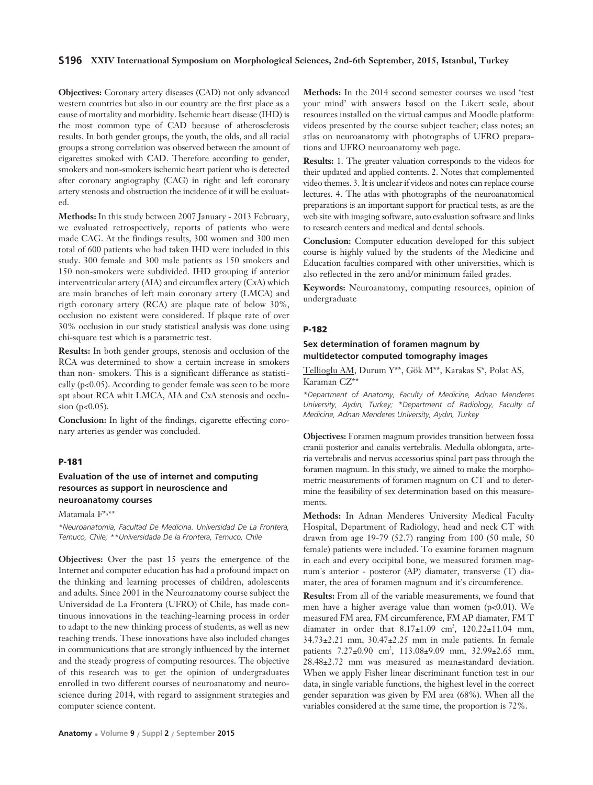### **S196 XXIV International Symposium on Morphological Sciences, 2nd-6th September, 2015, Istanbul, Turkey**

**Objectives:** Coronary artery diseases (CAD) not only advanced western countries but also in our country are the first place as a cause of mortality and morbidity. Ischemic heart disease (IHD) is the most common type of CAD because of atherosclerosis results. In both gender groups, the youth, the olds, and all racial groups a strong correlation was observed between the amount of cigarettes smoked with CAD. Therefore according to gender, smokers and non-smokers ischemic heart patient who is detected after coronary angiography (CAG) in right and left coronary artery stenosis and obstruction the incidence of it will be evaluated.

**Methods:** In this study between 2007 January - 2013 February, we evaluated retrospectively, reports of patients who were made CAG. At the findings results, 300 women and 300 men total of 600 patients who had taken IHD were included in this study. 300 female and 300 male patients as 150 smokers and 150 non-smokers were subdivided. IHD grouping if anterior interventricular artery (AIA) and circumflex artery (CxA) which are main branches of left main coronary artery (LMCA) and rigth coronary artery (RCA) are plaque rate of below 30%, occlusion no existent were considered. If plaque rate of over 30% occlusion in our study statistical analysis was done using chi-square test which is a parametric test.

**Results:** In both gender groups, stenosis and occlusion of the RCA was determined to show a certain increase in smokers than non- smokers. This is a significant differance as statistically  $(p<0.05)$ . According to gender female was seen to be more apt about RCA whit LMCA, AIA and CxA stenosis and occlusion ( $p < 0.05$ ).

**Conclusion:** In light of the findings, cigarette effecting coronary arteries as gender was concluded.

### **P-181**

# **Evaluation of the use of internet and computing resources as support in neuroscience and neuroanatomy courses**

Matamala F\*, \*\*

*\*Neuroanatomia, Facultad De Medicina. Universidad De La Frontera, Temuco, Chile; \*\*Universidada De la Frontera, Temuco, Chile* 

**Objectives:** Over the past 15 years the emergence of the Internet and computer education has had a profound impact on the thinking and learning processes of children, adolescents and adults. Since 2001 in the Neuroanatomy course subject the Universidad de La Frontera (UFRO) of Chile, has made continuous innovations in the teaching-learning process in order to adapt to the new thinking process of students, as well as new teaching trends. These innovations have also included changes in communications that are strongly influenced by the internet and the steady progress of computing resources. The objective of this research was to get the opinion of undergraduates enrolled in two different courses of neuroanatomy and neuroscience during 2014, with regard to assignment strategies and computer science content.

**Methods:** In the 2014 second semester courses we used 'test your mind' with answers based on the Likert scale, about resources installed on the virtual campus and Moodle platform: videos presented by the course subject teacher; class notes; an atlas on neuroanatomy with photographs of UFRO preparations and UFRO neuroanatomy web page.

**Results:** 1. The greater valuation corresponds to the videos for their updated and applied contents. 2. Notes that complemented video themes. 3. It is unclear if videos and notes can replace course lectures. 4. The atlas with photographs of the neuroanatomical preparations is an important support for practical tests, as are the web site with imaging software, auto evaluation software and links to research centers and medical and dental schools.

**Conclusion:** Computer education developed for this subject course is highly valued by the students of the Medicine and Education faculties compared with other universities, which is also reflected in the zero and/or minimum failed grades.

**Keywords:** Neuroanatomy, computing resources, opinion of undergraduate

#### **P-182**

# **Sex determination of foramen magnum by multidetector computed tomography images**

Tellioglu AM, Durum Y\*\*, Gök M\*\*, Karakas S\*, Polat AS, Karaman CZ\*\*

*\*Department of Anatomy, Faculty of Medicine, Adnan Menderes University, Ayd›n, Turkey; \*Department of Radiology, Faculty of Medicine, Adnan Menderes University, Ayd›n, Turkey*

**Objectives:** Foramen magnum provides transition between fossa cranii posterior and canalis vertebralis. Medulla oblongata, arteria vertebralis and nervus accessorius spinal part pass through the foramen magnum. In this study, we aimed to make the morphometric measurements of foramen magnum on CT and to determine the feasibility of sex determination based on this measurements.

**Methods:** In Adnan Menderes University Medical Faculty Hospital, Department of Radiology, head and neck CT with drawn from age 19-79 (52.7) ranging from 100 (50 male, 50 female) patients were included. To examine foramen magnum in each and every occipital bone, we measured foramen magnum's anterior - posteror (AP) diamater, transverse (T) diamater, the area of foramen magnum and it's circumference.

**Results:** From all of the variable measurements, we found that men have a higher average value than women (p<0.01). We measured FM area, FM circumference, FM AP diamater, FM T diamater in order that  $8.17 \pm 1.09$  cm<sup>2</sup>,  $120.22 \pm 11.04$  mm, 34.73±2.21 mm, 30.47±2.25 mm in male patients. In female patients 7.27±0.90 cm<sup>2</sup>, 113.08±9.09 mm, 32.99±2.65 mm, 28.48±2.72 mm was measured as mean±standard deviation. When we apply Fisher linear discriminant function test in our data, in single variable functions, the highest level in the correct gender separation was given by FM area (68%). When all the variables considered at the same time, the proportion is 72%.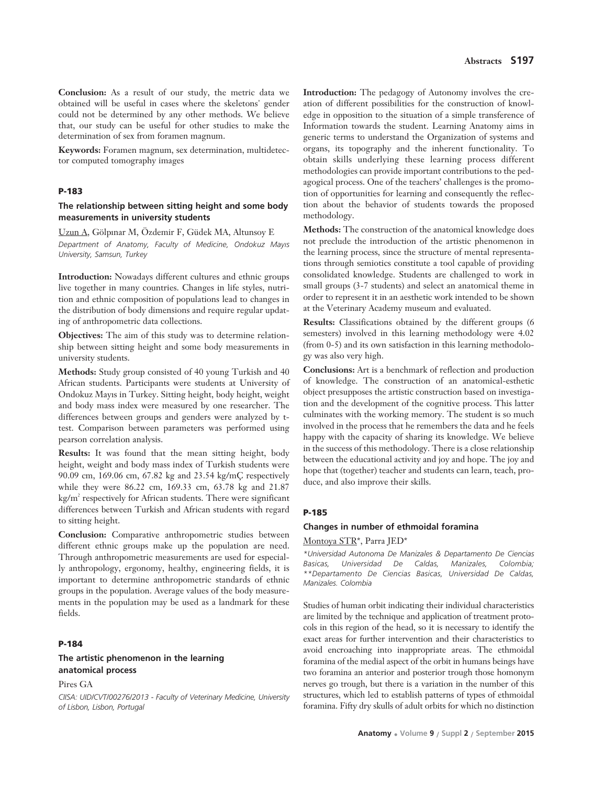**Conclusion:** As a result of our study, the metric data we obtained will be useful in cases where the skeletons' gender could not be determined by any other methods. We believe that, our study can be useful for other studies to make the determination of sex from foramen magnum.

**Keywords:** Foramen magnum, sex determination, multidetector computed tomography images

#### **P-183**

### **The relationship between sitting height and some body measurements in university students**

Uzun A, Gölpınar M, Özdemir F, Güdek MA, Altunsoy E *Department of Anatomy, Faculty of Medicine, Ondokuz May›s University, Samsun, Turkey*

**Introduction:** Nowadays different cultures and ethnic groups live together in many countries. Changes in life styles, nutrition and ethnic composition of populations lead to changes in the distribution of body dimensions and require regular updating of anthropometric data collections.

**Objectives:** The aim of this study was to determine relationship between sitting height and some body measurements in university students.

**Methods:** Study group consisted of 40 young Turkish and 40 African students. Participants were students at University of Ondokuz Mayıs in Turkey. Sitting height, body height, weight and body mass index were measured by one researcher. The differences between groups and genders were analyzed by ttest. Comparison between parameters was performed using pearson correlation analysis.

**Results:** It was found that the mean sitting height, body height, weight and body mass index of Turkish students were 90.09 cm, 169.06 cm, 67.82 kg and 23.54 kg/mÇ respectively while they were 86.22 cm, 169.33 cm, 63.78 kg and 21.87 kg/m<sup>2</sup> respectively for African students. There were significant differences between Turkish and African students with regard to sitting height.

**Conclusion:** Comparative anthropometric studies between different ethnic groups make up the population are need. Through anthropometric measurements are used for especially anthropology, ergonomy, healthy, engineering fields, it is important to determine anthropometric standards of ethnic groups in the population. Average values of the body measurements in the population may be used as a landmark for these fields.

#### **P-184**

## **The artistic phenomenon in the learning anatomical process**

Pires GA

*CIISA: UID/CVT/00276/2013 - Faculty of Veterinary Medicine, University of Lisbon, Lisbon, Portugal*

**Introduction:** The pedagogy of Autonomy involves the creation of different possibilities for the construction of knowledge in opposition to the situation of a simple transference of Information towards the student. Learning Anatomy aims in generic terms to understand the Organization of systems and organs, its topography and the inherent functionality. To obtain skills underlying these learning process different methodologies can provide important contributions to the pedagogical process. One of the teachers' challenges is the promotion of opportunities for learning and consequently the reflection about the behavior of students towards the proposed methodology.

**Methods:** The construction of the anatomical knowledge does not preclude the introduction of the artistic phenomenon in the learning process, since the structure of mental representations through semiotics constitute a tool capable of providing consolidated knowledge. Students are challenged to work in small groups (3-7 students) and select an anatomical theme in order to represent it in an aesthetic work intended to be shown at the Veterinary Academy museum and evaluated.

**Results:** Classifications obtained by the different groups (6 semesters) involved in this learning methodology were 4.02 (from 0-5) and its own satisfaction in this learning methodology was also very high.

**Conclusions:** Art is a benchmark of reflection and production of knowledge. The construction of an anatomical-esthetic object presupposes the artistic construction based on investigation and the development of the cognitive process. This latter culminates with the working memory. The student is so much involved in the process that he remembers the data and he feels happy with the capacity of sharing its knowledge. We believe in the success of this methodology. There is a close relationship between the educational activity and joy and hope. The joy and hope that (together) teacher and students can learn, teach, produce, and also improve their skills.

#### **P-185**

### **Changes in number of ethmoidal foramina**

#### Montoya STR\*, Parra JED\*

*\*Universidad Autonoma De Manizales & Departamento De Ciencias Basicas, Universidad De Caldas, Manizales, Colombia; \*\*Departamento De Ciencias Basicas, Universidad De Caldas, Manizales. Colombia*

Studies of human orbit indicating their individual characteristics are limited by the technique and application of treatment protocols in this region of the head, so it is necessary to identify the exact areas for further intervention and their characteristics to avoid encroaching into inappropriate areas. The ethmoidal foramina of the medial aspect of the orbit in humans beings have two foramina an anterior and posterior trough those homonym nerves go trough, but there is a variation in the number of this structures, which led to establish patterns of types of ethmoidal foramina. Fifty dry skulls of adult orbits for which no distinction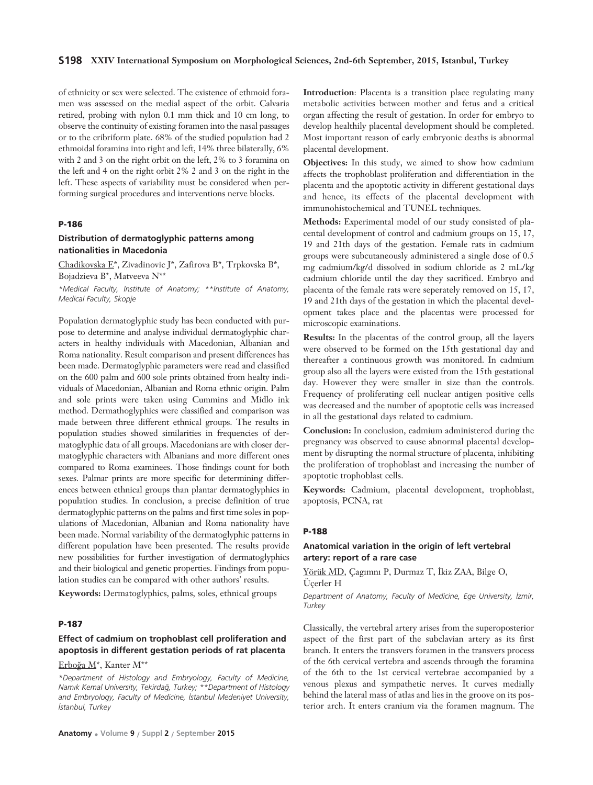of ethnicity or sex were selected. The existence of ethmoid foramen was assessed on the medial aspect of the orbit. Calvaria retired, probing with nylon 0.1 mm thick and 10 cm long, to observe the continuity of existing foramen into the nasal passages or to the cribriform plate. 68% of the studied population had 2 ethmoidal foramina into right and left, 14% three bilaterally, 6% with 2 and 3 on the right orbit on the left, 2% to 3 foramina on the left and 4 on the right orbit 2% 2 and 3 on the right in the left. These aspects of variability must be considered when performing surgical procedures and interventions nerve blocks.

## **P-186**

## **Distribution of dermatoglyphic patterns among nationalities in Macedonia**

Chadikovska E\*, Zivadinovic J\*, Zafirova B\*, Trpkovska B\*, Bojadzieva B\*, Matveeva N\*\*

*\*Medical Faculty, Institute of Anatomy; \*\*Institute of Anatomy, Medical Faculty, Skopje*

Population dermatoglyphic study has been conducted with purpose to determine and analyse individual dermatoglyphic characters in healthy individuals with Macedonian, Albanian and Roma nationality. Result comparison and present differences has been made. Dermatoglyphic parameters were read and classified on the 600 palm and 600 sole prints obtained from healty individuals of Macedonian, Albanian and Roma ethnic origin. Palm and sole prints were taken using Cummins and Midlo ink method. Dermathoglyphics were classified and comparison was made between three different ethnical groups. The results in population studies showed similarities in frequencies of dermatoglyphic data of all groups. Macedonians are with closer dermatoglyphic characters with Albanians and more different ones compared to Roma examinees. Those findings count for both sexes. Palmar prints are more specific for determining differences between ethnical groups than plantar dermatoglyphics in population studies. In conclusion, a precise definition of true dermatoglyphic patterns on the palms and first time soles in populations of Macedonian, Albanian and Roma nationality have been made. Normal variability of the dermatoglyphic patterns in different population have been presented. The results provide new possibilities for further investigation of dermatoglyphics and their biological and genetic properties. Findings from population studies can be compared with other authors' results.

**Keywords:** Dermatoglyphics, palms, soles, ethnical groups

## **P-187**

# **Effect of cadmium on trophoblast cell proliferation and apoptosis in different gestation periods of rat placenta**

### Erboğa M<sup>\*</sup>, Kanter M<sup>\*\*</sup>

*\*Department of Histology and Embryology, Faculty of Medicine, Nam›k Kemal University, Tekirda¤, Turkey; \*\*Department of Histology and Embryology, Faculty of Medicine, ‹stanbul Medeniyet University, ‹stanbul, Turkey*

**Introduction**: Placenta is a transition place regulating many metabolic activities between mother and fetus and a critical organ affecting the result of gestation. In order for embryo to develop healthily placental development should be completed. Most important reason of early embryonic deaths is abnormal placental development.

**Objectives:** In this study, we aimed to show how cadmium affects the trophoblast proliferation and differentiation in the placenta and the apoptotic activity in different gestational days and hence, its effects of the placental development with immunohistochemical and TUNEL techniques.

**Methods:** Experimental model of our study consisted of placental development of control and cadmium groups on 15, 17, 19 and 21th days of the gestation. Female rats in cadmium groups were subcutaneously administered a single dose of 0.5 mg cadmium/kg/d dissolved in sodium chloride as 2 mL/kg cadmium chloride until the day they sacrificed. Embryo and placenta of the female rats were seperately removed on 15, 17, 19 and 21th days of the gestation in which the placental development takes place and the placentas were processed for microscopic examinations.

**Results:** In the placentas of the control group, all the layers were observed to be formed on the 15th gestational day and thereafter a continuous growth was monitored. In cadmium group also all the layers were existed from the 15th gestational day. However they were smaller in size than the controls. Frequency of proliferating cell nuclear antigen positive cells was decreased and the number of apoptotic cells was increased in all the gestational days related to cadmium.

**Conclusion:** In conclusion, cadmium administered during the pregnancy was observed to cause abnormal placental development by disrupting the normal structure of placenta, inhibiting the proliferation of trophoblast and increasing the number of apoptotic trophoblast cells.

**Keywords:** Cadmium, placental development, trophoblast, apoptosis, PCNA, rat

## **P-188**

# **Anatomical variation in the origin of left vertebral artery: report of a rare case**

Yörük MD, Çagımnı P, Durmaz T, İkiz ZAA, Bilge O, Üçerler H

*Department of Anatomy, Faculty of Medicine, Ege University, ‹zmir, Turkey*

Classically, the vertebral artery arises from the superoposterior aspect of the first part of the subclavian artery as its first branch. It enters the transvers foramen in the transvers process of the 6th cervical vertebra and ascends through the foramina of the 6th to the 1st cervical vertebrae accompanied by a venous plexus and sympathetic nerves. It curves medially behind the lateral mass of atlas and lies in the groove on its posterior arch. It enters cranium via the foramen magnum. The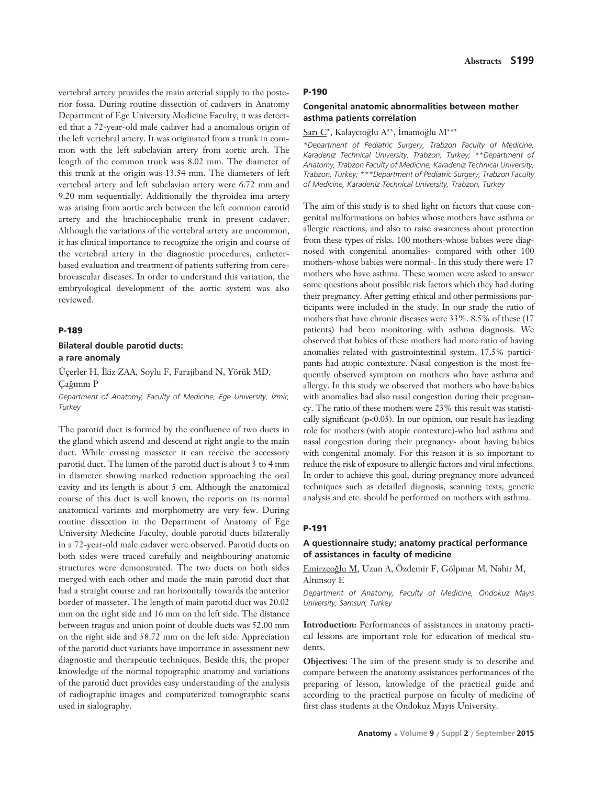vertebral artery provides the main arterial supply to the posterior fossa. During routine dissection of cadavers in Anatomy Department of Ege University Medicine Faculty, it was detected that a 72-year-old male cadaver had a anomalous origin of the left vertebral artery. It was originated from a trunk in common with the left subclavian artery from aortic arch. The length of the common trunk was 8.02 mm. The diameter of this trunk at the origin was 13.54 mm. The diameters of left vertebral artery and left subclavian artery were 6.72 mm and 9.20 mm sequentially. Additionally the thyroidea ima artery was arising from aortic arch between the left common carotid artery and the brachiocephalic trunk in present cadaver. Although the variations of the vertebral artery are uncommon, it has clinical importance to recognize the origin and course of the vertebral artery in the diagnostic procedures, catheterbased evaluation and treatment of patients suffering from cerebrovascular diseases. In order to understand this variation, the embryological development of the aortic system was also reviewed.

## **P-189**

# **Bilateral double parotid ducts: a rare anomaly**

Üçerler H, İkiz ZAA, Soylu F, Farajiband N, Yörük MD, Cağımnı P

*Department of Anatomy, Faculty of Medicine, Ege University, ‹zmir, Turkey*

The parotid duct is formed by the confluence of two ducts in the gland which ascend and descend at right angle to the main duct. While crossing masseter it can receive the accessory parotid duct. The lumen of the parotid duct is about 3 to 4 mm in diameter showing marked reduction approaching the oral cavity and its length is about 5 cm. Although the anatomical course of this duct is well known, the reports on its normal anatomical variants and morphometry are very few. During routine dissection in the Department of Anatomy of Ege University Medicine Faculty, double parotid ducts bilaterally in a 72-year-old male cadaver were observed. Parotid ducts on both sides were traced carefully and neighbouring anatomic structures were demonstrated. The two ducts on both sides merged with each other and made the main parotid duct that had a straight course and ran horizontally towards the anterior border of masseter. The length of main parotid duct was 20.02 mm on the right side and 16 mm on the left side. The distance between tragus and union point of double ducts was 52.00 mm on the right side and 58.72 mm on the left side. Appreciation of the parotid duct variants have importance in assessment new diagnostic and therapeutic techniques. Beside this, the proper knowledge of the normal topographic anatomy and variations of the parotid duct provides easy understanding of the analysis of radiographic images and computerized tomographic scans used in sialography.

#### **P-190**

#### **Congenital anatomic abnormalities between mother asthma patients correlation**

Sarı C\*, Kalaycıoğlu A\*\*, İmamoğlu M\*\*\*

*\*Department of Pediatric Surgery, Trabzon Faculty of Medicine, Karadeniz Technical University, Trabzon, Turkey; \*\*Department of Anatomy, Trabzon Faculty of Medicine, Karadeniz Technical University, Trabzon, Turkey; \*\*\*Department of Pediatric Surgery, Trabzon Faculty of Medicine, Karadeniz Technical University, Trabzon, Turkey* 

The aim of this study is to shed light on factors that cause congenital malformations on babies whose mothers have asthma or allergic reactions, and also to raise awareness about protection from these types of risks. 100 mothers-whose babies were diagnosed with congenital anomalies- compared with other 100 mothers-whose babies were normal-. In this study there were 17 mothers who have asthma. These women were asked to answer some questions about possible risk factors which they had during their pregnancy. After getting ethical and other permissions participants were included in the study. In our study the ratio of mothers that have chronic diseases were 33%. 8.5% of these (17 patients) had been monitoring with asthma diagnosis. We observed that babies of these mothers had more ratio of having anomalies related with gastrointestinal system. 17.5% participants had atopic contexture. Nasal congestion is the most frequently observed symptom on mothers who have asthma and allergy. In this study we observed that mothers who have babies with anomalies had also nasal congestion during their pregnancy. The ratio of these mothers were 23% this result was statistically significant (p<0.05). In our opinion, our result has leading role for mothers (with atopic contexture)-who had asthma and nasal congestion during their pregnancy- about having babies with congenital anomaly. For this reason it is so important to reduce the risk of exposure to allergic factors and viral infections. In order to achieve this goal, during pregnancy more advanced techniques such as detailed diagnosis, scanning tests, genetic analysis and etc. should be performed on mothers with asthma.

#### **P-191**

# **A questionnaire study; anatomy practical performance of assistances in faculty of medicine**

Emirzeoğlu M, Uzun A, Özdemir F, Gölpınar M, Nahir M, Altunsoy E

*Department of Anatomy, Faculty of Medicine, Ondokuz May›s University, Samsun, Turkey* 

**Introduction:** Performances of assistances in anatomy practical lessons are important role for education of medical students.

**Objectives:** The aim of the present study is to describe and compare between the anatomy assistances performances of the preparing of lesson, knowledge of the practical guide and according to the practical purpose on faculty of medicine of first class students at the Ondokuz Mayıs University.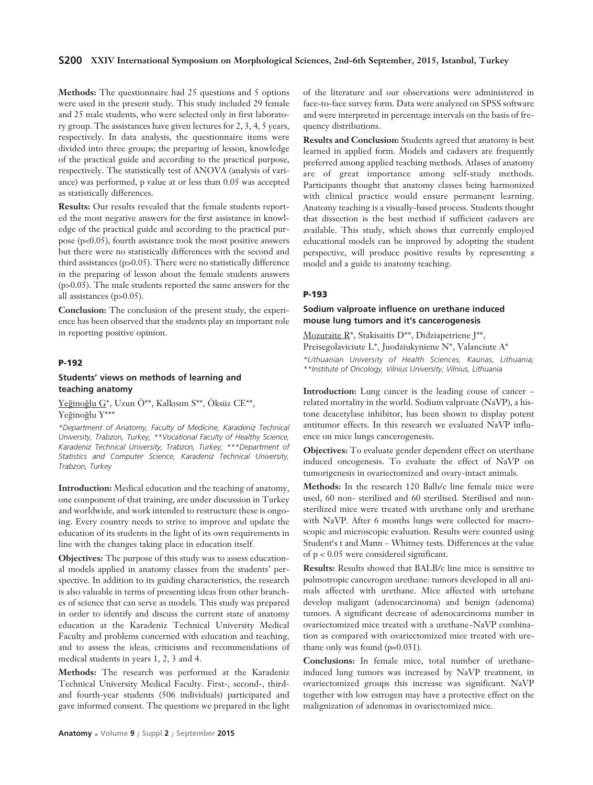**Methods:** The questionnaire had 25 questions and 5 options were used in the present study. This study included 29 female and 25 male students, who were selected only in first laboratory group. The assistances have given lectures for 2, 3, 4, 5 years, respectively. In data analysis, the questionnaire items were divided into three groups; the preparing of lesson, knowledge of the practical guide and according to the practical purpose, respectively. The statistically test of ANOVA (analysis of variance) was performed, p value at or less than 0.05 was accepted as statistically differences.

**Results:** Our results revealed that the female students reported the most negative answers for the first assistance in knowledge of the practical guide and according to the practical purpose (p<0.05), fourth assistance took the most positive answers but there were no statistically differences with the second and third assistances (p>0.05). There were no statistically difference in the preparing of lesson about the female students answers (p>0.05). The male students reported the same answers for the all assistances (p>0.05).

**Conclusion:** The conclusion of the present study, the experience has been observed that the students play an important role in reporting positive opinion.

## **P-192**

## **Students' views on methods of learning and teaching anatomy**

Yeğinoğlu G\*, Uzun Ö\*\*, Kalkısım S\*\*, Öksüz CE\*\*, Yeğinoğlu Y\*\*\*

*\*Department of Anatomy, Faculty of Medicine, Karadeniz Technical University, Trabzon, Turkey; \*\*Vocational Faculty of Healthy Science, Karadeniz Technical University, Trabzon, Turkey; \*\*\*Department of Statistics and Computer Science, Karadeniz Technical University, Trabzon, Turkey*

**Introduction:** Medical education and the teaching of anatomy, one component of that training, are under discussion in Turkey and worldwide, and work intended to restructure these is ongoing. Every country needs to strive to improve and update the education of its students in the light of its own requirements in line with the changes taking place in education itself.

**Objectives:** The purpose of this study was to assess educational models applied in anatomy classes from the students' perspective. In addition to its guiding characteristics, the research is also valuable in terms of presenting ideas from other branches of science that can serve as models. This study was prepared in order to identify and discuss the current state of anatomy education at the Karadeniz Technical University Medical Faculty and problems concerned with education and teaching, and to assess the ideas, criticisms and recommendations of medical students in years 1, 2, 3 and 4.

**Methods:** The research was performed at the Karadeniz Technical University Medical Faculty. First-, second-, thirdand fourth-year students (506 individuals) participated and gave informed consent. The questions we prepared in the light

of the literature and our observations were administered in face-to-face survey form. Data were analyzed on SPSS software and were interpreted in percentage intervals on the basis of frequency distributions.

**Results and Conclusion:** Students agreed that anatomy is best learned in applied form. Models and cadavers are frequently preferred among applied teaching methods. Atlases of anatomy are of great importance among self-study methods. Participants thought that anatomy classes being harmonized with clinical practice would ensure permanent learning. Anatomy teaching is a visually-based process. Students thought that dissection is the best method if sufficient cadavers are available. This study, which shows that currently employed educational models can be improved by adopting the student perspective, will produce positive results by representing a model and a guide to anatomy teaching.

## **P-193**

## **Sodium valproate influence on urethane induced mouse lung tumors and it's cancerogenesis**

Mozuraite R\*, Stakisaitis D\*\*, Didziapetriene J\*\*, Preisegolaviciute L\*, Juodziukyniene N\*, Valanciute A\*

*\*Lithuanian University of Health Sciences, Kaunas, Lithuania; \*\*Institute of Oncology, Vilnius University, Vilnius, Lithuania*

**Introduction:** Lung cancer is the leading couse of cancer – related mortality in the world. Sodium valproate (NaVP), a histone deacetylase inhibitor, has been shown to display potent antitumor effects. In this research we evaluated NaVP influence on mice lungs cancerogenesis.

**Objectives:** To evaluate gender dependent effect on uterthane induced oncogenesis. To evaluate the effect of NaVP on tumorigenesis in ovariectomized and ovary-intact animals.

**Methods:** In the research 120 Balb/c line female mice were used, 60 non- sterilised and 60 sterilised. Sterilised and nonsterilized mice were treated with urethane only and urethane with NaVP. After 6 months lungs were collected for macroscopic and microscopic evaluation. Results were counted using Student's t and Mann – Whitney tests. Differences at the value of p < 0.05 were considered significant.

**Results:** Results showed that BALB/c line mice is sensitive to pulmotropic cancerogen urethane: tumors developed in all animals affected with urethane. Mice affected with urtehane develop maligant (adenocarcinoma) and benign (adenoma) tumors. A significant decrease of adenocarcinoma number in ovariectomized mice treated with a urethane–NaVP combination as compared with ovariectomized mice treated with urethane only was found (p=0.031).

**Conclusions:** In female mice, total number of urethaneinduced lung tumors was increased by NaVP treatment, in ovariectomized groups this increase was significant. NaVP together with low estrogen may have a protective effect on the malignization of adenomas in ovariectomized mice.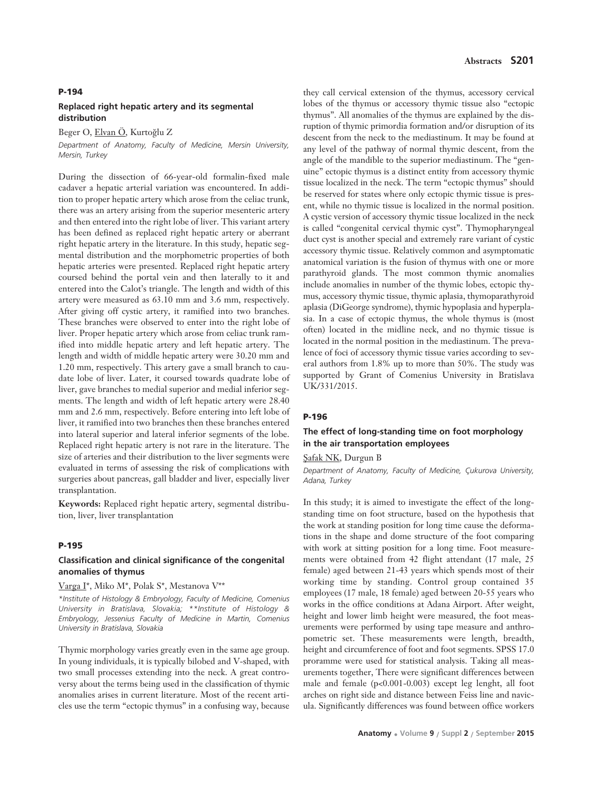#### **P-194**

### **Replaced right hepatic artery and its segmental distribution**

Beger O, Elvan Ö, Kurtoğlu Z

*Department of Anatomy, Faculty of Medicine, Mersin University, Mersin, Turkey*

During the dissection of 66-year-old formalin-fixed male cadaver a hepatic arterial variation was encountered. In addition to proper hepatic artery which arose from the celiac trunk, there was an artery arising from the superior mesenteric artery and then entered into the right lobe of liver. This variant artery has been defined as replaced right hepatic artery or aberrant right hepatic artery in the literature. In this study, hepatic segmental distribution and the morphometric properties of both hepatic arteries were presented. Replaced right hepatic artery coursed behind the portal vein and then laterally to it and entered into the Calot's triangle. The length and width of this artery were measured as 63.10 mm and 3.6 mm, respectively. After giving off cystic artery, it ramified into two branches. These branches were observed to enter into the right lobe of liver. Proper hepatic artery which arose from celiac trunk ramified into middle hepatic artery and left hepatic artery. The length and width of middle hepatic artery were 30.20 mm and 1.20 mm, respectively. This artery gave a small branch to caudate lobe of liver. Later, it coursed towards quadrate lobe of liver, gave branches to medial superior and medial inferior segments. The length and width of left hepatic artery were 28.40 mm and 2.6 mm, respectively. Before entering into left lobe of liver, it ramified into two branches then these branches entered into lateral superior and lateral inferior segments of the lobe. Replaced right hepatic artery is not rare in the literature. The size of arteries and their distribution to the liver segments were evaluated in terms of assessing the risk of complications with surgeries about pancreas, gall bladder and liver, especially liver transplantation.

**Keywords:** Replaced right hepatic artery, segmental distribution, liver, liver transplantation

#### **P-195**

# **Classification and clinical significance of the congenital anomalies of thymus**

Varga I\*, Miko M\*, Polak S\*, Mestanova V\*\*

*\*Institute of Histology & Embryology, Faculty of Medicine, Comenius University in Bratislava, Slovakia; \*\*Institute of Histology & Embryology, Jessenius Faculty of Medicine in Martin, Comenius University in Bratislava, Slovakia*

Thymic morphology varies greatly even in the same age group. In young individuals, it is typically bilobed and V-shaped, with two small processes extending into the neck. A great controversy about the terms being used in the classification of thymic anomalies arises in current literature. Most of the recent articles use the term "ectopic thymus" in a confusing way, because

they call cervical extension of the thymus, accessory cervical lobes of the thymus or accessory thymic tissue also "ectopic thymus". All anomalies of the thymus are explained by the disruption of thymic primordia formation and/or disruption of its descent from the neck to the mediastinum. It may be found at any level of the pathway of normal thymic descent, from the angle of the mandible to the superior mediastinum. The "genuine" ectopic thymus is a distinct entity from accessory thymic tissue localized in the neck. The term "ectopic thymus" should be reserved for states where only ectopic thymic tissue is present, while no thymic tissue is localized in the normal position. A cystic version of accessory thymic tissue localized in the neck is called "congenital cervical thymic cyst". Thymopharyngeal duct cyst is another special and extremely rare variant of cystic accessory thymic tissue. Relatively common and asymptomatic anatomical variation is the fusion of thymus with one or more parathyroid glands. The most common thymic anomalies include anomalies in number of the thymic lobes, ectopic thymus, accessory thymic tissue, thymic aplasia, thymoparathyroid aplasia (DiGeorge syndrome), thymic hypoplasia and hyperplasia. In a case of ectopic thymus, the whole thymus is (most often) located in the midline neck, and no thymic tissue is located in the normal position in the mediastinum. The prevalence of foci of accessory thymic tissue varies according to several authors from 1.8% up to more than 50%. The study was supported by Grant of Comenius University in Bratislava UK/331/2015.

#### **P-196**

## **The effect of long-standing time on foot morphology in the air transportation employees**

#### Safak NK, Durgun B

*Department of Anatomy, Faculty of Medicine, Çukurova University, Adana, Turkey*

In this study; it is aimed to investigate the effect of the longstanding time on foot structure, based on the hypothesis that the work at standing position for long time cause the deformations in the shape and dome structure of the foot comparing with work at sitting position for a long time. Foot measurements were obtained from 42 flight attendant (17 male, 25 female) aged between 21-43 years which spends most of their working time by standing. Control group contained 35 employees (17 male, 18 female) aged between 20-55 years who works in the office conditions at Adana Airport. After weight, height and lower limb height were measured, the foot measurements were performed by using tape measure and anthropometric set. These measurements were length, breadth, height and circumference of foot and foot segments. SPSS 17.0 proramme were used for statistical analysis. Taking all measurements together, There were significant differences between male and female (p<0.001-0.003) except leg lenght, all foot arches on right side and distance between Feiss line and navicula. Significantly differences was found between office workers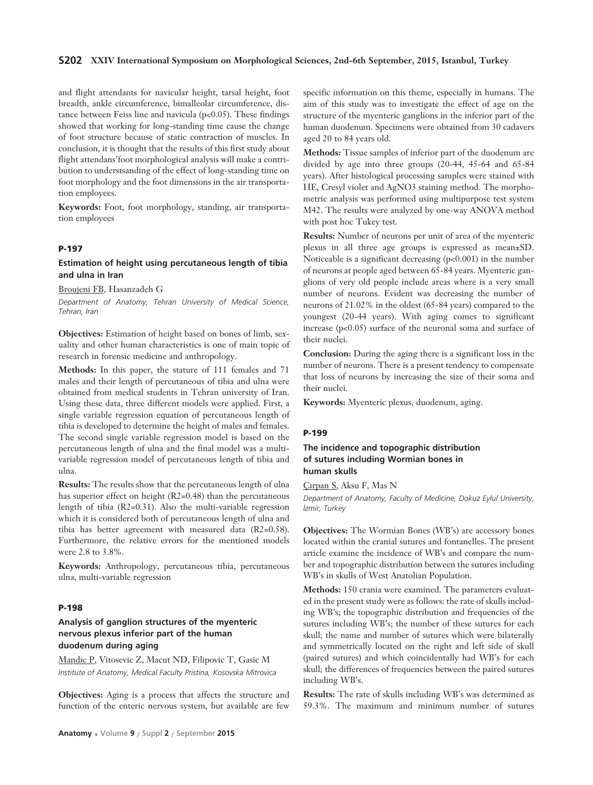### **S202 XXIV International Symposium on Morphological Sciences, 2nd-6th September, 2015, Istanbul, Turkey**

and flight attendants for navicular height, tarsal height, foot breadth, ankle circumference, bimalleolar circumference, distance between Feiss line and navicula  $(p<0.05)$ . These findings showed that working for long-standing time cause the change of foot structure because of static contraction of muscles. In conclusion, it is thought that the results of this first study about flight attendans'foot morphological analysis will make a contribution to understsanding of the effect of long-standing time on foot morphology and the foot dimensions in the air transportation employees.

**Keywords:** Foot, foot morphology, standing, air transportation employees

### **P-197**

## **Estimation of height using percutaneous length of tibia and ulna in Iran**

Broujeni FB, Hasanzadeh G

*Department of Anatomy, Tehran University of Medical Science, Tehran, Iran*

**Objectives:** Estimation of height based on bones of limb, sexuality and other human characteristics is one of main topic of research in forensic medicine and anthropology.

**Methods:** In this paper, the stature of 111 females and 71 males and their length of percutaneous of tibia and ulna were obtained from medical students in Tehran university of Iran. Using these data, three different models were applied. First, a single variable regression equation of percutaneous length of tibia is developed to determine the height of males and females. The second single variable regression model is based on the percutaneous length of ulna and the final model was a multivariable regression model of percutaneous length of tibia and ulna.

**Results:** The results show that the percutaneous length of ulna has superior effect on height (R2=0.48) than the percutaneous length of tibia (R2=0.31). Also the multi-variable regression which it is considered both of percutaneous length of ulna and tibia has better agreement with measured data (R2=0.58). Furthermore, the relative errors for the mentioned models were 2.8 to 3.8%.

**Keywords:** Anthropology, percutaneous tibia, percutaneous ulna, multi-variable regression

## **P-198**

# **Analysis of ganglion structures of the myenteric nervous plexus inferior part of the human duodenum during aging**

Mandic P, Vitosevic Z, Macut ND, Filipovic T, Gasic M *Institute of Anatomy, Medical Faculty Pristina, Kosovska Mitrovica*

**Objectives:** Aging is a process that affects the structure and function of the enteric nervous system, but available are few

specific information on this theme, especially in humans. The aim of this study was to investigate the effect of age on the structure of the myenteric ganglions in the inferior part of the human duodenum. Specimens were obtained from 30 cadavers aged 20 to 84 years old.

**Methods:** Tissue samples of inferior part of the duodenum are divided by age into three groups (20-44, 45-64 and 65-84 years). After histological processing samples were stained with HE, Cresyl violet and AgNO3 staining method. The morphometric analysis was performed using multipurpose test system M42. The results were analyzed by one-way ANOVA method with post hoc Tukey test.

**Results:** Number of neurons per unit of area of the myenteric plexus in all three age groups is expressed as mean±SD. Noticeable is a significant decreasing (p<0.001) in the number of neurons at people aged between 65-84 years. Myenteric ganglions of very old people include areas where is a very small number of neurons. Evident was decreasing the number of neurons of 21.02% in the oldest (65-84 years) compared to the youngest (20-44 years). With aging comes to significant increase  $(p<0.05)$  surface of the neuronal soma and surface of their nuclei.

**Conclusion:** During the aging there is a significant loss in the number of neurons. There is a present tendency to compensate that loss of neurons by increasing the size of their soma and their nuclei.

**Keywords:** Myenteric plexus, duodenum, aging.

### **P-199**

# **The incidence and topographic distribution of sutures including Wormian bones in human skulls**

Cirpan S, Aksu F, Mas N

*Department of Anatomy, Faculty of Medicine, Dokuz Eylul University, ‹zmir, Turkey*

**Objectives:** The Wormian Bones (WB's) are accessory bones located within the cranial sutures and fontanelles. The present article examine the incidence of WB's and compare the number and topographic distribution between the sutures including WB's in skulls of West Anatolian Population.

**Methods:** 150 crania were examined. The parameters evaluated in the present study were as follows: the rate of skulls including WB's; the topographic distribution and frequencies of the sutures including WB's; the number of these sutures for each skull; the name and number of sutures which were bilaterally and symmetrically located on the right and left side of skull (paired sutures) and which coincidentally had WB's for each skull; the differences of frequencies between the paired sutures including WB's.

**Results:** The rate of skulls including WB's was determined as 59.3%. The maximum and minimum number of sutures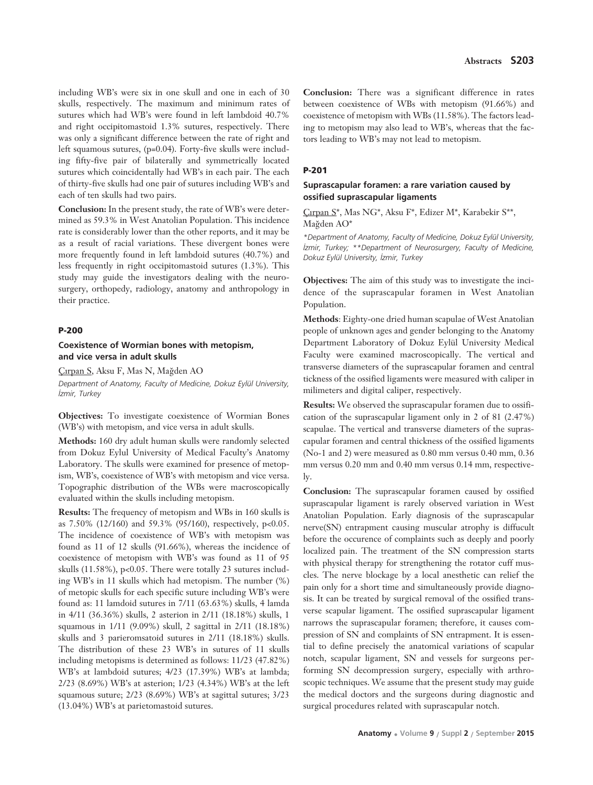including WB's were six in one skull and one in each of 30 skulls, respectively. The maximum and minimum rates of sutures which had WB's were found in left lambdoid 40.7% and right occipitomastoid 1.3% sutures, respectively. There was only a significant difference between the rate of right and left squamous sutures, (p=0.04). Forty-five skulls were including fifty-five pair of bilaterally and symmetrically located sutures which coincidentally had WB's in each pair. The each of thirty-five skulls had one pair of sutures including WB's and each of ten skulls had two pairs.

**Conclusion:** In the present study, the rate of WB's were determined as 59.3% in West Anatolian Population. This incidence rate is considerably lower than the other reports, and it may be as a result of racial variations. These divergent bones were more frequently found in left lambdoid sutures (40.7%) and less frequently in right occipitomastoid sutures (1.3%). This study may guide the investigators dealing with the neurosurgery, orthopedy, radiology, anatomy and anthropology in their practice.

#### **P-200**

## **Coexistence of Wormian bones with metopism, and vice versa in adult skulls**

Çırpan S, Aksu F, Mas N, Mağden AO

*Department of Anatomy, Faculty of Medicine, Dokuz Eylül University, ‹zmir, Turkey* 

**Objectives:** To investigate coexistence of Wormian Bones (WB's) with metopism, and vice versa in adult skulls.

**Methods:** 160 dry adult human skulls were randomly selected from Dokuz Eylul University of Medical Faculty's Anatomy Laboratory. The skulls were examined for presence of metopism, WB's, coexistence of WB's with metopism and vice versa. Topographic distribution of the WBs were macroscopically evaluated within the skulls including metopism.

**Results:** The frequency of metopism and WBs in 160 skulls is as 7.50% (12/160) and 59.3% (95/160), respectively, p<0.05. The incidence of coexistence of WB's with metopism was found as 11 of 12 skulls (91.66%), whereas the incidence of coexistence of metopism with WB's was found as 11 of 95 skulls (11.58%), p<0.05. There were totally 23 sutures including WB's in 11 skulls which had metopism. The number (%) of metopic skulls for each specific suture including WB's were found as: 11 lamdoid sutures in 7/11 (63.63%) skulls, 4 lamda in 4/11 (36.36%) skulls, 2 asterion in 2/11 (18.18%) skulls, 1 squamous in 1/11 (9.09%) skull, 2 sagittal in 2/11 (18.18%) skulls and 3 parieromsatoid sutures in 2/11 (18.18%) skulls. The distribution of these 23 WB's in sutures of 11 skulls including metopisms is determined as follows: 11/23 (47.82%) WB's at lambdoid sutures; 4/23 (17.39%) WB's at lambda; 2/23 (8.69%) WB's at asterion; 1/23 (4.34%) WB's at the left squamous suture; 2/23 (8.69%) WB's at sagittal sutures; 3/23 (13.04%) WB's at parietomastoid sutures.

**Conclusion:** There was a significant difference in rates between coexistence of WBs with metopism (91.66%) and coexistence of metopism with WBs (11.58%). The factors leading to metopism may also lead to WB's, whereas that the factors leading to WB's may not lead to metopism.

# **P-201**

# **Suprascapular foramen: a rare variation caused by ossified suprascapular ligaments**

Ǜrpan S\*, Mas NG\*, Aksu F\*, Edizer M\*, Karabekir S\*\*, Mağden AO\*

*\*Department of Anatomy, Faculty of Medicine, Dokuz Eylül University, ‹zmir, Turkey; \*\*Department of Neurosurgery, Faculty of Medicine, Dokuz Eylül University, ‹zmir, Turkey*

**Objectives:** The aim of this study was to investigate the incidence of the suprascapular foramen in West Anatolian Population.

**Methods**: Eighty-one dried human scapulae of West Anatolian people of unknown ages and gender belonging to the Anatomy Department Laboratory of Dokuz Eylül University Medical Faculty were examined macroscopically. The vertical and transverse diameters of the suprascapular foramen and central tickness of the ossified ligaments were measured with caliper in milimeters and digital caliper, respectively.

**Results:** We observed the suprascapular foramen due to ossification of the suprascapular ligament only in 2 of 81 (2.47%) scapulae. The vertical and transverse diameters of the suprascapular foramen and central thickness of the ossified ligaments (No-1 and 2) were measured as 0.80 mm versus 0.40 mm, 0.36 mm versus 0.20 mm and 0.40 mm versus 0.14 mm, respectively.

**Conclusion:** The suprascapular foramen caused by ossified suprascapular ligament is rarely observed variation in West Anatolian Population. Early diagnosis of the suprascapular nerve(SN) entrapment causing muscular atrophy is diffucult before the occurence of complaints such as deeply and poorly localized pain. The treatment of the SN compression starts with physical therapy for strengthening the rotator cuff muscles. The nerve blockage by a local anesthetic can relief the pain only for a short time and simultaneously provide diagnosis. It can be treated by surgical removal of the ossified transverse scapular ligament. The ossified suprascapular ligament narrows the suprascapular foramen; therefore, it causes compression of SN and complaints of SN entrapment. It is essential to define precisely the anatomical variations of scapular notch, scapular ligament, SN and vessels for surgeons performing SN decompression surgery, especially with arthroscopic techniques. We assume that the present study may guide the medical doctors and the surgeons during diagnostic and surgical procedures related with suprascapular notch.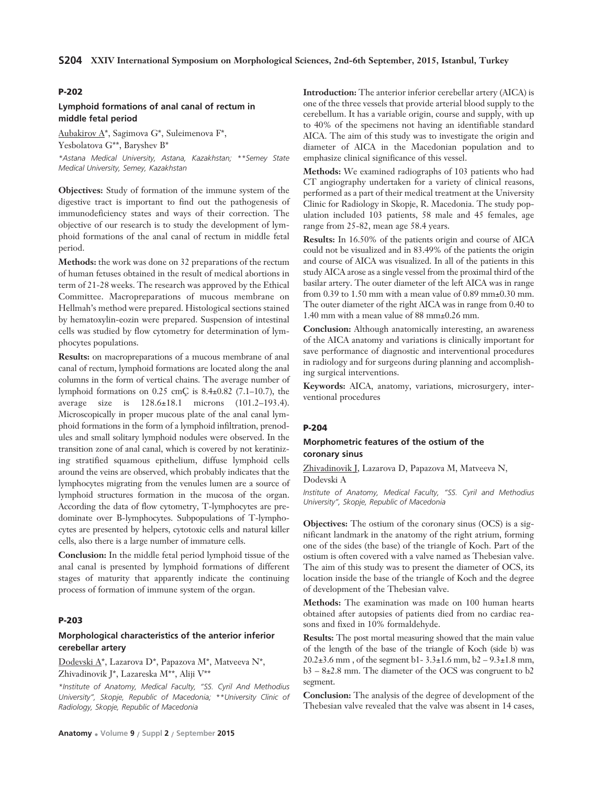## **P-202**

# **Lymphoid formations of anal canal of rectum in middle fetal period**

Aubakirov A\*, Sagimova G\*, Suleimenova F\*, Yesbolatova G\*\*, Baryshev B\*

*\*Astana Medical University, Astana, Kazakhstan; \*\*Semey State Medical University, Semey, Kazakhstan* 

**Objectives:** Study of formation of the immune system of the digestive tract is important to find out the pathogenesis of immunodeficiency states and ways of their correction. The objective of our research is to study the development of lymphoid formations of the anal canal of rectum in middle fetal period.

**Methods:** the work was done on 32 preparations of the rectum of human fetuses obtained in the result of medical abortions in term of 21-28 weeks. The research was approved by the Ethical Committee. Macropreparations of mucous membrane on Hellmah's method were prepared. Histological sections stained by hematoxylin-eozin were prepared. Suspension of intestinal cells was studied by flow cytometry for determination of lymphocytes populations.

**Results:** on macropreparations of a mucous membrane of anal canal of rectum, lymphoid formations are located along the anal columns in the form of vertical chains. The average number of lymphoid formations on 0.25 cmÇ is 8.4±0.82 (7.1–10.7), the average size is 128.6±18.1 microns (101.2–193.4). Microscopically in proper mucous plate of the anal canal lymphoid formations in the form of a lymphoid infiltration, prenodules and small solitary lymphoid nodules were observed. In the transition zone of anal canal, which is covered by not keratinizing stratified squamous epithelium, diffuse lymphoid cells around the veins are observed, which probably indicates that the lymphocytes migrating from the venules lumen are a source of lymphoid structures formation in the mucosa of the organ. According the data of flow cytometry, T-lymphocytes are predominate over B-lymphocytes. Subpopulations of T-lymphocytes are presented by helpers, cytotoxic cells and natural killer cells, also there is a large number of immature cells.

**Conclusion:** In the middle fetal period lymphoid tissue of the anal canal is presented by lymphoid formations of different stages of maturity that apparently indicate the continuing process of formation of immune system of the organ.

#### **P-203**

# **Morphological characteristics of the anterior inferior cerebellar artery**

Dodevski A\*, Lazarova D\*, Papazova M\*, Matveeva N\*, Zhivadinovik J\*, Lazareska M\*\*, Aliji V\*\*

*\*Institute of Anatomy, Medical Faculty, "SS. Cyril And Methodius University", Skopje, Republic of Macedonia; \*\*University Clinic of Radiology, Skopje, Republic of Macedonia*

**Introduction:** The anterior inferior cerebellar artery (AICA) is one of the three vessels that provide arterial blood supply to the cerebellum. It has a variable origin, course and supply, with up to 40% of the specimens not having an identifiable standard AICA. The aim of this study was to investigate the origin and diameter of AICA in the Macedonian population and to emphasize clinical significance of this vessel.

**Methods:** We examined radiographs of 103 patients who had CT angiography undertaken for a variety of clinical reasons, performed as a part of their medical treatment at the University Clinic for Radiology in Skopje, R. Macedonia. The study population included 103 patients, 58 male and 45 females, age range from 25-82, mean age 58.4 years.

**Results:** In 16.50% of the patients origin and course of AICA could not be visualized and in 83.49% of the patients the origin and course of AICA was visualized. In all of the patients in this study AICA arose as a single vessel from the proximal third of the basilar artery. The outer diameter of the left AICA was in range from 0.39 to 1.50 mm with a mean value of 0.89 mm±0.30 mm. The outer diameter of the right AICA was in range from 0.40 to 1.40 mm with a mean value of 88 mm±0.26 mm.

**Conclusion:** Although anatomically interesting, an awareness of the AICA anatomy and variations is clinically important for save performance of diagnostic and interventional procedures in radiology and for surgeons during planning and accomplishing surgical interventions.

**Keywords:** AICA, anatomy, variations, microsurgery, interventional procedures

#### **P-204**

### **Morphometric features of the ostium of the coronary sinus**

Zhivadinovik J, Lazarova D, Papazova M, Matveeva N, Dodevski A

*Institute of Anatomy, Medical Faculty, "SS. Cyril and Methodius University", Skopje, Republic of Macedonia*

**Objectives:** The ostium of the coronary sinus (OCS) is a significant landmark in the anatomy of the right atrium, forming one of the sides (the base) of the triangle of Koch. Part of the ostium is often covered with a valve named as Thebesian valve. The aim of this study was to present the diameter of OCS, its location inside the base of the triangle of Koch and the degree of development of the Thebesian valve.

**Methods:** The examination was made on 100 human hearts obtained after autopsies of patients died from no cardiac reasons and fixed in 10% formaldehyde.

**Results:** The post mortal measuring showed that the main value of the length of the base of the triangle of Koch (side b) was 20.2±3.6 mm , of the segment b1- 3.3±1.6 mm, b2 – 9.3±1.8 mm, b3 – 8±2.8 mm. The diameter of the OCS was congruent to b2 segment.

**Conclusion:** The analysis of the degree of development of the Thebesian valve revealed that the valve was absent in 14 cases,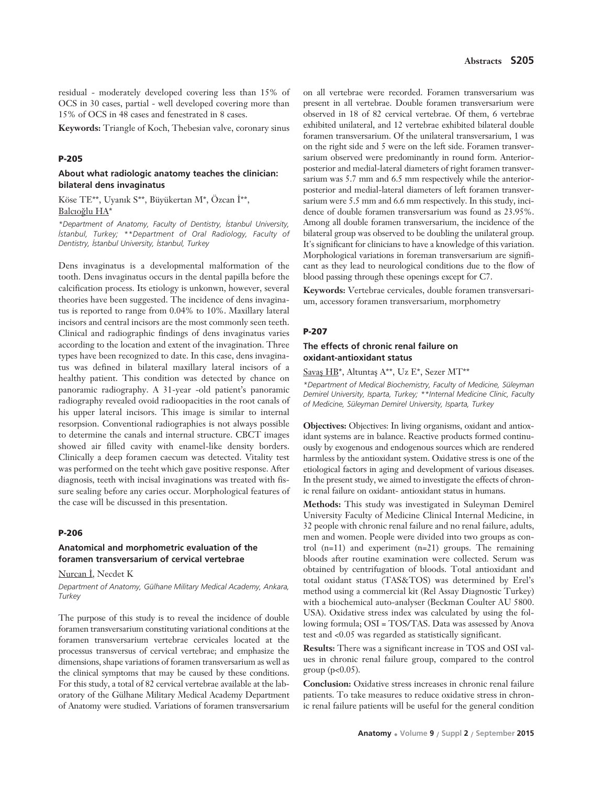residual - moderately developed covering less than 15% of OCS in 30 cases, partial - well developed covering more than 15% of OCS in 48 cases and fenestrated in 8 cases.

**Keywords:** Triangle of Koch, Thebesian valve, coronary sinus

#### **P-205**

## **About what radiologic anatomy teaches the clinician: bilateral dens invaginatus**

Köse TE\*\*, Uyanık S\*\*, Büyükertan M\*, Özcan İ\*\*, Balcıoğlu HA\*

*\*Department of Anatomy, Faculty of Dentistry, ‹stanbul University, istanbul, Turkey; \*\*Department of Oral Radiology, Faculty of Dentistry, ‹stanbul University, ‹stanbul, Turkey*

Dens invaginatus is a developmental malformation of the tooth. Dens invaginatus occurs in the dental papilla before the calcification process. Its etiology is unkonwn, however, several theories have been suggested. The incidence of dens invaginatus is reported to range from 0.04% to 10%. Maxillary lateral incisors and central incisors are the most commonly seen teeth. Clinical and radiographic findings of dens invaginatus varies according to the location and extent of the invagination. Three types have been recognized to date. In this case, dens invaginatus was defined in bilateral maxillary lateral incisors of a healthy patient. This condition was detected by chance on panoramic radiography. A 31-year -old patient's panoramic radiography revealed ovoid radioopacities in the root canals of his upper lateral incisors. This image is similar to internal resorpsion. Conventional radiographies is not always possible to determine the canals and internal structure. CBCT images showed air filled cavity with enamel-like density borders. Clinically a deep foramen caecum was detected. Vitality test was performed on the teeht which gave positive response. After diagnosis, teeth with incisal invaginations was treated with fissure sealing before any caries occur. Morphological features of the case will be discussed in this presentation.

## **P-206**

# **Anatomical and morphometric evaluation of the foramen transversarium of cervical vertebrae**

Nurcan İ, Necdet K

*Department of Anatomy, Gülhane Military Medical Academy, Ankara, Turkey*

The purpose of this study is to reveal the incidence of double foramen transversarium constituting variational conditions at the foramen transversarium vertebrae cervicales located at the processus transversus of cervical vertebrae; and emphasize the dimensions, shape variations of foramen transversarium as well as the clinical symptoms that may be caused by these conditions. For this study, a total of 82 cervical vertebrae available at the laboratory of the Gülhane Military Medical Academy Department of Anatomy were studied. Variations of foramen transversarium

on all vertebrae were recorded. Foramen transversarium was present in all vertebrae. Double foramen transversarium were observed in 18 of 82 cervical vertebrae. Of them, 6 vertebrae exhibited unilateral, and 12 vertebrae exhibited bilateral double foramen transversarium. Of the unilateral transversarium, 1 was on the right side and 5 were on the left side. Foramen transversarium observed were predominantly in round form. Anteriorposterior and medial-lateral diameters of right foramen transversarium was 5.7 mm and 6.5 mm respectively while the anteriorposterior and medial-lateral diameters of left foramen transversarium were 5.5 mm and 6.6 mm respectively. In this study, incidence of double foramen transversarium was found as 23.95%. Among all double foramen transversarium, the incidence of the bilateral group was observed to be doubling the unilateral group. It's significant for clinicians to have a knowledge of this variation. Morphological variations in foreman transversarium are significant as they lead to neurological conditions due to the flow of blood passing through these openings except for C7.

**Keywords:** Vertebrae cervicales, double foramen transversarium, accessory foramen transversarium, morphometry

#### **P-207**

### **The effects of chronic renal failure on oxidant-antioxidant status**

Savas HB\*, Altuntaş A\*\*, Uz E\*, Sezer MT\*\*

*\*Department of Medical Biochemistry, Faculty of Medicine, Süleyman Demirel University, Isparta, Turkey; \*\*Internal Medicine Clinic, Faculty of Medicine, Süleyman Demirel University, Isparta, Turkey* 

**Objectives:** Objectives: In living organisms, oxidant and antioxidant systems are in balance. Reactive products formed continuously by exogenous and endogenous sources which are rendered harmless by the antioxidant system. Oxidative stress is one of the etiological factors in aging and development of various diseases. In the present study, we aimed to investigate the effects of chronic renal failure on oxidant- antioxidant status in humans.

**Methods:** This study was investigated in Suleyman Demirel University Faculty of Medicine Clinical Internal Medicine, in 32 people with chronic renal failure and no renal failure, adults, men and women. People were divided into two groups as control (n=11) and experiment (n=21) groups. The remaining bloods after routine examination were collected. Serum was obtained by centrifugation of bloods. Total antioxidant and total oxidant status (TAS&TOS) was determined by Erel's method using a commercial kit (Rel Assay Diagnostic Turkey) with a biochemical auto-analyser (Beckman Coulter AU 5800. USA). Oxidative stress index was calculated by using the following formula; OSI = TOS/TAS. Data was assessed by Anova test and <0.05 was regarded as statistically significant.

**Results:** There was a significant increase in TOS and OSI values in chronic renal failure group, compared to the control group (p<0.05).

**Conclusion:** Oxidative stress increases in chronic renal failure patients. To take measures to reduce oxidative stress in chronic renal failure patients will be useful for the general condition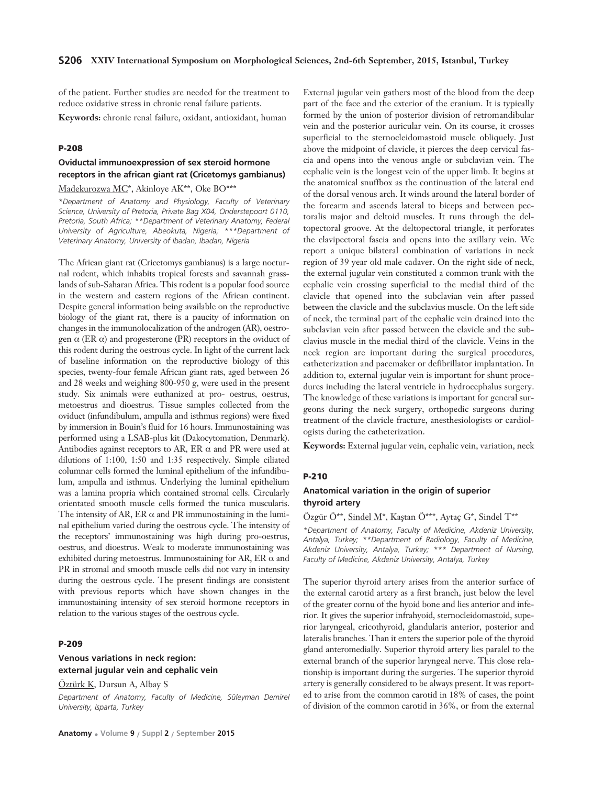of the patient. Further studies are needed for the treatment to reduce oxidative stress in chronic renal failure patients.

**Keywords:** chronic renal failure, oxidant, antioxidant, human

### **P-208**

# **Oviductal immunoexpression of sex steroid hormone receptors in the african giant rat (Cricetomys gambianus)**

# Madekurozwa MC\*, Akinloye AK\*\*, Oke BO\*\*\*

*\*Department of Anatomy and Physiology, Faculty of Veterinary Science, University of Pretoria, Private Bag X04, Onderstepoort 0110, Pretoria, South Africa; \*\*Department of Veterinary Anatomy, Federal University of Agriculture, Abeokuta, Nigeria; \*\*\*Department of Veterinary Anatomy, University of Ibadan, Ibadan, Nigeria*

The African giant rat (Cricetomys gambianus) is a large nocturnal rodent, which inhabits tropical forests and savannah grasslands of sub-Saharan Africa. This rodent is a popular food source in the western and eastern regions of the African continent. Despite general information being available on the reproductive biology of the giant rat, there is a paucity of information on changes in the immunolocalization of the androgen (AR), oestrogen  $\alpha$  (ER  $\alpha$ ) and progesterone (PR) receptors in the oviduct of this rodent during the oestrous cycle. In light of the current lack of baseline information on the reproductive biology of this species, twenty-four female African giant rats, aged between 26 and 28 weeks and weighing 800-950 g, were used in the present study. Six animals were euthanized at pro- oestrus, oestrus, metoestrus and dioestrus. Tissue samples collected from the oviduct (infundibulum, ampulla and isthmus regions) were fixed by immersion in Bouin's fluid for 16 hours. Immunostaining was performed using a LSAB-plus kit (Dakocytomation, Denmark). Antibodies against receptors to AR, ER  $\alpha$  and PR were used at dilutions of 1:100, 1:50 and 1:35 respectively. Simple ciliated columnar cells formed the luminal epithelium of the infundibulum, ampulla and isthmus. Underlying the luminal epithelium was a lamina propria which contained stromal cells. Circularly orientated smooth muscle cells formed the tunica muscularis. The intensity of AR, ER  $\alpha$  and PR immunostaining in the luminal epithelium varied during the oestrous cycle. The intensity of the receptors' immunostaining was high during pro-oestrus, oestrus, and dioestrus. Weak to moderate immunostaining was exhibited during metoestrus. Immunostaining for AR, ER  $\alpha$  and PR in stromal and smooth muscle cells did not vary in intensity during the oestrous cycle. The present findings are consistent with previous reports which have shown changes in the immunostaining intensity of sex steroid hormone receptors in relation to the various stages of the oestrous cycle.

#### **P-209**

# **Venous variations in neck region: external jugular vein and cephalic vein**

Öztürk K, Dursun A, Albay S

*Department of Anatomy, Faculty of Medicine, Süleyman Demirel University, Isparta, Turkey*

External jugular vein gathers most of the blood from the deep part of the face and the exterior of the cranium. It is typically formed by the union of posterior division of retromandibular vein and the posterior auricular vein. On its course, it crosses superficial to the sternocleidomastoid muscle obliquely. Just above the midpoint of clavicle, it pierces the deep cervical fascia and opens into the venous angle or subclavian vein. The cephalic vein is the longest vein of the upper limb. It begins at the anatomical snuffbox as the continuation of the lateral end of the dorsal venous arch. It winds around the lateral border of the forearm and ascends lateral to biceps and between pectoralis major and deltoid muscles. It runs through the deltopectoral groove. At the deltopectoral triangle, it perforates the clavipectoral fascia and opens into the axillary vein. We report a unique bilateral combination of variations in neck region of 39 year old male cadaver. On the right side of neck, the external jugular vein constituted a common trunk with the cephalic vein crossing superficial to the medial third of the clavicle that opened into the subclavian vein after passed between the clavicle and the subclavius muscle. On the left side of neck, the terminal part of the cephalic vein drained into the subclavian vein after passed between the clavicle and the subclavius muscle in the medial third of the clavicle. Veins in the neck region are important during the surgical procedures, catheterization and pacemaker or defibrillator implantation. In addition to, external jugular vein is important for shunt procedures including the lateral ventricle in hydrocephalus surgery. The knowledge of these variations is important for general surgeons during the neck surgery, orthopedic surgeons during treatment of the clavicle fracture, anesthesiologists or cardiologists during the catheterization.

**Keywords:** External jugular vein, cephalic vein, variation, neck

#### **P-210**

## **Anatomical variation in the origin of superior thyroid artery**

Özgür Ö\*\*, Sindel M\*, Kaştan Ö\*\*\*, Aytaç G\*, Sindel T\*\*

*\*Department of Anatomy, Faculty of Medicine, Akdeniz University, Antalya, Turkey; \*\*Department of Radiology, Faculty of Medicine, Akdeniz University, Antalya, Turkey; \*\*\* Department of Nursing, Faculty of Medicine, Akdeniz University, Antalya, Turkey*

The superior thyroid artery arises from the anterior surface of the external carotid artery as a first branch, just below the level of the greater cornu of the hyoid bone and lies anterior and inferior. It gives the superior infrahyoid, sternocleidomastoid, superior laryngeal, cricothyroid, glandularis anterior, posterior and lateralis branches. Than it enters the superior pole of the thyroid gland anteromedially. Superior thyroid artery lies paralel to the external branch of the superior laryngeal nerve. This close relationship is important during the surgeries. The superior thyroid artery is generally considered to be always present. It was reported to arise from the common carotid in 18% of cases, the point of division of the common carotid in 36%, or from the external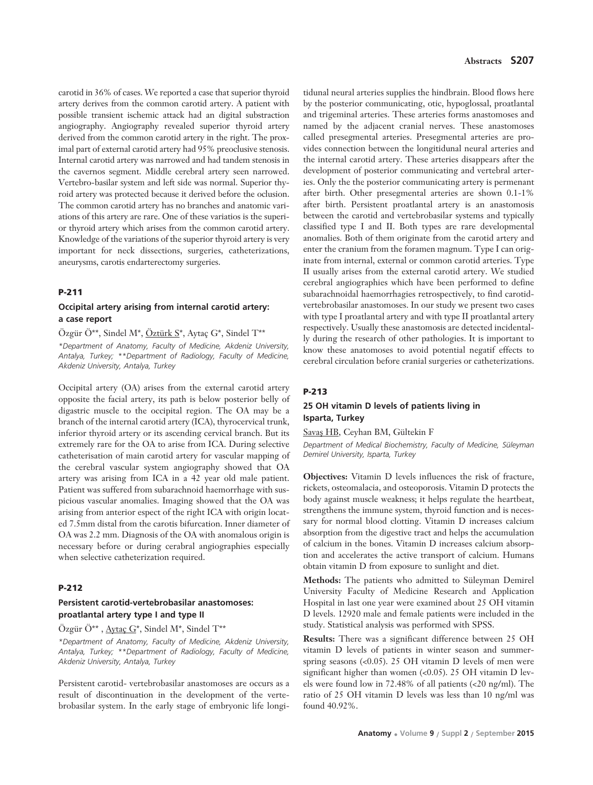carotid in 36% of cases. We reported a case that superior thyroid artery derives from the common carotid artery. A patient with possible transient ischemic attack had an digital substraction angiography. Angiography revealed superior thyroid artery derived from the common carotid artery in the right. The proximal part of external carotid artery had 95% preoclusive stenosis. Internal carotid artery was narrowed and had tandem stenosis in the cavernos segment. Middle cerebral artery seen narrowed. Vertebro-basilar system and left side was normal. Superior thyroid artery was protected because it derived before the oclusion. The common carotid artery has no branches and anatomic variations of this artery are rare. One of these variatios is the superior thyroid artery which arises from the common carotid artery. Knowledge of the variations of the superior thyroid artery is very important for neck dissections, surgeries, catheterizations, aneurysms, carotis endarterectomy surgeries.

#### **P-211**

# **Occipital artery arising from internal carotid artery: a case report**

Özgür Ö\*\*, Sindel M\*, Öztürk S\*, Aytaç G\*, Sindel T\*\* *\*Department of Anatomy, Faculty of Medicine, Akdeniz University, Antalya, Turkey; \*\*Department of Radiology, Faculty of Medicine, Akdeniz University, Antalya, Turkey*

Occipital artery (OA) arises from the external carotid artery opposite the facial artery, its path is below posterior belly of digastric muscle to the occipital region. The OA may be a branch of the internal carotid artery (ICA), thyrocervical trunk, inferior thyroid artery or its ascending cervical branch. But its extremely rare for the OA to arise from ICA. During selective catheterisation of main carotid artery for vascular mapping of the cerebral vascular system angiography showed that OA artery was arising from ICA in a 42 year old male patient. Patient was suffered from subarachnoid haemorrhage with suspicious vascular anomalies. Imaging showed that the OA was arising from anterior espect of the right ICA with origin located 7.5mm distal from the carotis bifurcation. Inner diameter of OA was 2.2 mm. Diagnosis of the OA with anomalous origin is necessary before or during cerabral angiographies especially when selective catheterization required.

## **P-212**

# **Persistent carotid-vertebrobasilar anastomoses: proatlantal artery type I and type II**

Özgür Ö\*\* , Aytaç G\*, Sindel M\*, Sindel T\*\*

*\*Department of Anatomy, Faculty of Medicine, Akdeniz University, Antalya, Turkey; \*\*Department of Radiology, Faculty of Medicine, Akdeniz University, Antalya, Turkey*

Persistent carotid- vertebrobasilar anastomoses are occurs as a result of discontinuation in the development of the vertebrobasilar system. In the early stage of embryonic life longi-

tidunal neural arteries supplies the hindbrain. Blood flows here by the posterior communicating, otic, hypoglossal, proatlantal and trigeminal arteries. These arteries forms anastomoses and named by the adjacent cranial nerves. These anastomoses called presegmental arteries. Presegmental arteries are provides connection between the longitidunal neural arteries and the internal carotid artery. These arteries disappears after the development of posterior communicating and vertebral arteries. Only the the posterior communicating artery is permenant after birth. Other presegmental arteries are shown 0.1-1% after birth. Persistent proatlantal artery is an anastomosis between the carotid and vertebrobasilar systems and typically classified type I and II. Both types are rare developmental anomalies. Both of them originate from the carotid artery and enter the cranium from the foramen magnum. Type I can originate from internal, external or common carotid arteries. Type II usually arises from the external carotid artery. We studied cerebral angiographies which have been performed to define subarachnoidal haemorrhagies retrospectively, to find carotidvertebrobasilar anastomoses. In our study we present two cases with type I proatlantal artery and with type II proatlantal artery respectively. Usually these anastomosis are detected incidentally during the research of other pathologies. It is important to know these anatomoses to avoid potential negatif effects to cerebral circulation before cranial surgeries or catheterizations.

#### **P-213**

# **25 OH vitamin D levels of patients living in Isparta, Turkey**

Savaş HB, Ceyhan BM, Gültekin F

*Department of Medical Biochemistry, Faculty of Medicine, Süleyman Demirel University, Isparta, Turkey*

**Objectives:** Vitamin D levels influences the risk of fracture, rickets, osteomalacia, and osteoporosis. Vitamin D protects the body against muscle weakness; it helps regulate the heartbeat, strengthens the immune system, thyroid function and is necessary for normal blood clotting. Vitamin D increases calcium absorption from the digestive tract and helps the accumulation of calcium in the bones. Vitamin D increases calcium absorption and accelerates the active transport of calcium. Humans obtain vitamin D from exposure to sunlight and diet.

**Methods:** The patients who admitted to Süleyman Demirel University Faculty of Medicine Research and Application Hospital in last one year were examined about 25 OH vitamin D levels. 12920 male and female patients were included in the study. Statistical analysis was performed with SPSS.

**Results:** There was a significant difference between 25 OH vitamin D levels of patients in winter season and summerspring seasons (<0.05). 25 OH vitamin D levels of men were significant higher than women (<0.05). 25 OH vitamin D levels were found low in 72.48% of all patients (<20 ng/ml). The ratio of 25 OH vitamin D levels was less than 10 ng/ml was found 40.92%.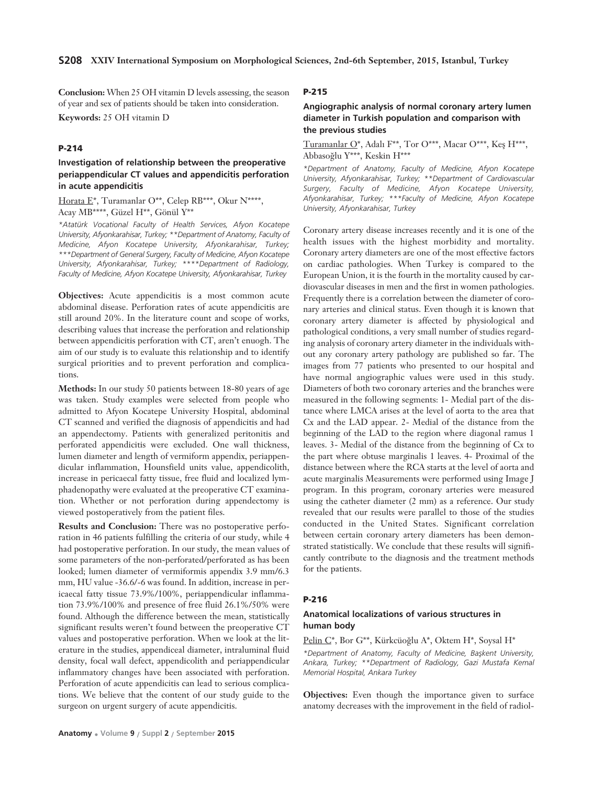**Conclusion:** When 25 OH vitamin D levels assessing, the season of year and sex of patients should be taken into consideration. **Keywords:** 25 OH vitamin D

### **P-214**

# **Investigation of relationship between the preoperative periappendicular CT values and appendicitis perforation in acute appendicitis**

Horata E\*, Turamanlar O\*\*, Celep RB\*\*\*, Okur N\*\*\*\*, Acay MB\*\*\*\*, Güzel H\*\*, Gönül Y\*\*

*\*Atatürk Vocational Faculty of Health Services, Afyon Kocatepe University, Afyonkarahisar, Turkey; \*\*Department of Anatomy, Faculty of Medicine, Afyon Kocatepe University, Afyonkarahisar, Turkey; \*\*\*Department of General Surgery, Faculty of Medicine, Afyon Kocatepe University, Afyonkarahisar, Turkey; \*\*\*\*Department of Radiology, Faculty of Medicine, Afyon Kocatepe University, Afyonkarahisar, Turkey*

**Objectives:** Acute appendicitis is a most common acute abdominal disease. Perforation rates of acute appendicitis are still around 20%. In the literature count and scope of works, describing values that increase the perforation and relationship between appendicitis perforation with CT, aren't enuogh. The aim of our study is to evaluate this relationship and to identify surgical priorities and to prevent perforation and complications.

**Methods:** In our study 50 patients between 18-80 years of age was taken. Study examples were selected from people who admitted to Afyon Kocatepe University Hospital, abdominal CT scanned and verified the diagnosis of appendicitis and had an appendectomy. Patients with generalized peritonitis and perforated appendicitis were excluded. One wall thickness, lumen diameter and length of vermiform appendix, periappendicular inflammation, Hounsfield units value, appendicolith, increase in pericaecal fatty tissue, free fluid and localized lymphadenopathy were evaluated at the preoperative CT examination. Whether or not perforation during appendectomy is viewed postoperatively from the patient files.

**Results and Conclusion:** There was no postoperative perforation in 46 patients fulfilling the criteria of our study, while 4 had postoperative perforation. In our study, the mean values of some parameters of the non-perforated/perforated as has been looked; lumen diameter of vermiformis appendix 3.9 mm/6.3 mm, HU value -36.6/-6 was found. In addition, increase in pericaecal fatty tissue 73.9%/100%, periappendicular inflammation 73.9%/100% and presence of free fluid 26.1%/50% were found. Although the difference between the mean, statistically significant results weren't found between the preoperative CT values and postoperative perforation. When we look at the literature in the studies, appendiceal diameter, intraluminal fluid density, focal wall defect, appendicolith and periappendicular inflammatory changes have been associated with perforation. Perforation of acute appendicitis can lead to serious complications. We believe that the content of our study guide to the surgeon on urgent surgery of acute appendicitis.

# **P-215**

## **Angiographic analysis of normal coronary artery lumen diameter in Turkish population and comparison with the previous studies**

Turamanlar  $O^*$ , Adalı F<sup>\*\*</sup>, Tor  $O^{***}$ , Macar  $O^{***}$ , Keş H<sup>\*\*\*</sup>, Abbaso¤lu Y\*\*\*, Keskin H\*\*\*

*\*Department of Anatomy, Faculty of Medicine, Afyon Kocatepe University, Afyonkarahisar, Turkey; \*\*Department of Cardiovascular Surgery, Faculty of Medicine, Afyon Kocatepe University, Afyonkarahisar, Turkey; \*\*\*Faculty of Medicine, Afyon Kocatepe University, Afyonkarahisar, Turkey*

Coronary artery disease increases recently and it is one of the health issues with the highest morbidity and mortality. Coronary artery diameters are one of the most effective factors on cardiac pathologies. When Turkey is compared to the European Union, it is the fourth in the mortality caused by cardiovascular diseases in men and the first in women pathologies. Frequently there is a correlation between the diameter of coronary arteries and clinical status. Even though it is known that coronary artery diameter is affected by physiological and pathological conditions, a very small number of studies regarding analysis of coronary artery diameter in the individuals without any coronary artery pathology are published so far. The images from 77 patients who presented to our hospital and have normal angiographic values were used in this study. Diameters of both two coronary arteries and the branches were measured in the following segments: 1- Medial part of the distance where LMCA arises at the level of aorta to the area that Cx and the LAD appear. 2- Medial of the distance from the beginning of the LAD to the region where diagonal ramus 1 leaves. 3- Medial of the distance from the beginning of Cx to the part where obtuse marginalis 1 leaves. 4- Proximal of the distance between where the RCA starts at the level of aorta and acute marginalis Measurements were performed using Image J program. In this program, coronary arteries were measured using the catheter diameter (2 mm) as a reference. Our study revealed that our results were parallel to those of the studies conducted in the United States. Significant correlation between certain coronary artery diameters has been demonstrated statistically. We conclude that these results will significantly contribute to the diagnosis and the treatment methods for the patients.

#### **P-216**

# **Anatomical localizations of various structures in human body**

Pelin C\*, Bor G\*\*, Kürkcüoğlu A\*, Oktem H\*, Soysal H\* *\*Department of Anatomy, Faculty of Medicine, Baflkent University, Ankara, Turkey; \*\*Department of Radiology, Gazi Mustafa Kemal Memorial Hospital, Ankara Turkey* 

**Objectives:** Even though the importance given to surface anatomy decreases with the improvement in the field of radiol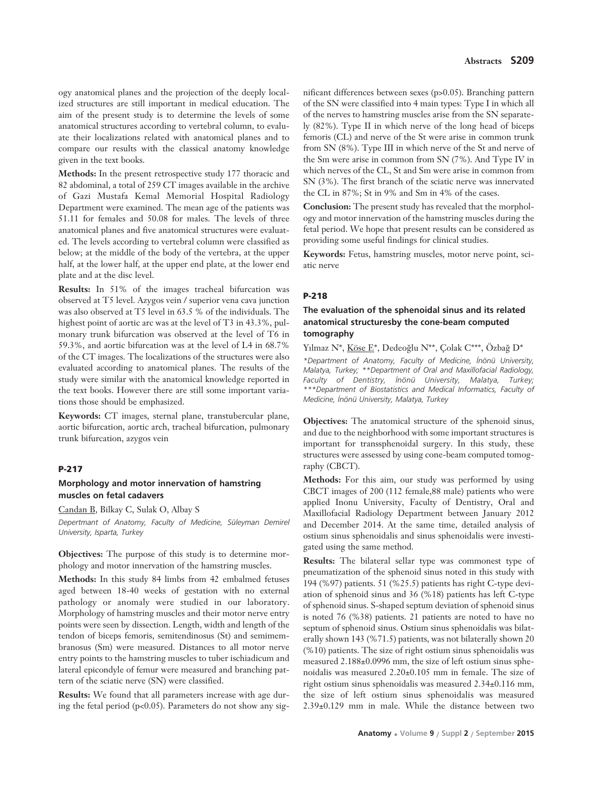ogy anatomical planes and the projection of the deeply localized structures are still important in medical education. The aim of the present study is to determine the levels of some anatomical structures according to vertebral column, to evaluate their localizations related with anatomical planes and to compare our results with the classical anatomy knowledge given in the text books.

**Methods:** In the present retrospective study 177 thoracic and 82 abdominal, a total of 259 CT images available in the archive of Gazi Mustafa Kemal Memorial Hospital Radiology Department were examined. The mean age of the patients was 51.11 for females and 50.08 for males. The levels of three anatomical planes and five anatomical structures were evaluated. The levels according to vertebral column were classified as below; at the middle of the body of the vertebra, at the upper half, at the lower half, at the upper end plate, at the lower end plate and at the disc level.

**Results:** In 51% of the images tracheal bifurcation was observed at T5 level. Azygos vein / superior vena cava junction was also observed at T5 level in 63.5 % of the individuals. The highest point of aortic arc was at the level of T3 in 43.3%, pulmonary trunk bifurcation was observed at the level of T6 in 59.3%, and aortic bifurcation was at the level of L4 in 68.7% of the CT images. The localizations of the structures were also evaluated according to anatomical planes. The results of the study were similar with the anatomical knowledge reported in the text books. However there are still some important variations those should be emphasized.

**Keywords:** CT images, sternal plane, transtubercular plane, aortic bifurcation, aortic arch, tracheal bifurcation, pulmonary trunk bifurcation, azygos vein

#### **P-217**

### **Morphology and motor innervation of hamstring muscles on fetal cadavers**

Candan B, Bilkay C, Sulak O, Albay S *Depertmant of Anatomy, Faculty of Medicine, Süleyman Demirel University, Isparta, Turkey*

**Objectives:** The purpose of this study is to determine morphology and motor innervation of the hamstring muscles.

**Methods:** In this study 84 limbs from 42 embalmed fetuses aged between 18-40 weeks of gestation with no external pathology or anomaly were studied in our laboratory. Morphology of hamstring muscles and their motor nerve entry points were seen by dissection. Length, width and length of the tendon of biceps femoris, semitendinosus (St) and semimembranosus (Sm) were measured. Distances to all motor nerve entry points to the hamstring muscles to tuber ischiadicum and lateral epicondyle of femur were measured and branching pattern of the sciatic nerve (SN) were classified.

**Results:** We found that all parameters increase with age during the fetal period ( $p<0.05$ ). Parameters do not show any sig-

nificant differences between sexes (p>0.05). Branching pattern of the SN were classified into 4 main types: Type I in which all of the nerves to hamstring muscles arise from the SN separately (82%). Type II in which nerve of the long head of biceps femoris (CL) and nerve of the St were arise in common trunk from SN (8%). Type III in which nerve of the St and nerve of the Sm were arise in common from SN (7%). And Type IV in which nerves of the CL, St and Sm were arise in common from SN (3%). The first branch of the sciatic nerve was innervated the CL in 87%; St in 9% and Sm in 4% of the cases.

**Conclusion:** The present study has revealed that the morphology and motor innervation of the hamstring muscles during the fetal period. We hope that present results can be considered as providing some useful findings for clinical studies.

**Keywords:** Fetus, hamstring muscles, motor nerve point, sciatic nerve

#### **P-218**

# **The evaluation of the sphenoidal sinus and its related anatomical structuresby the cone-beam computed tomography**

Yılmaz N\*, Köse E\*, Dedeoğlu N\*\*, Çolak C\*\*\*, Özbağ D\*

*\*Department of Anatomy, Faculty of Medicine, ‹nönü University, Malatya, Turkey; \*\*Department of Oral and Maxillofacial Radiology,* Faculty of Dentistry, İnönü University, Malatya, Turkey; *\*\*\*Department of Biostatistics and Medical Informatics, Faculty of Medicine, ‹nönü University, Malatya, Turkey* 

**Objectives:** The anatomical structure of the sphenoid sinus, and due to the neighborhood with some important structures is important for transsphenoidal surgery. In this study, these structures were assessed by using cone-beam computed tomography (CBCT).

**Methods:** For this aim, our study was performed by using CBCT images of 200 (112 female,88 male) patients who were applied Inonu University, Faculty of Dentistry, Oral and Maxillofacial Radiology Department between January 2012 and December 2014. At the same time, detailed analysis of ostium sinus sphenoidalis and sinus sphenoidalis were investigated using the same method.

**Results:** The bilateral sellar type was commonest type of pneumatization of the sphenoid sinus noted in this study with 194 (%97) patients. 51 (%25.5) patients has right C-type deviation of sphenoid sinus and 36 (%18) patients has left C-type of sphenoid sinus. S-shaped septum deviation of sphenoid sinus is noted 76 (%38) patients. 21 patients are noted to have no septum of sphenoid sinus. Ostium sinus sphenoidalis was bilaterally shown 143 (%71.5) patients, was not bilaterally shown 20 (%10) patients. The size of right ostium sinus sphenoidalis was measured 2.188±0.0996 mm, the size of left ostium sinus sphenoidalis was measured 2.20±0.105 mm in female. The size of right ostium sinus sphenoidalis was measured 2.34±0.116 mm, the size of left ostium sinus sphenoidalis was measured 2.39±0.129 mm in male. While the distance between two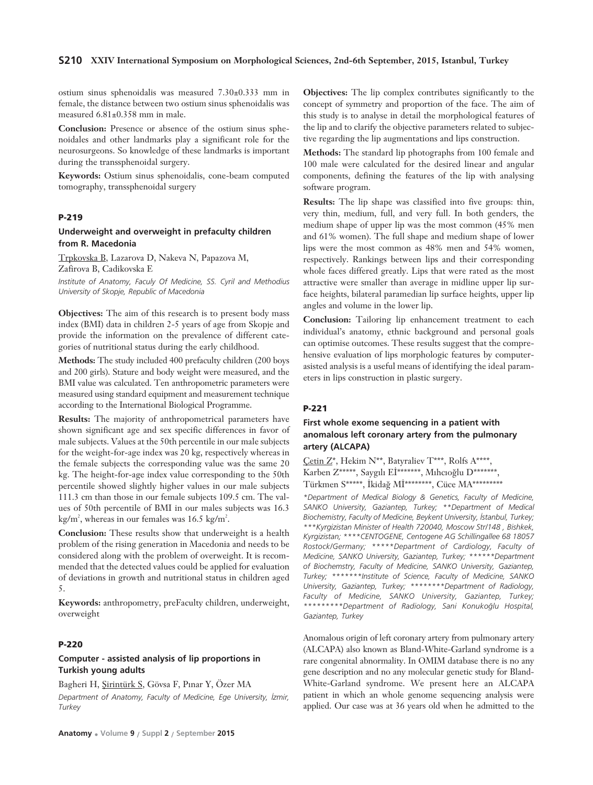ostium sinus sphenoidalis was measured 7.30±0.333 mm in female, the distance between two ostium sinus sphenoidalis was measured 6.81±0.358 mm in male.

**Conclusion:** Presence or absence of the ostium sinus sphenoidales and other landmarks play a significant role for the neurosurgeons. So knowledge of these landmarks is important during the transsphenoidal surgery.

**Keywords:** Ostium sinus sphenoidalis, cone-beam computed tomography, transsphenoidal surgery

# **P-219**

## **Underweight and overweight in prefaculty children from R. Macedonia**

Trpkovska B, Lazarova D, Nakeva N, Papazova M, Zafirova B, Cadikovska E

*Institute of Anatomy, Faculy Of Medicine, SS. Cyril and Methodius University of Skopje, Republic of Macedonia* 

**Objectives:** The aim of this research is to present body mass index (BMI) data in children 2-5 years of age from Skopje and provide the information on the prevalence of different categories of nutritional status during the early childhood.

**Methods:** The study included 400 prefaculty children (200 boys and 200 girls). Stature and body weight were measured, and the BMI value was calculated. Ten anthropometric parameters were measured using standard equipment and measurement technique according to the International Biological Programme.

**Results:** The majority of anthropometrical parameters have shown significant age and sex specific differences in favor of male subjects. Values at the 50th percentile in our male subjects for the weight-for-age index was 20 kg, respectively whereas in the female subjects the corresponding value was the same 20 kg. The height-for-age index value corresponding to the 50th percentile showed slightly higher values in our male subjects 111.3 cm than those in our female subjects 109.5 cm. The values of 50th percentile of BMI in our males subjects was 16.3  $\text{kg/m}^2$ , whereas in our females was 16.5 kg/m<sup>2</sup>.

**Conclusion:** These results show that underweight is a health problem of the rising generation in Macedonia and needs to be considered along with the problem of overweight. It is recommended that the detected values could be applied for evaluation of deviations in growth and nutritional status in children aged 5.

**Keywords:** anthropometry, preFaculty children, underweight, overweight

# **P-220**

## **Computer - assisted analysis of lip proportions in Turkish young adults**

Bagheri H, Sirintürk S, Gövsa F, Pınar Y, Özer MA

*Department of Anatomy, Faculty of Medicine, Ege University, ‹zmir, Turkey* 

**Objectives:** The lip complex contributes significantly to the concept of symmetry and proportion of the face. The aim of this study is to analyse in detail the morphological features of the lip and to clarify the objective parameters related to subjective regarding the lip augmentations and lips construction.

**Methods:** The standard lip photographs from 100 female and 100 male were calculated for the desired linear and angular components, defining the features of the lip with analysing software program.

**Results:** The lip shape was classified into five groups: thin, very thin, medium, full, and very full. In both genders, the medium shape of upper lip was the most common (45% men and 61% women). The full shape and medium shape of lower lips were the most common as 48% men and 54% women, respectively. Rankings between lips and their corresponding whole faces differed greatly. Lips that were rated as the most attractive were smaller than average in midline upper lip surface heights, bilateral paramedian lip surface heights, upper lip angles and volume in the lower lip.

**Conclusion:** Tailoring lip enhancement treatment to each individual's anatomy, ethnic background and personal goals can optimise outcomes. These results suggest that the comprehensive evaluation of lips morphologic features by computerasisted analysis is a useful means of identifying the ideal parameters in lips construction in plastic surgery.

## **P-221**

# **First whole exome sequencing in a patient with anomalous left coronary artery from the pulmonary artery (ALCAPA)**

Çetin Z\*, Hekim N\*\*, Batyraliev T\*\*\*, Rolfs A\*\*\*\*, Karben Z\*\*\*\*\*, Saygılı Eİ\*\*\*\*\*\*\*, Mıhcıoğlu D\*\*\*\*\*\*\*, Türkmen S\*\*\*\*\*, İkidağ Mİ\*\*\*\*\*\*\*\*, Cüce MA\*\*\*\*\*\*\*\*\*\*

*\*Department of Medical Biology & Genetics, Faculty of Medicine, SANKO University, Gaziantep, Turkey; \*\*Department of Medical Biochemistry, Faculty of Medicine, Beykent University, ‹stanbul, Turkey; \*\*\*Kyrgizistan Minister of Health 720040, Moscow Str/148 , Bishkek, Kyrgizistan; \*\*\*\*CENTOGENE, Centogene AG Schillingallee 68 18057 Rostock/Germany; \*\*\*\*\*Department of Cardiology, Faculty of Medicine, SANKO University, Gaziantep, Turkey; \*\*\*\*\*\*Department of Biochemstry, Faculty of Medicine, SANKO University, Gaziantep, Turkey; \*\*\*\*\*\*\*Institute of Science, Faculty of Medicine, SANKO University, Gaziantep, Turkey; \*\*\*\*\*\*\*\*Department of Radiology, Faculty of Medicine, SANKO University, Gaziantep, Turkey; \*\*\*\*\*\*\*\*\*Department of Radiology, Sani Konuko¤lu Hospital, Gaziantep, Turkey* 

Anomalous origin of left coronary artery from pulmonary artery (ALCAPA) also known as Bland-White-Garland syndrome is a rare congenital abnormality. In OMIM database there is no any gene description and no any molecular genetic study for Bland-White-Garland syndrome. We present here an ALCAPA patient in which an whole genome sequencing analysis were applied. Our case was at 36 years old when he admitted to the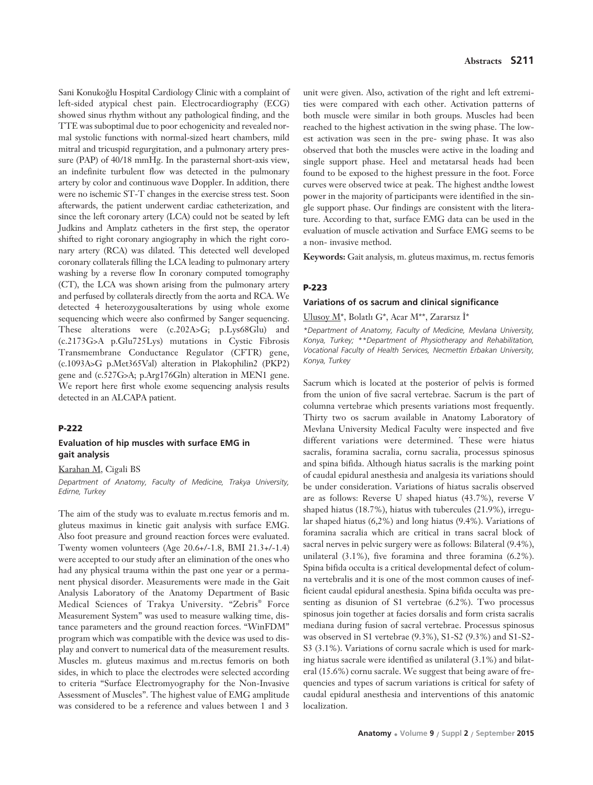Sani Konukoğlu Hospital Cardiology Clinic with a complaint of left-sided atypical chest pain. Electrocardiography (ECG) showed sinus rhythm without any pathological finding, and the TTE was suboptimal due to poor echogenicity and revealed normal systolic functions with normal-sized heart chambers, mild mitral and tricuspid regurgitation, and a pulmonary artery pressure (PAP) of 40/18 mmHg. In the parasternal short-axis view, an indefinite turbulent flow was detected in the pulmonary artery by color and continuous wave Doppler. In addition, there were no ischemic ST-T changes in the exercise stress test. Soon afterwards, the patient underwent cardiac catheterization, and since the left coronary artery (LCA) could not be seated by left Judkins and Amplatz catheters in the first step, the operator shifted to right coronary angiography in which the right coronary artery (RCA) was dilated. This detected well developed coronary collaterals filling the LCA leading to pulmonary artery washing by a reverse flow In coronary computed tomography (CT), the LCA was shown arising from the pulmonary artery and perfused by collaterals directly from the aorta and RCA. We detected 4 heterozygousalterations by using whole exome sequencing which weere also confirmed by Sanger sequencing. These alterations were (c.202A>G; p.Lys68Glu) and (c.2173G>A p.Glu725Lys) mutations in Cystic Fibrosis Transmembrane Conductance Regulator (CFTR) gene, (c.1093A>G p.Met365Val) alteration in Plakophilin2 (PKP2) gene and (c.527G>A; p.Arg176Gln) alteration in MEN1 gene. We report here first whole exome sequencing analysis results detected in an ALCAPA patient.

## **P-222**

## **Evaluation of hip muscles with surface EMG in gait analysis**

Karahan M, Cigali BS

*Department of Anatomy, Faculty of Medicine, Trakya University, Edirne, Turkey*

The aim of the study was to evaluate m.rectus femoris and m. gluteus maximus in kinetic gait analysis with surface EMG. Also foot preasure and ground reaction forces were evaluated. Twenty women volunteers (Age 20.6+/-1.8, BMI 21.3+/-1.4) were accepted to our study after an elimination of the ones who had any physical trauma within the past one year or a permanent physical disorder. Measurements were made in the Gait Analysis Laboratory of the Anatomy Department of Basic Medical Sciences of Trakya University. "Zebris® Force Measurement System" was used to measure walking time, distance parameters and the ground reaction forces. "WinFDM" program which was compatible with the device was used to display and convert to numerical data of the measurement results. Muscles m. gluteus maximus and m.rectus femoris on both sides, in which to place the electrodes were selected according to criteria "Surface Electromyography for the Non-Invasive Assessment of Muscles". The highest value of EMG amplitude was considered to be a reference and values between 1 and 3

unit were given. Also, activation of the right and left extremities were compared with each other. Activation patterns of both muscle were similar in both groups. Muscles had been reached to the highest activation in the swing phase. The lowest activation was seen in the pre- swing phase. It was also observed that both the muscles were active in the loading and single support phase. Heel and metatarsal heads had been found to be exposed to the highest pressure in the foot. Force curves were observed twice at peak. The highest andthe lowest power in the majority of participants were identified in the single support phase. Our findings are consistent with the literature. According to that, surface EMG data can be used in the evaluation of muscle activation and Surface EMG seems to be a non- invasive method.

**Keywords:** Gait analysis, m. gluteus maximus, m. rectus femoris

## **P-223**

#### **Variations of os sacrum and clinical significance**

#### Ulusoy  $M^*$ , Bolatlı G\*, Acar M\*\*, Zararsız İ\*

*\*Department of Anatomy, Faculty of Medicine, Mevlana University, Konya, Turkey; \*\*Department of Physiotherapy and Rehabilitation, Vocational Faculty of Health Services, Necmettin Erbakan University, Konya, Turkey*

Sacrum which is located at the posterior of pelvis is formed from the union of five sacral vertebrae. Sacrum is the part of columna vertebrae which presents variations most frequently. Thirty two os sacrum available in Anatomy Laboratory of Mevlana University Medical Faculty were inspected and five different variations were determined. These were hiatus sacralis, foramina sacralia, cornu sacralia, processus spinosus and spina bifida. Although hiatus sacralis is the marking point of caudal epidural anesthesia and analgesia its variations should be under consideration. Variations of hiatus sacralis observed are as follows: Reverse U shaped hiatus (43.7%), reverse V shaped hiatus (18.7%), hiatus with tubercules (21.9%), irregular shaped hiatus (6,2%) and long hiatus (9.4%). Variations of foramina sacralia which are critical in trans sacral block of sacral nerves in pelvic surgery were as follows: Bilateral (9.4%), unilateral (3.1%), five foramina and three foramina (6.2%). Spina bifida occulta is a critical developmental defect of columna vertebralis and it is one of the most common causes of inefficient caudal epidural anesthesia. Spina bifida occulta was presenting as disunion of S1 vertebrae (6.2%). Two processus spinosus join together at facies dorsalis and form crista sacralis mediana during fusion of sacral vertebrae. Processus spinosus was observed in S1 vertebrae (9.3%), S1-S2 (9.3%) and S1-S2- S3 (3.1%). Variations of cornu sacrale which is used for marking hiatus sacrale were identified as unilateral (3.1%) and bilateral (15.6%) cornu sacrale. We suggest that being aware of frequencies and types of sacrum variations is critical for safety of caudal epidural anesthesia and interventions of this anatomic localization.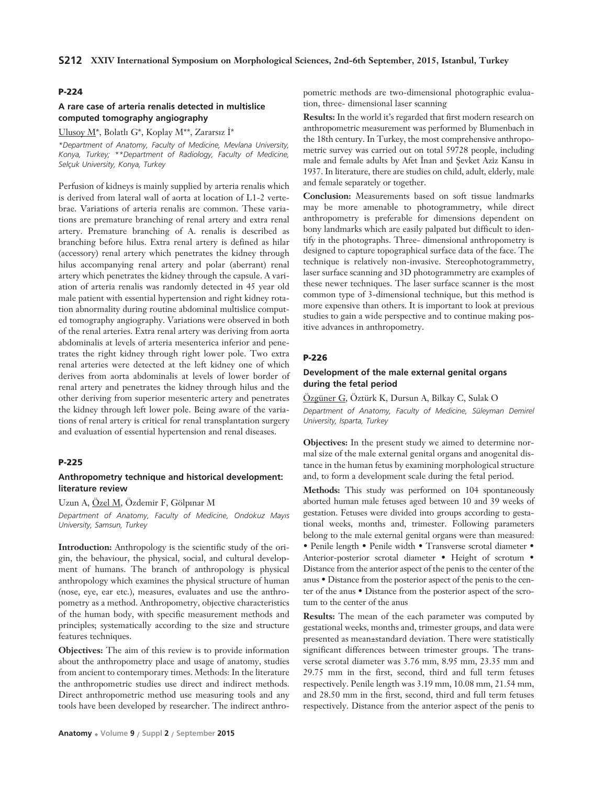### **P-224**

## **A rare case of arteria renalis detected in multislice computed tomography angiography**

Ulusoy  $M^*$ , Bolatlı G\*, Koplay M\*\*, Zararsız İ\*

*\*Department of Anatomy, Faculty of Medicine, Mevlana University, Konya, Turkey; \*\*Department of Radiology, Faculty of Medicine, Selçuk University, Konya, Turkey* 

Perfusion of kidneys is mainly supplied by arteria renalis which is derived from lateral wall of aorta at location of L1-2 vertebrae. Variations of arteria renalis are common. These variations are premature branching of renal artery and extra renal artery. Premature branching of A. renalis is described as branching before hilus. Extra renal artery is defined as hilar (accessory) renal artery which penetrates the kidney through hilus accompanying renal artery and polar (aberrant) renal artery which penetrates the kidney through the capsule. A variation of arteria renalis was randomly detected in 45 year old male patient with essential hypertension and right kidney rotation abnormality during routine abdominal multislice computed tomography angiography. Variations were observed in both of the renal arteries. Extra renal artery was deriving from aorta abdominalis at levels of arteria mesenterica inferior and penetrates the right kidney through right lower pole. Two extra renal arteries were detected at the left kidney one of which derives from aorta abdominalis at levels of lower border of renal artery and penetrates the kidney through hilus and the other deriving from superior mesenteric artery and penetrates the kidney through left lower pole. Being aware of the variations of renal artery is critical for renal transplantation surgery and evaluation of essential hypertension and renal diseases.

#### **P-225**

### **Anthropometry technique and historical development: literature review**

### Uzun A, Özel M, Özdemir F, Gölpınar M

*Department of Anatomy, Faculty of Medicine, Ondokuz May›s University, Samsun, Turkey*

**Introduction:** Anthropology is the scientific study of the origin, the behaviour, the physical, social, and cultural development of humans. The branch of anthropology is physical anthropology which examines the physical structure of human (nose, eye, ear etc.), measures, evaluates and use the anthropometry as a method. Anthropometry, objective characteristics of the human body, with specific measurement methods and principles; systematically according to the size and structure features techniques.

**Objectives:** The aim of this review is to provide information about the anthropometry place and usage of anatomy, studies from ancient to contemporary times. Methods: In the literature the anthropometric studies use direct and indirect methods. Direct anthropometric method use measuring tools and any tools have been developed by researcher. The indirect anthropometric methods are two-dimensional photographic evaluation, three- dimensional laser scanning

**Results:** In the world it's regarded that first modern research on anthropometric measurement was performed by Blumenbach in the 18th century. In Turkey, the most comprehensive anthropometric survey was carried out on total 59728 people, including male and female adults by Afet Inan and Sevket Aziz Kansu in 1937. In literature, there are studies on child, adult, elderly, male and female separately or together.

**Conclusion:** Measurements based on soft tissue landmarks may be more amenable to photogrammetry, while direct anthropometry is preferable for dimensions dependent on bony landmarks which are easily palpated but difficult to identify in the photographs. Three- dimensional anthropometry is designed to capture topographical surface data of the face. The technique is relatively non-invasive. Stereophotogrammetry, laser surface scanning and 3D photogrammetry are examples of these newer techniques. The laser surface scanner is the most common type of 3-dimensional technique, but this method is more expensive than others. It is important to look at previous studies to gain a wide perspective and to continue making positive advances in anthropometry.

#### **P-226**

## **Development of the male external genital organs during the fetal period**

Özgüner G, Öztürk K, Dursun A, Bilkay C, Sulak O *Department of Anatomy, Faculty of Medicine, Süleyman Demirel University, Isparta, Turkey*

**Objectives:** In the present study we aimed to determine normal size of the male external genital organs and anogenital distance in the human fetus by examining morphological structure and, to form a development scale during the fetal period.

**Methods:** This study was performed on 104 spontaneously aborted human male fetuses aged between 10 and 39 weeks of gestation. Fetuses were divided into groups according to gestational weeks, months and, trimester. Following parameters belong to the male external genital organs were than measured: • Penile length • Penile width • Transverse scrotal diameter • Anterior-posterior scrotal diameter • Height of scrotum • Distance from the anterior aspect of the penis to the center of the anus • Distance from the posterior aspect of the penis to the center of the anus • Distance from the posterior aspect of the scrotum to the center of the anus

**Results:** The mean of the each parameter was computed by gestational weeks, months and, trimester groups, and data were presented as mean±standard deviation. There were statistically significant differences between trimester groups. The transverse scrotal diameter was 3.76 mm, 8.95 mm, 23.35 mm and 29.75 mm in the first, second, third and full term fetuses respectively. Penile length was 3.19 mm, 10.08 mm, 21.54 mm, and 28.50 mm in the first, second, third and full term fetuses respectively. Distance from the anterior aspect of the penis to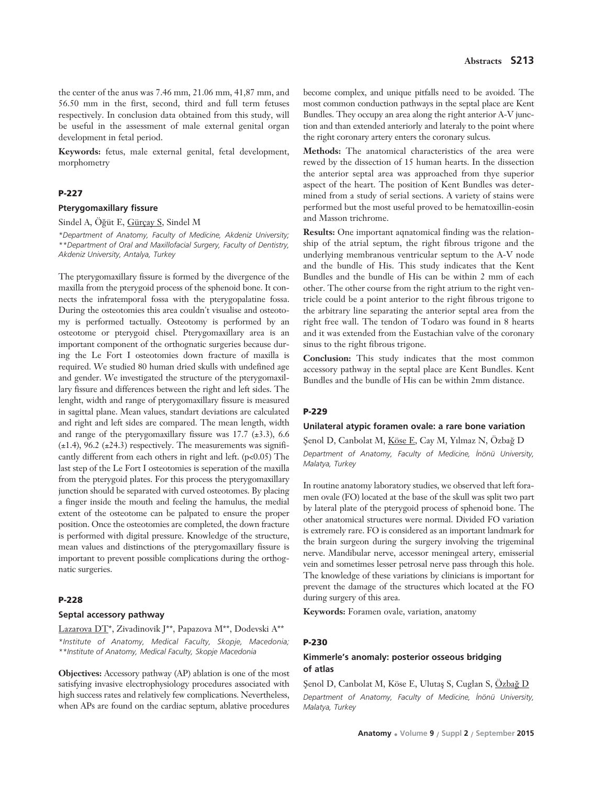the center of the anus was 7.46 mm, 21.06 mm, 41,87 mm, and 56.50 mm in the first, second, third and full term fetuses respectively. In conclusion data obtained from this study, will be useful in the assessment of male external genital organ development in fetal period.

**Keywords:** fetus, male external genital, fetal development, morphometry

#### **P-227**

#### **Pterygomaxillary fissure**

Sindel A, Öğüt E, Gürçay S, Sindel M

*\*Department of Anatomy, Faculty of Medicine, Akdeniz University; \*\*Department of Oral and Maxillofacial Surgery, Faculty of Dentistry, Akdeniz University, Antalya, Turkey*

The pterygomaxillary fissure is formed by the divergence of the maxilla from the pterygoid process of the sphenoid bone. It connects the infratemporal fossa with the pterygopalatine fossa. During the osteotomies this area couldn't visualise and osteotomy is performed tactually. Osteotomy is performed by an osteotome or pterygoid chisel. Pterygomaxillary area is an important component of the orthognatic surgeries because during the Le Fort I osteotomies down fracture of maxilla is required. We studied 80 human dried skulls with undefined age and gender. We investigated the structure of the pterygomaxillary fissure and differences between the right and left sides. The lenght, width and range of pterygomaxillary fissure is measured in sagittal plane. Mean values, standart deviations are calculated and right and left sides are compared. The mean length, width and range of the pterygomaxillary fissure was  $17.7 \ (\pm 3.3)$ , 6.6  $(\pm 1.4)$ , 96.2  $(\pm 24.3)$  respectively. The measurements was significantly different from each others in right and left. (p<0.05) The last step of the Le Fort I osteotomies is seperation of the maxilla from the pterygoid plates. For this process the pterygomaxillary junction should be separated with curved osteotomes. By placing a finger inside the mouth and feeling the hamulus, the medial extent of the osteotome can be palpated to ensure the proper position. Once the osteotomies are completed, the down fracture is performed with digital pressure. Knowledge of the structure, mean values and distinctions of the pterygomaxillary fissure is important to prevent possible complications during the orthognatic surgeries.

#### **P-228**

#### **Septal accessory pathway**

Lazarova DT\*, Zivadinovik J\*\*, Papazova M\*\*, Dodevski A\*\* *\*Institute of Anatomy, Medical Faculty, Skopje, Macedonia; \*\*Institute of Anatomy, Medical Faculty, Skopje Macedonia*

**Objectives:** Accessory pathway (AP) ablation is one of the most satisfying invasive electrophysiology procedures associated with high success rates and relatively few complications. Nevertheless, when APs are found on the cardiac septum, ablative procedures become complex, and unique pitfalls need to be avoided. The most common conduction pathways in the septal place are Kent Bundles. They occupy an area along the right anterior A-V junction and than extended anteriorly and lateraly to the point where the right coronary artery enters the coronary sulcus.

**Methods:** The anatomical characteristics of the area were rewed by the dissection of 15 human hearts. In the dissection the anterior septal area was approached from thye superior aspect of the heart. The position of Kent Bundles was determined from a study of serial sections. A variety of stains were performed but the most useful proved to be hematoxillin-eosin and Masson trichrome.

**Results:** One important aqnatomical finding was the relationship of the atrial septum, the right fibrous trigone and the underlying membranous ventricular septum to the A-V node and the bundle of His. This study indicates that the Kent Bundles and the bundle of His can be within 2 mm of each other. The other course from the right atrium to the right ventricle could be a point anterior to the right fibrous trigone to the arbitrary line separating the anterior septal area from the right free wall. The tendon of Todaro was found in 8 hearts and it was extended from the Eustachian valve of the coronary sinus to the right fibrous trigone.

**Conclusion:** This study indicates that the most common accessory pathway in the septal place are Kent Bundles. Kent Bundles and the bundle of His can be within 2mm distance.

#### **P-229**

#### **Unilateral atypic foramen ovale: a rare bone variation**

Şenol D, Canbolat M, Köse E, Cay M, Yılmaz N, Özbağ D *Department of Anatomy, Faculty of Medicine, ‹nönü University, Malatya, Turkey*

In routine anatomy laboratory studies, we observed that left foramen ovale (FO) located at the base of the skull was split two part by lateral plate of the pterygoid process of sphenoid bone. The other anatomical structures were normal. Divided FO variation is extremely rare. FO is considered as an important landmark for the brain surgeon during the surgery involving the trigeminal nerve. Mandibular nerve, accessor meningeal artery, emisserial vein and sometimes lesser petrosal nerve pass through this hole. The knowledge of these variations by clinicians is important for prevent the damage of the structures which located at the FO during surgery of this area.

**Keywords:** Foramen ovale, variation, anatomy

#### **P-230**

# **Kimmerle's anomaly: posterior osseous bridging of atlas**

Senol D, Canbolat M, Köse E, Ulutaş S, Cuglan S, Özbağ D *Department of Anatomy, Faculty of Medicine, ‹nönü University, Malatya, Turkey*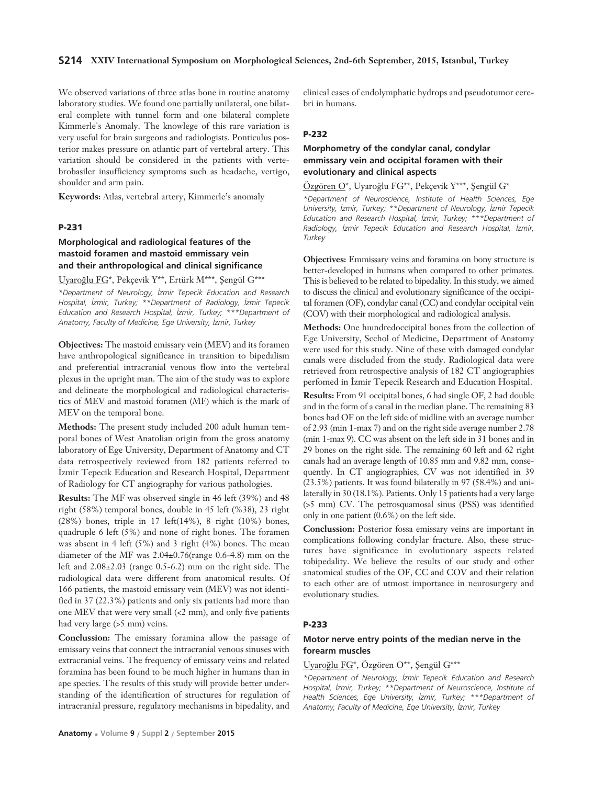### **S214 XXIV International Symposium on Morphological Sciences, 2nd-6th September, 2015, Istanbul, Turkey**

We observed variations of three atlas bone in routine anatomy laboratory studies. We found one partially unilateral, one bilateral complete with tunnel form and one bilateral complete Kimmerle's Anomaly. The knowlege of this rare variation is very useful for brain surgeons and radiologists. Ponticulus posterior makes pressure on atlantic part of vertebral artery. This variation should be considered in the patients with vertebrobasiler insufficiency symptoms such as headache, vertigo, shoulder and arm pain.

**Keywords:** Atlas, vertebral artery, Kimmerle's anomaly

### **P-231**

# **Morphological and radiological features of the mastoid foramen and mastoid emmissary vein and their anthropological and clinical significance**

Uyaroğlu FG\*, Pekçevik Y\*\*, Ertürk M\*\*\*, Şengül G\*\*\*

*\*Department of Neurology, ‹zmir Tepecik Education and Research Hospital, ‹zmir, Turkey; \*\*Department of Radiology, ‹zmir Tepecik Education and Research Hospital, ‹zmir, Turkey; \*\*\*Department of Anatomy, Faculty of Medicine, Ege University, ‹zmir, Turkey* 

**Objectives:** The mastoid emissary vein (MEV) and its foramen have anthropological significance in transition to bipedalism and preferential intracranial venous flow into the vertebral plexus in the upright man. The aim of the study was to explore and delineate the morphological and radiological characteristics of MEV and mastoid foramen (MF) which is the mark of MEV on the temporal bone.

**Methods:** The present study included 200 adult human temporal bones of West Anatolian origin from the gross anatomy laboratory of Ege University, Department of Anatomy and CT data retrospectively reviewed from 182 patients referred to İzmir Tepecik Education and Research Hospital, Department of Radiology for CT angiography for various pathologies.

**Results:** The MF was observed single in 46 left (39%) and 48 right (58%) temporal bones, double in 45 left (%38), 23 right (28%) bones, triple in 17 left(14%), 8 right (10%) bones, quadruple 6 left (5%) and none of right bones. The foramen was absent in 4 left (5%) and 3 right (4%) bones. The mean diameter of the MF was 2.04±0.76(range 0.6-4.8) mm on the left and 2.08±2.03 (range 0.5-6.2) mm on the right side. The radiological data were different from anatomical results. Of 166 patients, the mastoid emissary vein (MEV) was not identified in 37 (22.3%) patients and only six patients had more than one MEV that were very small (<2 mm), and only five patients had very large (>5 mm) veins.

**Conclussion:** The emissary foramina allow the passage of emissary veins that connect the intracranial venous sinuses with extracranial veins. The frequency of emissary veins and related foramina has been found to be much higher in humans than in ape species. The results of this study will provide better understanding of the identification of structures for regulation of intracranial pressure, regulatory mechanisms in bipedality, and

clinical cases of endolymphatic hydrops and pseudotumor cerebri in humans.

## **P-232**

# **Morphometry of the condylar canal, condylar emmissary vein and occipital foramen with their evolutionary and clinical aspects**

Özgören O\*, Uyaroğlu FG\*\*, Pekçevik Y\*\*\*, Şengül G\*

*\*Department of Neuroscience, Institute of Health Sciences, Ege University, ‹zmir, Turkey; \*\*Department of Neurology, ‹zmir Tepecik Education and Research Hospital, ‹zmir, Turkey; \*\*\*Department of Radiology, ‹zmir Tepecik Education and Research Hospital, ‹zmir, Turkey* 

**Objectives:** Emmissary veins and foramina on bony structure is better-developed in humans when compared to other primates. This is believed to be related to bipedality. In this study, we aimed to discuss the clinical and evolutionary significance of the occipital foramen (OF), condylar canal (CC) and condylar occipital vein (COV) with their morphological and radiological analysis.

Methods: One hundredoccipital bones from the collection of Ege University, Scchol of Medicine, Department of Anatomy were used for this study. Nine of these with damaged condylar canals were discluded from the study. Radiological data were retrieved from retrospective analysis of 182 CT angiographies perfomed in İzmir Tepecik Research and Education Hospital. **Results:** From 91 occipital bones, 6 had single OF, 2 had double and in the form of a canal in the median plane. The remaining 83 bones had OF on the left side of midline with an average number of 2.93 (min 1-max 7) and on the right side average number 2.78 (min 1-max 9). CC was absent on the left side in 31 bones and in 29 bones on the right side. The remaining 60 left and 62 right canals had an average length of 10.85 mm and 9.82 mm, consequently. In CT angiographies, CV was not identified in 39 (23.5%) patients. It was found bilaterally in 97 (58.4%) and uni-

laterally in 30 (18.1%). Patients. Only 15 patients had a very large (>5 mm) CV. The petrosquamosal sinus (PSS) was identified only in one patient (0.6%) on the left side.

**Conclussion:** Posterior fossa emissary veins are important in complications following condylar fracture. Also, these structures have significance in evolutionary aspects related tobipedality. We believe the results of our study and other anatomical studies of the OF, CC and COV and their relation to each other are of utmost importance in neurosurgery and evolutionary studies.

### **P-233**

## **Motor nerve entry points of the median nerve in the forearm muscles**

# Uyaroğlu FG\*, Özgören O\*\*, Şengül G\*\*\*

*\*Department of Neurology, ‹zmir Tepecik Education and Research Hospital, ‹zmir, Turkey; \*\*Department of Neuroscience, Institute of Health Sciences, Ege University, ‹zmir, Turkey; \*\*\*Department of Anatomy, Faculty of Medicine, Ege University, ‹zmir, Turkey*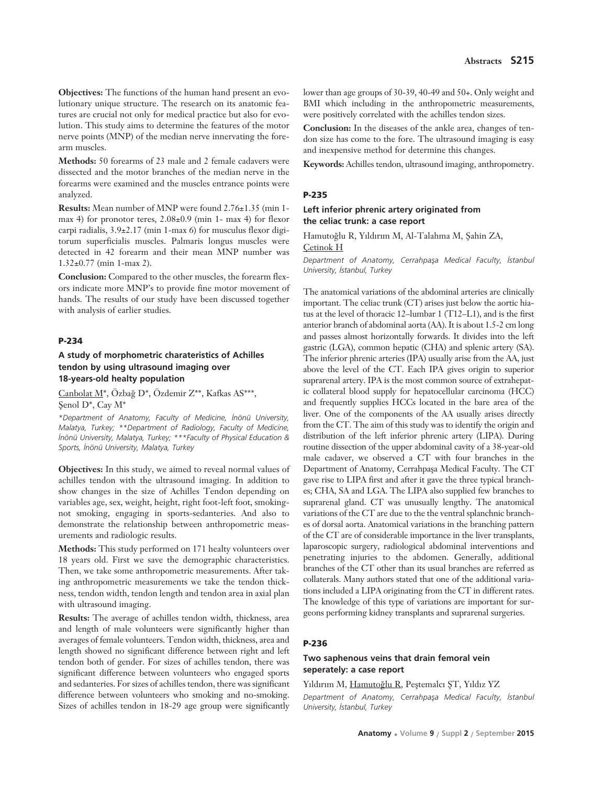**Objectives:** The functions of the human hand present an evolutionary unique structure. The research on its anatomic features are crucial not only for medical practice but also for evolution. This study aims to determine the features of the motor nerve points (MNP) of the median nerve innervating the forearm muscles.

**Methods:** 50 forearms of 23 male and 2 female cadavers were dissected and the motor branches of the median nerve in the forearms were examined and the muscles entrance points were analyzed.

**Results:** Mean number of MNP were found 2.76±1.35 (min 1 max 4) for pronotor teres, 2.08±0.9 (min 1- max 4) for flexor carpi radialis, 3.9±2.17 (min 1-max 6) for musculus flexor digitorum superficialis muscles. Palmaris longus muscles were detected in 42 forearm and their mean MNP number was 1.32±0.77 (min 1-max 2).

**Conclusion:** Compared to the other muscles, the forearm flexors indicate more MNP's to provide fine motor movement of hands. The results of our study have been discussed together with analysis of earlier studies.

## **P-234**

## **A study of morphometric charateristics of Achilles tendon by using ultrasound imaging over 18-years-old healty population**

Canbolat M<sup>\*</sup>, Özbağ D<sup>\*</sup>, Özdemir Z<sup>\*\*</sup>, Kafkas AS<sup>\*\*\*</sup>, Senol D<sup>\*</sup>, Cay M<sup>\*</sup>

*\*Department of Anatomy, Faculty of Medicine, ‹nönü University, Malatya, Turkey; \*\*Department of Radiology, Faculty of Medicine, ‹nönü University, Malatya, Turkey; \*\*\*Faculty of Physical Education & Sports, ‹nönü University, Malatya, Turkey*

**Objectives:** In this study, we aimed to reveal normal values of achilles tendon with the ultrasound imaging. In addition to show changes in the size of Achilles Tendon depending on variables age, sex, weight, height, right foot-left foot, smokingnot smoking, engaging in sports-sedanteries. And also to demonstrate the relationship between anthropometric measurements and radiologic results.

**Methods:** This study performed on 171 healty volunteers over 18 years old. First we save the demographic characteristics. Then, we take some anthropometric measurements. After taking anthropometric measurements we take the tendon thickness, tendon width, tendon length and tendon area in axial plan with ultrasound imaging.

**Results:** The average of achilles tendon width, thickness, area and length of male volunteers were significantly higher than averages of female volunteers. Tendon width, thickness, area and length showed no significant difference between right and left tendon both of gender. For sizes of achilles tendon, there was significant difference between volunteers who engaged sports and sedanteries. For sizes of achilles tendon, there was significant difference between volunteers who smoking and no-smoking. Sizes of achilles tendon in 18-29 age group were significantly lower than age groups of 30-39, 40-49 and 50+. Only weight and BMI which including in the anthropometric measurements, were positively correlated with the achilles tendon sizes.

**Conclusion:** In the diseases of the ankle area, changes of tendon size has come to the fore. The ultrasound imaging is easy and inexpensive method for determine this changes.

**Keywords:** Achilles tendon, ultrasound imaging, anthropometry.

#### **P-235**

## **Left inferior phrenic artery originated from the celiac trunk: a case report**

Hamutoğlu R, Yıldırım M, Al-Talahma M, Şahin ZA, Çetinok H

*Department of Anatomy, Cerrahpafla Medical Faculty, ‹stanbul University, ‹stanbul, Turkey*

The anatomical variations of the abdominal arteries are clinically important. The celiac trunk (CT) arises just below the aortic hiatus at the level of thoracic 12–lumbar 1 (T12–L1), and is the first anterior branch of abdominal aorta (AA). It is about 1.5-2 cm long and passes almost horizontally forwards. It divides into the left gastric (LGA), common hepatic (CHA) and splenic artery (SA). The inferior phrenic arteries (IPA) usually arise from the AA, just above the level of the CT. Each IPA gives origin to superior suprarenal artery. IPA is the most common source of extrahepatic collateral blood supply for hepatocellular carcinoma (HCC) and frequently supplies HCCs located in the bare area of the liver. One of the components of the AA usually arises directly from the CT. The aim of this study was to identify the origin and distribution of the left inferior phrenic artery (LIPA). During routine dissection of the upper abdominal cavity of a 38-year-old male cadaver, we observed a CT with four branches in the Department of Anatomy, Cerrahpaşa Medical Faculty. The CT gave rise to LIPA first and after it gave the three typical branches; CHA, SA and LGA. The LIPA also supplied few branches to suprarenal gland. CT was unusually lengthy. The anatomical variations of the CT are due to the the ventral splanchnic branches of dorsal aorta. Anatomical variations in the branching pattern of the CT are of considerable importance in the liver transplants, laparoscopic surgery, radiological abdominal interventions and penetrating injuries to the abdomen. Generally, additional branches of the CT other than its usual branches are referred as collaterals. Many authors stated that one of the additional variations included a LIPA originating from the CT in different rates. The knowledge of this type of variations are important for surgeons performing kidney transplants and suprarenal surgeries.

#### **P-236**

# **Two saphenous veins that drain femoral vein seperately: a case report**

# Yıldırım M, Hamutoğlu R, Peştemalcı ST, Yıldız YZ

*Department of Anatomy, Cerrahpafla Medical Faculty, ‹stanbul University, ‹stanbul, Turkey*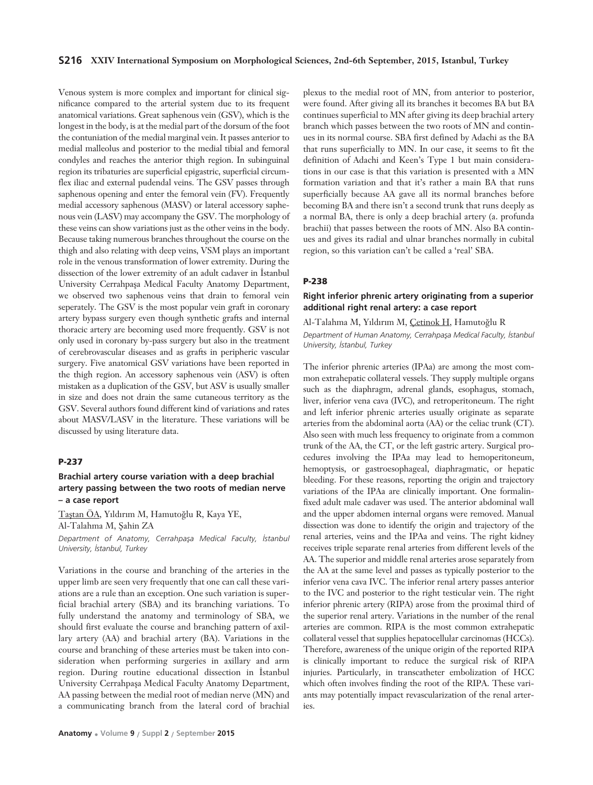Venous system is more complex and important for clinical significance compared to the arterial system due to its frequent anatomical variations. Great saphenous vein (GSV), which is the longest in the body, is at the medial part of the dorsum of the foot the contuniation of the medial marginal vein. It passes anterior to medial malleolus and posterior to the medial tibial and femoral condyles and reaches the anterior thigh region. In subinguinal region its tribaturies are superficial epigastric, superficial circumflex iliac and external pudendal veins. The GSV passes through saphenous opening and enter the femoral vein (FV). Frequently medial accessory saphenous (MASV) or lateral accessory saphenous vein (LASV) may accompany the GSV. The morphology of these veins can show variations just as the other veins in the body. Because taking numerous branches throughout the course on the thigh and also relating with deep veins, VSM plays an important role in the venous transformation of lower extremity. During the dissection of the lower extremity of an adult cadaver in Istanbul University Cerrahpaşa Medical Faculty Anatomy Department, we observed two saphenous veins that drain to femoral vein seperately. The GSV is the most popular vein graft in coronary artery bypass surgery even though synthetic grafts and internal thoracic artery are becoming used more frequently. GSV is not only used in coronary by-pass surgery but also in the treatment of cerebrovascular diseases and as grafts in peripheric vascular surgery. Five anatomical GSV variations have been reported in the thigh region. An accessory saphenous vein (ASV) is often mistaken as a duplication of the GSV, but ASV is usually smaller in size and does not drain the same cutaneous territory as the GSV. Several authors found different kind of variations and rates about MASV/LASV in the literature. These variations will be discussed by using literature data.

#### **P-237**

# **Brachial artery course variation with a deep brachial artery passing between the two roots of median nerve – a case report**

Tastan ÖA, Yıldırım M, Hamutoğlu R, Kaya YE, Al-Talahma M, Sahin ZA

*Department of Anatomy, Cerrahpafla Medical Faculty, ‹stanbul University, ‹stanbul, Turkey*

Variations in the course and branching of the arteries in the upper limb are seen very frequently that one can call these variations are a rule than an exception. One such variation is superficial brachial artery (SBA) and its branching variations. To fully understand the anatomy and terminology of SBA, we should first evaluate the course and branching pattern of axillary artery (AA) and brachial artery (BA). Variations in the course and branching of these arteries must be taken into consideration when performing surgeries in axillary and arm region. During routine educational dissection in Istanbul University Cerrahpaşa Medical Faculty Anatomy Department, AA passing between the medial root of median nerve (MN) and a communicating branch from the lateral cord of brachial

plexus to the medial root of MN, from anterior to posterior, were found. After giving all its branches it becomes BA but BA continues superficial to MN after giving its deep brachial artery branch which passes between the two roots of MN and continues in its normal course. SBA first defined by Adachi as the BA that runs superficially to MN. In our case, it seems to fit the definition of Adachi and Keen's Type 1 but main considerations in our case is that this variation is presented with a MN formation variation and that it's rather a main BA that runs superficially because AA gave all its normal branches before becoming BA and there isn't a second trunk that runs deeply as a normal BA, there is only a deep brachial artery (a. profunda brachii) that passes between the roots of MN. Also BA continues and gives its radial and ulnar branches normally in cubital region, so this variation can't be called a 'real' SBA.

## **P-238**

# **Right inferior phrenic artery originating from a superior additional right renal artery: a case report**

Al-Talahma M, Yıldırım M, Çetinok H, Hamutoğlu R *Department of Human Anatomy, Cerrahpasa Medical Faculty, İstanbul University, ‹stanbul, Turkey* 

The inferior phrenic arteries (IPAa) are among the most common extrahepatic collateral vessels. They supply multiple organs such as the diaphragm, adrenal glands, esophagus, stomach, liver, inferior vena cava (IVC), and retroperitoneum. The right and left inferior phrenic arteries usually originate as separate arteries from the abdominal aorta (AA) or the celiac trunk (CT). Also seen with much less frequency to originate from a common trunk of the AA, the CT, or the left gastric artery. Surgical procedures involving the IPAa may lead to hemoperitoneum, hemoptysis, or gastroesophageal, diaphragmatic, or hepatic bleeding. For these reasons, reporting the origin and trajectory variations of the IPAa are clinically important. One formalinfixed adult male cadaver was used. The anterior abdominal wall and the upper abdomen internal organs were removed. Manual dissection was done to identify the origin and trajectory of the renal arteries, veins and the IPAa and veins. The right kidney receives triple separate renal arteries from different levels of the AA. The superior and middle renal arteries arose separately from the AA at the same level and passes as typically posterior to the inferior vena cava IVC. The inferior renal artery passes anterior to the IVC and posterior to the right testicular vein. The right inferior phrenic artery (RIPA) arose from the proximal third of the superior renal artery. Variations in the number of the renal arteries are common. RIPA is the most common extrahepatic collateral vessel that supplies hepatocellular carcinomas (HCCs). Therefore, awareness of the unique origin of the reported RIPA is clinically important to reduce the surgical risk of RIPA injuries. Particularly, in transcatheter embolization of HCC which often involves finding the root of the RIPA. These variants may potentially impact revascularization of the renal arteries.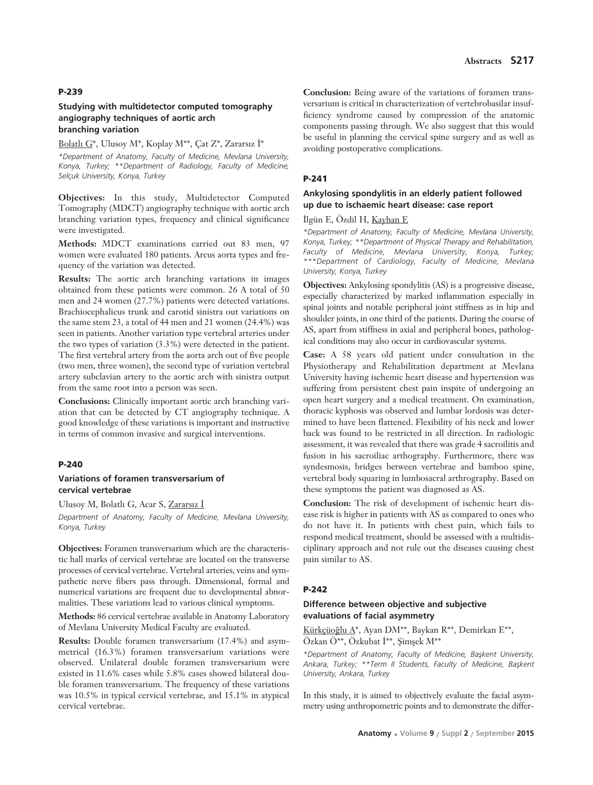## **Abstracts S217**

# **P-239**

## **Studying with multidetector computed tomography angiography techniques of aortic arch branching variation**

#### Bolatlı G\*, Ulusov M\*, Koplay M\*\*, Cat Z\*, Zararsız İ\*

*\*Department of Anatomy, Faculty of Medicine, Mevlana University, Konya, Turkey; \*\*Department of Radiology, Faculty of Medicine, Selçuk University, Konya, Turkey* 

**Objectives:** In this study, Multidetector Computed Tomography (MDCT) angiography technique with aortic arch branching variation types, frequency and clinical significance were investigated.

**Methods:** MDCT examinations carried out 83 men, 97 women were evaluated 180 patients. Arcus aorta types and frequency of the variation was detected.

**Results:** The aortic arch branching variations in images obtained from these patients were common. 26 A total of 50 men and 24 women (27.7%) patients were detected variations. Brachiocephalicus trunk and carotid sinistra out variations on the same stem 23, a total of 44 men and 21 women (24.4%) was seen in patients. Another variation type vertebral arteries under the two types of variation (3.3%) were detected in the patient. The first vertebral artery from the aorta arch out of five people (two men, three women), the second type of variation vertebral artery subclavian artery to the aortic arch with sinistra output from the same root into a person was seen.

**Conclusions:** Clinically important aortic arch branching variation that can be detected by CT angiography technique. A good knowledge of these variations is important and instructive in terms of common invasive and surgical interventions.

#### **P-240**

### **Variations of foramen transversarium of cervical vertebrae**

Ulusoy M, Bolatlı G, Acar S, Zararsız İ

*Department of Anatomy, Faculty of Medicine, Mevlana University, Konya, Turkey* 

**Objectives:** Foramen transversarium which are the characteristic hall marks of cervical vertebrae are located on the transverse processes of cervical vertebrae. Vertebral arteries, veins and sympathetic nerve fibers pass through. Dimensional, formal and numerical variations are frequent due to developmental abnormalities. These variations lead to various clinical symptoms.

**Methods:** 86 cervical vertebrae available in Anatomy Laboratory of Mevlana University Medical Faculty are evaluated.

**Results:** Double foramen transversarium (17.4%) and asymmetrical (16.3%) foramen transversarium variations were observed. Unilateral double foramen transversarium were existed in 11.6% cases while 5.8% cases showed bilateral double foramen transversarium. The frequency of these variations was 10.5% in typical cervical vertebrae, and 15.1% in atypical cervical vertebrae.

**Conclusion:** Being aware of the variations of foramen transversarium is critical in characterization of vertebrobasilar insufficiency syndrome caused by compression of the anatomic components passing through. We also suggest that this would be useful in planning the cervical spine surgery and as well as avoiding postoperative complications.

### **P-241**

# **Ankylosing spondylitis in an elderly patient followed up due to ischaemic heart disease: case report**

### İlgün E, Özdil H, Kayhan E

*\*Department of Anatomy, Faculty of Medicine, Mevlana University, Konya, Turkey; \*\*Department of Physical Therapy and Rehabilitation, Faculty of Medicine, Mevlana University, Konya, Turkey; \*\*\*Department of Cardiology, Faculty of Medicine, Mevlana University, Konya, Turkey* 

**Objectives:** Ankylosing spondylitis (AS) is a progressive disease, especially characterized by marked inflammation especially in spinal joints and notable peripheral joint stiffness as in hip and shoulder joints, in one third of the patients. During the course of AS, apart from stiffness in axial and peripheral bones, pathological conditions may also occur in cardiovascular systems.

**Case:** A 58 years old patient under consultation in the Physiotherapy and Rehabilitation department at Mevlana University having ischemic heart disease and hypertension was suffering from persistent chest pain inspite of undergoing an open heart surgery and a medical treatment. On examination, thoracic kyphosis was observed and lumbar lordosis was determined to have been flattened. Flexibility of his neck and lower back was found to be restricted in all direction. In radiologic assessment, it was revealed that there was grade 4 sacroilitis and fusion in his sacroiliac arthography. Furthermore, there was syndesmosis, bridges between vertebrae and bamboo spine, vertebral body squaring in lumbosacral arthrography. Based on these symptoms the patient was diagnosed as AS.

**Conclusion:** The risk of development of ischemic heart disease risk is higher in patients with AS as compared to ones who do not have it. In patients with chest pain, which fails to respond medical treatment, should be assessed with a multidisciplinary approach and not rule out the diseases causing chest pain similar to AS.

### **P-242**

# **Difference between objective and subjective evaluations of facial asymmetry**

Kürkçüoğlu A\*, Ayan DM\*\*, Baykan R\*\*, Demirkan E\*\*, Özkan Ö\*\*, Özkubat İ\*\*, Şimşek M\*\*

*\*Department of Anatomy, Faculty of Medicine, Baflkent University, Ankara, Turkey; \*\*Term II Students, Faculty of Medicine, Baflkent University, Ankara, Turkey* 

In this study, it is aimed to objectively evaluate the facial asymmetry using anthropometric points and to demonstrate the differ-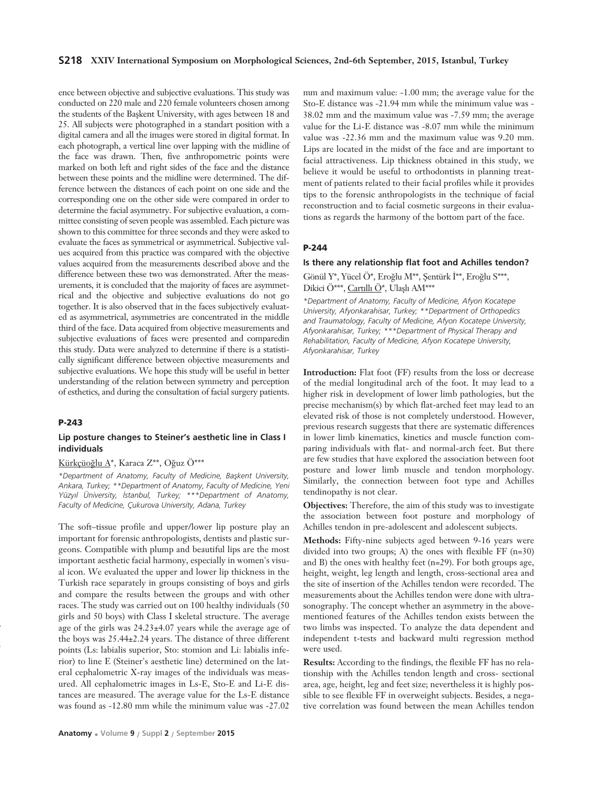#### **S218 XXIV International Symposium on Morphological Sciences, 2nd-6th September, 2015, Istanbul, Turkey**

ence between objective and subjective evaluations. This study was conducted on 220 male and 220 female volunteers chosen among the students of the Başkent University, with ages between 18 and 25. All subjects were photographed in a standart position with a digital camera and all the images were stored in digital format. In each photograph, a vertical line over lapping with the midline of the face was drawn. Then, five anthropometric points were marked on both left and right sides of the face and the distance between these points and the midline were determined. The difference between the distances of each point on one side and the corresponding one on the other side were compared in order to determine the facial asymmetry. For subjective evaluation, a committee consisting of seven people was assembled. Each picture was shown to this committee for three seconds and they were asked to evaluate the faces as symmetrical or asymmetrical. Subjective values acquired from this practice was compared with the objective values acquired from the measurements described above and the difference between these two was demonstrated. After the measurements, it is concluded that the majority of faces are asymmetrical and the objective and subjective evaluations do not go together. It is also observed that in the faces subjectively evaluated as asymmetrical, asymmetries are concentrated in the middle third of the face. Data acquired from objective measurements and subjective evaluations of faces were presented and comparedin this study. Data were analyzed to determine if there is a statistically significant difference between objective measurements and subjective evaluations. We hope this study will be useful in better understanding of the relation between symmetry and perception of esthetics, and during the consultation of facial surgery patients.

#### **P-243**

*e*

### **Lip posture changes to Steiner's aesthetic line in Class I individuals**

#### Kürkçüoğlu A\*, Karaca Z\*\*, Oğuz Ö\*\*\*

*\*Department of Anatomy, Faculty of Medicine, Baflkent University, Ankara, Turkey; \*\*Department of Anatomy, Faculty of Medicine, Yeni Yüzy›l Üniversity, ‹stanbul, Turkey; \*\*\*Department of Anatomy, Faculty of Medicine, Çukurova University, Adana, Turkey* 

The soft–tissue profile and upper/lower lip posture play an important for forensic anthropologists, dentists and plastic surgeons. Compatible with plump and beautiful lips are the most important aesthetic facial harmony, especially in women's visual icon. We evaluated the upper and lower lip thickness in the Turkish race separately in groups consisting of boys and girls and compare the results between the groups and with other races. The study was carried out on 100 healthy individuals (50 girls and 50 boys) with Class I skeletal structure. The average age of the girls was 24.23±4.07 years while the average age of the boys was 25.44±2.24 years. The distance of three different points (Ls: labialis superior, Sto: stomion and Li: labialis inferior) to line E (Steiner's aesthetic line) determined on the lateral cephalometric X-ray images of the individuals was measured. All cephalometric images in Ls-E, Sto-E and Li-E distances are measured. The average value for the Ls-E distance was found as -12.80 mm while the minimum value was -27.02

mm and maximum value: -1.00 mm; the average value for the Sto-E distance was -21.94 mm while the minimum value was - 38.02 mm and the maximum value was -7.59 mm; the average value for the Li-E distance was -8.07 mm while the minimum value was -22.36 mm and the maximum value was 9.20 mm. Lips are located in the midst of the face and are important to facial attractiveness. Lip thickness obtained in this study, we believe it would be useful to orthodontists in planning treatment of patients related to their facial profiles while it provides tips to the forensic anthropologists in the technique of facial reconstruction and to facial cosmetic surgeons in their evaluations as regards the harmony of the bottom part of the face.

#### **P-244**

#### **Is there any relationship flat foot and Achilles tendon?**

Gönül Y\*, Yücel Ö\*, Eroğlu M\*\*, Şentürk İ\*\*, Eroğlu S\*\*\*, Dikici Ö\*\*\*, Cartıllı Ö\*, Ulaşlı AM\*\*\*

*\*Department of Anatomy, Faculty of Medicine, Afyon Kocatepe University, Afyonkarahisar, Turkey; \*\*Department of Orthopedics and Traumatology, Faculty of Medicine, Afyon Kocatepe University, Afyonkarahisar, Turkey; \*\*\*Department of Physical Therapy and Rehabilitation, Faculty of Medicine, Afyon Kocatepe University, Afyonkarahisar, Turkey* 

**Introduction:** Flat foot (FF) results from the loss or decrease of the medial longitudinal arch of the foot. It may lead to a higher risk in development of lower limb pathologies, but the precise mechanism(s) by which flat-arched feet may lead to an elevated risk of those is not completely understood. However, previous research suggests that there are systematic differences in lower limb kinematics, kinetics and muscle function comparing individuals with flat- and normal-arch feet. But there are few studies that have explored the association between foot posture and lower limb muscle and tendon morphology. Similarly, the connection between foot type and Achilles tendinopathy is not clear.

**Objectives:** Therefore, the aim of this study was to investigate the association between foot posture and morphology of Achilles tendon in pre-adolescent and adolescent subjects.

**Methods:** Fifty-nine subjects aged between 9-16 years were divided into two groups; A) the ones with flexible FF (n=30) and B) the ones with healthy feet (n=29). For both groups age, height, weight, leg length and length, cross-sectional area and the site of insertion of the Achilles tendon were recorded. The measurements about the Achilles tendon were done with ultrasonography. The concept whether an asymmetry in the abovementioned features of the Achilles tendon exists between the two limbs was inspected. To analyze the data dependent and independent t-tests and backward multi regression method were used.

**Results:** According to the findings, the flexible FF has no relationship with the Achilles tendon length and cross- sectional area, age, height, leg and feet size; nevertheless it is highly possible to see flexible FF in overweight subjects. Besides, a negative correlation was found between the mean Achilles tendon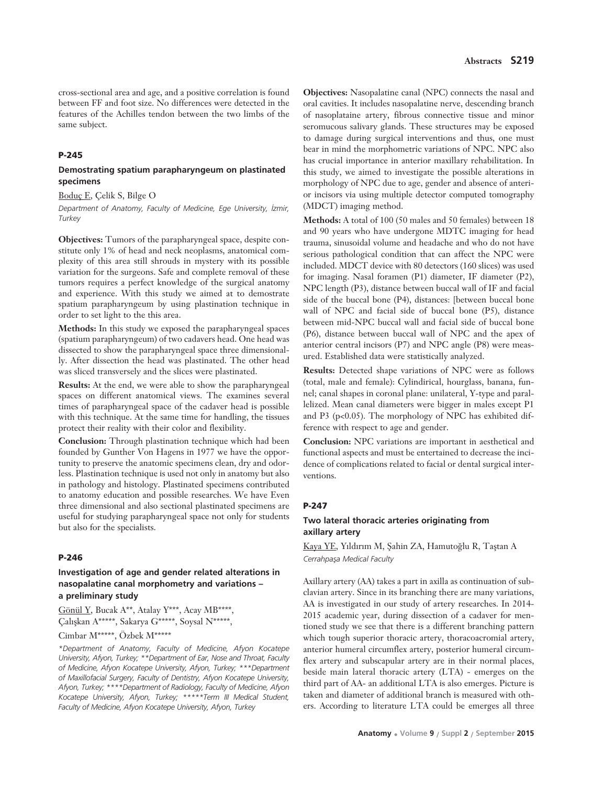cross-sectional area and age, and a positive correlation is found between FF and foot size. No differences were detected in the features of the Achilles tendon between the two limbs of the same subject.

#### **P-245**

### **Demostrating spatium parapharyngeum on plastinated specimens**

#### Boduç E, Çelik S, Bilge O

*Department of Anatomy, Faculty of Medicine, Ege University, ‹zmir, Turkey*

**Objectives:** Tumors of the parapharyngeal space, despite constitute only 1% of head and neck neoplasms, anatomical complexity of this area still shrouds in mystery with its possible variation for the surgeons. Safe and complete removal of these tumors requires a perfect knowledge of the surgical anatomy and experience. With this study we aimed at to demostrate spatium parapharyngeum by using plastination technique in order to set light to the this area.

**Methods:** In this study we exposed the parapharyngeal spaces (spatium parapharyngeum) of two cadavers head. One head was dissected to show the parapharyngeal space three dimensionally. After dissection the head was plastinated. The other head was sliced transversely and the slices were plastinated.

**Results:** At the end, we were able to show the parapharyngeal spaces on different anatomical views. The examines several times of parapharyngeal space of the cadaver head is possible with this technique. At the same time for handling, the tissues protect their reality with their color and flexibility.

**Conclusion:** Through plastination technique which had been founded by Gunther Von Hagens in 1977 we have the opportunity to preserve the anatomic specimens clean, dry and odorless. Plastination technique is used not only in anatomy but also in pathology and histology. Plastinated specimens contributed to anatomy education and possible researches. We have Even three dimensional and also sectional plastinated specimens are useful for studying parapharyngeal space not only for students but also for the specialists.

#### **P-246**

# **Investigation of age and gender related alterations in nasopalatine canal morphometry and variations – a preliminary study**

Gönül Y, Bucak A\*\*, Atalay Y\*\*\*, Acay MB\*\*\*\*, Çalışkan A\*\*\*\*\*, Sakarya G\*\*\*\*\*, Soysal N\*\*\*\*\*,

# Cimbar M\*\*\*\*\*, Özbek M\*\*\*\*\*

*\*Department of Anatomy, Faculty of Medicine, Afyon Kocatepe University, Afyon, Turkey; \*\*Department of Ear, Nose and Throat, Faculty of Medicine, Afyon Kocatepe University, Afyon, Turkey; \*\*\*Department of Maxillofacial Surgery, Faculty of Dentistry, Afyon Kocatepe University, Afyon, Turkey; \*\*\*\*Department of Radiology, Faculty of Medicine, Afyon Kocatepe University, Afyon, Turkey; \*\*\*\*\*Term III Medical Student, Faculty of Medicine, Afyon Kocatepe University, Afyon, Turkey* 

**Objectives:** Nasopalatine canal (NPC) connects the nasal and oral cavities. It includes nasopalatine nerve, descending branch of nasoplataine artery, fibrous connective tissue and minor seromucous salivary glands. These structures may be exposed to damage during surgical interventions and thus, one must bear in mind the morphometric variations of NPC. NPC also has crucial importance in anterior maxillary rehabilitation. In this study, we aimed to investigate the possible alterations in morphology of NPC due to age, gender and absence of anterior incisors via using multiple detector computed tomography (MDCT) imaging method.

**Methods:** A total of 100 (50 males and 50 females) between 18 and 90 years who have undergone MDTC imaging for head trauma, sinusoidal volume and headache and who do not have serious pathological condition that can affect the NPC were included. MDCT device with 80 detectors (160 slices) was used for imaging. Nasal foramen (P1) diameter, IF diameter (P2), NPC length (P3), distance between buccal wall of IF and facial side of the buccal bone (P4), distances: [between buccal bone wall of NPC and facial side of buccal bone (P5), distance between mid-NPC buccal wall and facial side of buccal bone (P6), distance between buccal wall of NPC and the apex of anterior central incisors (P7) and NPC angle (P8) were measured. Established data were statistically analyzed.

**Results:** Detected shape variations of NPC were as follows (total, male and female): Cylindirical, hourglass, banana, funnel; canal shapes in coronal plane: unilateral, Y-type and parallelized. Mean canal diameters were bigger in males except P1 and P3 (p<0.05). The morphology of NPC has exhibited difference with respect to age and gender.

**Conclusion:** NPC variations are important in aesthetical and functional aspects and must be entertained to decrease the incidence of complications related to facial or dental surgical interventions.

#### **P-247**

# **Two lateral thoracic arteries originating from axillary artery**

Kaya YE, Yıldırım M, Şahin ZA, Hamutoğlu R, Taştan A *Cerrahpafla Medical Faculty*

Axillary artery (AA) takes a part in axilla as continuation of subclavian artery. Since in its branching there are many variations, AA is investigated in our study of artery researches. In 2014- 2015 academic year, during dissection of a cadaver for mentioned study we see that there is a different branching pattern which tough superior thoracic artery, thoracoacromial artery, anterior humeral circumflex artery, posterior humeral circumflex artery and subscapular artery are in their normal places, beside main lateral thoracic artery (LTA) - emerges on the third part of AA- an additional LTA is also emerges. Picture is taken and diameter of additional branch is measured with others. According to literature LTA could be emerges all three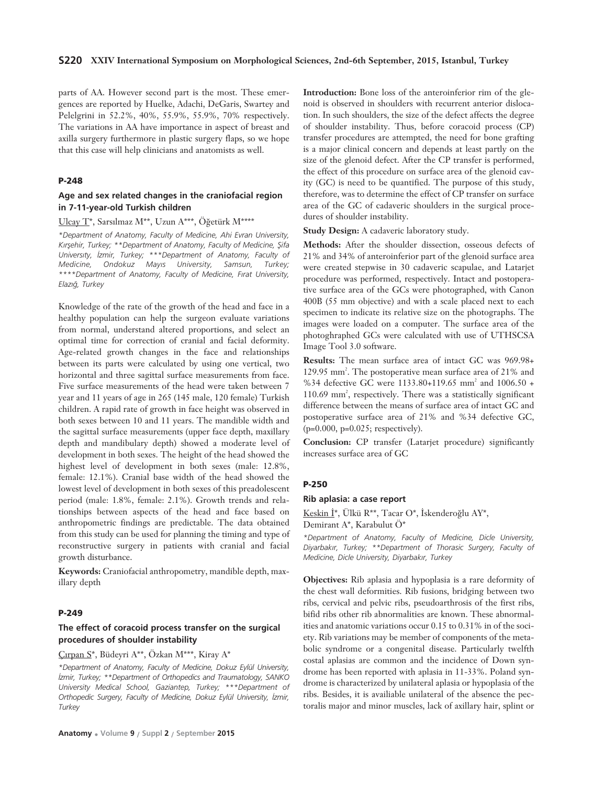parts of AA. However second part is the most. These emergences are reported by Huelke, Adachi, DeGaris, Swartey and Pelelgrini in 52.2%, 40%, 55.9%, 55.9%, 70% respectively. The variations in AA have importance in aspect of breast and axilla surgery furthermore in plastic surgery flaps, so we hope that this case will help clinicians and anatomists as well.

### **P-248**

## **Age and sex related changes in the craniofacial region in 7-11-year-old Turkish children**

#### Ulcay T\*, Sarsılmaz M\*\*, Uzun A\*\*\*, Öğetürk M\*\*\*\*

*\*Department of Anatomy, Faculty of Medicine, Ahi Evran University,* Kırşehir, Turkey; \*\*Department of Anatomy, Faculty of Medicine, Şifa University, *Izmir*, Turkey; \*\*\*Department of Anatomy, Faculty of *Medicine, Ondokuz May›s University, Samsun, Turkey; \*\*\*\*Department of Anatomy, Faculty of Medicine, F›rat University, Elaz›¤, Turkey*

Knowledge of the rate of the growth of the head and face in a healthy population can help the surgeon evaluate variations from normal, understand altered proportions, and select an optimal time for correction of cranial and facial deformity. Age-related growth changes in the face and relationships between its parts were calculated by using one vertical, two horizontal and three sagittal surface measurements from face. Five surface measurements of the head were taken between 7 year and 11 years of age in 265 (145 male, 120 female) Turkish children. A rapid rate of growth in face height was observed in both sexes between 10 and 11 years. The mandible width and the sagittal surface measurements (upper face depth, maxillary depth and mandibulary depth) showed a moderate level of development in both sexes. The height of the head showed the highest level of development in both sexes (male: 12.8%, female: 12.1%). Cranial base width of the head showed the lowest level of development in both sexes of this preadolescent period (male: 1.8%, female: 2.1%). Growth trends and relationships between aspects of the head and face based on anthropometric findings are predictable. The data obtained from this study can be used for planning the timing and type of reconstructive surgery in patients with cranial and facial growth disturbance.

**Keywords:** Craniofacial anthropometry, mandible depth, maxillary depth

# **P-249**

# **The effect of coracoid process transfer on the surgical procedures of shoulder instability**

# Çırpan S\*, Büdeyri A\*\*, Özkan M\*\*\*, Kiray A\*

*\*Department of Anatomy, Faculty of Medicine, Dokuz Eylül University, ‹zmir, Turkey; \*\*Department of Orthopedics and Traumatology, SANKO University Medical School, Gaziantep, Turkey; \*\*\*Department of Orthopedic Surgery, Faculty of Medicine, Dokuz Eylül University, ‹zmir, Turkey* 

**Introduction:** Bone loss of the anteroinferior rim of the glenoid is observed in shoulders with recurrent anterior dislocation. In such shoulders, the size of the defect affects the degree of shoulder instability. Thus, before coracoid process (CP) transfer procedures are attempted, the need for bone grafting is a major clinical concern and depends at least partly on the size of the glenoid defect. After the CP transfer is performed, the effect of this procedure on surface area of the glenoid cavity (GC) is need to be quantified. The purpose of this study, therefore, was to determine the effect of CP transfer on surface area of the GC of cadaveric shoulders in the surgical procedures of shoulder instability.

**Study Design:** A cadaveric laboratory study.

**Methods:** After the shoulder dissection, osseous defects of 21% and 34% of anteroinferior part of the glenoid surface area were created stepwise in 30 cadaveric scapulae, and Latarjet procedure was performed, respectively. Intact and postoperative surface area of the GCs were photographed, with Canon 400B (55 mm objective) and with a scale placed next to each specimen to indicate its relative size on the photographs. The images were loaded on a computer. The surface area of the photoghraphed GCs were calculated with use of UTHSCSA Image Tool 3.0 software.

**Results:** The mean surface area of intact GC was 969.98+ 129.95 mm<sup>2</sup>. The postoperative mean surface area of 21% and %34 defective GC were 1133.80+119.65 mm<sup>2</sup> and 1006.50 + 110.69 mm<sup>2</sup>, respectively. There was a statistically significant difference between the means of surface area of intact GC and postoperative surface area of 21% and %34 defective GC, (p=0.000, p=0.025; respectively).

**Conclusion:** CP transfer (Latarjet procedure) significantly increases surface area of GC

#### **P-250**

#### **Rib aplasia: a case report**

Keskin İ\*, Ülkü R\*\*, Tacar O\*, İskenderoğlu AY\*, Demirant A\*, Karabulut Ö\*

*\*Department of Anatomy, Faculty of Medicine, Dicle University, Diyarbak›r, Turkey; \*\*Department of Thorasic Surgery, Faculty of Medicine, Dicle University, Diyarbak›r, Turkey*

**Objectives:** Rib aplasia and hypoplasia is a rare deformity of the chest wall deformities. Rib fusions, bridging between two ribs, cervical and pelvic ribs, pseudoarthrosis of the first ribs, bifid ribs other rib abnormalities are known. These abnormalities and anatomic variations occur 0.15 to 0.31% in of the society. Rib variations may be member of components of the metabolic syndrome or a congenital disease. Particularly twelfth costal aplasias are common and the incidence of Down syndrome has been reported with aplasia in 11-33%. Poland syndrome is characterized by unilateral aplasia or hypoplasia of the ribs. Besides, it is availiable unilateral of the absence the pectoralis major and minor muscles, lack of axillary hair, splint or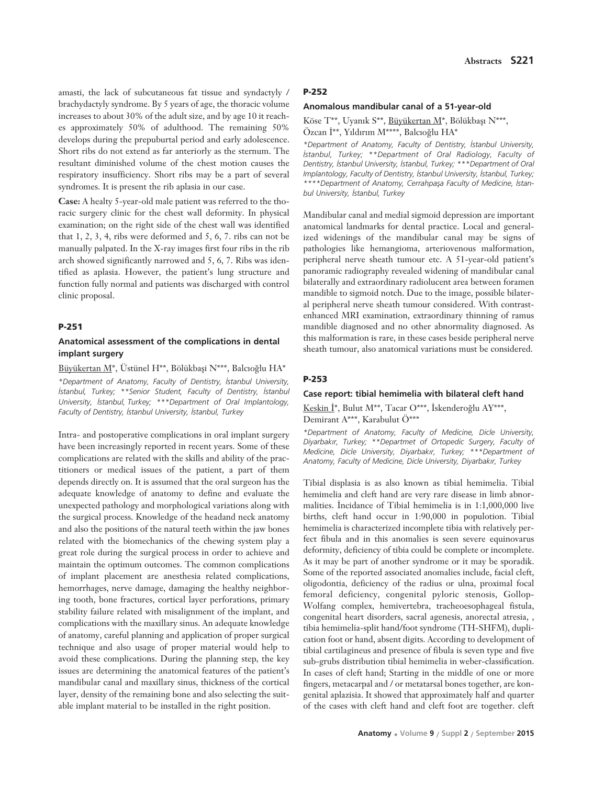amasti, the lack of subcutaneous fat tissue and syndactyly / brachydactyly syndrome. By 5 years of age, the thoracic volume increases to about 30% of the adult size, and by age 10 it reaches approximately 50% of adulthood. The remaining 50% develops during the prepuburtal period and early adolescence. Short ribs do not extend as far anteriorly as the sternum. The resultant diminished volume of the chest motion causes the respiratory insufficiency. Short ribs may be a part of several syndromes. It is present the rib aplasia in our case.

**Case:** A healty 5-year-old male patient was referred to the thoracic surgery clinic for the chest wall deformity. In physical examination; on the right side of the chest wall was identified that 1, 2, 3, 4, ribs were deformed and 5, 6, 7. ribs can not be manually palpated. In the X-ray images first four ribs in the rib arch showed significantly narrowed and 5, 6, 7. Ribs was identified as aplasia. However, the patient's lung structure and function fully normal and patients was discharged with control clinic proposal.

### **P-251**

# **Anatomical assessment of the complications in dental implant surgery**

# Büyükertan M\*, Üstünel H\*\*, Bölükbaşi N\*\*\*, Balcıoğlu HA\*

*\*Department of Anatomy, Faculty of Dentistry, ‹stanbul University, istanbul, Turkey; \*\*Senior Student, Faculty of Dentistry, İstanbul University, ‹stanbul, Turkey; \*\*\*Department of Oral Implantology, Faculty of Dentistry, ‹stanbul University, ‹stanbul, Turkey*

Intra- and postoperative complications in oral implant surgery have been increasingly reported in recent years. Some of these complications are related with the skills and ability of the practitioners or medical issues of the patient, a part of them depends directly on. It is assumed that the oral surgeon has the adequate knowledge of anatomy to define and evaluate the unexpected pathology and morphological variations along with the surgical process. Knowledge of the headand neck anatomy and also the positions of the natural teeth within the jaw bones related with the biomechanics of the chewing system play a great role during the surgical process in order to achieve and maintain the optimum outcomes. The common complications of implant placement are anesthesia related complications, hemorrhages, nerve damage, damaging the healthy neighboring tooth, bone fractures, cortical layer perforations, primary stability failure related with misalignment of the implant, and complications with the maxillary sinus. An adequate knowledge of anatomy, careful planning and application of proper surgical technique and also usage of proper material would help to avoid these complications. During the planning step, the key issues are determining the anatomical features of the patient's mandibular canal and maxillary sinus, thickness of the cortical layer, density of the remaining bone and also selecting the suitable implant material to be installed in the right position.

### **P-252**

### **Anomalous mandibular canal of a 51-year-old**

Köse T\*\*, Uyanık S\*\*, Büyükertan M\*, Bölükbaşı N\*\*\*, Özcan İ\*\*, Yıldırım M\*\*\*\*, Balcıoğlu HA\*

*\*Department of Anatomy, Faculty of Dentistry, ‹stanbul University, istanbul, Turkey; \*\*Department of Oral Radiology, Faculty of Dentistry, ‹stanbul University, ‹stanbul, Turkey; \*\*\*Department of Oral Implantology, Faculty of Dentistry, ‹stanbul University, ‹stanbul, Turkey;* \*\*\*\*Department of Anatomy, Cerrahpasa Faculty of Medicine, Istan*bul University, ‹stanbul, Turkey*

Mandibular canal and medial sigmoid depression are important anatomical landmarks for dental practice. Local and generalized widenings of the mandibular canal may be signs of pathologies like hemangioma, arteriovenous malformation, peripheral nerve sheath tumour etc. A 51-year-old patient's panoramic radiography revealed widening of mandibular canal bilaterally and extraordinary radiolucent area between foramen mandible to sigmoid notch. Due to the image, possible bilateral peripheral nerve sheath tumour considered. With contrastenhanced MRI examination, extraordinary thinning of ramus mandible diagnosed and no other abnormality diagnosed. As this malformation is rare, in these cases beside peripheral nerve sheath tumour, also anatomical variations must be considered.

#### **P-253**

## **Case report: tibial hemimelia with bilateral cleft hand**

Keskin İ\*, Bulut M\*\*, Tacar O\*\*\*, İskenderoğlu AY\*\*\*, Demirant A\*\*\*, Karabulut Ö\*\*\*

*\*Department of Anatomy, Faculty of Medicine, Dicle University, Diyarbak›r, Turkey; \*\*Departmet of Ortopedic Surgery, Faculty of Medicine, Dicle University, Diyarbak›r, Turkey; \*\*\*Department of Anatomy, Faculty of Medicine, Dicle University, Diyarbak›r, Turkey*

Tibial displasia is as also known as tibial hemimelia. Tibial hemimelia and cleft hand are very rare disease in limb abnormalities. Incidance of Tibial hemimelia is in  $1:1,000,000$  live births, cleft hand occur in 1:90,000 in populotion. Tibial hemimelia is characterized incomplete tibia with relatively perfect fibula and in this anomalies is seen severe equinovarus deformity, deficiency of tibia could be complete or incomplete. As it may be part of another syndrome or it may be sporadik. Some of the reported associated anomalies include, facial cleft, oligodontia, deficiency of the radius or ulna, proximal focal femoral deficiency, congenital pyloric stenosis, Gollop-Wolfang complex, hemivertebra, tracheoesophageal fistula, congenital heart disorders, sacral agenesis, anorectal atresia, , tibia hemimelia-split hand/foot syndrome (TH-SHFM), duplication foot or hand, absent digits. According to development of tibial cartilagineus and presence of fibula is seven type and five sub-grubs distribution tibial hemimelia in weber-classification. In cases of cleft hand; Starting in the middle of one or more fingers, metacarpal and / or metatarsal bones together, are kongenital aplazisia. It showed that approximately half and quarter of the cases with cleft hand and cleft foot are together. cleft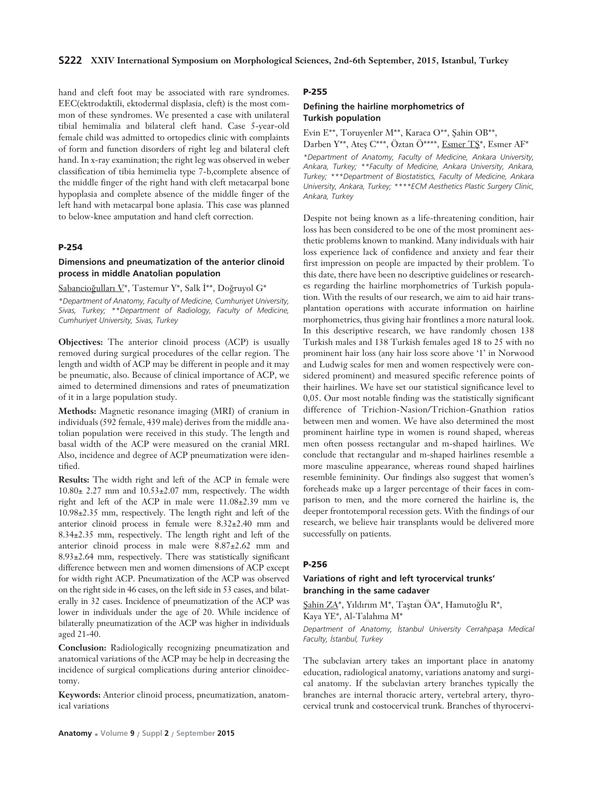hand and cleft foot may be associated with rare syndromes. EEC(ektrodaktili, ektodermal displasia, cleft) is the most common of these syndromes. We presented a case with unilateral tibial hemimalia and bilateral cleft hand. Case 5-year-old female child was admitted to ortopedics clinic with complaints of form and function disorders of right leg and bilateral cleft hand. In x-ray examination; the right leg was observed in weber classification of tibia hemimelia type 7-b,complete absence of the middle finger of the right hand with cleft metacarpal bone hypoplasia and complete absence of the middle finger of the left hand with metacarpal bone aplasia. This case was planned to below-knee amputation and hand cleft correction.

# **P-254**

# **Dimensions and pneumatization of the anterior clinoid process in middle Anatolian population**

Sabancioğulları V\*, Tastemur Y\*, Salk İ\*\*, Doğruyol G\*

*\*Department of Anatomy, Faculty of Medicine, Cumhuriyet University, Sivas, Turkey; \*\*Department of Radiology, Faculty of Medicine, Cumhuriyet University, Sivas, Turkey* 

**Objectives:** The anterior clinoid process (ACP) is usually removed during surgical procedures of the cellar region. The length and width of ACP may be different in people and it may be pneumatic, also. Because of clinical importance of ACP, we aimed to determined dimensions and rates of pneumatization of it in a large population study.

**Methods:** Magnetic resonance imaging (MRI) of cranium in individuals (592 female, 439 male) derives from the middle anatolian population were received in this study. The length and basal width of the ACP were measured on the cranial MRI. Also, incidence and degree of ACP pneumatization were identified.

**Results:** The width right and left of the ACP in female were  $10.80\pm 2.27$  mm and  $10.53\pm 2.07$  mm, respectively. The width right and left of the ACP in male were 11.08±2.39 mm ve 10.98±2.35 mm, respectively. The length right and left of the anterior clinoid process in female were 8.32±2.40 mm and 8.34±2.35 mm, respectively. The length right and left of the anterior clinoid process in male were 8.87±2.62 mm and 8.93±2.64 mm, respectively. There was statistically significant difference between men and women dimensions of ACP except for width right ACP. Pneumatization of the ACP was observed on the right side in 46 cases, on the left side in 53 cases, and bilaterally in 32 cases. Incidence of pneumatization of the ACP was lower in individuals under the age of 20. While incidence of bilaterally pneumatization of the ACP was higher in individuals aged 21-40.

**Conclusion:** Radiologically recognizing pneumatization and anatomical variations of the ACP may be help in decreasing the incidence of surgical complications during anterior clinoidectomy.

**Keywords:** Anterior clinoid process, pneumatization, anatomical variations

# **P-255**

# **Defining the hairline morphometrics of Turkish population**

Evin E\*\*, Toruyenler M\*\*, Karaca O\*\*, Şahin OB\*\*,

Darben Y\*\*, Ateş C\*\*\*, Öztan Ö\*\*\*\*, Esmer TŞ\*, Esmer AF\*

*\*Department of Anatomy, Faculty of Medicine, Ankara University, Ankara, Turkey; \*\*Faculty of Medicine, Ankara University, Ankara, Turkey; \*\*\*Department of Biostatistics, Faculty of Medicine, Ankara University, Ankara, Turkey; \*\*\*\*ECM Aesthetics Plastic Surgery Clinic, Ankara, Turkey* 

Despite not being known as a life-threatening condition, hair loss has been considered to be one of the most prominent aesthetic problems known to mankind. Many individuals with hair loss experience lack of confidence and anxiety and fear their first impression on people are impacted by their problem. To this date, there have been no descriptive guidelines or researches regarding the hairline morphometrics of Turkish population. With the results of our research, we aim to aid hair transplantation operations with accurate information on hairline morphometrics, thus giving hair frontlines a more natural look. In this descriptive research, we have randomly chosen 138 Turkish males and 138 Turkish females aged 18 to 25 with no prominent hair loss (any hair loss score above '1' in Norwood and Ludwig scales for men and women respectively were considered prominent) and measured specific reference points of their hairlines. We have set our statistical significance level to 0,05. Our most notable finding was the statistically significant difference of Trichion-Nasion/Trichion-Gnathion ratios between men and women. We have also determined the most prominent hairline type in women is round shaped, whereas men often possess rectangular and m-shaped hairlines. We conclude that rectangular and m-shaped hairlines resemble a more masculine appearance, whereas round shaped hairlines resemble femininity. Our findings also suggest that women's foreheads make up a larger percentage of their faces in comparison to men, and the more cornered the hairline is, the deeper frontotemporal recession gets. With the findings of our research, we believe hair transplants would be delivered more successfully on patients.

### **P-256**

# **Variations of right and left tyrocervical trunks' branching in the same cadaver**

Şahin ZA\*, Yıldırım M\*, Taştan ÖA\*, Hamutoğlu R\*, Kaya YE\*, Al-Talahma M\*

*Department of Anatomy, ‹stanbul University Cerrahpafla Medical Faculty, ‹stanbul, Turkey*

The subclavian artery takes an important place in anatomy education, radiological anatomy, variations anatomy and surgical anatomy. If the subclavian artery branches typically the branches are internal thoracic artery, vertebral artery, thyrocervical trunk and costocervical trunk. Branches of thyrocervi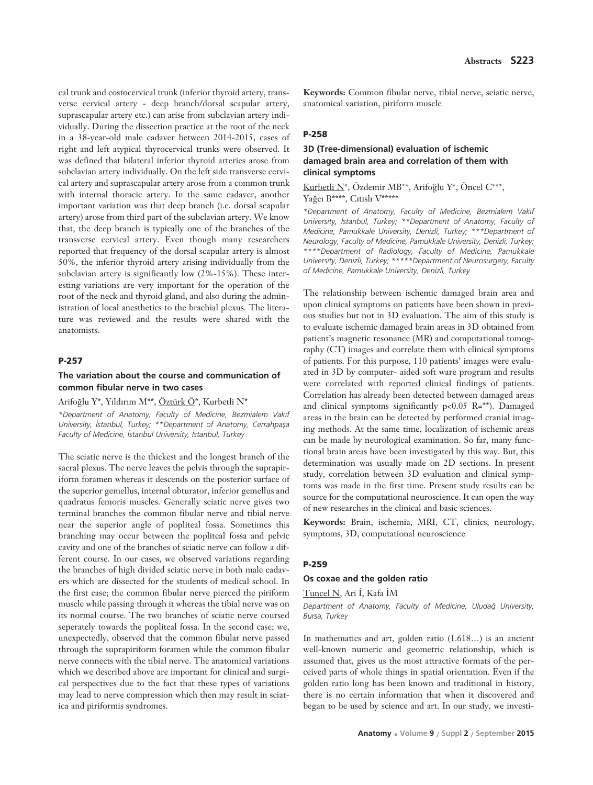cal trunk and costocervical trunk (inferior thyroid artery, transverse cervical artery - deep branch/dorsal scapular artery, suprascapular artery etc.) can arise from subclavian artery individually. During the dissection practice at the root of the neck in a 38-year-old male cadaver between 2014-2015, cases of right and left atypical thyrocervical trunks were observed. It was defined that bilateral inferior thyroid arteries arose from subclavian artery individually. On the left side transverse cervical artery and suprascapular artery arose from a common trunk with internal thoracic artery. In the same cadaver, another important variation was that deep branch (i.e. dorsal scapular artery) arose from third part of the subclavian artery. We know that, the deep branch is typically one of the branches of the transverse cervical artery. Even though many researchers reported that frequency of the dorsal scapular artery is almost 50%, the inferior thyroid artery arising individually from the subclavian artery is significantly low (2%-15%). These interesting variations are very important for the operation of the root of the neck and thyroid gland, and also during the administration of local anesthetics to the brachial plexus. The literature was reviewed and the results were shared with the anatomists.

# **P-257**

### **The variation about the course and communication of common fibular nerve in two cases**

# Arifoğlu Y\*, Yıldırım M\*\*, Öztürk Ö\*, Kurbetli N\*

*\*Department of Anatomy, Faculty of Medicine, Bezmialem Vak›f University, İstanbul, Turkey; \*\*Department of Anatomy, Cerrahpaşa* Faculty of Medicine, *İstanbul University, İstanbul, Turkey* 

The sciatic nerve is the thickest and the longest branch of the sacral plexus. The nerve leaves the pelvis through the suprapiriform foramen whereas it descends on the posterior surface of the superior gemellus, internal obturator, inferior gemellus and quadratus femoris muscles. Generally sciatic nerve gives two terminal branches the common fibular nerve and tibial nerve near the superior angle of popliteal fossa. Sometimes this branching may occur between the popliteal fossa and pelvic cavity and one of the branches of sciatic nerve can follow a different course. In our cases, we observed variations regarding the branches of high divided sciatic nerve in both male cadavers which are dissected for the students of medical school. In the first case; the common fibular nerve pierced the piriform muscle while passing through it whereas the tibial nerve was on its normal course. The two branches of sciatic nerve coursed seperately towards the popliteal fossa. In the second case; we, unexpectedly, observed that the common fibular nerve passed through the suprapiriform foramen while the common fibular nerve connects with the tibial nerve. The anatomical variations which we described above are important for clinical and surgical perspectives due to the fact that these types of variations may lead to nerve compression which then may result in sciatica and piriformis syndromes.

**Keywords:** Common fibular nerve, tibial nerve, sciatic nerve, anatomical variation, piriform muscle

### **P-258**

# **3D (Tree-dimensional) evaluation of ischemic damaged brain area and correlation of them with clinical symptoms**

Kurbetli N\*, Özdemir MB\*\*, Arifoğlu Y\*, Öncel C\*\*\*, Yağcı B\*\*\*\*, Cıtıslı V\*\*\*\*\*

*\*Department of Anatomy, Faculty of Medicine, Bezmialem Vak›f University, ‹stanbul, Turkey; \*\*Department of Anatomy, Faculty of Medicine, Pamukkale University, Denizli, Turkey; \*\*\*Department of Neurology, Faculty of Medicine, Pamukkale University, Denizli, Turkey; \*\*\*\*Department of Radiology, Faculty of Medicine, Pamukkale University, Denizli, Turkey; \*\*\*\*\*Department of Neurosurgery, Faculty of Medicine, Pamukkale University, Denizli, Turkey* 

The relationship between ischemic damaged brain area and upon clinical symptoms on patients have been shown in previous studies but not in 3D evaluation. The aim of this study is to evaluate ischemic damaged brain areas in 3D obtained from patient's magnetic resonance (MR) and computational tomography (CT) images and correlate them with clinical symptoms of patients. For this purpose, 110 patients' images were evaluated in 3D by computer- aided soft ware program and results were correlated with reported clinical findings of patients. Correlation has already been detected between damaged areas and clinical symptoms significantly  $p<0.05$  R=\*\*). Damaged areas in the brain can be detected by performed cranial imaging methods. At the same time, localization of ischemic areas can be made by neurological examination. So far, many functional brain areas have been investigated by this way. But, this determination was usually made on 2D sections. In present study, correlation between 3D evaluation and clinical symptoms was made in the first time. Present study results can be source for the computational neuroscience. It can open the way of new researches in the clinical and basic sciences.

**Keywords:** Brain, ischemia, MRI, CT, clinics, neurology, symptoms, 3D, computational neuroscience

#### **P-259**

### **Os coxae and the golden ratio**

Tuncel N, Ari İ, Kafa İM

*Department of Anatomy, Faculty of Medicine, Uluda¤ University, Bursa, Turkey* 

In mathematics and art, golden ratio (1.618…) is an ancient well-known numeric and geometric relationship, which is assumed that, gives us the most attractive formats of the perceived parts of whole things in spatial orientation. Even if the golden ratio long has been known and traditional in history, there is no certain information that when it discovered and began to be used by science and art. In our study, we investi-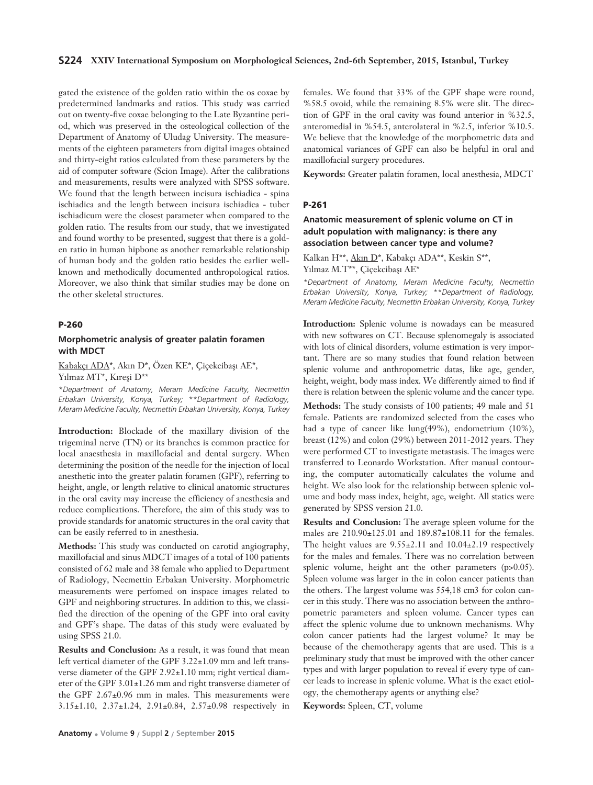### **S224 XXIV International Symposium on Morphological Sciences, 2nd-6th September, 2015, Istanbul, Turkey**

gated the existence of the golden ratio within the os coxae by predetermined landmarks and ratios. This study was carried out on twenty-five coxae belonging to the Late Byzantine period, which was preserved in the osteological collection of the Department of Anatomy of Uludag University. The measurements of the eighteen parameters from digital images obtained and thirty-eight ratios calculated from these parameters by the aid of computer software (Scion Image). After the calibrations and measurements, results were analyzed with SPSS software. We found that the length between incisura ischiadica - spina ischiadica and the length between incisura ischiadica - tuber ischiadicum were the closest parameter when compared to the golden ratio. The results from our study, that we investigated and found worthy to be presented, suggest that there is a golden ratio in human hipbone as another remarkable relationship of human body and the golden ratio besides the earlier wellknown and methodically documented anthropological ratios. Moreover, we also think that similar studies may be done on the other skeletal structures.

#### **P-260**

## **Morphometric analysis of greater palatin foramen with MDCT**

Kabakçı ADA\*, Akın D\*, Özen KE\*, Çiçekcibaşı AE\*,

Yılmaz MT\*, Kıreşi D\*\*

*\*Department of Anatomy, Meram Medicine Faculty, Necmettin Erbakan University, Konya, Turkey; \*\*Department of Radiology, Meram Medicine Faculty, Necmettin Erbakan University, Konya, Turkey* 

**Introduction:** Blockade of the maxillary division of the trigeminal nerve (TN) or its branches is common practice for local anaesthesia in maxillofacial and dental surgery. When determining the position of the needle for the injection of local anesthetic into the greater palatin foramen (GPF), referring to height, angle, or length relative to clinical anatomic structures in the oral cavity may increase the efficiency of anesthesia and reduce complications. Therefore, the aim of this study was to provide standards for anatomic structures in the oral cavity that can be easily referred to in anesthesia.

**Methods:** This study was conducted on carotid angiography, maxillofacial and sinus MDCT images of a total of 100 patients consisted of 62 male and 38 female who applied to Department of Radiology, Necmettin Erbakan University. Morphometric measurements were perfomed on inspace images related to GPF and neighboring structures. In addition to this, we classified the direction of the opening of the GPF into oral cavity and GPF's shape. The datas of this study were evaluated by using SPSS 21.0.

**Results and Conclusion:** As a result, it was found that mean left vertical diameter of the GPF 3.22±1.09 mm and left transverse diameter of the GPF 2.92±1.10 mm; right vertical diameter of the GPF 3.01±1.26 mm and right transverse diameter of the GPF 2.67±0.96 mm in males. This measurements were 3.15±1.10, 2.37±1.24, 2.91±0.84, 2.57±0.98 respectively in

females. We found that 33% of the GPF shape were round, %58.5 ovoid, while the remaining 8.5% were slit. The direction of GPF in the oral cavity was found anterior in %32.5, anteromedial in %54.5, anterolateral in %2.5, inferior %10.5. We believe that the knowledge of the morphometric data and anatomical variances of GPF can also be helpful in oral and maxillofacial surgery procedures.

**Keywords:** Greater palatin foramen, local anesthesia, MDCT

# **P-261**

# **Anatomic measurement of splenic volume on CT in adult population with malignancy: is there any association between cancer type and volume?**

Kalkan H<sup>\*\*</sup>, Akın D<sup>\*</sup>, Kabakçı ADA<sup>\*\*</sup>, Keskin S<sup>\*\*</sup>, Yılmaz M.T\*\*, Çiçekcibaşı AE\*

*\*Department of Anatomy, Meram Medicine Faculty, Necmettin Erbakan University, Konya, Turkey; \*\*Department of Radiology, Meram Medicine Faculty, Necmettin Erbakan University, Konya, Turkey* 

**Introduction:** Splenic volume is nowadays can be measured with new softwares on CT. Because splenomegaly is associated with lots of clinical disorders, volume estimation is very important. There are so many studies that found relation between splenic volume and anthropometric datas, like age, gender, height, weight, body mass index. We differently aimed to find if there is relation between the splenic volume and the cancer type.

**Methods:** The study consists of 100 patients; 49 male and 51 female. Patients are randomized selected from the cases who had a type of cancer like lung(49%), endometrium (10%), breast (12%) and colon (29%) between 2011-2012 years. They were performed CT to investigate metastasis. The images were transferred to Leonardo Workstation. After manual contouring, the computer automatically calculates the volume and height. We also look for the relationship between splenic volume and body mass index, height, age, weight. All statics were generated by SPSS version 21.0.

**Results and Conclusion:** The average spleen volume for the males are 210.90±125.01 and 189.87±108.11 for the females. The height values are 9.55±2.11 and 10.04±2.19 respectively for the males and females. There was no correlation between splenic volume, height ant the other parameters (p>0.05). Spleen volume was larger in the in colon cancer patients than the others. The largest volume was 554,18 cm3 for colon cancer in this study. There was no association between the anthropometric parameters and spleen volume. Cancer types can affect the splenic volume due to unknown mechanisms. Why colon cancer patients had the largest volume? It may be because of the chemotherapy agents that are used. This is a preliminary study that must be improved with the other cancer types and with larger population to reveal if every type of cancer leads to increase in splenic volume. What is the exact etiology, the chemotherapy agents or anything else?

**Keywords:** Spleen, CT, volume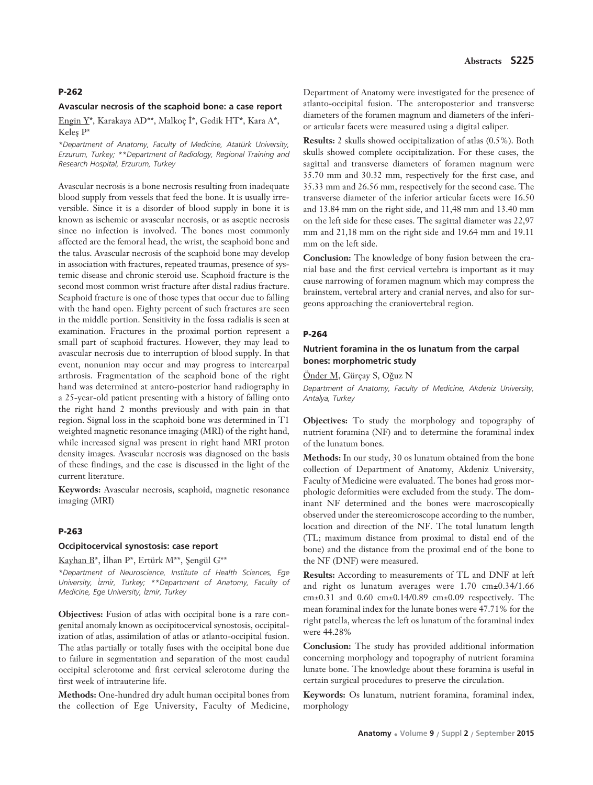#### **Avascular necrosis of the scaphoid bone: a case report**

Engin Y\*, Karakaya AD\*\*, Malkoç İ\*, Gedik HT\*, Kara A\*, Keles P\*

*\*Department of Anatomy, Faculty of Medicine, Atatürk University, Erzurum, Turkey; \*\*Department of Radiology, Regional Training and Research Hospital, Erzurum, Turkey*

Avascular necrosis is a bone necrosis resulting from inadequate blood supply from vessels that feed the bone. It is usually irreversible. Since it is a disorder of blood supply in bone it is known as ischemic or avascular necrosis, or as aseptic necrosis since no infection is involved. The bones most commonly affected are the femoral head, the wrist, the scaphoid bone and the talus. Avascular necrosis of the scaphoid bone may develop in association with fractures, repeated traumas, presence of systemic disease and chronic steroid use. Scaphoid fracture is the second most common wrist fracture after distal radius fracture. Scaphoid fracture is one of those types that occur due to falling with the hand open. Eighty percent of such fractures are seen in the middle portion. Sensitivity in the fossa radialis is seen at examination. Fractures in the proximal portion represent a small part of scaphoid fractures. However, they may lead to avascular necrosis due to interruption of blood supply. In that event, nonunion may occur and may progress to intercarpal arthrosis. Fragmentation of the scaphoid bone of the right hand was determined at antero-posterior hand radiography in a 25-year-old patient presenting with a history of falling onto the right hand 2 months previously and with pain in that region. Signal loss in the scaphoid bone was determined in T1 weighted magnetic resonance imaging (MRI) of the right hand, while increased signal was present in right hand MRI proton density images. Avascular necrosis was diagnosed on the basis of these findings, and the case is discussed in the light of the current literature.

**Keywords:** Avascular necrosis, scaphoid, magnetic resonance imaging (MRI)

#### **P-263**

#### **Occipitocervical synostosis: case report**

Kayhan B<sup>\*</sup>, İlhan P<sup>\*</sup>, Ertürk M<sup>\*\*</sup>, Şengül G<sup>\*\*</sup>

*\*Department of Neuroscience, Institute of Health Sciences, Ege University, ‹zmir, Turkey; \*\*Department of Anatomy, Faculty of Medicine, Ege University, ‹zmir, Turkey*

**Objectives:** Fusion of atlas with occipital bone is a rare congenital anomaly known as occipitocervical synostosis, occipitalization of atlas, assimilation of atlas or atlanto-occipital fusion. The atlas partially or totally fuses with the occipital bone due to failure in segmentation and separation of the most caudal occipital sclerotome and first cervical sclerotome during the first week of intrauterine life.

**Methods:** One-hundred dry adult human occipital bones from the collection of Ege University, Faculty of Medicine,

Department of Anatomy were investigated for the presence of atlanto-occipital fusion. The anteroposterior and transverse diameters of the foramen magnum and diameters of the inferior articular facets were measured using a digital caliper.

**Results:** 2 skulls showed occipitalization of atlas (0.5%). Both skulls showed complete occipitalization. For these cases, the sagittal and transverse diameters of foramen magnum were 35.70 mm and 30.32 mm, respectively for the first case, and 35.33 mm and 26.56 mm, respectively for the second case. The transverse diameter of the inferior articular facets were 16.50 and 13.84 mm on the right side, and 11,48 mm and 13.40 mm on the left side for these cases. The sagittal diameter was 22,97 mm and 21,18 mm on the right side and 19.64 mm and 19.11 mm on the left side.

**Conclusion:** The knowledge of bony fusion between the cranial base and the first cervical vertebra is important as it may cause narrowing of foramen magnum which may compress the brainstem, vertebral artery and cranial nerves, and also for surgeons approaching the craniovertebral region.

#### **P-264**

# **Nutrient foramina in the os lunatum from the carpal bones: morphometric study**

Önder M, Gürçay S, Oğuz N

*Department of Anatomy, Faculty of Medicine, Akdeniz University, Antalya, Turkey*

**Objectives:** To study the morphology and topography of nutrient foramina (NF) and to determine the foraminal index of the lunatum bones.

**Methods:** In our study, 30 os lunatum obtained from the bone collection of Department of Anatomy, Akdeniz University, Faculty of Medicine were evaluated. The bones had gross morphologic deformities were excluded from the study. The dominant NF determined and the bones were macroscopically observed under the stereomicroscope according to the number, location and direction of the NF. The total lunatum length (TL; maximum distance from proximal to distal end of the bone) and the distance from the proximal end of the bone to the NF (DNF) were measured.

**Results:** According to measurements of TL and DNF at left and right os lunatum averages were 1.70 cm±0.34/1.66 cm±0.31 and 0.60 cm±0.14/0.89 cm±0.09 respectively. The mean foraminal index for the lunate bones were 47.71% for the right patella, whereas the left os lunatum of the foraminal index were 44.28%

**Conclusion:** The study has provided additional information concerning morphology and topography of nutrient foramina lunate bone. The knowledge about these foramina is useful in certain surgical procedures to preserve the circulation.

**Keywords:** Os lunatum, nutrient foramina, foraminal index, morphology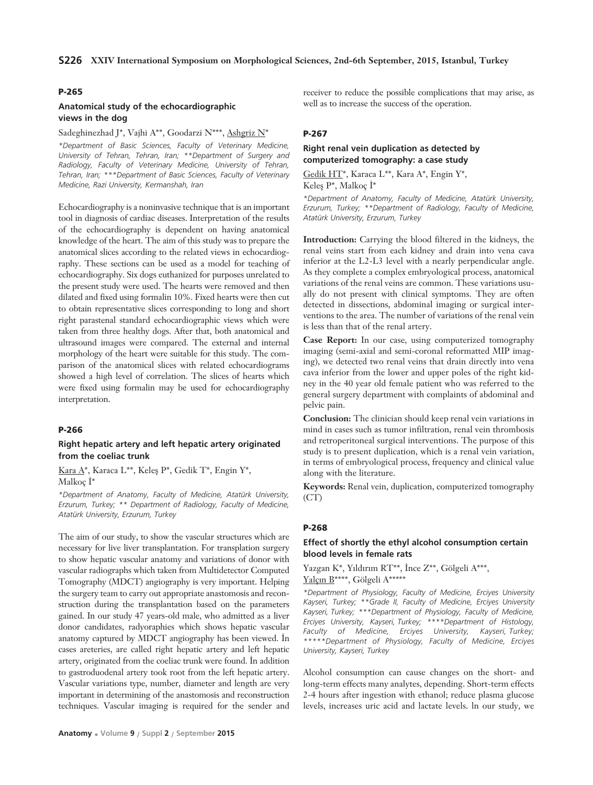# **Anatomical study of the echocardiographic views in the dog**

# Sadeghinezhad J\*, Vajhi A\*\*, Goodarzi N\*\*\*, Ashgriz N\*

*\*Department of Basic Sciences, Faculty of Veterinary Medicine, University of Tehran, Tehran, Iran; \*\*Department of Surgery and Radiology, Faculty of Veterinary Medicine, University of Tehran, Tehran, Iran; \*\*\*Department of Basic Sciences, Faculty of Veterinary Medicine, Razi University, Kermanshah, Iran*

Echocardiography is a noninvasive technique that is an important tool in diagnosis of cardiac diseases. Interpretation of the results of the echocardiography is dependent on having anatomical knowledge of the heart. The aim of this study was to prepare the anatomical slices according to the related views in echocardiography. These sections can be used as a model for teaching of echocardiography. Six dogs euthanized for purposes unrelated to the present study were used. The hearts were removed and then dilated and fixed using formalin 10%. Fixed hearts were then cut to obtain representative slices corresponding to long and short right parastenal standard echocardiographic views which were taken from three healthy dogs. After that, both anatomical and ultrasound images were compared. The external and internal morphology of the heart were suitable for this study. The comparison of the anatomical slices with related echocardiograms showed a high level of correlation. The slices of hearts which were fixed using formalin may be used for echocardiography interpretation.

#### **P-266**

### **Right hepatic artery and left hepatic artery originated from the coeliac trunk**

Kara A\*, Karaca L\*\*, Keleş P\*, Gedik T\*, Engin Y\*, Malkoc $\dot{I}^*$ 

*\*Department of Anatomy, Faculty of Medicine, Atatürk University, Erzurum, Turkey; \*\* Department of Radiology, Faculty of Medicine, Atatürk University, Erzurum, Turkey*

The aim of our study, to show the vascular structures which are necessary for live liver transplantation. For transplation surgery to show hepatic vascular anatomy and variations of donor with vascular radiographs which taken from Multidetector Computed Tomography (MDCT) angiography is very important. Helping the surgery team to carry out appropriate anastomosis and reconstruction during the transplantation based on the parameters gained. In our study 47 years-old male, who admitted as a liver donor candidates, radyoraphies which shows hepatic vascular anatomy captured by MDCT angiography has been viewed. In cases areteries, are called right hepatic artery and left hepatic artery, originated from the coeliac trunk were found. In addition to gastroduodenal artery took root from the left hepatic artery. Vascular variations type, number, diameter and length are very important in determining of the anastomosis and reconstruction techniques. Vascular imaging is required for the sender and receiver to reduce the possible complications that may arise, as well as to increase the success of the operation.

## **P-267**

# **Right renal vein duplication as detected by computerized tomography: a case study**

Gedik HT\*, Karaca L\*\*, Kara A\*, Engin Y\*, Keleş P\*, Malkoç İ\*

*\*Department of Anatomy, Faculty of Medicine, Atatürk University, Erzurum, Turkey; \*\*Department of Radiology, Faculty of Medicine, Atatürk University, Erzurum, Turkey*

**Introduction:** Carrying the blood filtered in the kidneys, the renal veins start from each kidney and drain into vena cava inferior at the L2-L3 level with a nearly perpendicular angle. As they complete a complex embryological process, anatomical variations of the renal veins are common. These variations usually do not present with clinical symptoms. They are often detected in dissections, abdominal imaging or surgical interventions to the area. The number of variations of the renal vein is less than that of the renal artery.

**Case Report:** In our case, using computerized tomography imaging (semi-axial and semi-coronal reformatted MIP imaging), we detected two renal veins that drain directly into vena cava inferior from the lower and upper poles of the right kidney in the 40 year old female patient who was referred to the general surgery department with complaints of abdominal and pelvic pain.

**Conclusion:** The clinician should keep renal vein variations in mind in cases such as tumor infiltration, renal vein thrombosis and retroperitoneal surgical interventions. The purpose of this study is to present duplication, which is a renal vein variation, in terms of embryological process, frequency and clinical value along with the literature.

**Keywords:** Renal vein, duplication, computerized tomography  $(CT)$ 

### **P-268**

# **Effect of shortly the ethyl alcohol consumption certain blood levels in female rats**

Yazgan K\*, Yıldırım RT\*\*, İnce Z\*\*, Gölgeli A\*\*\*, Yalçın B\*\*\*\*, Gölgeli A\*\*\*\*\*

*\*Department of Physiology, Faculty of Medicine, Erciyes University Kayseri, Turkey; \*\*Grade II, Faculty of Medicine, Erciyes University Kayseri, Turkey; \*\*\*Department of Physiology, Faculty of Medicine, Erciyes University, Kayseri, Turkey; \*\*\*\*Department of Histology, Faculty of Medicine, Erciyes University, Kayseri, Turkey; \*\*\*\*\*Department of Physiology, Faculty of Medicine, Erciyes University, Kayseri, Turkey*

Alcohol consumption can cause changes on the short- and long-term effects many analytes, depending. Short-term effects 2-4 hours after ingestion with ethanol; reduce plasma glucose levels, increases uric acid and lactate levels. ln our study, we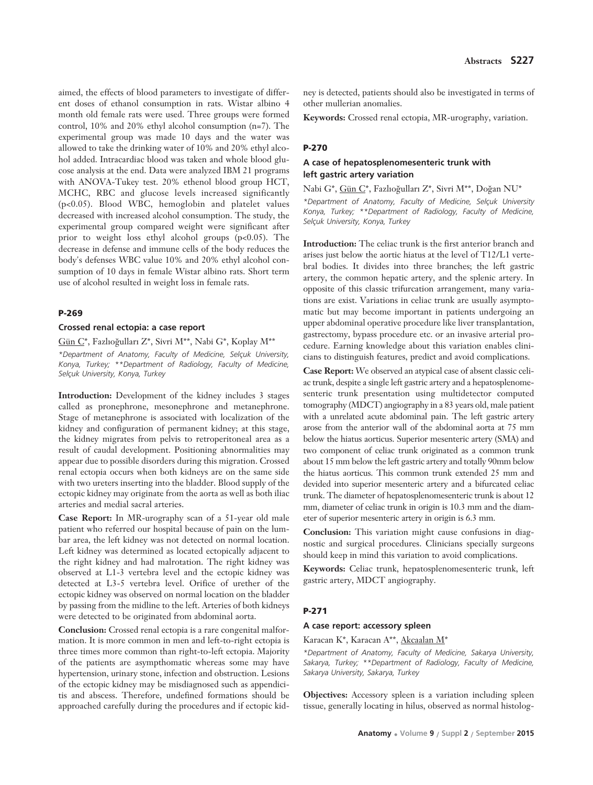aimed, the effects of blood parameters to investigate of different doses of ethanol consumption in rats. Wistar albino 4 month old female rats were used. Three groups were formed control, 10% and 20% ethyl alcohol consumption (n=7). The experimental group was made 10 days and the water was allowed to take the drinking water of 10% and 20% ethyl alcohol added. Intracardiac blood was taken and whole blood glucose analysis at the end. Data were analyzed IBM 21 programs with ANOVA-Tukey test. 20% ethenol blood group HCT, MCHC, RBC and glucose levels increased significantly (p<0.05). Blood WBC, hemoglobin and platelet values decreased with increased alcohol consumption. The study, the experimental group compared weight were significant after prior to weight loss ethyl alcohol groups  $(p<0.05)$ . The decrease in defense and immune cells of the body reduces the body's defenses WBC value 10% and 20% ethyl alcohol consumption of 10 days in female Wistar albino rats. Short term use of alcohol resulted in weight loss in female rats.

### **P-269**

# **Crossed renal ectopia: a case report**

Gün C\*, Fazlıoğulları Z\*, Sivri M\*\*, Nabi G\*, Koplay M\*\* *\*Department of Anatomy, Faculty of Medicine, Selçuk University, Konya, Turkey; \*\*Department of Radiology, Faculty of Medicine, Selçuk University, Konya, Turkey*

**Introduction:** Development of the kidney includes 3 stages called as pronephrone, mesonephrone and metanephrone. Stage of metanephrone is associated with localization of the kidney and configuration of permanent kidney; at this stage, the kidney migrates from pelvis to retroperitoneal area as a result of caudal development. Positioning abnormalities may appear due to possible disorders during this migration. Crossed renal ectopia occurs when both kidneys are on the same side with two ureters inserting into the bladder. Blood supply of the ectopic kidney may originate from the aorta as well as both iliac arteries and medial sacral arteries.

**Case Report:** In MR-urography scan of a 51-year old male patient who referred our hospital because of pain on the lumbar area, the left kidney was not detected on normal location. Left kidney was determined as located ectopically adjacent to the right kidney and had malrotation. The right kidney was observed at L1-3 vertebra level and the ectopic kidney was detected at L3-5 vertebra level. Orifice of urether of the ectopic kidney was observed on normal location on the bladder by passing from the midline to the left. Arteries of both kidneys were detected to be originated from abdominal aorta.

**Conclusion:** Crossed renal ectopia is a rare congenital malformation. It is more common in men and left-to-right ectopia is three times more common than right-to-left ectopia. Majority of the patients are asympthomatic whereas some may have hypertension, urinary stone, infection and obstruction. Lesions of the ectopic kidney may be misdiagnosed such as appendicitis and abscess. Therefore, undefined formations should be approached carefully during the procedures and if ectopic kid-

ney is detected, patients should also be investigated in terms of other mullerian anomalies.

**Keywords:** Crossed renal ectopia, MR-urography, variation.

### **P-270**

# **A case of hepatosplenomesenteric trunk with left gastric artery variation**

Nabi G\*, Gün C\*, Fazlıoğulları Z\*, Sivri M\*\*, Doğan NU\*

*\*Department of Anatomy, Faculty of Medicine, Selçuk University Konya, Turkey; \*\*Department of Radiology, Faculty of Medicine, Selçuk University, Konya, Turkey*

**Introduction:** The celiac trunk is the first anterior branch and arises just below the aortic hiatus at the level of T12/L1 vertebral bodies. It divides into three branches; the left gastric artery, the common hepatic artery, and the splenic artery. In opposite of this classic trifurcation arrangement, many variations are exist. Variations in celiac trunk are usually asymptomatic but may become important in patients undergoing an upper abdominal operative procedure like liver transplantation, gastrectomy, bypass procedure etc. or an invasive arterial procedure. Earning knowledge about this variation enables clinicians to distinguish features, predict and avoid complications.

**Case Report:** We observed an atypical case of absent classic celiac trunk, despite a single left gastric artery and a hepatosplenomesenteric trunk presentation using multidetector computed tomography (MDCT) angiography in a 83 years old, male patient with a unrelated acute abdominal pain. The left gastric artery arose from the anterior wall of the abdominal aorta at 75 mm below the hiatus aorticus. Superior mesenteric artery (SMA) and two component of celiac trunk originated as a common trunk about 15 mm below the left gastric artery and totally 90mm below the hiatus aorticus. This common trunk extended 25 mm and devided into superior mesenteric artery and a bifurcated celiac trunk. The diameter of hepatosplenomesenteric trunk is about 12 mm, diameter of celiac trunk in origin is 10.3 mm and the diameter of superior mesenteric artery in origin is 6.3 mm.

**Conclusion:** This variation might cause confusions in diagnostic and surgical procedures. Clinicians specially surgeons should keep in mind this variation to avoid complications.

**Keywords:** Celiac trunk, hepatosplenomesenteric trunk, left gastric artery, MDCT angiography.

### **P-271**

### **A case report: accessory spleen**

Karacan K\*, Karacan A\*\*, Akcaalan M\*

*\*Department of Anatomy, Faculty of Medicine, Sakarya University, Sakarya, Turkey; \*\*Department of Radiology, Faculty of Medicine, Sakarya University, Sakarya, Turkey*

**Objectives:** Accessory spleen is a variation including spleen tissue, generally locating in hilus, observed as normal histolog-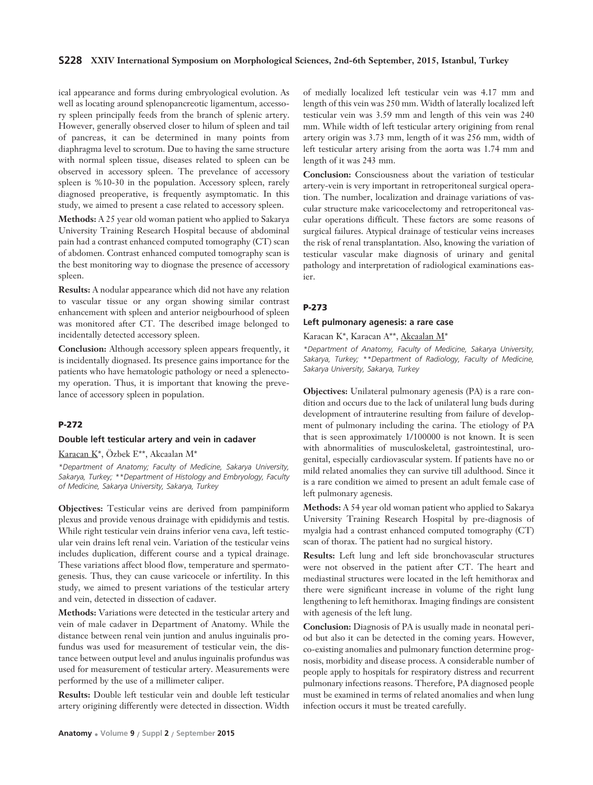### **S228 XXIV International Symposium on Morphological Sciences, 2nd-6th September, 2015, Istanbul, Turkey**

ical appearance and forms during embryological evolution. As well as locating around splenopancreotic ligamentum, accessory spleen principally feeds from the branch of splenic artery. However, generally observed closer to hilum of spleen and tail of pancreas, it can be determined in many points from diaphragma level to scrotum. Due to having the same structure with normal spleen tissue, diseases related to spleen can be observed in accessory spleen. The prevelance of accessory spleen is %10-30 in the population. Accessory spleen, rarely diagnosed preoperative, is frequently asymptomatic. In this study, we aimed to present a case related to accessory spleen.

**Methods:** A 25 year old woman patient who applied to Sakarya University Training Research Hospital because of abdominal pain had a contrast enhanced computed tomography (CT) scan of abdomen. Contrast enhanced computed tomography scan is the best monitoring way to diognase the presence of accessory spleen.

**Results:** A nodular appearance which did not have any relation to vascular tissue or any organ showing similar contrast enhancement with spleen and anterior neigbourhood of spleen was monitored after CT. The described image belonged to incidentally detected accessory spleen.

**Conclusion:** Although accessory spleen appears frequently, it is incidentally diognased. Its presence gains importance for the patients who have hematologic pathology or need a splenectomy operation. Thus, it is important that knowing the prevelance of accessory spleen in population.

# **P-272**

### **Double left testicular artery and vein in cadaver**

Karacan K\*, Özbek E\*\*, Akcaalan M\*

*\*Department of Anatomy; Faculty of Medicine, Sakarya University, Sakarya, Turkey; \*\*Department of Histology and Embryology, Faculty of Medicine, Sakarya University, Sakarya, Turkey*

**Objectives:** Testicular veins are derived from pampiniform plexus and provide venous drainage with epididymis and testis. While right testicular vein drains inferior vena cava, left testicular vein drains left renal vein. Variation of the testicular veins includes duplication, different course and a typical drainage. These variations affect blood flow, temperature and spermatogenesis. Thus, they can cause varicocele or infertility. In this study, we aimed to present variations of the testicular artery and vein, detected in dissection of cadaver.

**Methods:** Variations were detected in the testicular artery and vein of male cadaver in Department of Anatomy. While the distance between renal vein juntion and anulus inguinalis profundus was used for measurement of testicular vein, the distance between output level and anulus inguinalis profundus was used for measurement of testicular artery. Measurements were performed by the use of a millimeter caliper.

**Results:** Double left testicular vein and double left testicular artery origining differently were detected in dissection. Width

of medially localized left testicular vein was 4.17 mm and length of this vein was 250 mm. Width of laterally localized left testicular vein was 3.59 mm and length of this vein was 240 mm. While width of left testicular artery origining from renal artery origin was 3.73 mm, length of it was 256 mm, width of left testicular artery arising from the aorta was 1.74 mm and length of it was 243 mm.

**Conclusion:** Consciousness about the variation of testicular artery-vein is very important in retroperitoneal surgical operation. The number, localization and drainage variations of vascular structure make varicocelectomy and retroperitoneal vascular operations difficult. These factors are some reasons of surgical failures. Atypical drainage of testicular veins increases the risk of renal transplantation. Also, knowing the variation of testicular vascular make diagnosis of urinary and genital pathology and interpretation of radiological examinations easier.

# **P-273**

#### **Left pulmonary agenesis: a rare case**

Karacan K\*, Karacan A\*\*, Akcaalan M\*

*\*Department of Anatomy, Faculty of Medicine, Sakarya University, Sakarya, Turkey; \*\*Department of Radiology, Faculty of Medicine, Sakarya University, Sakarya, Turkey*

**Objectives:** Unilateral pulmonary agenesis (PA) is a rare condition and occurs due to the lack of unilateral lung buds during development of intrauterine resulting from failure of development of pulmonary including the carina. The etiology of PA that is seen approximately 1/100000 is not known. It is seen with abnormalities of musculoskeletal, gastrointestinal, urogenital, especially cardiovascular system. If patients have no or mild related anomalies they can survive till adulthood. Since it is a rare condition we aimed to present an adult female case of left pulmonary agenesis.

**Methods:** A 54 year old woman patient who applied to Sakarya University Training Research Hospital by pre-diagnosis of myalgia had a contrast enhanced computed tomography (CT) scan of thorax. The patient had no surgical history.

**Results:** Left lung and left side bronchovascular structures were not observed in the patient after CT. The heart and mediastinal structures were located in the left hemithorax and there were significant increase in volume of the right lung lengthening to left hemithorax. Imaging findings are consistent with agenesis of the left lung.

**Conclusion:** Diagnosis of PA is usually made in neonatal period but also it can be detected in the coming years. However, co-existing anomalies and pulmonary function determine prognosis, morbidity and disease process. A considerable number of people apply to hospitals for respiratory distress and recurrent pulmonary infections reasons. Therefore, PA diagnosed people must be examined in terms of related anomalies and when lung infection occurs it must be treated carefully.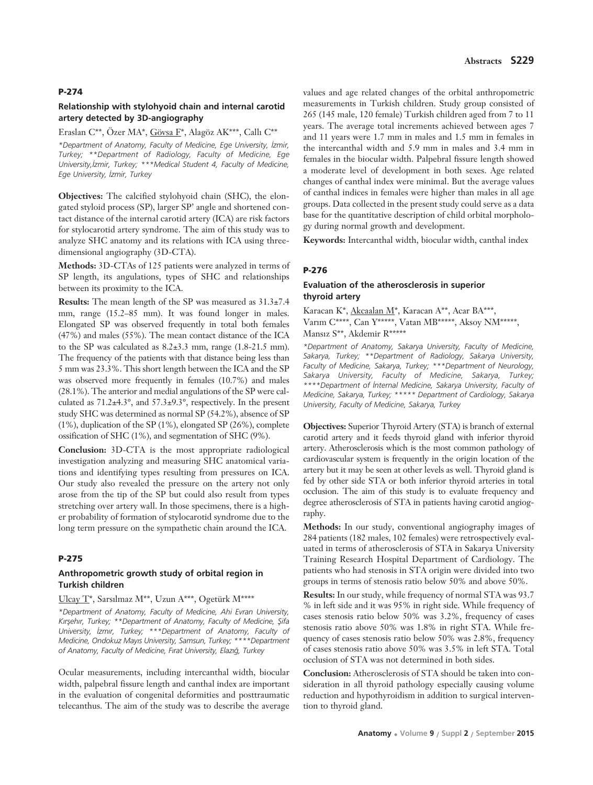# **Relationship with stylohyoid chain and internal carotid artery detected by 3D-angiography**

# Eraslan C\*\*, Özer MA\*, Gövsa F\*, Alagöz AK\*\*\*, Callı C\*\*

*\*Department of Anatomy, Faculty of Medicine, Ege University, ‹zmir, Turkey; \*\*Department of Radiology, Faculty of Medicine, Ege University,‹zmir, Turkey; \*\*\*Medical Student 4, Faculty of Medicine, Ege University, ‹zmir, Turkey* 

**Objectives:** The calcified stylohyoid chain (SHC), the elongated styloid process (SP), larger SP' angle and shortened contact distance of the internal carotid artery (ICA) are risk factors for stylocarotid artery syndrome. The aim of this study was to analyze SHC anatomy and its relations with ICA using threedimensional angiography (3D-CTA).

**Methods:** 3D-CTAs of 125 patients were analyzed in terms of SP length, its angulations, types of SHC and relationships between its proximity to the ICA.

**Results:** The mean length of the SP was measured as 31.3±7.4 mm, range (15.2–85 mm). It was found longer in males. Elongated SP was observed frequently in total both females (47%) and males (55%). The mean contact distance of the ICA to the SP was calculated as 8.2±3.3 mm, range (1.8-21.5 mm). The frequency of the patients with that distance being less than 5 mm was 23.3%. This short length between the ICA and the SP was observed more frequently in females (10.7%) and males (28.1%). The anterior and medial angulations of the SP were calculated as 71.2±4.3°, and 57.3±9.3°, respectively. In the present study SHC was determined as normal SP (54.2%), absence of SP (1%), duplication of the SP (1%), elongated SP (26%), complete ossification of SHC (1%), and segmentation of SHC (9%).

**Conclusion:** 3D-CTA is the most appropriate radiological investigation analyzing and measuring SHC anatomical variations and identifying types resulting from pressures on ICA. Our study also revealed the pressure on the artery not only arose from the tip of the SP but could also result from types stretching over artery wall. In those specimens, there is a higher probability of formation of stylocarotid syndrome due to the long term pressure on the sympathetic chain around the ICA.

# **P-275**

# **Anthropometric growth study of orbital region in Turkish children**

### Ulcay T\*, Sarsılmaz M\*\*, Uzun A\*\*\*, Ogetürk M\*\*\*\*

*\*Department of Anatomy, Faculty of Medicine, Ahi Evran University,* Kırşehır, Turkey; \*\*Department of Anatomy, Faculty of Medicine, Şifa *University, ‹zm›r, Turkey; \*\*\*Department of Anatomy, Faculty of Medicine, Ondokuz May›s University, Samsun, Turkey; \*\*\*\*Department* of Anatomy, Faculty of Medicine, Fırat University, Elazığ, Turkey

Ocular measurements, including intercanthal width, biocular width, palpebral fissure length and canthal index are important in the evaluation of congenital deformities and posttraumatic telecanthus. The aim of the study was to describe the average

values and age related changes of the orbital anthropometric measurements in Turkish children. Study group consisted of 265 (145 male, 120 female) Turkish children aged from 7 to 11 years. The average total increments achieved between ages 7 and 11 years were 1.7 mm in males and 1.5 mm in females in the intercanthal width and 5.9 mm in males and 3.4 mm in females in the biocular width. Palpebral fissure length showed a moderate level of development in both sexes. Age related changes of canthal index were minimal. But the average values of canthal indices in females were higher than males in all age groups. Data collected in the present study could serve as a data base for the quantitative description of child orbital morphology during normal growth and development.

**Keywords:** Intercanthal width, biocular width, canthal index

### **P-276**

# **Evaluation of the atherosclerosis in superior thyroid artery**

Karacan K\*, Akcaalan M\*, Karacan A\*\*, Acar BA\*\*\*, Varım C\*\*\*\*, Can Y\*\*\*\*\*, Vatan MB\*\*\*\*\*, Aksoy NM\*\*\*\*\*, Mansız S\*\*, Akdemir R\*\*\*\*\*

*\*Department of Anatomy, Sakarya University, Faculty of Medicine, Sakarya, Turkey; \*\*Department of Radiology, Sakarya University, Faculty of Medicine, Sakarya, Turkey; \*\*\*Department of Neurology, Sakarya University, Faculty of Medicine, Sakarya, Turkey; \*\*\*\*Department of ‹nternal Medicine, Sakarya University, Faculty of Medicine, Sakarya, Turkey; \*\*\*\*\* Department of Cardiology, Sakarya University, Faculty of Medicine, Sakarya, Turkey*

**Objectives:** Superior Thyroid Artery (STA) is branch of external carotid artery and it feeds thyroid gland with inferior thyroid artery. Atherosclerosis which is the most common pathology of cardiovascular system is frequently in the origin location of the artery but it may be seen at other levels as well. Thyroid gland is fed by other side STA or both inferior thyroid arteries in total occlusion. The aim of this study is to evaluate frequency and degree atherosclerosis of STA in patients having carotid angiography.

**Methods:** In our study, conventional angiography images of 284 patients (182 males, 102 females) were retrospectively evaluated in terms of atherosclerosis of STA in Sakarya University Training Research Hospital Department of Cardiology. The patients who had stenosis in STA origin were divided into two groups in terms of stenosis ratio below 50% and above 50%.

**Results:** In our study, while frequency of normal STA was 93.7 % in left side and it was 95% in right side. While frequency of cases stenosis ratio below 50% was 3.2%, frequency of cases stenosis ratio above 50% was 1.8% in right STA. While frequency of cases stenosis ratio below 50% was 2.8%, frequency of cases stenosis ratio above 50% was 3.5% in left STA. Total occlusion of STA was not determined in both sides.

**Conclusion:** Atherosclerosis of STA should be taken into consideration in all thyroid pathology especially causing volume reduction and hypothyroidism in addition to surgical intervention to thyroid gland.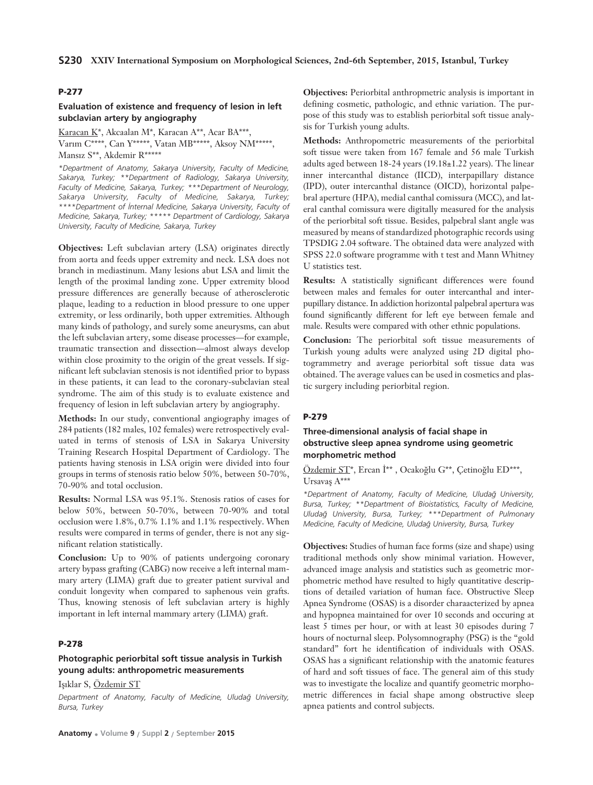# **Evaluation of existence and frequency of lesion in left subclavian artery by angiography**

Karacan K\*, Akcaalan M\*, Karacan A\*\*, Acar BA\*\*\*, Varım C\*\*\*\*, Can Y\*\*\*\*\*, Vatan MB\*\*\*\*\*, Aksoy NM\*\*\*\*\*, Mansız S\*\*, Akdemir R\*\*\*\*\*

*\*Department of Anatomy, Sakarya University, Faculty of Medicine, Sakarya, Turkey; \*\*Department of Radiology, Sakarya University, Faculty of Medicine, Sakarya, Turkey; \*\*\*Department of Neurology, Sakarya University, Faculty of Medicine, Sakarya, Turkey; \*\*\*\*Department of ‹nternal Medicine, Sakarya University, Faculty of Medicine, Sakarya, Turkey; \*\*\*\*\* Department of Cardiology, Sakarya University, Faculty of Medicine, Sakarya, Turkey*

**Objectives:** Left subclavian artery (LSA) originates directly from aorta and feeds upper extremity and neck. LSA does not branch in mediastinum. Many lesions abut LSA and limit the length of the proximal landing zone. Upper extremity blood pressure differences are generally because of atherosclerotic plaque, leading to a reduction in blood pressure to one upper extremity, or less ordinarily, both upper extremities. Although many kinds of pathology, and surely some aneurysms, can abut the left subclavian artery, some disease processes—for example, traumatic transection and dissection—almost always develop within close proximity to the origin of the great vessels. If significant left subclavian stenosis is not identified prior to bypass in these patients, it can lead to the coronary-subclavian steal syndrome. The aim of this study is to evaluate existence and frequency of lesion in left subclavian artery by angiography.

**Methods:** In our study, conventional angiography images of 284 patients (182 males, 102 females) were retrospectively evaluated in terms of stenosis of LSA in Sakarya University Training Research Hospital Department of Cardiology. The patients having stenosis in LSA origin were divided into four groups in terms of stenosis ratio below 50%, between 50-70%, 70-90% and total occlusion.

**Results:** Normal LSA was 95.1%. Stenosis ratios of cases for below 50%, between 50-70%, between 70-90% and total occlusion were 1.8%, 0.7% 1.1% and 1.1% respectively. When results were compared in terms of gender, there is not any significant relation statistically.

**Conclusion:** Up to 90% of patients undergoing coronary artery bypass grafting (CABG) now receive a left internal mammary artery (LIMA) graft due to greater patient survival and conduit longevity when compared to saphenous vein grafts. Thus, knowing stenosis of left subclavian artery is highly important in left internal mammary artery (LIMA) graft.

### **P-278**

# **Photographic periorbital soft tissue analysis in Turkish young adults: anthropometric measurements**

Işıklar S, Özdemir ST

*Department of Anatomy, Faculty of Medicine, Uluda¤ University, Bursa, Turkey*

**Objectives:** Periorbital anthropmetric analysis is important in defining cosmetic, pathologic, and ethnic variation. The purpose of this study was to establish periorbital soft tissue analysis for Turkish young adults.

**Methods:** Anthropometric measurements of the periorbital soft tissue were taken from 167 female and 56 male Turkish adults aged between 18-24 years (19.18±1.22 years). The linear inner intercanthal distance (IICD), interpapillary distance (IPD), outer intercanthal distance (OICD), horizontal palpebral aperture (HPA), medial canthal comissura (MCC), and lateral canthal comissura were digitally measured for the analysis of the periorbital soft tissue. Besides, palpebral slant angle was measured by means of standardized photographic records using TPSDIG 2.04 software. The obtained data were analyzed with SPSS 22.0 software programme with t test and Mann Whitney U statistics test.

**Results:** A statistically significant differences were found between males and females for outer intercanthal and interpupillary distance. In addiction horizontal palpebral apertura was found significantly different for left eye between female and male. Results were compared with other ethnic populations.

**Conclusion:** The periorbital soft tissue measurements of Turkish young adults were analyzed using 2D digital photogrammetry and average periorbital soft tissue data was obtained. The average values can be used in cosmetics and plastic surgery including periorbital region.

#### **P-279**

# **Three-dimensional analysis of facial shape in obstructive sleep apnea syndrome using geometric morphometric method**

Özdemir ST\*, Ercan İ\*\*, Ocakoğlu G\*\*, Çetinoğlu ED\*\*\*, Ursavaş A\*\*\*

*\*Department of Anatomy, Faculty of Medicine, Uluda¤ University, Bursa, Turkey; \*\*Department of Bioistatistics, Faculty of Medicine, Uluda¤ University, Bursa, Turkey; \*\*\*Department of Pulmonary Medicine, Faculty of Medicine, Uluda¤ University, Bursa, Turkey* 

**Objectives:** Studies of human face forms (size and shape) using traditional methods only show minimal variation. However, advanced image analysis and statistics such as geometric morphometric method have resulted to higly quantitative descriptions of detailed variation of human face. Obstructive Sleep Apnea Syndrome (OSAS) is a disorder charaacterized by apnea and hypopnea maintained for over 10 seconds and occuring at least 5 times per hour, or with at least 30 episodes during 7 hours of nocturnal sleep. Polysomnography (PSG) is the "gold standard" fort he identification of individuals with OSAS. OSAS has a significant relationship with the anatomic features of hard and soft tissues of face. The general aim of this study was to investigate the localize and quantify geometric morphometric differences in facial shape among obstructive sleep apnea patients and control subjects.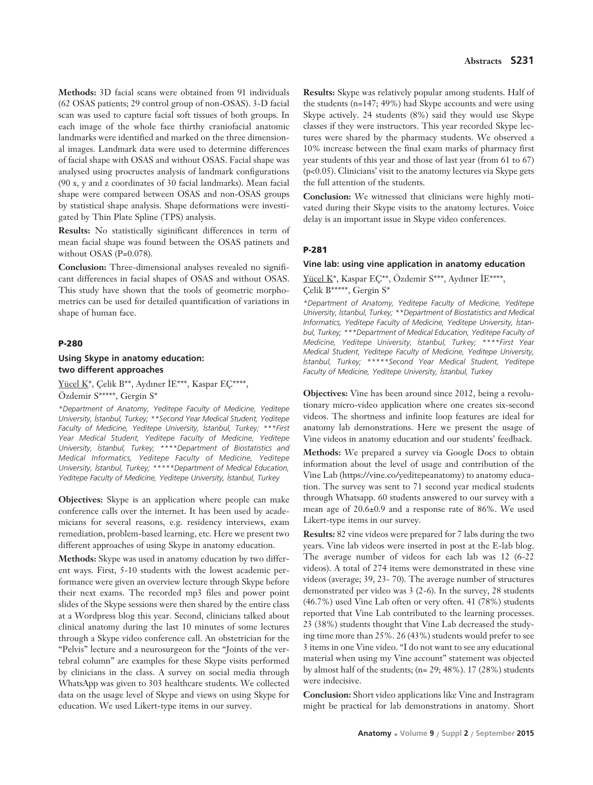**Methods:** 3D facial scans were obtained from 91 individuals (62 OSAS patients; 29 control group of non-OSAS). 3-D facial scan was used to capture facial soft tissues of both groups. In each image of the whole face thirthy craniofacial anatomic landmarks were identified and marked on the three dimensional images. Landmark data were used to determine differences of facial shape with OSAS and without OSAS. Facial shape was analysed using procructes analysis of landmark configurations (90 x, y and z coordinates of 30 facial landmarks). Mean facial shape were compared between OSAS and non-OSAS groups by statistical shape analysis. Shape deformations were investigated by Thin Plate Spline (TPS) analysis.

**Results:** No statistically siginificant differences in term of mean facial shape was found between the OSAS patinets and without OSAS (P=0.078).

**Conclusion:** Three-dimensional analyses revealed no significant differences in facial shapes of OSAS and without OSAS. This study have shown that the tools of geometric morphometrics can be used for detailed quantification of variations in shape of human face.

# **P-280**

# **Using Skype in anatomy education: two different approaches**

Yücel K\*, Çelik B\*\*, Aydıner İE\*\*\*, Kaspar EÇ\*\*\*\*, Özdemir S\*\*\*\*\*, Gergin S\*

*\*Department of Anatomy, Yeditepe Faculty of Medicine, Yeditepe University, ‹stanbul, Turkey; \*\*Second Year Medical Student, Yeditepe Faculty of Medicine, Yeditepe University, ‹stanbul, Turkey; \*\*\*First Year Medical Student, Yeditepe Faculty of Medicine, Yeditepe University, ‹stanbul, Turkey; \*\*\*\*Department of Biostatistics and Medical Informatics, Yeditepe Faculty of Medicine, Yeditepe University, ‹stanbul, Turkey; \*\*\*\*\*Department of Medical Education, Yeditepe Faculty of Medicine, Yeditepe University, ‹stanbul, Turkey*

**Objectives:** Skype is an application where people can make conference calls over the internet. It has been used by academicians for several reasons, e.g. residency interviews, exam remediation, problem-based learning, etc. Here we present two different approaches of using Skype in anatomy education.

**Methods:** Skype was used in anatomy education by two different ways. First, 5-10 students with the lowest academic performance were given an overview lecture through Skype before their next exams. The recorded mp3 files and power point slides of the Skype sessions were then shared by the entire class at a Wordpress blog this year. Second, clinicians talked about clinical anatomy during the last 10 minutes of some lectures through a Skype video conference call. An obstetrician for the "Pelvis" lecture and a neurosurgeon for the "Joints of the vertebral column" are examples for these Skype visits performed by clinicians in the class. A survey on social media through WhatsApp was given to 303 healthcare students. We collected data on the usage level of Skype and views on using Skype for education. We used Likert-type items in our survey.

**Results:** Skype was relatively popular among students. Half of the students (n=147; 49%) had Skype accounts and were using Skype actively. 24 students (8%) said they would use Skype classes if they were instructors. This year recorded Skype lectures were shared by the pharmacy students. We observed a 10% increase between the final exam marks of pharmacy first year students of this year and those of last year (from 61 to 67) (p<0.05). Clinicians' visit to the anatomy lectures via Skype gets the full attention of the students.

**Conclusion:** We witnessed that clinicians were highly motivated during their Skype visits to the anatomy lectures. Voice delay is an important issue in Skype video conferences.

# **P-281**

## **Vine lab: using vine application in anatomy education**

# Yücel K\*, Kaspar EÇ\*\*, Özdemir S\*\*\*, Aydıner İE\*\*\*\*, Çelik B\*\*\*\*\*, Gergin S\*

*\*Department of Anatomy, Yeditepe Faculty of Medicine, Yeditepe University, ‹stanbul, Turkey; \*\*Department of Biostatistics and Medical* Informatics, Yeditepe Faculty of Medicine, Yeditepe University, İstan*bul, Turkey; \*\*\*Department of Medical Education, Yeditepe Faculty of Medicine, Yeditepe University, İstanbul, Turkey; \*\*\*\*First Year Medical Student, Yeditepe Faculty of Medicine, Yeditepe University, ‹stanbul, Turkey; \*\*\*\*\*Second Year Medical Student, Yeditepe Faculty of Medicine, Yeditepe University, ‹stanbul, Turkey* 

**Objectives:** Vine has been around since 2012, being a revolutionary micro-video application where one creates six-second videos. The shortness and infinite loop features are ideal for anatomy lab demonstrations. Here we present the usage of Vine videos in anatomy education and our students' feedback.

**Methods:** We prepared a survey via Google Docs to obtain information about the level of usage and contribution of the Vine Lab (https://vine.co/yeditepeanatomy) to anatomy education. The survey was sent to 71 second year medical students through Whatsapp. 60 students answered to our survey with a mean age of 20.6±0.9 and a response rate of 86%. We used Likert-type items in our survey.

**Results:** 82 vine videos were prepared for 7 labs during the two years. Vine lab videos were inserted in post at the E-lab blog. The average number of videos for each lab was 12 (6-22 videos). A total of 274 items were demonstrated in these vine videos (average; 39, 23- 70). The average number of structures demonstrated per video was 3 (2-6). In the survey, 28 students (46.7%) used Vine Lab often or very often. 41 (78%) students reported that Vine Lab contributed to the learning processes. 23 (38%) students thought that Vine Lab decreased the studying time more than 25%. 26 (43%) students would prefer to see 3 items in one Vine video. "I do not want to see any educational material when using my Vine account" statement was objected by almost half of the students; (n= 29; 48%). 17 (28%) students were indecisive.

**Conclusion:** Short video applications like Vine and Instragram might be practical for lab demonstrations in anatomy. Short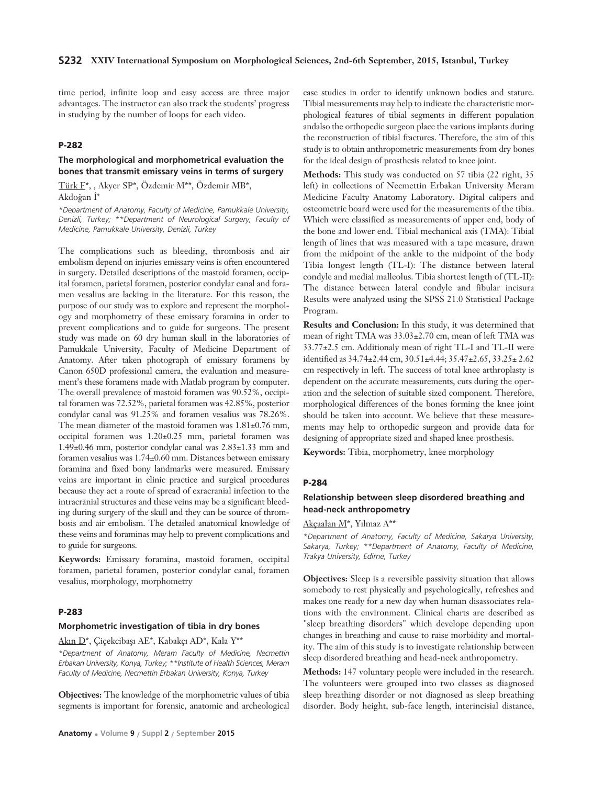time period, infinite loop and easy access are three major advantages. The instructor can also track the students' progress in studying by the number of loops for each video.

# **P-282**

# **The morphological and morphometrical evaluation the bones that transmit emissary veins in terms of surgery**

Türk F\*, , Akyer SP\*, Özdemir M\*\*, Özdemir MB\*, Akdoğan İ\*

*\*Department of Anatomy, Faculty of Medicine, Pamukkale University, Denizli, Turkey; \*\*Department of Neurological Surgery, Faculty of Medicine, Pamukkale University, Denizli, Turkey* 

The complications such as bleeding, thrombosis and air embolism depend on injuries emissary veins is often encountered in surgery. Detailed descriptions of the mastoid foramen, occipital foramen, parietal foramen, posterior condylar canal and foramen vesalius are lacking in the literature. For this reason, the purpose of our study was to explore and represent the morphology and morphometry of these emissary foramina in order to prevent complications and to guide for surgeons. The present study was made on 60 dry human skull in the laboratories of Pamukkale University, Faculty of Medicine Department of Anatomy. After taken photograph of emissary foramens by Canon 650D professional camera, the evaluation and measurement's these foramens made with Matlab program by computer. The overall prevalence of mastoid foramen was 90.52%, occipital foramen was 72.52%, parietal foramen was 42.85%, posterior condylar canal was 91.25% and foramen vesalius was 78.26%. The mean diameter of the mastoid foramen was  $1.81\pm0.76$  mm, occipital foramen was 1.20±0.25 mm, parietal foramen was 1.49±0.46 mm, posterior condylar canal was 2.83±1.33 mm and foramen vesalius was 1.74±0.60 mm. Distances between emissary foramina and fixed bony landmarks were measured. Emissary veins are important in clinic practice and surgical procedures because they act a route of spread of exracranial infection to the intracranial structures and these veins may be a significant bleeding during surgery of the skull and they can be source of thrombosis and air embolism. The detailed anatomical knowledge of these veins and foraminas may help to prevent complications and to guide for surgeons.

**Keywords:** Emissary foramina, mastoid foramen, occipital foramen, parietal foramen, posterior condylar canal, foramen vesalius, morphology, morphometry

# **P-283**

#### **Morphometric investigation of tibia in dry bones**

Akın D<sup>\*</sup>, Çiçekcibaşı AE<sup>\*</sup>, Kabakçı AD<sup>\*</sup>, Kala Y<sup>\*\*</sup>

*\*Department of Anatomy, Meram Faculty of Medicine, Necmettin Erbakan University, Konya, Turkey; \*\*Institute of Health Sciences, Meram Faculty of Medicine, Necmettin Erbakan University, Konya, Turkey*

**Objectives:** The knowledge of the morphometric values of tibia segments is important for forensic, anatomic and archeological case studies in order to identify unknown bodies and stature. Tibial measurements may help to indicate the characteristic morphological features of tibial segments in different population andalso the orthopedic surgeon place the various implants during the reconstruction of tibial fractures. Therefore, the aim of this study is to obtain anthropometric measurements from dry bones for the ideal design of prosthesis related to knee joint.

**Methods:** This study was conducted on 57 tibia (22 right, 35 left) in collections of Necmettin Erbakan University Meram Medicine Faculty Anatomy Laboratory. Digital calipers and osteometric board were used for the measurements of the tibia. Which were classified as measurements of upper end, body of the bone and lower end. Tibial mechanical axis (TMA): Tibial length of lines that was measured with a tape measure, drawn from the midpoint of the ankle to the midpoint of the body Tibia longest length (TL-I): The distance between lateral condyle and medial malleolus. Tibia shortest length of (TL-II): The distance between lateral condyle and fibular incisura Results were analyzed using the SPSS 21.0 Statistical Package Program.

**Results and Conclusion:** In this study, it was determined that mean of right TMA was 33.03±2.70 cm, mean of left TMA was 33.77±2.5 cm. Additionaly mean of right TL-I and TL-II were identified as 34.74±2.44 cm, 30.51±4.44; 35.47±2.65, 33.25± 2.62 cm respectively in left. The success of total knee arthroplasty is dependent on the accurate measurements, cuts during the operation and the selection of suitable sized component. Therefore, morphological differences of the bones forming the knee joint should be taken into account. We believe that these measurements may help to orthopedic surgeon and provide data for designing of appropriate sized and shaped knee prosthesis.

**Keywords:** Tibia, morphometry, knee morphology

#### **P-284**

# **Relationship between sleep disordered breathing and head-neck anthropometry**

Akcaalan M\*, Yılmaz A\*\*

*\*Department of Anatomy, Faculty of Medicine, Sakarya University, Sakarya, Turkey; \*\*Department of Anatomy, Faculty of Medicine, Trakya University, Edirne, Turkey*

**Objectives:** Sleep is a reversible passivity situation that allows somebody to rest physically and psychologically, refreshes and makes one ready for a new day when human disassociates relations with the environment. Clinical charts are described as "sleep breathing disorders" which develope depending upon changes in breathing and cause to raise morbidity and mortality. The aim of this study is to investigate relationship between sleep disordered breathing and head-neck anthropometry.

**Methods:** 147 voluntary people were included in the research. The volunteers were grouped into two classes as diagnosed sleep breathing disorder or not diagnosed as sleep breathing disorder. Body height, sub-face length, interincisial distance,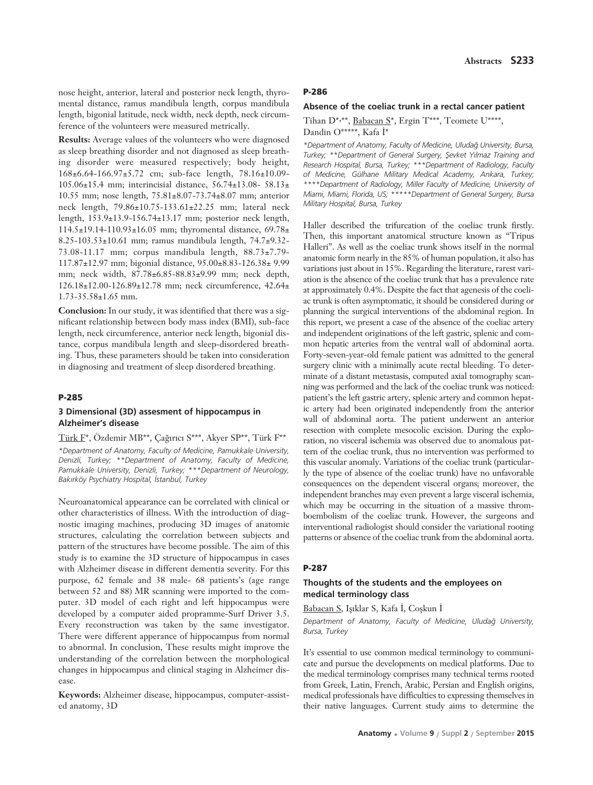nose height, anterior, lateral and posterior neck length, thyromental distance, ramus mandibula length, corpus mandibula length, bigonial latitude, neck width, neck depth, neck circumference of the volunteers were measured metrically.

**Results:** Average values of the volunteers who were diagnosed as sleep breathing disorder and not diagnosed as sleep breathing disorder were measured respectively; body height, 168±6.64-166.97±5.72 cm; sub-face length, 78.16±10.09- 105.06±15.4 mm; interincisial distance, 56.74±13.08- 58.13± 10.55 mm; nose length, 75.81±8.07-73.74±8.07 mm; anterior neck length, 79.86±10.75-133.61±22.25 mm; lateral neck length, 153.9±13.9-156.74±13.17 mm; posterior neck length, 114.5±19.14-110.93±16.05 mm; thyromental distance, 69.78± 8.25-103.53±10.61 mm; ramus mandibula length, 74.7±9.32- 73.08-11.17 mm; corpus mandibula length, 88.73±7.79- 117.87±12.97 mm; bigonial distance, 95.00±8.83-126.38± 9.99 mm; neck width, 87.78±6.85-88.83±9.99 mm; neck depth, 126.18±12.00-126.89±12.78 mm; neck circumference, 42.64±  $1.73 - 35.58 \pm 1.65$  mm.

**Conclusion:** In our study, it was identified that there was a significant relationship between body mass index (BMI), sub-face length, neck circumference, anterior neck length, bigonial distance, corpus mandibula length and sleep-disordered breathing. Thus, these parameters should be taken into consideration in diagnosing and treatment of sleep disordered breathing.

#### **P-285**

### **3 Dimensional (3D) assesment of hippocampus in Alzheimer's disease**

Türk F\*, Özdemir MB\*\*, Çağırıcı S\*\*\*, Akyer SP\*\*, Türk F\*\* *\*Department of Anatomy, Faculty of Medicine, Pamukkale University, Denizli, Turkey; \*\*Department of Anatomy, Faculty of Medicine, Pamukkale University, Denizli, Turkey; \*\*\*Department of Neurology, Bak›rköy Psychiatry Hospital, ‹stanbul, Turkey*

Neuroanatomical appearance can be correlated with clinical or other characteristics of illness. With the introduction of diagnostic imaging machines, producing 3D images of anatomic structures, calculating the correlation between subjects and pattern of the structures have become possible. The aim of this study is to examine the 3D structure of hippocampus in cases with Alzheimer disease in different dementia severity. For this purpose, 62 female and 38 male- 68 patients's (age range between 52 and 88) MR scanning were imported to the computer. 3D model of each right and left hippocampus were developed by a computer aided propramme-Surf Driver 3.5. Every reconstruction was taken by the same investigator. There were different apperance of hippocampus from normal to abnormal. In conclusion, These results might improve the understanding of the correlation between the morphological changes in hippocampus and clinical staging in Alzheimer disease.

**Keywords:** Alzheimer disease, hippocampus, computer-assisted anatomy, 3D

### **P-286**

### **Absence of the coeliac trunk in a rectal cancer patient**

Tihan D\*,\*\*, Babacan S\*, Ergin T\*\*\*, Teomete U\*\*\*\*, Dandin O\*\*\*\*\*, Kafa İ\*

*\*Department of Anatomy, Faculty of Medicine, Uluda¤ University, Bursa, Turkey; \*\*Department of General Surgery, fievket Y›lmaz Training and Research Hospital, Bursa, Turkey; \*\*\*Department of Radiology, Faculty of Medicine, Gülhane Military Medical Academy, Ankara, Turkey; \*\*\*\*Department of Radiology, Miller Faculty of Medicine, University of Miami, Miami, Florida, US; \*\*\*\*\*Department of General Surgery, Bursa Military Hospital, Bursa, Turkey*

Haller described the trifurcation of the coeliac trunk firstly. Then, this important anatomical structure known as "Tripus Halleri". As well as the coeliac trunk shows itself in the normal anatomic form nearly in the 85% of human population, it also has variations just about in 15%. Regarding the literature, rarest variation is the absence of the coeliac trunk that has a prevalence rate at approximately 0.4%. Despite the fact that agenesis of the coeliac trunk is often asymptomatic, it should be considered during or planning the surgical interventions of the abdominal region. In this report, we present a case of the absence of the coeliac artery and independent originations of the left gastric, splenic and common hepatic arteries from the ventral wall of abdominal aorta. Forty-seven-year-old female patient was admitted to the general surgery clinic with a minimally acute rectal bleeding. To determinate of a distant metastasis, computed axial tomography scanning was performed and the lack of the coeliac trunk was noticed: patient's the left gastric artery, splenic artery and common hepatic artery had been originated independently from the anterior wall of abdominal aorta. The patient underwent an anterior resection with complete mesocolic excision. During the exploration, no visceral ischemia was observed due to anomalous pattern of the coeliac trunk, thus no intervention was performed to this vascular anomaly. Variations of the coeliac trunk (particularly the type of absence of the coeliac trunk) have no unfavorable consequences on the dependent visceral organs; moreover, the independent branches may even prevent a large visceral ischemia, which may be occurring in the situation of a massive thromboembolism of the coeliac trunk. However, the surgeons and interventional radiologist should consider the variational rooting patterns or absence of the coeliac trunk from the abdominal aorta.

### **P-287**

# **Thoughts of the students and the employees on medical terminology class**

Babacan S, Işıklar S, Kafa İ, Coşkun İ

*Department of Anatomy, Faculty of Medicine, Uluda¤ University, Bursa, Turkey*

It's essential to use common medical terminology to communicate and pursue the developments on medical platforms. Due to the medical terminology comprises many technical terms rooted from Greek, Latin, French, Arabic, Persian and English origins, medical professionals have difficulties to expressing themselves in their native languages. Current study aims to determine the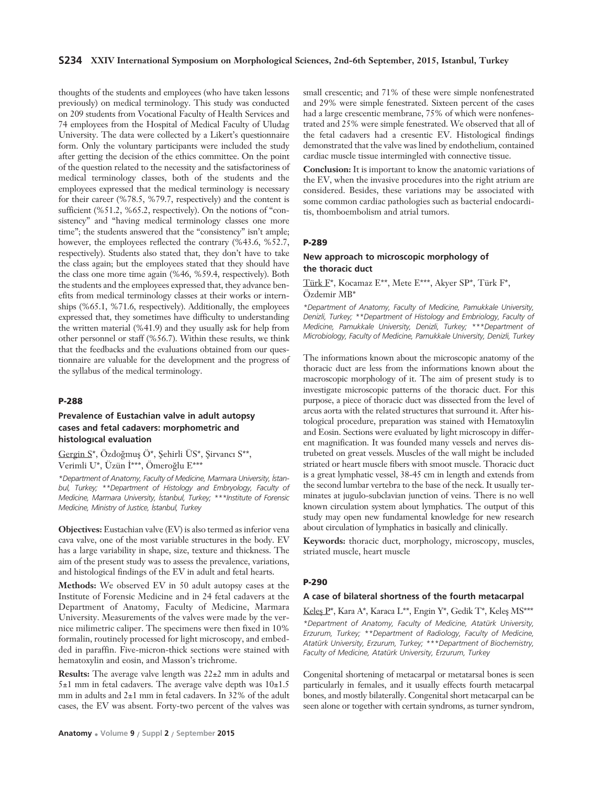### **S234 XXIV International Symposium on Morphological Sciences, 2nd-6th September, 2015, Istanbul, Turkey**

thoughts of the students and employees (who have taken lessons previously) on medical terminology. This study was conducted on 209 students from Vocational Faculty of Health Services and 74 employees from the Hospital of Medical Faculty of Uludag University. The data were collected by a Likert's questionnaire form. Only the voluntary participants were included the study after getting the decision of the ethics committee. On the point of the question related to the necessity and the satisfactoriness of medical terminology classes, both of the students and the employees expressed that the medical terminology is necessary for their career (%78.5, %79.7, respectively) and the content is sufficient (%51.2, %65.2, respectively). On the notions of "consistency" and "having medical terminology classes one more time"; the students answered that the "consistency" isn't ample; however, the employees reflected the contrary (%43.6, %52.7, respectively). Students also stated that, they don't have to take the class again; but the employees stated that they should have the class one more time again (%46, %59.4, respectively). Both the students and the employees expressed that, they advance benefits from medical terminology classes at their works or internships (%65.1, %71.6, respectively). Additionally, the employees expressed that, they sometimes have difficulty to understanding the written material (%41.9) and they usually ask for help from other personnel or staff (%56.7). Within these results, we think that the feedbacks and the evaluations obtained from our questionnaire are valuable for the development and the progress of the syllabus of the medical terminology.

### **P-288**

# **Prevalence of Eustachian valve in adult autopsy cases and fetal cadavers: morphometric and histological evaluation**

Gergin S\*, Özdoğmuş Ö\*, Şehirli ÜS\*, Şirvancı S\*\*, Verimli U\*, Üzün İ\*\*\*, Ömeroğlu E\*\*\*

*\*Department of Anatomy, Faculty of Medicine, Marmara University, ‹stanbul, Turkey; \*\*Department of Histology and Embryology, Faculty of Medicine, Marmara University, ‹stanbul, Turkey; \*\*\*Institute of Forensic Medicine, Ministry of Justice, ‹stanbul, Turkey* 

**Objectives:** Eustachian valve (EV) is also termed as inferior vena cava valve, one of the most variable structures in the body. EV has a large variability in shape, size, texture and thickness. The aim of the present study was to assess the prevalence, variations, and histological findings of the EV in adult and fetal hearts.

**Methods:** We observed EV in 50 adult autopsy cases at the Institute of Forensic Medicine and in 24 fetal cadavers at the Department of Anatomy, Faculty of Medicine, Marmara University. Measurements of the valves were made by the vernice milimetric caliper. The specimens were then fixed in 10% formalin, routinely processed for light microscopy, and embedded in paraffin. Five-micron-thick sections were stained with hematoxylin and eosin, and Masson's trichrome.

**Results:** The average valve length was 22±2 mm in adults and 5 $\pm$ 1 mm in fetal cadavers. The average valve depth was  $10\pm$ 1.5 mm in adults and 2±1 mm in fetal cadavers. In 32% of the adult cases, the EV was absent. Forty-two percent of the valves was small crescentic; and 71% of these were simple nonfenestrated and 29% were simple fenestrated. Sixteen percent of the cases had a large crescentic membrane, 75% of which were nonfenestrated and 25% were simple fenestrated. We observed that all of the fetal cadavers had a cresentic EV. Histological findings demonstrated that the valve was lined by endothelium, contained cardiac muscle tissue intermingled with connective tissue.

**Conclusion:** It is important to know the anatomic variations of the EV, when the invasive procedures into the right atrium are considered. Besides, these variations may be associated with some common cardiac pathologies such as bacterial endocarditis, thomboembolism and atrial tumors.

### **P-289**

# **New approach to microscopic morphology of the thoracic duct**

Türk F\*, Kocamaz E\*\*, Mete E\*\*\*, Akyer SP\*, Türk F\*, Özdemir MB\*

*\*Department of Anatomy, Faculty of Medicine, Pamukkale University, Denizli, Turkey; \*\*Department of Histology and Embriology, Faculty of Medicine, Pamukkale University, Denizli, Turkey; \*\*\*Department of Microbiology, Faculty of Medicine, Pamukkale University, Denizli, Turkey* 

The informations known about the microscopic anatomy of the thoracic duct are less from the informations known about the macroscopic morphology of it. The aim of present study is to investigate microscopic patterns of the thoracic duct. For this purpose, a piece of thoracic duct was dissected from the level of arcus aorta with the related structures that surround it. After histological procedure, preparation was stained with Hematoxylin and Eosin. Sections were evaluated by light microscopy in different magnification. It was founded many vessels and nerves distrubeted on great vessels. Muscles of the wall might be included striated or heart muscle fibers with smoot muscle. Thoracic duct is a great lymphatic vessel, 38-45 cm in length and extends from the second lumbar vertebra to the base of the neck. It usually terminates at jugulo-subclavian junction of veins. There is no well known circulation system about lymphatics. The output of this study may open new fundamental knowledge for new research about circulation of lymphatics in basically and clinically.

**Keywords:** thoracic duct, morphology, microscopy, muscles, striated muscle, heart muscle

#### **P-290**

#### **A case of bilateral shortness of the fourth metacarpal**

Keles P\*, Kara A\*, Karaca L\*\*, Engin Y\*, Gedik T\*, Keles MS\*\*\*

*\*Department of Anatomy, Faculty of Medicine, Atatürk University, Erzurum, Turkey; \*\*Department of Radiology, Faculty of Medicine, Atatürk University, Erzurum, Turkey; \*\*\*Department of Biochemistry, Faculty of Medicine, Atatürk University, Erzurum, Turkey* 

Congenital shortening of metacarpal or metatarsal bones is seen particularly in females, and it usually effects fourth metacarpal bones, and mostly bilaterally. Congenital short metacarpal can be seen alone or together with certain syndroms, as turner syndrom,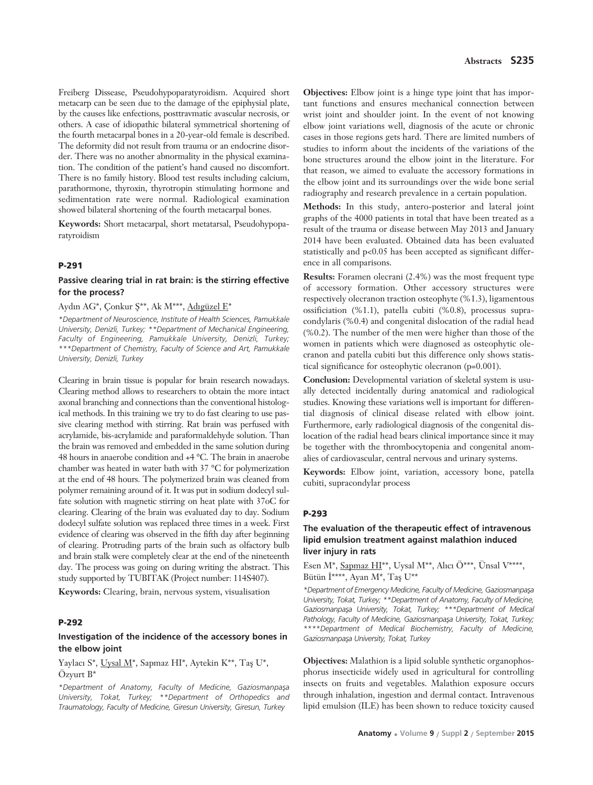Freiberg Dissease, Pseudohypoparatyroidism. Acquired short metacarp can be seen due to the damage of the epiphysial plate, by the causes like enfections, posttravmatic avascular necrosis, or others. A case of idiopathic bilateral symmetrical shortening of the fourth metacarpal bones in a 20-year-old female is described. The deformity did not result from trauma or an endocrine disorder. There was no another abnormality in the physical examination. The condition of the patient's hand caused no discomfort. There is no family history. Blood test results including calcium, parathormone, thyroxin, thyrotropin stimulating hormone and sedimentation rate were normal. Radiological examination showed bilateral shortening of the fourth metacarpal bones.

**Keywords:** Short metacarpal, short metatarsal, Pseudohypoparatyroidism

## **P-291**

# **Passive clearing trial in rat brain: is the stirring effective for the process?**

#### Aydın AG\*, Çonkur Ş\*\*, Ak M\*\*\*, Adıgüzel E\*

*\*Department of Neuroscience, Institute of Health Sciences, Pamukkale University, Denizli, Turkey; \*\*Department of Mechanical Engineering, Faculty of Engineering, Pamukkale University, Denizli, Turkey; \*\*\*Department of Chemistry, Faculty of Science and Art, Pamukkale University, Denizli, Turkey*

Clearing in brain tissue is popular for brain research nowadays. Clearing method allows to researchers to obtain the more intact axonal branching and connections than the conventional histological methods. In this training we try to do fast clearing to use passive clearing method with stirring. Rat brain was perfused with acrylamide, bis-acrylamide and paraformaldehyde solution. Than the brain was removed and embedded in the same solution during 48 hours in anaerobe condition and +4 °C. The brain in anaerobe chamber was heated in water bath with 37 °C for polymerization at the end of 48 hours. The polymerized brain was cleaned from polymer remaining around of it. It was put in sodium dodecyl sulfate solution with magnetic stirring on heat plate with 37oC for clearing. Clearing of the brain was evaluated day to day. Sodium dodecyl sulfate solution was replaced three times in a week. First evidence of clearing was observed in the fifth day after beginning of clearing. Protruding parts of the brain such as olfactory bulb and brain stalk were completely clear at the end of the nineteenth day. The process was going on during writing the abstract. This study supported by TUBITAK (Project number: 114S407).

**Keywords:** Clearing, brain, nervous system, visualisation

### **P-292**

## **Investigation of the incidence of the accessory bones in the elbow joint**

Yaylacı S\*, Uysal M\*, Sapmaz HI\*, Aytekin K\*\*, Taş U\*, Özyurt B\*

*\*Department of Anatomy, Faculty of Medicine, Gaziosmanpafla University, Tokat, Turkey; \*\*Department of Orthopedics and Traumatology, Faculty of Medicine, Giresun University, Giresun, Turkey*

**Objectives:** Elbow joint is a hinge type joint that has important functions and ensures mechanical connection between wrist joint and shoulder joint. In the event of not knowing elbow joint variations well, diagnosis of the acute or chronic cases in those regions gets hard. There are limited numbers of studies to inform about the incidents of the variations of the bone structures around the elbow joint in the literature. For that reason, we aimed to evaluate the accessory formations in the elbow joint and its surroundings over the wide bone serial radiography and research prevalence in a certain population.

**Methods:** In this study, antero-posterior and lateral joint graphs of the 4000 patients in total that have been treated as a result of the trauma or disease between May 2013 and January 2014 have been evaluated. Obtained data has been evaluated statistically and p<0.05 has been accepted as significant difference in all comparisons.

**Results:** Foramen olecrani (2.4%) was the most frequent type of accessory formation. Other accessory structures were respectively olecranon traction osteophyte (%1.3), ligamentous ossificiation (%1.1), patella cubiti (%0.8), processus supracondylaris (%0.4) and congenital dislocation of the radial head (%0.2). The number of the men were higher than those of the women in patients which were diagnosed as osteophytic olecranon and patella cubiti but this difference only shows statistical significance for osteophytic olecranon (p=0.001).

**Conclusion:** Developmental variation of skeletal system is usually detected incidentally during anatomical and radiological studies. Knowing these variations well is important for differential diagnosis of clinical disease related with elbow joint. Furthermore, early radiological diagnosis of the congenital dislocation of the radial head bears clinical importance since it may be together with the thrombocytopenia and congenital anomalies of cardiovascular, central nervous and urinary systems.

**Keywords:** Elbow joint, variation, accessory bone, patella cubiti, supracondylar process

### **P-293**

# **The evaluation of the therapeutic effect of intravenous lipid emulsion treatment against malathion induced liver injury in rats**

Esen M\*, Sapmaz HI\*\*, Uysal M\*\*, Alıcı Ö\*\*\*, Ünsal V\*\*\*\*, Bütün İ\*\*\*\*, Ayan M\*, Tas U\*\*

*\*Department of Emergency Medicine, Faculty of Medicine, Gaziosmanpafla University, Tokat, Turkey; \*\*Department of Anatomy, Faculty of Medicine,* Gaziosmanpasa University, Tokat, Turkey; \*\*\*Department of Medical Pathology, Faculty of Medicine, Gaziosmanpaşa University, Tokat, Turkey; *\*\*\*\*Department of Medical Biochemistry, Faculty of Medicine, Gaziosmanpafla University, Tokat, Turkey*

**Objectives:** Malathion is a lipid soluble synthetic organophosphorus insecticide widely used in agricultural for controlling insects on fruits and vegetables. Malathion exposure occurs through inhalation, ingestion and dermal contact. Intravenous lipid emulsion (ILE) has been shown to reduce toxicity caused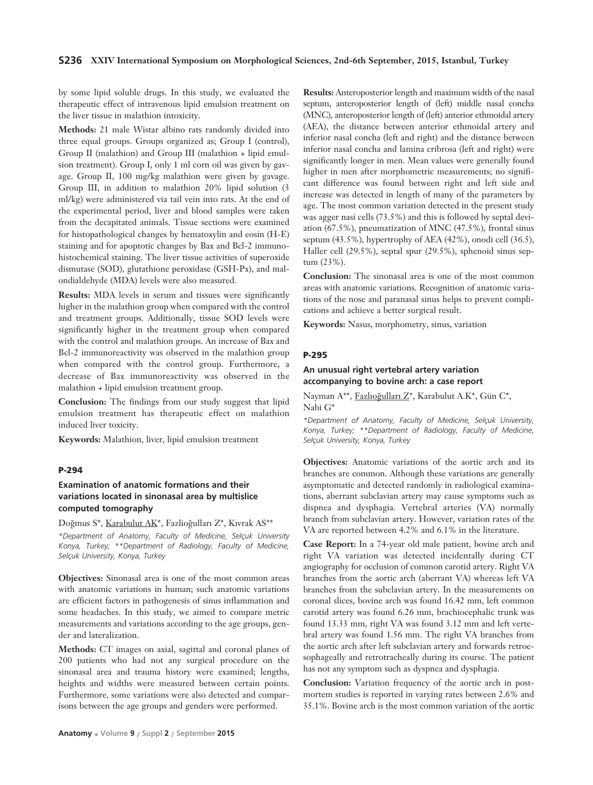### **S236 XXIV International Symposium on Morphological Sciences, 2nd-6th September, 2015, Istanbul, Turkey**

by some lipid soluble drugs. In this study, we evaluated the therapeutic effect of intravenous lipid emulsion treatment on the liver tissue in malathion intoxicity.

**Methods:** 21 male Wistar albino rats randomly divided into three equal groups. Groups organized as; Group I (control), Group II (malathion) and Group III (malathion + lipid emulsion treatment). Group I, only 1 ml corn oil was given by gavage. Group II, 100 mg/kg malathion were given by gavage. Group III, in addition to malathion 20% lipid solution (3 ml/kg) were administered via tail vein into rats. At the end of the experimental period, liver and blood samples were taken from the decapitated animals. Tissue sections were examined for histopathological changes by hematoxylin and eosin (H-E) staining and for apoptotic changes by Bax and Bcl-2 immunohistochemical staining. The liver tissue activities of superoxide dismutase (SOD), glutathione peroxidase (GSH-Px), and malondialdehyde (MDA) levels were also measured.

**Results:** MDA levels in serum and tissues were significantly higher in the malathion group when compared with the control and treatment groups. Additionally, tissue SOD levels were significantly higher in the treatment group when compared with the control and malathion groups. An increase of Bax and Bcl-2 immunoreactivity was observed in the malathion group when compared with the control group. Furthermore, a decrease of Bax immunoreactivity was observed in the malathion + lipid emulsion treatment group.

**Conclusion:** The findings from our study suggest that lipid emulsion treatment has therapeutic effect on malathion induced liver toxicity.

**Keywords:** Malathion, liver, lipid emulsion treatment

#### **P-294**

# **Examination of anatomic formations and their variations located in sinonasal area by multislice computed tomography**

### Doğmus S\*, Karabulut AK\*, Fazlioğulları Z\*, Kıvrak AS\*\*

*\*Department of Anatomy, Faculty of Medicine, Selçuk University Konya, Turkey; \*\*Department of Radiology, Faculty of Medicine, Selçuk University, Konya, Turkey*

**Objectives:** Sinonasal area is one of the most common areas with anatomic variations in human; such anatomic variations are efficient factors in pathogenesis of sinus inflammation and some headaches. In this study, we aimed to compare metric measurements and variations according to the age groups, gender and lateralization.

**Methods:** CT images on axial, sagittal and coronal planes of 200 patients who had not any surgical procedure on the sinonasal area and trauma history were examined; lengths, heights and widths were measured between certain points. Furthermore, some variations were also detected and comparisons between the age groups and genders were performed.

**Results:** Anteroposterior length and maximum width of the nasal septum, anteroposterior length of (left) middle nasal concha (MNC), anteroposterior length of (left) anterior ethmoidal artery (AEA), the distance between anterior ethmoidal artery and inferior nasal concha (left and right) and the distance between inferior nasal concha and lamina cribrosa (left and right) were significantly longer in men. Mean values were generally found higher in men after morphometric measurements; no significant difference was found between right and left side and increase was detected in length of many of the parameters by age. The most common variation detected in the present study was agger nasi cells (73.5%) and this is followed by septal deviation (67.5%), pneumatization of MNC (47.5%), frontal sinus septum (43.5%), hypertrophy of AEA (42%), onodi cell (36.5), Haller cell (29.5%), septal spur (29.5%), sphenoid sinus septum (23%).

**Conclusion:** The sinonasal area is one of the most common areas with anatomic variations. Recognition of anatomic variations of the nose and paranasal sinus helps to prevent complications and achieve a better surgical result.

**Keywords:** Nasus, morphometry, sinus, variation

#### **P-295**

# **An unusual right vertebral artery variation accompanying to bovine arch: a case report**

Nayman A\*\*, Fazlıoğulları Z\*, Karabulut A.K\*, Gün C\*, Nabi G\*

*\*Department of Anatomy, Faculty of Medicine, Selçuk University, Konya, Turkey; \*\*Department of Radiology, Faculty of Medicine, Selçuk University, Konya, Turkey*

**Objectives:** Anatomic variations of the aortic arch and its branches are common. Although these variations are generally asymptomatic and detected randomly in radiological examinations, aberrant subclavian artery may cause symptoms such as dispnea and dysphagia. Vertebral arteries (VA) normally branch from subclavian artery. However, variation rates of the VA are reported between 4.2% and 6.1% in the literature.

**Case Report:** In a 74-year old male patient, bovine arch and right VA variation was detected incidentally during CT angiography for occlusion of common carotid artery. Right VA branches from the aortic arch (aberrant VA) whereas left VA branches from the subclavian artery. In the measurements on coronal slices, bovine arch was found 16.42 mm, left common carotid artery was found 6.26 mm, brachiocephalic trunk was found 13.33 mm, right VA was found 3.12 mm and left vertebral artery was found 1.56 mm. The right VA branches from the aortic arch after left subclavian artery and forwards retroesophageally and retrotracheally during its course. The patient has not any symptom such as dyspnea and dysphagia.

**Conclusion:** Variation frequency of the aortic arch in postmortem studies is reported in varying rates between 2.6% and 35.1%. Bovine arch is the most common variation of the aortic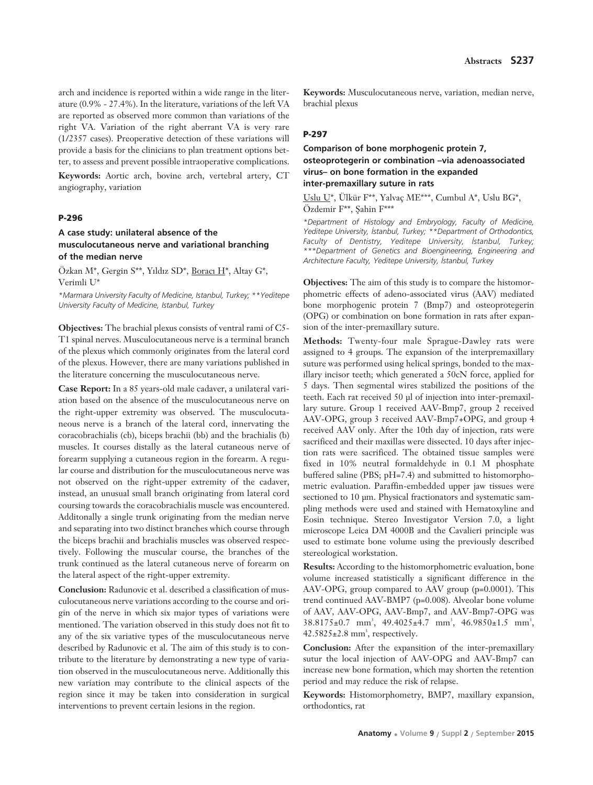arch and incidence is reported within a wide range in the literature (0.9% - 27.4%). In the literature, variations of the left VA are reported as observed more common than variations of the right VA. Variation of the right aberrant VA is very rare (1/2357 cases). Preoperative detection of these variations will provide a basis for the clinicians to plan treatment options better, to assess and prevent possible intraoperative complications.

**Keywords:** Aortic arch, bovine arch, vertebral artery, CT angiography, variation

# **P-296**

# **A case study: unilateral absence of the musculocutaneous nerve and variational branching of the median nerve**

Özkan M\*, Gergin S\*\*, Yıldız SD\*, Boracı H\*, Altay G\*, Verimli U\*

*\*Marmara University Faculty of Medicine, Istanbul, Turkey; \*\*Yeditepe University Faculty of Medicine, Istanbul, Turkey* 

**Objectives:** The brachial plexus consists of ventral rami of C5- T1 spinal nerves. Musculocutaneous nerve is a terminal branch of the plexus which commonly originates from the lateral cord of the plexus. However, there are many variations published in the literature concerning the musculocutaneous nerve.

**Case Report:** In a 85 years-old male cadaver, a unilateral variation based on the absence of the musculocutaneous nerve on the right-upper extremity was observed. The musculocutaneous nerve is a branch of the lateral cord, innervating the coracobrachialis (cb), biceps brachii (bb) and the brachialis (b) muscles. It courses distally as the lateral cutaneous nerve of forearm supplying a cutaneous region in the forearm. A regular course and distribution for the musculocutaneous nerve was not observed on the right-upper extremity of the cadaver, instead, an unusual small branch originating from lateral cord coursing towards the coracobrachialis muscle was encountered. Additonally a single trunk originating from the median nerve and separating into two distinct branches which course through the biceps brachii and brachialis muscles was observed respectively. Following the muscular course, the branches of the trunk continued as the lateral cutaneous nerve of forearm on the lateral aspect of the right-upper extremity.

**Conclusion:** Radunovic et al. described a classification of musculocutaneous nerve variations according to the course and origin of the nerve in which six major types of variations were mentioned. The variation observed in this study does not fit to any of the six variative types of the musculocutaneous nerve described by Radunovic et al. The aim of this study is to contribute to the literature by demonstrating a new type of variation observed in the musculocutaneous nerve. Additionally this new variation may contribute to the clinical aspects of the region since it may be taken into consideration in surgical interventions to prevent certain lesions in the region.

**Keywords:** Musculocutaneous nerve, variation, median nerve, brachial plexus

### **P-297**

# **Comparison of bone morphogenic protein 7, osteoprotegerin or combination –via adenoassociated virus– on bone formation in the expanded inter-premaxillary suture in rats**

Uslu U\*, Ülkür F\*\*, Yalvaç ME\*\*\*, Cumbul A\*, Uslu BG\*, Özdemir F\*\*, Sahin F\*\*\*

*\*Department of Histology and Embryology, Faculty of Medicine, Yeditepe University, ‹stanbul, Turkey; \*\*Department of Orthodontics,* Faculty of Dentistry, Yeditepe University, *Istanbul*, Turkey; *\*\*\*Department of Genetics and Bioengineering, Engineering and Architecture Faculty, Yeditepe University, ‹stanbul, Turkey* 

**Objectives:** The aim of this study is to compare the histomorphometric effects of adeno-associated virus (AAV) mediated bone morphogenic protein 7 (Bmp7) and osteoprotegerin (OPG) or combination on bone formation in rats after expansion of the inter-premaxillary suture.

**Methods:** Twenty-four male Sprague-Dawley rats were assigned to 4 groups. The expansion of the interpremaxillary suture was performed using helical springs, bonded to the maxillary incisor teeth; which generated a 50cN force, applied for 5 days. Then segmental wires stabilized the positions of the teeth. Each rat received 50 μl of injection into inter-premaxillary suture. Group 1 received AAV-Bmp7, group 2 received AAV-OPG, group 3 received AAV-Bmp7+OPG, and group 4 received AAV only. After the 10th day of injection, rats were sacrificed and their maxillas were dissected. 10 days after injection rats were sacrificed. The obtained tissue samples were fixed in 10% neutral formaldehyde in 0.1 M phosphate buffered saline (PBS; pH=7.4) and submitted to histomorphometric evaluation. Paraffin-embedded upper jaw tissues were sectioned to 10 μm. Physical fractionators and systematic sampling methods were used and stained with Hematoxyline and Eosin technique. Stereo Investigator Version 7.0, a light microscope Leica DM 4000B and the Cavalieri principle was used to estimate bone volume using the previously described stereological workstation.

**Results:** According to the histomorphometric evaluation, bone volume increased statistically a significant difference in the AAV-OPG, group compared to AAV group (p=0.0001). This trend continued AAV-BMP7 (p=0.008). Alveolar bone volume of AAV, AAV-OPG, AAV-Bmp7, and AAV-Bmp7-OPG was  $38.8175 \pm 0.7$  mm<sup>3</sup>,  $49.4025 \pm 4.7$  mm<sup>3</sup>,  $46.9850 \pm 1.5$  mm<sup>3</sup>,  $42.5825 \pm 2.8$  mm<sup>3</sup>, respectively.

**Conclusion:** After the expansition of the inter-premaxillary sutur the local injection of AAV-OPG and AAV-Bmp7 can increase new bone formation, which may shorten the retention period and may reduce the risk of relapse.

**Keywords:** Histomorphometry, BMP7, maxillary expansion, orthodontics, rat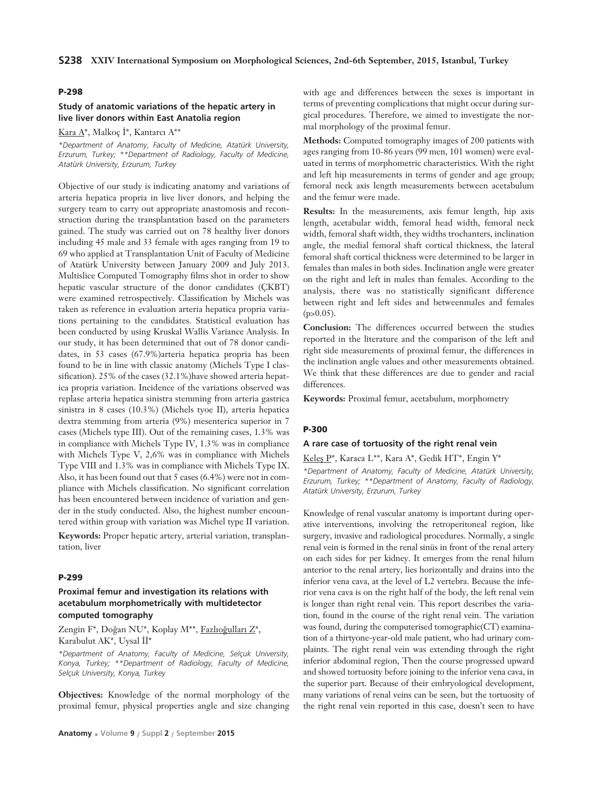# **Study of anatomic variations of the hepatic artery in live liver donors within East Anatolia region**

Kara  $A^*$ , Malkoç İ\*, Kantarcı  $A^{**}$ 

*\*Department of Anatomy, Faculty of Medicine, Atatürk University, Erzurum, Turkey; \*\*Department of Radiology, Faculty of Medicine, Atatürk University, Erzurum, Turkey*

Objective of our study is indicating anatomy and variations of arteria hepatica propria in live liver donors, and helping the surgery team to carry out appropriate anastomosis and reconstruction during the transplantation based on the parameters gained. The study was carried out on 78 healthy liver donors including 45 male and 33 female with ages ranging from 19 to 69 who applied at Transplantation Unit of Faculty of Medicine of Atatürk University between January 2009 and July 2013. Multislice Computed Tomography films shot in order to show hepatic vascular structure of the donor candidates (ÇKBT) were examined retrospectively. Classification by Michels was taken as reference in evaluation arteria hepatica propria variations pertaining to the candidates. Statistical evaluation has been conducted by using Kruskal Wallis Variance Analysis. In our study, it has been determined that out of 78 donor candidates, in 53 cases (67.9%)arteria hepatica propria has been found to be in line with classic anatomy (Michels Type I classification). 25% of the cases (32.1%)have showed arteria hepatica propria variation. Incidence of the variations observed was replase arteria hepatica sinistra stemming from arteria gastrica sinistra in 8 cases (10.3%) (Michels tyoe II), arteria hepatica dextra stemming from arteria (9%) mesenterica superior in 7 cases (Michels type III). Out of the remaining cases, 1.3% was in compliance with Michels Type IV, 1.3% was in compliance with Michels Type V, 2,6% was in compliance with Michels Type VIII and 1.3% was in compliance with Michels Type IX. Also, it has been found out that 5 cases (6.4%) were not in compliance with Michels classification. No significant correlation has been encountered between incidence of variation and gender in the study conducted. Also, the highest number encountered within group with variation was Michel type II variation.

**Keywords:** Proper hepatic artery, arterial variation, transplantation, liver

#### **P-299**

# **Proximal femur and investigation its relations with acetabulum morphometrically with multidetector computed tomography**

Zengin F\*, Doğan NU\*, Koplay M\*\*, Fazlıoğulları Z\*, Karabulut AK\*, Uysal  $\overline{\text{II}}^*$ 

*\*Department of Anatomy, Faculty of Medicine, Selçuk University, Konya, Turkey; \*\*Department of Radiology, Faculty of Medicine, Selçuk University, Konya, Turkey*

**Objectives:** Knowledge of the normal morphology of the proximal femur, physical properties angle and size changing with age and differences between the sexes is important in terms of preventing complications that might occur during surgical procedures. Therefore, we aimed to investigate the normal morphology of the proximal femur.

**Methods:** Computed tomography images of 200 patients with ages ranging from 10-86 years (99 men, 101 women) were evaluated in terms of morphometric characteristics. With the right and left hip measurements in terms of gender and age group; femoral neck axis length measurements between acetabulum and the femur were made.

**Results:** In the measurements, axis femur length, hip axis length, acetabular width, femoral head width, femoral neck width, femoral shaft width, they widths trochanters, inclination angle, the medial femoral shaft cortical thickness, the lateral femoral shaft cortical thickness were determined to be larger in females than males in both sides. Inclination angle were greater on the right and left in males than females. According to the analysis, there was no statistically significant difference between right and left sides and betweenmales and females  $(p>0.05)$ .

**Conclusion:** The differences occurred between the studies reported in the literature and the comparison of the left and right side measurements of proximal femur, the differences in the inclination angle values and other measurements obtained. We think that these differences are due to gender and racial differences.

**Keywords:** Proximal femur, acetabulum, morphometry

#### **P-300**

### **A rare case of tortuosity of the right renal vein**

Keles P\*, Karaca L\*\*, Kara A\*, Gedik HT\*, Engin Y\*

*\*Department of Anatomy, Faculty of Medicine, Atatürk University, Erzurum, Turkey; \*\*Department of Anatomy, Faculty of Radiology, Atatürk University, Erzurum, Turkey* 

Knowledge of renal vascular anatomy is important during operative interventions, involving the retroperitoneal region, like surgery, invasive and radiological procedures. Normally, a single renal vein is formed in the renal sinüs in front of the renal artery on each sides for per kidney. It emerges from the renal hilum anterior to the renal artery, lies horizontally and drains into the inferior vena cava, at the level of L2 vertebra. Because the inferior vena cava is on the right half of the body, the left renal vein is longer than right renal vein. This report describes the variation, found in the course of the right renal vein. The variation was found, during the computerised tomographic(CT) examination of a thirtyone-year-old male patient, who had urinary complaints. The right renal vein was extending through the right inferior abdominal region, Then the course progressed upward and showed tortuosity before joining to the inferior vena cava, in the superior part. Because of their embryological development, many variations of renal veins can be seen, but the tortuosity of the right renal vein reported in this case, doesn't seen to have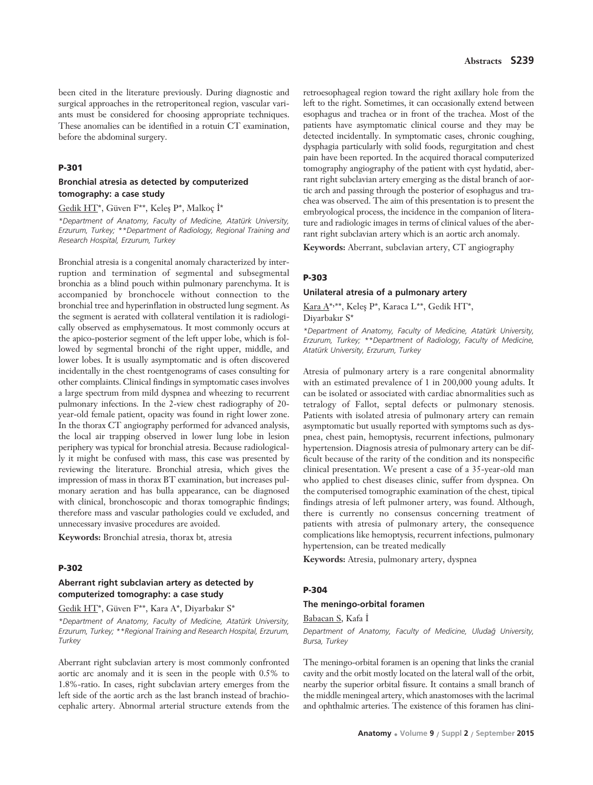been cited in the literature previously. During diagnostic and surgical approaches in the retroperitoneal region, vascular variants must be considered for choosing appropriate techniques. These anomalies can be identified in a rotuin CT examination, before the abdominal surgery.

#### **P-301**

## **Bronchial atresia as detected by computerized tomography: a case study**

Gedik HT\*, Güven F\*\*, Keleş P\*, Malkoç İ\*

*\*Department of Anatomy, Faculty of Medicine, Atatürk University, Erzurum, Turkey; \*\*Department of Radiology, Regional Training and Research Hospital, Erzurum, Turkey* 

Bronchial atresia is a congenital anomaly characterized by interruption and termination of segmental and subsegmental bronchia as a blind pouch within pulmonary parenchyma. It is accompanied by bronchocele without connection to the bronchial tree and hyperinflation in obstructed lung segment. As the segment is aerated with collateral ventilation it is radiologically observed as emphysematous. It most commonly occurs at the apico-posterior segment of the left upper lobe, which is followed by segmental bronchi of the right upper, middle, and lower lobes. It is usually asymptomatic and is often discovered incidentally in the chest roentgenograms of cases consulting for other complaints. Clinical findings in symptomatic cases involves a large spectrum from mild dyspnea and wheezing to recurrent pulmonary infections. In the 2-view chest radiography of 20 year-old female patient, opacity was found in right lower zone. In the thorax CT angiography performed for advanced analysis, the local air trapping observed in lower lung lobe in lesion periphery was typical for bronchial atresia. Because radiologically it might be confused with mass, this case was presented by reviewing the literature. Bronchial atresia, which gives the impression of mass in thorax BT examination, but increases pulmonary aeration and has bulla appearance, can be diagnosed with clinical, bronchoscopic and thorax tomographic findings; therefore mass and vascular pathologies could ve excluded, and unnecessary invasive procedures are avoided.

**Keywords:** Bronchial atresia, thorax bt, atresia

#### **P-302**

# **Aberrant right subclavian artery as detected by computerized tomography: a case study**

Gedik HT\*, Güven F\*\*, Kara A\*, Diyarbakır S\*

*\*Department of Anatomy, Faculty of Medicine, Atatürk University, Erzurum, Turkey; \*\*Regional Training and Research Hospital, Erzurum, Turkey* 

Aberrant right subclavian artery is most commonly confronted aortic arc anomaly and it is seen in the people with 0.5% to 1.8%-ratio. In cases, right subclavian artery emerges from the left side of the aortic arch as the last branch instead of brachiocephalic artery. Abnormal arterial structure extends from the

retroesophageal region toward the right axillary hole from the left to the right. Sometimes, it can occasionally extend between esophagus and trachea or in front of the trachea. Most of the patients have asymptomatic clinical course and they may be detected incidentally. In symptomatic cases, chronic coughing, dysphagia particularly with solid foods, regurgitation and chest pain have been reported. In the acquired thoracal computerized tomography angiography of the patient with cyst hydatid, aberrant right subclavian artery emerging as the distal branch of aortic arch and passing through the posterior of esophagus and trachea was observed. The aim of this presentation is to present the embryological process, the incidence in the companion of literature and radiologic images in terms of clinical values of the aberrant right subclavian artery which is an aortic arch anomaly.

**Keywords:** Aberrant, subclavian artery, CT angiography

### **P-303**

#### **Unilateral atresia of a pulmonary artery**

Kara A\*,\*\*, Keleş P\*, Karaca L\*\*, Gedik HT\*, Diyarbakır S\*

*\*Department of Anatomy, Faculty of Medicine, Atatürk University, Erzurum, Turkey; \*\*Department of Radiology, Faculty of Medicine, Atatürk University, Erzurum, Turkey*

Atresia of pulmonary artery is a rare congenital abnormality with an estimated prevalence of 1 in 200,000 young adults. It can be isolated or associated with cardiac abnormalities such as tetralogy of Fallot, septal defects or pulmonary stenosis. Patients with isolated atresia of pulmonary artery can remain asymptomatic but usually reported with symptoms such as dyspnea, chest pain, hemoptysis, recurrent infections, pulmonary hypertension. Diagnosis atresia of pulmonary artery can be difficult because of the rarity of the condition and its nonspecific clinical presentation. We present a case of a 35-year-old man who applied to chest diseases clinic, suffer from dyspnea. On the computerised tomographic examination of the chest, tipical findings atresia of left pulmoner artery, was found. Although, there is currently no consensus concerning treatment of patients with atresia of pulmonary artery, the consequence complications like hemoptysis, recurrent infections, pulmonary hypertension, can be treated medically

**Keywords:** Atresia, pulmonary artery, dyspnea

# **P-304**

### **The meningo-orbital foramen**

Babacan S, Kafa İ

*Department of Anatomy, Faculty of Medicine, Uluda¤ University, Bursa, Turkey*

The meningo-orbital foramen is an opening that links the cranial cavity and the orbit mostly located on the lateral wall of the orbit, nearby the superior orbital fissure. It contains a small branch of the middle meningeal artery, which anastomoses with the lacrimal and ophthalmic arteries. The existence of this foramen has clini-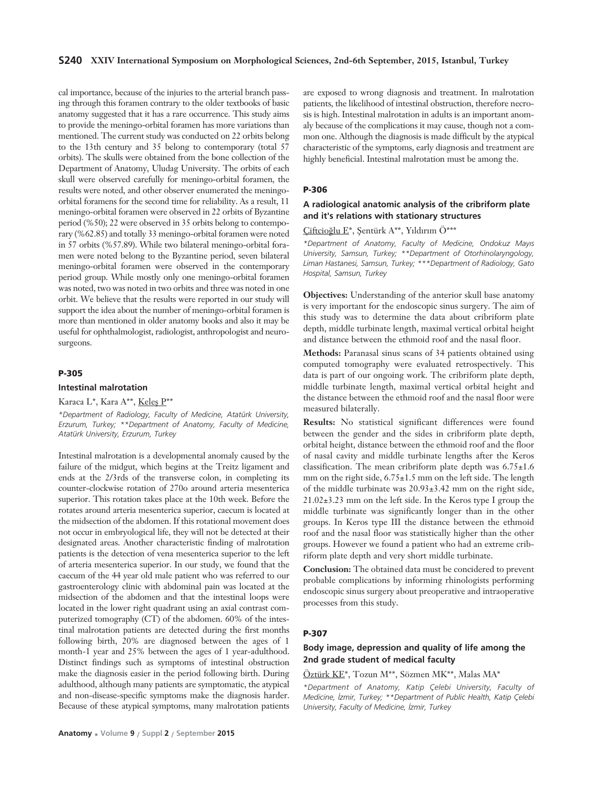### **S240 XXIV International Symposium on Morphological Sciences, 2nd-6th September, 2015, Istanbul, Turkey**

cal importance, because of the injuries to the arterial branch passing through this foramen contrary to the older textbooks of basic anatomy suggested that it has a rare occurrence. This study aims to provide the meningo-orbital foramen has more variations than mentioned. The current study was conducted on 22 orbits belong to the 13th century and 35 belong to contemporary (total 57 orbits). The skulls were obtained from the bone collection of the Department of Anatomy, Uludag University. The orbits of each skull were observed carefully for meningo-orbital foramen, the results were noted, and other observer enumerated the meningoorbital foramens for the second time for reliability. As a result, 11 meningo-orbital foramen were observed in 22 orbits of Byzantine period (%50); 22 were observed in 35 orbits belong to contemporary (%62.85) and totally 33 meningo-orbital foramen were noted in 57 orbits (%57.89). While two bilateral meningo-orbital foramen were noted belong to the Byzantine period, seven bilateral meningo-orbital foramen were observed in the contemporary period group. While mostly only one meningo-orbital foramen was noted, two was noted in two orbits and three was noted in one orbit. We believe that the results were reported in our study will support the idea about the number of meningo-orbital foramen is more than mentioned in older anatomy books and also it may be useful for ophthalmologist, radiologist, anthropologist and neurosurgeons.

#### **P-305**

#### **Intestinal malrotation**

Karaca L\*, Kara A\*\*, Keles  $P^{**}$ 

*\*Department of Radiology, Faculty of Medicine, Atatürk University, Erzurum, Turkey; \*\*Department of Anatomy, Faculty of Medicine, Atatürk University, Erzurum, Turkey*

Intestinal malrotation is a developmental anomaly caused by the failure of the midgut, which begins at the Treitz ligament and ends at the 2/3rds of the transverse colon, in completing its counter-clockwise rotation of 270o around arteria mesenterica superior. This rotation takes place at the 10th week. Before the rotates around arteria mesenterica superior, caecum is located at the midsection of the abdomen. If this rotational movement does not occur in embryological life, they will not be detected at their designated areas. Another characteristic finding of malrotation patients is the detection of vena mesenterica superior to the left of arteria mesenterica superior. In our study, we found that the caecum of the 44 year old male patient who was referred to our gastroenterology clinic with abdominal pain was located at the midsection of the abdomen and that the intestinal loops were located in the lower right quadrant using an axial contrast computerized tomography (CT) of the abdomen. 60% of the intestinal malrotation patients are detected during the first months following birth, 20% are diagnosed between the ages of 1 month-1 year and 25% between the ages of 1 year-adulthood. Distinct findings such as symptoms of intestinal obstruction make the diagnosis easier in the period following birth. During adulthood, although many patients are symptomatic, the atypical and non-disease-specific symptoms make the diagnosis harder. Because of these atypical symptoms, many malrotation patients

are exposed to wrong diagnosis and treatment. In malrotation patients, the likelihood of intestinal obstruction, therefore necrosis is high. Intestinal malrotation in adults is an important anomaly because of the complications it may cause, though not a common one. Although the diagnosis is made difficult by the atypical characteristic of the symptoms, early diagnosis and treatment are highly beneficial. Intestinal malrotation must be among the.

### **P-306**

# **A radiological anatomic analysis of the cribriform plate and it's relations with stationary structures**

# Çiftcioğlu E\*, Şentürk A\*\*, Yıldırım Ö\*\*\*

*\*Department of Anatomy, Faculty of Medicine, Ondokuz May›s University, Samsun, Turkey; \*\*Department of Otorhinolaryngology, Liman Hastanesi, Samsun, Turkey; \*\*\*Department of Radiology, Gato Hospital, Samsun, Turkey* 

**Objectives:** Understanding of the anterior skull base anatomy is very important for the endoscopic sinus surgery. The aim of this study was to determine the data about cribriform plate depth, middle turbinate length, maximal vertical orbital height and distance between the ethmoid roof and the nasal floor.

**Methods:** Paranasal sinus scans of 34 patients obtained using computed tomography were evaluated retrospectively. This data is part of our ongoing work. The cribriform plate depth, middle turbinate length, maximal vertical orbital height and the distance between the ethmoid roof and the nasal floor were measured bilaterally.

**Results:** No statistical significant differences were found between the gender and the sides in cribriform plate depth, orbital height, distance between the ethmoid roof and the floor of nasal cavity and middle turbinate lengths after the Keros classification. The mean cribriform plate depth was  $6.75 \pm 1.6$ mm on the right side,  $6.75 \pm 1.5$  mm on the left side. The length of the middle turbinate was 20.93±3.42 mm on the right side, 21.02±3.23 mm on the left side. In the Keros type I group the middle turbinate was significantly longer than in the other groups. In Keros type III the distance between the ethmoid roof and the nasal floor was statistically higher than the other groups. However we found a patient who had an extreme cribriform plate depth and very short middle turbinate.

**Conclusion:** The obtained data must be concidered to prevent probable complications by informing rhinologists performing endoscopic sinus surgery about preoperative and intraoperative processes from this study.

### **P-307**

# **Body image, depression and quality of life among the 2nd grade student of medical faculty**

#### Öztürk KE\*, Tozun M\*\*, Sözmen MK\*\*, Malas MA\*

*\*Department of Anatomy, Katip Çelebi University, Faculty of Medicine, İzmir, Turkey; \*\*Department of Public Health, Katip Çelebi University, Faculty of Medicine, ‹zmir, Turkey*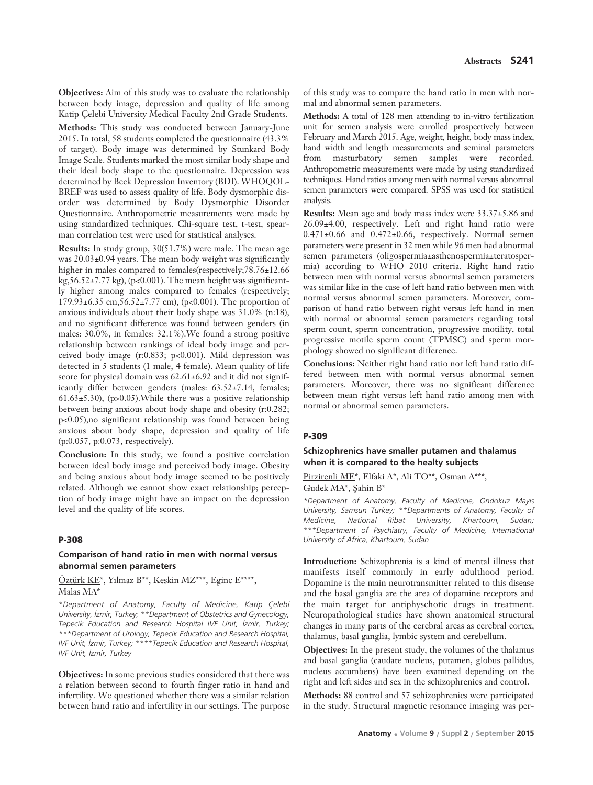**Objectives:** Aim of this study was to evaluate the relationship between body image, depression and quality of life among Katip Çelebi University Medical Faculty 2nd Grade Students.

**Methods:** This study was conducted between January-June 2015. In total, 58 students completed the questionnaire (43.3% of target). Body image was determined by Stunkard Body Image Scale. Students marked the most similar body shape and their ideal body shape to the questionnaire. Depression was determined by Beck Depression Inventory (BDI). WHOQOL-BREF was used to assess quality of life. Body dysmorphic disorder was determined by Body Dysmorphic Disorder Questionnaire. Anthropometric measurements were made by using standardized techniques. Chi-square test, t-test, spearman correlation test were used for statistical analyses.

**Results:** In study group, 30(51.7%) were male. The mean age was 20.03±0.94 years. The mean body weight was significantly higher in males compared to females(respectively;78.76±12.66 kg,56.52 $\pm$ 7.77 kg), (p<0.001). The mean height was significantly higher among males compared to females (respectively; 179.93±6.35 cm,56.52±7.77 cm), (p<0.001). The proportion of anxious individuals about their body shape was 31.0% (n:18), and no significant difference was found between genders (in males: 30.0%, in females: 32.1%).We found a strong positive relationship between rankings of ideal body image and perceived body image (r:0.833; p<0.001). Mild depression was detected in 5 students (1 male, 4 female). Mean quality of life score for physical domain was  $62.61\pm6.92$  and it did not significantly differ between genders (males: 63.52±7.14, females; 61.63 $\pm$ 5.30), (p>0.05). While there was a positive relationship between being anxious about body shape and obesity (r:0.282; p<0.05),no significant relationship was found between being anxious about body shape, depression and quality of life (p:0.057, p:0.073, respectively).

**Conclusion:** In this study, we found a positive correlation between ideal body image and perceived body image. Obesity and being anxious about body image seemed to be positively related. Although we cannot show exact relationship; perception of body image might have an impact on the depression level and the quality of life scores.

### **P-308**

# **Comparison of hand ratio in men with normal versus abnormal semen parameters**

Öztürk KE\*, Yılmaz B\*\*, Keskin MZ\*\*\*, Eginc E\*\*\*\*, Malas MA\*

*\*Department of Anatomy, Faculty of Medicine, Katip Çelebi University, ‹zmir, Turkey; \*\*Department of Obstetrics and Gynecology, Tepecik Education and Research Hospital IVF Unit, ‹zmir, Turkey; \*\*\*Department of Urology, Tepecik Education and Research Hospital, IVF Unit, İzmir, Turkey; \*\*\*\*Tepecik Education and Research Hospital, IVF Unit, ‹zmir, Turkey* 

**Objectives:** In some previous studies considered that there was a relation between second to fourth finger ratio in hand and infertility. We questioned whether there was a similar relation between hand ratio and infertility in our settings. The purpose of this study was to compare the hand ratio in men with normal and abnormal semen parameters.

**Methods:** A total of 128 men attending to in-vitro fertilization unit for semen analysis were enrolled prospectively between February and March 2015. Age, weight, height, body mass index, hand width and length measurements and seminal parameters from masturbatory semen samples were recorded. Anthropometric measurements were made by using standardized techniques. Hand ratios among men with normal versus abnormal semen parameters were compared. SPSS was used for statistical analysis.

**Results:** Mean age and body mass index were 33.37±5.86 and 26.09±4.00, respectively. Left and right hand ratio were  $0.471\pm0.66$  and  $0.472\pm0.66$ , respectively. Normal semen parameters were present in 32 men while 96 men had abnormal semen parameters (oligospermia±asthenospermia±teratospermia) according to WHO 2010 criteria. Right hand ratio between men with normal versus abnormal semen parameters was similar like in the case of left hand ratio between men with normal versus abnormal semen parameters. Moreover, comparison of hand ratio between right versus left hand in men with normal or abnormal semen parameters regarding total sperm count, sperm concentration, progressive motility, total progressive motile sperm count (TPMSC) and sperm morphology showed no significant difference.

**Conclusions:** Neither right hand ratio nor left hand ratio differed between men with normal versus abnormal semen parameters. Moreover, there was no significant difference between mean right versus left hand ratio among men with normal or abnormal semen parameters.

### **P-309**

# **Schizophrenics have smaller putamen and thalamus when it is compared to the healty subjects**

Pirzirenli ME\*, Elfaki A\*, Ali TO\*\*, Osman A\*\*\*, Gudek MA\*, Sahin B\*

*\*Department of Anatomy, Faculty of Medicine, Ondokuz May›s University, Samsun Turkey; \*\*Departments of Anatomy, Faculty of Medicine, National Ribat University, Khartoum, Sudan; \*\*\*Department of Psychiatry, Faculty of Medicine, International University of Africa, Khartoum, Sudan*

**Introduction:** Schizophrenia is a kind of mental illness that manifests itself commonly in early adulthood period. Dopamine is the main neurotransmitter related to this disease and the basal ganglia are the area of dopamine receptors and the main target for antiphyschotic drugs in treatment. Neuropathological studies have shown anatomical structural changes in many parts of the cerebral areas as cerebral cortex, thalamus, basal ganglia, lymbic system and cerebellum.

**Objectives:** In the present study, the volumes of the thalamus and basal ganglia (caudate nucleus, putamen, globus pallidus, nucleus accumbens) have been examined depending on the right and left sides and sex in the schizophrenics and control.

**Methods:** 88 control and 57 schizophrenics were participated in the study. Structural magnetic resonance imaging was per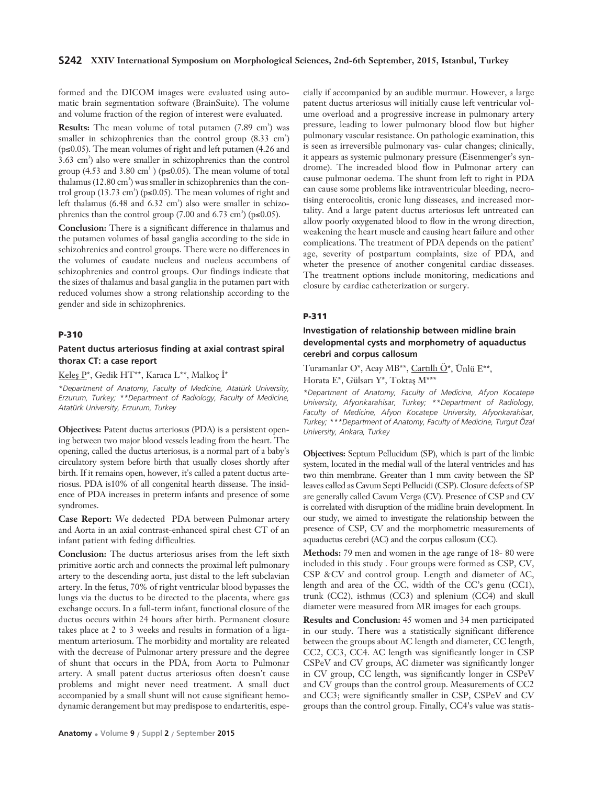formed and the DICOM images were evaluated using automatic brain segmentation software (BrainSuite). The volume and volume fraction of the region of interest were evaluated.

**Results:** The mean volume of total putamen (7.89 cm<sup>3</sup>) was smaller in schizophrenics than the control group (8.33 cm<sup>3</sup>) (p≤0.05). The mean volumes of right and left putamen (4.26 and 3.63 cm<sup>3</sup>) also were smaller in schizophrenics than the control group (4.53 and 3.80 cm<sup>3</sup>) ( $p \le 0.05$ ). The mean volume of total thalamus  $(12.80 \text{ cm}^3)$  was smaller in schizophrenics than the control group (13.73 cm<sup>3</sup>) (p≤0.05). The mean volumes of right and left thalamus  $(6.48 \text{ and } 6.32 \text{ cm}^3)$  also were smaller in schizophrenics than the control group  $(7.00 \text{ and } 6.73 \text{ cm}^3)$  (p≤0.05).

**Conclusion:** There is a significant difference in thalamus and the putamen volumes of basal ganglia according to the side in schizohrenics and control groups. There were no differences in the volumes of caudate nucleus and nucleus accumbens of schizophrenics and control groups. Our findings indicate that the sizes of thalamus and basal ganglia in the putamen part with reduced volumes show a strong relationship according to the gender and side in schizophrenics.

### **P-310**

# **Patent ductus arteriosus finding at axial contrast spiral thorax CT: a case report**

Keles P\*, Gedik HT\*\*, Karaca L\*\*, Malkoç İ\*

*\*Department of Anatomy, Faculty of Medicine, Atatürk University, Erzurum, Turkey; \*\*Department of Radiology, Faculty of Medicine, Atatürk University, Erzurum, Turkey*

**Objectives:** Patent ductus arteriosus (PDA) is a persistent opening between two major blood vessels leading from the heart. The opening, called the ductus arteriosus, is a normal part of a baby's circulatory system before birth that usually closes shortly after birth. If it remains open, however, it's called a patent ductus arteriosus. PDA is10% of all congenital hearth dissease. The insidence of PDA increases in preterm infants and presence of some syndromes.

**Case Report:** We dedected PDA between Pulmonar artery and Aorta in an axial contrast-enhanced spiral chest CT of an infant patient with feding difficulties.

**Conclusion:** The ductus arteriosus arises from the left sixth primitive aortic arch and connects the proximal left pulmonary artery to the descending aorta, just distal to the left subclavian artery. In the fetus, 70% of right ventricular blood bypasses the lungs via the ductus to be directed to the placenta, where gas exchange occurs. In a full-term infant, functional closure of the ductus occurs within 24 hours after birth. Permanent closure takes place at 2 to 3 weeks and results in formation of a ligamentum arteriosum. The morbidity and mortality are releated with the decrease of Pulmonar artery pressure and the degree of shunt that occurs in the PDA, from Aorta to Pulmonar artery. A small patent ductus arteriosus often doesn't cause problems and might never need treatment. A small duct accompanied by a small shunt will not cause significant hemodynamic derangement but may predispose to endarteritis, especially if accompanied by an audible murmur. However, a large patent ductus arteriosus will initially cause left ventricular volume overload and a progressive increase in pulmonary artery pressure, leading to lower pulmonary blood flow but higher pulmonary vascular resistance. On pathologic examination, this is seen as irreversible pulmonary vas- cular changes; clinically, it appears as systemic pulmonary pressure (Eisenmenger's syndrome). The increaded blood flow in Pulmonar artery can cause pulmonar oedema. The shunt from left to right in PDA can cause some problems like intraventricular bleeding, necrotising enterocolitis, cronic lung disseases, and increased mortality. And a large patent ductus arteriosus left untreated can allow poorly oxygenated blood to flow in the wrong direction, weakening the heart muscle and causing heart failure and other complications. The treatment of PDA depends on the patient' age, severity of postpartum complaints, size of PDA, and wheter the presence of another congenital cardiac disseases. The treatment options include monitoring, medications and closure by cardiac catheterization or surgery.

### **P-311**

# **Investigation of relationship between midline brain developmental cysts and morphometry of aquaductus cerebri and corpus callosum**

Turamanlar O\*, Acay MB\*\*, Cartıllı Ö\*, Ünlü E\*\*, Horata E\*, Gülsarı Y\*, Toktaş M\*\*\*

*\*Department of Anatomy, Faculty of Medicine, Afyon Kocatepe University, Afyonkarahisar, Turkey; \*\*Department of Radiology, Faculty of Medicine, Afyon Kocatepe University, Afyonkarahisar, Turkey; \*\*\*Department of Anatomy, Faculty of Medicine, Turgut Özal University, Ankara, Turkey*

**Objectives:** Septum Pellucidum (SP), which is part of the limbic system, located in the medial wall of the lateral ventricles and has two thin membrane. Greater than 1 mm cavity between the SP leaves called as Cavum Septi Pellucidi (CSP). Closure defects of SP are generally called Cavum Verga (CV). Presence of CSP and CV is correlated with disruption of the midline brain development. In our study, we aimed to investigate the relationship between the presence of CSP, CV and the morphometric measurements of aquaductus cerebri (AC) and the corpus callosum (CC).

**Methods:** 79 men and women in the age range of 18- 80 were included in this study . Four groups were formed as CSP, CV, CSP &CV and control group. Length and diameter of AC, length and area of the CC, width of the CC's genu (CC1), trunk (CC2), isthmus (CC3) and splenium (CC4) and skull diameter were measured from MR images for each groups.

**Results and Conclusion:** 45 women and 34 men participated in our study. There was a statistically significant difference between the groups about AC length and diameter, CC length, CC2, CC3, CC4. AC length was significantly longer in CSP CSPeV and CV groups, AC diameter was significantly longer in CV group, CC length, was significantly longer in CSPeV and CV groups than the control group. Measurements of CC2 and CC3; were significantly smaller in CSP, CSPeV and CV groups than the control group. Finally, CC4's value was statis-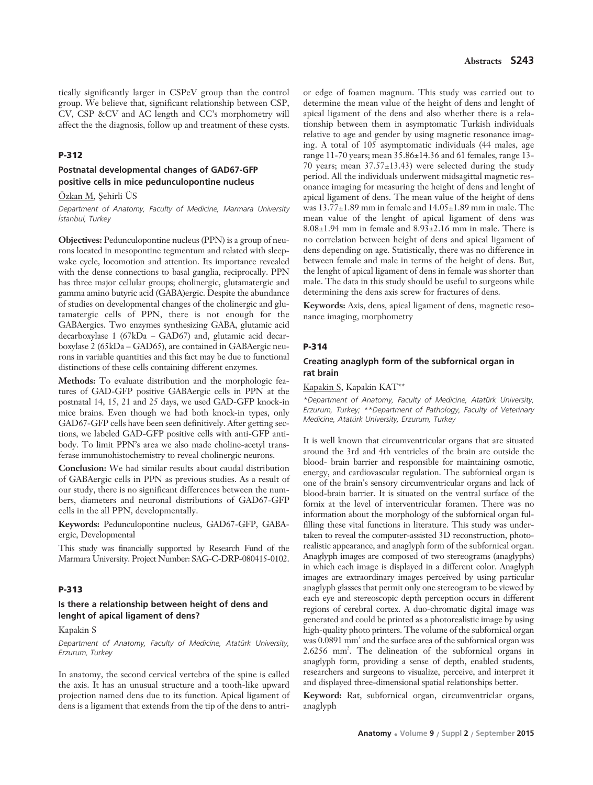# **Postnatal developmental changes of GAD67-GFP positive cells in mice pedunculopontine nucleus**

Özkan M, Sehirli ÜS

*Department of Anatomy, Faculty of Medicine, Marmara University ‹stanbul, Turkey*

**Objectives:** Pedunculopontine nucleus (PPN) is a group of neurons located in mesopontine tegmentum and related with sleepwake cycle, locomotion and attention. Its importance revealed with the dense connections to basal ganglia, reciprocally. PPN has three major cellular groups; cholinergic, glutamatergic and gamma amino butyric acid (GABA)ergic. Despite the abundance of studies on developmental changes of the cholinergic and glutamatergic cells of PPN, there is not enough for the GABAergics. Two enzymes synthesizing GABA, glutamic acid decarboxylase 1 (67kDa – GAD67) and, glutamic acid decarboxylase 2 (65kDa – GAD65), are contained in GABAergic neurons in variable quantities and this fact may be due to functional distinctions of these cells containing different enzymes.

**Methods:** To evaluate distribution and the morphologic features of GAD-GFP positive GABAergic cells in PPN at the postnatal 14, 15, 21 and 25 days, we used GAD-GFP knock-in mice brains. Even though we had both knock-in types, only GAD67-GFP cells have been seen definitively. After getting sections, we labeled GAD-GFP positive cells with anti-GFP antibody. To limit PPN's area we also made choline-acetyl transferase immunohistochemistry to reveal cholinergic neurons.

**Conclusion:** We had similar results about caudal distribution of GABAergic cells in PPN as previous studies. As a result of our study, there is no significant differences between the numbers, diameters and neuronal distributions of GAD67-GFP cells in the all PPN, developmentally.

**Keywords:** Pedunculopontine nucleus, GAD67-GFP, GABAergic, Developmental

This study was financially supported by Research Fund of the Marmara University. Project Number: SAG-C-DRP-080415-0102.

#### **P-313**

# **Is there a relationship between height of dens and lenght of apical ligament of dens?**

Kapakin S

*Department of Anatomy, Faculty of Medicine, Atatürk University, Erzurum, Turkey*

In anatomy, the second cervical vertebra of the spine is called the axis. It has an unusual structure and a tooth-like upward projection named dens due to its function. Apical ligament of dens is a ligament that extends from the tip of the dens to antri-

or edge of foamen magnum. This study was carried out to determine the mean value of the height of dens and lenght of apical ligament of the dens and also whether there is a relationship between them in asymptomatic Turkish individuals relative to age and gender by using magnetic resonance imaging. A total of 105 asymptomatic individuals (44 males, age range 11-70 years; mean 35.86±14.36 and 61 females, range 13- 70 years; mean 37.57±13.43) were selected during the study period. All the individuals underwent midsagittal magnetic resonance imaging for measuring the height of dens and lenght of apical ligament of dens. The mean value of the height of dens was 13.77±1.89 mm in female and 14.05±1.89 mm in male. The mean value of the lenght of apical ligament of dens was 8.08±1.94 mm in female and 8.93±2.16 mm in male. There is no correlation between height of dens and apical ligament of dens depending on age. Statistically, there was no difference in between female and male in terms of the height of dens. But, the lenght of apical ligament of dens in female was shorter than male. The data in this study should be useful to surgeons while determining the dens axis screw for fractures of dens.

**Keywords:** Axis, dens, apical ligament of dens, magnetic resonance imaging, morphometry

### **P-314**

### **Creating anaglyph form of the subfornical organ in rat brain**

Kapakin S, Kapakin KAT\*\*

*\*Department of Anatomy, Faculty of Medicine, Atatürk University, Erzurum, Turkey; \*\*Department of Pathology, Faculty of Veterinary Medicine, Atatürk University, Erzurum, Turkey*

It is well known that circumventricular organs that are situated around the 3rd and 4th ventricles of the brain are outside the blood- brain barrier and responsible for maintaining osmotic, energy, and cardiovascular regulation. The subfornical organ is one of the brain's sensory circumventricular organs and lack of blood-brain barrier. It is situated on the ventral surface of the fornix at the level of interventricular foramen. There was no information about the morphology of the subfornical organ fulfilling these vital functions in literature. This study was undertaken to reveal the computer-assisted 3D reconstruction, photorealistic appearance, and anaglyph form of the subfornical organ. Anaglyph images are composed of two stereograms (anaglyphs) in which each image is displayed in a different color. Anaglyph images are extraordinary images perceived by using particular anaglyph glasses that permit only one stereogram to be viewed by each eye and stereoscopic depth perception occurs in different regions of cerebral cortex. A duo-chromatic digital image was generated and could be printed as a photorealistic image by using high-quality photo printers. The volume of the subfornical organ was 0.0891 mm<sup>3</sup> and the surface area of the subfornical organ was 2.6256 mm2 . The delineation of the subfornical organs in anaglyph form, providing a sense of depth, enabled students, researchers and surgeons to visualize, perceive, and interpret it and displayed three-dimensional spatial relationships better.

**Keyword:** Rat, subfornical organ, circumventriclar organs, anaglyph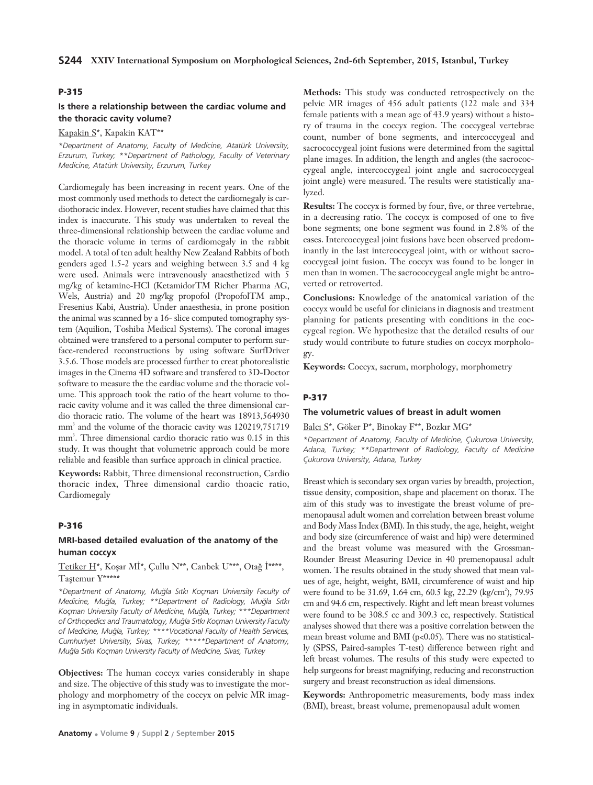# **Is there a relationship between the cardiac volume and the thoracic cavity volume?**

Kapakin S\*, Kapakin KAT\*\*

*\*Department of Anatomy, Faculty of Medicine, Atatürk University, Erzurum, Turkey; \*\*Department of Pathology, Faculty of Veterinary Medicine, Atatürk University, Erzurum, Turkey*

Cardiomegaly has been increasing in recent years. One of the most commonly used methods to detect the cardiomegaly is cardiothoracic index. However, recent studies have claimed that this index is inaccurate. This study was undertaken to reveal the three-dimensional relationship between the cardiac volume and the thoracic volume in terms of cardiomegaly in the rabbit model. A total of ten adult healthy New Zealand Rabbits of both genders aged 1.5-2 years and weighing between 3.5 and 4 kg were used. Animals were intravenously anaesthetized with 5 mg/kg of ketamine-HCl (KetamidorTM Richer Pharma AG, Wels, Austria) and 20 mg/kg propofol (PropofolTM amp., Fresenius Kabi, Austria). Under anaesthesia, in prone position the animal was scanned by a 16- slice computed tomography system (Aquilion, Toshiba Medical Systems). The coronal images obtained were transfered to a personal computer to perform surface-rendered reconstructions by using software SurfDriver 3.5.6. Those models are processed further to creat photorealistic images in the Cinema 4D software and transfered to 3D-Doctor software to measure the the cardiac volume and the thoracic volume. This approach took the ratio of the heart volume to thoracic cavity volume and it was called the three dimensional cardio thoracic ratio. The volume of the heart was 18913,564930 mm<sup>3</sup> and the volume of the thoracic cavity was 120219,751719 mm<sup>3</sup>. Three dimensional cardio thoracic ratio was 0.15 in this study. It was thought that volumetric approach could be more reliable and feasible than surface approach in clinical practice.

**Keywords:** Rabbit, Three dimensional reconstruction, Cardio thoracic index, Three dimensional cardio thoacic ratio, Cardiomegaly

#### **P-316**

### **MRI-based detailed evaluation of the anatomy of the human coccyx**

# Tetiker H\*, Koşar Mİ\*, Çullu N\*\*, Canbek U\*\*\*, Otağ İ\*\*\*\*, Tastemur Y\*\*\*\*\*

*\*Department of Anatomy, Mu¤la S›tk› Koçman University Faculty of Medicine, Mu¤la, Turkey; \*\*Department of Radiology, Mu¤la S›tk› Koçman University Faculty of Medicine, Mu¤la, Turkey; \*\*\*Department* of Orthopedics and Traumatology, Muğla Sıtkı Koçman University Faculty *of Medicine, Mu¤la, Turkey; \*\*\*\*Vocational Faculty of Health Services, Cumhuriyet University, Sivas, Turkey; \*\*\*\*\*Department of Anatomy, Mu¤la S›tk› Koçman University Faculty of Medicine, Sivas, Turkey* 

**Objectives:** The human coccyx varies considerably in shape and size. The objective of this study was to investigate the morphology and morphometry of the coccyx on pelvic MR imaging in asymptomatic individuals.

ry of trauma in the coccyx region. The coccygeal vertebrae count, number of bone segments, and intercoccygeal and sacrococcygeal joint fusions were determined from the sagittal plane images. In addition, the length and angles (the sacrococcygeal angle, intercoccygeal joint angle and sacrococcygeal joint angle) were measured. The results were statistically analyzed. **Results:** The coccyx is formed by four, five, or three vertebrae, in a decreasing ratio. The coccyx is composed of one to five

bone segments; one bone segment was found in 2.8% of the cases. Intercoccygeal joint fusions have been observed predominantly in the last intercoccygeal joint, with or without sacrococcygeal joint fusion. The coccyx was found to be longer in men than in women. The sacrococcygeal angle might be antroverted or retroverted.

**Methods:** This study was conducted retrospectively on the pelvic MR images of 456 adult patients (122 male and 334 female patients with a mean age of 43.9 years) without a histo-

**Conclusions:** Knowledge of the anatomical variation of the coccyx would be useful for clinicians in diagnosis and treatment planning for patients presenting with conditions in the coccygeal region. We hypothesize that the detailed results of our study would contribute to future studies on coccyx morphology.

**Keywords:** Coccyx, sacrum, morphology, morphometry

## **P-317**

### **The volumetric values of breast in adult women**

Balcı S\*, Göker P\*, Binokay F\*\*, Bozkır MG\*

*\*Department of Anatomy, Faculty of Medicine, Çukurova University, Adana, Turkey; \*\*Department of Radiology, Faculty of Medicine Çukurova University, Adana, Turkey*

Breast which is secondary sex organ varies by breadth, projection, tissue density, composition, shape and placement on thorax. The aim of this study was to investigate the breast volume of premenopausal adult women and correlation between breast volume and Body Mass Index (BMI). In this study, the age, height, weight and body size (circumference of waist and hip) were determined and the breast volume was measured with the Grossman-Rounder Breast Measuring Device in 40 premenopausal adult women. The results obtained in the study showed that mean values of age, height, weight, BMI, circumference of waist and hip were found to be 31.69, 1.64 cm, 60.5 kg, 22.29 (kg/cm<sup>2</sup>), 79.95 cm and 94.6 cm, respectively. Right and left mean breast volumes were found to be 308.5 cc and 309.3 cc, respectively. Statistical analyses showed that there was a positive correlation between the mean breast volume and BMI (p<0.05). There was no statistically (SPSS, Paired-samples T-test) difference between right and left breast volumes. The results of this study were expected to help surgeons for breast magnifying, reducing and reconstruction surgery and breast reconstruction as ideal dimensions.

**Keywords:** Anthropometric measurements, body mass index (BMI), breast, breast volume, premenopausal adult women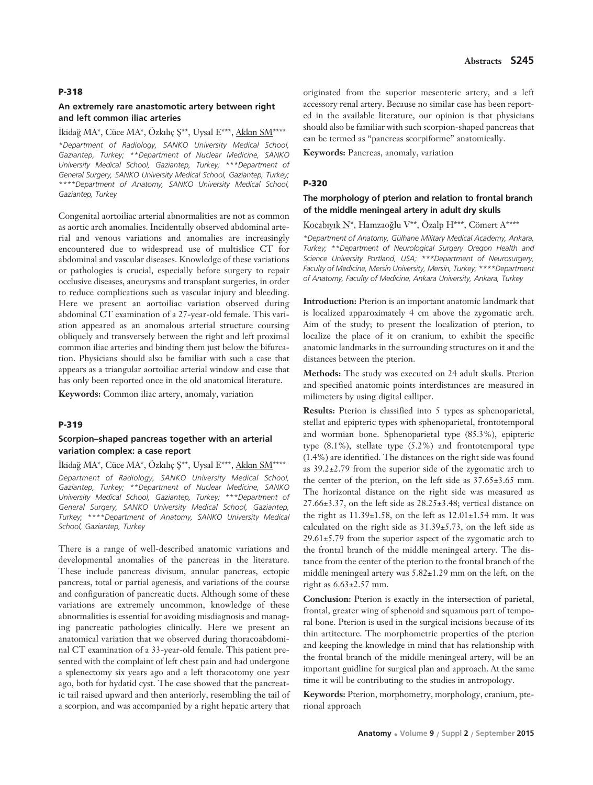### **An extremely rare anastomotic artery between right and left common iliac arteries**

İkidağ MA\*, Cüce MA\*, Özkılıç Ş\*\*, Uysal E\*\*\*, Akkın SM\*\*\*\* *\*Department of Radiology, SANKO University Medical School, Gaziantep, Turkey; \*\*Department of Nuclear Medicine, SANKO University Medical School, Gaziantep, Turkey; \*\*\*Department of General Surgery, SANKO University Medical School, Gaziantep, Turkey; \*\*\*\*Department of Anatomy, SANKO University Medical School, Gaziantep, Turkey*

Congenital aortoiliac arterial abnormalities are not as common as aortic arch anomalies. Incidentally observed abdominal arterial and venous variations and anomalies are increasingly encountered due to widespread use of multislice CT for abdominal and vascular diseases. Knowledge of these variations or pathologies is crucial, especially before surgery to repair occlusive diseases, aneurysms and transplant surgeries, in order to reduce complications such as vascular injury and bleeding. Here we present an aortoiliac variation observed during abdominal CT examination of a 27-year-old female. This variation appeared as an anomalous arterial structure coursing obliquely and transversely between the right and left proximal common iliac arteries and binding them just below the bifurcation. Physicians should also be familiar with such a case that appears as a triangular aortoiliac arterial window and case that has only been reported once in the old anatomical literature.

**Keywords:** Common iliac artery, anomaly, variation

# **P-319**

# **Scorpion–shaped pancreas together with an arterial variation complex: a case report**

İkidağ MA\*, Cüce MA\*, Özkılıç Ş\*\*, Uysal E\*\*\*, Akkın SM\*\*\*\*

*Department of Radiology, SANKO University Medical School, Gaziantep, Turkey; \*\*Department of Nuclear Medicine, SANKO University Medical School, Gaziantep, Turkey; \*\*\*Department of General Surgery, SANKO University Medical School, Gaziantep, Turkey; \*\*\*\*Department of Anatomy, SANKO University Medical School, Gaziantep, Turkey*

There is a range of well-described anatomic variations and developmental anomalies of the pancreas in the literature. These include pancreas divisum, annular pancreas, ectopic pancreas, total or partial agenesis, and variations of the course and configuration of pancreatic ducts. Although some of these variations are extremely uncommon, knowledge of these abnormalities is essential for avoiding misdiagnosis and managing pancreatic pathologies clinically. Here we present an anatomical variation that we observed during thoracoabdominal CT examination of a 33-year-old female. This patient presented with the complaint of left chest pain and had undergone a splenectomy six years ago and a left thoracotomy one year ago, both for hydatid cyst. The case showed that the pancreatic tail raised upward and then anteriorly, resembling the tail of a scorpion, and was accompanied by a right hepatic artery that

originated from the superior mesenteric artery, and a left accessory renal artery. Because no similar case has been reported in the available literature, our opinion is that physicians should also be familiar with such scorpion-shaped pancreas that can be termed as "pancreas scorpiforme" anatomically.

**Keywords:** Pancreas, anomaly, variation

### **P-320**

# **The morphology of pterion and relation to frontal branch of the middle meningeal artery in adult dry skulls**

Kocabıyık N\*, Hamzaoğlu V\*\*, Özalp H\*\*\*, Cömert A\*\*\*\*

*\*Department of Anatomy, Gülhane Military Medical Academy, Ankara, Turkey; \*\*Department of Neurological Surgery Oregon Health and Science University Portland, USA; \*\*\*Department of Neurosurgery, Faculty of Medicine, Mersin University, Mersin, Turkey; \*\*\*\*Department of Anatomy, Faculty of Medicine, Ankara University, Ankara, Turkey*

**Introduction:** Pterion is an important anatomic landmark that is localized apparoximately 4 cm above the zygomatic arch. Aim of the study; to present the localization of pterion, to localize the place of it on cranium, to exhibit the specific anatomic landmarks in the surrounding structures on it and the distances between the pterion.

**Methods:** The study was executed on 24 adult skulls. Pterion and specified anatomic points interdistances are measured in milimeters by using digital calliper.

**Results:** Pterion is classified into 5 types as sphenoparietal, stellat and epipteric types with sphenoparietal, frontotemporal and wormian bone. Sphenoparietal type (85.3%), epipteric type (8.1%), stellate type (5.2%) and frontotemporal type (1.4%) are identified. The distances on the right side was found as 39.2±2.79 from the superior side of the zygomatic arch to the center of the pterion, on the left side as 37.65±3.65 mm. The horizontal distance on the right side was measured as  $27.66\pm3.37$ , on the left side as  $28.25\pm3.48$ ; vertical distance on the right as  $11.39\pm1.58$ , on the left as  $12.01\pm1.54$  mm. It was calculated on the right side as 31.39±5.73, on the left side as  $29.61\pm5.79$  from the superior aspect of the zygomatic arch to the frontal branch of the middle meningeal artery. The distance from the center of the pterion to the frontal branch of the middle meningeal artery was 5.82±1.29 mm on the left, on the right as 6.63±2.57 mm.

**Conclusion:** Pterion is exactly in the intersection of parietal, frontal, greater wing of sphenoid and squamous part of temporal bone. Pterion is used in the surgical incisions because of its thin artitecture. The morphometric properties of the pterion and keeping the knowledge in mind that has relationship with the frontal branch of the middle meningeal artery, will be an important guidline for surgical plan and approach. At the same time it will be contributing to the studies in antropology.

**Keywords:** Pterion, morphometry, morphology, cranium, pterional approach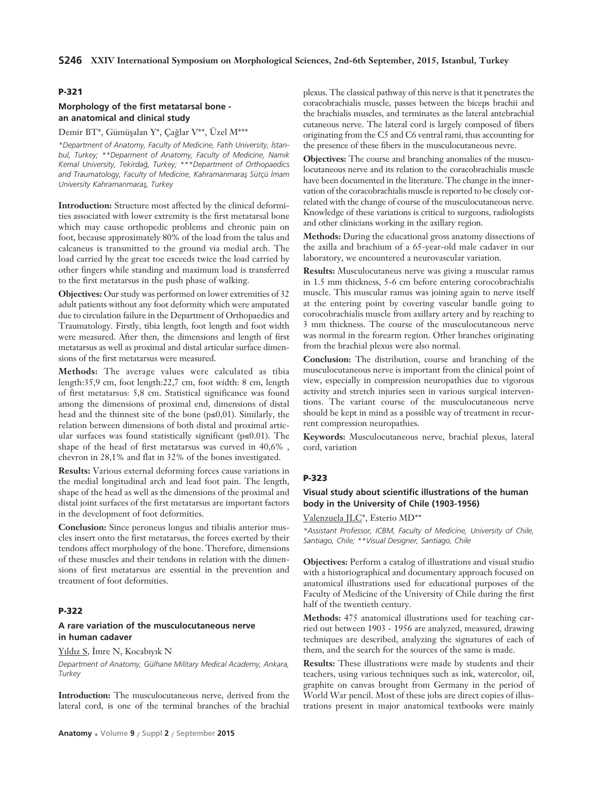# **Morphology of the first metatarsal bone an anatomical and clinical study**

## Demir BT\*, Gümüşalan Y\*, Çağlar V\*\*, Üzel M\*\*\*

*\*Department of Anatomy, Faculty of Medicine, Fatih University, ‹stan*bul, Turkey; \*\*Deparment of Anatomy, Faculty of Medicine, Namik *Kemal University, Tekirda¤, Turkey; \*\*\*Department of Orthopaedics* and Traumatology, Faculty of Medicine, Kahramanmaraş Sütçü İmam *University Kahramanmaras, Turkey* 

**Introduction:** Structure most affected by the clinical deformities associated with lower extremity is the first metatarsal bone which may cause orthopedic problems and chronic pain on foot, because approximately 80% of the load from the talus and calcaneus is transmitted to the ground via medial arch. The load carried by the great toe exceeds twice the load carried by other fingers while standing and maximum load is transferred to the first metatarsus in the push phase of walking.

**Objectives:** Our study was performed on lower extremities of 32 adult patients without any foot deformity which were amputated due to circulation failure in the Department of Orthopaedics and Traumatology. Firstly, tibia length, foot length and foot width were measured. After then, the dimensions and length of first metatarsus as well as proximal and distal articular surface dimensions of the first metatarsus were measured.

**Methods:** The average values were calculated as tibia length:35,9 cm, foot length:22,7 cm, foot width: 8 cm, length of first metatarsus: 5,8 cm. Statistical significance was found among the dimensions of proximal end, dimensions of distal head and the thinnest site of the bone (p≤0,01). Similarly, the relation between dimensions of both distal and proximal articular surfaces was found statistically significant (p≤0.01). The shape of the head of first metatarsus was curved in 40,6% , chevron in 28,1% and flat in 32% of the bones investigated.

**Results:** Various external deforming forces cause variations in the medial longitudinal arch and lead foot pain. The length, shape of the head as well as the dimensions of the proximal and distal joint surfaces of the first metatarsus are important factors in the development of foot deformities.

**Conclusion:** Since peroneus longus and tibialis anterior muscles insert onto the first metatarsus, the forces exerted by their tendons affect morphology of the bone. Therefore, dimensions of these muscles and their tendons in relation with the dimensions of first metatarsus are essential in the prevention and treatment of foot deformities.

# **P-322**

## **A rare variation of the musculocutaneous nerve in human cadaver**

Yıldız S, İmre N, Kocabıyık N

*Department of Anatomy, Gülhane Military Medical Academy, Ankara, Turkey*

**Introduction:** The musculocutaneous nerve, derived from the lateral cord, is one of the terminal branches of the brachial

plexus. The classical pathway of this nerve is that it penetrates the coracobrachialis muscle, passes between the biceps brachii and the brachialis muscles, and terminates as the lateral antebrachial cutaneous nerve. The lateral cord is largely composed of fibers originating from the C5 and C6 ventral rami, thus accounting for the presence of these fibers in the musculocutaneous nevre.

**Objectives:** The course and branching anomalies of the musculocutaneous nerve and its relation to the coracobrachialis muscle have been documented in the literature. The change in the innervation of the coracobrachialis muscle is reported to be closely correlated with the change of course of the musculocutaneous nerve. Knowledge of these variations is critical to surgeons, radiologists and other clinicians working in the axillary region.

**Methods:** During the educational gross anatomy dissections of the axilla and brachium of a 65-year-old male cadaver in our laboratory, we encountered a neurovascular variation.

**Results:** Musculocutaneus nerve was giving a muscular ramus in 1.5 mm thickness, 5-6 cm before entering corocobrachialis muscle. This muscular ramus was joining again to nerve itself at the entering point by covering vascular bandle going to corocobrachialis muscle from axillary artery and by reaching to 3 mm thickness. The course of the musculocutaneous nerve was normal in the forearm region. Other branches originating from the brachial plexus were also normal.

**Conclusion:** The distribution, course and branching of the musculocutaneous nerve is important from the clinical point of view, especially in compression neuropathies due to vigorous activity and stretch injuries seen in various surgical interventions. The variant course of the musculocutaneous nerve should be kept in mind as a possible way of treatment in recurrent compression neuropathies.

**Keywords:** Musculocutaneous nerve, brachial plexus, lateral cord, variation

### **P-323**

# **Visual study about scientific illustrations of the human body in the University of Chile (1903-1956)**

Valenzuela JLC\*, Esterio MD\*\*

*\*Assistant Professor, ICBM, Faculty of Medicine, University of Chile, Santiago, Chile; \*\*Visual Designer, Santiago, Chile*

**Objectives:** Perform a catalog of illustrations and visual studio with a historiographical and documentary approach focused on anatomical illustrations used for educational purposes of the Faculty of Medicine of the University of Chile during the first half of the twentieth century.

**Methods:** 475 anatomical illustrations used for teaching carried out between 1903 - 1956 are analyzed, measured, drawing techniques are described, analyzing the signatures of each of them, and the search for the sources of the same is made.

**Results:** These illustrations were made by students and their teachers, using various techniques such as ink, watercolor, oil, graphite on canvas brought from Germany in the period of World War pencil. Most of these jobs are direct copies of illustrations present in major anatomical textbooks were mainly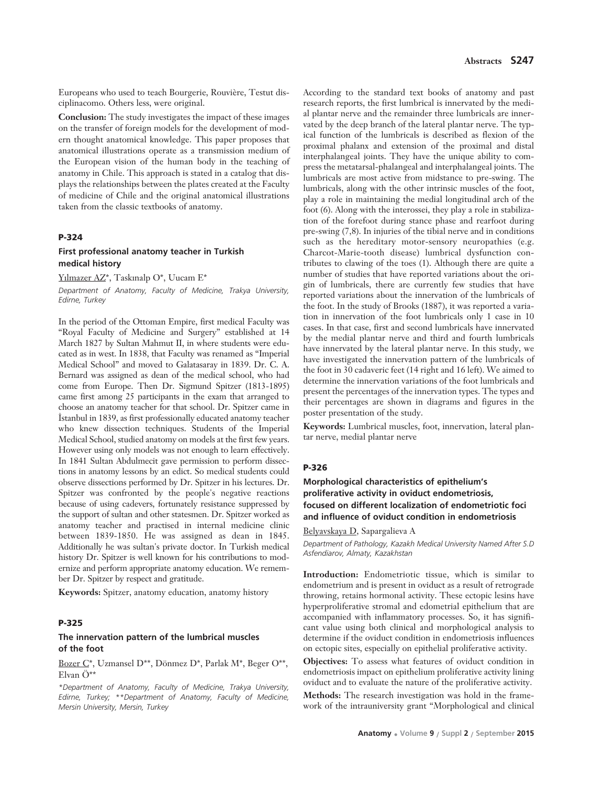Europeans who used to teach Bourgerie, Rouvière, Testut disciplinacomo. Others less, were original.

**Conclusion:** The study investigates the impact of these images on the transfer of foreign models for the development of modern thought anatomical knowledge. This paper proposes that anatomical illustrations operate as a transmission medium of the European vision of the human body in the teaching of anatomy in Chile. This approach is stated in a catalog that displays the relationships between the plates created at the Faculty of medicine of Chile and the original anatomical illustrations taken from the classic textbooks of anatomy.

### **P-324**

# **First professional anatomy teacher in Turkish medical history**

Yılmazer AZ\*, Taskınalp O\*, Uucam E\*

*Department of Anatomy, Faculty of Medicine, Trakya University, Edirne, Turkey*

In the period of the Ottoman Empire, first medical Faculty was "Royal Faculty of Medicine and Surgery" established at 14 March 1827 by Sultan Mahmut II, in where students were educated as in west. In 1838, that Faculty was renamed as "Imperial Medical School" and moved to Galatasaray in 1839. Dr. C. A. Bernard was assigned as dean of the medical school, who had come from Europe. Then Dr. Sigmund Spitzer (1813-1895) came first among 25 participants in the exam that arranged to choose an anatomy teacher for that school. Dr. Spitzer came in Istanbul in 1839, as first professionally educated anatomy teacher who knew dissection techniques. Students of the Imperial Medical School, studied anatomy on models at the first few years. However using only models was not enough to learn effectively. In 1841 Sultan Abdulmecit gave permission to perform dissections in anatomy lessons by an edict. So medical students could observe dissections performed by Dr. Spitzer in his lectures. Dr. Spitzer was confronted by the people's negative reactions because of using cadevers, fortunately resistance suppressed by the support of sultan and other statesmen. Dr. Spitzer worked as anatomy teacher and practised in internal medicine clinic between 1839-1850. He was assigned as dean in 1845. Additionally he was sultan's private doctor. In Turkish medical history Dr. Spitzer is well known for his contributions to modernize and perform appropriate anatomy education. We remember Dr. Spitzer by respect and gratitude.

**Keywords:** Spitzer, anatomy education, anatomy history

#### **P-325**

### **The innervation pattern of the lumbrical muscles of the foot**

Bozer C\*, Uzmansel D\*\*, Dönmez D\*, Parlak M\*, Beger O\*\*, Elvan Ö\*\*

*\*Department of Anatomy, Faculty of Medicine, Trakya University, Edirne, Turkey; \*\*Department of Anatomy, Faculty of Medicine, Mersin University, Mersin, Turkey*

According to the standard text books of anatomy and past research reports, the first lumbrical is innervated by the medial plantar nerve and the remainder three lumbricals are innervated by the deep branch of the lateral plantar nerve. The typical function of the lumbricals is described as flexion of the proximal phalanx and extension of the proximal and distal interphalangeal joints. They have the unique ability to compress the metatarsal-phalangeal and interphalangeal joints. The lumbricals are most active from midstance to pre-swing. The lumbricals, along with the other intrinsic muscles of the foot, play a role in maintaining the medial longitudinal arch of the foot (6). Along with the interossei, they play a role in stabilization of the forefoot during stance phase and rearfoot during pre-swing (7,8). In injuries of the tibial nerve and in conditions such as the hereditary motor-sensory neuropathies (e.g. Charcot-Marie-tooth disease) lumbrical dysfunction contributes to clawing of the toes (1). Although there are quite a number of studies that have reported variations about the origin of lumbricals, there are currently few studies that have reported variations about the innervation of the lumbricals of the foot. In the study of Brooks (1887), it was reported a variation in innervation of the foot lumbricals only 1 case in 10 cases. In that case, first and second lumbricals have innervated by the medial plantar nerve and third and fourth lumbricals have innervated by the lateral plantar nerve. In this study, we have investigated the innervation pattern of the lumbricals of the foot in 30 cadaveric feet (14 right and 16 left). We aimed to determine the innervation variations of the foot lumbricals and present the percentages of the innervation types. The types and their percentages are shown in diagrams and figures in the poster presentation of the study.

**Keywords:** Lumbrical muscles, foot, innervation, lateral plantar nerve, medial plantar nerve

#### **P-326**

# **Morphological characteristics of epithelium's proliferative activity in oviduct endometriosis, focused on different localization of endometriotic foci and influence of oviduct condition in endometriosis**

#### Belyavskaya D, Sapargalieva A

*Department of Pathology, Kazakh Medical University Named After S.D Asfendiarov, Almaty, Kazakhstan*

**Introduction:** Endometriotic tissue, which is similar to endometrium and is present in oviduct as a result of retrograde throwing, retains hormonal activity. These ectopic lesins have hyperproliferative stromal and edometrial epithelium that are accompanied with inflammatory processes. So, it has significant value using both clinical and morphological analysis to determine if the oviduct condition in endometriosis influences on ectopic sites, especially on epithelial proliferative activity.

**Objectives:** To assess what features of oviduct condition in endometriosis impact on epithelium proliferative activity lining oviduct and to evaluate the nature of the proliferative activity.

**Methods:** The research investigation was hold in the framework of the intrauniversity grant "Morphological and clinical